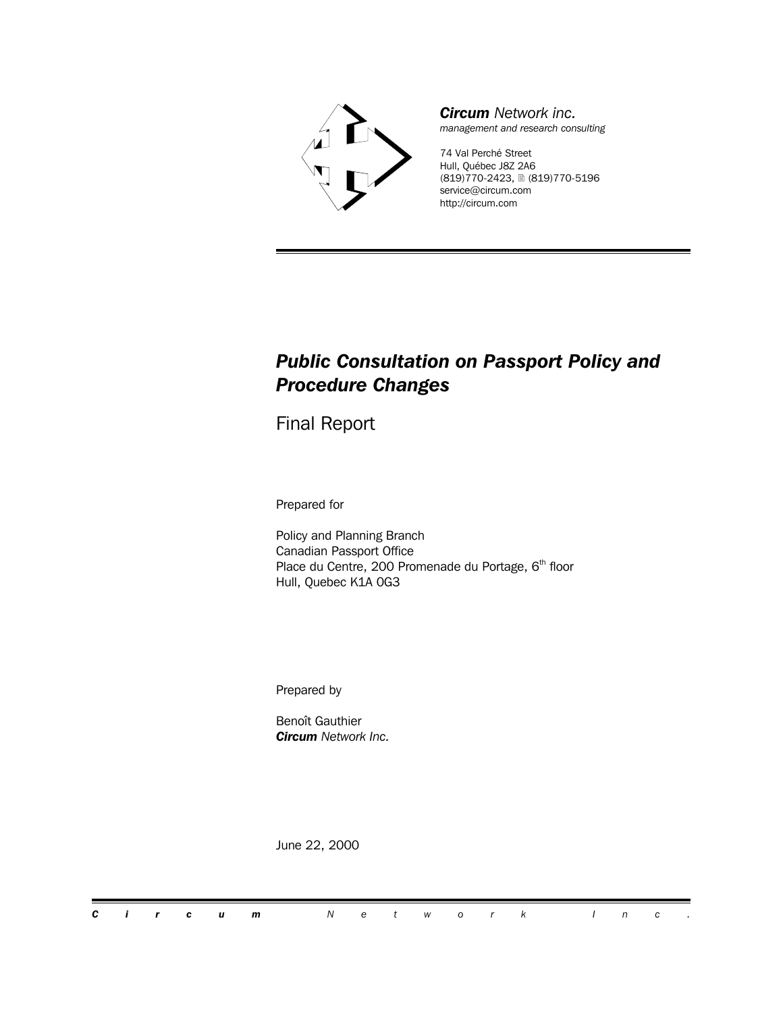

*Circum Network inc. management and research consulting*

74 Val Perché Street Hull, Québec J8Z 2A6 (819)770-2423, 2 (819)770-5196 service@circum.com http://circum.com

# *Public Consultation on Passport Policy and Procedure Changes*

Final Report

Prepared for

Policy and Planning Branch Canadian Passport Office Place du Centre, 200 Promenade du Portage, 6<sup>th</sup> floor Hull, Quebec K1A 0G3

Prepared by

Benoît Gauthier *Circum Network Inc.*

June 22, 2000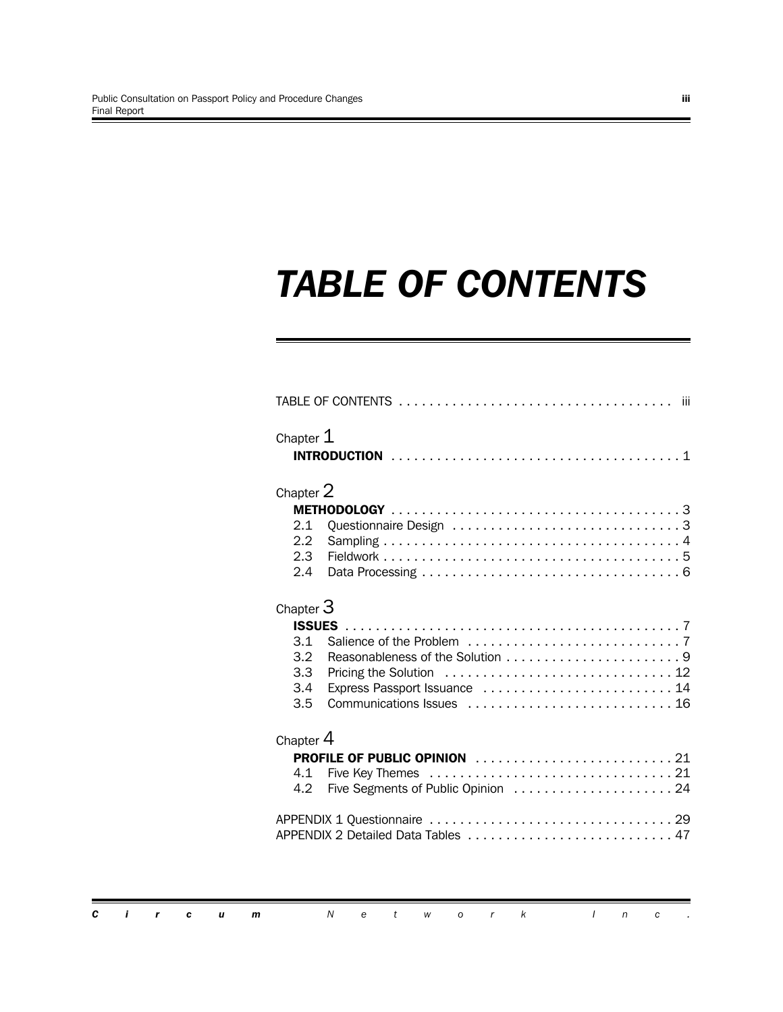# *TABLE OF CONTENTS*

| Chapter $1$      |                                     |
|------------------|-------------------------------------|
| Chapter 2        |                                     |
|                  |                                     |
| 2.1              |                                     |
| $2.2^{\circ}$    |                                     |
| 2.3              |                                     |
| 2.4              |                                     |
| Chapter $3$      |                                     |
| <b>ISSUES</b>    |                                     |
| 3.1              |                                     |
| 3.2 <sub>2</sub> |                                     |
| 3.3              |                                     |
| 3.4              | Express Passport Issuance  14       |
| 3.5              |                                     |
| Chapter 4        |                                     |
|                  |                                     |
| 4.1              |                                     |
| 4.2              | Five Segments of Public Opinion  24 |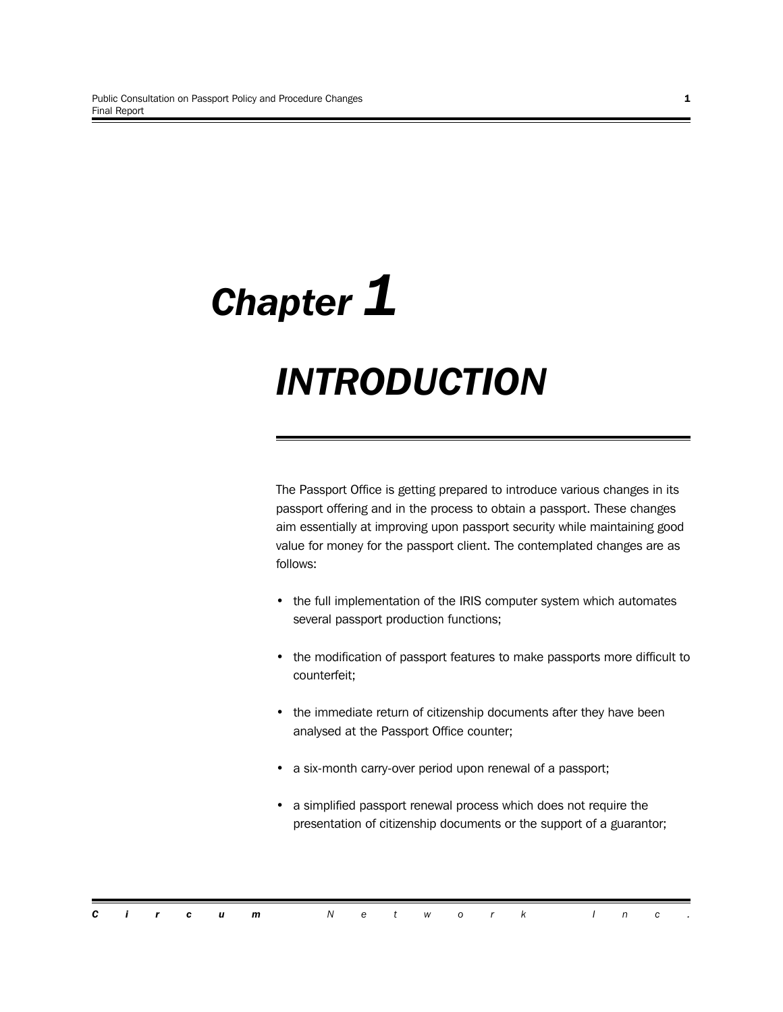# *Chapter 1 INTRODUCTION*

The Passport Office is getting prepared to introduce various changes in its passport offering and in the process to obtain a passport. These changes aim essentially at improving upon passport security while maintaining good value for money for the passport client. The contemplated changes are as follows:

- the full implementation of the IRIS computer system which automates several passport production functions;
- the modification of passport features to make passports more difficult to counterfeit;
- the immediate return of citizenship documents after they have been analysed at the Passport Office counter;
- a six-month carry-over period upon renewal of a passport;
- a simplified passport renewal process which does not require the presentation of citizenship documents or the support of a guarantor;

|  |  | <b>Circum</b> Network Inc. |  |  |  |  |  |  |
|--|--|----------------------------|--|--|--|--|--|--|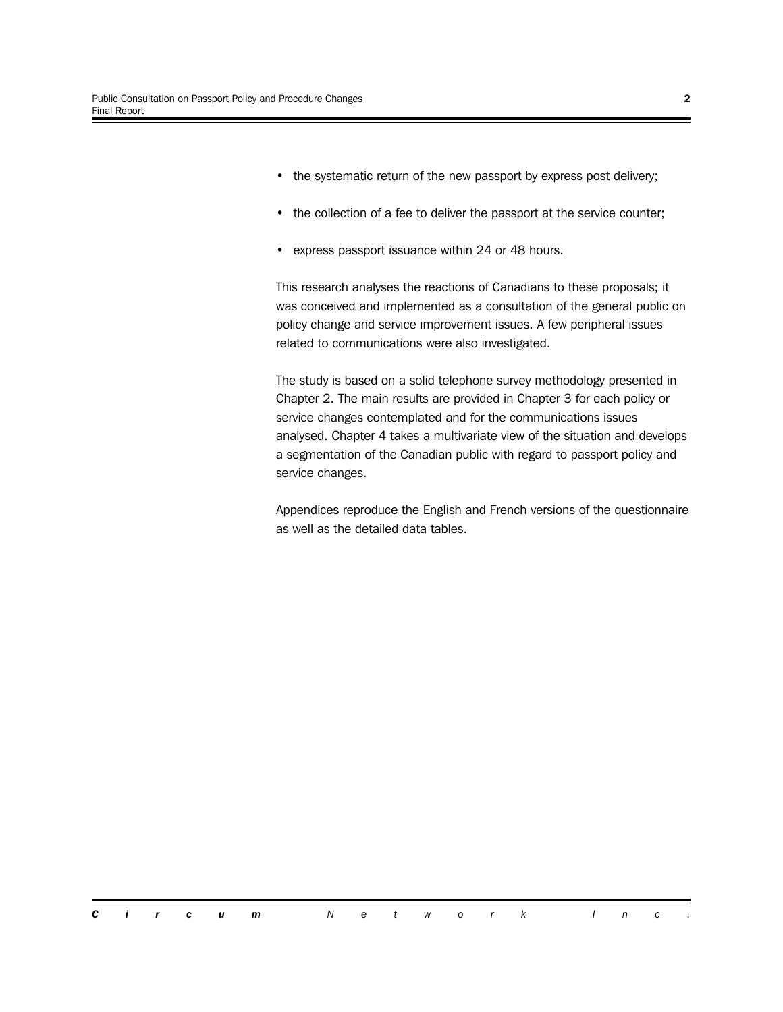- the systematic return of the new passport by express post delivery;
- the collection of a fee to deliver the passport at the service counter;
- express passport issuance within 24 or 48 hours.

This research analyses the reactions of Canadians to these proposals; it was conceived and implemented as a consultation of the general public on policy change and service improvement issues. A few peripheral issues related to communications were also investigated.

The study is based on a solid telephone survey methodology presented in Chapter 2. The main results are provided in Chapter 3 for each policy or service changes contemplated and for the communications issues analysed. Chapter 4 takes a multivariate view of the situation and develops a segmentation of the Canadian public with regard to passport policy and service changes.

Appendices reproduce the English and French versions of the questionnaire as well as the detailed data tables.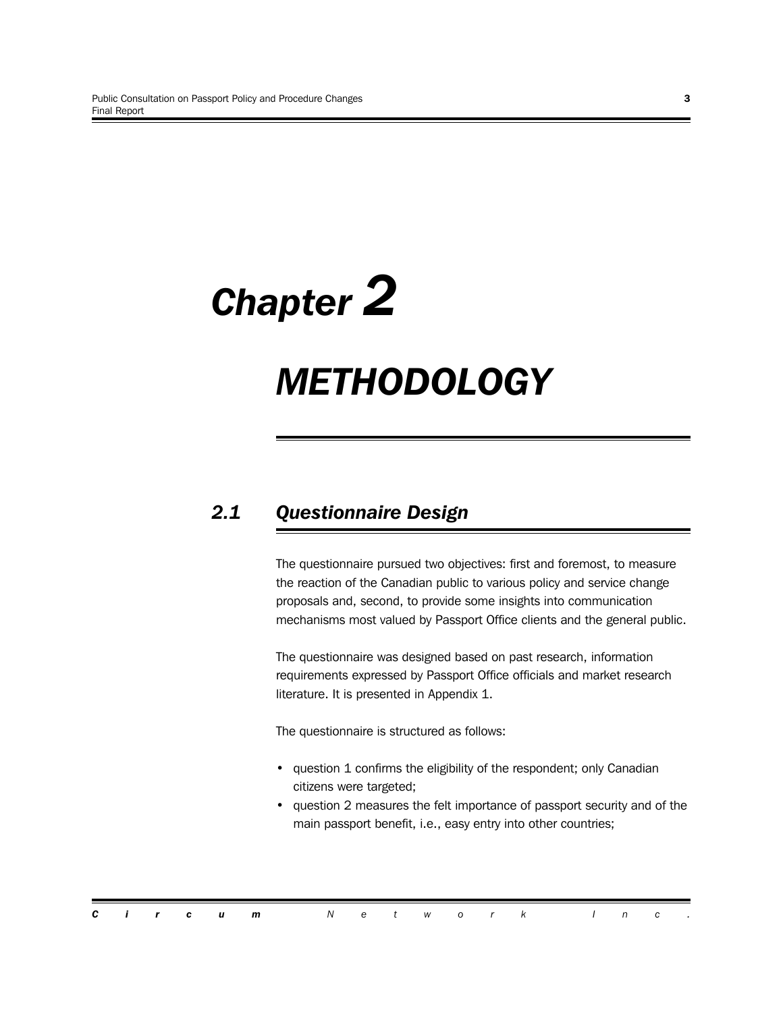# *Chapter 2*

# *METHODOLOGY*

# *2.1 Questionnaire Design*

The questionnaire pursued two objectives: first and foremost, to measure the reaction of the Canadian public to various policy and service change proposals and, second, to provide some insights into communication mechanisms most valued by Passport Office clients and the general public.

The questionnaire was designed based on past research, information requirements expressed by Passport Office officials and market research literature. It is presented in Appendix 1.

The questionnaire is structured as follows:

- question 1 confirms the eligibility of the respondent; only Canadian citizens were targeted;
- question 2 measures the felt importance of passport security and of the main passport benefit, i.e., easy entry into other countries;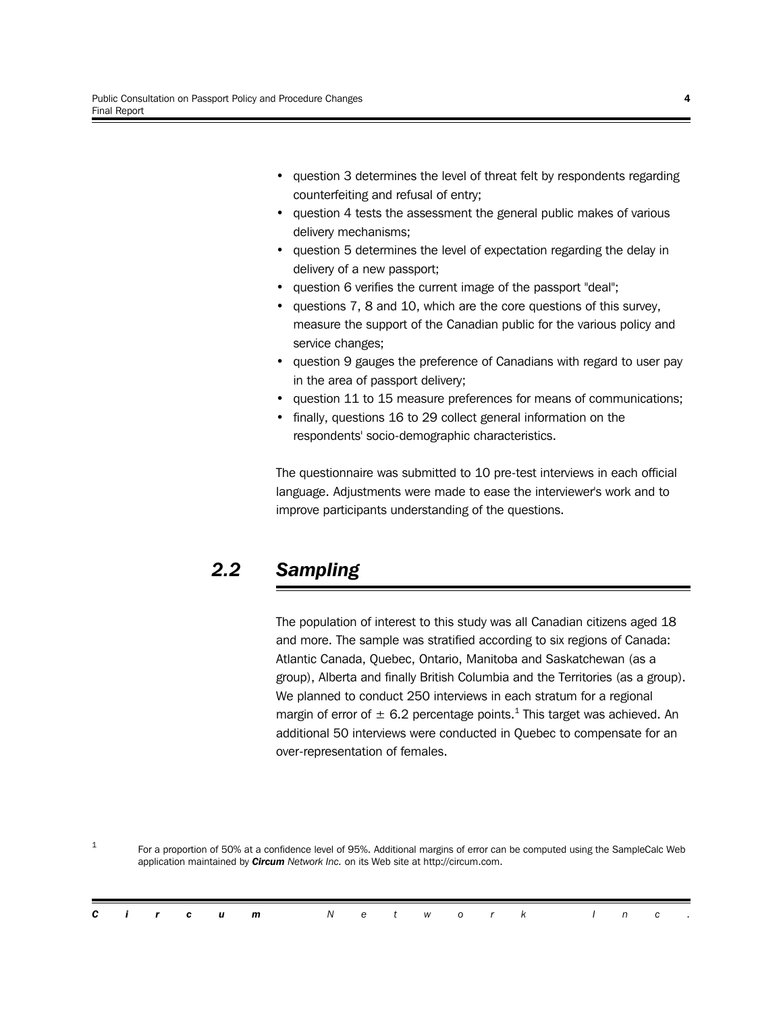- question 3 determines the level of threat felt by respondents regarding counterfeiting and refusal of entry;
- question 4 tests the assessment the general public makes of various delivery mechanisms;
- question 5 determines the level of expectation regarding the delay in delivery of a new passport;
- question 6 verifies the current image of the passport "deal";
- questions 7, 8 and 10, which are the core questions of this survey, measure the support of the Canadian public for the various policy and service changes;
- question 9 gauges the preference of Canadians with regard to user pay in the area of passport delivery;
- question 11 to 15 measure preferences for means of communications;
- finally, questions 16 to 29 collect general information on the respondents' socio-demographic characteristics.

The questionnaire was submitted to 10 pre-test interviews in each official language. Adjustments were made to ease the interviewer's work and to improve participants understanding of the questions.

## *2.2 Sampling*

The population of interest to this study was all Canadian citizens aged 18 and more. The sample was stratified according to six regions of Canada: Atlantic Canada, Quebec, Ontario, Manitoba and Saskatchewan (as a group), Alberta and finally British Columbia and the Territories (as a group). We planned to conduct 250 interviews in each stratum for a regional margin of error of  $\pm$  6.2 percentage points.<sup>1</sup> This target was achieved. An additional 50 interviews were conducted in Quebec to compensate for an over-representation of females.

1 For a proportion of 50% at a confidence level of 95%. Additional margins of error can be computed using the SampleCalc Web application maintained by *Circum Network Inc.* on its Web site at http://circum.com.

|  |  | <b>Circum</b> Network Inc. |  |  |  |  |  |  |
|--|--|----------------------------|--|--|--|--|--|--|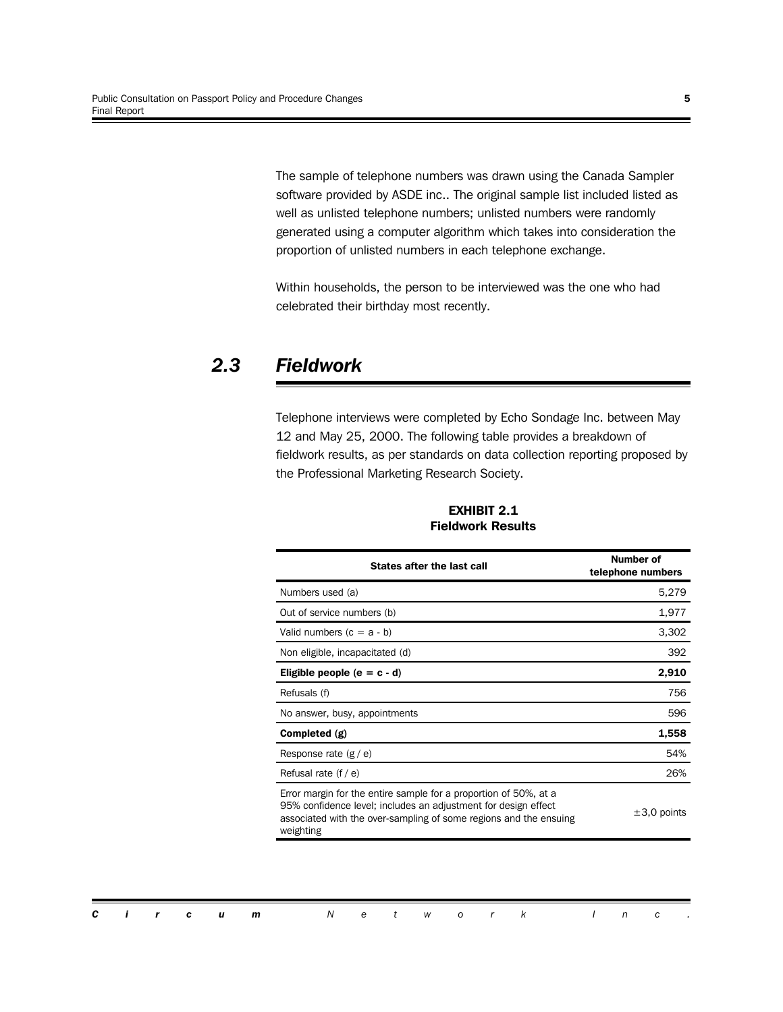The sample of telephone numbers was drawn using the Canada Sampler software provided by ASDE inc.. The original sample list included listed as well as unlisted telephone numbers; unlisted numbers were randomly generated using a computer algorithm which takes into consideration the proportion of unlisted numbers in each telephone exchange.

Within households, the person to be interviewed was the one who had celebrated their birthday most recently.

## *2.3 Fieldwork*

Telephone interviews were completed by Echo Sondage Inc. between May 12 and May 25, 2000. The following table provides a breakdown of fieldwork results, as per standards on data collection reporting proposed by the Professional Marketing Research Society.

| States after the last call                                                                                                                                                                                           | Number of<br>telephone numbers |
|----------------------------------------------------------------------------------------------------------------------------------------------------------------------------------------------------------------------|--------------------------------|
| Numbers used (a)                                                                                                                                                                                                     | 5,279                          |
| Out of service numbers (b)                                                                                                                                                                                           | 1,977                          |
| Valid numbers $(c = a - b)$                                                                                                                                                                                          | 3,302                          |
| Non eligible, incapacitated (d)                                                                                                                                                                                      | 392                            |
| Eligible people $(e = c - d)$                                                                                                                                                                                        | 2,910                          |
| Refusals (f)                                                                                                                                                                                                         | 756                            |
| No answer, busy, appointments                                                                                                                                                                                        | 596                            |
| Completed (g)                                                                                                                                                                                                        | 1,558                          |
| Response rate $(g / e)$                                                                                                                                                                                              | 54%                            |
| Refusal rate $(f / e)$                                                                                                                                                                                               | 26%                            |
| Error margin for the entire sample for a proportion of 50%, at a<br>95% confidence level; includes an adjustment for design effect<br>associated with the over-sampling of some regions and the ensuing<br>weighting | $\pm 3.0$ points               |

**EXHIBIT 2.1 Fieldwork Results**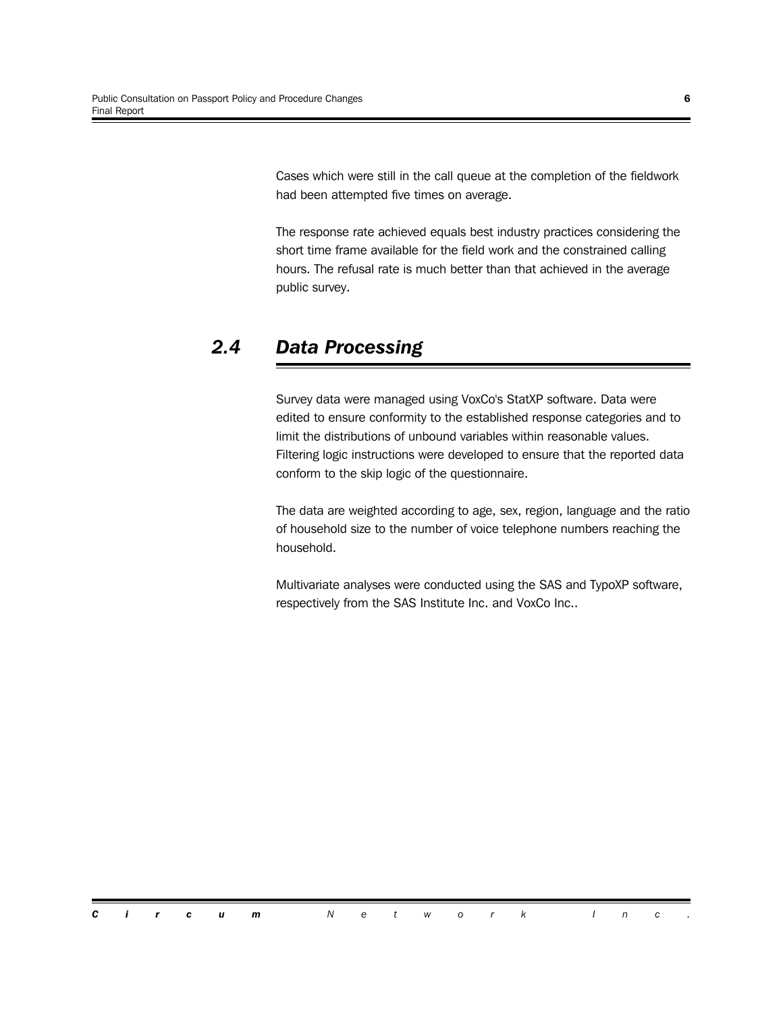Cases which were still in the call queue at the completion of the fieldwork had been attempted five times on average.

The response rate achieved equals best industry practices considering the short time frame available for the field work and the constrained calling hours. The refusal rate is much better than that achieved in the average public survey.

### *2.4 Data Processing*

Survey data were managed using VoxCo's StatXP software. Data were edited to ensure conformity to the established response categories and to limit the distributions of unbound variables within reasonable values. Filtering logic instructions were developed to ensure that the reported data conform to the skip logic of the questionnaire.

The data are weighted according to age, sex, region, language and the ratio of household size to the number of voice telephone numbers reaching the household.

Multivariate analyses were conducted using the SAS and TypoXP software, respectively from the SAS Institute Inc. and VoxCo Inc..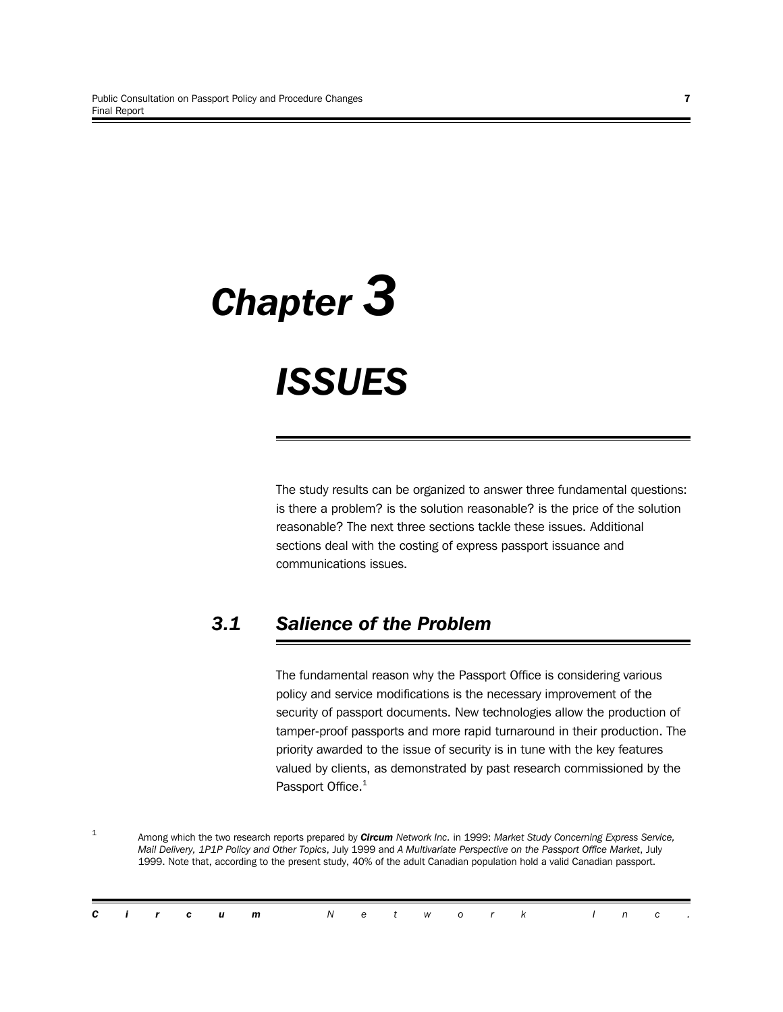# *Chapter 3*

# *ISSUES*

The study results can be organized to answer three fundamental questions: is there a problem? is the solution reasonable? is the price of the solution reasonable? The next three sections tackle these issues. Additional sections deal with the costing of express passport issuance and communications issues.

## *3.1 Salience of the Problem*

The fundamental reason why the Passport Office is considering various policy and service modifications is the necessary improvement of the security of passport documents. New technologies allow the production of tamper-proof passports and more rapid turnaround in their production. The priority awarded to the issue of security is in tune with the key features valued by clients, as demonstrated by past research commissioned by the Passport Office.<sup>1</sup>

1 Among which the two research reports prepared by *Circum Network Inc.* in 1999: *Market Study Concerning Express Service, Mail Delivery, 1P1P Policy and Other Topics*, July 1999 and *A Multivariate Perspective on the Passport Office Market*, July 1999. Note that, according to the present study, 40% of the adult Canadian population hold a valid Canadian passport.

|  |  | <b>Circum</b> Network Inc. |  |  |  |  |  |  |
|--|--|----------------------------|--|--|--|--|--|--|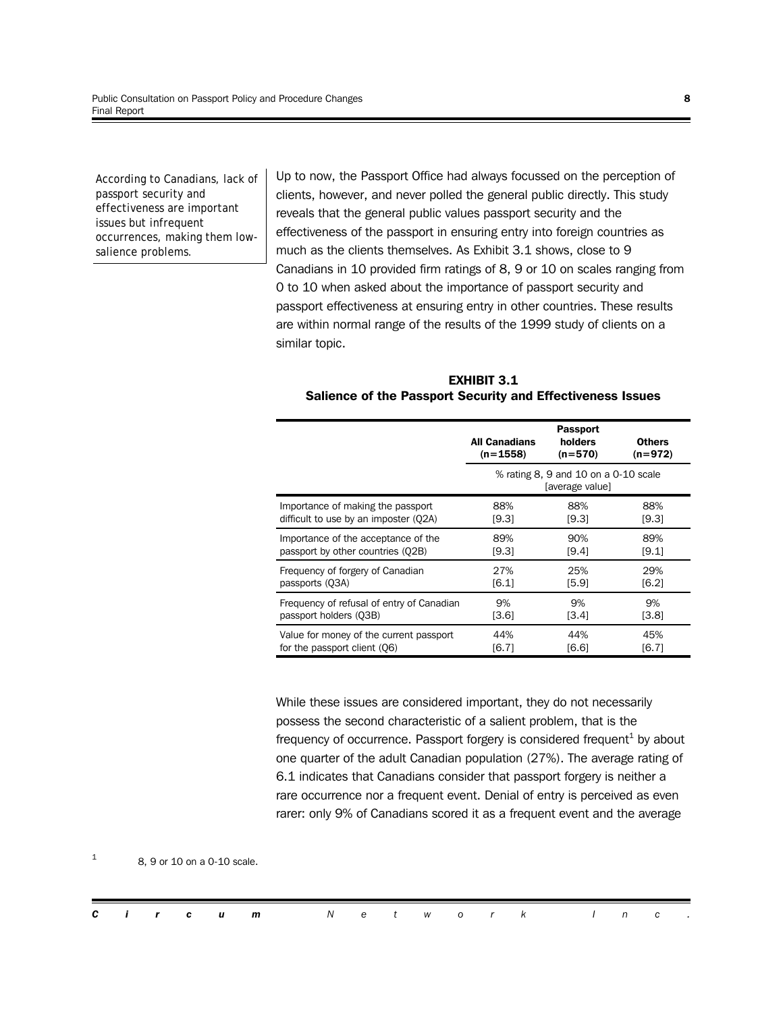According to Canadians, lack of passport security and effectiveness are important issues but infrequent occurrences, making them lowsalience problems.

Up to now, the Passport Office had always focussed on the perception of clients, however, and never polled the general public directly. This study reveals that the general public values passport security and the effectiveness of the passport in ensuring entry into foreign countries as much as the clients themselves. As Exhibit 3.1 shows, close to 9 Canadians in 10 provided firm ratings of 8, 9 or 10 on scales ranging from 0 to 10 when asked about the importance of passport security and passport effectiveness at ensuring entry in other countries. These results are within normal range of the results of the 1999 study of clients on a similar topic.

**EXHIBIT 3.1 Salience of the Passport Security and Effectiveness Issues**

|                                           | <b>All Canadians</b><br>$(n=1558)$ | <b>Passport</b><br>holders<br>$(n=570)$                 | <b>Others</b><br>$(n=972)$ |
|-------------------------------------------|------------------------------------|---------------------------------------------------------|----------------------------|
|                                           |                                    | % rating 8, 9 and 10 on a 0-10 scale<br>[average value] |                            |
| Importance of making the passport         | 88%                                | 88%                                                     | 88%                        |
| difficult to use by an imposter (Q2A)     | [9.3]                              | [9.3]                                                   | [9.3]                      |
| Importance of the acceptance of the       | 89%                                | 90%                                                     | 89%                        |
| passport by other countries (Q2B)         | [9.3]                              | [9.4]                                                   | [9.1]                      |
| Frequency of forgery of Canadian          | 27%                                | 25%                                                     | 29%                        |
| passports (Q3A)                           | [6.1]                              | [5.9]                                                   | [6.2]                      |
| Frequency of refusal of entry of Canadian | 9%                                 | 9%                                                      | 9%                         |
| passport holders (Q3B)                    | [3.6]                              | [3.4]                                                   | [3.8]                      |
| Value for money of the current passport   | 44%                                | 44%                                                     | 45%                        |
| for the passport client (Q6)              | [6.7]                              | [6.6]                                                   | [6.7]                      |

While these issues are considered important, they do not necessarily possess the second characteristic of a salient problem, that is the frequency of occurrence. Passport forgery is considered frequent $^{\rm 1}$  by about one quarter of the adult Canadian population (27%). The average rating of 6.1 indicates that Canadians consider that passport forgery is neither a rare occurrence nor a frequent event. Denial of entry is perceived as even rarer: only 9% of Canadians scored it as a frequent event and the average

1 8, 9 or 10 on a 0-10 scale.

|  |  | <b>Circum</b> Network Inc. |  |  |  |  |  |  |
|--|--|----------------------------|--|--|--|--|--|--|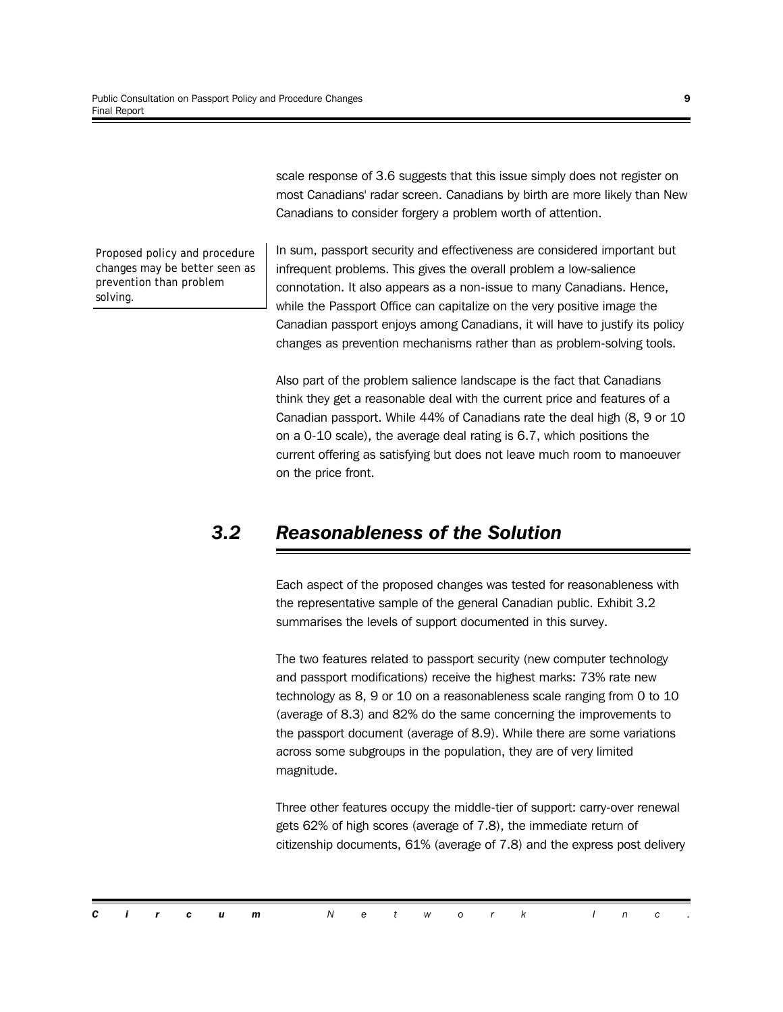Proposed policy and procedure changes may be better seen as prevention than problem solving.

scale response of 3.6 suggests that this issue simply does not register on most Canadians' radar screen. Canadians by birth are more likely than New Canadians to consider forgery a problem worth of attention.

In sum, passport security and effectiveness are considered important but infrequent problems. This gives the overall problem a low-salience connotation. It also appears as a non-issue to many Canadians. Hence, while the Passport Office can capitalize on the very positive image the Canadian passport enjoys among Canadians, it will have to justify its policy changes as prevention mechanisms rather than as problem-solving tools.

Also part of the problem salience landscape is the fact that Canadians think they get a reasonable deal with the current price and features of a Canadian passport. While 44% of Canadians rate the deal high (8, 9 or 10 on a 0-10 scale), the average deal rating is 6.7, which positions the current offering as satisfying but does not leave much room to manoeuver on the price front.

### *3.2 Reasonableness of the Solution*

Each aspect of the proposed changes was tested for reasonableness with the representative sample of the general Canadian public. Exhibit 3.2 summarises the levels of support documented in this survey.

The two features related to passport security (new computer technology and passport modifications) receive the highest marks: 73% rate new technology as 8, 9 or 10 on a reasonableness scale ranging from 0 to 10 (average of 8.3) and 82% do the same concerning the improvements to the passport document (average of 8.9). While there are some variations across some subgroups in the population, they are of very limited magnitude.

Three other features occupy the middle-tier of support: carry-over renewal gets 62% of high scores (average of 7.8), the immediate return of citizenship documents, 61% (average of 7.8) and the express post delivery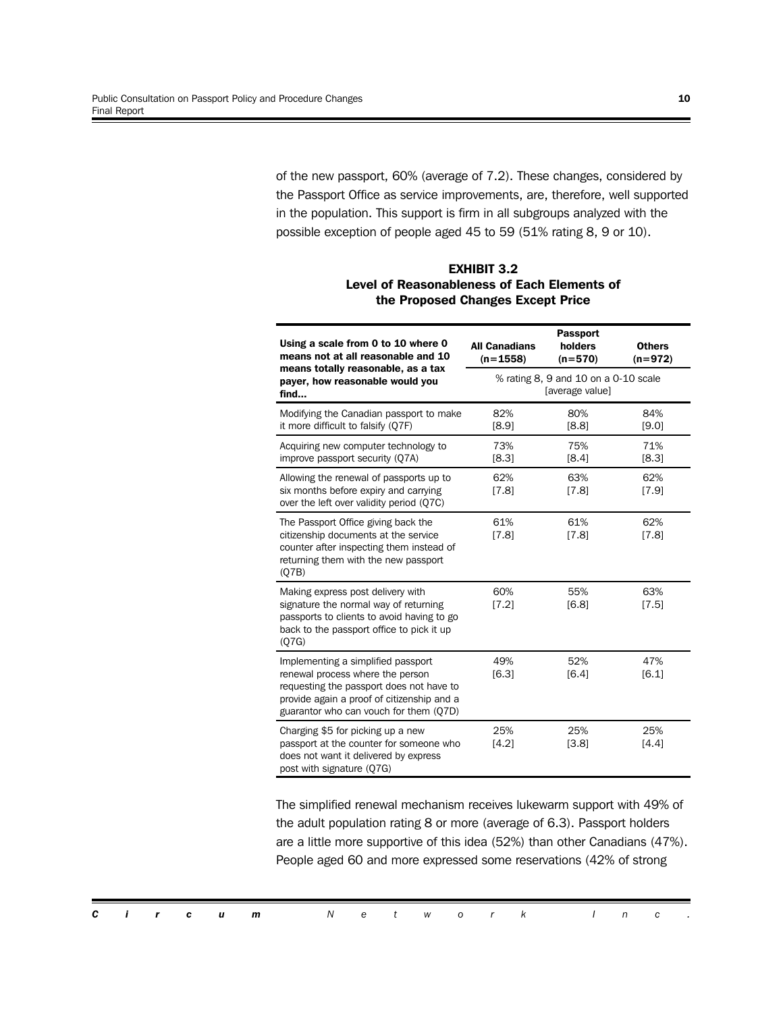of the new passport, 60% (average of 7.2). These changes, considered by the Passport Office as service improvements, are, therefore, well supported in the population. This support is firm in all subgroups analyzed with the possible exception of people aged 45 to 59 (51% rating 8, 9 or 10).

#### **EXHIBIT 3.2 Level of Reasonableness of Each Elements of the Proposed Changes Except Price**

| Using a scale from 0 to 10 where 0<br>means not at all reasonable and 10<br>means totally reasonable, as a tax                                                                                             | <b>All Canadians</b><br>$(n=1558)$                      | <b>Passport</b><br>holders<br>$(n=570)$ | <b>Others</b><br>$(n=972)$ |  |  |  |  |  |
|------------------------------------------------------------------------------------------------------------------------------------------------------------------------------------------------------------|---------------------------------------------------------|-----------------------------------------|----------------------------|--|--|--|--|--|
| payer, how reasonable would you<br>find                                                                                                                                                                    | % rating 8, 9 and 10 on a 0-10 scale<br>[average value] |                                         |                            |  |  |  |  |  |
| Modifying the Canadian passport to make<br>it more difficult to falsify (Q7F)                                                                                                                              | 82%<br>[8.9]                                            | 80%<br>[8.8]                            | 84%<br>[9.0]               |  |  |  |  |  |
| Acquiring new computer technology to<br>improve passport security (Q7A)                                                                                                                                    | 73%<br>[8.3]                                            | 75%<br>[8.4]                            | 71%<br>[8.3]               |  |  |  |  |  |
| Allowing the renewal of passports up to<br>six months before expiry and carrying<br>over the left over validity period (Q7C)                                                                               | 62%<br>[7.8]                                            | 63%<br>[7.8]                            | 62%<br>[7.9]               |  |  |  |  |  |
| The Passport Office giving back the<br>citizenship documents at the service<br>counter after inspecting them instead of<br>returning them with the new passport<br>(Q7B)                                   | 61%<br>[7.8]                                            | 61%<br>[7.8]                            | 62%<br>[7.8]               |  |  |  |  |  |
| Making express post delivery with<br>signature the normal way of returning<br>passports to clients to avoid having to go<br>back to the passport office to pick it up<br>(O7G)                             | 60%<br>[7.2]                                            | 55%<br>[6.8]                            | 63%<br>[7.5]               |  |  |  |  |  |
| Implementing a simplified passport<br>renewal process where the person<br>requesting the passport does not have to<br>provide again a proof of citizenship and a<br>guarantor who can vouch for them (Q7D) | 49%<br>[6.3]                                            | 52%<br>[6.4]                            | 47%<br>[6.1]               |  |  |  |  |  |
| Charging \$5 for picking up a new<br>passport at the counter for someone who<br>does not want it delivered by express<br>post with signature (Q7G)                                                         | 25%<br>[4.2]                                            | 25%<br>[3.8]                            | 25%<br>[4.4]               |  |  |  |  |  |

The simplified renewal mechanism receives lukewarm support with 49% of the adult population rating 8 or more (average of 6.3). Passport holders are a little more supportive of this idea (52%) than other Canadians (47%). People aged 60 and more expressed some reservations (42% of strong

|  |  | <b>Circum</b> Network Inc. |  |  |  |  |  |  |
|--|--|----------------------------|--|--|--|--|--|--|
|  |  |                            |  |  |  |  |  |  |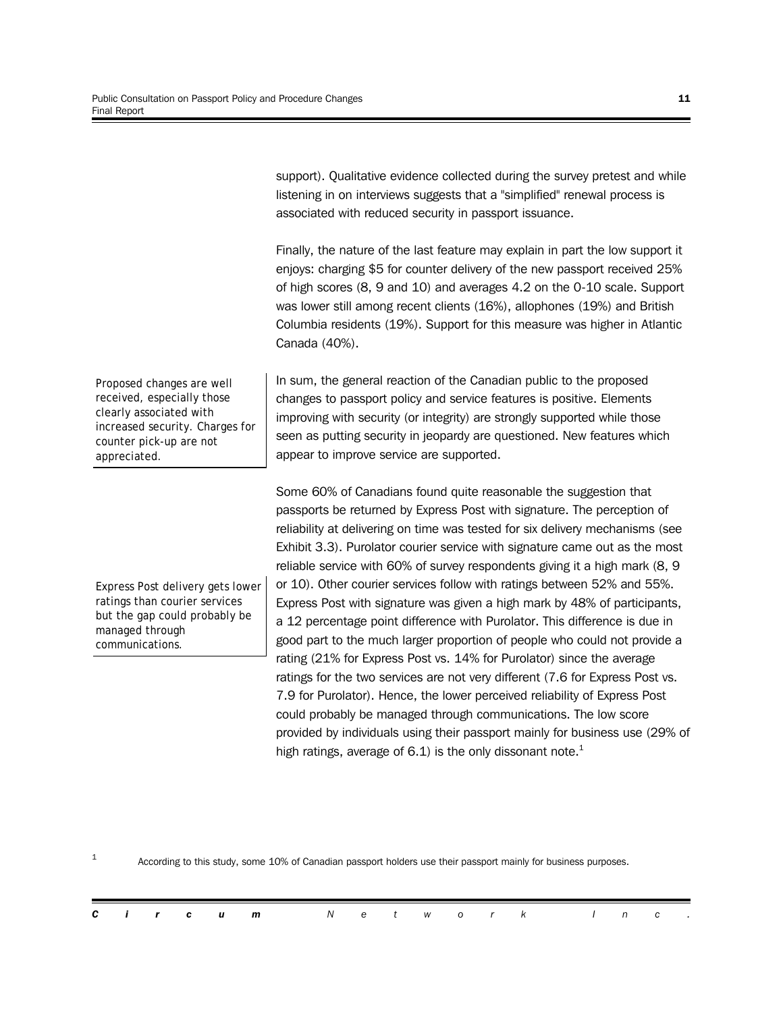associated with reduced security in passport issuance. of high scores (8, 9 and 10) and averages 4.2 on the 0-10 scale. Support was lower still among recent clients (16%), allophones (19%) and British Columbia residents (19%). Support for this measure was higher in Atlantic Canada (40%). In sum, the general reaction of the Canadian public to the proposed changes to passport policy and service features is positive. Elements improving with security (or integrity) are strongly supported while those seen as putting security in jeopardy are questioned. New features which appear to improve service are supported. Some 60% of Canadians found quite reasonable the suggestion that passports be returned by Express Post with signature. The perception of reliability at delivering on time was tested for six delivery mechanisms (see Exhibit 3.3). Purolator courier service with signature came out as the most reliable service with 60% of survey respondents giving it a high mark (8, 9 or 10). Other courier services follow with ratings between 52% and 55%. Express Post with signature was given a high mark by 48% of participants, a 12 percentage point difference with Purolator. This difference is due in good part to the much larger proportion of people who could not provide a rating (21% for Express Post vs. 14% for Purolator) since the average ratings for the two services are not very different (7.6 for Express Post vs. 7.9 for Purolator). Hence, the lower perceived reliability of Express Post Proposed changes are well received, especially those clearly associated with increased security. Charges for counter pick-up are not appreciated.

support). Qualitative evidence collected during the survey pretest and while listening in on interviews suggests that a "simplified" renewal process is

Finally, the nature of the last feature may explain in part the low support it enjoys: charging \$5 for counter delivery of the new passport received 25%

could probably be managed through communications. The low score

high ratings, average of 6.1) is the only dissonant note.<sup>1</sup>

provided by individuals using their passport mainly for business use (29% of

Express Post delivery gets lower ratings than courier services but the gap could probably be managed through communications.

1 According to this study, some 10% of Canadian passport holders use their passport mainly for business purposes.

|  |  | <b>Circum</b> Network Inc. |  |  |  |  |  |  |
|--|--|----------------------------|--|--|--|--|--|--|
|  |  |                            |  |  |  |  |  |  |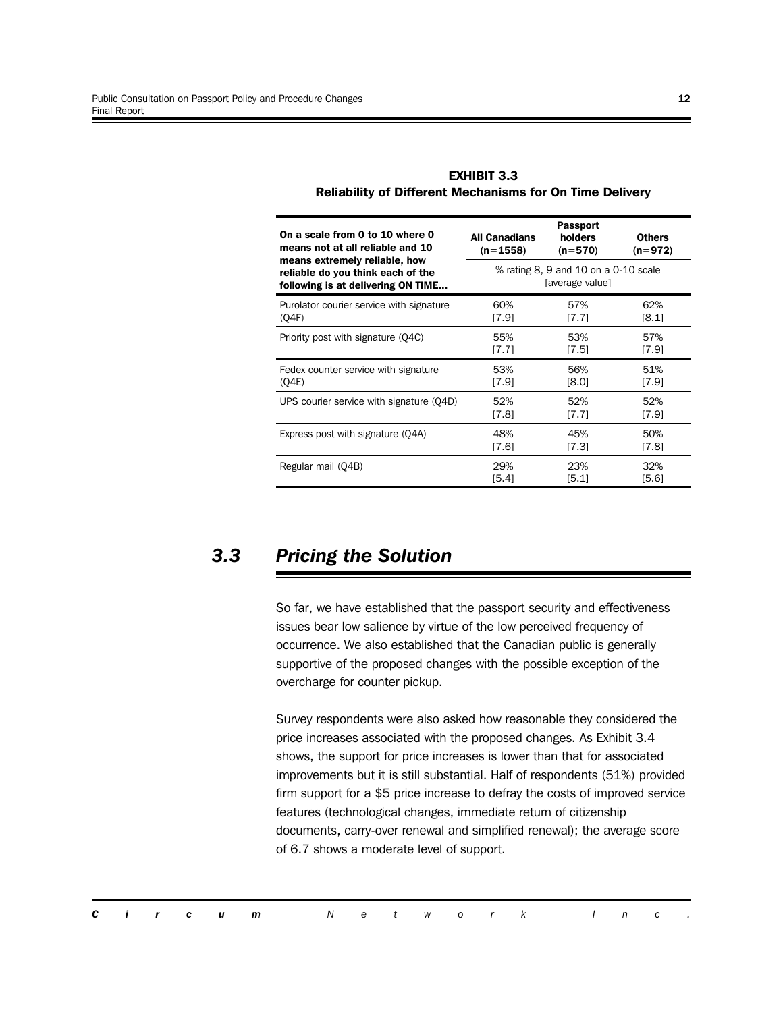| On a scale from 0 to 10 where 0<br>means not at all reliable and 10                                      | <b>All Canadians</b><br>$(n=1558)$                      | <b>Passport</b><br>holders<br>$(n=570)$ | <b>Others</b><br>$(n=972)$ |  |  |  |  |
|----------------------------------------------------------------------------------------------------------|---------------------------------------------------------|-----------------------------------------|----------------------------|--|--|--|--|
| means extremely reliable, how<br>reliable do you think each of the<br>following is at delivering ON TIME | % rating 8, 9 and 10 on a 0-10 scale<br>[average value] |                                         |                            |  |  |  |  |
| Purolator courier service with signature                                                                 | 60%                                                     | 57%                                     | 62%                        |  |  |  |  |
| (O4F)                                                                                                    | [7.9]                                                   | [7.7]                                   | [8.1]                      |  |  |  |  |
| Priority post with signature (Q4C)                                                                       | 55%                                                     | 53%                                     | 57%                        |  |  |  |  |
|                                                                                                          | [7.7]                                                   | [7.5]                                   | [7.9]                      |  |  |  |  |
| Fedex counter service with signature                                                                     | 53%                                                     | 56%                                     | 51%                        |  |  |  |  |
| (Q4E)                                                                                                    | [7.9]                                                   | [8.0]                                   | [7.9]                      |  |  |  |  |
| UPS courier service with signature (Q4D)                                                                 | 52%                                                     | 52%                                     | 52%                        |  |  |  |  |
|                                                                                                          | [7.8]                                                   | [7.7]                                   | [7.9]                      |  |  |  |  |
| Express post with signature (Q4A)                                                                        | 48%                                                     | 45%                                     | 50%                        |  |  |  |  |
|                                                                                                          | [7.6]                                                   | [7.3]                                   | [7.8]                      |  |  |  |  |
| Regular mail (Q4B)                                                                                       | 29%                                                     | 23%                                     | 32%                        |  |  |  |  |
|                                                                                                          | [5.4]                                                   | [5.1]                                   | [5.6]                      |  |  |  |  |

**EXHIBIT 3.3 Reliability of Different Mechanisms for On Time Delivery**

## *3.3 Pricing the Solution*

So far, we have established that the passport security and effectiveness issues bear low salience by virtue of the low perceived frequency of occurrence. We also established that the Canadian public is generally supportive of the proposed changes with the possible exception of the overcharge for counter pickup.

Survey respondents were also asked how reasonable they considered the price increases associated with the proposed changes. As Exhibit 3.4 shows, the support for price increases is lower than that for associated improvements but it is still substantial. Half of respondents (51%) provided firm support for a \$5 price increase to defray the costs of improved service features (technological changes, immediate return of citizenship documents, carry-over renewal and simplified renewal); the average score of 6.7 shows a moderate level of support.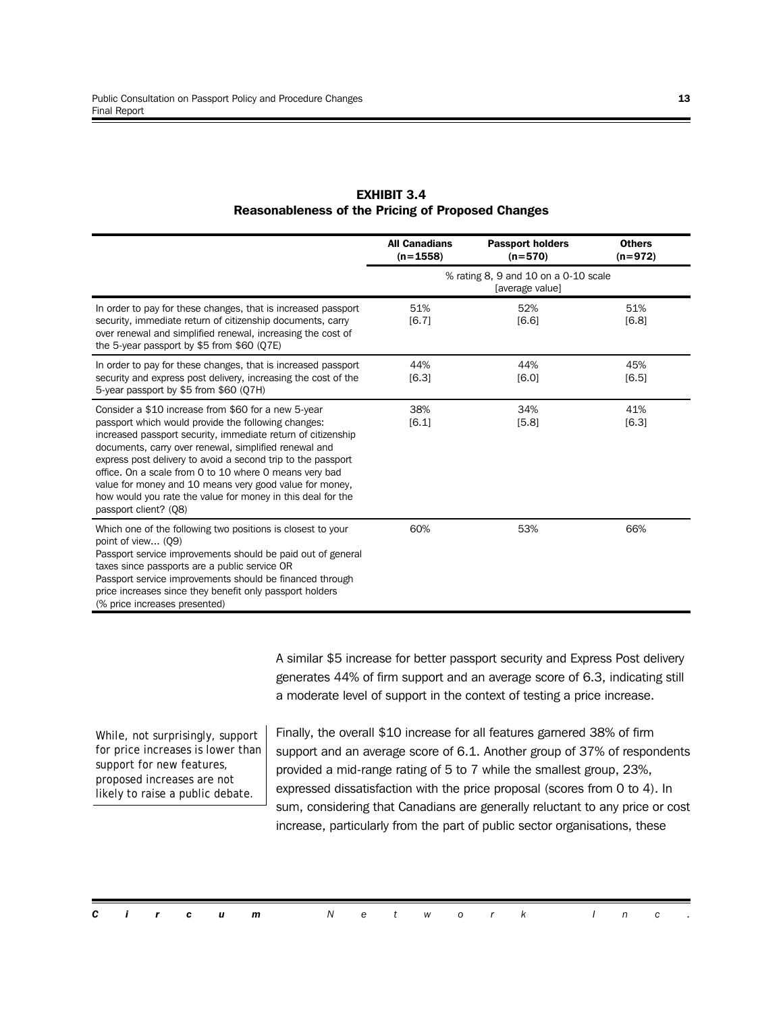|                                                                                                                                                                                                                                                                                                                                                                                                                                                                                                                  | <b>All Canadians</b><br>$(n=1558)$ | <b>Passport holders</b><br>$(n=570)$                    | <b>Others</b><br>$(n=972)$ |
|------------------------------------------------------------------------------------------------------------------------------------------------------------------------------------------------------------------------------------------------------------------------------------------------------------------------------------------------------------------------------------------------------------------------------------------------------------------------------------------------------------------|------------------------------------|---------------------------------------------------------|----------------------------|
|                                                                                                                                                                                                                                                                                                                                                                                                                                                                                                                  |                                    | % rating 8, 9 and 10 on a 0-10 scale<br>[average value] |                            |
| In order to pay for these changes, that is increased passport<br>security, immediate return of citizenship documents, carry<br>over renewal and simplified renewal, increasing the cost of<br>the 5-year passport by \$5 from \$60 (Q7E)                                                                                                                                                                                                                                                                         | 51%<br>[6.7]                       | 52%<br>[6.6]                                            | 51%<br>[6.8]               |
| In order to pay for these changes, that is increased passport<br>security and express post delivery, increasing the cost of the<br>5-year passport by \$5 from \$60 (Q7H)                                                                                                                                                                                                                                                                                                                                        | 44%<br>[6.3]                       | 44%<br>[6.0]                                            | 45%<br>[6.5]               |
| Consider a \$10 increase from \$60 for a new 5-year<br>passport which would provide the following changes:<br>increased passport security, immediate return of citizenship<br>documents, carry over renewal, simplified renewal and<br>express post delivery to avoid a second trip to the passport<br>office. On a scale from 0 to 10 where 0 means very bad<br>value for money and 10 means very good value for money.<br>how would you rate the value for money in this deal for the<br>passport client? (Q8) | 38%<br>[6.1]                       | 34%<br>[5.8]                                            | 41%<br>[6.3]               |
| Which one of the following two positions is closest to your<br>point of view (09)<br>Passport service improvements should be paid out of general<br>taxes since passports are a public service OR<br>Passport service improvements should be financed through<br>price increases since they benefit only passport holders<br>(% price increases presented)                                                                                                                                                       | 60%                                | 53%                                                     | 66%                        |

#### **EXHIBIT 3.4 Reasonableness of the Pricing of Proposed Changes**

A similar \$5 increase for better passport security and Express Post delivery generates 44% of firm support and an average score of 6.3, indicating still a moderate level of support in the context of testing a price increase.

While, not surprisingly, support for price increases is lower than support for new features, proposed increases are not likely to raise a public debate.

Finally, the overall \$10 increase for all features garnered 38% of firm support and an average score of 6.1. Another group of 37% of respondents provided a mid-range rating of 5 to 7 while the smallest group, 23%, expressed dissatisfaction with the price proposal (scores from 0 to 4). In sum, considering that Canadians are generally reluctant to any price or cost increase, particularly from the part of public sector organisations, these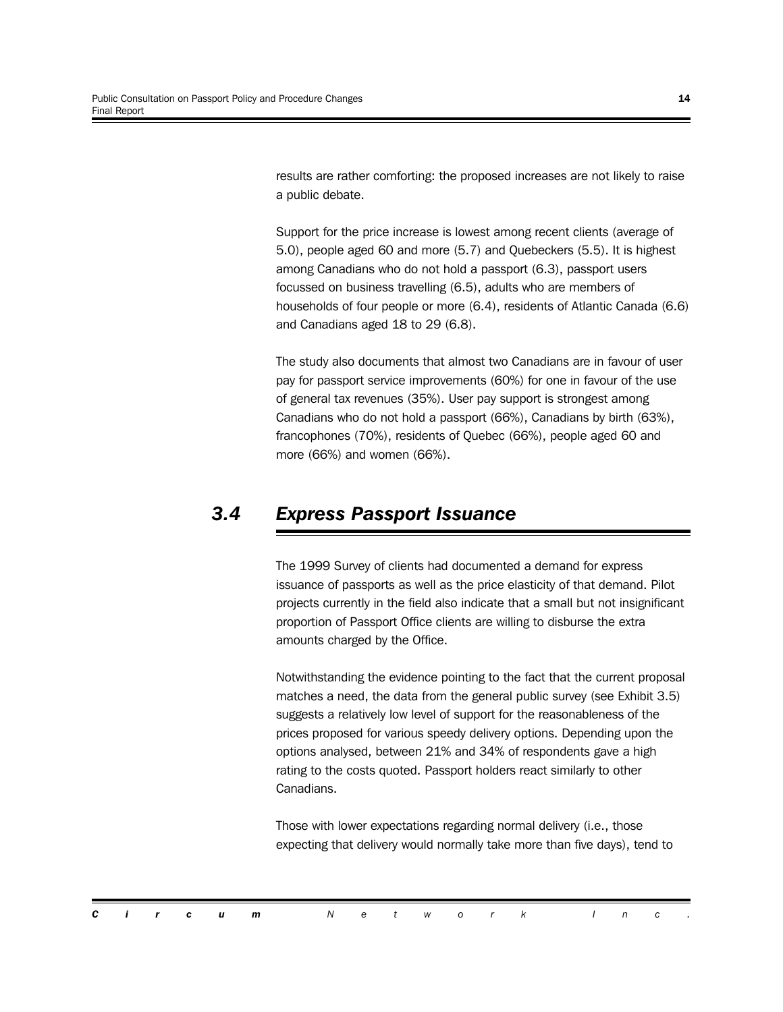results are rather comforting: the proposed increases are not likely to raise a public debate.

Support for the price increase is lowest among recent clients (average of 5.0), people aged 60 and more (5.7) and Quebeckers (5.5). It is highest among Canadians who do not hold a passport (6.3), passport users focussed on business travelling (6.5), adults who are members of households of four people or more (6.4), residents of Atlantic Canada (6.6) and Canadians aged 18 to 29 (6.8).

The study also documents that almost two Canadians are in favour of user pay for passport service improvements (60%) for one in favour of the use of general tax revenues (35%). User pay support is strongest among Canadians who do not hold a passport (66%), Canadians by birth (63%), francophones (70%), residents of Quebec (66%), people aged 60 and more (66%) and women (66%).

### *3.4 Express Passport Issuance*

The 1999 Survey of clients had documented a demand for express issuance of passports as well as the price elasticity of that demand. Pilot projects currently in the field also indicate that a small but not insignificant proportion of Passport Office clients are willing to disburse the extra amounts charged by the Office.

Notwithstanding the evidence pointing to the fact that the current proposal matches a need, the data from the general public survey (see Exhibit 3.5) suggests a relatively low level of support for the reasonableness of the prices proposed for various speedy delivery options. Depending upon the options analysed, between 21% and 34% of respondents gave a high rating to the costs quoted. Passport holders react similarly to other Canadians.

Those with lower expectations regarding normal delivery (i.e., those expecting that delivery would normally take more than five days), tend to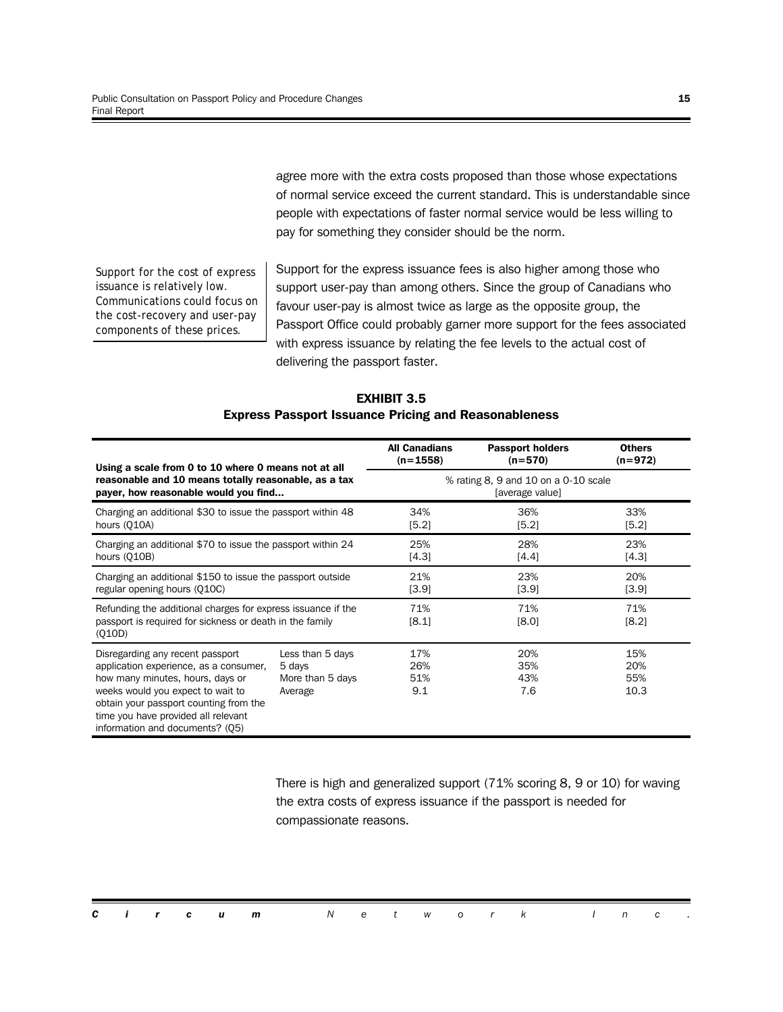agree more with the extra costs proposed than those whose expectations of normal service exceed the current standard. This is understandable since people with expectations of faster normal service would be less willing to pay for something they consider should be the norm.

Support for the cost of express issuance is relatively low. Communications could focus on the cost-recovery and user-pay components of these prices.

Support for the express issuance fees is also higher among those who support user-pay than among others. Since the group of Canadians who favour user-pay is almost twice as large as the opposite group, the Passport Office could probably garner more support for the fees associated with express issuance by relating the fee levels to the actual cost of delivering the passport faster.

| <b>EXHIBIT 3.5</b>                                          |
|-------------------------------------------------------------|
| <b>Express Passport Issuance Pricing and Reasonableness</b> |

| Using a scale from 0 to 10 where 0 means not at all                                                                                                                                                                                                                     |                                                           | <b>All Canadians</b><br>$(n=1558)$ | <b>Passport holders</b><br>$(n=570)$                    | <b>Others</b><br>$(n=972)$ |
|-------------------------------------------------------------------------------------------------------------------------------------------------------------------------------------------------------------------------------------------------------------------------|-----------------------------------------------------------|------------------------------------|---------------------------------------------------------|----------------------------|
| reasonable and 10 means totally reasonable, as a tax<br>payer, how reasonable would you find                                                                                                                                                                            |                                                           |                                    | % rating 8, 9 and 10 on a 0-10 scale<br>[average value] |                            |
| Charging an additional \$30 to issue the passport within 48<br>hours (Q10A)                                                                                                                                                                                             |                                                           | 34%<br>[5.2]                       | 36%<br>[5.2]                                            | 33%<br>[5.2]               |
| Charging an additional \$70 to issue the passport within 24<br>hours (Q10B)                                                                                                                                                                                             |                                                           | 25%<br>[4.3]                       | 28%<br>[4.4]                                            | 23%<br>[4.3]               |
| Charging an additional \$150 to issue the passport outside<br>regular opening hours (Q10C)                                                                                                                                                                              |                                                           | 21%<br>[3.9]                       | 23%<br>[3.9]                                            | 20%<br>[3.9]               |
| Refunding the additional charges for express issuance if the<br>passport is required for sickness or death in the family<br>(Q10D)                                                                                                                                      |                                                           | 71%<br>[8.1]                       | 71%<br>[8.0]                                            | 71%<br>[8.2]               |
| Disregarding any recent passport<br>application experience, as a consumer,<br>how many minutes, hours, days or<br>weeks would you expect to wait to<br>obtain your passport counting from the<br>time you have provided all relevant<br>information and documents? (Q5) | Less than 5 days<br>5 days<br>More than 5 days<br>Average | 17%<br>26%<br>51%<br>9.1           | 20%<br>35%<br>43%<br>7.6                                | 15%<br>20%<br>55%<br>10.3  |

There is high and generalized support (71% scoring 8, 9 or 10) for waving the extra costs of express issuance if the passport is needed for compassionate reasons.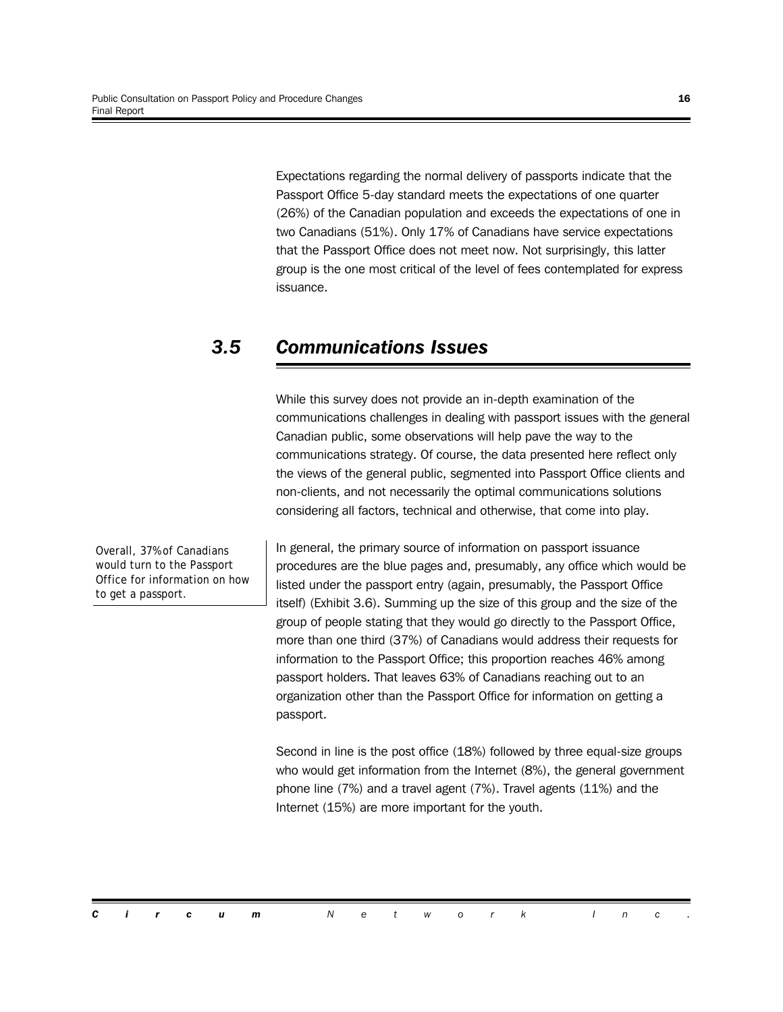Expectations regarding the normal delivery of passports indicate that the Passport Office 5-day standard meets the expectations of one quarter (26%) of the Canadian population and exceeds the expectations of one in two Canadians (51%). Only 17% of Canadians have service expectations that the Passport Office does not meet now. Not surprisingly, this latter group is the one most critical of the level of fees contemplated for express issuance.

### *3.5 Communications Issues*

While this survey does not provide an in-depth examination of the communications challenges in dealing with passport issues with the general Canadian public, some observations will help pave the way to the communications strategy. Of course, the data presented here reflect only the views of the general public, segmented into Passport Office clients and non-clients, and not necessarily the optimal communications solutions considering all factors, technical and otherwise, that come into play.

In general, the primary source of information on passport issuance procedures are the blue pages and, presumably, any office which would be listed under the passport entry (again, presumably, the Passport Office itself) (Exhibit 3.6). Summing up the size of this group and the size of the group of people stating that they would go directly to the Passport Office, more than one third (37%) of Canadians would address their requests for information to the Passport Office; this proportion reaches 46% among passport holders. That leaves 63% of Canadians reaching out to an organization other than the Passport Office for information on getting a passport.

Second in line is the post office (18%) followed by three equal-size groups who would get information from the Internet (8%), the general government phone line (7%) and a travel agent (7%). Travel agents (11%) and the Internet (15%) are more important for the youth.

Overall, 37% of Canadians would turn to the Passport Office for information on how to get a passport.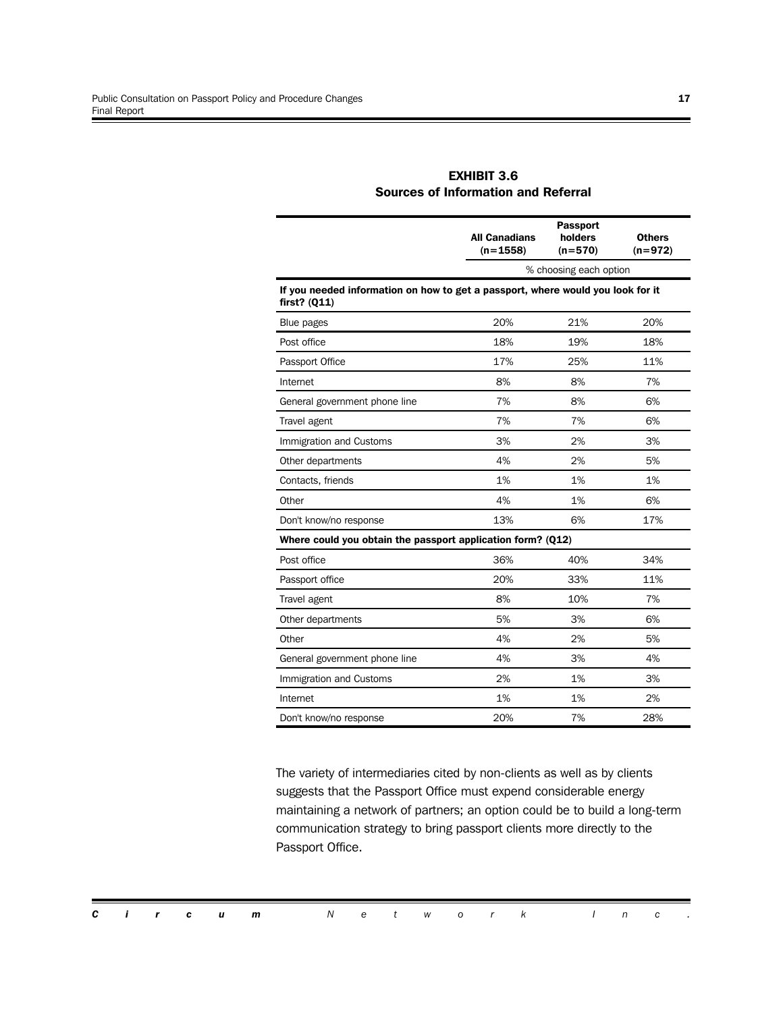|                                                                                                 | <b>All Canadians</b><br>$(n=1558)$ | <b>Passport</b><br>holders<br>$(n=570)$ | <b>Others</b><br>$(n=972)$ |  |  |  |  |  |  |
|-------------------------------------------------------------------------------------------------|------------------------------------|-----------------------------------------|----------------------------|--|--|--|--|--|--|
| % choosing each option                                                                          |                                    |                                         |                            |  |  |  |  |  |  |
| If you needed information on how to get a passport, where would you look for it<br>first? (Q11) |                                    |                                         |                            |  |  |  |  |  |  |
| Blue pages                                                                                      | 20%                                | 21%                                     | 20%                        |  |  |  |  |  |  |
| Post office                                                                                     | 18%                                | 19%                                     | 18%                        |  |  |  |  |  |  |
| Passport Office                                                                                 | 17%                                | 25%                                     | 11%                        |  |  |  |  |  |  |
| Internet                                                                                        | 8%                                 | 8%                                      | 7%                         |  |  |  |  |  |  |
| General government phone line                                                                   | 7%                                 | 8%                                      | 6%                         |  |  |  |  |  |  |
| Travel agent                                                                                    | 7%                                 | 7%                                      | 6%                         |  |  |  |  |  |  |
| Immigration and Customs                                                                         | 3%                                 | 2%                                      | 3%                         |  |  |  |  |  |  |
| Other departments                                                                               | 4%                                 | 2%                                      | 5%                         |  |  |  |  |  |  |
| Contacts, friends                                                                               | 1%                                 | 1%                                      | 1%                         |  |  |  |  |  |  |
| Other                                                                                           | 4%                                 | 1%                                      | 6%                         |  |  |  |  |  |  |
| Don't know/no response                                                                          | 13%                                | 6%                                      | 17%                        |  |  |  |  |  |  |
| Where could you obtain the passport application form? (Q12)                                     |                                    |                                         |                            |  |  |  |  |  |  |
| Post office                                                                                     | 36%                                | 40%                                     | 34%                        |  |  |  |  |  |  |
| Passport office                                                                                 | 20%                                | 33%                                     | 11%                        |  |  |  |  |  |  |
| Travel agent                                                                                    | 8%                                 | 10%                                     | 7%                         |  |  |  |  |  |  |
| Other departments                                                                               | 5%                                 | 3%                                      | 6%                         |  |  |  |  |  |  |
| Other                                                                                           | 4%                                 | 2%                                      | 5%                         |  |  |  |  |  |  |
| General government phone line                                                                   | 4%                                 | 3%                                      | 4%                         |  |  |  |  |  |  |
| Immigration and Customs                                                                         | 2%                                 | 1%                                      | 3%                         |  |  |  |  |  |  |
| Internet                                                                                        | 1%                                 | 1%                                      | 2%                         |  |  |  |  |  |  |
| Don't know/no response                                                                          | 20%                                | 7%                                      | 28%                        |  |  |  |  |  |  |

#### **EXHIBIT 3.6 Sources of Information and Referral**

The variety of intermediaries cited by non-clients as well as by clients suggests that the Passport Office must expend considerable energy maintaining a network of partners; an option could be to build a long-term communication strategy to bring passport clients more directly to the Passport Office.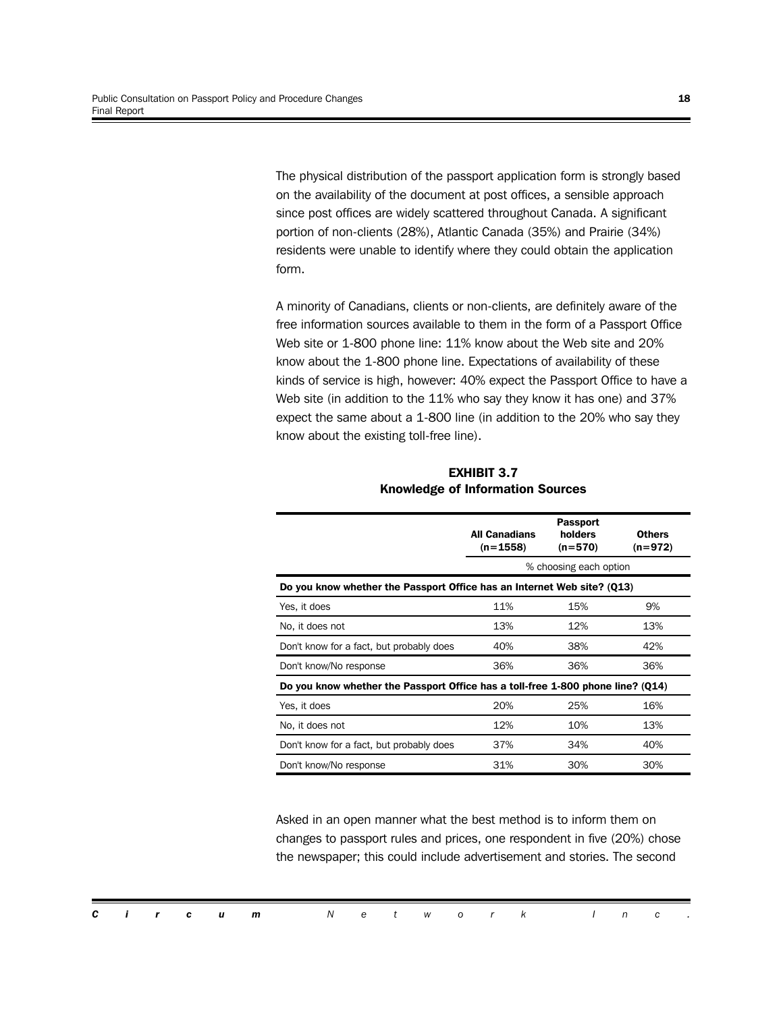The physical distribution of the passport application form is strongly based on the availability of the document at post offices, a sensible approach since post offices are widely scattered throughout Canada. A significant portion of non-clients (28%), Atlantic Canada (35%) and Prairie (34%) residents were unable to identify where they could obtain the application form.

A minority of Canadians, clients or non-clients, are definitely aware of the free information sources available to them in the form of a Passport Office Web site or 1-800 phone line: 11% know about the Web site and 20% know about the 1-800 phone line. Expectations of availability of these kinds of service is high, however: 40% expect the Passport Office to have a Web site (in addition to the 11% who say they know it has one) and 37% expect the same about a 1-800 line (in addition to the 20% who say they know about the existing toll-free line).

**EXHIBIT 3.7 Knowledge of Information Sources**

|                                                                                 | <b>All Canadians</b><br>$(n=1558)$ | <b>Passport</b><br>holders<br>$(n=570)$ | <b>Others</b><br>$(n=972)$ |
|---------------------------------------------------------------------------------|------------------------------------|-----------------------------------------|----------------------------|
|                                                                                 |                                    | % choosing each option                  |                            |
| Do you know whether the Passport Office has an Internet Web site? (Q13)         |                                    |                                         |                            |
| Yes, it does                                                                    | 11%                                | 15%                                     | 9%                         |
| No, it does not                                                                 | 13%                                | 12%                                     | 13%                        |
| Don't know for a fact, but probably does                                        | 40%                                | 38%                                     | 42%                        |
| Don't know/No response                                                          | 36%                                | 36%                                     | 36%                        |
| Do you know whether the Passport Office has a toll-free 1-800 phone line? (Q14) |                                    |                                         |                            |
| Yes, it does                                                                    | 20%                                | 25%                                     | 16%                        |
| No, it does not                                                                 | 12%                                | 10%                                     | 13%                        |
| Don't know for a fact, but probably does                                        | 37%                                | 34%                                     | 40%                        |
| Don't know/No response                                                          | 31%                                | 30%                                     | 30%                        |

Asked in an open manner what the best method is to inform them on changes to passport rules and prices, one respondent in five (20%) chose the newspaper; this could include advertisement and stories. The second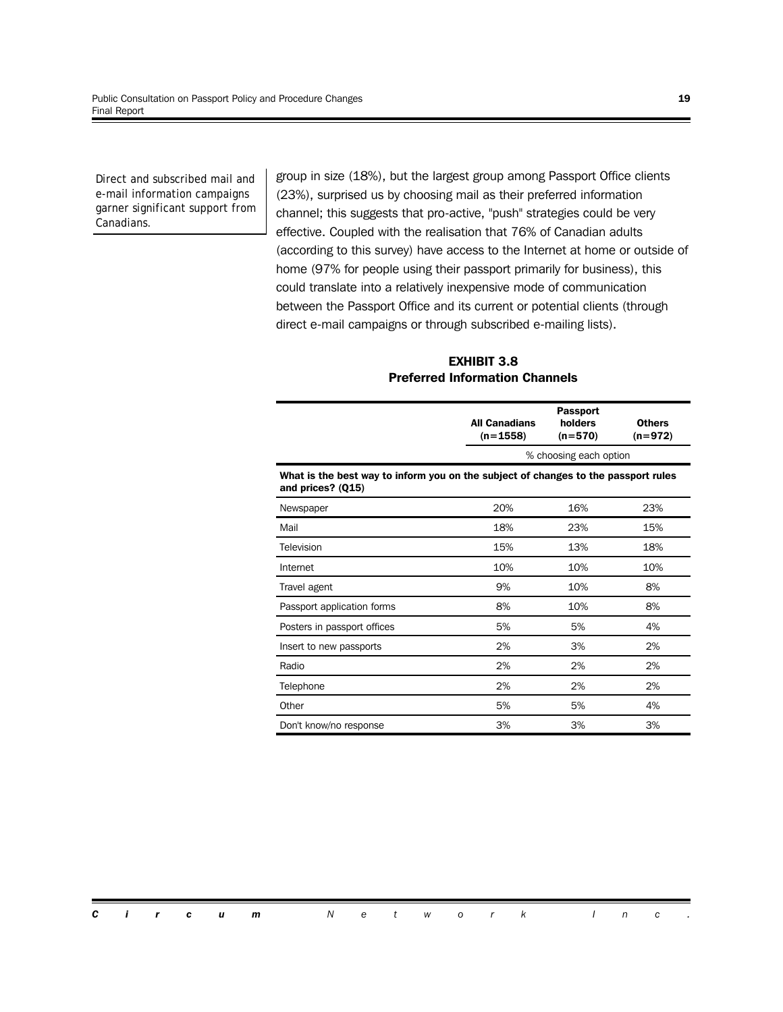Direct and subscribed mail and e-mail information campaigns garner significant support from Canadians.

group in size (18%), but the largest group among Passport Office clients (23%), surprised us by choosing mail as their preferred information channel; this suggests that pro-active, "push" strategies could be very effective. Coupled with the realisation that 76% of Canadian adults (according to this survey) have access to the Internet at home or outside of home (97% for people using their passport primarily for business), this could translate into a relatively inexpensive mode of communication between the Passport Office and its current or potential clients (through direct e-mail campaigns or through subscribed e-mailing lists).

**EXHIBIT 3.8 Preferred Information Channels**

|                                                                                                         | <b>All Canadians</b><br>$(n=1558)$ | Passport<br>holders<br>$(n=570)$ | <b>Others</b><br>$(n=972)$ |
|---------------------------------------------------------------------------------------------------------|------------------------------------|----------------------------------|----------------------------|
|                                                                                                         |                                    | % choosing each option           |                            |
| What is the best way to inform you on the subject of changes to the passport rules<br>and prices? (Q15) |                                    |                                  |                            |
| Newspaper                                                                                               | 20%                                | 16%                              | 23%                        |
| Mail                                                                                                    | 18%                                | 23%                              | 15%                        |
| Television                                                                                              | 15%                                | 13%                              | 18%                        |
| Internet                                                                                                | 10%                                | 10%                              | 10%                        |
| Travel agent                                                                                            | 9%                                 | 10%                              | 8%                         |
| Passport application forms                                                                              | 8%                                 | 10%                              | 8%                         |
| Posters in passport offices                                                                             | 5%                                 | 5%                               | 4%                         |
| Insert to new passports                                                                                 | 2%                                 | 3%                               | 2%                         |
| Radio                                                                                                   | 2%                                 | 2%                               | 2%                         |
| Telephone                                                                                               | 2%                                 | 2%                               | 2%                         |
| Other                                                                                                   | 5%                                 | 5%                               | 4%                         |
| Don't know/no response                                                                                  | 3%                                 | 3%                               | 3%                         |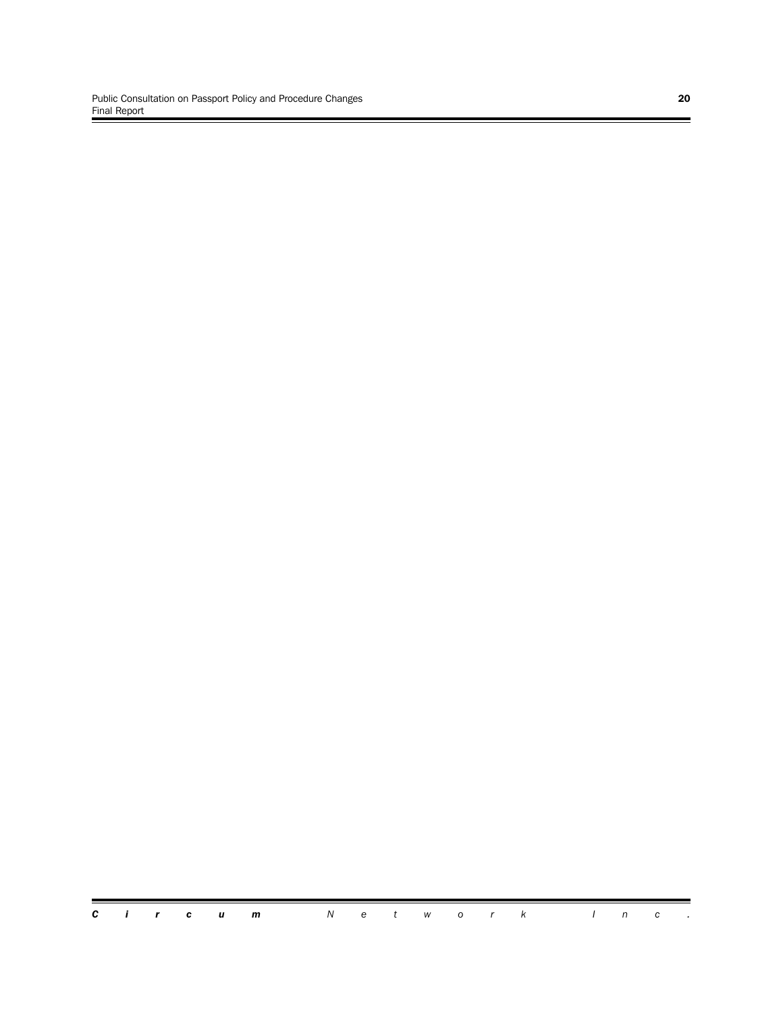and the control of the control of the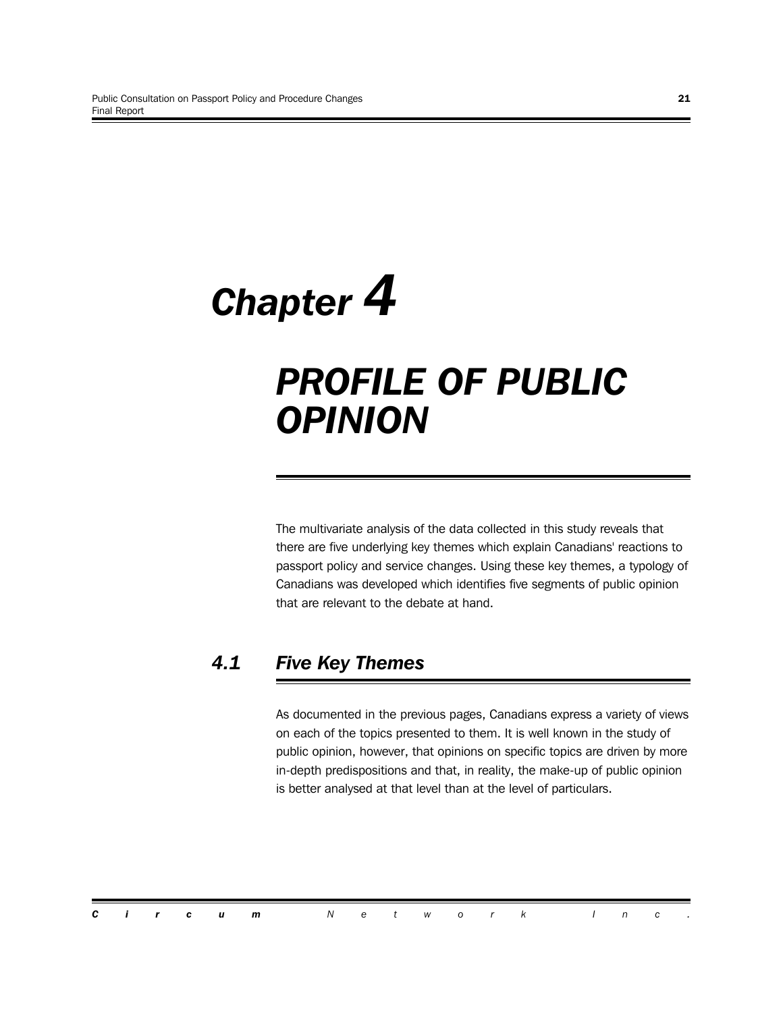# *Chapter 4*

# *PROFILE OF PUBLIC OPINION*

The multivariate analysis of the data collected in this study reveals that there are five underlying key themes which explain Canadians' reactions to passport policy and service changes. Using these key themes, a typology of Canadians was developed which identifies five segments of public opinion that are relevant to the debate at hand.

# *4.1 Five Key Themes*

As documented in the previous pages, Canadians express a variety of views on each of the topics presented to them. It is well known in the study of public opinion, however, that opinions on specific topics are driven by more in-depth predispositions and that, in reality, the make-up of public opinion is better analysed at that level than at the level of particulars.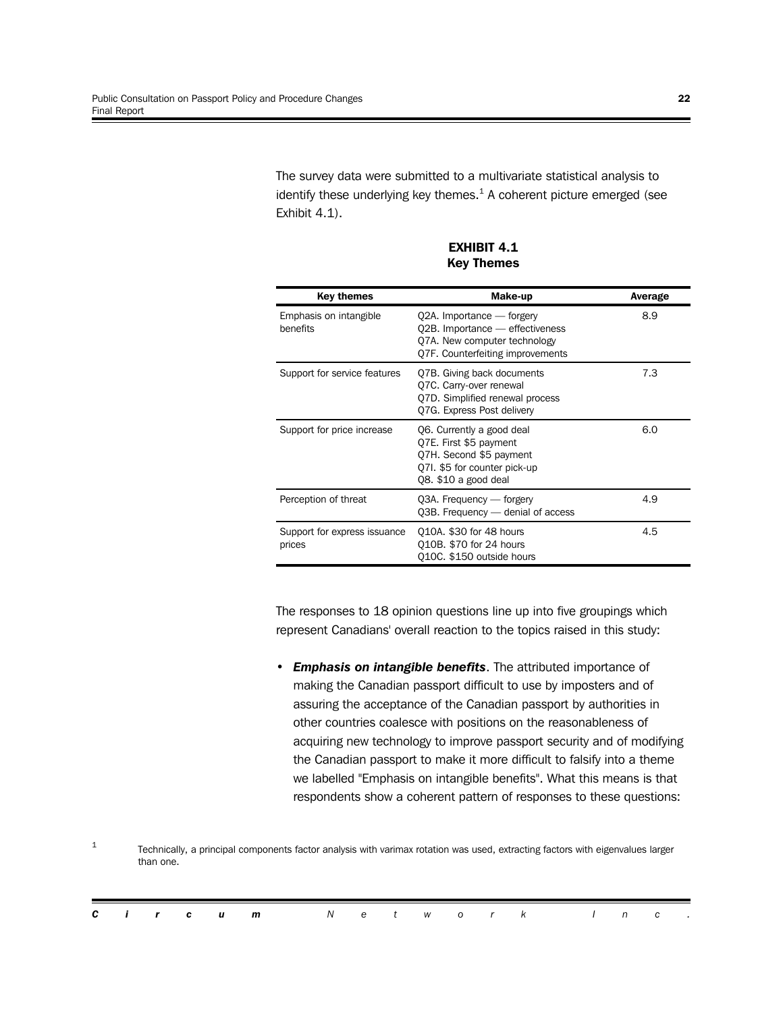The survey data were submitted to a multivariate statistical analysis to identify these underlying key themes. $^1$  A coherent picture emerged (see Exhibit 4.1).

**EXHIBIT 4.1 Key Themes**

| Key themes                             | Make-up                                                                                                                                | Average |
|----------------------------------------|----------------------------------------------------------------------------------------------------------------------------------------|---------|
| Emphasis on intangible<br>benefits     | $Q2A.$ Importance $-$ forgery<br>Q2B. Importance - effectiveness<br>Q7A. New computer technology<br>Q7F. Counterfeiting improvements   | 8.9     |
| Support for service features           | Q7B. Giving back documents<br>Q7C. Carry-over renewal<br>Q7D. Simplified renewal process<br>Q7G. Express Post delivery                 | 7.3     |
| Support for price increase             | Q6. Currently a good deal<br>Q7E. First \$5 payment<br>Q7H. Second \$5 payment<br>Q7I. \$5 for counter pick-up<br>08. \$10 a good deal | 6.0     |
| Perception of threat                   | Q3A. Frequency — forgery<br>Q3B. Frequency - denial of access                                                                          | 4.9     |
| Support for express issuance<br>prices | 010A. \$30 for 48 hours<br>010B. \$70 for 24 hours<br>Q10C. \$150 outside hours                                                        | 4.5     |

The responses to 18 opinion questions line up into five groupings which represent Canadians' overall reaction to the topics raised in this study:

• *Emphasis on intangible benefits*. The attributed importance of making the Canadian passport difficult to use by imposters and of assuring the acceptance of the Canadian passport by authorities in other countries coalesce with positions on the reasonableness of acquiring new technology to improve passport security and of modifying the Canadian passport to make it more difficult to falsify into a theme we labelled "Emphasis on intangible benefits". What this means is that respondents show a coherent pattern of responses to these questions:

1 Technically, a principal components factor analysis with varimax rotation was used, extracting factors with eigenvalues larger than one.

|  |  | <b>Circum</b> Network Inc. |  |  |  |  |  |  |
|--|--|----------------------------|--|--|--|--|--|--|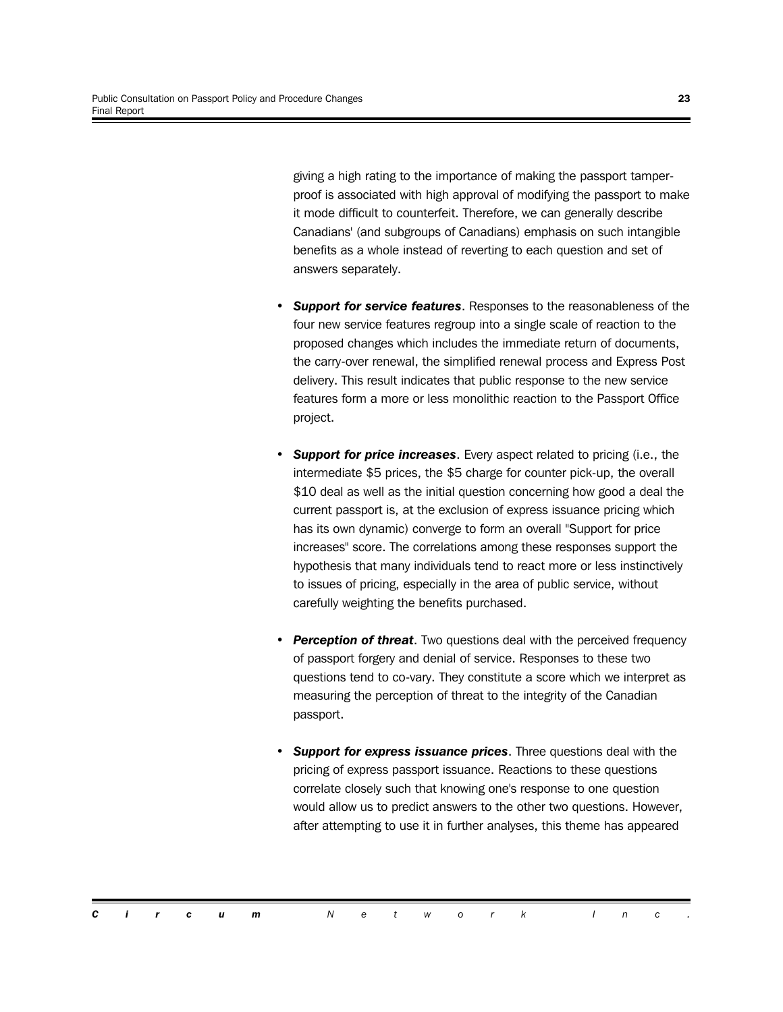giving a high rating to the importance of making the passport tamperproof is associated with high approval of modifying the passport to make it mode difficult to counterfeit. Therefore, we can generally describe Canadians' (and subgroups of Canadians) emphasis on such intangible benefits as a whole instead of reverting to each question and set of answers separately.

- *Support for service features*. Responses to the reasonableness of the four new service features regroup into a single scale of reaction to the proposed changes which includes the immediate return of documents, the carry-over renewal, the simplified renewal process and Express Post delivery. This result indicates that public response to the new service features form a more or less monolithic reaction to the Passport Office project.
- *Support for price increases*. Every aspect related to pricing (i.e., the intermediate \$5 prices, the \$5 charge for counter pick-up, the overall \$10 deal as well as the initial question concerning how good a deal the current passport is, at the exclusion of express issuance pricing which has its own dynamic) converge to form an overall "Support for price increases" score. The correlations among these responses support the hypothesis that many individuals tend to react more or less instinctively to issues of pricing, especially in the area of public service, without carefully weighting the benefits purchased.
- *Perception of threat*. Two questions deal with the perceived frequency of passport forgery and denial of service. Responses to these two questions tend to co-vary. They constitute a score which we interpret as measuring the perception of threat to the integrity of the Canadian passport.
- *Support for express issuance prices*. Three questions deal with the pricing of express passport issuance. Reactions to these questions correlate closely such that knowing one's response to one question would allow us to predict answers to the other two questions. However, after attempting to use it in further analyses, this theme has appeared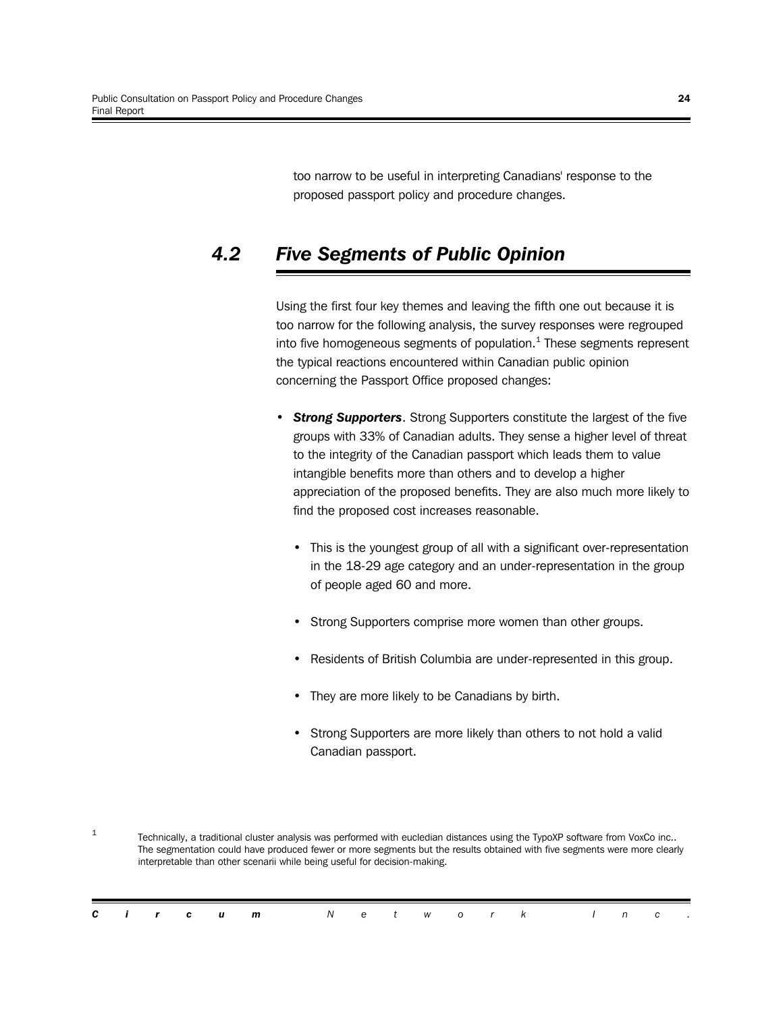too narrow to be useful in interpreting Canadians' response to the proposed passport policy and procedure changes.

# *4.2 Five Segments of Public Opinion*

Using the first four key themes and leaving the fifth one out because it is too narrow for the following analysis, the survey responses were regrouped into five homogeneous segments of population. $^{\text{1}}$  These segments represent the typical reactions encountered within Canadian public opinion concerning the Passport Office proposed changes:

- *Strong Supporters*. Strong Supporters constitute the largest of the five groups with 33% of Canadian adults. They sense a higher level of threat to the integrity of the Canadian passport which leads them to value intangible benefits more than others and to develop a higher appreciation of the proposed benefits. They are also much more likely to find the proposed cost increases reasonable.
	- This is the youngest group of all with a significant over-representation in the 18-29 age category and an under-representation in the group of people aged 60 and more.
	- Strong Supporters comprise more women than other groups.
	- Residents of British Columbia are under-represented in this group.
	- They are more likely to be Canadians by birth.
	- Strong Supporters are more likely than others to not hold a valid Canadian passport.

<sup>1</sup> Technically, a traditional cluster analysis was performed with eucledian distances using the TypoXP software from VoxCo inc.. The segmentation could have produced fewer or more segments but the results obtained with five segments were more clearly interpretable than other scenarii while being useful for decision-making.

|  |  | <b>Circum</b> Network Inc. |  |  |  |  |  |  |
|--|--|----------------------------|--|--|--|--|--|--|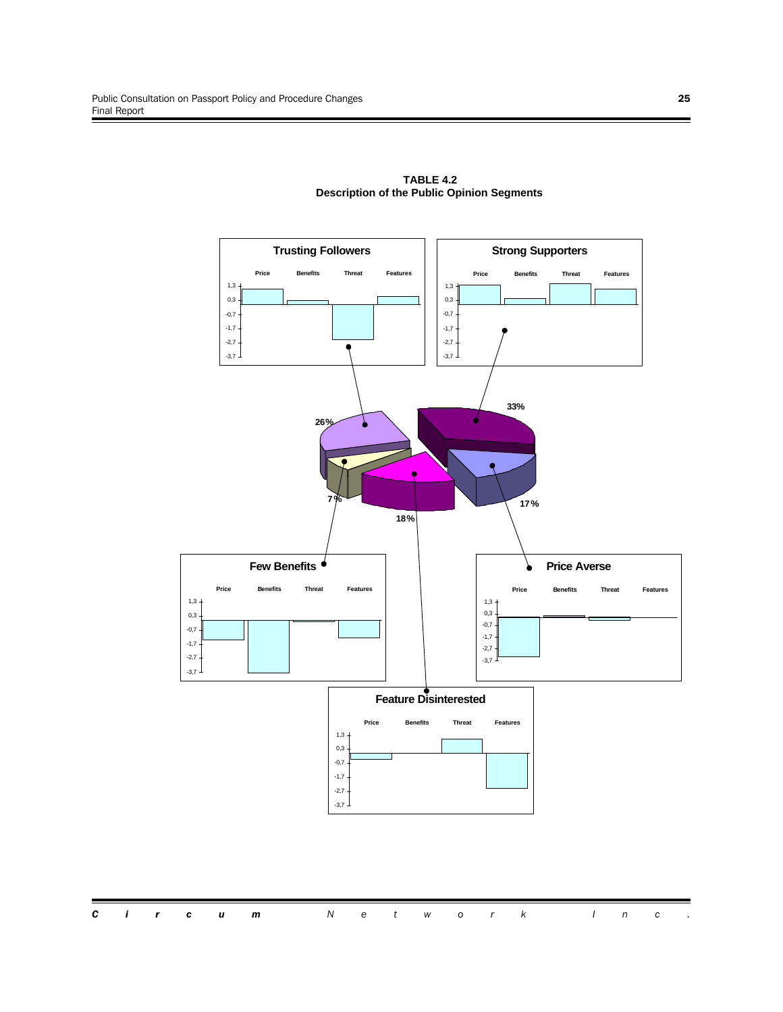

**TABLE 4.2 Description of the Public Opinion Segments**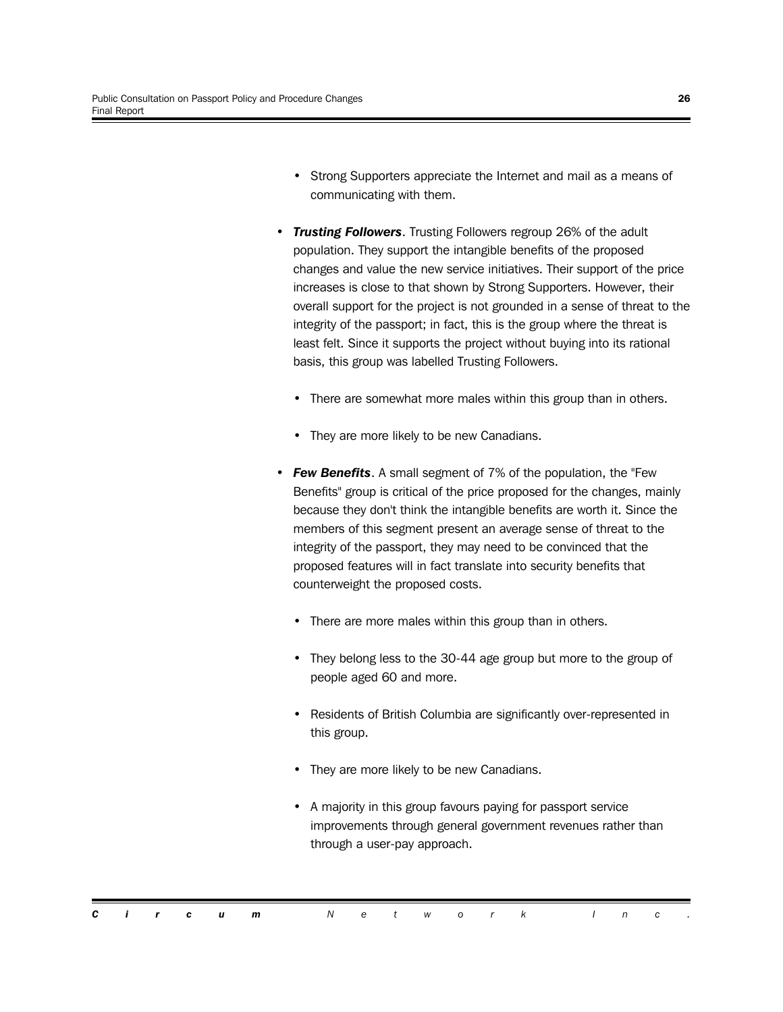- Strong Supporters appreciate the Internet and mail as a means of communicating with them.
- *Trusting Followers*. Trusting Followers regroup 26% of the adult population. They support the intangible benefits of the proposed changes and value the new service initiatives. Their support of the price increases is close to that shown by Strong Supporters. However, their overall support for the project is not grounded in a sense of threat to the integrity of the passport; in fact, this is the group where the threat is least felt. Since it supports the project without buying into its rational basis, this group was labelled Trusting Followers.
	- There are somewhat more males within this group than in others.
	- They are more likely to be new Canadians.
- *Few Benefits*. A small segment of 7% of the population, the "Few Benefits" group is critical of the price proposed for the changes, mainly because they don't think the intangible benefits are worth it. Since the members of this segment present an average sense of threat to the integrity of the passport, they may need to be convinced that the proposed features will in fact translate into security benefits that counterweight the proposed costs.
	- There are more males within this group than in others.
	- They belong less to the 30-44 age group but more to the group of people aged 60 and more.
	- Residents of British Columbia are significantly over-represented in this group.
	- They are more likely to be new Canadians.
	- A majority in this group favours paying for passport service improvements through general government revenues rather than through a user-pay approach.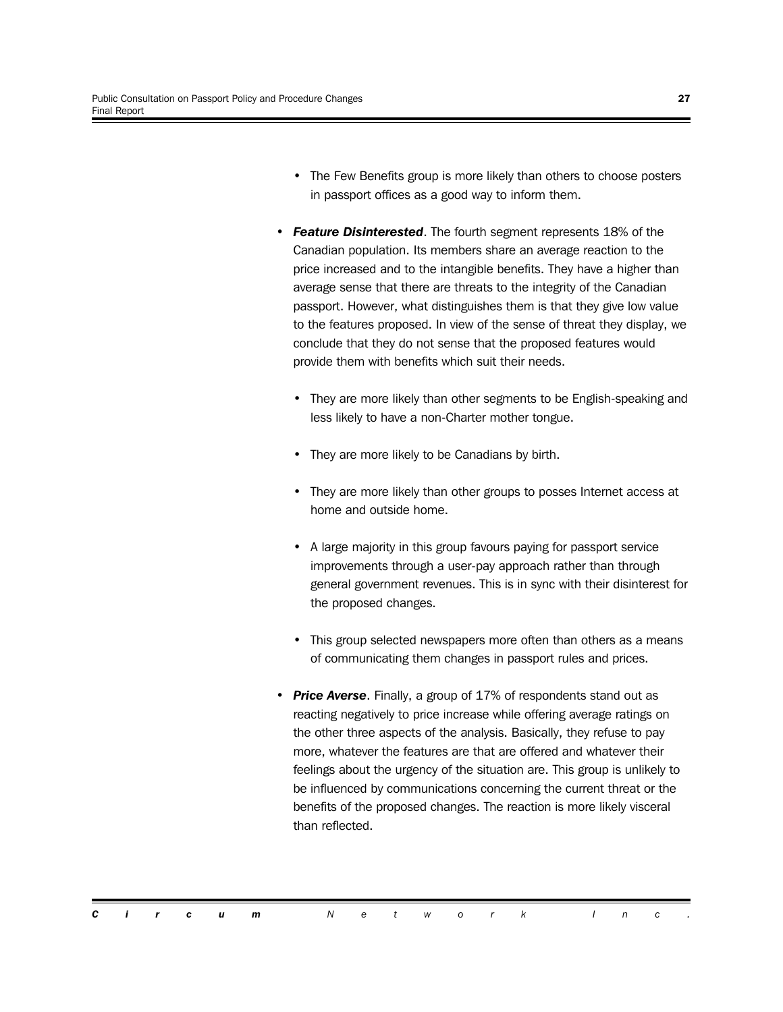- The Few Benefits group is more likely than others to choose posters in passport offices as a good way to inform them.
- *Feature Disinterested*. The fourth segment represents 18% of the Canadian population. Its members share an average reaction to the price increased and to the intangible benefits. They have a higher than average sense that there are threats to the integrity of the Canadian passport. However, what distinguishes them is that they give low value to the features proposed. In view of the sense of threat they display, we conclude that they do not sense that the proposed features would provide them with benefits which suit their needs.
	- They are more likely than other segments to be English-speaking and less likely to have a non-Charter mother tongue.
	- They are more likely to be Canadians by birth.
	- They are more likely than other groups to posses Internet access at home and outside home.
	- A large majority in this group favours paying for passport service improvements through a user-pay approach rather than through general government revenues. This is in sync with their disinterest for the proposed changes.
	- This group selected newspapers more often than others as a means of communicating them changes in passport rules and prices.
- *Price Averse*. Finally, a group of 17% of respondents stand out as reacting negatively to price increase while offering average ratings on the other three aspects of the analysis. Basically, they refuse to pay more, whatever the features are that are offered and whatever their feelings about the urgency of the situation are. This group is unlikely to be influenced by communications concerning the current threat or the benefits of the proposed changes. The reaction is more likely visceral than reflected.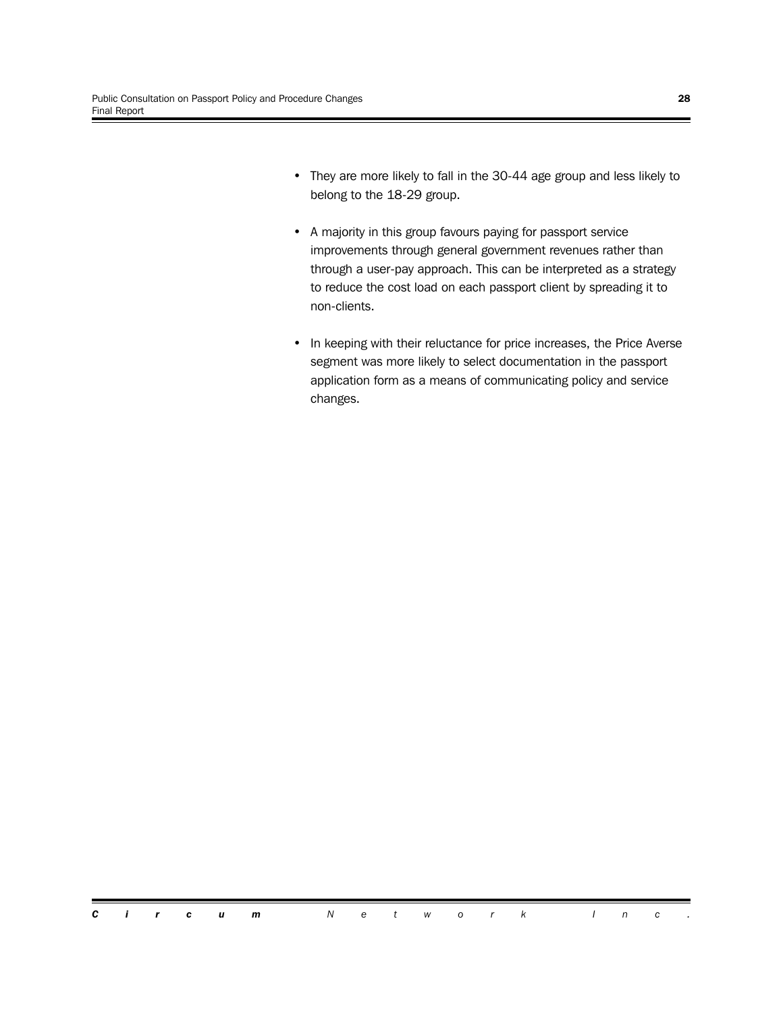- They are more likely to fall in the 30-44 age group and less likely to belong to the 18-29 group.
- A majority in this group favours paying for passport service improvements through general government revenues rather than through a user-pay approach. This can be interpreted as a strategy to reduce the cost load on each passport client by spreading it to non-clients.
- In keeping with their reluctance for price increases, the Price Averse segment was more likely to select documentation in the passport application form as a means of communicating policy and service changes.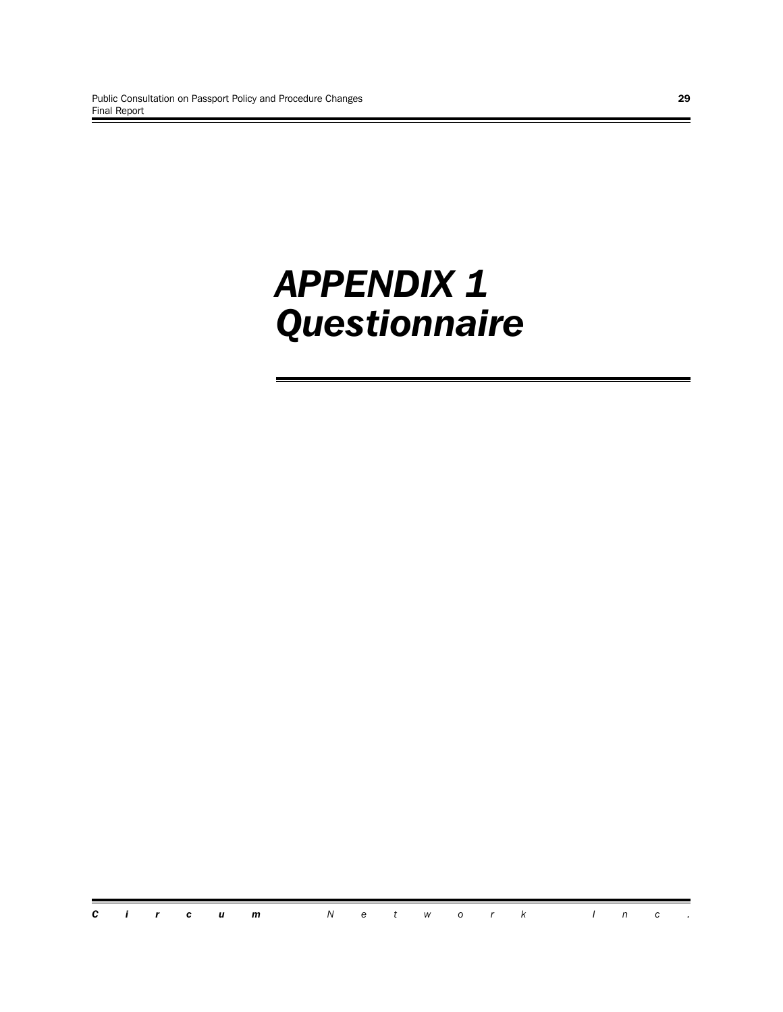# *APPENDIX 1 Questionnaire*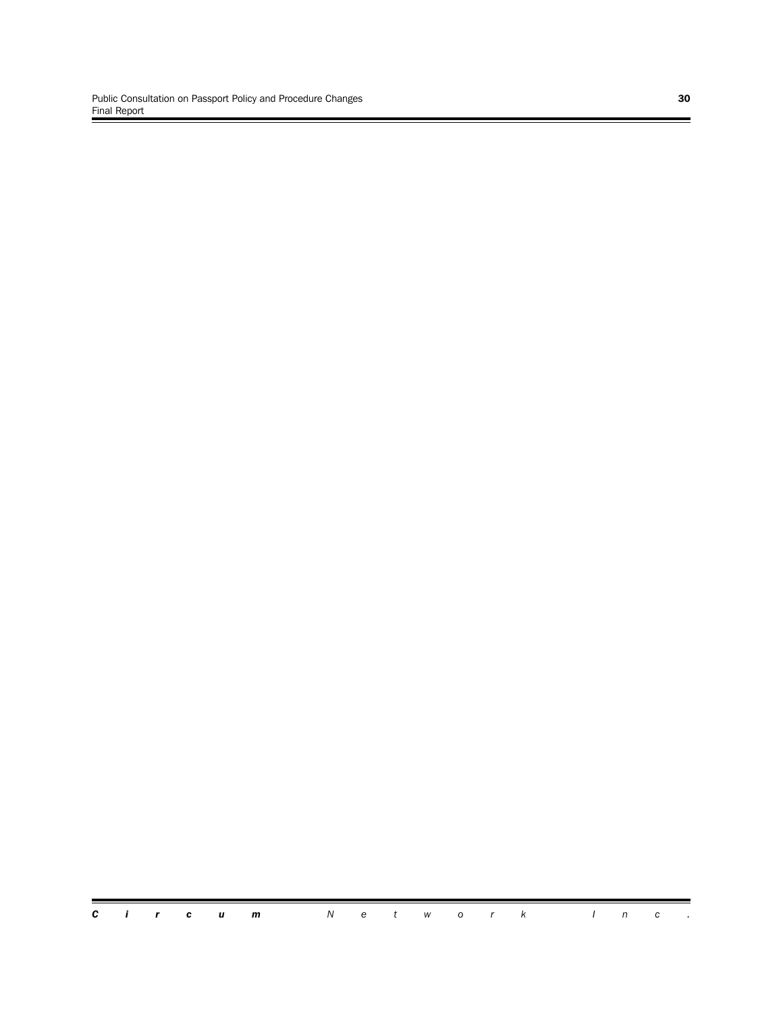and the control of the control of the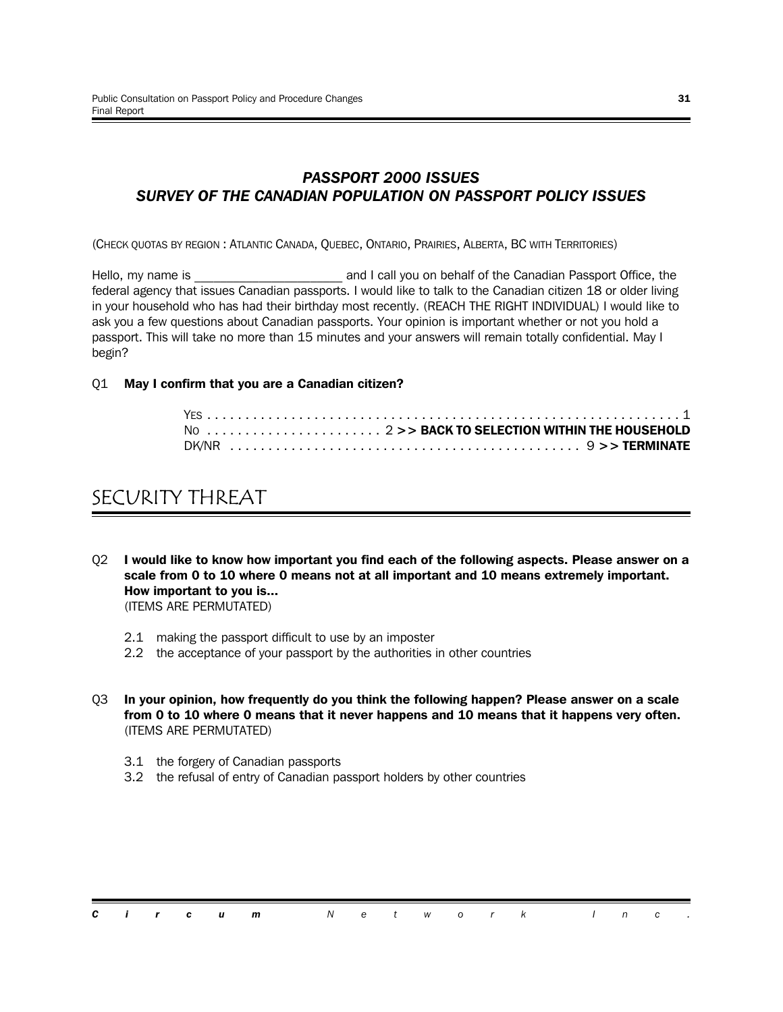#### *PASSPORT 2000 ISSUES SURVEY OF THE CANADIAN POPULATION ON PASSPORT POLICY ISSUES*

(CHECK QUOTAS BY REGION : ATLANTIC CANADA, QUEBEC, ONTARIO, PRAIRIES, ALBERTA, BC WITH TERRITORIES)

Hello, my name is **Example 20** and I call you on behalf of the Canadian Passport Office, the federal agency that issues Canadian passports. I would like to talk to the Canadian citizen 18 or older living in your household who has had their birthday most recently. (REACH THE RIGHT INDIVIDUAL) I would like to ask you a few questions about Canadian passports. Your opinion is important whether or not you hold a passport. This will take no more than 15 minutes and your answers will remain totally confidential. May I begin?

#### Q1 **May I confirm that you are a Canadian citizen?**

# SECURITY THREAT

Q2 **I would like to know how important you find each of the following aspects. Please answer on a scale from 0 to 10 where 0 means not at all important and 10 means extremely important. How important to you is...**

(ITEMS ARE PERMUTATED)

- 2.1 making the passport difficult to use by an imposter
- 2.2 the acceptance of your passport by the authorities in other countries
- Q3 **In your opinion, how frequently do you think the following happen? Please answer on a scale from 0 to 10 where 0 means that it never happens and 10 means that it happens very often.** (ITEMS ARE PERMUTATED)
	- 3.1 the forgery of Canadian passports
	- 3.2 the refusal of entry of Canadian passport holders by other countries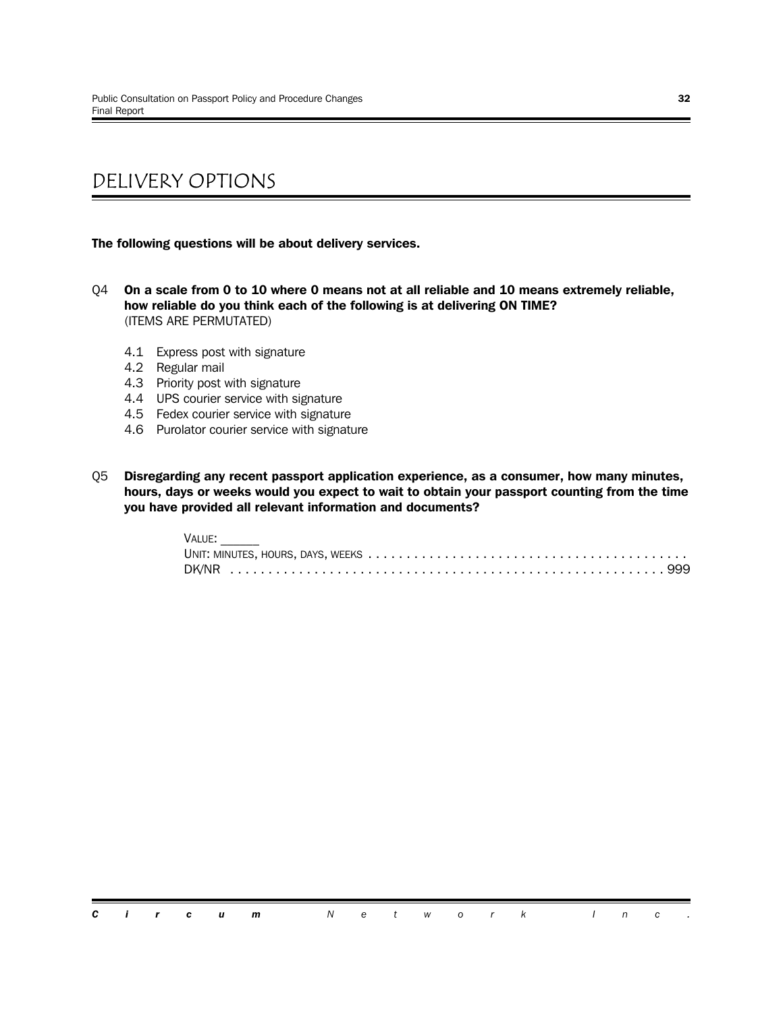# DELIVERY OPTIONS

**The following questions will be about delivery services.**

- Q4 **On a scale from 0 to 10 where 0 means not at all reliable and 10 means extremely reliable, how reliable do you think each of the following is at delivering ON TIME?** (ITEMS ARE PERMUTATED)
	- 4.1 Express post with signature
	- 4.2 Regular mail
	- 4.3 Priority post with signature
	- 4.4 UPS courier service with signature
	- 4.5 Fedex courier service with signature
	- 4.6 Purolator courier service with signature
- Q5 **Disregarding any recent passport application experience, as a consumer, how many minutes, hours, days or weeks would you expect to wait to obtain your passport counting from the time you have provided all relevant information and documents?**

| VALUE: |
|--------|
|        |
|        |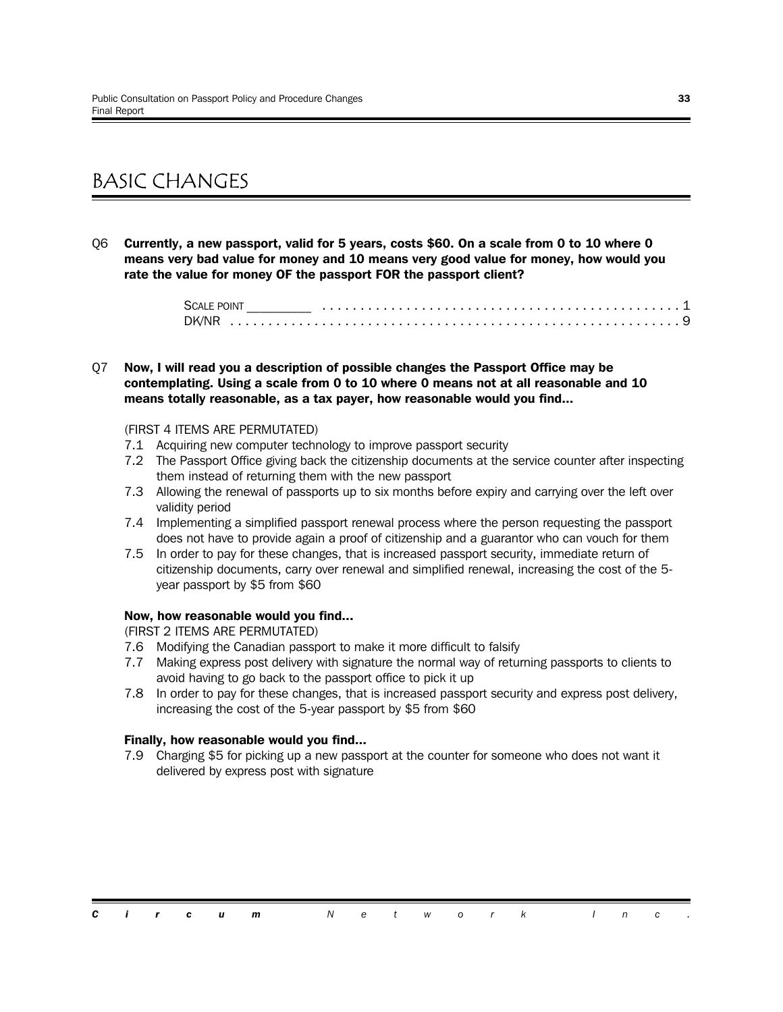# BASIC CHANGES

Q6 **Currently, a new passport, valid for 5 years, costs \$60. On a scale from 0 to 10 where 0 means very bad value for money and 10 means very good value for money, how would you rate the value for money OF the passport FOR the passport client?**

```
SCALE POINT __________ ............................................... 1
DK/NR ........................................................... 9
```
Q7 **Now, I will read you a description of possible changes the Passport Office may be contemplating. Using a scale from 0 to 10 where 0 means not at all reasonable and 10 means totally reasonable, as a tax payer, how reasonable would you find...**

### (FIRST 4 ITEMS ARE PERMUTATED)

- 7.1 Acquiring new computer technology to improve passport security
- 7.2 The Passport Office giving back the citizenship documents at the service counter after inspecting them instead of returning them with the new passport
- 7.3 Allowing the renewal of passports up to six months before expiry and carrying over the left over validity period
- 7.4 Implementing a simplified passport renewal process where the person requesting the passport does not have to provide again a proof of citizenship and a guarantor who can vouch for them
- 7.5 In order to pay for these changes, that is increased passport security, immediate return of citizenship documents, carry over renewal and simplified renewal, increasing the cost of the 5 year passport by \$5 from \$60

### **Now, how reasonable would you find...**

(FIRST 2 ITEMS ARE PERMUTATED)

- 7.6 Modifying the Canadian passport to make it more difficult to falsify
- 7.7 Making express post delivery with signature the normal way of returning passports to clients to avoid having to go back to the passport office to pick it up
- 7.8 In order to pay for these changes, that is increased passport security and express post delivery, increasing the cost of the 5-year passport by \$5 from \$60

#### **Finally, how reasonable would you find...**

7.9 Charging \$5 for picking up a new passport at the counter for someone who does not want it delivered by express post with signature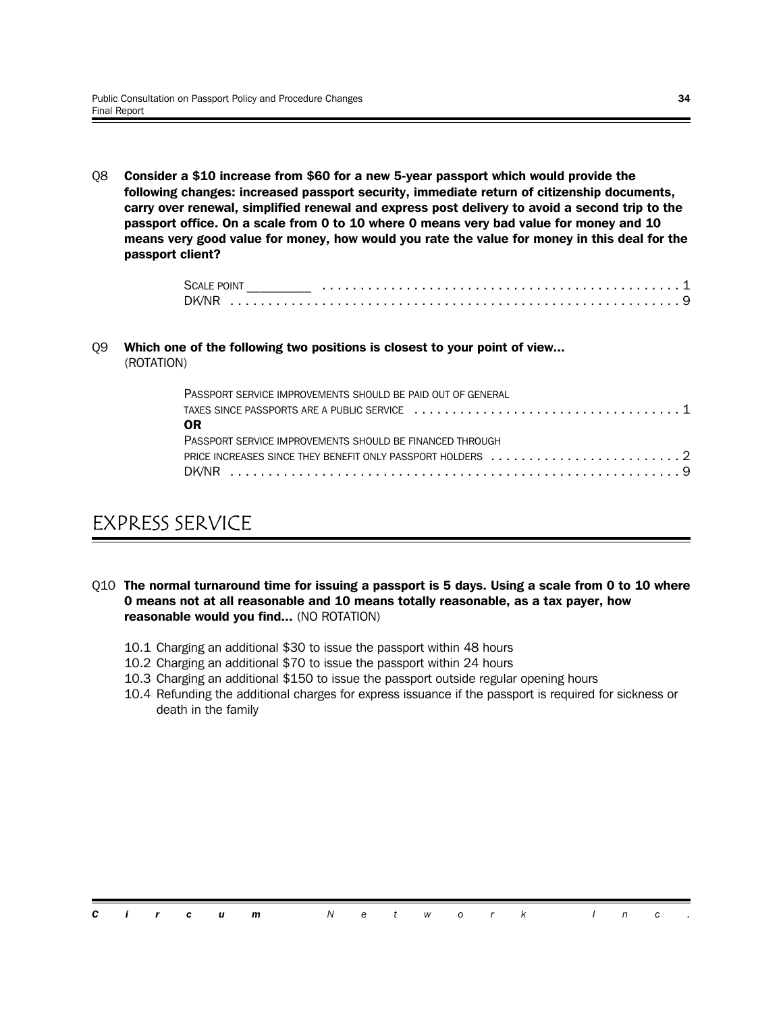Q8 **Consider a \$10 increase from \$60 for a new 5-year passport which would provide the following changes: increased passport security, immediate return of citizenship documents, carry over renewal, simplified renewal and express post delivery to avoid a second trip to the passport office. On a scale from 0 to 10 where 0 means very bad value for money and 10 means very good value for money, how would you rate the value for money in this deal for the passport client?**

| <b>SCALE POINT</b> |  |  |  |  |  |  |  |  |  |  |  |  |  |  |  |  |  |  |
|--------------------|--|--|--|--|--|--|--|--|--|--|--|--|--|--|--|--|--|--|
| DK/NR              |  |  |  |  |  |  |  |  |  |  |  |  |  |  |  |  |  |  |

Q9 **Which one of the following two positions is closest to your point of view...** (ROTATION)

| PASSPORT SERVICE IMPROVEMENTS SHOULD BE PAID OUT OF GENERAL |  |
|-------------------------------------------------------------|--|
|                                                             |  |
| 0R                                                          |  |
| PASSPORT SERVICE IMPROVEMENTS SHOULD BE FINANCED THROUGH    |  |
|                                                             |  |
|                                                             |  |

### EXPRESS SERVICE

- Q10 **The normal turnaround time for issuing a passport is 5 days. Using a scale from 0 to 10 where 0 means not at all reasonable and 10 means totally reasonable, as a tax payer, how reasonable would you find...** (NO ROTATION)
	- 10.1 Charging an additional \$30 to issue the passport within 48 hours
	- 10.2 Charging an additional \$70 to issue the passport within 24 hours
	- 10.3 Charging an additional \$150 to issue the passport outside regular opening hours
	- 10.4 Refunding the additional charges for express issuance if the passport is required for sickness or death in the family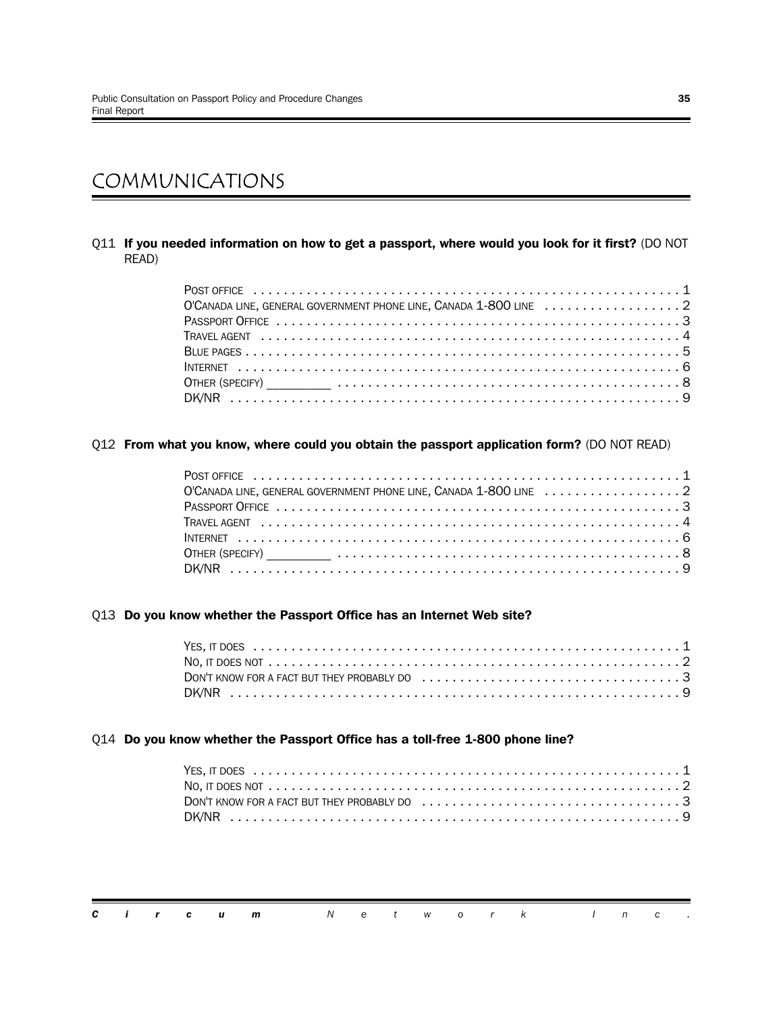# COMMUNICATIONS

### Q11 **If you needed information on how to get a passport, where would you look for it first?** (DO NOT READ)

| O'CANADA LINE, GENERAL GOVERNMENT PHONE LINE, CANADA 1-800 LINE  2 |  |  |  |  |  |  |
|--------------------------------------------------------------------|--|--|--|--|--|--|
|                                                                    |  |  |  |  |  |  |
|                                                                    |  |  |  |  |  |  |
|                                                                    |  |  |  |  |  |  |
|                                                                    |  |  |  |  |  |  |
|                                                                    |  |  |  |  |  |  |
|                                                                    |  |  |  |  |  |  |

### Q12 **From what you know, where could you obtain the passport application form?** (DO NOT READ)

| O'CANADA LINE. GENERAL GOVERNMENT PHONE LINE, CANADA 1-800 LINE  2 |
|--------------------------------------------------------------------|
|                                                                    |
|                                                                    |
|                                                                    |
|                                                                    |
|                                                                    |

### Q13 **Do you know whether the Passport Office has an Internet Web site?**

| No, IT DOES NOT $\dots\dots\dots\dots\dots\dots\dots\dots\dots\dots\dots\dots\dots\dots\dots\dots\dots\dots$ |  |
|--------------------------------------------------------------------------------------------------------------|--|
|                                                                                                              |  |
|                                                                                                              |  |

### Q14 **Do you know whether the Passport Office has a toll-free 1-800 phone line?**

| No, IT DOES NOT $\dots\dots\dots\dots\dots\dots\dots\dots\dots\dots\dots\dots\dots\dots\dots\dots\dots\dots$ |  |
|--------------------------------------------------------------------------------------------------------------|--|
|                                                                                                              |  |
|                                                                                                              |  |

|  |  | <b>Circum</b> Network Inc. |  |  |  |  |  |  |
|--|--|----------------------------|--|--|--|--|--|--|

<u> The Company of the Company of the Company of the Company of the Company of the Company of the Company of the Company of the Company of the Company of the Company of the Company of the Company of the Company of the Compan</u>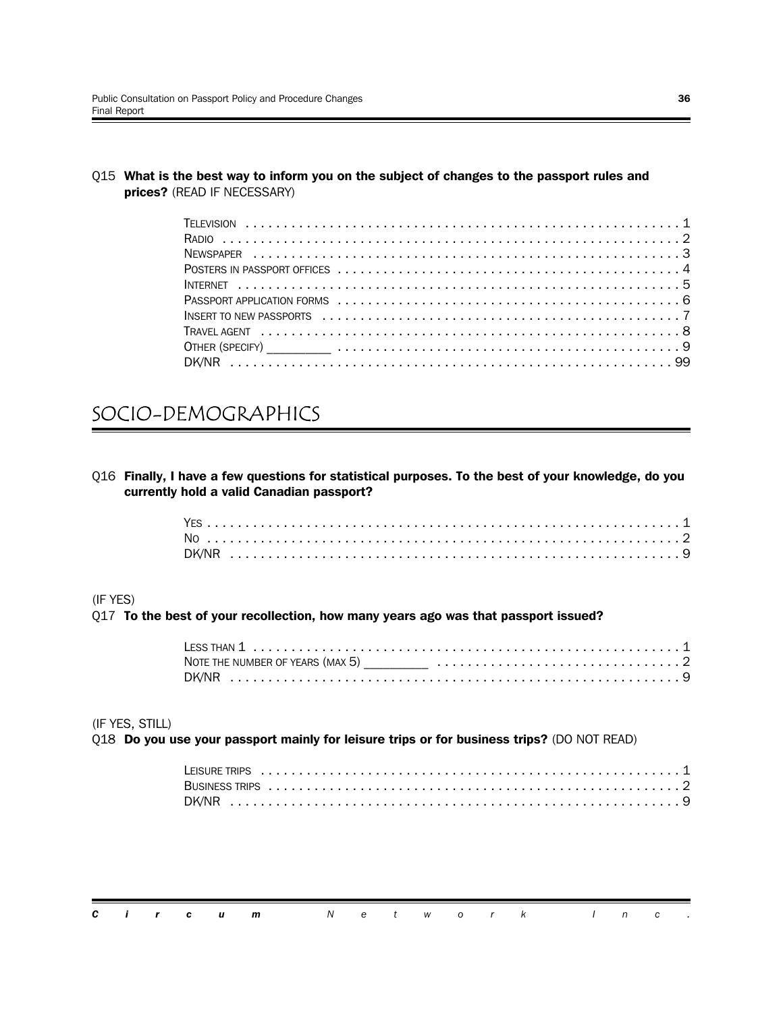Q15 **What is the best way to inform you on the subject of changes to the passport rules and prices?** (READ IF NECESSARY)

## SOCIO-DEMOGRAPHICS

Q16 **Finally, I have a few questions for statistical purposes. To the best of your knowledge, do you currently hold a valid Canadian passport?**

### (IF YES)

Q17 **To the best of your recollection, how many years ago was that passport issued?**

| NOTE THE NUMBER OF YEARS (MAX 5) CONTROL CONTROL CONTROL CONTROL CONTROL CONTROL CONTROL CONTROL CONTROL CONTR |  |
|----------------------------------------------------------------------------------------------------------------|--|
|                                                                                                                |  |

(IF YES, STILL)

Q18 **Do you use your passport mainly for leisure trips or for business trips?** (DO NOT READ)

|  |  |  | <b>Circum</b> Network Inc. |  |  |  |  |  |  |
|--|--|--|----------------------------|--|--|--|--|--|--|
|  |  |  |                            |  |  |  |  |  |  |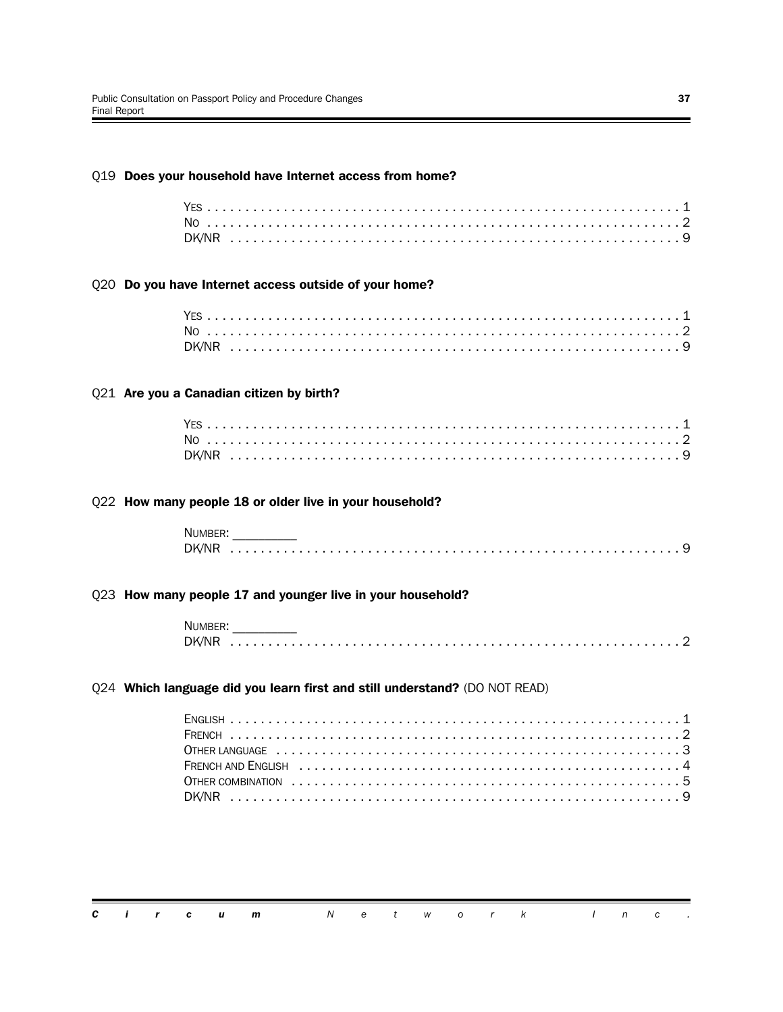### Q19 **Does your household have Internet access from home?**

### Q20 **Do you have Internet access outside of your home?**

### Q21 **Are you a Canadian citizen by birth?**

### Q22 **How many people 18 or older live in your household?**

| NUMBER: |  |  |  |  |
|---------|--|--|--|--|
|         |  |  |  |  |

### Q23 **How many people 17 and younger live in your household?**

| NUMBER' |  |  |  |  |  |  |  |  |  |
|---------|--|--|--|--|--|--|--|--|--|
|         |  |  |  |  |  |  |  |  |  |

### Q24 **Which language did you learn first and still understand?** (DO NOT READ)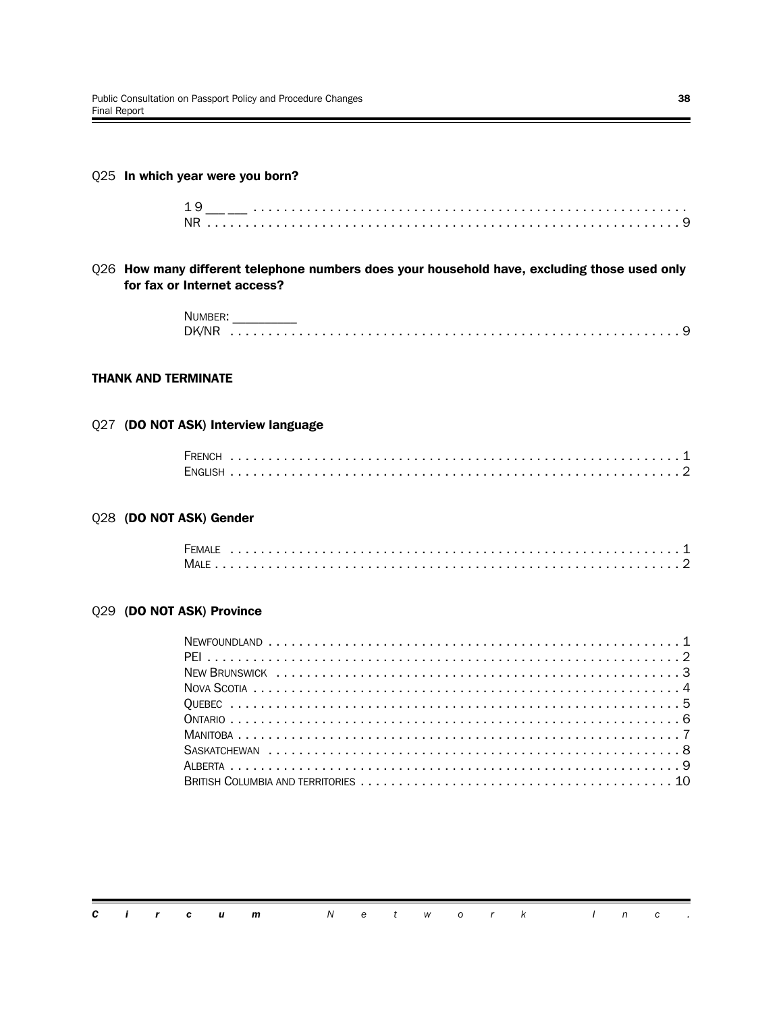### Q25 **In which year were you born?**

### Q26 **How many different telephone numbers does your household have, excluding those used only for fax or Internet access?**

| <b>NUMBER</b> |  |  |  |  |  |  |  |  |  |  |  |  |  |  |  |  |  |  |  |
|---------------|--|--|--|--|--|--|--|--|--|--|--|--|--|--|--|--|--|--|--|
|               |  |  |  |  |  |  |  |  |  |  |  |  |  |  |  |  |  |  |  |

### **THANK AND TERMINATE**

### Q27 **(DO NOT ASK) Interview language**

### Q28 **(DO NOT ASK) Gender**

| <b>FEMALL</b> |  |  |  |  |  |  |  |  |  |  |  |  |  |  |  |  |  |  |  |  |  |
|---------------|--|--|--|--|--|--|--|--|--|--|--|--|--|--|--|--|--|--|--|--|--|
|               |  |  |  |  |  |  |  |  |  |  |  |  |  |  |  |  |  |  |  |  |  |

### Q29 **(DO NOT ASK) Province**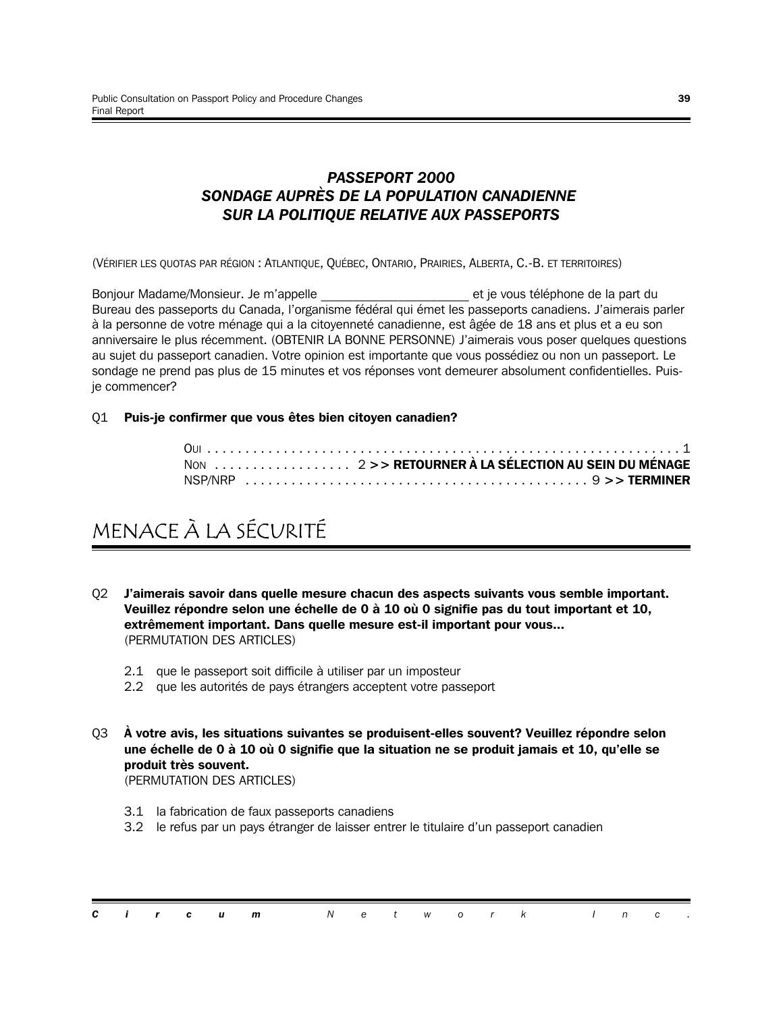### *PASSEPORT 2000 SONDAGE AUPRÈS DE LA POPULATION CANADIENNE SUR LA POLITIQUE RELATIVE AUX PASSEPORTS*

(VÉRIFIER LES QUOTAS PAR RÉGION : ATLANTIQUE, QUÉBEC, ONTARIO, PRAIRIES, ALBERTA, C.-B. ET TERRITOIRES)

Bonjour Madame/Monsieur. Je m'appelle entre la part du la part du la part du la part du Bureau des passeports du Canada, l'organisme fédéral qui émet les passeports canadiens. J'aimerais parler à la personne de votre ménage qui a la citoyenneté canadienne, est âgée de 18 ans et plus et a eu son anniversaire le plus récemment. (OBTENIR LA BONNE PERSONNE) J'aimerais vous poser quelques questions au sujet du passeport canadien. Votre opinion est importante que vous possédiez ou non un passeport. Le sondage ne prend pas plus de 15 minutes et vos réponses vont demeurer absolument confidentielles. Puisje commencer?

### Q1 **Puis-je confirmer que vous êtes bien citoyen canadien?**

# MENACE À LA SÉCURITÉ

- Q2 **J'aimerais savoir dans quelle mesure chacun des aspects suivants vous semble important. Veuillez répondre selon une échelle de 0 à 10 où 0 signifie pas du tout important et 10, extrêmement important. Dans quelle mesure est-il important pour vous...** (PERMUTATION DES ARTICLES)
	- 2.1 que le passeport soit difficile à utiliser par un imposteur
	- 2.2 que les autorités de pays étrangers acceptent votre passeport
- Q3 **À votre avis, les situations suivantes se produisent-elles souvent? Veuillez répondre selon une échelle de 0 à 10 où 0 signifie que la situation ne se produit jamais et 10, qu'elle se produit très souvent.**

(PERMUTATION DES ARTICLES)

- 3.1 la fabrication de faux passeports canadiens
- 3.2 le refus par un pays étranger de laisser entrer le titulaire d'un passeport canadien

|  |  | <b>Circum</b> Network Inc. |  |  |  |  |  |  |
|--|--|----------------------------|--|--|--|--|--|--|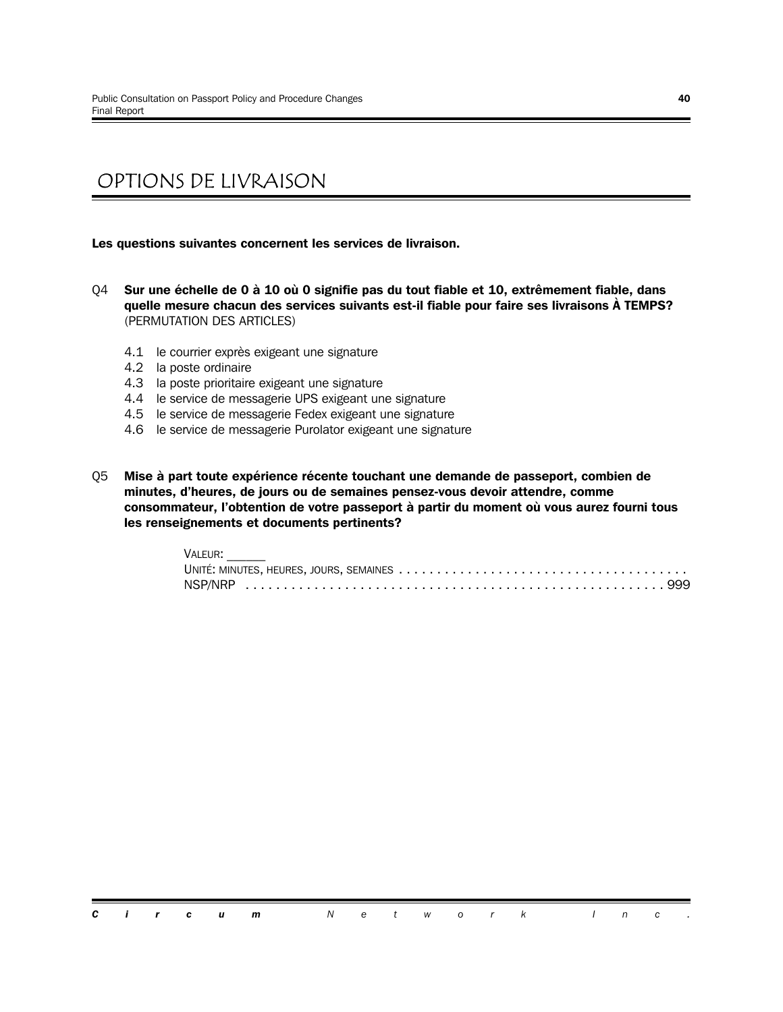# OPTIONS DE LIVRAISON

**Les questions suivantes concernent les services de livraison.**

- Q4 **Sur une échelle de 0 à 10 où 0 signifie pas du tout fiable et 10, extrêmement fiable, dans quelle mesure chacun des services suivants est-il fiable pour faire ses livraisons À TEMPS?** (PERMUTATION DES ARTICLES)
	- 4.1 le courrier exprès exigeant une signature
	- 4.2 la poste ordinaire
	- 4.3 la poste prioritaire exigeant une signature
	- 4.4 le service de messagerie UPS exigeant une signature
	- 4.5 le service de messagerie Fedex exigeant une signature
	- 4.6 le service de messagerie Purolator exigeant une signature
- Q5 **Mise à part toute expérience récente touchant une demande de passeport, combien de minutes, d'heures, de jours ou de semaines pensez-vous devoir attendre, comme consommateur, l'obtention de votre passeport à partir du moment où vous aurez fourni tous les renseignements et documents pertinents?**

| VALFUR: |  |
|---------|--|
|         |  |
|         |  |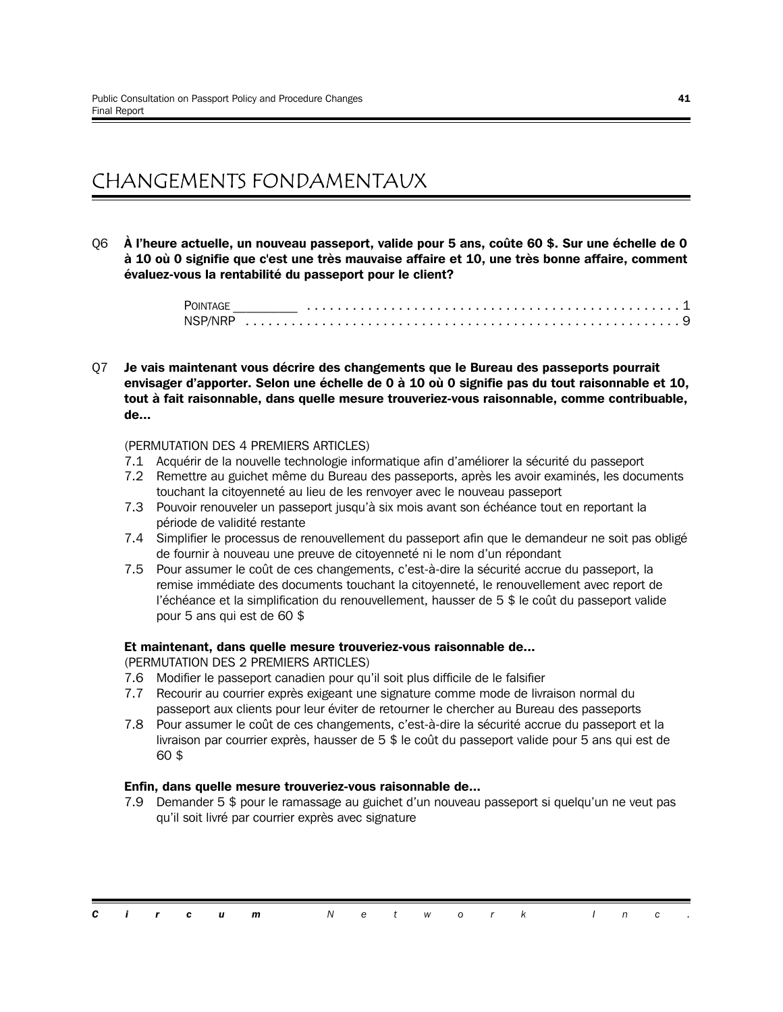# CHANGEMENTS FONDAMENTAUX

Q6 **À l'heure actuelle, un nouveau passeport, valide pour 5 ans, coûte 60 \$. Sur une échelle de 0 à 10 où 0 signifie que c'est une très mauvaise affaire et 10, une très bonne affaire, comment évaluez-vous la rentabilité du passeport pour le client?**

> POINTAGE \_\_\_\_\_\_\_\_\_\_ ................................................. 1 NSP/NRP ......................................................... 9

Q7 **Je vais maintenant vous décrire des changements que le Bureau des passeports pourrait envisager d'apporter. Selon une échelle de 0 à 10 où 0 signifie pas du tout raisonnable et 10, tout à fait raisonnable, dans quelle mesure trouveriez-vous raisonnable, comme contribuable, de...**

### (PERMUTATION DES 4 PREMIERS ARTICLES)

- 7.1 Acquérir de la nouvelle technologie informatique afin d'améliorer la sécurité du passeport
- 7.2 Remettre au guichet même du Bureau des passeports, après les avoir examinés, les documents touchant la citoyenneté au lieu de les renvoyer avec le nouveau passeport
- 7.3 Pouvoir renouveler un passeport jusqu'à six mois avant son échéance tout en reportant la période de validité restante
- 7.4 Simplifier le processus de renouvellement du passeport afin que le demandeur ne soit pas obligé de fournir à nouveau une preuve de citoyenneté ni le nom d'un répondant
- 7.5 Pour assumer le coût de ces changements, c'est-à-dire la sécurité accrue du passeport, la remise immédiate des documents touchant la citoyenneté, le renouvellement avec report de l'échéance et la simplification du renouvellement, hausser de 5 \$ le coût du passeport valide pour 5 ans qui est de 60 \$

### **Et maintenant, dans quelle mesure trouveriez-vous raisonnable de...**

(PERMUTATION DES 2 PREMIERS ARTICLES)

- 7.6 Modifier le passeport canadien pour qu'il soit plus difficile de le falsifier
- 7.7 Recourir au courrier exprès exigeant une signature comme mode de livraison normal du passeport aux clients pour leur éviter de retourner le chercher au Bureau des passeports
- 7.8 Pour assumer le coût de ces changements, c'est-à-dire la sécurité accrue du passeport et la livraison par courrier exprès, hausser de 5 \$ le coût du passeport valide pour 5 ans qui est de 60 \$

### **Enfin, dans quelle mesure trouveriez-vous raisonnable de...**

7.9 Demander 5 \$ pour le ramassage au guichet d'un nouveau passeport si quelqu'un ne veut pas qu'il soit livré par courrier exprès avec signature

|  |  | <b>Circum</b> Network Inc. |  |  |  |  |  |  |
|--|--|----------------------------|--|--|--|--|--|--|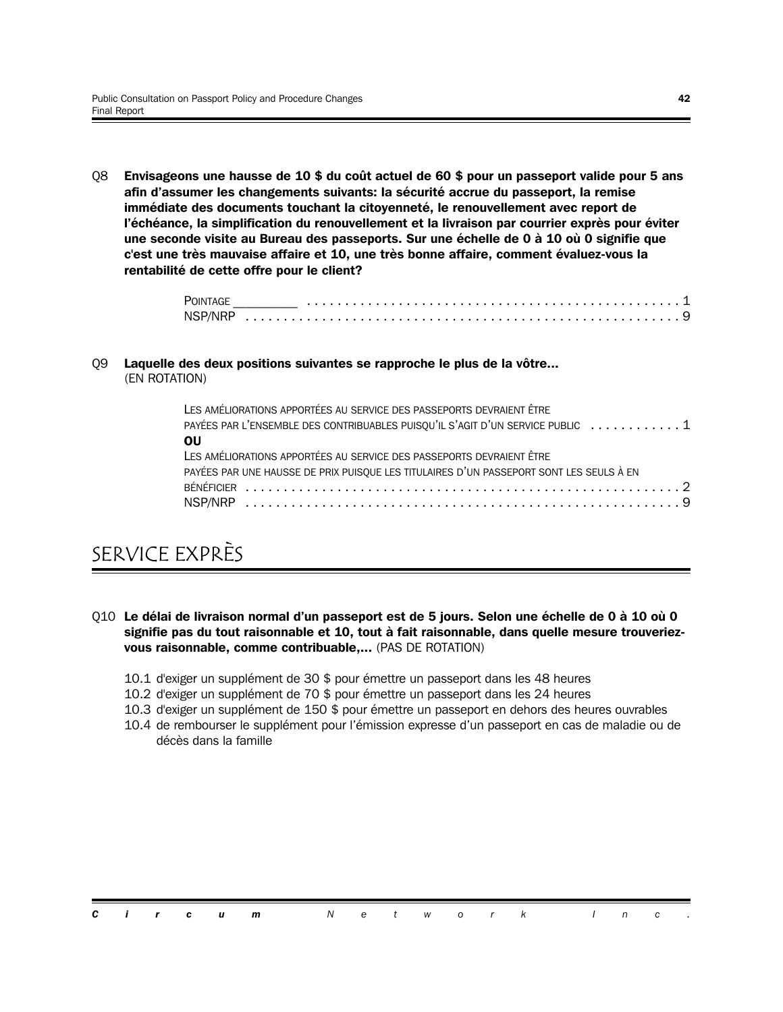Q8 **Envisageons une hausse de 10 \$ du coût actuel de 60 \$ pour un passeport valide pour 5 ans afin d'assumer les changements suivants: la sécurité accrue du passeport, la remise immédiate des documents touchant la citoyenneté, le renouvellement avec report de l'échéance, la simplification du renouvellement et la livraison par courrier exprès pour éviter une seconde visite au Bureau des passeports. Sur une échelle de 0 à 10 où 0 signifie que c'est une très mauvaise affaire et 10, une très bonne affaire, comment évaluez-vous la rentabilité de cette offre pour le client?**

| POINTA |  |  |  |  |
|--------|--|--|--|--|
| NSP/M  |  |  |  |  |

Q9 **Laquelle des deux positions suivantes se rapproche le plus de la vôtre...** (EN ROTATION)

| LES AMÉLIORATIONS APPORTÉES AU SERVICE DES PASSEPORTS DEVRAIENT ÊTRE<br>PAYÉES PAR L'ENSEMBLE DES CONTRIBUABLES PUISQU'IL S'AGIT D'UN SERVICE PUBLIC  1 |
|---------------------------------------------------------------------------------------------------------------------------------------------------------|
| <b>OU</b>                                                                                                                                               |
| LES AMÉLIORATIONS APPORTÉES AU SERVICE DES PASSEPORTS DEVRAIENT ÊTRE                                                                                    |
| PAYÉES PAR UNE HAUSSE DE PRIX PUISQUE LES TITULAIRES D'UN PASSEPORT SONT LES SEULS À EN                                                                 |
|                                                                                                                                                         |
|                                                                                                                                                         |

# SERVICE EXPRÈS

- Q10 **Le délai de livraison normal d'un passeport est de 5 jours. Selon une échelle de 0 à 10 où 0 signifie pas du tout raisonnable et 10, tout à fait raisonnable, dans quelle mesure trouveriezvous raisonnable, comme contribuable,...** (PAS DE ROTATION)
	- 10.1 d'exiger un supplément de 30 \$ pour émettre un passeport dans les 48 heures
	- 10.2 d'exiger un supplément de 70 \$ pour émettre un passeport dans les 24 heures
	- 10.3 d'exiger un supplément de 150 \$ pour émettre un passeport en dehors des heures ouvrables
	- 10.4 de rembourser le supplément pour l'émission expresse d'un passeport en cas de maladie ou de décès dans la famille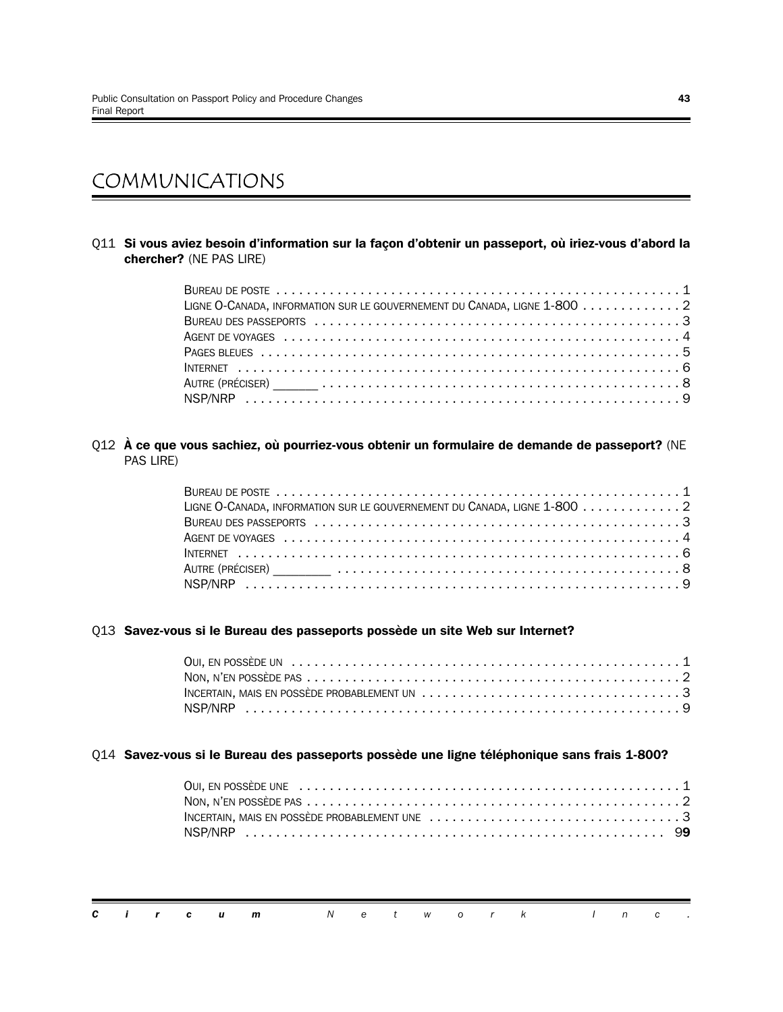# COMMUNICATIONS

### Q11 **Si vous aviez besoin d'information sur la façon d'obtenir un passeport, où iriez-vous d'abord la chercher?** (NE PAS LIRE)

| LIGNE O-CANADA, INFORMATION SUR LE GOUVERNEMENT DU CANADA, LIGNE 1-800 2 |  |
|--------------------------------------------------------------------------|--|
|                                                                          |  |
|                                                                          |  |
|                                                                          |  |
|                                                                          |  |
|                                                                          |  |
|                                                                          |  |

### Q12 **À ce que vous sachiez, où pourriez-vous obtenir un formulaire de demande de passeport?** (NE PAS LIRE)

| LIGNE O-CANADA, INFORMATION SUR LE GOUVERNEMENT DU CANADA, LIGNE 1-800 2 |  |  |  |  |  |  |  |  |  |  |  |  |  |  |
|--------------------------------------------------------------------------|--|--|--|--|--|--|--|--|--|--|--|--|--|--|
|                                                                          |  |  |  |  |  |  |  |  |  |  |  |  |  |  |
|                                                                          |  |  |  |  |  |  |  |  |  |  |  |  |  |  |
|                                                                          |  |  |  |  |  |  |  |  |  |  |  |  |  |  |
|                                                                          |  |  |  |  |  |  |  |  |  |  |  |  |  |  |
|                                                                          |  |  |  |  |  |  |  |  |  |  |  |  |  |  |

### Q13 **Savez-vous si le Bureau des passeports possède un site Web sur Internet?**

### Q14 **Savez-vous si le Bureau des passeports possède une ligne téléphonique sans frais 1-800?**

|  |  | <b>Circum</b> Network Inc. |  |  |  |  |  |  |
|--|--|----------------------------|--|--|--|--|--|--|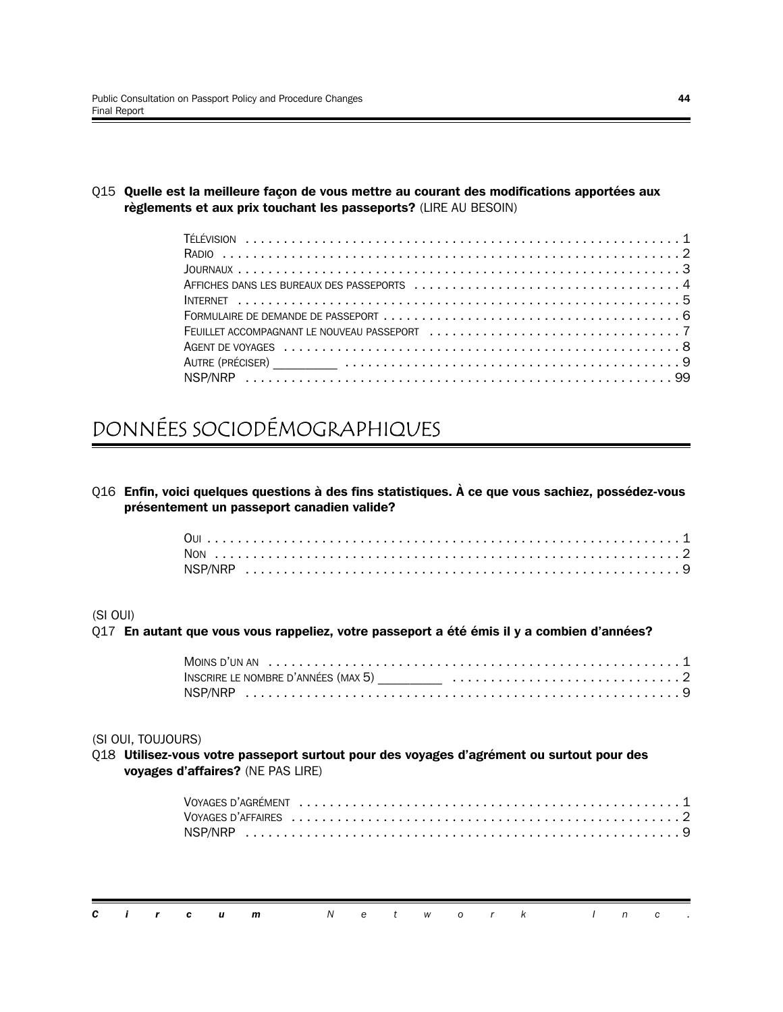Q15 **Quelle est la meilleure façon de vous mettre au courant des modifications apportées aux règlements et aux prix touchant les passeports?** (LIRE AU BESOIN)

# DONNÉES SOCIODÉMOGRAPHIQUES

Q16 **Enfin, voici quelques questions à des fins statistiques. À ce que vous sachiez, possédez-vous présentement un passeport canadien valide?**

### (SI OUI)

Q17 **En autant que vous vous rappeliez, votre passeport a été émis il y a combien d'années?**

### (SI OUI, TOUJOURS)

### Q18 **Utilisez-vous votre passeport surtout pour des voyages d'agrément ou surtout pour des voyages d'affaires?** (NE PAS LIRE)

|  |  |  |  |  | <b>Circum</b> Network Inc. |  |  |  |  |  |  |  |  |  |  |  |
|--|--|--|--|--|----------------------------|--|--|--|--|--|--|--|--|--|--|--|
|--|--|--|--|--|----------------------------|--|--|--|--|--|--|--|--|--|--|--|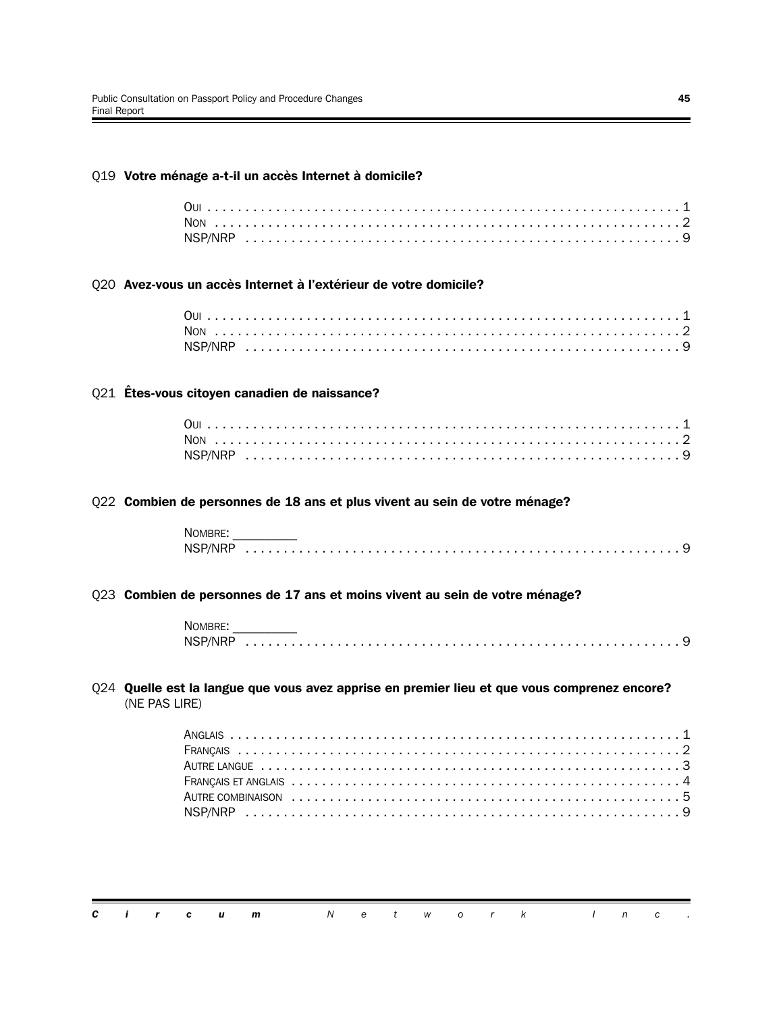### Q19 **Votre ménage a-t-il un accès Internet à domicile?**

| Non |  |
|-----|--|
|     |  |

Q20 **Avez-vous un accès Internet à l'extérieur de votre domicile?**

### Q21 **Êtes-vous citoyen canadien de naissance?**

Q22 **Combien de personnes de 18 ans et plus vivent au sein de votre ménage?**

| <b>NOMBRE</b> |  |  |  |
|---------------|--|--|--|
| NSP/NRF       |  |  |  |

#### Q23 **Combien de personnes de 17 ans et moins vivent au sein de votre ménage?**

| <b>NOMBRI</b> |  |
|---------------|--|
| NSP/NRF       |  |

### Q24 **Quelle est la langue que vous avez apprise en premier lieu et que vous comprenez encore?** (NE PAS LIRE)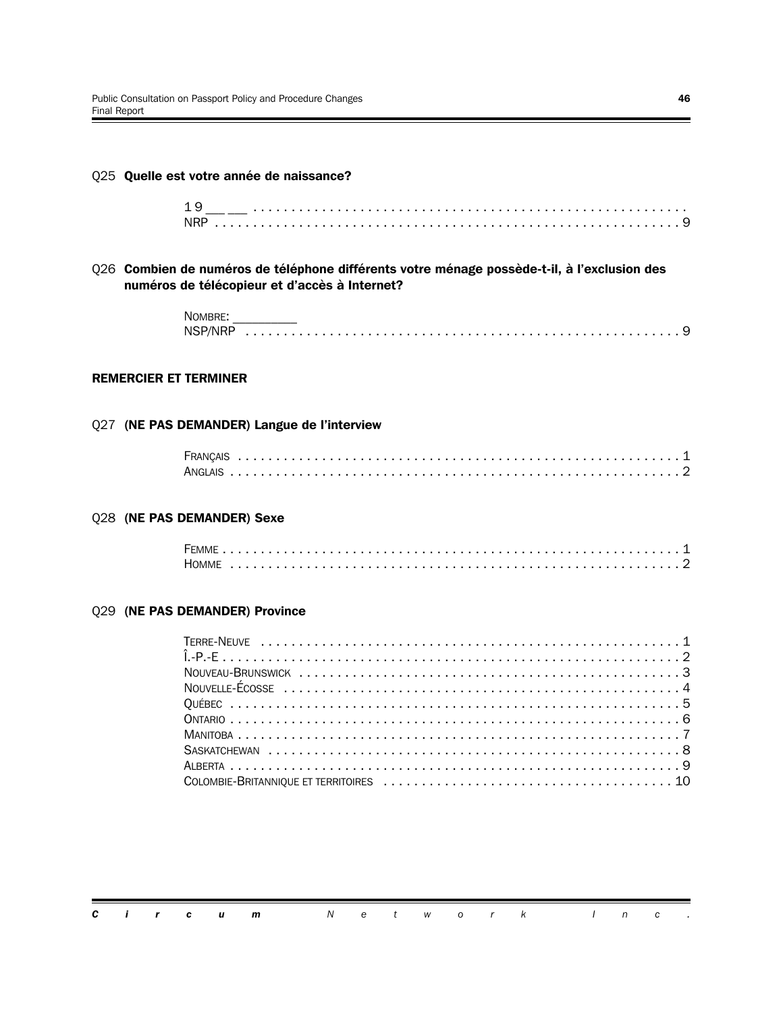### Q25 **Quelle est votre année de naissance?**

| $\overline{ }$ |  |  |  |  |  |  |  |  |  |  |  |  |  |  |  |  |  |  |  |  |  |  |  |  |  |
|----------------|--|--|--|--|--|--|--|--|--|--|--|--|--|--|--|--|--|--|--|--|--|--|--|--|--|
| <b>NRI</b>     |  |  |  |  |  |  |  |  |  |  |  |  |  |  |  |  |  |  |  |  |  |  |  |  |  |

### Q26 **Combien de numéros de téléphone différents votre ménage possède-t-il, à l'exclusion des numéros de télécopieur et d'accès à Internet?**

| <b>NOMBRE</b>  |  |
|----------------|--|
| <b>NSP/NRF</b> |  |

### **REMERCIER ET TERMINER**

### Q27 **(NE PAS DEMANDER) Langue de l'interview**

| FRANCAIS |  |
|----------|--|
| ANGI AIS |  |

#### Q28 **(NE PAS DEMANDER) Sexe**

| HOMME |  |  |  |  |  |  |  |  |  |  |  |  |  |  |  |  |  |  |  |
|-------|--|--|--|--|--|--|--|--|--|--|--|--|--|--|--|--|--|--|--|

### Q29 **(NE PAS DEMANDER) Province**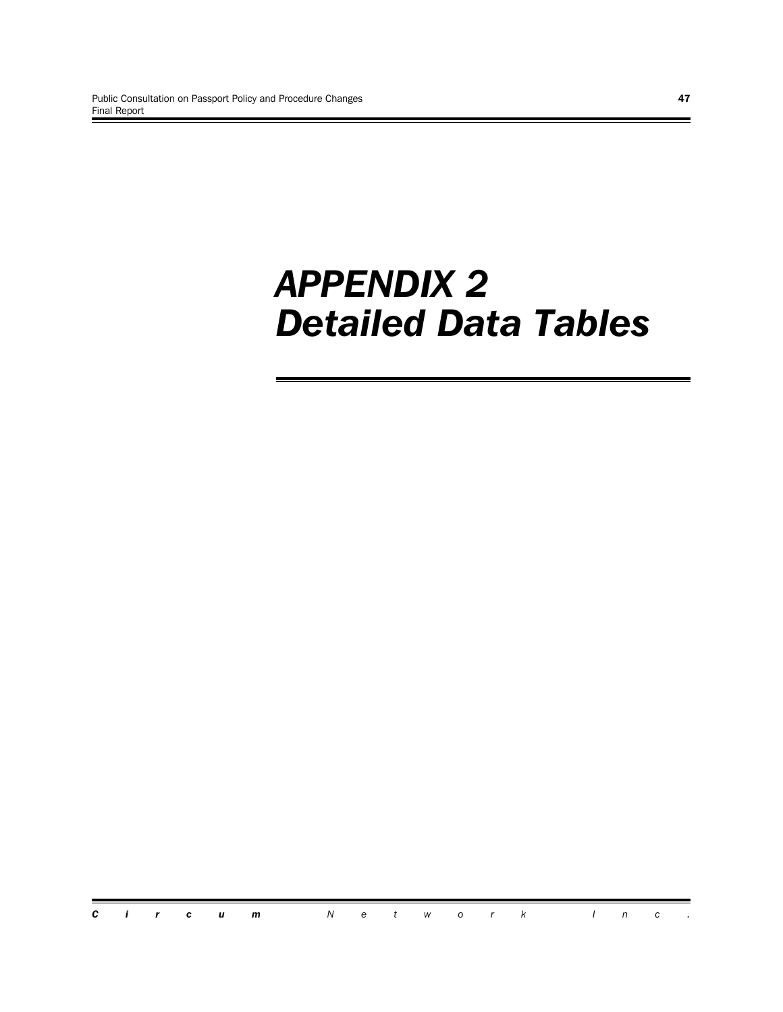# *APPENDIX 2 Detailed Data Tables*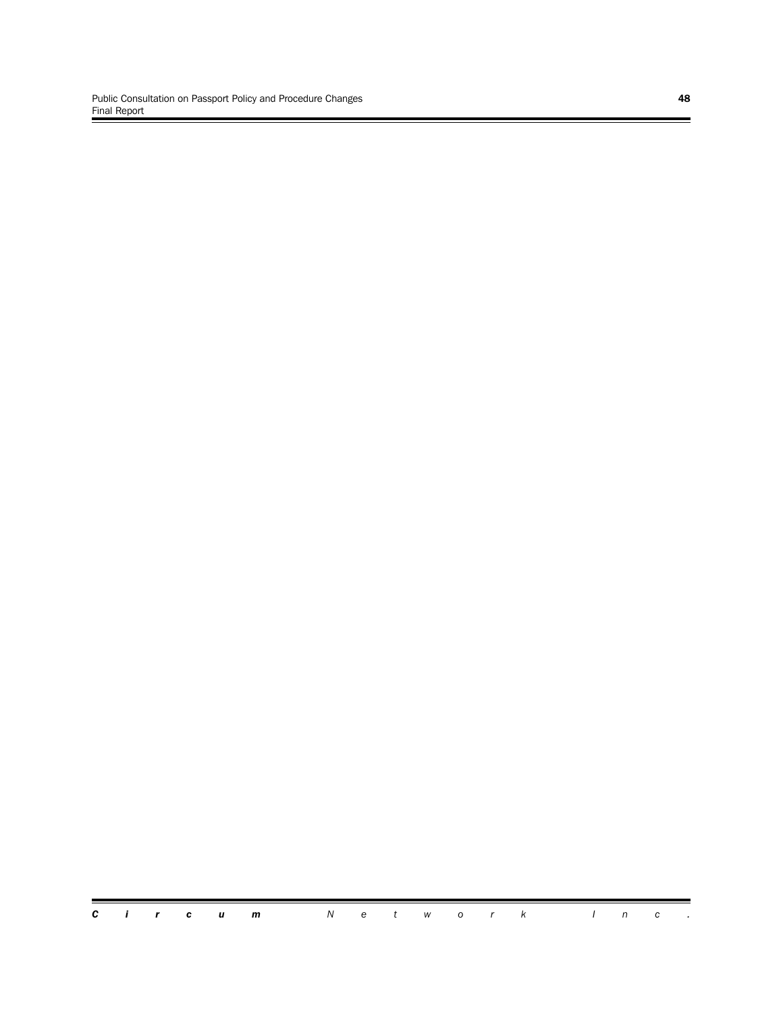and the control of the control of the control of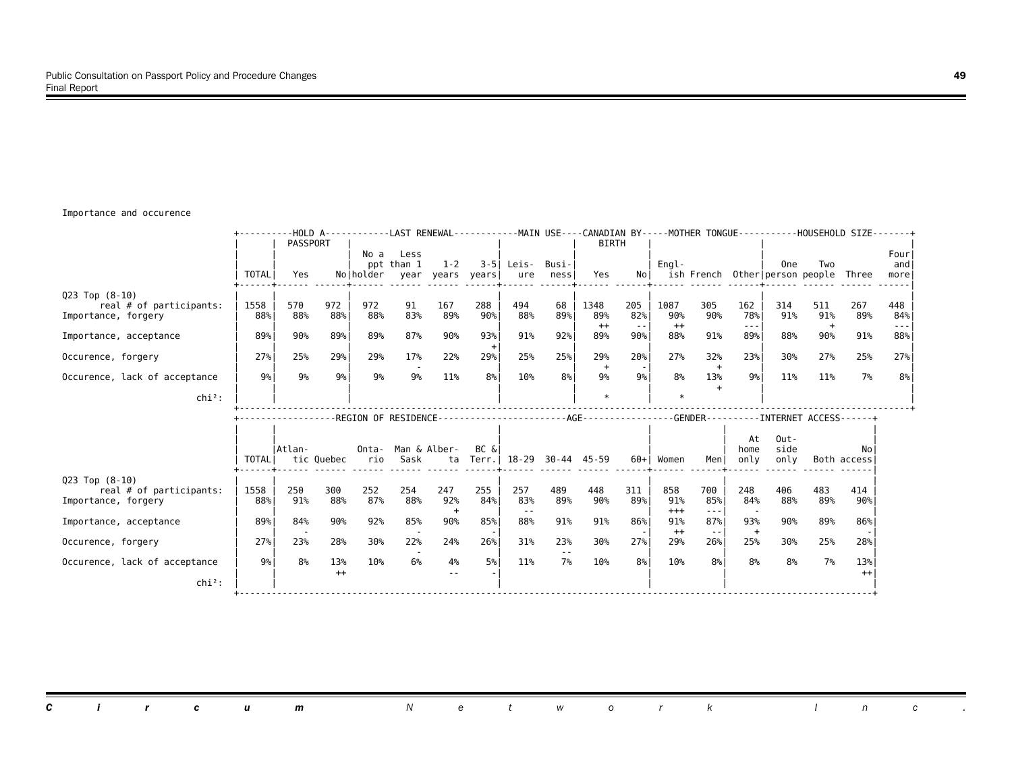#### Importance and occurence

|                                                                      |              | <b>PASSPORT</b> |                |                      |                               |                             |                              |                     |               | <b>BIRTH</b>          |             |                        |                                           |                     |                          |            | HOLD A-----------LAST RENEWAL------------MAIN USE----CANADIAN BY-----MOTHER TONGUE-----------HOUSEHOLD SIZE-------+ |                                                                                                                                                                                                                                                                                                                                                                                                     |
|----------------------------------------------------------------------|--------------|-----------------|----------------|----------------------|-------------------------------|-----------------------------|------------------------------|---------------------|---------------|-----------------------|-------------|------------------------|-------------------------------------------|---------------------|--------------------------|------------|---------------------------------------------------------------------------------------------------------------------|-----------------------------------------------------------------------------------------------------------------------------------------------------------------------------------------------------------------------------------------------------------------------------------------------------------------------------------------------------------------------------------------------------|
|                                                                      | <b>TOTAL</b> | Yes             |                | No a<br>No   hol der | Less<br>ppt than 1            | $1 - 2$<br>year years years |                              | $3-5$ Leis-<br>ure  | Busi-<br>ness | Yes                   | No          | Engl-                  | ish French Other   person people Three    |                     | <b>One</b>               | Two        |                                                                                                                     | Four<br>and<br>more                                                                                                                                                                                                                                                                                                                                                                                 |
| $Q23$ Top $(8-10)$<br>real # of participants:<br>Importance, forgery | 1558<br>88%  | 570<br>88%      | 972<br>88%     | 972<br>88%           | 91<br>83%                     | 167<br>89%                  | 288<br>90%                   | 494<br>88%          | 68<br>89%     | 1348<br>89%           | 205<br>82%  | 1087<br>90%            | 305<br>90%                                | 162<br>78%          | 314<br>91%               | 511<br>91% | 267<br>89%                                                                                                          | 448<br>84%                                                                                                                                                                                                                                                                                                                                                                                          |
| Importance, acceptance                                               | 89%          | 90%             | 89%            | 89%                  | 87%                           | 90%                         | 93%                          | 91%                 | 92%           | $^{++}$<br>89%        | 90%         | $^{++}$<br>88%         | 91%                                       | $- - -$<br>89%      | 88%                      | 90%        | 91%                                                                                                                 | $\frac{1}{2} \frac{1}{2} \frac{1}{2} \frac{1}{2} \frac{1}{2} \frac{1}{2} \frac{1}{2} \frac{1}{2} \frac{1}{2} \frac{1}{2} \frac{1}{2} \frac{1}{2} \frac{1}{2} \frac{1}{2} \frac{1}{2} \frac{1}{2} \frac{1}{2} \frac{1}{2} \frac{1}{2} \frac{1}{2} \frac{1}{2} \frac{1}{2} \frac{1}{2} \frac{1}{2} \frac{1}{2} \frac{1}{2} \frac{1}{2} \frac{1}{2} \frac{1}{2} \frac{1}{2} \frac{1}{2} \frac{$<br>88% |
| Occurence, forgery                                                   | 27%          | 25%             | 29%            | 29%                  | 17%                           | 22%                         | $^{+}$<br>29%                | 25%                 | 25%           | 29%<br>$\overline{+}$ | 20%         | 27%                    | 32%                                       | 23%                 | 30%                      | 27%        | 25%                                                                                                                 | 27%                                                                                                                                                                                                                                                                                                                                                                                                 |
| Occurence, lack of acceptance                                        | 9%           | 9%              | 9%             | 9%                   | $9\%$                         | 11%                         | 8%                           | 10%                 | 8%            | 9%                    | 9%          | 8%                     | 13%                                       | $9\%$               | 11%                      | 11%        | 7%                                                                                                                  | 8%                                                                                                                                                                                                                                                                                                                                                                                                  |
| $chi^2$ :                                                            |              |                 |                |                      |                               |                             |                              |                     |               |                       |             |                        |                                           |                     |                          |            |                                                                                                                     |                                                                                                                                                                                                                                                                                                                                                                                                     |
|                                                                      |              |                 |                |                      | <b>REGION OF RESIDENCE---</b> |                             |                              | -----------------   | AGE-          |                       | ----------- |                        | - GENDER---------- INTERNET ACCESS------+ |                     |                          |            |                                                                                                                     |                                                                                                                                                                                                                                                                                                                                                                                                     |
|                                                                      | <b>TOTAL</b> | Atlan-          | tic Quebec     | Onta-<br>ri o        | Man & Alber-<br>Sask          | ta                          | <b>BC</b> &<br>Terr. $\vert$ | 18-29 30-44 45-59   |               |                       | $60+$       | Women                  | Men                                       | At<br>home<br>onl y | $0$ ut-<br>side<br>onl y |            | No<br>Both access                                                                                                   |                                                                                                                                                                                                                                                                                                                                                                                                     |
| $Q23$ Top $(8-10)$<br>real # of participants:<br>Importance, forgery | 1558<br>88%  | 250<br>91%      | 300<br>88%     | 252<br>87%           | 254<br>88%                    | 247<br>92%                  | 255<br>84%                   | 257<br>83%<br>$- -$ | 489<br>89%    | 448<br>90%            | 311<br>89%  | 858<br>91%<br>$^{+++}$ | 700<br>85%<br>$- - -$                     | 248<br>84%          | 406<br>88%               | 483<br>89% | 414<br>90%                                                                                                          |                                                                                                                                                                                                                                                                                                                                                                                                     |
| Importance, acceptance                                               | 89%          | 84%             | 90%            | 92%                  | 85%                           | 90%                         | 85%                          | 88%                 | 91%           | 91%                   | 86%         | 91%<br>$^{++}$         | 87%<br>$- -$                              | 93%<br>$^{+}$       | 90%                      | 89%        | 86%                                                                                                                 |                                                                                                                                                                                                                                                                                                                                                                                                     |
| Occurence, forgery                                                   | 27%          | 23%             | 28%            | 30%                  | 22%                           | 24%                         | 26%                          | 31%                 | 23%<br>$ -$   | 30%                   | 27%         | 29%                    | 26%                                       | 25%                 | 30%                      | 25%        | 28%                                                                                                                 |                                                                                                                                                                                                                                                                                                                                                                                                     |
| Occurence, lack of acceptance<br>$chi^2$ :                           | 9%           | 8%              | 13%<br>$^{++}$ | 10%                  | 6%                            | 4%<br>$ -$                  | 5%                           | 11%                 | 7%            | 10%                   | 8%          | 10%                    | 8%                                        | 8%                  | 8%                       | 7%         | 13%<br>$^{++}$                                                                                                      |                                                                                                                                                                                                                                                                                                                                                                                                     |

|  |  | <b>Circum</b> Network Inc. |  |  |  |  |  |  |
|--|--|----------------------------|--|--|--|--|--|--|
|  |  |                            |  |  |  |  |  |  |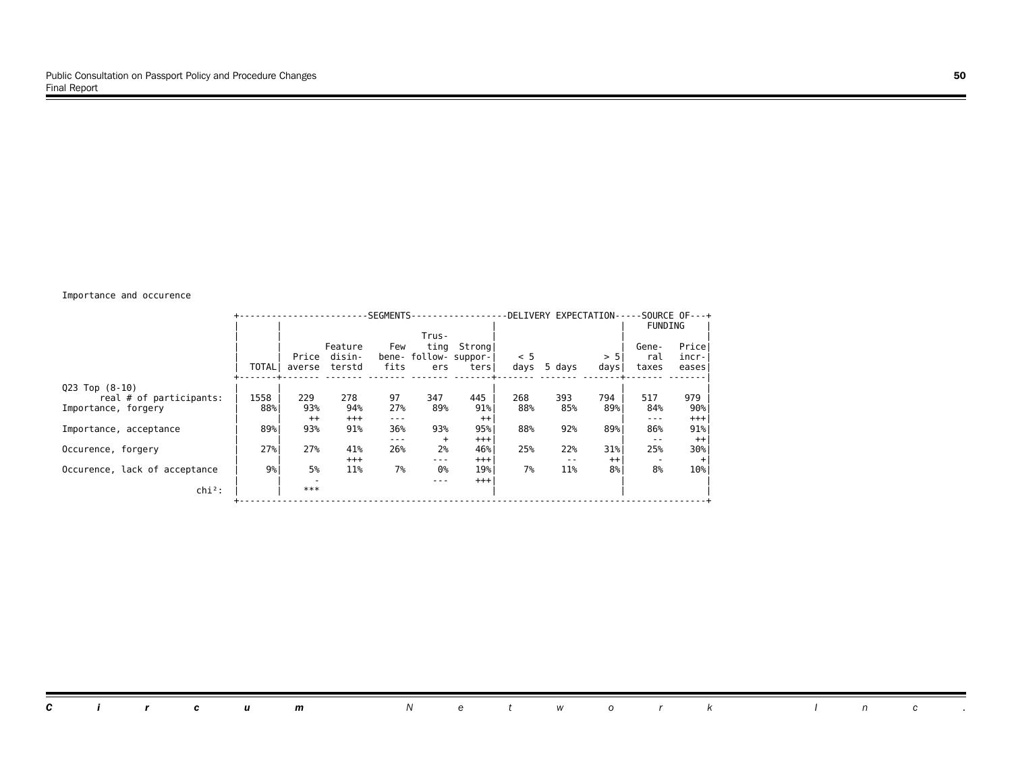#### Importance and occurence

|                               |              |         |          | <b>SEGMENTS-</b> |                |          |      | DELIVERY EXPECTATION- |                |                | SOURCE $0F - -$ |
|-------------------------------|--------------|---------|----------|------------------|----------------|----------|------|-----------------------|----------------|----------------|-----------------|
|                               |              |         |          |                  |                |          |      |                       |                | <b>FUNDING</b> |                 |
|                               |              |         |          |                  | Trus-          |          |      |                       |                |                |                 |
|                               |              |         | Feature  | Few              | ting           | Strong   |      |                       |                | Gene-          | Pri ce          |
|                               |              | Pri ce  | di si n- | bene-            | follow-suppor- |          | < 5  |                       | $> 5$          | ral            | i ncr-          |
|                               | <b>TOTAL</b> | averse  | terstd   | fits             | ers            | ters     | days | 5 days                | $_{\rm days }$ | taxes          | eases           |
| $Q23$ Top $(8-10)$            |              |         |          |                  |                |          |      |                       |                |                |                 |
| real # of participants:       | 1558         | 229     | 278      | 97               | 347            | 445      | 268  | 393                   | 794            | 517            | 979             |
| Importance, forgery           | 88%          | 93%     | 94%      | 27%              | 89%            | 91%      | 88%  | 85%                   | 89%            | 84%            | 90%             |
|                               |              | $^{++}$ | $^{+++}$ | $- - -$          |                | $^{++}$  |      |                       |                | $- - -$        | $^{+++}$        |
| Importance, acceptance        | 89%          | 93%     | 91%      | 36%              | 93%            | 95%      | 88%  | 92%                   | 89%            | 86%            | 91%             |
|                               |              |         |          | $- - -$          |                | $^{+++}$ |      |                       |                | $ -$           | $^{++}$         |
| Occurence, forgery            | 27%          | 27%     | 41%      | 26%              | 2%             | 46%      | 25%  | 22%                   | 31%            | 25%            | 30%             |
|                               |              |         | $^{+++}$ |                  | $- - -$        | $^{+++}$ |      | $ -$                  | $^{++}$        |                | $\ddot{}$       |
| Occurence, lack of acceptance | 9%           | 5%      | 11%      | 7%               | 0%             | 19%      | 7%   | 11%                   | 8%             | 8%             | 10%             |
|                               |              |         |          |                  | ---            | $^{+++}$ |      |                       |                |                |                 |
| chi <sup>2</sup> :            |              | ***     |          |                  |                |          |      |                       |                |                |                 |
|                               |              |         |          |                  |                |          |      |                       |                |                |                 |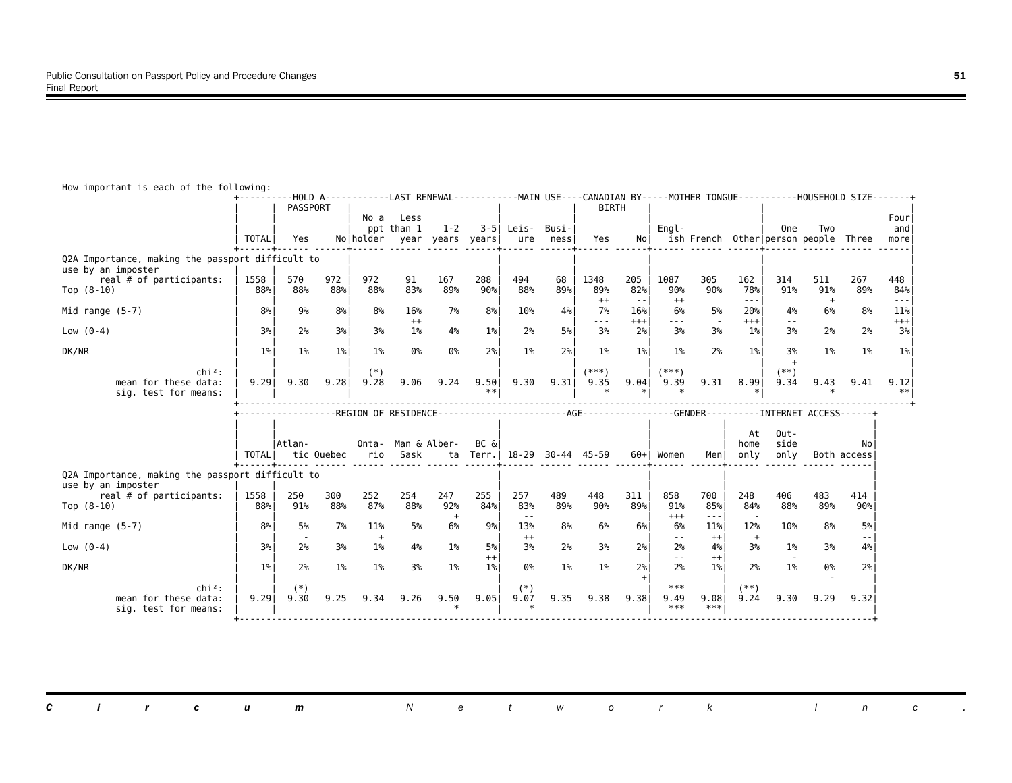|                                                                        |              | <b>PASSPORT</b> |                  |                                             |                          |                             |               |                              |               | -HOLD A-----------LAST RENEWAL------------MAIN USE----CANADIAN BY-----MOTHER TONGUE-----------HOUSEHOLD SIZE-------+<br><b>BIRTH</b> |                          |                              |                                                                                                                                                                                                                                                                                                                                                                                                                |                            |                                                |            |                   |                                |
|------------------------------------------------------------------------|--------------|-----------------|------------------|---------------------------------------------|--------------------------|-----------------------------|---------------|------------------------------|---------------|--------------------------------------------------------------------------------------------------------------------------------------|--------------------------|------------------------------|----------------------------------------------------------------------------------------------------------------------------------------------------------------------------------------------------------------------------------------------------------------------------------------------------------------------------------------------------------------------------------------------------------------|----------------------------|------------------------------------------------|------------|-------------------|--------------------------------|
|                                                                        | <b>TOTAL</b> | Yes             |                  | No a<br>No   hol der                        | Less<br>ppt than 1       | $1 - 2$<br>year years years |               | $3-5$ Leis-Busi-<br>ure      | $_{\rm mess}$ | Yes                                                                                                                                  |                          | $Engl -$                     |                                                                                                                                                                                                                                                                                                                                                                                                                |                            | 0ne<br>No ish French Other person people Three | Two        |                   | Four<br>and<br>more            |
| Q2A Importance, making the passport difficult to<br>use by an imposter |              |                 |                  |                                             |                          |                             |               |                              |               |                                                                                                                                      |                          |                              |                                                                                                                                                                                                                                                                                                                                                                                                                |                            |                                                |            |                   |                                |
| real # of participants:<br>Top $(8-10)$                                | 1558<br>88%  | 570<br>88%      | 972<br>88%       | 972<br>88%                                  | 91<br>83%                | 167<br>89%                  | 288<br>90%    | 494<br>88%                   | 68<br>89%     | 1348<br>89%                                                                                                                          | 205<br>82%               | 1087<br>90%                  | 305<br>90%                                                                                                                                                                                                                                                                                                                                                                                                     | 162<br>78%                 | 314<br>91%                                     | 511<br>91% | 267<br>89%        | 448<br>84%                     |
| Mid range $(5-7)$                                                      | 8%           | 9%              | 8%               | 8%                                          | 16%<br>$^{++}$           | 7%                          | 8%            | 10%                          | 4%            | $^{++}$<br>7%<br>$- - -$                                                                                                             | $- -$<br>16%<br>$^{+++}$ | $^{++}$<br>6%<br>- - -       | 5%                                                                                                                                                                                                                                                                                                                                                                                                             | $- - -$<br>20%<br>$^{+++}$ | 4%<br>$ -$                                     | $+$<br>6%  | 8%                | $\sim$ $ -$<br>11%<br>$^{+++}$ |
| Low $(0-4)$                                                            | 3%           | 2%              | $3\%$            | 3%                                          | 1%                       | 4%                          | $1\%$         | 2%                           | 5%            | 3%                                                                                                                                   | 2%                       | 3%                           | 3%                                                                                                                                                                                                                                                                                                                                                                                                             | 1%                         | 3%                                             | 2%         | 2%                | 3%                             |
| DK/NR                                                                  | 1%           | 1%              | 1%               | 1%                                          | 0%                       | 0%                          | $2\%$         | 1%                           | 2%            | 1%                                                                                                                                   | $1\%$                    | 1%                           | $2\%$                                                                                                                                                                                                                                                                                                                                                                                                          | 1%                         | 3%                                             | 1%         | 1%                | 1%                             |
| $chi^2$ :<br>mean for these data:<br>sig. test for means:              | 9.29         | 9.30            | 9.28             | $(*)$<br>9.28                               |                          | $9.06$ $9.24$ $9.50$        |               |                              | $9.30$ $9.31$ | $(***)$<br>9.35                                                                                                                      | 9.04                     | $(***)$<br>9.39              |                                                                                                                                                                                                                                                                                                                                                                                                                | $9.31$ $8.99$              | $(**)$<br>9.34                                 | 9.43       | 9.41              | 9.12                           |
|                                                                        |              |                 |                  | - REGION OF RESIDENCE---------------------- |                          |                             |               |                              |               | - AGE---------------- GENDER--------- - INTERNET ACCESS------+                                                                       |                          |                              |                                                                                                                                                                                                                                                                                                                                                                                                                |                            |                                                |            |                   |                                |
|                                                                        |              | Atl an-         | TOTAL tic Quebec | Onta-                                       | Man & Alber-<br>rio Sask |                             | BC &          | ta Terr.   18-29 30-44 45-59 |               |                                                                                                                                      |                          | $60+1$ Women                 | Men                                                                                                                                                                                                                                                                                                                                                                                                            | At<br>home<br>onl v        | $0$ ut-<br>side<br>onl y                       |            | No<br>Both access |                                |
| Q2A Importance, making the passport difficult to<br>use by an imposter |              |                 |                  |                                             |                          |                             |               |                              |               |                                                                                                                                      |                          |                              |                                                                                                                                                                                                                                                                                                                                                                                                                |                            |                                                |            |                   |                                |
| real # of participants:<br>Top $(8-10)$                                | 1558<br>88%  | 250<br>91%      | 300<br>88%       | 252<br>87%                                  | 254<br>88%               | 247<br>92%                  | 255<br>84%    | 257<br>83%                   | 489<br>89%    | 448<br>90%                                                                                                                           | 311<br>89%               | 858<br>91%                   | 700<br>85%                                                                                                                                                                                                                                                                                                                                                                                                     | 248<br>84%                 | 406<br>88%                                     | 483<br>89% | 414<br>90%        |                                |
| Mid range $(5-7)$                                                      | 8%           | 5%              | 7%               | 11%<br>$+$                                  | 5%                       | 6%                          | 9%            | $- -$<br>13%<br>$^{++}$      | 8%            | 6%                                                                                                                                   | 6%                       | $^{+++}$<br>6%<br>$\sim$ $-$ | $\frac{1}{2} \frac{1}{2} \frac{1}{2} \frac{1}{2} \frac{1}{2} \frac{1}{2} \frac{1}{2} \frac{1}{2} \frac{1}{2} \frac{1}{2} \frac{1}{2} \frac{1}{2} \frac{1}{2} \frac{1}{2} \frac{1}{2} \frac{1}{2} \frac{1}{2} \frac{1}{2} \frac{1}{2} \frac{1}{2} \frac{1}{2} \frac{1}{2} \frac{1}{2} \frac{1}{2} \frac{1}{2} \frac{1}{2} \frac{1}{2} \frac{1}{2} \frac{1}{2} \frac{1}{2} \frac{1}{2} \frac{$<br>11%<br>$^{++}$ | 12%<br>$+$                 | 10%                                            | 8%         | 5%<br>$ -$        |                                |
| Low $(0-4)$                                                            | 3%           | 2%              | 3%               | 1%                                          | 4%                       | 1%                          | 5%<br>$^{++}$ | 3%                           | 2%            | 3%                                                                                                                                   | $2\%$                    | 2%<br>$\sim$ $\sim$          | 4%<br>$^{++}$                                                                                                                                                                                                                                                                                                                                                                                                  | 3%                         | 1%                                             | 3%         | 4%                |                                |
| DK/NR                                                                  | $1\%$        | 2%              | 1%               | 1%                                          | 3%                       | 1%                          | $1\%$         | 0%                           | 1%            | 1%                                                                                                                                   | 2%                       | 2%                           | 1%                                                                                                                                                                                                                                                                                                                                                                                                             | 2%                         | 1%                                             | 0%         | 2%                |                                |
| $chi^2$ :<br>mean for these data:<br>sig. test for means:              | 9.29         | $(*)$<br>9.30   | 9.25             | 9.34                                        | 9.26                     | 9.50                        | 9.05          | $(*)$<br>9.07                | 9.35          | 9.38                                                                                                                                 | 9.38                     | $***$<br>9.49<br>***         | 9.08<br>***                                                                                                                                                                                                                                                                                                                                                                                                    | $(**)$<br>9.24             | 9.30                                           | 9.29       | 9.32              |                                |

|  |  | <b>Circum</b> Network |  |  |  |  |  |  |
|--|--|-----------------------|--|--|--|--|--|--|
|  |  |                       |  |  |  |  |  |  |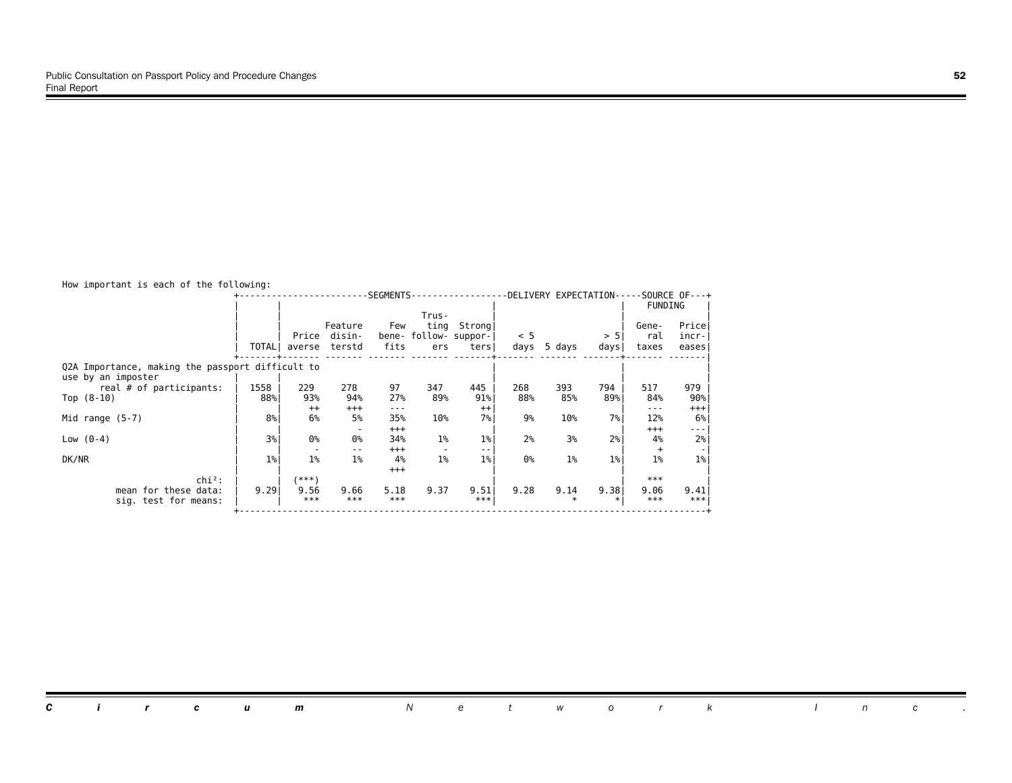|                                                  |              |         |          | <b>SEGMENTS-</b> |                     |         |      | DELIVERY EXPECTATION- |        |                 | SOURCE $0F - -$ |
|--------------------------------------------------|--------------|---------|----------|------------------|---------------------|---------|------|-----------------------|--------|-----------------|-----------------|
|                                                  |              |         |          |                  |                     |         |      |                       |        | <b>FUNDI NG</b> |                 |
|                                                  |              |         |          |                  | Trus-               |         |      |                       |        |                 |                 |
|                                                  |              |         | Feature  | Few              | ting                | Strong  |      |                       |        | Gene-           | Pri ce          |
|                                                  |              | Pri ce  | di si n- |                  | bene-follow-suppor- |         | < 5  |                       | $> 5$  | ral             | i ncr-          |
|                                                  | <b>TOTAL</b> | averse  | terstd   | fits             | ers                 | ters    | days | 5 days                | days∣  | taxes           | eases           |
| Q2A Importance, making the passport difficult to |              |         |          |                  |                     |         |      |                       |        |                 |                 |
| use by an imposter                               |              |         |          |                  |                     |         |      |                       |        |                 |                 |
| real # of participants:                          | 1558         | 229     | 278      | 97               | 347                 | 445     | 268  | 393                   | 794    | 517             | 979             |
| Top $(8-10)$                                     | 88%          | 93%     | 94%      | 27%              | 89%                 | 91%     | 88%  | 85%                   | 89%    | 84%             | 90%             |
|                                                  |              | $^{++}$ | $^{+++}$ | $- - -$          |                     | $^{++}$ |      |                       |        | $- - -$         | $^{+++}$        |
| Mid range $(5-7)$                                | 8%           | 6%      | 5%       | 35%              | 10%                 | 7%      | 9%   | 10%                   | 7%     | 12%             | 6%              |
|                                                  |              |         |          | $^{+++}$         |                     |         |      |                       |        | $^{+++}$        | $\frac{1}{2}$   |
| Low $(0-4)$                                      | 3%           | 0%      | 0%       | 34%              | 1%                  | 1%      | 2%   | 3%                    | 2%     | 4%              | $2\%$           |
|                                                  |              |         | $- -$    | $^{+++}$         |                     | $- -$   |      |                       |        | $+$             |                 |
| DK/NR                                            | 1%           | 1%      | 1%       | 4%               | 1%                  | 1%      | 0%   | 1%                    | 1%     | 1%              | 1%              |
|                                                  |              |         |          | $^{+++}$         |                     |         |      |                       |        |                 |                 |
| $chi^2$ :                                        |              | $(***)$ |          |                  |                     |         |      |                       |        | ***             |                 |
| mean for these data:                             | 9.29         | 9.56    | 9.66     | 5.18             | 9.37                | 9.51    | 9.28 | 9.14                  | 9.38   | 9.06            | 9.41            |
| sig. test for means:                             |              | ***     | ***      | ***              |                     | ***     |      |                       | $\ast$ | ***             | $***$           |
|                                                  |              |         |          |                  |                     |         |      |                       |        |                 |                 |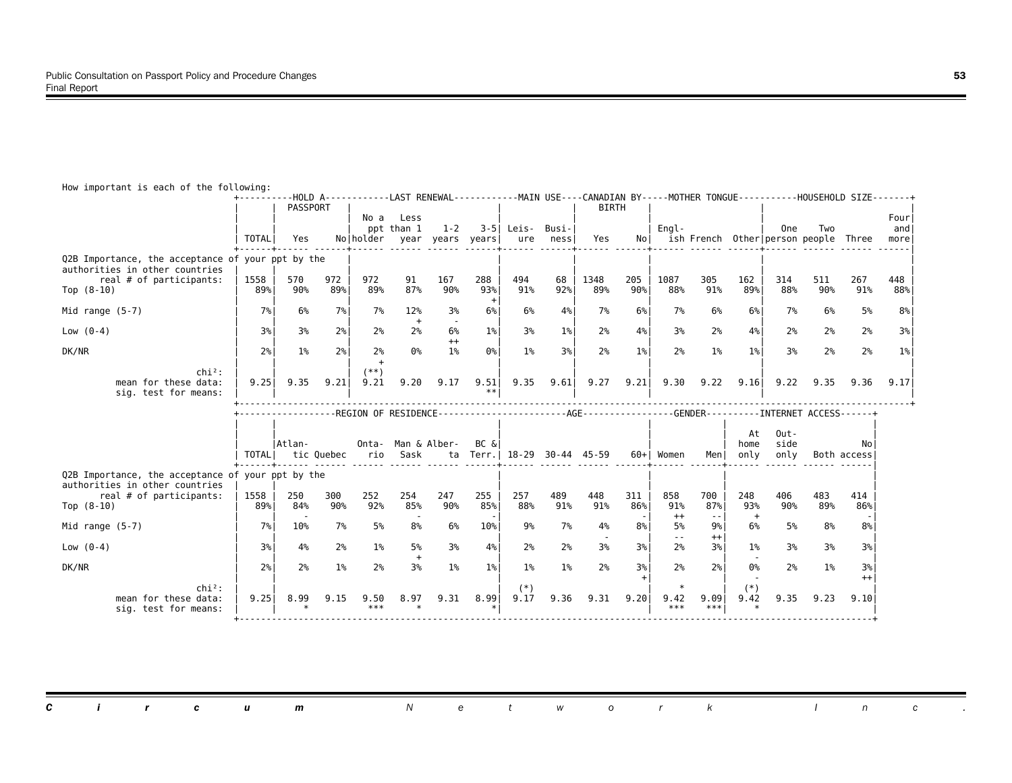|                                                                                     |              | <b>PASSPORT</b> |            |                                               |                      |               |                  |                         |             | -HOLD A------------LAST RENEWAL------------MAIN USE----CANADIAN BY-----MOTHER TONGUE-----------HOUSEHOLD SIZE-<br><b>BI RTH</b> |               |                        |                                |                     |                                                |            |                    |                     |
|-------------------------------------------------------------------------------------|--------------|-----------------|------------|-----------------------------------------------|----------------------|---------------|------------------|-------------------------|-------------|---------------------------------------------------------------------------------------------------------------------------------|---------------|------------------------|--------------------------------|---------------------|------------------------------------------------|------------|--------------------|---------------------|
|                                                                                     | <b>TOTAL</b> | Yes             |            | No a<br>$\text{No}$   holder year years years | Less<br>ppt than 1   | $1 - 2$       |                  | $3-5$ Leis-Busi-<br>ure | $\sf{ness}$ | Yes                                                                                                                             |               | $Engl -$               |                                |                     | 0ne<br>No ish French Other person people Three | Two        |                    | Four<br>and<br>more |
| Q2B Importance, the acceptance of your ppt by the<br>authorities in other countries |              |                 |            |                                               |                      |               |                  |                         |             |                                                                                                                                 |               |                        |                                |                     |                                                |            |                    |                     |
| real # of participants:<br>Top $(8-10)$                                             | 1558<br>89%  | 570<br>90%      | 972<br>89% | 972<br>89%                                    | 91<br>87%            | 167<br>90%    | 288<br>93%       | 494<br>91%              | 68<br>92%   | 1348<br>89%                                                                                                                     | 205<br>$90\%$ | 1087<br>88%            | 305<br>91%                     | 162<br>89%          | 314<br>88%                                     | 511<br>90% | 267<br>91%         | 448<br>88%          |
| Mid range $(5-7)$                                                                   | 7%           | 6%              | 7%         | 7%                                            | 12%                  | 3%            | $+$<br>6%        | 6%                      | 4%          | 7%                                                                                                                              | 6%            | 7%                     | 6%                             | 6%                  | 7%                                             | 6%         | 5%                 | 8%                  |
| Low $(0-4)$                                                                         | 3%           | 3%              | $2\%$      | 2%                                            | 2%                   | 6%<br>$^{++}$ | $1\%$            | 3%                      | 1%          | 2%                                                                                                                              | $4\%$         | 3%                     | $2\%$                          | 4%                  | $2\%$                                          | 2%         | 2%                 | 3%                  |
| DK/NR                                                                               | 2%           | 1%              | 2%         | 2%                                            | 0%                   | 1%            | $0\%$            | 1%                      | 3%          | 2%                                                                                                                              | 1%            | 2%                     | $1\%$                          | 1%                  | 3%                                             | 2%         | 2%                 | 1%                  |
| $chi^2$ :<br>mean for these data:<br>sig. test for means:                           | 9.25         | 9.35            | 9.21       | $(**)$<br>9.21                                | 9.20                 | 9.17          | 9.51             | 9.35                    | 9.61        | 9.27                                                                                                                            | 9.21          | 9.30                   | 9.22                           | 9.16                | 9.22                                           | 9.35       | 9.36               | 9.17                |
|                                                                                     |              |                 |            | - REGION OF RESIDENCE---------------------    |                      |               |                  |                         |             | - AGE---------------- GENDER--------- INTERNET ACCESS------+                                                                    |               |                        |                                |                     |                                                |            |                    |                     |
|                                                                                     | <b>TOTAL</b> | Atlan-          | tic Quebec | Onta-<br>ri o                                 | Man & Alber-<br>Sask |               | BC &<br>ta Terr. |                         |             | 18-29 30-44 45-59                                                                                                               |               | $60+1$ Women           | Men                            | At<br>home<br>onl y | $0$ ut-<br>side<br>onl y                       |            | No.<br>Both access |                     |
| Q2B Importance, the acceptance of your ppt by the<br>authorities in other countries |              |                 |            |                                               |                      |               |                  |                         |             |                                                                                                                                 |               |                        |                                |                     |                                                |            |                    |                     |
| real # of participants:<br>Top $(8-10)$                                             | 1558<br>89%  | 250<br>84%      | 300<br>90% | 252<br>92%                                    | 254<br>85%           | 247<br>90%    | 255<br>85%       | 257<br>88%              | 489<br>91%  | 448<br>91%                                                                                                                      | 311<br>86%    | 858<br>91%             | 700<br>87%                     | 248<br>93%          | 406<br>90%                                     | 483<br>89% | 414<br>86%         |                     |
| Mid range $(5-7)$                                                                   | 7%           | 10%             | 7%         | 5%                                            | 8%                   | 6%            | 10%              | 9%                      | 7%          | 4%                                                                                                                              | 8%            | $^{++}$<br>5%<br>$- -$ | $\sim$ $\sim$<br>9%<br>$^{++}$ | $+$<br>6%           | 5%                                             | 8%         | 8%                 |                     |
| Low $(0-4)$                                                                         | 3%           | 4%              | 2%         | 1%                                            | 5%                   | 3%            | 4%               | 2%                      | 2%          | 3%                                                                                                                              | 3%            | $2\%$                  | 3%                             | 1%                  | 3%                                             | 3%         | 3%                 |                     |
| DK/NR                                                                               | $2\%$        | $2\%$           | 1%         | 2%                                            | 3%                   | 1%            | $1\%$            | 1%                      | 1%          | $2\%$                                                                                                                           | 3%            | 2%                     | 2%                             | 0%                  | 2%                                             | 1%         | 3%<br>$^{++}$      |                     |
| $chi^2$ :<br>mean for these data:<br>sig. test for means:                           | 9.25         | 8.99            | 9.15       | 9.50<br>***                                   | 8.97                 | 9.31          | 8.99             | $(*)$<br>9.17           | 9.36        | 9.31                                                                                                                            | 9.20          | $\ast$<br>9.42<br>***  | 9.09<br>***                    | $(*)$<br>9.42       | 9.35                                           | 9.23       | 9.10               |                     |

|  |  | <b>Circum</b> Network Inc. |  |  |  |  |  |  |
|--|--|----------------------------|--|--|--|--|--|--|
|  |  |                            |  |  |  |  |  |  |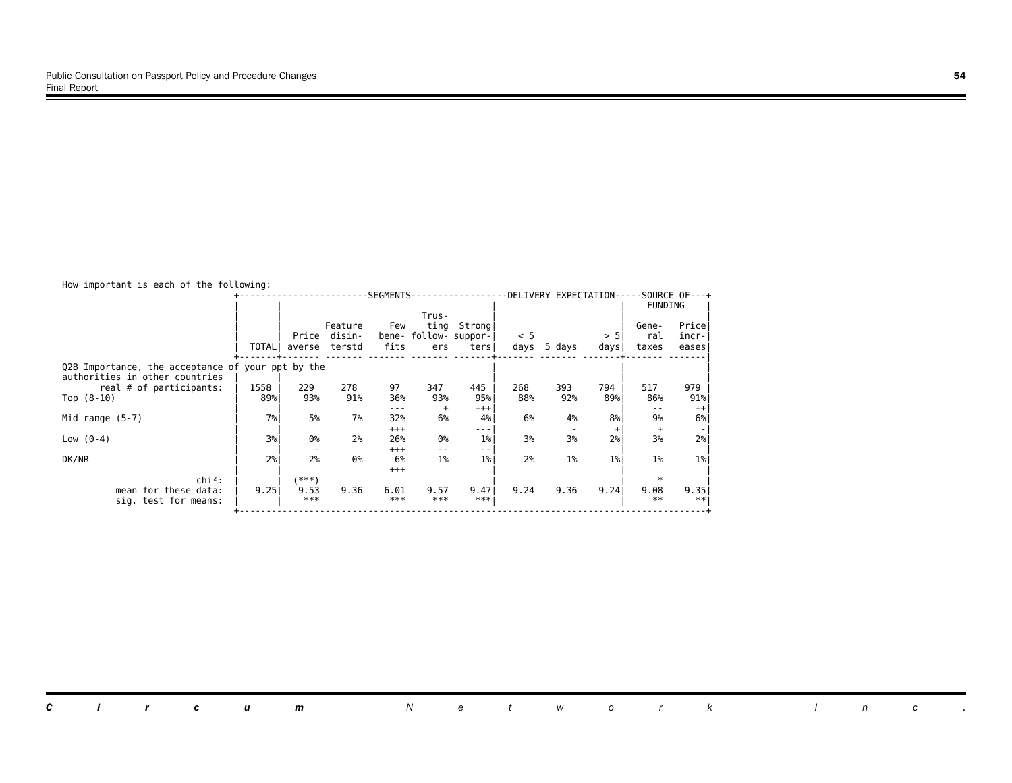|                                                   |              |         |          | <b>SEGMENTS-</b> |                     |             |      | DELIVERY EXPECTATION- |        |                 | SOURCE $OF--$ |
|---------------------------------------------------|--------------|---------|----------|------------------|---------------------|-------------|------|-----------------------|--------|-----------------|---------------|
|                                                   |              |         |          |                  |                     |             |      |                       |        | <b>FUNDI NG</b> |               |
|                                                   |              |         |          |                  | Trus-               |             |      |                       |        |                 |               |
|                                                   |              |         | Feature  | Few              |                     | ting Strong |      |                       |        | Gene-           | Pri ce        |
|                                                   |              | Pri ce  | di si n- |                  | bene-follow-suppor- |             | < 5  |                       | $> 5$  | ral             | i ncr-        |
|                                                   | <b>TOTAL</b> | averse  | terstd   | fits             | ers                 | ters        | days | 5 days                | days∣  | taxes           | eases         |
| Q2B Importance, the acceptance of your ppt by the |              |         |          |                  |                     |             |      |                       |        |                 |               |
| authorities in other countries                    |              |         |          |                  |                     |             |      |                       |        |                 |               |
| real # of participants:                           | 1558         | 229     | 278      | 97               | 347                 | 445         | 268  | 393                   | 794    | 517             | 979           |
| Top $(8-10)$                                      | 89%          | 93%     | 91%      | 36%              | 93%                 | 95%         | 88%  | 92%                   | 89%    | 86%             | 91%           |
|                                                   |              |         |          | $- - -$          | $+$                 | $^{+++}$    |      |                       |        | $ -$            | $^{++}$       |
| Mid range $(5-7)$                                 | 7%           | 5%      | 7%       | 32%              | 6%                  | 4%          | 6%   | 4%                    | 8%     | 9%              | 6%            |
|                                                   |              |         |          | $^{+++}$         |                     | - - -       |      |                       | $^{+}$ | $+$             |               |
| Low $(0-4)$                                       | 3%           | 0%      | 2%       | 26%              | 0%                  | 1%          | 3%   | 3%                    | 2%     | 3%              | 2%            |
|                                                   |              |         |          | $^{+++}$         | $ -$                | $- -$       |      |                       |        |                 |               |
| DK/NR                                             | 2%           | 2%      | 0%       | 6%               | 1%                  | 1%          | 2%   | 1%                    | $1\%$  | 1%              | 1%            |
|                                                   |              |         |          | $^{+++}$         |                     |             |      |                       |        |                 |               |
| $chi^2$ :                                         |              | $(***)$ |          |                  |                     |             |      |                       |        |                 |               |
| mean for these data:                              | 9.25         | 9.53    | 9.36     | 6.01             | 9.57                | 9.47        | 9.24 | 9.36                  | 9.24   | 9.08            | 9.35          |
| sig. test for means:                              |              | ***     |          | ***              | ***                 | ***         |      |                       |        | $**$            | $***$         |
|                                                   |              |         |          |                  |                     |             |      |                       |        |                 |               |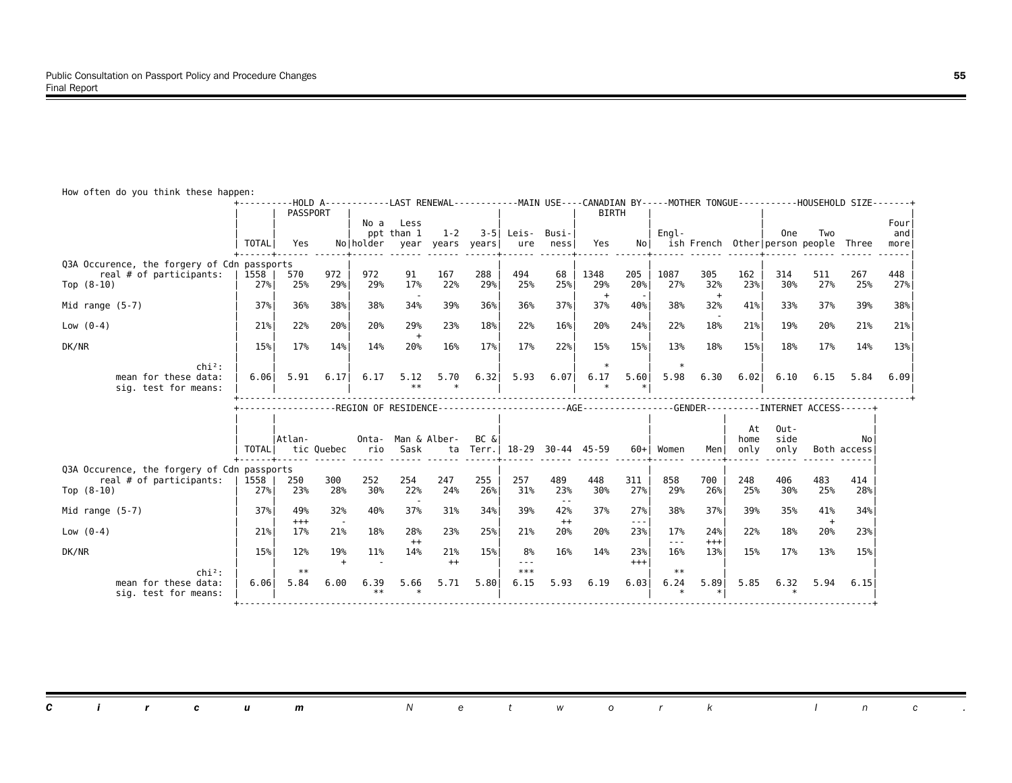|                                                           |              | <b>PASSPORT</b> |            |                                           |                      |                             |                     |                    |                | -HOLD A------------LAST RENEWAL------------MAIN USE----CANADIAN BY-----MOTHER TONGUE-----------HOUSEHOLD SIZE-<br><b>BIRTH</b> |                 |                |                                      |                     |                          |            |                   |                     |
|-----------------------------------------------------------|--------------|-----------------|------------|-------------------------------------------|----------------------|-----------------------------|---------------------|--------------------|----------------|--------------------------------------------------------------------------------------------------------------------------------|-----------------|----------------|--------------------------------------|---------------------|--------------------------|------------|-------------------|---------------------|
|                                                           | <b>TOTAL</b> | Yes             |            | No a<br>No   hol der                      | Less<br>ppt than 1   | $1 - 2$<br>year years years |                     | $3-5$ Leis-<br>ure | Busi-<br>ness  | Yes                                                                                                                            | No l            | $Engl -$       | ish French Other person people Three |                     | 0 <sub>ne</sub>          | Two        |                   | Four<br>and<br>more |
| Q3A Occurence, the forgery of Cdn passports               |              |                 |            |                                           |                      |                             |                     |                    |                |                                                                                                                                |                 |                |                                      |                     |                          |            |                   |                     |
| real # of participants:<br>Top $(8-10)$                   | 1558<br>27%  | 570<br>25%      | 972<br>29% | 972<br>29%                                | 91<br>17%            | 167<br>22%                  | 288<br>29%          | 494<br>25%         | 68<br>25%      | 1348<br>29%                                                                                                                    | 205<br>20%      | 1087<br>27%    | 305<br>32%                           | 162<br>23%          | 314<br>30%               | 511<br>27% | 267<br>25%        | 448<br>27%          |
| Mid range $(5-7)$                                         | 37%          | 36%             | 38%        | 38%                                       | 34%                  | 39%                         | 36%                 | 36%                | 37%            | $^{+}$<br>37%                                                                                                                  | 40%             | 38%            | 32%                                  | 41%                 | 33%                      | 37%        | 39%               | 38%                 |
| Low $(0-4)$                                               | 21%          | 22%             | 20%        | 20%                                       | 29%                  | 23%                         | 18%                 | 22%                | 16%            | 20%                                                                                                                            | 24%             | 22%            | 18%                                  | 21%                 | 19%                      | 20%        | 21%               | 21%                 |
| DK/NR                                                     | 15%          | 17%             | 14%        | 14%                                       | 20%                  | 16%                         | 17%                 | 17%                | 22%            | 15%                                                                                                                            | 15%             | 13%            | 18%                                  | 15%                 | 18%                      | 17%        | 14%               | 13%                 |
| $chi^2$ :<br>mean for these data:<br>sig. test for means: | 6.06         | 5.91            | 6.17       | 6.17                                      | 5.12<br>$**$         | 5.70                        | 6.32                | 5.93               | 6.07           | 6.17                                                                                                                           | 5.60            | $\ast$<br>5.98 | 6.30                                 | 6.02                | 6.10                     | 6.15       | 5.84              | 6.09                |
|                                                           |              |                 |            | - REGION OF RESIDENCE-------------------- |                      |                             |                     |                    |                | - AGE---------------- GENDER--------- INTERNET ACCESS------+                                                                   |                 |                |                                      |                     |                          |            |                   |                     |
|                                                           | <b>TOTAL</b> | Atl an-         | tic Quebec | Onta-<br>ri o                             | Man & Alber-<br>Sask |                             | $BC \&$<br>ta Terr. |                    |                | $18-29$ 30-44 45-59                                                                                                            |                 | $60+1$ Women   | Men                                  | At<br>home<br>onl y | $0$ ut-<br>side<br>onl y |            | No<br>Both access |                     |
| Q3A Occurence, the forgery of Cdn passports               |              |                 |            |                                           |                      |                             |                     |                    |                |                                                                                                                                |                 |                |                                      |                     |                          |            |                   |                     |
| real # of participants:<br>Top $(8-10)$                   | 1558<br>27%  | 250<br>23%      | 300<br>28% | 252<br>30%                                | 254<br>22%           | 247<br>24%                  | 255<br>26%          | 257<br>31%         | 489<br>23%     | 448<br>30%                                                                                                                     | 311<br>27%      | 858<br>29%     | 700<br>26%                           | 248<br>25%          | 406<br>30%               | 483<br>25% | 414<br>28%        |                     |
| Mid range $(5-7)$                                         | 37%          | 49%<br>$^{+++}$ | 32%        | 40%                                       | 37%                  | 31%                         | 34%                 | 39%                | 42%<br>$^{++}$ | 37%                                                                                                                            | 27%<br>$- - -$  | 38%            | 37%                                  | 39%                 | 35%                      | 41%        | 34%               |                     |
| Low $(0-4)$                                               | 21%          | 17%             | 21%        | 18%                                       | 28%<br>$^{++}$       | 23%                         | 25%                 | 21%                | 20%            | 20%                                                                                                                            | 23%             | 17%<br>$- - -$ | 24%<br>$^{+++}$                      | 22%                 | 18%                      | 20%        | 23%               |                     |
| DK/NR                                                     | 15%          | 12%             | 19%        | 11%                                       | 14%                  | 21%<br>$^{++}$              | 15%                 | 8%                 | 16%            | 14%                                                                                                                            | 23%<br>$^{+++}$ | 16%            | 13%                                  | 15%                 | 17%                      | 13%        | 15%               |                     |
| $\chi$ chi <sup>2</sup> :                                 |              | $***$           |            |                                           |                      |                             |                     | $***$              |                |                                                                                                                                |                 | $***$          |                                      |                     |                          |            |                   |                     |
| mean for these data:<br>sig. test for means:              | 6.06         | 5.84            | 6.00       | 6.39<br>**                                | 5.66                 | 5.71                        | 5.80                | 6.15               | 5.93           | 6.19                                                                                                                           | 6.03            | 6.24           | 5.89                                 | 5.85                | 6.32                     | 5.94       | 6.15              |                     |

How often do you think these happen: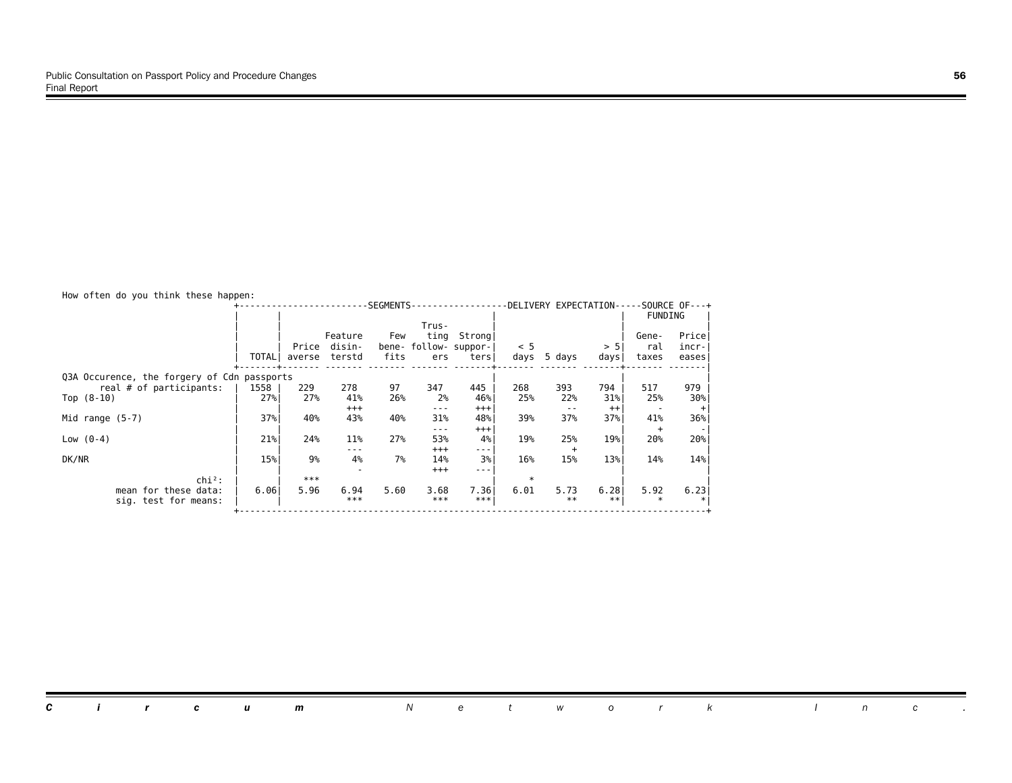|                                             |              |        |          | <b>SEGMENTS-</b> |                     |          |        | DELIVERY EXPECTATION- |         | <b>FUNDI NG</b> | SOURCE $0F---$ |
|---------------------------------------------|--------------|--------|----------|------------------|---------------------|----------|--------|-----------------------|---------|-----------------|----------------|
|                                             |              |        |          |                  | Trus-               |          |        |                       |         |                 |                |
|                                             |              |        | Feature  | Few              | ting                | Strong   |        |                       |         | Gene-           | Pri ce         |
|                                             |              | Pri ce | di si n- |                  | bene-follow-suppor- |          | < 5    |                       | > 5     | ral             | incr-          |
|                                             | <b>TOTAL</b> | averse | terstd   | fits             | ers                 | ters     | days   | 5 days                | days!   | taxes           | eases          |
| Q3A Occurence, the forgery of Cdn passports |              |        |          |                  |                     |          |        |                       |         |                 |                |
| real # of participants:                     | 1558         | 229    | 278      | 97               | 347                 | 445      | 268    | 393                   | 794     | 517             | 979            |
| Top $(8-10)$                                | 27%          | 27%    | 41%      | 26%              | 2%                  | 46%      | 25%    | 22%                   | 31%     | 25%             | 30%            |
|                                             |              |        | $^{+++}$ |                  | $- - -$             | $^{+++}$ |        | $ -$                  | $^{++}$ |                 |                |
| Mid range $(5-7)$                           | 37%          | 40%    | 43%      | 40%              | 31%                 | 48%      | 39%    | 37%                   | 37%     | 41%             | 36%            |
|                                             |              |        |          |                  | $- - -$             | $^{+++}$ |        |                       |         | $^{+}$          |                |
| Low $(0-4)$                                 | 21%          | 24%    | 11%      | 27%              | 53%                 | 4%       | 19%    | 25%                   | 19%     | 20%             | 20%            |
|                                             |              |        | $- - -$  |                  | $^{+++}$            | $- - -$  |        | $\pm$                 |         |                 |                |
| DK/NR                                       | 15%          | 9%     | 4%       | 7%               | 14%                 | 3%       | 16%    | 15%                   | 13%     | 14%             | 14%            |
|                                             |              |        |          |                  | $^{+++}$            | $- - -$  |        |                       |         |                 |                |
| $chi^2$ :                                   |              | ***    |          |                  |                     |          | $\ast$ |                       |         |                 |                |
| mean for these data:                        | 6.06         | 5.96   | 6.94     | 5.60             | 3.68                | 7.36     | 6.01   | 5.73                  | 6.28    | 5.92            | 6.23           |
| sig. test for means:                        |              |        | ***      |                  | ***                 | ***      |        | $**$                  | $***$   |                 | $*$            |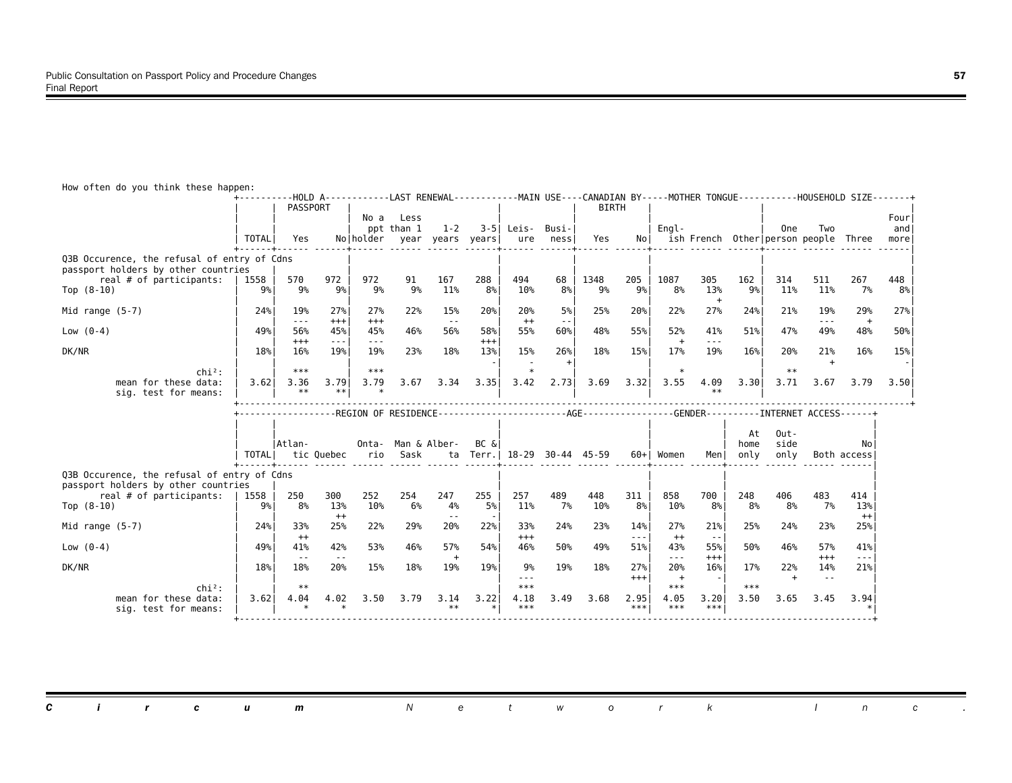#### +----------HOLD A------------LAST RENEWAL------------MAIN USE----CANADIAN BY-----MOTHER TONGUE-----------HOUSEHOLD SIZE-------+ | | PASSPORT | | | BIRTH | | |  $|\hspace{.6cm}|\hspace{.6cm}|\hspace{.6cm}$  No a Less  $|\hspace{.6cm}|\hspace{.6cm}|\hspace{.6cm}|\hspace{.6cm}|\hspace{.6cm}|\hspace{.6cm}|\hspace{.6cm}|\hspace{.6cm}|\hspace{.6cm}|\hspace{.6cm}|\hspace{.6cm}|\hspace{.6cm}|\hspace{.6cm}|\hspace{.6cm}|\hspace{.6cm}|\hspace{.6cm}|\hspace{.6cm}|\hspace{.6cm}|\hspace{.6cm}|\hspace{.6cm}|\hspace{.6cm}|\hspace{.6cm}|\hspace{.6cm$  $|$  | ppt than 1 1-2 3-5| Leis-Busi- $|$  | Engl-  $|$  One Two and | TOTAL| Yes No|holder year years years| ure ness| Yes No| ish French Other|person people Three more| +------+------ ------+------ ------ ------ ------+------ ------+------ ------+------ ------ ------+------ ------ ------ ------| Q3B Occurence, the refusal of entry of Cdns passport holders by other countries | | | | | | | real # of participants: | 1558 | 570 972 | 972 91 167 288 | 494 68 | 1348 205 | 1087 305 162 | 314 511 267 448 | Top (8-10) | 9%| 9% 9%| 9% 9% 11% 8%| 10% 8%| 9% 9%| 8% 13% 9%| 11% 11% 7% 8%| | | | | | | + | | Mid range (5-7) | 24%| 19% 27%| 27% 22% 15% 20%| 20% 5%| 25% 20%| 22% 27% 24%| 21% 19% 29% 27%| | | --- +++| +++ -- | ++ --| | | --- + | Low (0-4) | 49%| 56% 45%| 45% 46% 56% 58%| 55% 60%| 48% 55%| 52% 41% 51%| 47% 49% 48% 50%| | | +++ ---| --- +++| | | + --- | | DK/NR | 18%| 16% 19%| 19% 23% 18% 13%| 15% 26%| 18% 15%| 17% 19% 16%| 20% 21% 16% 15%| | | | -| - +| | | + -| chi²: | | \*\*\* | \*\*\* | \* | | \* | \*\* | mean for these data: | 3.62| 3.36 3.79| 3.79 3.67 3.34 3.35| 3.42 2.73| 3.69 3.32| 3.55 4.09 3.30| 3.71 3.67 3.79 3.50| sig. test for means: +-----------------------------------------------------------------------------------------------------------------------------+ +------------------REGION OF RESIDENCE------------------------AGE-----------------GENDER----------INTERNET ACCESS------+ | | | | | | | | | | | At Out- | | |Atlan- Onta- Man & Alber- BC &| | | home side No|  $\text{tar}$  Terr. | 18-29 30-44 45-59 60+| Women Men| +------+------ ------ ------ ------ ------ ------+------ ------ ------ ------+------ ------+------ ------ ------ ------| Q3B Occurence, the refusal of entry of Cdns passport holders by other countries | | | | | real # of participants: | 1558 | 250 300 252 254 247 255 | 257 489 448 311 | 858 700 | 248 406 483 414 | Top (8-10) | 9%| 8% 13% 10% 6% 4% 5%| 11% 7% 10% 8%| 10% 8%| 8% 8% 7% 13%| | | ++ -- -| | | ++| Mid range (5-7) | 24%| 33% 25% 22% 29% 20% 22%| 33% 24% 23% 14%| 27% 21%| 25% 24% 23% 25%| | | ++ | +++ ---| ++ --| | Low (0-4) | 49%| 41% 42% 53% 46% 57% 54%| 46% 50% 49% 51%| 43% 55%| 50% 46% 57% 41%| | | -- -- + | | --- +++| +++ ---| DK/NR | 18%| 18% 20% 15% 18% 19% 19%| 9% 19% 18% 27%| 20% 16%| 17% 22% 14% 21%| | | | --- +++| + -| + -- | chi<sup>2</sup>:  $|$  \*\* \* \* | \*\*\* | \*\*\* | \*\*\* | \*\*\* | \*\*\* | \*\*\* | \*\*\* | \*\*\* | \*\*\* | \*\*\* | \*\*\* | \*\*\* | \*\*\* | \*\*\* | \*\*\* | \*\*\* | \*\*\* | \*\*\* | \*\*\* | \*\*\* | \*\*\* | \*\*\* | \*\*\* | \*\*\* | \*\*\* | \*\*\* | \*\*\* | \*\*\* | \*\*\* | \*\*\* | \*\*\* | \*\*\* | \*\*\* | \*\* mean for these data: | 3.62| 4.04 4.02 3.50 3.79 3.14 3.22| 4.18 3.49 3.68 2.95| 4.05 3.20| 3.50 3.65 3.45 3.94| sig. test for means: +----------------------------------------------------------------------------------------------------------------------+

How often do you think these happen: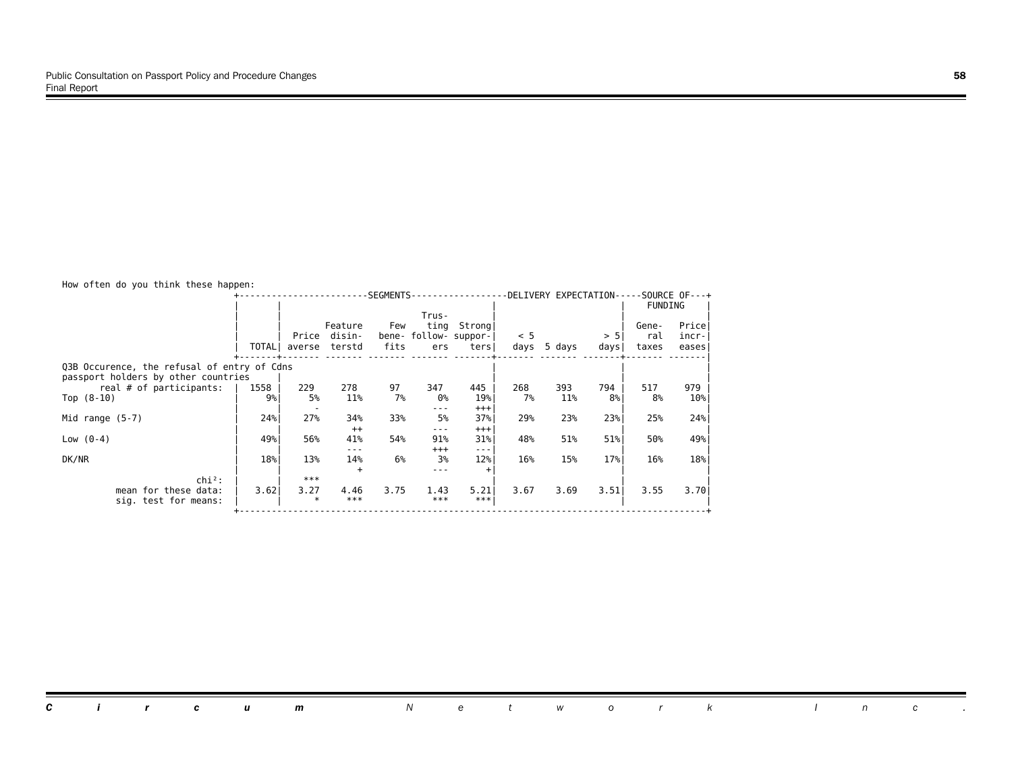### How often do you think these happen:

|                                             |              |        |           | <b>SEGMENTS-</b> |                     |             |      | DELIVERY EXPECTATION- |       |       | SOURCE $0F - -$ |
|---------------------------------------------|--------------|--------|-----------|------------------|---------------------|-------------|------|-----------------------|-------|-------|-----------------|
|                                             |              |        |           |                  |                     |             |      |                       |       |       |                 |
|                                             |              |        |           |                  |                     |             |      |                       |       |       |                 |
|                                             |              |        | Feature   | Few              |                     | ting Strong |      |                       |       | Gene- | Pri ce          |
|                                             |              | Pri ce | di si n-  |                  | bene-follow-suppor- |             | < 5  |                       | $> 5$ | ral   | i ncr-          |
|                                             | <b>TOTAL</b> | averse | terstd    | fits             | ers                 | ters        | days | 5 days                | days  | taxes | eases           |
| Q3B Occurence, the refusal of entry of Cdns |              |        |           |                  |                     |             |      |                       |       |       |                 |
| passport holders by other countries         |              |        |           |                  |                     |             |      |                       |       |       |                 |
| real # of participants:                     | 1558         | 229    | 278       | 97               | 347                 | 445         | 268  | 393                   | 794   | 517   | 979             |
| Top $(8-10)$                                | 9%           | 5%     | 11%       | 7%               | 0%                  | 19%         | 7%   | 11%                   | 8%    | 8%    | 10%             |
|                                             |              |        |           |                  | $- - -$             | $^{+++}$    |      |                       |       |       |                 |
| Mid range $(5-7)$                           | 24%          | 27%    | 34%       | 33%              | 5%                  | 37%         | 29%  | 23%                   | 23%   | 25%   | 24%             |
|                                             |              |        | $^{++}$   |                  | $- - -$             | $^{+++}$    |      |                       |       |       |                 |
| Low $(0-4)$                                 | 49%          | 56%    | 41%       | 54%              | 91%                 | 31%         | 48%  | 51%                   | 51%   | 50%   | 49%             |
|                                             |              |        | $- - -$   |                  | $^{+++}$            | $- - -$     |      |                       |       |       |                 |
| DK/NR                                       | 18%          | 13%    | 14%       | 6%               | 3%                  | 12%         | 16%  | 15%                   | 17%   | 16%   | 18%             |
|                                             |              |        | $\ddot{}$ |                  | $- - -$             |             |      |                       |       |       |                 |
| $chi^2$ :                                   |              | ***    |           |                  |                     |             |      |                       |       |       |                 |
| mean for these data:                        | 3.62         | 3.27   | 4.46      | 3.75             | 1.43                | 5.21        | 3.67 | 3.69                  | 3.51  | 3.55  | 3.70            |
| sig. test for means:                        |              | $\ast$ | ***       |                  | ***                 | ***         |      |                       |       |       |                 |
|                                             |              |        |           |                  |                     |             |      |                       |       |       |                 |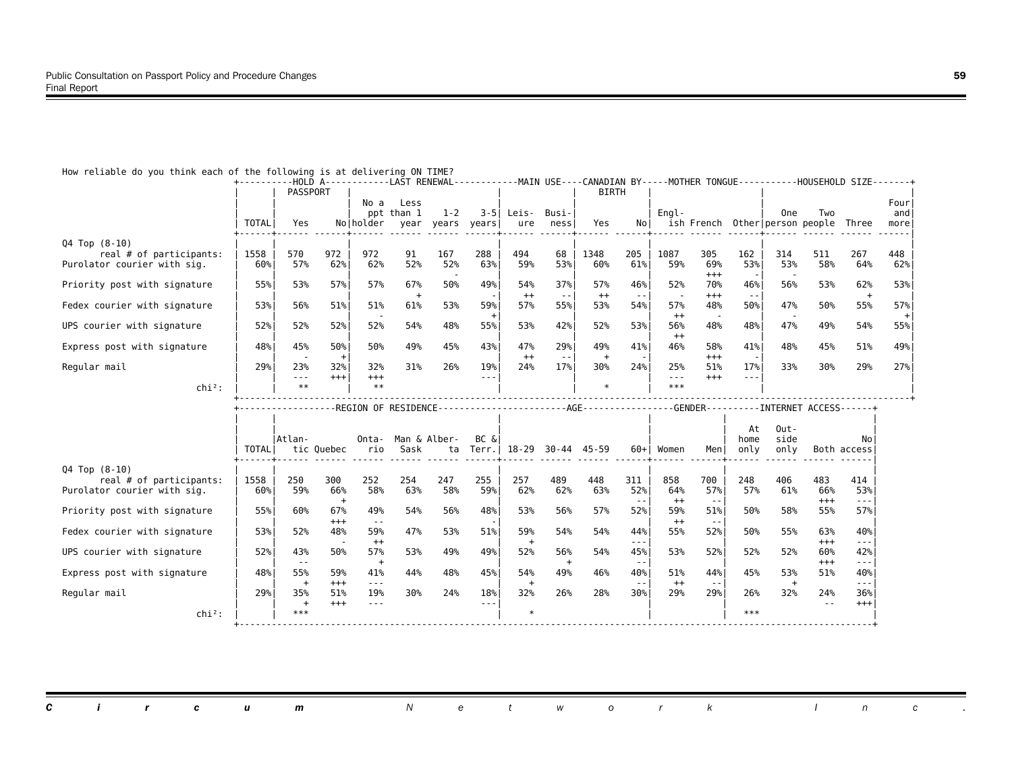|                                                        |              |                 |                          |                                                                                                                                                                                                                                                                                                                                                                                                                |                      |                  |                |                                            |                   | -HOLD A------------LAST RENEWAL------------MAIN USE----CANADIAN BY-----MOTHER TONGUE-----------HOUSEHOLD SIZE-------+ |                        |                |                                           |                             |                       |                 |                            |                       |
|--------------------------------------------------------|--------------|-----------------|--------------------------|----------------------------------------------------------------------------------------------------------------------------------------------------------------------------------------------------------------------------------------------------------------------------------------------------------------------------------------------------------------------------------------------------------------|----------------------|------------------|----------------|--------------------------------------------|-------------------|-----------------------------------------------------------------------------------------------------------------------|------------------------|----------------|-------------------------------------------|-----------------------------|-----------------------|-----------------|----------------------------|-----------------------|
|                                                        |              | <b>PASSPORT</b> |                          |                                                                                                                                                                                                                                                                                                                                                                                                                |                      |                  |                |                                            |                   | <b>BIRTH</b>                                                                                                          |                        |                |                                           |                             |                       |                 |                            |                       |
|                                                        |              |                 |                          | No a                                                                                                                                                                                                                                                                                                                                                                                                           | Less                 |                  |                |                                            |                   |                                                                                                                       |                        |                |                                           |                             |                       |                 |                            | Four                  |
|                                                        | <b>TOTAL</b> | Yes             |                          | No   hol der                                                                                                                                                                                                                                                                                                                                                                                                   | ppt than 1<br>year   | $1 - 2$<br>years | years          | $3-5$ Leis-<br>ure                         | Busi -<br>ness    | Yes                                                                                                                   | No                     | Engl-          | ish French Other   person people Three    |                             | 0ne                   | Two             |                            | and<br>more           |
| Q4 Top (8-10)                                          |              |                 |                          |                                                                                                                                                                                                                                                                                                                                                                                                                |                      |                  |                |                                            |                   |                                                                                                                       |                        |                |                                           |                             |                       |                 |                            |                       |
| real # of participants:<br>Purolator courier with sig. | 1558<br>60%  | 570<br>57%      | 972<br>62%               | 972<br>62%                                                                                                                                                                                                                                                                                                                                                                                                     | 91<br>52%            | 167<br>52%       | 288<br>63%     | 494<br>59%                                 | 68<br>53%         | 1348<br>60%                                                                                                           | 205<br>61%             | 1087<br>59%    | 305<br>69%                                | 162<br>53%                  | 314<br>53%            | 511<br>58%      | 267<br>64%                 | 448<br>62%            |
| Priority post with signature                           | 55%          | 53%             | 57%                      | 57%                                                                                                                                                                                                                                                                                                                                                                                                            | 67%<br>$+$           | 50%              | 49%            | 54%<br>$^{++}$                             | 37%<br>$\sim$ $-$ | 57%<br>$++$                                                                                                           | 46%<br>$\sim$ $-$      | 52%            | $^{+++}$<br>70%<br>$^{+++}$               | 46%<br>$\sim$ $-$           | 56%                   | 53%             | 62%                        | 53%                   |
| Fedex courier with signature                           | 53%          | 56%             | 51%                      | 51%                                                                                                                                                                                                                                                                                                                                                                                                            | 61%                  | 53%              | 59%<br>$+$     | 57%                                        | 55%               | 53%                                                                                                                   | 54%                    | 57%<br>$^{++}$ | 48%                                       | 50%                         | 47%                   | 50%             | 55%                        | 57%<br>$\overline{+}$ |
| UPS courier with signature                             | 52%          | 52%             | 52%                      | 52%                                                                                                                                                                                                                                                                                                                                                                                                            | 54%                  | 48%              | 55%            | 53%                                        | 42%               | 52%                                                                                                                   | 53%                    | 56%<br>$^{++}$ | 48%                                       | 48%                         | 47%                   | 49%             | 54%                        | 55%                   |
| Express post with signature                            | 48%          | 45%             | 50%<br>$+$               | 50%                                                                                                                                                                                                                                                                                                                                                                                                            | 49%                  | 45%              | 43%            | 47%<br>$^{++}$                             | 29%<br>$\sim$ $-$ | 49%<br>$+$                                                                                                            | 41%                    | 46%            | 58%<br>$^{+++}$                           | 41%                         | 48%                   | 45%             | 51%                        | 49%                   |
| Regular mail                                           | 29%          | 23%<br>$- - -$  | 32%<br>$^{+++}$          | 32%<br>$^{+++}$                                                                                                                                                                                                                                                                                                                                                                                                | 31%                  | 26%              | 19%<br>$- - -$ | 24%                                        | 17%               | 30%                                                                                                                   | 24%                    | 25%<br>- - -   | 51%<br>$^{+++}$                           | 17%<br>$\sim$ $\sim$ $\sim$ | 33%                   | 30%             | 29%                        | 27%                   |
| chi <sup>2</sup> :                                     |              | $**$            |                          | $**$                                                                                                                                                                                                                                                                                                                                                                                                           |                      |                  |                |                                            |                   |                                                                                                                       |                        | ***            |                                           |                             |                       |                 |                            |                       |
|                                                        |              |                 |                          |                                                                                                                                                                                                                                                                                                                                                                                                                |                      |                  |                | REGION OF RESIDENCE----------------------- |                   | - AGE- - - - - - - - - - - - - - - -                                                                                  |                        |                | - GENDER---------- INTERNET ACCESS------+ |                             |                       |                 |                            |                       |
|                                                        |              |                 |                          |                                                                                                                                                                                                                                                                                                                                                                                                                |                      |                  |                |                                            |                   |                                                                                                                       |                        |                |                                           |                             |                       |                 |                            |                       |
|                                                        |              |                 |                          |                                                                                                                                                                                                                                                                                                                                                                                                                |                      |                  |                |                                            |                   |                                                                                                                       |                        |                |                                           | At                          | $0$ ut-               |                 |                            |                       |
|                                                        | <b>TOTAL</b> | Atlan-          | tic Quebec               | Onta-<br>ri o                                                                                                                                                                                                                                                                                                                                                                                                  | Man & Alber-<br>Sask | ta               | BC &<br>Terr.  |                                            |                   | $18-29$ 30-44 45-59                                                                                                   |                        | $60+$ Women    | Men                                       | home<br>onl y               | side<br>onl y         |                 | No<br>Both access          |                       |
| $Q4$ Top $(8-10)$                                      |              |                 |                          |                                                                                                                                                                                                                                                                                                                                                                                                                |                      |                  |                |                                            |                   |                                                                                                                       |                        |                |                                           |                             |                       |                 |                            |                       |
| real # of participants:<br>Purolator courier with sig. | 1558<br>60%  | 250<br>59%      | 300<br>66%               | 252<br>58%                                                                                                                                                                                                                                                                                                                                                                                                     | 254<br>63%           | 247<br>58%       | 255<br>59%     | 257<br>62%                                 | 489<br>62%        | 448<br>63%                                                                                                            | 311<br>52%             | 858<br>64%     | 700<br>57%                                | 248<br>57%                  | 406<br>61%            | 483<br>66%      | 414<br>53%                 |                       |
| Priority post with signature                           | 55%          | 60%             | $+$<br>67%               | 49%                                                                                                                                                                                                                                                                                                                                                                                                            | 54%                  | 56%              | 48%            | 53%                                        | 56%               | 57%                                                                                                                   | $ -$<br>52%            | $^{++}$<br>59% | $\sim$ $-$<br>51%                         | 50%                         | 58%                   | $+++$<br>55%    | $- - -$<br>57%             |                       |
| Fedex courier with signature                           | 53%          | 52%             | $^{+++}$<br>48%          | $- -$<br>59%                                                                                                                                                                                                                                                                                                                                                                                                   | 47%                  | 53%              | 51%            | 59%                                        | 54%               | 54%                                                                                                                   | 44%                    | $^{++}$<br>55% | $- -$<br>52%                              | 50%                         | 55%                   | 63%             | 40%                        |                       |
| UPS courier with signature                             | 52%          | 43%<br>$ -$     | 50%                      | $^{++}$<br>57%                                                                                                                                                                                                                                                                                                                                                                                                 | 53%                  | 49%              | 49%            | 52%                                        | 56%               | 54%                                                                                                                   | $- - -$<br>45%<br>$ -$ | 53%            | 52%                                       | 52%                         | 52%                   | $+++$<br>60%    | $- - -$<br>42%<br>$- - -$  |                       |
| Express post with signature                            | 48%          | 55%             | 59%                      | $+$<br>41%                                                                                                                                                                                                                                                                                                                                                                                                     | 44%                  | 48%              | 45%            | 54%                                        | $+$<br>49%        | 46%                                                                                                                   | 40%                    | 51%            | 44%                                       | 45%                         | 53%                   | $^{+++}$<br>51% | 40%                        |                       |
| Regular mail                                           | 29%          | $+$<br>35%      | $^{+++}$<br>51%<br>$+++$ | $\frac{1}{2} \frac{1}{2} \frac{1}{2} \frac{1}{2} \frac{1}{2} \frac{1}{2} \frac{1}{2} \frac{1}{2} \frac{1}{2} \frac{1}{2} \frac{1}{2} \frac{1}{2} \frac{1}{2} \frac{1}{2} \frac{1}{2} \frac{1}{2} \frac{1}{2} \frac{1}{2} \frac{1}{2} \frac{1}{2} \frac{1}{2} \frac{1}{2} \frac{1}{2} \frac{1}{2} \frac{1}{2} \frac{1}{2} \frac{1}{2} \frac{1}{2} \frac{1}{2} \frac{1}{2} \frac{1}{2} \frac{$<br>19%<br>$- - -$ | 30%                  | 24%              | 18%<br>$- - -$ | 32%                                        | 26%               | 28%                                                                                                                   | 30%                    | $^{++}$<br>29% | $- -$<br>29%                              | 26%                         | $\overline{+}$<br>32% | 24%             | $- - -$<br>36%<br>$^{+++}$ |                       |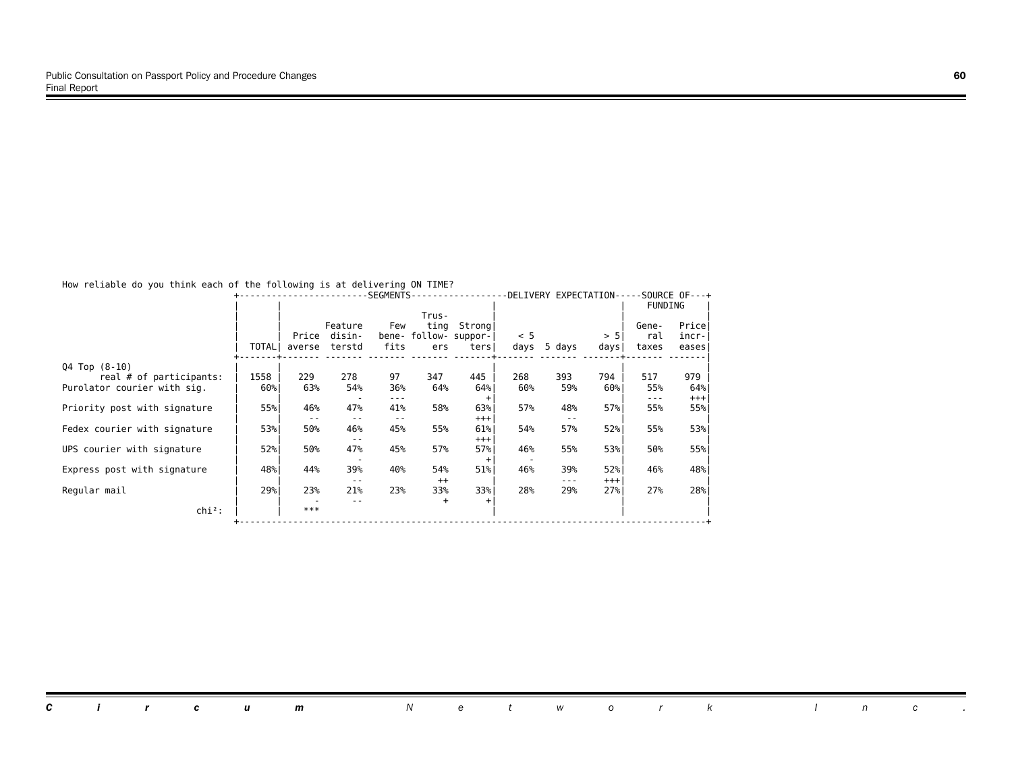|                              |              |                               |          | <b>SEGMENTS-</b> |                |           |      | DELIVERY EXPECTATION- |               |         | SOURCE $0F---$ |
|------------------------------|--------------|-------------------------------|----------|------------------|----------------|-----------|------|-----------------------|---------------|---------|----------------|
|                              |              |                               |          |                  |                |           |      |                       |               |         |                |
|                              |              |                               |          |                  | Trus-          |           |      |                       |               |         |                |
|                              |              | ting Strong<br>Feature<br>Few |          |                  |                |           |      |                       |               |         | Pri ce         |
|                              |              | Pri ce                        | di si n- | bene-            | follow-suppor- |           | < 5  |                       | > 5           | ral     | i ncr-         |
|                              | <b>TOTAL</b> | averse                        | terstd   | fits             | ers            | ters      | days | 5 days                | $_{\rm days}$ | taxes   | eases          |
| $Q4$ Top $(8-10)$            |              |                               |          |                  |                |           |      |                       |               |         |                |
| real # of participants:      | 1558         | 229                           | 278      | 97               | 347            | 445       | 268  | 393                   | 794           | 517     | 979            |
| Purolator courier with sig.  | 60%          | 63%                           | 54%      | 36%              | 64%            | 64%       | 60%  | 59%                   | 60%           | 55%     | 64%            |
|                              |              |                               |          | $- - -$          |                |           |      |                       |               | $- - -$ | $^{+++}$       |
| Priority post with signature | 55%          | 46%                           | 47%      | 41%              | 58%            | 63%       | 57%  | 48%                   | 57%           | 55%     | 55%            |
|                              |              |                               |          | $ -$             |                | $^{+++}$  |      |                       |               |         |                |
| Fedex courier with signature | 53%          | 50%                           | 46%      | 45%              | 55%            | 61%       | 54%  | 57%                   | 52%           | 55%     | 53%            |
|                              |              |                               |          |                  |                | $^{+++}$  |      |                       |               |         |                |
| UPS courier with signature   | 52%          | 50%                           | 47%      | 45%              | 57%            | 57%       | 46%  | 55%                   | 53%           | 50%     | 55%            |
|                              |              |                               |          |                  |                | $\ddot{}$ |      |                       |               |         |                |
| Express post with signature  | 48%          | 44%                           | 39%      | 40%              | 54%            | 51%       | 46%  | 39%                   | 52%           | 46%     | 48%            |
|                              |              |                               | $ -$     |                  | $^{++}$        |           |      | $- - -$               | $^{+++}$      |         |                |
| Regular mail                 | 29%          | 23%                           | 21%      | 23%              | 33%            | 33%       | 28%  | 29%                   | 27%           | 27%     | 28%            |
|                              |              |                               |          |                  | $\ddot{}$      |           |      |                       |               |         |                |
| $chi^2$ :                    |              | $***$                         |          |                  |                |           |      |                       |               |         |                |
|                              |              |                               |          |                  |                |           |      |                       |               |         |                |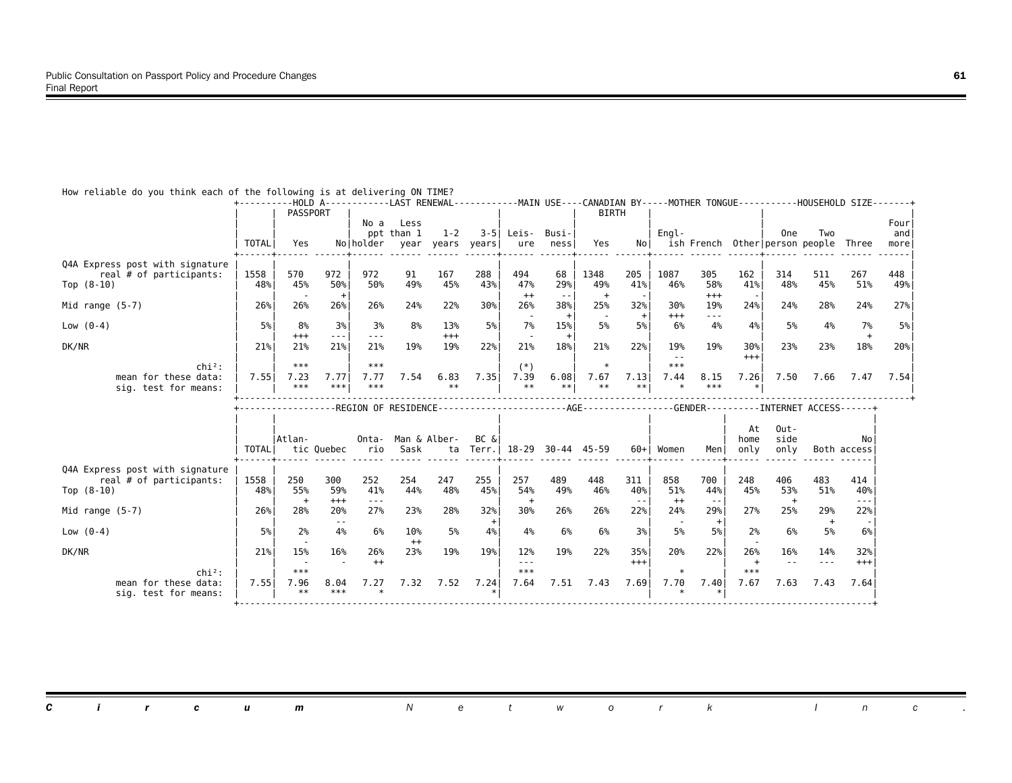|                                                                            |              | -HOLD A-----------LAST RENEWAL-----------MAIN USE----CANADIAN BY-----MOTHER TONGUE-----------HOUSEHOLD SIZE--<br><b>PASSPORT</b> |                                                                                                                                                                                                                                                                                                                                                                                                     |                                            |                      |                             |                  | <b>BIRTH</b>           |                         |                                     |                  |                |                                           |                                 |                          |            |                   |                     |
|----------------------------------------------------------------------------|--------------|----------------------------------------------------------------------------------------------------------------------------------|-----------------------------------------------------------------------------------------------------------------------------------------------------------------------------------------------------------------------------------------------------------------------------------------------------------------------------------------------------------------------------------------------------|--------------------------------------------|----------------------|-----------------------------|------------------|------------------------|-------------------------|-------------------------------------|------------------|----------------|-------------------------------------------|---------------------------------|--------------------------|------------|-------------------|---------------------|
|                                                                            | <b>TOTAL</b> | Yes                                                                                                                              |                                                                                                                                                                                                                                                                                                                                                                                                     | No a<br>No   hol der                       | Less<br>ppt than 1   | $1 - 2$<br>year years years |                  | $3-5$ Leis-<br>ure     | Busi-<br>ness           | Yes                                 | No l             | Engl-          | ish French Other person people Three      |                                 | 0 <sub>ne</sub>          | Two        |                   | Four<br>and<br>more |
| Q4A Express post with signature<br>real # of participants:<br>Top $(8-10)$ | 1558<br>48%  | 570<br>45%                                                                                                                       | 972<br>50%                                                                                                                                                                                                                                                                                                                                                                                          | 972<br>50%                                 | 91<br>49%            | 167<br>45%                  | 288<br>43%       | 494<br>47%<br>$^{++}$  | 68<br>29%<br>$\sim$ $-$ | 1348<br>49%                         | 205<br>41%       | 1087<br>46%    | 305<br>58%<br>$^{+++}$                    | 162<br>41%                      | 314<br>48%               | 511<br>45% | 267<br>51%        | 448<br>49%          |
| Mid range $(5-7)$                                                          | 26%          | 26%                                                                                                                              | $+$<br>26%                                                                                                                                                                                                                                                                                                                                                                                          | 26%                                        | 24%                  | 22%                         | 30%              | 26%                    | 38%                     | $^{+}$<br>25%                       | 32%              | 30%            | 19%                                       | 24%                             | 24%                      | 28%        | 24%               | 27%                 |
| Low $(0-4)$                                                                | 5%           | 8%                                                                                                                               | 3%                                                                                                                                                                                                                                                                                                                                                                                                  | 3%                                         | 8%                   | 13%                         | 5%               | 7%                     | $+$<br>15%              | 5%                                  | $+$<br>5%        | $^{+++}$<br>6% | - - -<br>4%                               | 4%                              | 5%                       | 4%         | 7%                | 5%                  |
| DK/NR                                                                      | 21%          | $^{+++}$<br>21%                                                                                                                  | $\frac{1}{2} \frac{1}{2} \frac{1}{2} \frac{1}{2} \frac{1}{2} \frac{1}{2} \frac{1}{2} \frac{1}{2} \frac{1}{2} \frac{1}{2} \frac{1}{2} \frac{1}{2} \frac{1}{2} \frac{1}{2} \frac{1}{2} \frac{1}{2} \frac{1}{2} \frac{1}{2} \frac{1}{2} \frac{1}{2} \frac{1}{2} \frac{1}{2} \frac{1}{2} \frac{1}{2} \frac{1}{2} \frac{1}{2} \frac{1}{2} \frac{1}{2} \frac{1}{2} \frac{1}{2} \frac{1}{2} \frac{$<br>21% | $- - -$<br>21%                             | 19%                  | $^{+++}$<br>19%             | 22%              | 21%                    | $+$<br>18%              | 21%                                 | 22%              | 19%<br>$ -$    | 19%                                       | 30%<br>$^{+++}$                 | 23%                      | 23%        | 18%               | 20%                 |
| $chi^2$ :<br>mean for these data:<br>sig. test for means:                  | 7.55         | ***<br>7.23<br>***                                                                                                               | 7.77<br>***                                                                                                                                                                                                                                                                                                                                                                                         | ***<br>7.77<br>$***$                       | 7.54                 | 6.83<br>**                  | 7.35             | $(*)$<br>7.39<br>$***$ | 6.08<br>$***$           | $\ast$<br>7.67<br>$**$              | 7.13<br>**       | ***<br>7.44    | 8.15<br>***                               | 7.26                            | 7.50                     | 7.66       | 7.47              | 7.54                |
|                                                                            |              |                                                                                                                                  |                                                                                                                                                                                                                                                                                                                                                                                                     | - REGION OF RESIDENCE--------------------- |                      |                             |                  |                        |                         | - AGE - - - - - - - - - - - - - - - |                  |                | - GENDER---------- INTERNET ACCESS------+ |                                 |                          |            |                   |                     |
|                                                                            | <b>TOTAL</b> | Atl an-                                                                                                                          | tic Quebec                                                                                                                                                                                                                                                                                                                                                                                          | Onta-<br>ri o                              | Man & Alber-<br>Sask |                             | BC &<br>ta Terr. |                        |                         | $18-29$ 30-44 45-59                 |                  | $60+1$ Women   | Men                                       | At<br>home<br>onl y             | $0$ ut-<br>side<br>onl y |            | No<br>Both access |                     |
| Q4A Express post with signature<br>real # of participants:<br>Top $(8-10)$ | 1558<br>48%  | 250<br>55%                                                                                                                       | 300<br>59%                                                                                                                                                                                                                                                                                                                                                                                          | 252<br>41%                                 | 254<br>44%           | 247<br>48%                  | 255<br>45%       | 257<br>54%             | 489<br>49%              | 448<br>46%                          | 311<br>40%       | 858<br>51%     | 700<br>44%                                | 248<br>45%                      | 406<br>53%               | 483<br>51% | 414<br>40%        |                     |
| Mid range $(5-7)$                                                          | 26%          | $+$<br>28%                                                                                                                       | $^{+++}$<br>20%                                                                                                                                                                                                                                                                                                                                                                                     | $- - -$<br>27%                             | 23%                  | 28%                         | 32%              | 30%                    | 26%                     | 26%                                 | 22%              | $^{++}$<br>24% | $- -$<br>29%                              | 27%                             | $\overline{+}$<br>25%    | 29%        | $- - -$<br>22%    |                     |
| Low $(0-4)$                                                                | 5%           | 2%                                                                                                                               | $- -$<br>4%                                                                                                                                                                                                                                                                                                                                                                                         | 6%                                         | 10%<br>$^{++}$       | 5%                          | $\ddot{}$<br>4%  | 4%                     | 6%                      | 6%                                  | 3%               | 5%             | 5%                                        | 2%                              | 6%                       | 5%         | 6%                |                     |
| DK/NR                                                                      | 21%          | 15%                                                                                                                              | 16%                                                                                                                                                                                                                                                                                                                                                                                                 | 26%                                        | 23%                  | 19%                         | 19%              | 12%<br>$- - -$         | 19%                     | 22%                                 | 35%              | 20%            | 22%                                       | 26%                             | 16%                      | 14%        | 32%               |                     |
| chi $^2$ :<br>mean for these data:<br>sig. test for means:                 | 7.55         | $***$<br>7.96<br>$***$                                                                                                           | 8.04<br>***                                                                                                                                                                                                                                                                                                                                                                                         | $^{++}$<br>7.27                            | 7.32                 | 7.52                        | 7.24             | $***$<br>7.64          | 7.51                    | 7.43                                | $^{+++}$<br>7.69 | $\ast$<br>7.70 | 7.40                                      | $\overline{+}$<br>$***$<br>7.67 | $- -$<br>7.63            | 7.43       | $^{+++}$<br>7.64  |                     |

| <b>Circum</b> Network Inc. |  |
|----------------------------|--|
|----------------------------|--|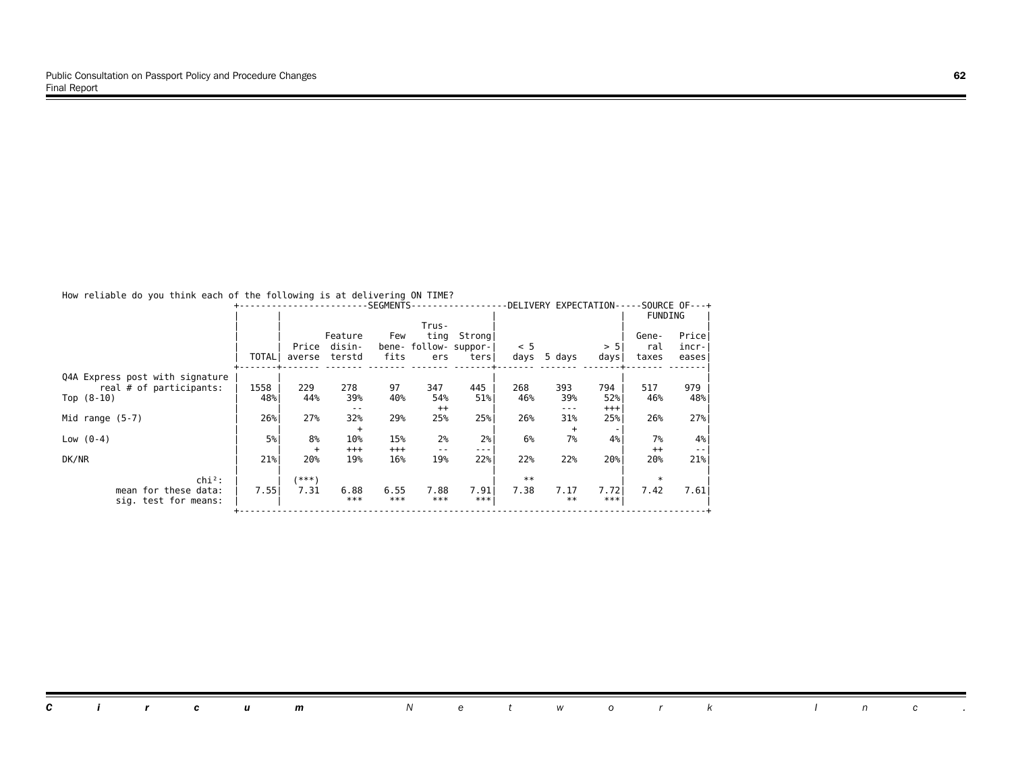|                                 |              |                 |           | <b>SEGMENTS-</b> |                |         |       | DELIVERY EXPECTATION |          |         | SOURCE $0F---$ |
|---------------------------------|--------------|-----------------|-----------|------------------|----------------|---------|-------|----------------------|----------|---------|----------------|
|                                 |              | <b>FUNDI NG</b> |           |                  |                |         |       |                      |          |         |                |
|                                 |              |                 |           |                  | Trus-          |         |       |                      |          |         |                |
|                                 |              |                 | Feature   | Few              | ting           | Strong  |       |                      |          | Gene-   | Pri ce         |
|                                 |              | Pri ce          | di si n-  | bene-            | follow-suppor- |         | < 5   |                      | $> 5$    | ral     | i ncr-         |
|                                 | <b>TOTAL</b> | averse          | terstd    | fits             | ers            | ters    | days  | 5 days               | days⊥    | taxes   | eases          |
| Q4A Express post with signature |              |                 |           |                  |                |         |       |                      |          |         |                |
| real # of participants:         | 1558         | 229             | 278       | 97               | 347            | 445     | 268   | 393                  | 794      | 517     | 979            |
| Top $(8-10)$                    | 48%          | 44%             | 39%       | 40%              | 54%            | 51%     | 46%   | 39%                  | 52%      | 46%     | 48%            |
|                                 |              |                 | $ -$      |                  | $^{++}$        |         |       | $- - -$              | $^{+++}$ |         |                |
| Mid range $(5-7)$               | 26%          | 27%             | 32%       | 29%              | 25%            | 25%     | 26%   | 31%                  | 25%      | 26%     | 27%            |
|                                 |              |                 | $\ddot{}$ |                  |                |         |       | $\ddot{}$            |          |         |                |
| Low $(0-4)$                     | 5%           | 8%              | 10%       | 15%              | 2%             | 2%      | 6%    | 7%                   | 4%       | 7%      | 4%             |
|                                 |              | $+$             | $^{+++}$  | $^{+++}$         | $ -$           | $- - -$ |       |                      |          | $^{++}$ | $- -$          |
| DK/NR                           | 21%          | 20%             | 19%       | 16%              | 19%            | 22%     | 22%   | 22%                  | 20%      | 20%     | 21%            |
| $chi^2$ :                       |              | $(***)$         |           |                  |                |         | $* *$ |                      |          |         |                |
| mean for these data:            | 7.55         | 7.31            | 6.88      | 6.55             | 7.88           | 7.91    | 7.38  | 7.17                 | 7.72     | 7.42    | 7.61           |
| sig. test for means:            |              |                 | ***       | ***              | ***            | ***     |       | $***$                | ***      |         |                |
|                                 |              |                 |           |                  |                |         |       |                      |          |         |                |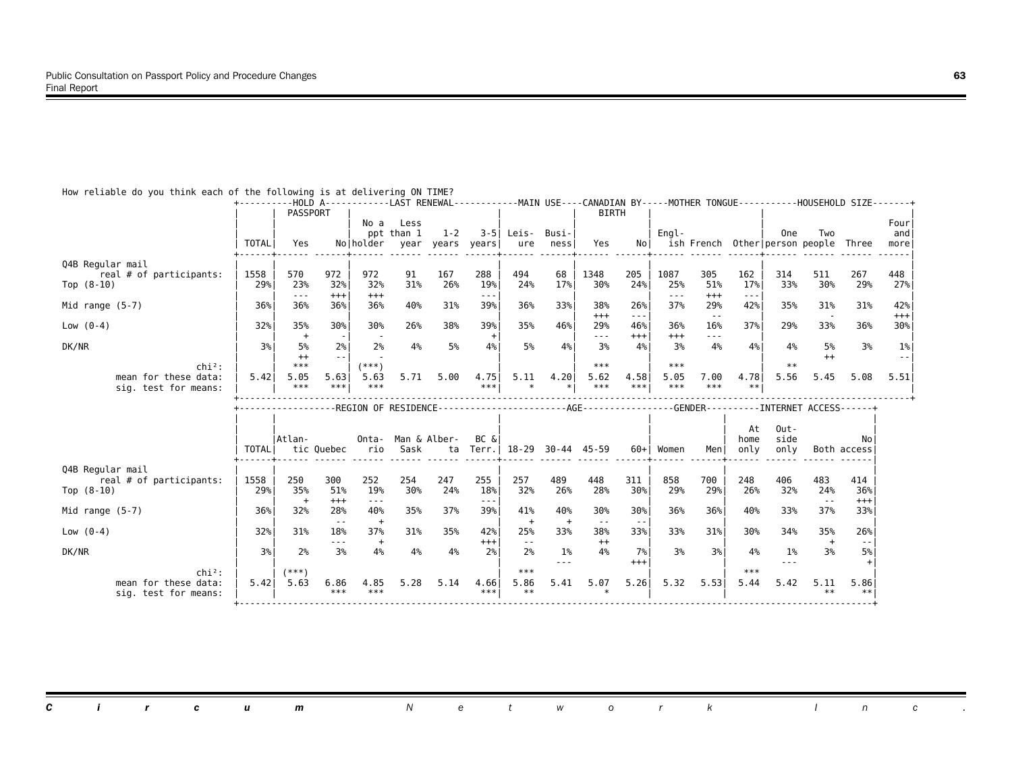|                                                           |              |                        |                 | -HOLD A-----------LAST RENEWAL------------MAIN USE----CANADIAN BY-----MOTHER TONGUE-----------HOUSEHOLD SIZE--- |                      |                             |                     |                      |               | <b>BIRTH</b>                       |                 |                      |                                            |                             |                          |               |                   |                     |
|-----------------------------------------------------------|--------------|------------------------|-----------------|-----------------------------------------------------------------------------------------------------------------|----------------------|-----------------------------|---------------------|----------------------|---------------|------------------------------------|-----------------|----------------------|--------------------------------------------|-----------------------------|--------------------------|---------------|-------------------|---------------------|
|                                                           | <b>TOTAL</b> | <b>PASSPORT</b><br>Yes |                 | No a<br>No   hol der                                                                                            | Less<br>ppt than 1   | $1 - 2$<br>year years years |                     | $3-5$ Leis-<br>ure   | Busi-<br>ness | Yes                                | No <sub>1</sub> | $Engl -$             | ish French Other person people Three       |                             | <b>One</b>               | Two           |                   | Four<br>and<br>more |
| Q4B Regular mail<br>real # of participants:               | 1558         | 570                    | 972             | 972                                                                                                             | 91                   | 167                         | 288                 | 494                  | 68            | 1348                               | 205             | 1087                 | 305                                        | 162                         | 314                      | 511           | 267               | 448                 |
| Top $(8-10)$                                              | 29%          | 23%<br>$- - -$         | 32%<br>$^{+++}$ | 32%<br>$^{+++}$                                                                                                 | 31%                  | 26%                         | 19%<br>$- - -$      | 24%                  | 17%           | 30%                                | 24%             | 25%<br>$- - -$       | 51%<br>$^{+++}$                            | 17%<br>$\sim$ $\sim$ $\sim$ | 33%                      | 30%           | 29%               | 27%                 |
| Mid range $(5-7)$                                         | 36%          | 36%                    | 36%             | 36%                                                                                                             | 40%                  | 31%                         | 39%                 | 36%                  | 33%           | 38%<br>$^{+++}$                    | 26%<br>$- - -$  | 37%                  | 29%<br>$- -$                               | 42%                         | 35%                      | 31%           | 31%               | 42%<br>$^{+++}$     |
| Low $(0-4)$                                               | 32%          | 35%<br>$\overline{1}$  | 30%             | 30%                                                                                                             | 26%                  | 38%                         | 39%                 | 35%                  | 46%           | 29%<br>$- - -$                     | 46%<br>$^{+++}$ | 36%<br>$^{+++}$      | 16%<br>$- - -$                             | 37%                         | 29%                      | 33%           | 36%               | 30%                 |
| DK/NR                                                     | 3%           | 5%<br>$^{++}$          | 2%<br>$- -$     | $2\%$                                                                                                           | 4%                   | 5%                          | 4%                  | 5%                   | 4%            | 3%                                 | 4%              | 3%                   | 4%                                         | 4%                          | 4%                       | 5%<br>$^{++}$ | 3%                | 1%<br>$- -$         |
| $chi^2$ :<br>mean for these data:<br>sig. test for means: | 5.42         | ***<br>5.05<br>$***$   | 5.63<br>***     | $(***)$<br>5.63<br>$***$                                                                                        | 5.71                 | 5.00                        | 4.75<br>$***$       | 5.11                 | 4.20          | ***<br>5.62<br>$***$               | 4.58<br>$***$   | ***<br>5.05<br>$***$ | 7.00<br>***                                | 4.78                        | $**$<br>5.56             | 5.45          | 5.08              | 5.51                |
|                                                           |              |                        |                 | - REGION OF RESIDENCE--------------------                                                                       |                      |                             |                     |                      |               | - AGE- - - - - - - - - - - - - - - |                 |                      | - GENDER--------- - INTERNET ACCESS------+ |                             |                          |               |                   |                     |
|                                                           | <b>TOTAL</b> | Atl an-                | tic Quebec      | Onta-<br>ri o                                                                                                   | Man & Alber-<br>Sask |                             | $BC \&$<br>ta Terr. | 18-29 30-44 45-59    |               |                                    |                 | $60+1$ Women         | Men                                        | At<br>home<br>onl y         | $0$ ut-<br>side<br>onl y |               | No<br>Both access |                     |
| Q4B Regular mail<br>real # of participants:               | 1558         | 250                    | 300             | 252                                                                                                             | 254                  | 247                         | 255                 | 257                  | 489           | 448                                | 311             | 858                  | 700                                        | 248                         | 406                      | 483           | 414               |                     |
| Top $(8-10)$                                              | 29%          | 35%<br>$+$             | 51%<br>$^{+++}$ | 19%<br>$- - -$                                                                                                  | 30%                  | 24%                         | 18%<br>$- - -$      | 32%                  | 26%           | 28%                                | 30%             | 29%                  | 29%                                        | 26%                         | 32%                      | 24%<br>$ -$   | 36%<br>$^{+++}$   |                     |
| Mid range $(5-7)$                                         | 36%          | 32%                    | 28%             | 40%<br>$+$                                                                                                      | 35%                  | 37%                         | 39%                 | 41%<br>$^{+}$        | 40%<br>$+$    | 30%                                | 30%             | 36%                  | 36%                                        | 40%                         | 33%                      | 37%           | 33%               |                     |
| Low $(0-4)$                                               | 32%          | 31%                    | 18%<br>$- - -$  | 37%<br>$+$                                                                                                      | 31%                  | 35%                         | 42%<br>$^{+++}$     | 25%<br>$\sim$ $\sim$ | 33%           | 38%<br>$^{++}$                     | 33%             | 33%                  | 31%                                        | 30%                         | 34%                      | 35%           | 26%<br>$- -$      |                     |
| DK/NR                                                     | 3%           | 2%                     | 3%              | 4%                                                                                                              | 4%                   | 4%                          | 2%                  | 2%                   | 1%<br>$- - -$ | 4%                                 | 7%<br>$^{+++}$  | 3%                   | 3%                                         | 4%                          | 1%<br>$- - -$            | 3%            | 5%                |                     |
| $chi^2$ :<br>mean for these data:<br>sig. test for means: | 5.42         | $(***)$<br>5.63        | 6.86<br>***     | 4.85<br>***                                                                                                     | 5.28                 | 5.14                        | 4.66<br>***         | ***<br>5.86<br>$* *$ | 5.41          | 5.07                               | 5.26            | 5.32                 | 5.53                                       | ***<br>5.44                 | 5.42                     | 5.11<br>**    | 5.86<br>**        |                     |

| <b>Circum</b> Network Inc. |
|----------------------------|
|----------------------------|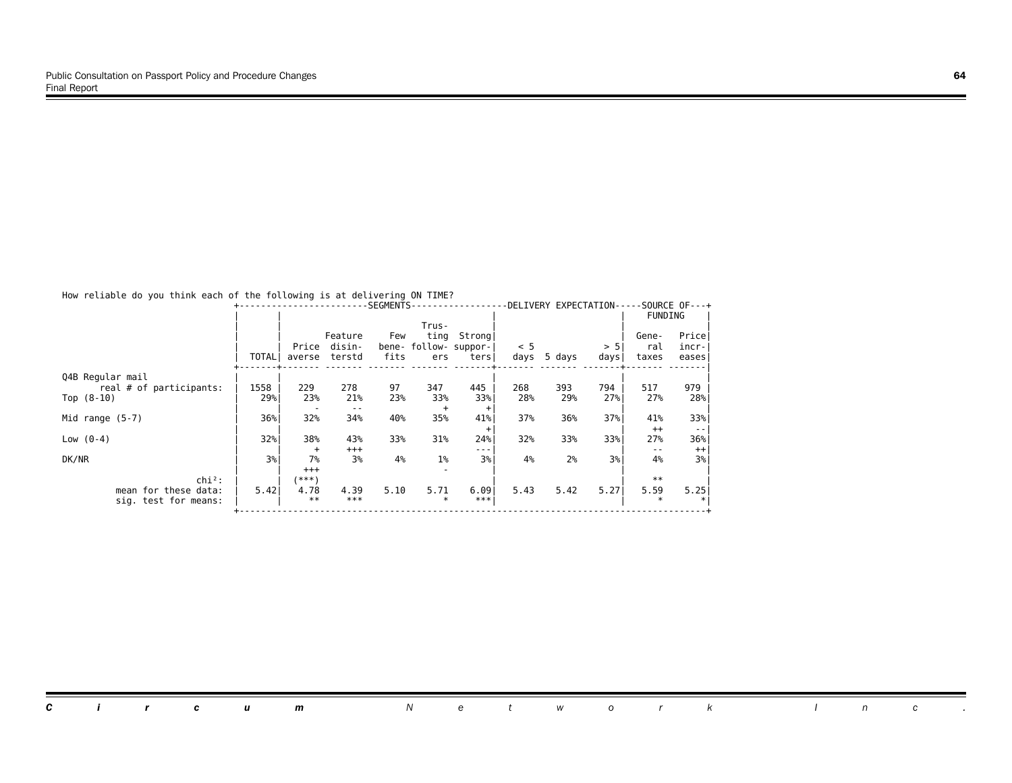|                         |              |          |          | <b>SEGMENTS-</b> |                     |        |      | DELIVERY EXPECTATION |      |                 | SOURCE OF-- |
|-------------------------|--------------|----------|----------|------------------|---------------------|--------|------|----------------------|------|-----------------|-------------|
|                         |              |          |          |                  |                     |        |      |                      |      | <b>FUNDI NG</b> |             |
|                         |              |          |          |                  | Trus-               |        |      |                      |      |                 |             |
|                         |              |          | Feature  | Few              | ting                | Strong |      |                      |      | Gene-           | Pri ce      |
|                         |              | Pri ce   | di si n- |                  | bene-follow-suppor- |        | < 5  |                      | > 5  | ral             | i ncr-      |
|                         | <b>TOTAL</b> | averse   | terstd   | fits             | ers                 | ters   | days | 5 days               | days | taxes           | eases       |
| Q4B Regular mail        |              |          |          |                  |                     |        |      |                      |      |                 |             |
| real # of participants: | 1558         | 229      | 278      | 97               | 347                 | 445    | 268  | 393                  | 794  | 517             | 979         |
| Top $(8-10)$            | 29%          | 23%      | 21%      | 23%              | 33%                 | 33%    | 28%  | 29%                  | 27%  | 27%             | 28%         |
|                         |              |          |          |                  | $^{+}$              | $^{+}$ |      |                      |      |                 |             |
| Mid range $(5-7)$       | 36%          | 32%      | 34%      | 40%              | 35%                 | 41%    | 37%  | 36%                  | 37%  | 41%             | 33%         |
|                         |              |          |          |                  |                     | $^{+}$ |      |                      |      | $^{++}$         | $- -$       |
| Low $(0-4)$             | 32%          | 38%      | 43%      | 33%              | 31%                 | 24%    | 32%  | 33%                  | 33%  | 27%             | 36%         |
|                         |              | $^{+}$   | $^{+++}$ |                  |                     | - - -  |      |                      |      | $ -$            | $^{++}$     |
| DK/NR                   | 3%           | 7%       | 3%       | 4%               | 1%                  | 3%     | 4%   | 2%                   | 3%   | 4%              | 3%          |
|                         |              | $^{+++}$ |          |                  |                     |        |      |                      |      |                 |             |
| $chi^2$ :               |              | (***)    |          |                  |                     |        |      |                      |      | $***$           |             |
| mean for these data:    | 5.42         | 4.78     | 4.39     | 5.10             | 5.71                | 6.09   | 5.43 | 5.42                 | 5.27 | 5.59            | 5.25        |
| sig. test for means:    |              | **       | ***      |                  |                     | ***    |      |                      |      |                 | $\ast$      |
|                         |              |          |          |                  |                     |        |      |                      |      |                 |             |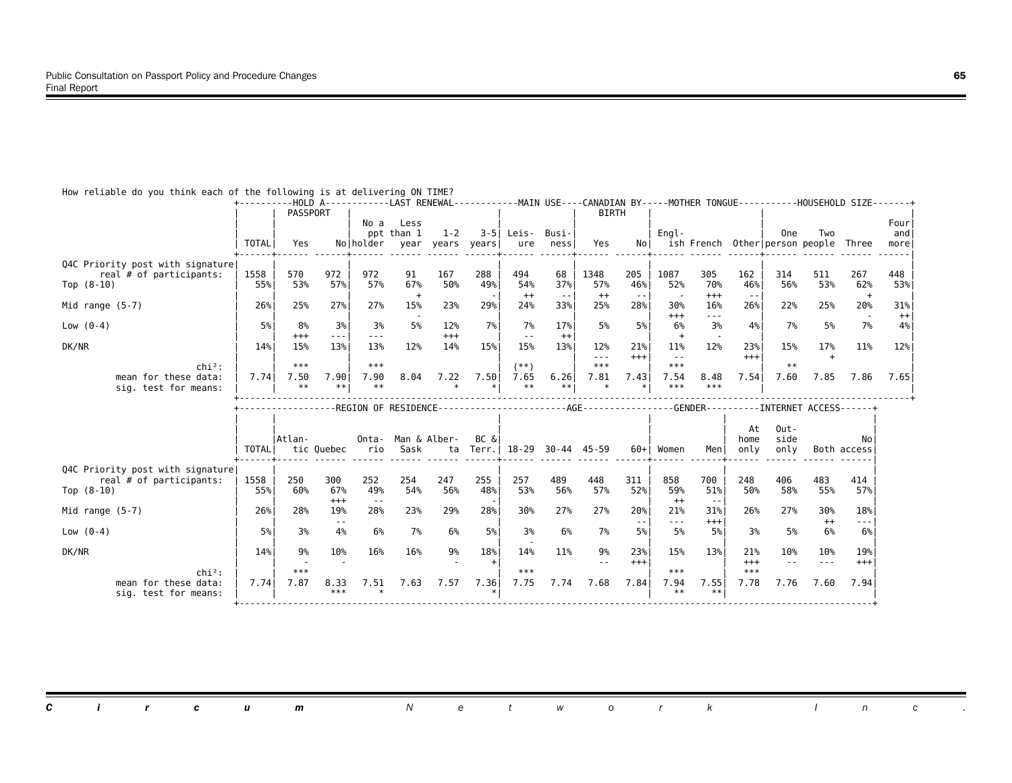|                                                                             |              | <b>PASSPORT</b>      |                                                                                                                                                                                                                                                                                                                                                                                                    | -HOLD A-----------LAST RENEWAL-----------MAIN USE----CANADIAN BY-----MOTHER TONGUE-----------HOUSEHOLD SIZE-- |                      |                             |                  |                         |                         | <b>BIRTH</b>                        |                             |                       |                                           |                          |                          |               |                      |                     |
|-----------------------------------------------------------------------------|--------------|----------------------|----------------------------------------------------------------------------------------------------------------------------------------------------------------------------------------------------------------------------------------------------------------------------------------------------------------------------------------------------------------------------------------------------|---------------------------------------------------------------------------------------------------------------|----------------------|-----------------------------|------------------|-------------------------|-------------------------|-------------------------------------|-----------------------------|-----------------------|-------------------------------------------|--------------------------|--------------------------|---------------|----------------------|---------------------|
|                                                                             | <b>TOTAL</b> | Yes                  |                                                                                                                                                                                                                                                                                                                                                                                                    | No a<br>No   hol der                                                                                          | Less<br>ppt than 1   | $1 - 2$<br>year years years |                  | $3-5$ Leis-<br>ure      | Busi-<br>ness           | Yes                                 | No <sub>1</sub>             | Engl-                 | ish French Other person people Three      |                          | 0 <sub>ne</sub>          | Two           |                      | Four<br>and<br>more |
| Q4C Priority post with signature<br>real # of participants:<br>Top $(8-10)$ | 1558<br>55%  | 570<br>53%           | 972<br>57%                                                                                                                                                                                                                                                                                                                                                                                         | 972<br>57%                                                                                                    | 91<br>67%<br>$+$     | 167<br>50%                  | 288<br>49%       | 494<br>54%<br>$^{++}$   | 68<br>37%<br>$\sim$ $-$ | 1348<br>57%<br>$^{++}$              | 205<br>46%<br>$\sim$ $\sim$ | 1087<br>52%           | 305<br>70%<br>$^{+++}$                    | 162<br>46%<br>$\sim$ $-$ | 314<br>56%               | 511<br>53%    | 267<br>62%<br>$^{+}$ | 448<br>53%          |
| Mid range $(5-7)$                                                           | 26%          | 25%                  | 27%                                                                                                                                                                                                                                                                                                                                                                                                | 27%                                                                                                           | 15%                  | 23%                         | 29%              | 24%                     | 33%                     | 25%                                 | 28%                         | 30%<br>$^{+++}$       | 16%<br>- - -                              | 26%                      | 22%                      | 25%           | 20%                  | 31%<br>$^{++}$      |
| Low $(0-4)$                                                                 | 5%           | 8%<br>$^{+++}$       | 3%<br>$\frac{1}{2} \frac{1}{2} \frac{1}{2} \frac{1}{2} \frac{1}{2} \frac{1}{2} \frac{1}{2} \frac{1}{2} \frac{1}{2} \frac{1}{2} \frac{1}{2} \frac{1}{2} \frac{1}{2} \frac{1}{2} \frac{1}{2} \frac{1}{2} \frac{1}{2} \frac{1}{2} \frac{1}{2} \frac{1}{2} \frac{1}{2} \frac{1}{2} \frac{1}{2} \frac{1}{2} \frac{1}{2} \frac{1}{2} \frac{1}{2} \frac{1}{2} \frac{1}{2} \frac{1}{2} \frac{1}{2} \frac{$ | 3%<br>$- - -$                                                                                                 | 5%                   | 12%<br>$+++$                | 7%               | 7%<br>$- -$             | 17%<br>$^{++}$          | 5%                                  | 5%                          | 6%<br>$+$             | 3%                                        | 4%                       | 7%                       | 5%            | 7%                   | 4%                  |
| DK/NR                                                                       | 14%          | 15%                  | 13%                                                                                                                                                                                                                                                                                                                                                                                                | 13%                                                                                                           | 12%                  | 14%                         | 15%              | 15%                     | 13%                     | 12%<br>$- - -$                      | 21%<br>$^{+++}$             | 11%<br>$\sim$ $-$     | 12%                                       | 23%<br>$+++$             | 15%                      | 17%           | 11%                  | 12%                 |
| $chi^2$ :<br>mean for these data:<br>sig. test for means:                   | 7.74         | ***<br>7.50<br>$***$ | 7.90<br>**                                                                                                                                                                                                                                                                                                                                                                                         | ***<br>7.90<br>$* *$                                                                                          | 8.04                 | 7.22                        | 7.50             | $(**)$<br>7.65<br>$* *$ | 6.26<br>$**$            | $***$<br>7.81                       | 7.43                        | ***<br>7.54<br>***    | 8.48<br>***                               | 7.54                     | $***$<br>7.60            | 7.85          | 7.86                 | 7.65                |
|                                                                             |              |                      |                                                                                                                                                                                                                                                                                                                                                                                                    | REGION OF RESIDENCE--------------------                                                                       |                      |                             |                  |                         |                         | - AGE - - - - - - - - - - - - - - - |                             |                       | - GENDER---------- INTERNET ACCESS------+ |                          |                          |               |                      |                     |
|                                                                             | <b>TOTAL</b> | Atl an-              | tic Quebec                                                                                                                                                                                                                                                                                                                                                                                         | Onta-<br>rio                                                                                                  | Man & Alber-<br>Sask |                             | BC &<br>ta Terr. |                         |                         | $18-29$ 30-44 45-59                 |                             | $60+1$ Women          | Men                                       | At<br>home<br>onl y      | $0$ ut-<br>side<br>onl y |               | No<br>Both access    |                     |
| Q4C Priority post with signature<br>real # of participants:<br>Top $(8-10)$ | 1558<br>55%  | 250<br>60%           | 300<br>67%<br>$^{+++}$                                                                                                                                                                                                                                                                                                                                                                             | 252<br>49%<br>$- -$                                                                                           | 254<br>54%           | 247<br>56%                  | 255<br>48%       | 257<br>53%              | 489<br>56%              | 448<br>57%                          | 311<br>52%                  | 858<br>59%<br>$^{++}$ | 700<br>51%<br>$- -$                       | 248<br>50%               | 406<br>58%               | 483<br>55%    | 414<br>57%           |                     |
| Mid range $(5-7)$                                                           | 26%          | 28%                  | 19%                                                                                                                                                                                                                                                                                                                                                                                                | 28%                                                                                                           | 23%                  | 29%                         | 28%              | 30%                     | 27%                     | 27%                                 | 20%                         | 21%                   | 31%                                       | 26%                      | 27%                      | 30%           | 18%                  |                     |
| Low $(0-4)$                                                                 | 5%           | 3%                   | $- -$<br>4%                                                                                                                                                                                                                                                                                                                                                                                        | 6%                                                                                                            | 7%                   | 6%                          | 5%               | 3%                      | 6%                      | 7%                                  | $ -$<br>5%                  | $- - -$<br>5%         | $^{+++}$<br>5%                            | 3%                       | 5%                       | $^{++}$<br>6% | $- - -$<br>6%        |                     |
| DK/NR                                                                       | 14%          | 9%                   | 10%                                                                                                                                                                                                                                                                                                                                                                                                | 16%                                                                                                           | 16%                  | 9%                          | 18%              | 14%                     | 11%                     | 9%                                  | 23%                         | 15%                   | 13%                                       | 21%                      | 10%                      | 10%           | 19%                  |                     |
| chi $^2$ :                                                                  |              | $***$                |                                                                                                                                                                                                                                                                                                                                                                                                    |                                                                                                               |                      |                             | $+$              | $***$                   |                         | $- -$                               | $^{+++}$                    | $***$                 |                                           | $+++$<br>$***$           | $\sim$ $\sim$            |               | $^{+++}$             |                     |
| mean for these data:<br>sig. test for means:                                | 7.74         | 7.87                 | 8.33<br>***                                                                                                                                                                                                                                                                                                                                                                                        | 7.51                                                                                                          | 7.63                 | 7.57                        | 7.36             | 7.75                    | 7.74                    | 7.68                                | 7.84                        | 7.94<br>$***$         | 7.55<br>$***$                             | 7.78                     | 7.76                     | 7.60          | 7.94                 |                     |

| <b>Circum</b> Network Inc. |  |
|----------------------------|--|
|----------------------------|--|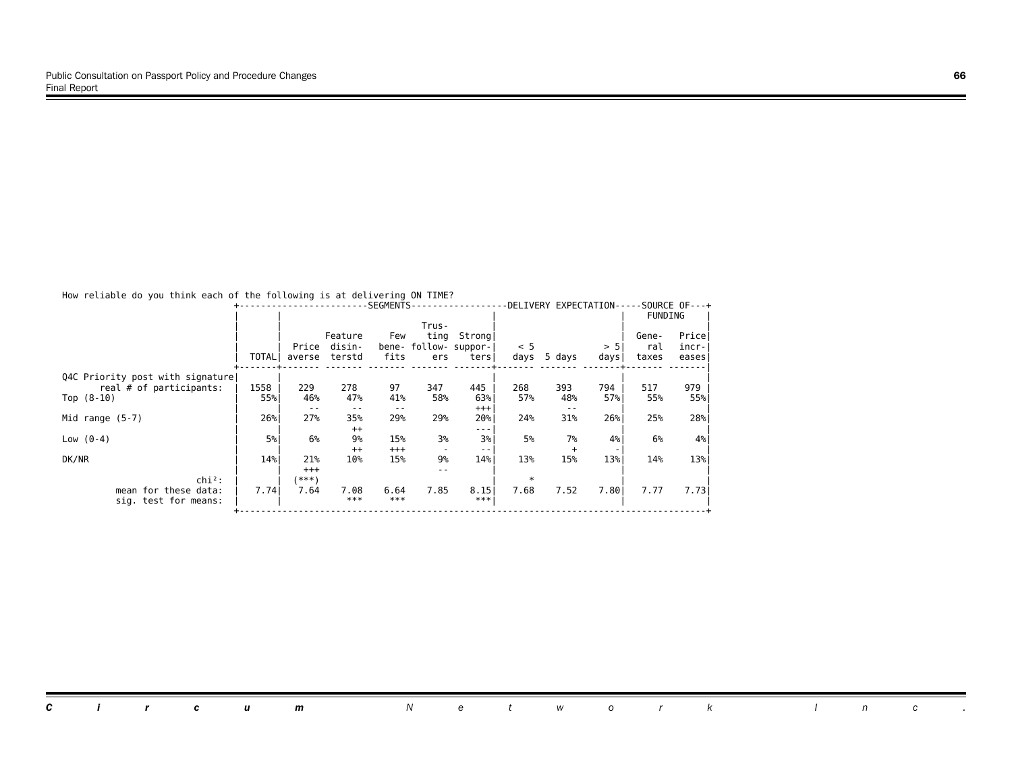|                                  |              |        |          | <b>SEGMENTS-</b> |                |             |      | DELIVERY EXPECTATION |                          |                 | SOURCE $0F---$ |
|----------------------------------|--------------|--------|----------|------------------|----------------|-------------|------|----------------------|--------------------------|-----------------|----------------|
|                                  |              |        |          |                  |                |             |      |                      |                          | <b>FUNDI NG</b> |                |
|                                  |              |        |          |                  | Trus-          |             |      |                      |                          |                 |                |
|                                  |              |        | Feature  | Few              |                | ting Strong |      |                      |                          | Gene-           | Pri ce         |
|                                  |              | Pri ce | di si n- | bene-            | follow-suppor- |             | < 5  |                      | $> 5$                    | ral             | i ncr-         |
|                                  | <b>TOTAL</b> | averse | terstd   | fits             | ers            | ters        | days | 5 days               | days⊥                    | taxes           | eases          |
| Q4C Priority post with signature |              |        |          |                  |                |             |      |                      |                          |                 |                |
| real # of participants:          | 1558         | 229    | 278      | 97               | 347            | 445         | 268  | 393                  | 794                      | 517             | 979            |
| Top $(8-10)$                     | 55%          | 46%    | 47%      | 41%              | 58%            | 63%         | 57%  | 48%                  | 57%                      | 55%             | 55%            |
|                                  |              | $ -$   | $ -$     | $ -$             |                | $^{+++}$    |      | $ -$                 |                          |                 |                |
| Mid range $(5-7)$                | 26%          | 27%    | 35%      | 29%              | 29%            | 20%         | 24%  | 31%                  | 26%                      | 25%             | 28%            |
|                                  |              |        | $^{++}$  |                  |                | $- - -$     |      |                      |                          |                 |                |
| Low $(0-4)$                      | 5%           | 6%     | 9%       | 15%              | 3%             | 3%          | 5%   | 7%                   | 4%                       | 6%              | 4%             |
|                                  |              |        | $^{++}$  | $^{+++}$         |                | $- -$       |      |                      | $\overline{\phantom{a}}$ |                 |                |
| DK/NR                            | 14%          | 21%    | 10%      | 15%              | 9%             | 14%         | 13%  | 15%                  | 13%                      | 14%             | 13%            |
|                                  |              | $+++$  |          |                  | $ -$           |             |      |                      |                          |                 |                |
| $chi^2$ :                        |              | (***)  |          |                  |                |             | $*$  |                      |                          |                 |                |
| mean for these data:             | 7.74         | 7.64   | 7.08     | 6.64             | 7.85           | 8.15        | 7.68 | 7.52                 | 7.80                     | 7.77            | 7.73           |
| sig. test for means:             |              |        | ***      | ***              |                | ***         |      |                      |                          |                 |                |
|                                  |              |        |          |                  |                |             |      |                      |                          |                 |                |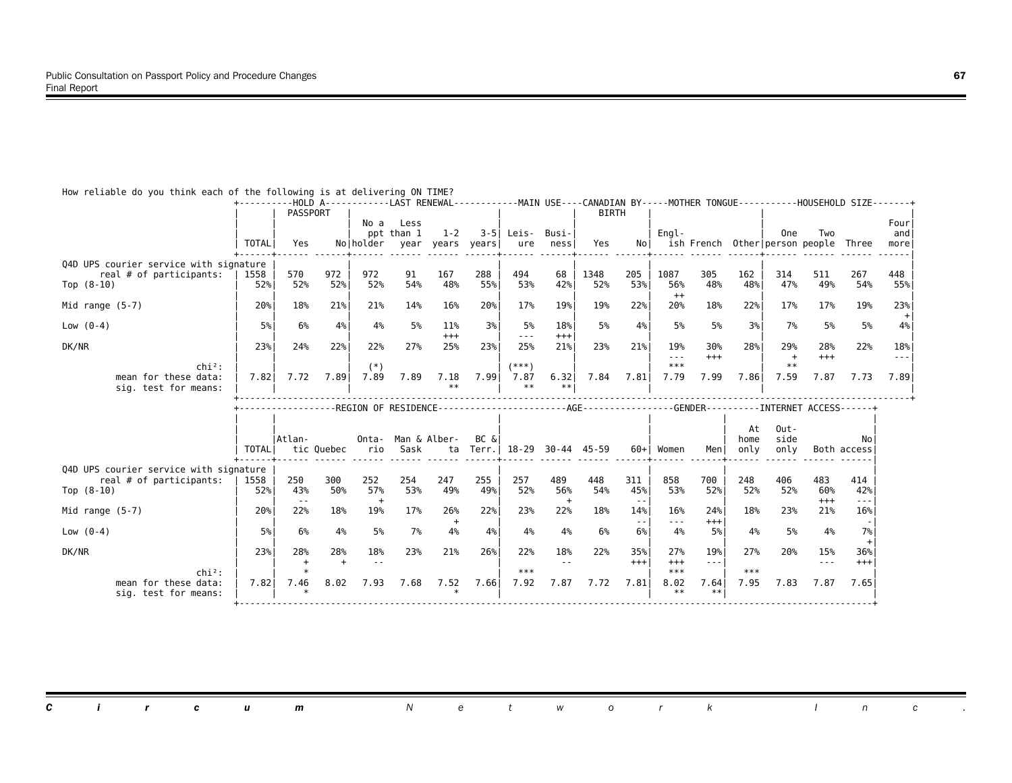|                                                           |              | <b>PASSPORT</b>     |            | -HOLD A------------LAST RENEWAL------------MAIN USE----CANADIAN BY-----MOTHER TONGUE-----------HOUSEHOLD SIZE- |                                            |                             |                  |                          | <b>BIRTH</b>      |                     |             |                        |                                                                                                                                                                                                                                                                                                                                                                                              |                     |                                                                  |                        |                         |                     |
|-----------------------------------------------------------|--------------|---------------------|------------|----------------------------------------------------------------------------------------------------------------|--------------------------------------------|-----------------------------|------------------|--------------------------|-------------------|---------------------|-------------|------------------------|----------------------------------------------------------------------------------------------------------------------------------------------------------------------------------------------------------------------------------------------------------------------------------------------------------------------------------------------------------------------------------------------|---------------------|------------------------------------------------------------------|------------------------|-------------------------|---------------------|
|                                                           | <b>TOTAL</b> | Yes                 |            | No a<br>No   hol der                                                                                           | Less<br>ppt than 1                         | $1 - 2$<br>year years years |                  | $3-5$ Leis-<br>ure       | Busi-<br>ness     | Yes                 | No l        | $Engl -$               | ish French Other person people Three                                                                                                                                                                                                                                                                                                                                                         |                     | 0 <sub>ne</sub>                                                  | Two                    |                         | Four<br>and<br>more |
| Q4D UPS courier service with signature                    |              |                     |            |                                                                                                                |                                            |                             |                  |                          |                   |                     |             |                        |                                                                                                                                                                                                                                                                                                                                                                                              |                     |                                                                  |                        |                         |                     |
| real # of participants:<br>Top $(8-10)$                   | 1558<br>52%  | 570<br>52%          | 972<br>52% | 972<br>52%                                                                                                     | 91<br>54%                                  | 167<br>48%                  | 288<br>55%       | 494<br>53%               | 68<br>42%         | 1348<br>52%         | 205<br>53%  | 1087<br>56%<br>$^{++}$ | 305<br>48%                                                                                                                                                                                                                                                                                                                                                                                   | 162<br>48%          | 314<br>47%                                                       | 511<br>49%             | 267<br>54%              | 448<br>55%          |
| Mid range $(5-7)$                                         | 20%          | 18%                 | 21%        | 21%                                                                                                            | 14%                                        | 16%                         | 20%              | 17%                      | 19%               | 19%                 | 22%         | 20%                    | 18%                                                                                                                                                                                                                                                                                                                                                                                          | 22%                 | 17%                                                              | 17%                    | 19%                     | 23%                 |
| Low $(0-4)$                                               | 5%           | 6%                  | 4%         | 4%                                                                                                             | 5%                                         | 11%                         | 3%               | 5%                       | 18%               | 5%                  | 4%          | 5%                     | 5%                                                                                                                                                                                                                                                                                                                                                                                           | 3%                  | 7%                                                               | 5%                     | 5%                      | $\ddot{}$<br>4%     |
| DK/NR                                                     | 23%          | 24%                 | 22%        | 22%                                                                                                            | 27%                                        | $^{+++}$<br>25%             | 23%              | $- - -$<br>25%           | $^{+++}$<br>21%   | 23%                 | 21%         | 19%<br>$- - -$         | 30%<br>$+++$                                                                                                                                                                                                                                                                                                                                                                                 | 28%                 | 29%                                                              | 28%<br>$+++$           | 22%                     | 18%<br>$- - -$      |
| $chi^2$ :<br>mean for these data:<br>sig. test for means: | 7.82         | 7.72                | 7.89       | $(*)$<br>7.89                                                                                                  | 7.89                                       | 7.18<br>$**$                | 7.99             | $(***)$<br>7.87<br>$* *$ | 6.32<br>**        | 7.84                | 7.81        | $***$<br>7.79          | 7.99                                                                                                                                                                                                                                                                                                                                                                                         | 7.86                | $**$<br>7.59                                                     | 7.87                   | 7.73                    | 7.89                |
|                                                           |              |                     |            |                                                                                                                | - REGION OF RESIDENCE--------------------- |                             |                  |                          |                   |                     |             |                        |                                                                                                                                                                                                                                                                                                                                                                                              |                     | -- AGE---------------- - GENDER-------- - INTERNET ACCESS------+ |                        |                         |                     |
|                                                           | <b>TOTAL</b> | Atl an-             | tic Quebec | Onta-<br>rio                                                                                                   | Man & Alber-<br>Sask                       |                             | BC &<br>ta Terr. |                          |                   | $18-29$ 30-44 45-59 |             | $60+1$ Women           | Men                                                                                                                                                                                                                                                                                                                                                                                          | At<br>home<br>onl y | $0$ ut-<br>side<br>onl y                                         |                        | No<br>Both access       |                     |
| Q4D UPS courier service with signature                    |              |                     |            |                                                                                                                |                                            |                             |                  |                          |                   |                     |             |                        |                                                                                                                                                                                                                                                                                                                                                                                              |                     |                                                                  |                        |                         |                     |
| real # of participants:<br>Top $(8-10)$                   | 1558<br>52%  | 250<br>43%<br>$- -$ | 300<br>50% | 252<br>57%                                                                                                     | 254<br>53%                                 | 247<br>49%                  | 255<br>49%       | 257<br>52%               | 489<br>56%<br>$+$ | 448<br>54%          | 311<br>45%  | 858<br>53%             | 700<br>52%                                                                                                                                                                                                                                                                                                                                                                                   | 248<br>52%          | 406<br>52%                                                       | 483<br>60%<br>$^{+++}$ | 414<br>42%<br>$- - - -$ |                     |
| Mid range $(5-7)$                                         | 20%          | 22%                 | 18%        | 19%                                                                                                            | 17%                                        | 26%                         | 22%              | 23%                      | 22%               | 18%                 | 14%<br>$ -$ | 16%<br>$- - -$         | 24%                                                                                                                                                                                                                                                                                                                                                                                          | 18%                 | 23%                                                              | 21%                    | 16%                     |                     |
| Low $(0-4)$                                               | 5%           | 6%                  | 4%         | 5%                                                                                                             | 7%                                         | 4%                          | 4%               | 4%                       | 4%                | 6%                  | 6%          | 4%                     | $^{+++}$<br>5%                                                                                                                                                                                                                                                                                                                                                                               | 4%                  | 5%                                                               | 4%                     | 7%                      |                     |
| DK/NR                                                     | 23%          | 28%                 | 28%        | 18%                                                                                                            | 23%                                        | 21%                         | 26%              | 22%                      | 18%               | 22%                 | 35%         | 27%                    | 19%                                                                                                                                                                                                                                                                                                                                                                                          | 27%                 | 20%                                                              | 15%                    | $^{+}$<br>36%           |                     |
| $chi^2$ :                                                 |              |                     | $\ddot{}$  | $- -$                                                                                                          |                                            |                             |                  | $***$                    | $- -$             |                     | $^{+++}$    | $^{+++}$<br>$***$      | $\frac{1}{2} \frac{1}{2} \frac{1}{2} \frac{1}{2} \frac{1}{2} \frac{1}{2} \frac{1}{2} \frac{1}{2} \frac{1}{2} \frac{1}{2} \frac{1}{2} \frac{1}{2} \frac{1}{2} \frac{1}{2} \frac{1}{2} \frac{1}{2} \frac{1}{2} \frac{1}{2} \frac{1}{2} \frac{1}{2} \frac{1}{2} \frac{1}{2} \frac{1}{2} \frac{1}{2} \frac{1}{2} \frac{1}{2} \frac{1}{2} \frac{1}{2} \frac{1}{2} \frac{1}{2} \frac{1}{2} \frac{$ | ***                 |                                                                  | $- - -$                | $^{+++}$                |                     |
| mean for these data:<br>sig. test for means:              | 7.82         | 7.46                | 8.02       | 7.93                                                                                                           | 7.68                                       | 7.52                        | 7.66             | 7.92                     | 7.87              | 7.72                | 7.81        | 8.02<br>$***$          | 7.64<br>**                                                                                                                                                                                                                                                                                                                                                                                   | 7.95                | 7.83                                                             | 7.87                   | 7.65                    |                     |

|  |  |  | <b>Circum</b> Network Inc. |  |  |  |  |  |  |
|--|--|--|----------------------------|--|--|--|--|--|--|
|  |  |  |                            |  |  |  |  |  |  |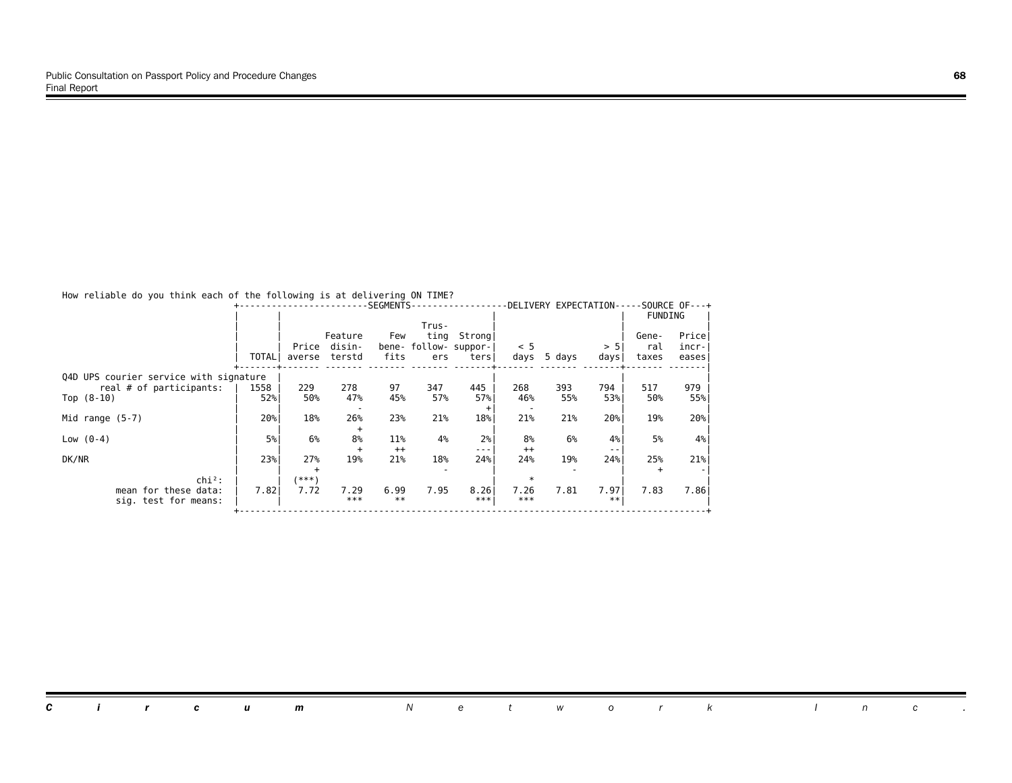|                                        |              |        |              | <b>SEGMENTS-</b> |                     |         |         | DELIVERY EXPECTATION |                 |       | SOURCE $0F---$ |
|----------------------------------------|--------------|--------|--------------|------------------|---------------------|---------|---------|----------------------|-----------------|-------|----------------|
|                                        |              |        |              |                  |                     |         |         |                      | <b>FUNDI NG</b> |       |                |
|                                        |              |        |              |                  | Trus-               |         |         |                      |                 |       |                |
|                                        |              |        | Feature      | Few              | ting                | Strong  |         |                      |                 | Gene- | Pri ce         |
|                                        |              |        | Price disin- |                  | bene-follow-suppor- |         | < 5     |                      | > 5             | ral   | incr-          |
|                                        | <b>TOTAL</b> | averse | terstd       | fits             | ers                 | ters    | days    | 5 days               | $\bf days$      | taxes | eases          |
| Q4D UPS courier service with signature |              |        |              |                  |                     |         |         |                      |                 |       |                |
| real # of participants:                | 1558         | 229    | 278          | 97               | 347                 | 445     | 268     | 393                  | 794             | 517   | 979            |
| Top $(8-10)$                           | 52%          | 50%    | 47%          | 45%              | 57%                 | 57%     | 46%     | 55%                  | 53%             | 50%   | 55%            |
|                                        |              |        |              |                  |                     | $\div$  |         |                      |                 |       |                |
| Mid range $(5-7)$                      | 20%          | 18%    | 26%          | 23%              | 21%                 | 18%     | 21%     | 21%                  | 20%             | 19%   | 20%            |
|                                        |              |        |              |                  |                     |         |         |                      |                 |       |                |
| Low $(0-4)$                            | 5%           | 6%     | 8%           | 11%              | 4%                  | 2%      | 8%      | 6%                   | 4%              | 5%    | 4%             |
|                                        |              |        | $\ddot{}$    | $^{++}$          |                     | $- - -$ | $^{++}$ |                      | $ -$            |       |                |
| DK/NR                                  | 23%          | 27%    | 19%          | 21%              | 18%                 | 24%     | 24%     | 19%                  | 24%             | 25%   | 21%            |
|                                        |              | $^{+}$ |              |                  |                     |         |         |                      |                 |       |                |
| $chi^2$ :                              |              | (***)  |              |                  |                     |         | $\ast$  |                      |                 |       |                |
| mean for these data:                   | 7.82         | 7.72   | 7.29         | 6.99             | 7.95                | 8.26    | 7.26    | 7.81                 | 7.97            | 7.83  | 7.86           |
| sig. test for means:                   |              |        | $***$        | $***$            |                     | ***     | ***     |                      | $***$           |       |                |
|                                        |              |        |              |                  |                     |         |         |                      |                 |       |                |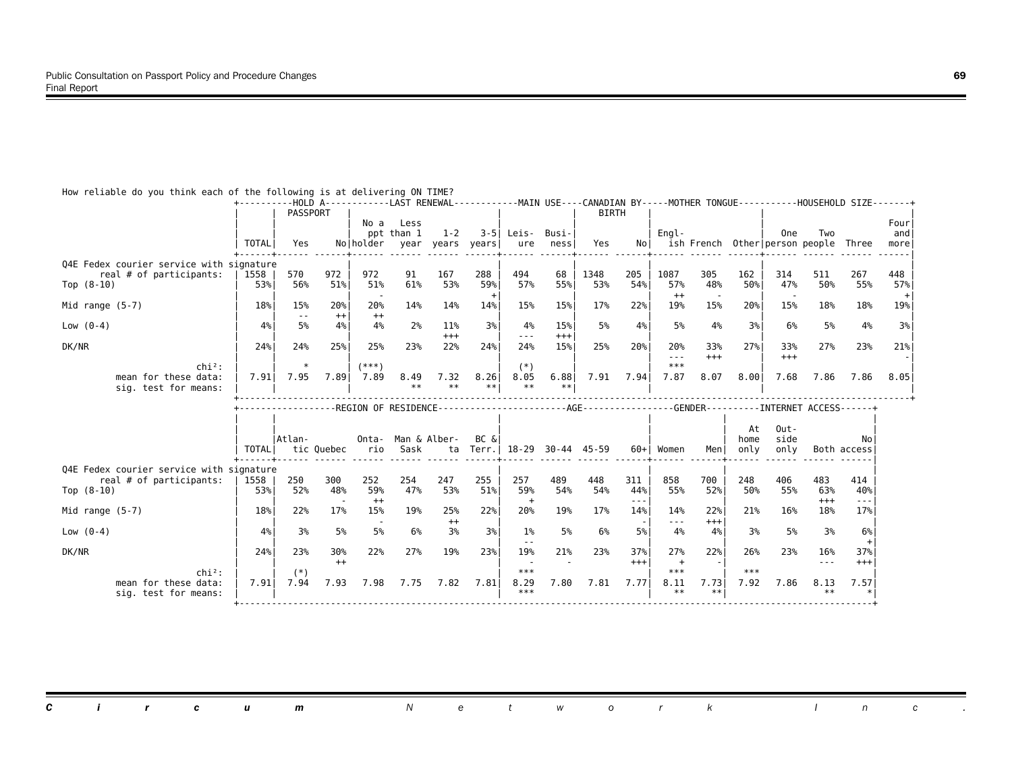|                                              |              | <b>PASSPORT</b> |               |                                           |                      |                             |                  |                    |                 | -HOLD A------------LAST RENEWAL------------MAIN USE----CANADIAN BY-----MOTHER TONGUE-----------HOUSEHOLD SIZE-<br><b>BIRTH</b> |                |                |                                      |               |               |                 |                                                                                                                                                                                                                                                                                                                                                                                                     |                     |
|----------------------------------------------|--------------|-----------------|---------------|-------------------------------------------|----------------------|-----------------------------|------------------|--------------------|-----------------|--------------------------------------------------------------------------------------------------------------------------------|----------------|----------------|--------------------------------------|---------------|---------------|-----------------|-----------------------------------------------------------------------------------------------------------------------------------------------------------------------------------------------------------------------------------------------------------------------------------------------------------------------------------------------------------------------------------------------------|---------------------|
|                                              | <b>TOTAL</b> | Yes             |               | No a<br>No   hol der                      | Less<br>ppt than 1   | $1 - 2$<br>year years years |                  | $3-5$ Leis-<br>ure | Busi -<br>ness  | Yes                                                                                                                            | No l           | $Engl -$       | ish French Other person people Three |               | <b>One</b>    | Two             |                                                                                                                                                                                                                                                                                                                                                                                                     | Four<br>and<br>more |
| Q4E Fedex courier service with signature     |              |                 |               |                                           |                      |                             |                  |                    |                 |                                                                                                                                |                |                |                                      |               |               |                 |                                                                                                                                                                                                                                                                                                                                                                                                     |                     |
| real # of participants:                      | 1558         | 570             | 972           | 972                                       | 91                   | 167                         | 288              | 494                | 68              | 1348                                                                                                                           | 205            | 1087           | 305                                  | 162           | 314           | 511             | 267                                                                                                                                                                                                                                                                                                                                                                                                 | 448                 |
| Top $(8-10)$                                 | 53%          | 56%             | 51%           | 51%                                       | 61%                  | 53%                         | 59%              | 57%                | 55%             | 53%                                                                                                                            | 54%            | 57%<br>$^{++}$ | 48%                                  | 50%           | 47%           | 50%             | 55%                                                                                                                                                                                                                                                                                                                                                                                                 | 57%<br>$+$          |
| Mid range $(5-7)$                            | 18%          | 15%             | 20%           | 20%                                       | 14%                  | 14%                         | 14%              | 15%                | 15%             | 17%                                                                                                                            | 22%            | 19%            | 15%                                  | 20%           | 15%           | 18%             | 18%                                                                                                                                                                                                                                                                                                                                                                                                 | 19%                 |
| Low $(0-4)$                                  | 4%           | $- -$<br>5%     | $^{++}$<br>4% | $^{++}$<br>4%                             | 2%                   | 11%                         | $3\%$            | 4%                 | 15%             | 5%                                                                                                                             | 4%             | 5%             | 4%                                   | 3%            | 6%            | 5%              | 4%                                                                                                                                                                                                                                                                                                                                                                                                  | 3%                  |
|                                              | 24%          | 24%             | 25%           | 25%                                       | 23%                  | $^{+++}$<br>22%             | 24%              | $- - -$<br>24%     | $^{+++}$<br>15% |                                                                                                                                | 20%            |                |                                      | 27%           | 33%           | 27%             | 23%                                                                                                                                                                                                                                                                                                                                                                                                 |                     |
| DK/NR                                        |              |                 |               |                                           |                      |                             |                  |                    |                 | 25%                                                                                                                            |                | 20%<br>- - -   | 33%<br>$+++$                         |               | $^{+++}$      |                 |                                                                                                                                                                                                                                                                                                                                                                                                     | 21%                 |
| $chi^2$ :                                    |              |                 |               | $(***)$                                   |                      |                             |                  | $(*)$              |                 |                                                                                                                                |                | $***$          |                                      |               |               |                 |                                                                                                                                                                                                                                                                                                                                                                                                     |                     |
| mean for these data:<br>sig. test for means: | 7.91         | 7.95            | 7.89          | 7.89                                      | 8.49<br>$**$         | 7.32<br>$**$                | 8.26             | 8.05<br>$**$       | 6.88<br>$**$    | 7.91                                                                                                                           | 7.94           | 7.87           | 8.07                                 | 8.00          | 7.68          | 7.86            | 7.86                                                                                                                                                                                                                                                                                                                                                                                                | 8.05                |
|                                              |              |                 |               | - REGION OF RESIDENCE-------------------- |                      |                             |                  |                    |                 | - AGE----------------GENDER---------- INTERNET ACCESS------+                                                                   |                |                |                                      |               |               |                 |                                                                                                                                                                                                                                                                                                                                                                                                     |                     |
|                                              |              |                 |               |                                           |                      |                             |                  |                    |                 |                                                                                                                                |                |                |                                      |               |               |                 |                                                                                                                                                                                                                                                                                                                                                                                                     |                     |
|                                              |              |                 |               |                                           |                      |                             |                  |                    |                 |                                                                                                                                |                |                |                                      | At            | $0$ ut-       |                 |                                                                                                                                                                                                                                                                                                                                                                                                     |                     |
|                                              | <b>TOTAL</b> | Atl an-         | tic Quebec    | Onta-<br>rio                              | Man & Alber-<br>Sask |                             | BC &<br>ta Terr. |                    |                 | $18-29$ 30-44 45-59                                                                                                            |                | $60+1$ Women   | Men                                  | home<br>onl y | side<br>onl y |                 | No<br>Both access                                                                                                                                                                                                                                                                                                                                                                                   |                     |
| Q4E Fedex courier service with signature     |              |                 |               |                                           |                      |                             |                  |                    |                 |                                                                                                                                |                |                |                                      |               |               |                 |                                                                                                                                                                                                                                                                                                                                                                                                     |                     |
| real # of participants:                      | 1558         | 250             | 300           | 252                                       | 254                  | 247                         | 255              | 257                | 489             | 448                                                                                                                            | 311            | 858            | 700                                  | 248           | 406           | 483             | 414                                                                                                                                                                                                                                                                                                                                                                                                 |                     |
| Top $(8-10)$                                 | 53%          | 52%             | 48%           | 59%                                       | 47%                  | 53%                         | 51%              | 59%                | 54%             | 54%                                                                                                                            | 44%            | 55%            | 52%                                  | 50%           | 55%           | 63%             | 40%                                                                                                                                                                                                                                                                                                                                                                                                 |                     |
| Mid range $(5-7)$                            | 18%          | 22%             | 17%           | $^{++}$<br>15%                            | 19%                  | 25%                         | 22%              | 20%                | 19%             | 17%                                                                                                                            | $- - -$<br>14% | 14%            | 22%                                  | 21%           | 16%           | $^{+++}$<br>18% | $\frac{1}{2} \frac{1}{2} \frac{1}{2} \frac{1}{2} \frac{1}{2} \frac{1}{2} \frac{1}{2} \frac{1}{2} \frac{1}{2} \frac{1}{2} \frac{1}{2} \frac{1}{2} \frac{1}{2} \frac{1}{2} \frac{1}{2} \frac{1}{2} \frac{1}{2} \frac{1}{2} \frac{1}{2} \frac{1}{2} \frac{1}{2} \frac{1}{2} \frac{1}{2} \frac{1}{2} \frac{1}{2} \frac{1}{2} \frac{1}{2} \frac{1}{2} \frac{1}{2} \frac{1}{2} \frac{1}{2} \frac{$<br>17% |                     |
|                                              | 4%           | 3%              | 5%            | 5%                                        | 6%                   | $^{++}$<br>3%               | 3%               | 1%                 | 5%              | 6%                                                                                                                             | 5%             | - - -<br>4%    | $^{+++}$<br>4%                       | 3%            | 5%            | 3%              | 6%                                                                                                                                                                                                                                                                                                                                                                                                  |                     |
| Low $(0-4)$                                  |              |                 |               |                                           |                      |                             |                  |                    |                 |                                                                                                                                |                |                |                                      |               |               |                 |                                                                                                                                                                                                                                                                                                                                                                                                     |                     |
| DK/NR                                        | 24%          | 23%             | 30%           | 22%                                       | 27%                  | 19%                         | 23%              | 19%                | 21%             | 23%                                                                                                                            | 37%            | 27%            | 22%                                  | 26%           | 23%           | 16%             | 37%                                                                                                                                                                                                                                                                                                                                                                                                 |                     |
| $chi^2$ :                                    |              | $(*)$           | $^{++}$       |                                           |                      |                             |                  | ***                |                 |                                                                                                                                | $^{+++}$       | $+$<br>$***$   |                                      | ***           |               |                 | $^{+++}$                                                                                                                                                                                                                                                                                                                                                                                            |                     |
| mean for these data:<br>sig. test for means: | 7.91         | 7.94            | 7.93          | 7.98                                      | 7.75                 | 7.82                        | 7.81             | 8.29<br>***        | 7.80            | 7.81                                                                                                                           | 7.77           | 8.11<br>$* *$  | 7.73<br>**                           | 7.92          | 7.86          | 8.13<br>**      | 7.57                                                                                                                                                                                                                                                                                                                                                                                                |                     |

| <b>Circum</b> Network Inc. |
|----------------------------|
|----------------------------|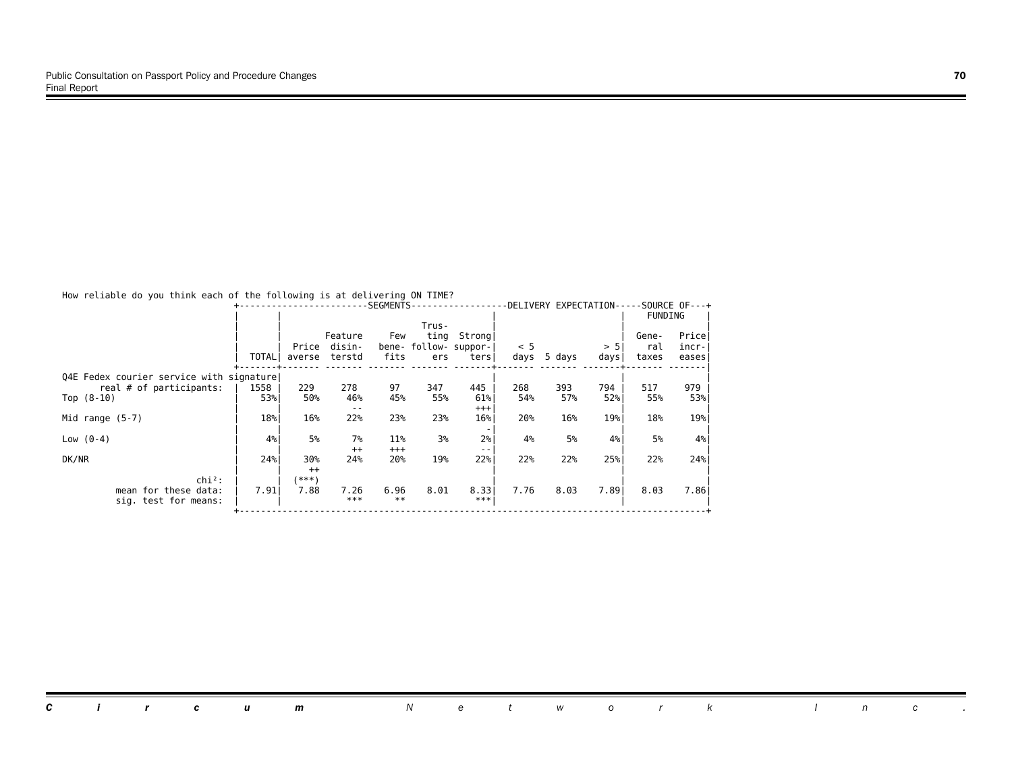|                                          |              |         |          | <b>SEGMENTS-</b> |                     |             |      | DELIVERY EXPECTATION |       |                 | SOURCE $0F---$ |
|------------------------------------------|--------------|---------|----------|------------------|---------------------|-------------|------|----------------------|-------|-----------------|----------------|
|                                          |              |         |          |                  |                     |             |      |                      |       | <b>FUNDI NG</b> |                |
|                                          |              |         |          |                  | Trus-               |             |      |                      |       |                 |                |
|                                          |              |         | Feature  | Few              |                     | ting Strong |      |                      |       | Gene-           | Pri ce         |
|                                          |              | Pri ce  | di si n- |                  | bene-follow-suppor- |             | < 5  |                      | $> 5$ | ral             | i ncr-         |
|                                          | <b>TOTAL</b> | averse  | terstd   | fits             | ers                 | ters        | days | 5 days               | days⊥ | taxes           | eases          |
| Q4E Fedex courier service with signature |              |         |          |                  |                     |             |      |                      |       |                 |                |
| real # of participants:                  | 1558         | 229     | 278      | 97               | 347                 | 445         | 268  | 393                  | 794   | 517             | 979            |
| Top $(8-10)$                             | 53%          | 50%     | 46%      | 45%              | 55%                 | 61%         | 54%  | 57%                  | 52%   | 55%             | 53%            |
|                                          |              |         | $ -$     |                  |                     | $^{+++}$    |      |                      |       |                 |                |
| Mid range $(5-7)$                        | 18%          | 16%     | 22%      | 23%              | 23%                 | 16%         | 20%  | 16%                  | 19%   | 18%             | 19%            |
| Low $(0-4)$                              | 4%           | 5%      | 7%       | 11%              | 3%                  | 2%          | 4%   | 5%                   | 4%    | 5%              | 4%             |
|                                          |              |         | $^{++}$  | $^{+++}$         |                     | $ -$        |      |                      |       |                 |                |
| DK/NR                                    | 24%          | 30%     | 24%      | 20%              | 19%                 | 22%         | 22%  | 22%                  | 25%   | 22%             | 24%            |
|                                          |              | $^{++}$ |          |                  |                     |             |      |                      |       |                 |                |
| $chi^2$ :                                |              | (***)   |          |                  |                     |             |      |                      |       |                 |                |
| mean for these data:                     | 7.91         | 7.88    | 7.26     | 6.96             | 8.01                | 8.33        | 7.76 | 8.03                 | 7.89  | 8.03            | 7.86           |
| sig. test for means:                     |              |         | ***      | $***$            |                     | ***         |      |                      |       |                 |                |
|                                          |              |         |          |                  |                     |             |      |                      |       |                 |                |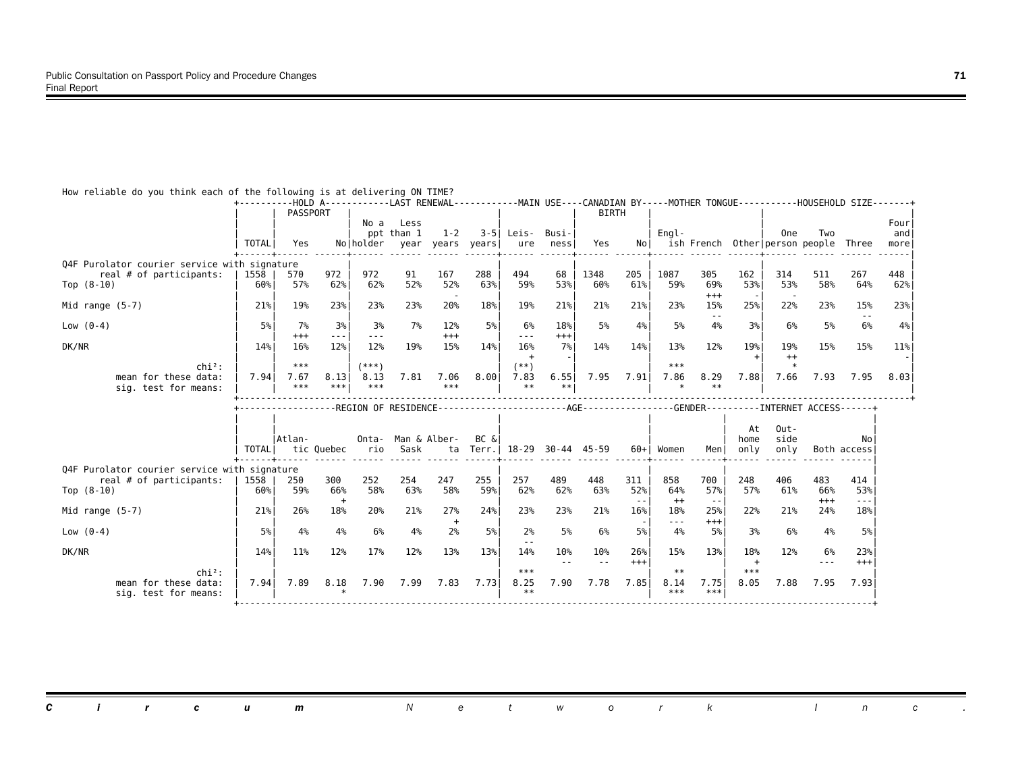|                                                           |              | <b>PASSPORT</b>      |                                                                                                                                                                                                                                                                                                                                                                                                    |                                                                                                                                                                                                                                                                                                                                                                                                    |                      |                             |                  |                        |                 | -HOLD A------------LAST RENEWAL------------MAIN USE----CANADIAN BY-----MOTHER TONGUE-----------HOUSEHOLD SIZE-<br><b>BIRTH</b> |            |                       |                                      |                         |                          |                        |                       |                     |
|-----------------------------------------------------------|--------------|----------------------|----------------------------------------------------------------------------------------------------------------------------------------------------------------------------------------------------------------------------------------------------------------------------------------------------------------------------------------------------------------------------------------------------|----------------------------------------------------------------------------------------------------------------------------------------------------------------------------------------------------------------------------------------------------------------------------------------------------------------------------------------------------------------------------------------------------|----------------------|-----------------------------|------------------|------------------------|-----------------|--------------------------------------------------------------------------------------------------------------------------------|------------|-----------------------|--------------------------------------|-------------------------|--------------------------|------------------------|-----------------------|---------------------|
|                                                           | <b>TOTAL</b> | Yes                  |                                                                                                                                                                                                                                                                                                                                                                                                    | No a<br>No   hol der                                                                                                                                                                                                                                                                                                                                                                               | Less<br>ppt than 1   | $1 - 2$<br>year years years |                  | $3-5$ Leis-<br>ure     | Busi-<br>ness   | Yes                                                                                                                            | No l       | Engl-                 | ish French Other person people Three |                         | 0 <sub>ne</sub>          | Two                    |                       | Four<br>and<br>more |
| Q4F Purolator courier service with signature              |              |                      |                                                                                                                                                                                                                                                                                                                                                                                                    |                                                                                                                                                                                                                                                                                                                                                                                                    |                      |                             |                  |                        |                 |                                                                                                                                |            |                       |                                      |                         |                          |                        |                       |                     |
| real # of participants:<br>Top $(8-10)$                   | 1558<br>60%  | 570<br>57%           | 972<br>62%                                                                                                                                                                                                                                                                                                                                                                                         | 972<br>62%                                                                                                                                                                                                                                                                                                                                                                                         | 91<br>52%            | 167<br>52%                  | 288<br>63%       | 494<br>59%             | 68<br>53%       | 1348<br>60%                                                                                                                    | 205<br>61% | 1087<br>59%           | 305<br>69%<br>$^{+++}$               | 162<br>53%              | 314<br>53%               | 511<br>58%             | 267<br>64%            | 448<br>62%          |
| Mid range $(5-7)$                                         | 21%          | 19%                  | 23%                                                                                                                                                                                                                                                                                                                                                                                                | 23%                                                                                                                                                                                                                                                                                                                                                                                                | 23%                  | 20%                         | 18%              | 19%                    | 21%             | 21%                                                                                                                            | 21%        | 23%                   | 15%                                  | 25%                     | 22%                      | 23%                    | 15%                   | 23%                 |
| Low $(0-4)$                                               | 5%           | 7%<br>$^{+++}$       | 3%<br>$\frac{1}{2} \frac{1}{2} \frac{1}{2} \frac{1}{2} \frac{1}{2} \frac{1}{2} \frac{1}{2} \frac{1}{2} \frac{1}{2} \frac{1}{2} \frac{1}{2} \frac{1}{2} \frac{1}{2} \frac{1}{2} \frac{1}{2} \frac{1}{2} \frac{1}{2} \frac{1}{2} \frac{1}{2} \frac{1}{2} \frac{1}{2} \frac{1}{2} \frac{1}{2} \frac{1}{2} \frac{1}{2} \frac{1}{2} \frac{1}{2} \frac{1}{2} \frac{1}{2} \frac{1}{2} \frac{1}{2} \frac{$ | 3%<br>$\frac{1}{2} \frac{1}{2} \frac{1}{2} \frac{1}{2} \frac{1}{2} \frac{1}{2} \frac{1}{2} \frac{1}{2} \frac{1}{2} \frac{1}{2} \frac{1}{2} \frac{1}{2} \frac{1}{2} \frac{1}{2} \frac{1}{2} \frac{1}{2} \frac{1}{2} \frac{1}{2} \frac{1}{2} \frac{1}{2} \frac{1}{2} \frac{1}{2} \frac{1}{2} \frac{1}{2} \frac{1}{2} \frac{1}{2} \frac{1}{2} \frac{1}{2} \frac{1}{2} \frac{1}{2} \frac{1}{2} \frac{$ | 7%                   | 12%<br>$^{+++}$             | 5%               | 6%<br>$- - -$          | 18%<br>$^{+++}$ | 5%                                                                                                                             | 4%         | 5%                    | 4%                                   | 3%                      | 6%                       | 5%                     | $- -$<br>6%           | 4%                  |
| DK/NR                                                     | 14%          | 16%                  | 12%                                                                                                                                                                                                                                                                                                                                                                                                | 12%                                                                                                                                                                                                                                                                                                                                                                                                | 19%                  | 15%                         | 14%              | 16%                    | 7%              | 14%                                                                                                                            | 14%        | 13%                   | 12%                                  | 19%<br>$+$              | 19%<br>$^{++}$           | 15%                    | 15%                   | 11%                 |
| $chi^2$ :<br>mean for these data:<br>sig. test for means: | 7.94         | $***$<br>7.67<br>*** | 8.13<br>***                                                                                                                                                                                                                                                                                                                                                                                        | $(***)$<br>8.13<br>***                                                                                                                                                                                                                                                                                                                                                                             | 7.81                 | 7.06<br>***                 | 8.00             | $(**)$<br>7.83<br>$**$ | 6.55<br>$**$    | 7.95                                                                                                                           | 7.91       | $***$<br>7.86         | 8.29<br>$**$                         | 7.88                    | 7.66                     | 7.93                   | 7.95                  | 8.03                |
|                                                           |              |                      |                                                                                                                                                                                                                                                                                                                                                                                                    | - REGION OF RESIDENCE---------------------                                                                                                                                                                                                                                                                                                                                                         |                      |                             |                  |                        |                 | -- AGE---------------- - GENDER-------- - INTERNET ACCESS------+                                                               |            |                       |                                      |                         |                          |                        |                       |                     |
|                                                           | <b>TOTAL</b> | Atl an-              | tic Quebec                                                                                                                                                                                                                                                                                                                                                                                         | Onta-<br>rio                                                                                                                                                                                                                                                                                                                                                                                       | Man & Alber-<br>Sask |                             | BC &<br>ta Terr. |                        |                 | $18-29$ 30-44 45-59                                                                                                            |            | $60+1$ Women          | Men                                  | At<br>home<br>onl y     | $0$ ut-<br>side<br>onl y |                        | No<br>Both access     |                     |
| Q4F Purolator courier service with signature              |              |                      |                                                                                                                                                                                                                                                                                                                                                                                                    |                                                                                                                                                                                                                                                                                                                                                                                                    |                      |                             |                  |                        |                 |                                                                                                                                |            |                       |                                      |                         |                          |                        |                       |                     |
| real # of participants:<br>Top $(8-10)$                   | 1558<br>60%  | 250<br>59%           | 300<br>66%                                                                                                                                                                                                                                                                                                                                                                                         | 252<br>58%                                                                                                                                                                                                                                                                                                                                                                                         | 254<br>63%           | 247<br>58%                  | 255<br>59%       | 257<br>62%             | 489<br>62%      | 448<br>63%                                                                                                                     | 311<br>52% | 858<br>64%<br>$^{++}$ | 700<br>57%<br>$- -$                  | 248<br>57%              | 406<br>61%               | 483<br>66%<br>$^{+++}$ | 414<br>53%<br>$- - -$ |                     |
| Mid range $(5-7)$                                         | 21%          | 26%                  | 18%                                                                                                                                                                                                                                                                                                                                                                                                | 20%                                                                                                                                                                                                                                                                                                                                                                                                | 21%                  | 27%                         | 24%              | 23%                    | 23%             | 21%                                                                                                                            | 16%        | 18%                   | 25%                                  | 22%                     | 21%                      | 24%                    | 18%                   |                     |
| Low $(0-4)$                                               | 5%           | 4%                   | 4%                                                                                                                                                                                                                                                                                                                                                                                                 | 6%                                                                                                                                                                                                                                                                                                                                                                                                 | 4%                   | 2%                          | $5\%$            | 2%                     | 5%              | 6%                                                                                                                             | 5%         | $- - -$<br>4%         | $^{+++}$<br>5%                       | 3%                      | 6%                       | 4%                     | $5\%$                 |                     |
| DK/NR                                                     | 14%          | 11%                  | 12%                                                                                                                                                                                                                                                                                                                                                                                                | 17%                                                                                                                                                                                                                                                                                                                                                                                                | 12%                  | 13%                         | 13%              | 14%                    | 10%             | 10%                                                                                                                            | 26%        | 15%                   | 13%                                  | 18%                     | 12%                      | 6%                     | 23%                   |                     |
| $chi^2$ :                                                 |              |                      |                                                                                                                                                                                                                                                                                                                                                                                                    |                                                                                                                                                                                                                                                                                                                                                                                                    |                      |                             |                  | $***$                  | $- -$           | $- -$                                                                                                                          | $^{+++}$   | $***$                 |                                      | $\overline{+}$<br>$***$ |                          |                        | $^{+++}$              |                     |
| mean for these data:<br>sig. test for means:              | 7.94         | 7.89                 | 8.18                                                                                                                                                                                                                                                                                                                                                                                               | 7.90                                                                                                                                                                                                                                                                                                                                                                                               | 7.99                 | 7.83                        | 7.73             | 8.25<br>**             | 7.90            | 7.78                                                                                                                           | 7.85       | 8.14<br>***           | 7.75<br>***                          | 8.05                    | 7.88                     | 7.95                   | 7.93                  |                     |

|  |  |  | <b>Circum</b> Network Inc. |  |  |  |  |  |  |
|--|--|--|----------------------------|--|--|--|--|--|--|
|  |  |  |                            |  |  |  |  |  |  |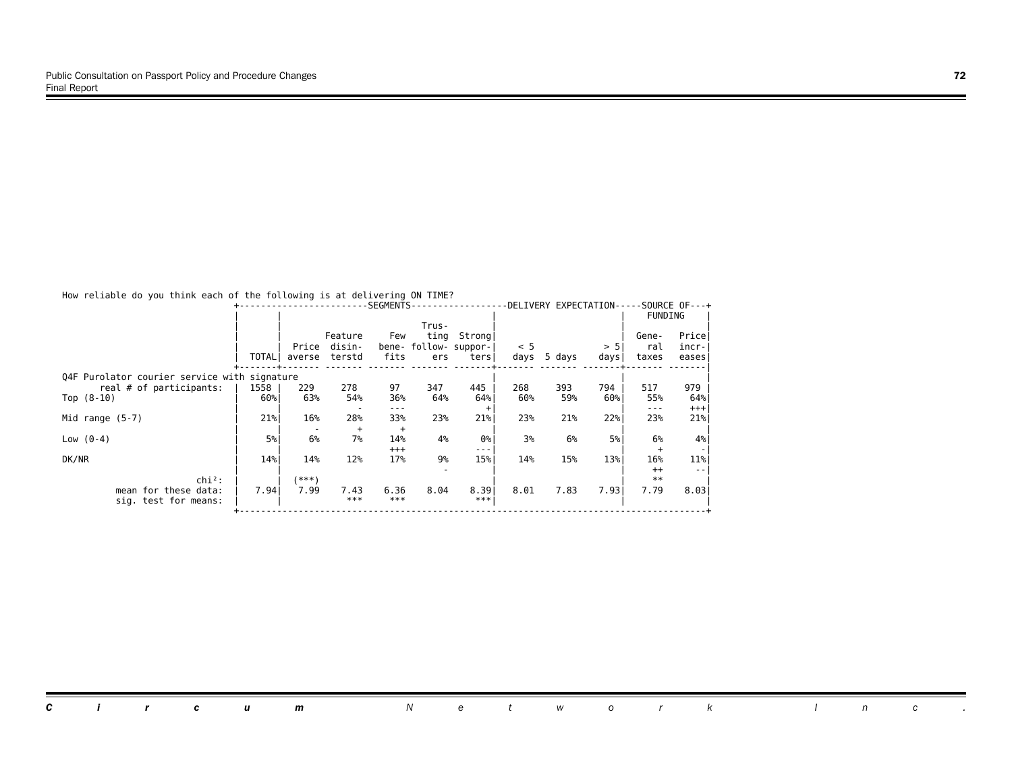|                                              |              |         |          | <b>SEGMENTS-</b> |                     |             |      | DELIVERY EXPECTATION |       |                 | SOURCE $0F---$ |
|----------------------------------------------|--------------|---------|----------|------------------|---------------------|-------------|------|----------------------|-------|-----------------|----------------|
|                                              |              |         |          |                  |                     |             |      |                      |       | <b>FUNDI NG</b> |                |
|                                              |              |         |          |                  | Trus-               |             |      |                      |       |                 |                |
|                                              |              |         | Feature  | Few              |                     | ting Strong |      |                      |       | Gene-           | Pri ce         |
|                                              |              | Pri ce  | di si n- |                  | bene-follow-suppor- |             | < 5  |                      | $> 5$ | ral             | i ncr-         |
|                                              | <b>TOTAL</b> | averse  | terstd   | fits             | ers                 | ters        | days | 5 days               | days⊥ | taxes           | eases          |
| Q4F Purolator courier service with signature |              |         |          |                  |                     |             |      |                      |       |                 |                |
| real # of participants:                      | 1558         | 229     | 278      | 97               | 347                 | 445         | 268  | 393                  | 794   | 517             | 979            |
| Top $(8-10)$                                 | 60%          | 63%     | 54%      | 36%              | 64%                 | 64%         | 60%  | 59%                  | 60%   | 55%             | 64%            |
|                                              |              |         |          | $- - -$          |                     | $\ddot{}$   |      |                      |       | $- - -$         | $^{+++}$       |
| Mid range $(5-7)$                            | 21%          | 16%     | 28%      | 33%              | 23%                 | 21%         | 23%  | 21%                  | 22%   | 23%             | 21%            |
|                                              |              |         | $+$      | $+$              |                     |             |      |                      |       |                 |                |
| Low $(0-4)$                                  | 5%           | 6%      | 7%       | 14%              | 4%                  | 0%          | 3%   | 6%                   | $5\%$ | 6%              | 4%             |
|                                              |              |         |          | $^{+++}$         |                     | $- - -$     |      |                      |       |                 |                |
| DK/NR                                        | 14%          | 14%     | 12%      | 17%              | 9%                  | 15%         | 14%  | 15%                  | 13%   | 16%             | 11%            |
|                                              |              |         |          |                  |                     |             |      |                      |       | $^{++}$         |                |
| $chi^2$ :                                    |              | $(***)$ |          |                  |                     |             |      |                      |       | **              |                |
| mean for these data:                         | 7.94         | 7.99    | 7.43     | 6.36             | 8.04                | 8.39        | 8.01 | 7.83                 | 7.93  | 7.79            | 8.03           |
| sig. test for means:                         |              |         | ***      | ***              |                     | ***         |      |                      |       |                 |                |
|                                              |              |         |          |                  |                     |             |      |                      |       |                 |                |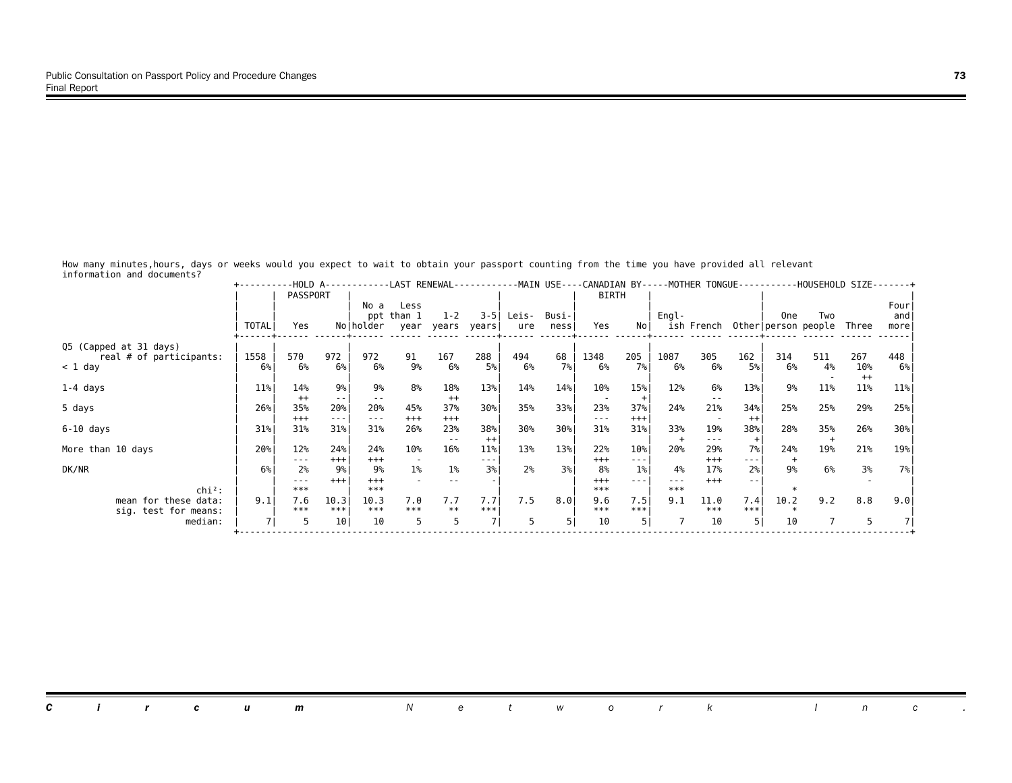+----------HOLD A------------LAST RENEWAL------------MAIN USE----CANADIAN BY-----MOTHER TONGUE-----------HOUSEHOLD SIZE-------+ | | PASSPORT | | | BIRTH | | |  $|\hspace{.6cm}|\hspace{.6cm}|\hspace{.6cm}$  No a Less  $|\hspace{.6cm}|\hspace{.6cm}|\hspace{.6cm}|\hspace{.6cm}|\hspace{.6cm}|\hspace{.6cm}|\hspace{.6cm}|\hspace{.6cm}|\hspace{.6cm}|\hspace{.6cm}|\hspace{.6cm}|\hspace{.6cm}|\hspace{.6cm}|\hspace{.6cm}|\hspace{.6cm}|\hspace{.6cm}|\hspace{.6cm}|\hspace{.6cm}|\hspace{.6cm}|\hspace{.6cm}|\hspace{.6cm}|\hspace{.6cm}|\hspace{.6cm$  $|$  | ppt than 1  $1$ -2  $3$ -5| Leis-Busi-| | Engl- | One Two and| | TOTAL| Yes No|holder year years years| ure ness| Yes No| ish French Other|person people Three more| +------+------ ------+------ ------ ------ ------+------ ------+------ ------+------ ------ ------+------ ------ ------ ------|  $Q5$  (Capped at 31 days) real # of participants: | 1558 | 570 972 | 972 91 167 288 | 494 68 | 1348 205 | 1087 305 162 | 314 511 267 448<br>1 6% | 6% 6% | 6% 9% 6% 5% 6% 7% 6% 7% 6% 7% 6% 6% 5% 6% 4% 10% 6% 6% < 1 day | 6%| 6% 6%| 6% 9% 6% 5%| 6% 7%| 6% 7%| 6% 6% 5%| 6% 4% 10% 6%| | | | | | | | - ++ | 1-4 days | 11%| 14% 9%| 9% 8% 18% 13%| 14% 14%| 10% 15%| 12% 6% 13%| 9% 11% 11% 11%| | | ++ --| -- ++ | | - +| -- | | 5 days | 26%| 35% 20%| 20% 45% 37% 30%| 35% 33%| 23% 37%| 24% 21% 34%| 25% 25% 29% 25%| | | +++ ---| --- +++ +++ | | --- +++| - ++| | 6-10 days | 31%| 31% 31%| 31% 26% 23% 38%| 30% 30%| 31% 31%| 33% 19% 38%| 28% 35% 26% 30%| | | | -- ++| | | + --- +| + | More than 10 days | 20%| 12% 24%| 24% 10% 16% 11%| 13% 13%| 22% 10%| 20% 29% 7%| 24% 19% 21% 19%| | | | | --- +++| +++ -- - ----| ---| +++ ---| +++ ---| + DK/NR | 6%| 2% 9%| 9% 1% 1% 3%| 2% 3%| 8% 1%| 4% 17% 2%| 9% 6% 3% 7%| | | --- +++| +++ - -- -| | +++ ---| --- +++ --| - | chi<sup>2</sup>:  $|$   $|$  \*\*\*  $|$  \*\*\*  $|$  \*\*\*  $|$  \*\*\*  $|$  \*\*\*  $|$  \*\*\*  $|$  \* mean for these data: | 9.1| 7.6 10.3| 10.3 7.0 7.7 7.7| 7.5 8.0| 9.6 7.5| 9.1 11.0 7.4| 10.2 9.2 8.8 9.0| sig. test for means: | | \*\*\* \*\*\*| \*\*\* \*\*\* \*\* \*\*\*| | \*\*\* \*\*\*| \*\*\* \*\*\*| \* | median: | 7| 5 10| 10 5 5 7| 5 5| 10 5| 7 10 5| 10 7 5 7| +-----------------------------------------------------------------------------------------------------------------------------+

 How many minutes,hours, days or weeks would you expect to wait to obtain your passport counting from the time you have provided all relevant information and documents?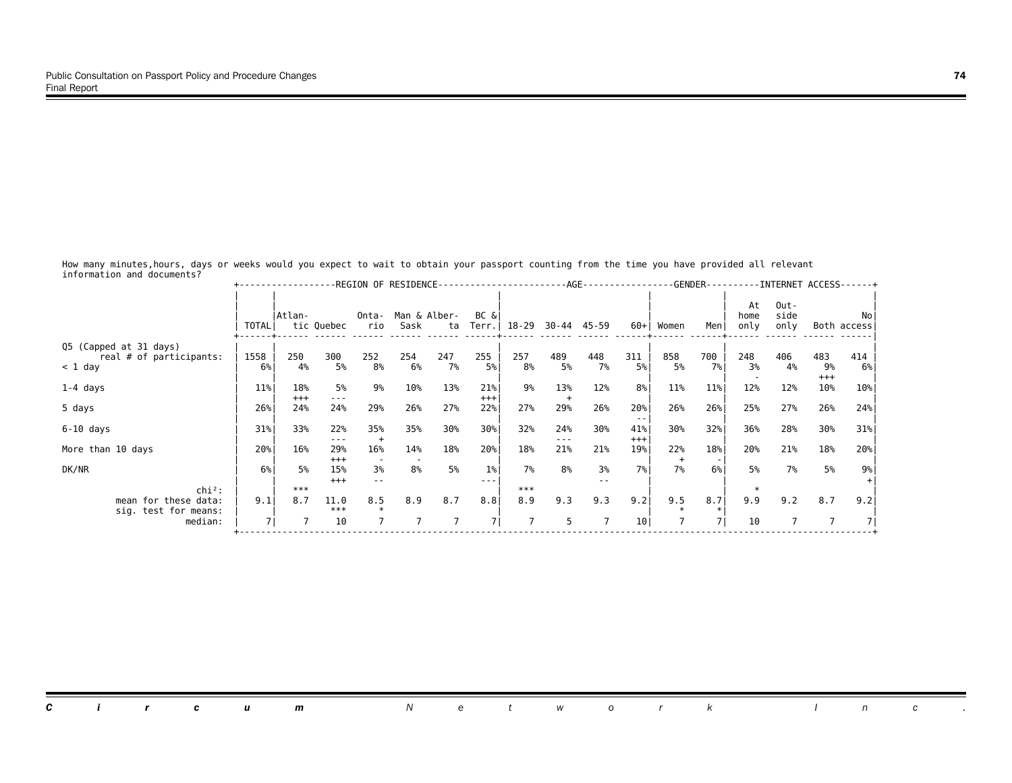| I III OI MALI OII ANU QOLUMENLS:                               |              |                 |                         | <b>REGION OF RESIDENCE-</b> |           |                    |                  |           | AGE-                  |            |                 | <b>GENDER-</b>   |              |                     | INTERNET ACCESS-          |                       |                   |
|----------------------------------------------------------------|--------------|-----------------|-------------------------|-----------------------------|-----------|--------------------|------------------|-----------|-----------------------|------------|-----------------|------------------|--------------|---------------------|---------------------------|-----------------------|-------------------|
|                                                                | <b>TOTAL</b> | Atl an-         | tic Quebec              | Onta-<br>ri o               | Sask      | Man & Alber-<br>ta | $BC \&$<br>Terr. | 18-29     | 30-44                 | 45-59      | $60+$           | Women            | Men          | At<br>home<br>onl v | $0$ ut-<br>si de<br>onl y |                       | No<br>Both access |
| Q5 (Capped at 31 days)<br>real # of participants:<br>$< 1$ day | 1558<br>6%   | 250<br>4%       | 300<br>5%               | 252<br>8%                   | 254<br>6% | 247<br>7%          | 255<br>5%        | 257<br>8% | 489<br>5%             | 448<br>7%  | 311<br>$5\%$    | 858<br>5%        | 700<br>7%    | 248<br>3%           | 406<br>4%                 | 483<br>9%<br>$^{+++}$ | 414<br>6%         |
| $1 - 4$ days                                                   | 11%          | 18%             | 5%                      | 9%                          | 10%       | 13%                | 21%              | 9%        | 13%                   | 12%        | $8\%$           | 11%              | $11\%$       | 12%                 | 12%                       | 10%                   | 10%               |
| 5 days                                                         | 26%          | $^{+++}$<br>24% | $- - -$<br>24%          | 29%                         | 26%       | 27%                | $^{+++}$<br>22%  | 27%       | $\overline{+}$<br>29% | 26%        | 20%             | 26%              | 26%          | 25%                 | 27%                       | 26%                   | 24%               |
| $6-10$ days                                                    | 31%          | 33%             | 22%                     | 35%                         | 35%       | 30%                | 30%              | 32%       | 24%                   | 30%        | $- -$<br>41%    | 30%              | 32%          | 36%                 | 28%                       | 30%                   | 31%               |
| More than 10 days                                              | 20%          | 16%             | $- - -$<br>29%<br>$+++$ | $\ddot{}$<br>16%            | 14%       | 18%                | 20%              | 18%       | $- - -$<br>21%        | 21%        | $^{+++}$<br>19% | 22%<br>$\ddot{}$ | 18%          | 20%                 | 21%                       | 18%                   | 20%               |
| DK/NR                                                          | 6%           | 5%              | 15%<br>$+++$            | 3%<br>$ -$                  | 8%        | 5%                 | 1%<br>$- - -$    | 7%        | 8%                    | 3%<br>$ -$ | 7%              | 7%               | 6%           | 5%                  | 7%                        | 5%                    | 9%<br>$^{+}$      |
| $chi^2$ :                                                      |              | ***             |                         |                             |           |                    |                  | ***       |                       |            |                 |                  |              |                     |                           |                       |                   |
| mean for these data:<br>sig. test for means:                   | 9.1          | 8.7             | 11.0<br>$***$           | 8.5                         | 8.9       | 8.7                | 8.8              | 8.9       | 9.3                   | 9.3        | 9.2             | 9.5              | 8.7<br>$*$   | 9.9                 | 9.2                       | 8.7                   | 9.2               |
| median:                                                        | $\tau$       |                 | 10                      | 7                           | 7         | $\mathbf{7}$       | $\tau$           | 7         | 5                     | 7          | 10 <sup>1</sup> | ⇁                | $\mathbf{7}$ | 10                  | 7                         | $\mathbf{7}$          | 7 <sup>1</sup>    |

 How many minutes,hours, days or weeks would you expect to wait to obtain your passport counting from the time you have provided all relevant information and documents?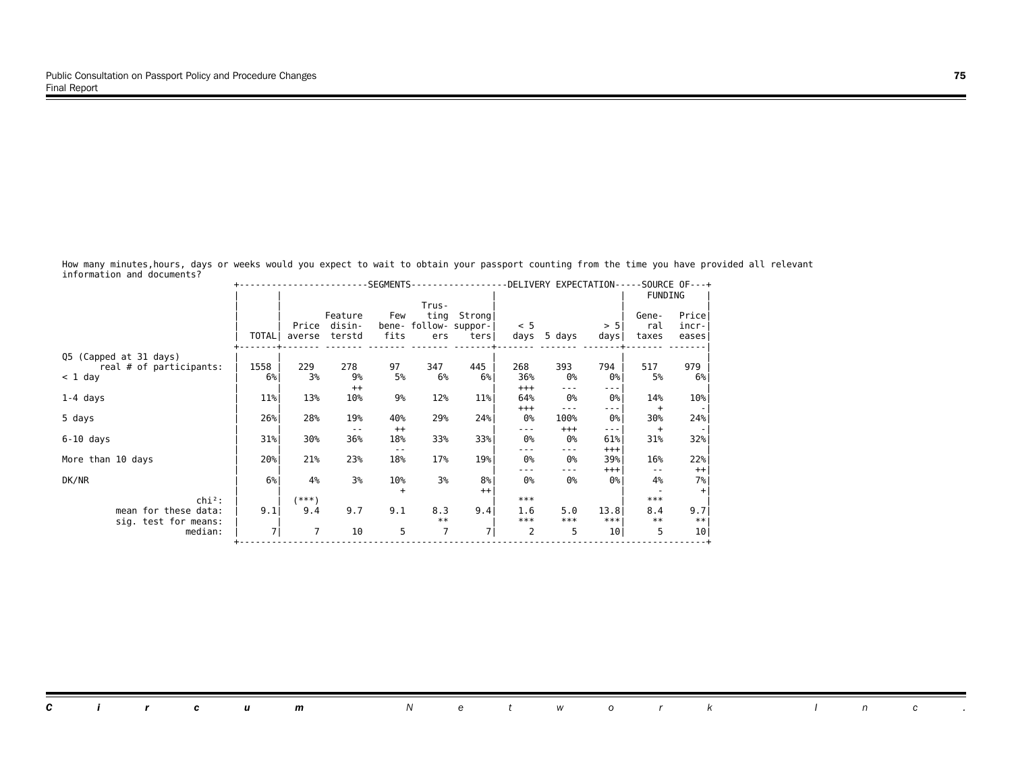How many minutes,hours, days or weeks would you expect to wait to obtain your passport counting from the time you have provided all relevant information and documents?

|                         |              |         |          | <b>SEGMENTS-</b> |                |         |                  | DELIVERY EXPECTATION |          | SOURCE OF-     |         |
|-------------------------|--------------|---------|----------|------------------|----------------|---------|------------------|----------------------|----------|----------------|---------|
|                         |              |         |          |                  |                |         |                  |                      |          | <b>FUNDING</b> |         |
|                         |              |         |          |                  | Trus-          |         |                  |                      |          |                |         |
|                         |              |         | Feature  | Few              | ting           | Strong  |                  |                      |          | Gene-          | Pri ce  |
|                         |              | Pri ce  | di si n- | bene-            | follow-suppor- |         | < 5              |                      | > 5      | ral            | i ncr-  |
|                         | <b>TOTAL</b> | averse  | terstd   | fits             | ers            | ters    | days             | 5 days               | days     | taxes          | eases   |
| Q5 (Capped at 31 days)  |              |         |          |                  |                |         |                  |                      |          |                |         |
| real # of participants: | 1558         | 229     | 278      | 97               | 347            | 445     | 268              | 393                  | 794      | 517            | 979     |
| $< 1$ day               | 6%           | 3%      | 9%       | 5%               | 6%             | 6%      | 36%              | 0%                   | 0%       | 5%             | 6%      |
|                         |              |         | $^{++}$  |                  |                |         | $^{+++}$         |                      | - - -    |                |         |
| $1 - 4$ days            | 11%          | 13%     | 10%      | 9%               | 12%            | 11%     | 64%              | 0%                   | 0%       | 14%            | 10%     |
|                         |              |         |          |                  |                |         | $^{++}$          | $- - -$              | - - -    | $\ddot{}$      |         |
| 5 days                  | 26%          | 28%     | 19%      | 40%              | 29%            | 24%     | 0%               | 100%                 | 0%       | 30%            | 24%     |
|                         |              |         | $- -$    | $^{++}$          |                |         | - - -            | $^{+++}$             | $- - -$  | $^{+}$         |         |
| $6-10$ days             | 31%          | 30%     | 36%      | 18%              | 33%            | 33%     | 0%               | 0%                   | 61%      | 31%            | 32%     |
|                         |              |         |          | $ -$             |                |         | - - -            | - - -                | $^{+++}$ |                |         |
| More than 10 days       | 20%          | 21%     | 23%      | 18%              | 17%            | 19%     | 0%               | 0%                   | 39%      | 16%            | 22%     |
|                         |              |         |          |                  |                |         | - - -            | - - -                | $^{+++}$ | $- -$          | $^{++}$ |
| DK/NR                   | 6%           | 4%      | 3%       | 10%              | 3%             | 8%      | 0%               | 0%                   | 0%       | 4%             | 7%      |
|                         |              |         |          | $\ddot{}$        |                | $^{++}$ |                  |                      |          |                | $+$     |
| $\chi$ chi $\rm ^{2}$ : |              | $(***)$ |          |                  |                |         | ***              |                      |          | ***            |         |
| mean for these data:    | 9.1          | 9.4     | 9.7      | 9.1              | 8.3            | 9.4     | 1.6              | 5.0                  | 13.8     | 8.4            | 9.7     |
| sig. test for means:    |              |         |          |                  | $**$           |         | ***              | ***                  | ***      | $***$          | $***$   |
| median:                 | 7            | 7       | 10       | 5                | 7              | 7       | $\boldsymbol{2}$ | 5                    | 10       | 5              | 10      |
|                         |              |         |          |                  |                |         |                  |                      |          |                |         |
|                         |              |         |          |                  |                |         |                  |                      |          |                |         |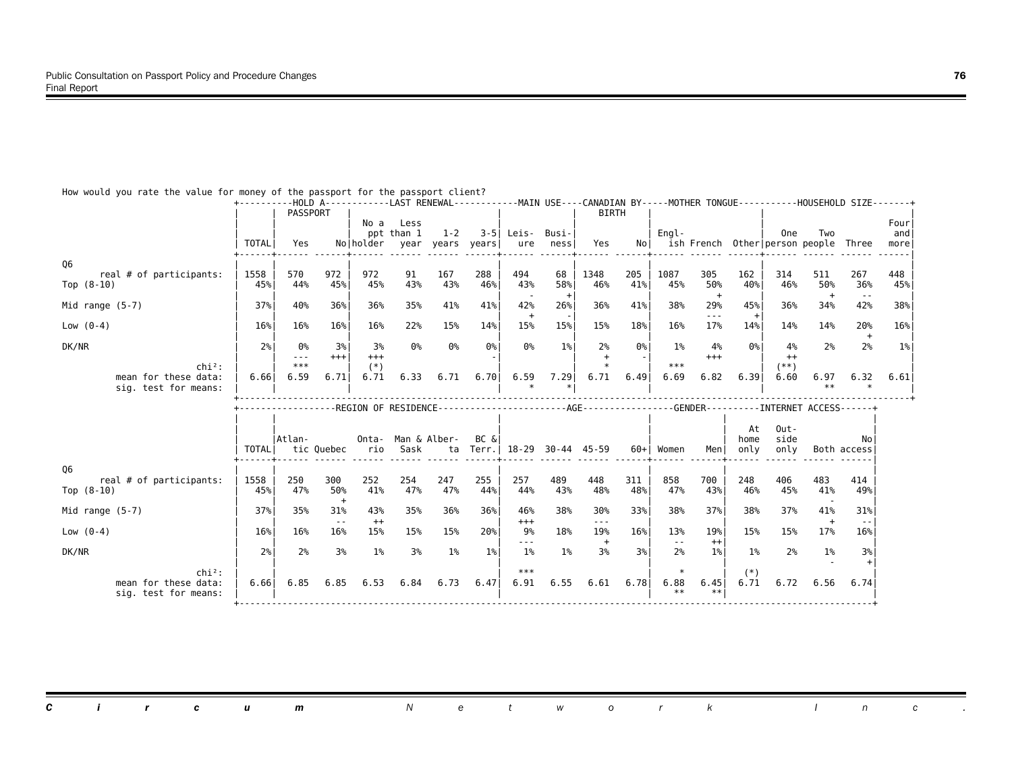|                                                           |              | <b>PASSPORT</b> |             |                         |                      |                             |            |                              |                | -HOLD A-----------LAST RENEWAL------------MAIN USE----CANADIAN BY-----MOTHER TONGUE-----------HOUSEHOLD SIZE--<br><b>BIRTH</b> |                 |                   |                                      |                     |                          |            |                                           |                     |
|-----------------------------------------------------------|--------------|-----------------|-------------|-------------------------|----------------------|-----------------------------|------------|------------------------------|----------------|--------------------------------------------------------------------------------------------------------------------------------|-----------------|-------------------|--------------------------------------|---------------------|--------------------------|------------|-------------------------------------------|---------------------|
|                                                           | <b>TOTAL</b> | Yes             |             | No a<br>No   hol der    | Less<br>ppt than 1   | $1 - 2$<br>year years years |            | $3-5$ Leis-<br>ure           | Busi -<br>ness | Yes                                                                                                                            | No <sub>1</sub> | $Engl -$          | ish French Other person people Three |                     | <b>One</b>               | Two        |                                           | Four<br>and<br>more |
| Q6<br>real # of participants:                             | 1558         | 570             | 972         | 972                     | 91                   | 167                         | 288        | 494                          | 68             | 1348                                                                                                                           | 205             | 1087              | 305                                  | 162                 | 314                      | 511        | 267                                       | 448                 |
| Top $(8-10)$                                              | 45%          | 44%             | 45%         | 45%                     | 43%                  | 43%                         | 46%        | 43%                          | 58%            | 46%                                                                                                                            | 41%             | 45%               | 50%                                  | 40%                 | 46%                      | 50%        | 36%<br>$\sim$ $-$                         | 45%                 |
| Mid range $(5-7)$                                         | 37%          | 40%             | 36%         | 36%                     | 35%                  | 41%                         | 41%        | 42%                          | 26%            | 36%                                                                                                                            | 41%             | 38%               | 29%<br>- - -                         | 45%<br>$+$          | 36%                      | 34%        | 42%                                       | 38%                 |
| Low $(0-4)$                                               | 16%          | 16%             | 16%         | 16%                     | 22%                  | 15%                         | 14%        | 15%                          | 15%            | 15%                                                                                                                            | 18%             | 16%               | 17%                                  | 14%                 | 14%                      | 14%        | 20%                                       | 16%                 |
| DK/NR                                                     | 2%           | 0%<br>$***$     | 3%<br>$+++$ | 3%<br>$^{+++}$          | 0%                   | 0%                          | $0\%$      | 0%                           | 1%             | 2%                                                                                                                             | 0%              | 1%<br>***         | 4%<br>$^{+++}$                       | $0\%$               | 4%<br>$^{++}$            | 2%         | 2%                                        | 1%                  |
| $chi^2$ :<br>mean for these data:<br>sig. test for means: | 6.66         | 6.59            | 6.71        | $(*)$<br>6.71           | 6.33                 | 6.71                        | 6.70       | 6.59                         | 7.29           | 6.71                                                                                                                           | 6.49            | 6.69              | 6.82                                 | 6.39                | $(**)$<br>6.60           | 6.97       | 6.32                                      | 6.61                |
|                                                           |              |                 |             | - REGION OF RESIDENCE-- |                      |                             |            |                              |                | - AGE- - - - - - - - - - - - - - -                                                                                             |                 |                   |                                      |                     |                          |            | - GENDER---------- INTERNET ACCESS------+ |                     |
|                                                           | <b>TOTAL</b> | Atl an-         | tic Quebec  | Onta-<br>ri o           | Man & Alber-<br>Sask |                             | $BC \&$    | ta Terr.   18-29 30-44 45-59 |                |                                                                                                                                |                 | $60+1$ Women      | Men                                  | At<br>home<br>onl y | $0$ ut-<br>side<br>onl y |            | No<br>Both access                         |                     |
| 06                                                        |              |                 |             |                         |                      |                             |            |                              |                |                                                                                                                                |                 |                   |                                      |                     |                          |            |                                           |                     |
| real # of participants:<br>Top (8-10)                     | 1558<br>45%  | 250<br>47%      | 300<br>50%  | 252<br>41%              | 254<br>47%           | 247<br>47%                  | 255<br>44% | 257<br>44%                   | 489<br>43%     | 448<br>48%                                                                                                                     | 311<br>48%      | 858<br>47%        | 700<br>43%                           | 248<br>46%          | 406<br>45%               | 483<br>41% | 414<br>49%                                |                     |
| Mid range $(5-7)$                                         | 37%          | 35%             | 31%         | 43%<br>$^{++}$          | 35%                  | 36%                         | 36%        | 46%<br>$^{+++}$              | 38%            | 30%<br>$- - -$                                                                                                                 | 33%             | 38%               | 37%                                  | 38%                 | 37%                      | 41%        | 31%<br>$- -$                              |                     |
| Low $(0-4)$                                               | 16%          | 16%             | 16%         | 15%                     | 15%                  | 15%                         | 20%        | 9%                           | 18%            | 19%<br>$+$                                                                                                                     | 16%             | 13%<br>$\sim$ $-$ | 19%<br>$^{++}$                       | 15%                 | 15%                      | 17%        | 16%                                       |                     |
| DK/NR                                                     | 2%           | 2%              | 3%          | 1%                      | 3%                   | 1%                          | $1\%$      | 1%                           | 1%             | 3%                                                                                                                             | 3%              | 2%                | 1%                                   | 1%                  | $2\%$                    | 1%         | 3%                                        |                     |
| $chi^2$ :<br>mean for these data:<br>sig. test for means: | 6.66         | 6.85            | 6.85        | 6.53                    | 6.84                 | 6.73                        | 6.47       | ***<br>6.91                  | 6.55           | 6.61                                                                                                                           | 6.78            | 6.88<br>**        | 6.45<br>$***$                        | $(*)$<br>6.71       | 6.72                     | 6.56       | 6.74                                      |                     |

#### How would you rate the value for money of the passport for the passport client?

|  |  |  | <b>Circum</b> Network Inc. |  |  |  |  |  |  |
|--|--|--|----------------------------|--|--|--|--|--|--|
|  |  |  |                            |  |  |  |  |  |  |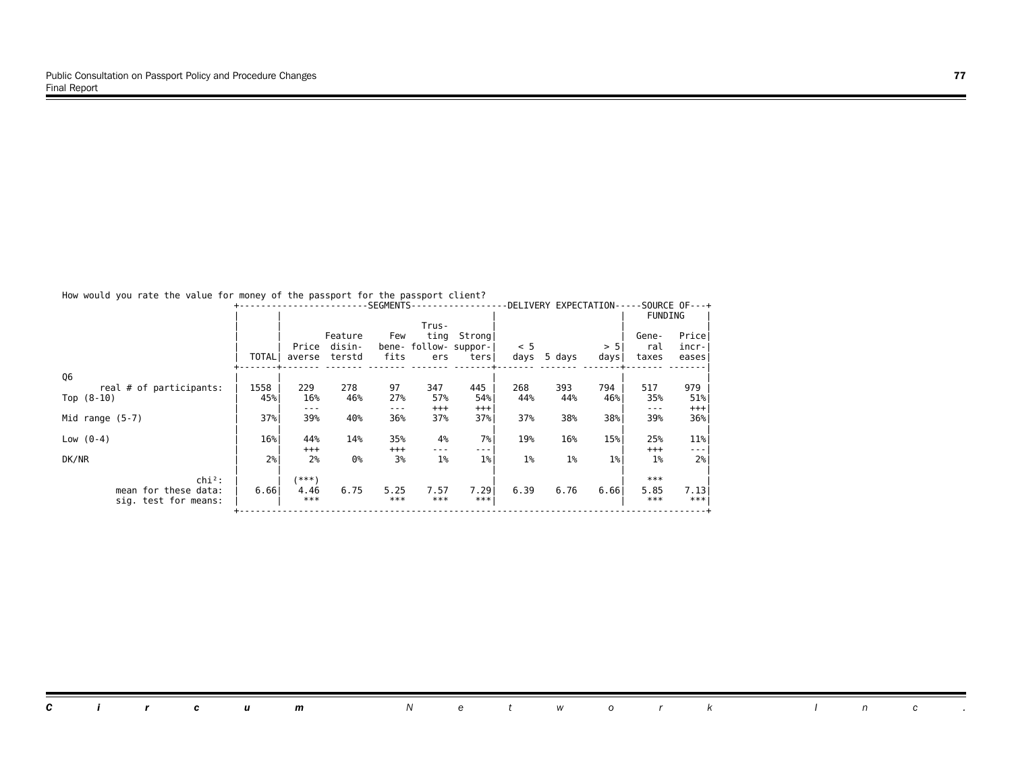|                         |              |         |          | <b>SEGMENTS-</b> |                     |             |      | DELIVERY EXPECTATION |       |                 | SOURCE $0F---$ |
|-------------------------|--------------|---------|----------|------------------|---------------------|-------------|------|----------------------|-------|-----------------|----------------|
|                         |              |         |          |                  |                     |             |      |                      |       | <b>FUNDI NG</b> |                |
|                         |              |         |          |                  | Trus-               |             |      |                      |       |                 |                |
|                         |              |         | Feature  | Few              |                     | ting Strong |      |                      |       | Gene-           | Pri ce         |
|                         |              | Pri ce  | di si n- |                  | bene-follow-suppor- |             | < 5  |                      | $> 5$ | ral             | i ncr-         |
|                         | <b>TOTAL</b> | averse  | terstd   | fits             | ers                 | ters        | days | 5 days               | days⊥ | taxes           | eases          |
| Q6                      |              |         |          |                  |                     |             |      |                      |       |                 |                |
| real # of participants: | 1558         | 229     | 278      | 97               | 347                 | 445         | 268  | 393                  | 794   | 517             | 979            |
| Top $(8-10)$            | 45%          | 16%     | 46%      | 27%              | 57%                 | 54%         | 44%  | 44%                  | 46%   | 35%             | 51%            |
|                         |              | $- - -$ |          | $- - -$          | $^{+++}$            | $^{+++}$    |      |                      |       | $- - -$         | $^{+++}$       |
| Mid range $(5-7)$       | 37%          | 39%     | 40%      | 36%              | 37%                 | 37%         | 37%  | 38%                  | 38%   | 39%             | 36%            |
| Low $(0-4)$             | 16%          | 44%     | 14%      | 35%              | 4%                  | 7%          | 19%  | 16%                  | 15%   | 25%             | 11%            |
|                         |              | $+++$   |          | $^{+++}$         | $- - -$             | $- - -$     |      |                      |       | $^{+++}$        | $\cdots$       |
| DK/NR                   | 2%           | 2%      | 0%       | 3%               | 1%                  | 1%          | 1%   | 1%                   | $1\%$ | 1%              | $2\%$          |
| $chi^2$ :               |              | $(***)$ |          |                  |                     |             |      |                      |       | ***             |                |
| mean for these data:    | 6.66         | 4.46    | 6.75     | 5.25             | 7.57                | 7.29        | 6.39 | 6.76                 | 6.66  | 5.85            | 7.13           |
| sig. test for means:    |              | ***     |          | ***              | ***                 | ***         |      |                      |       | ***             | $***$          |
|                         |              |         |          |                  |                     |             |      |                      |       |                 |                |

#### How would you rate the value for money of the passport for the passport client?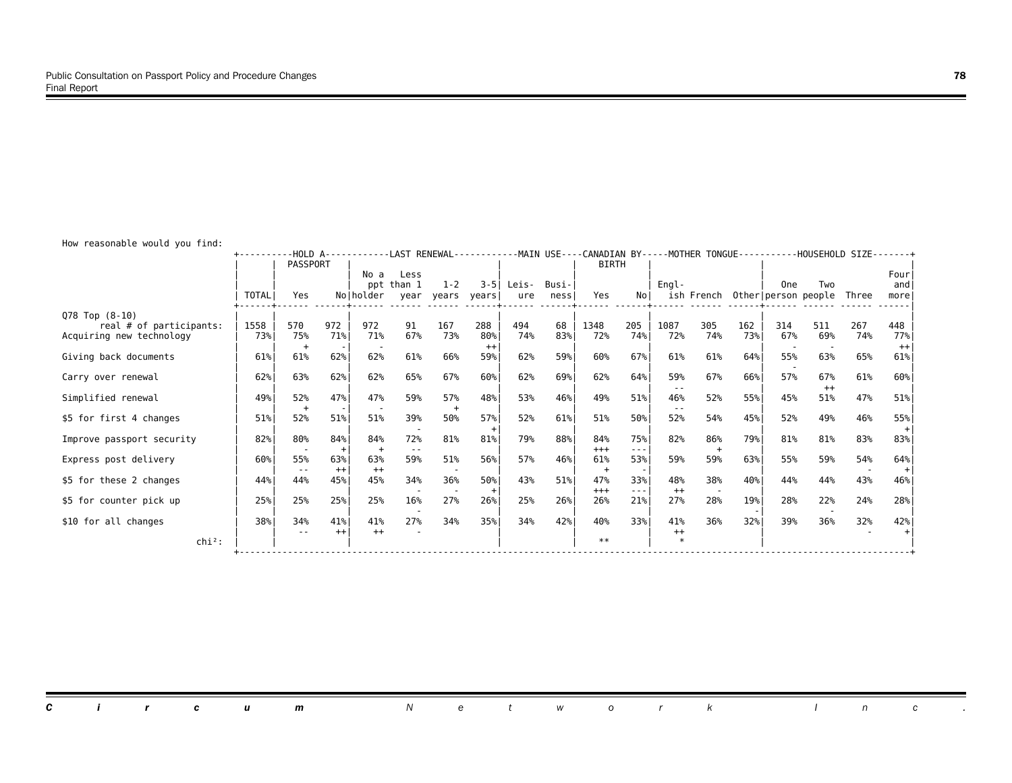|                                               |              | HOLD A-<br><b>PASSPORT</b> |                |                | <b>LAST RENEWAL-</b> |         |                |        | - MAIN USE-- | - CANADI AN BY---<br><b>BI RTH</b> |                       |                | - MOTHER TONGUE- |     |                                | <b>HOUSEHOLD SIZE-</b> |       |                |
|-----------------------------------------------|--------------|----------------------------|----------------|----------------|----------------------|---------|----------------|--------|--------------|------------------------------------|-----------------------|----------------|------------------|-----|--------------------------------|------------------------|-------|----------------|
|                                               |              |                            |                | No a<br>ppt    | Less<br>than 1       | $1 - 2$ | $3 - 5$        | Lei s- | Busi-        |                                    |                       | $Engl -$       |                  |     | <b>One</b>                     | Two                    |       | Four<br>and    |
|                                               | <b>TOTAL</b> | Yes                        |                | No   hol der   | year                 | years   | years          | ure    | ness         | Yes                                | No l                  |                |                  |     | ish French Other person people |                        | Three | more           |
| $Q78$ Top $(8-10)$<br>real # of participants: | 1558         | 570                        | 972            | 972            | 91                   | 167     | 288            | 494    | 68           | 1348                               | 205                   | 1087           | 305              | 162 | 314                            | 511                    | 267   | 448            |
| Acquiring new technology                      | 73%          | 75%<br>$^{+}$              | 71%            | 71%            | 67%                  | 73%     | 80%<br>$^{++}$ | 74%    | 83%          | 72%                                | 74%                   | 72%            | 74%              | 73% | 67%                            | 69%                    | 74%   | 77%<br>$^{++}$ |
| Giving back documents                         | 61%          | 61%                        | 62%            | 62%            | 61%                  | 66%     | 59%            | 62%    | 59%          | 60%                                | 67%                   | 61%            | 61%              | 64% | 55%                            | 63%                    | 65%   | 61%            |
| Carry over renewal                            | 62%          | 63%                        | 62%            | 62%            | 65%                  | 67%     | 60%            | 62%    | 69%          | 62%                                | 64%                   | 59%            | 67%              | 66% | 57%                            | 67%<br>$^{++}$         | 61%   | 60%            |
| Simplified renewal                            | 49%          | 52%                        | 47%            | 47%            | 59%                  | 57%     | 48%            | 53%    | 46%          | 49%                                | 51%                   | 46%<br>$- -$   | 52%              | 55% | 45%                            | 51%                    | 47%   | 51%            |
| \$5 for first 4 changes                       | 51%          | 52%                        | 51%            | 51%            | 39%                  | 50%     | 57%            | 52%    | 61%          | 51%                                | 50%                   | 52%            | 54%              | 45% | 52%                            | 49%                    | 46%   | 55%            |
| Improve passport security                     | 82%          | 80%<br>55%                 | 84%<br>63%     | 84%<br>63%     | 72%<br>$- -$<br>59%  | 81%     | 81%            | 79%    | 88%          | 84%<br>$^{+++}$                    | 75%<br>$- - -$<br>53% | 82%            | 86%              | 79% | 81%                            | 81%                    | 83%   | 83%            |
| Express post delivery                         | 60%          | $ -$                       | $^{++}$        | $^{++}$        |                      | 51%     | 56%            | 57%    | 46%          | 61%<br>$^{+}$                      |                       | 59%            | 59%              | 63% | 55%                            | 59%                    | 54%   | 64%            |
| \$5 for these 2 changes                       | 44%          | 44%                        | 45%            | 45%            | 34%                  | 36%     | 50%<br>$+$     | 43%    | 51%          | 47%<br>$^{+++}$                    | 33%<br>$- - -$        | 48%<br>$^{++}$ | 38%              | 40% | 44%                            | 44%                    | 43%   | 46%            |
| \$5 for counter pick up                       | 25%          | 25%                        | 25%            | 25%            | 16%                  | 27%     | 26%            | 25%    | 26%          | 26%                                | 21%                   | 27%            | 28%              | 19% | 28%                            | 22%                    | 24%   | 28%            |
| \$10 for all changes                          | 38%          | 34%                        | 41%<br>$^{++}$ | 41%<br>$^{++}$ | 27%                  | 34%     | 35%            | 34%    | 42%          | 40%                                | 33%                   | 41%<br>$^{++}$ | 36%              | 32% | 39%                            | 36%                    | 32%   | 42%            |
| chi <sup>2</sup> :                            |              |                            |                |                |                      |         |                |        |              | $***$                              |                       |                |                  |     |                                |                        |       |                |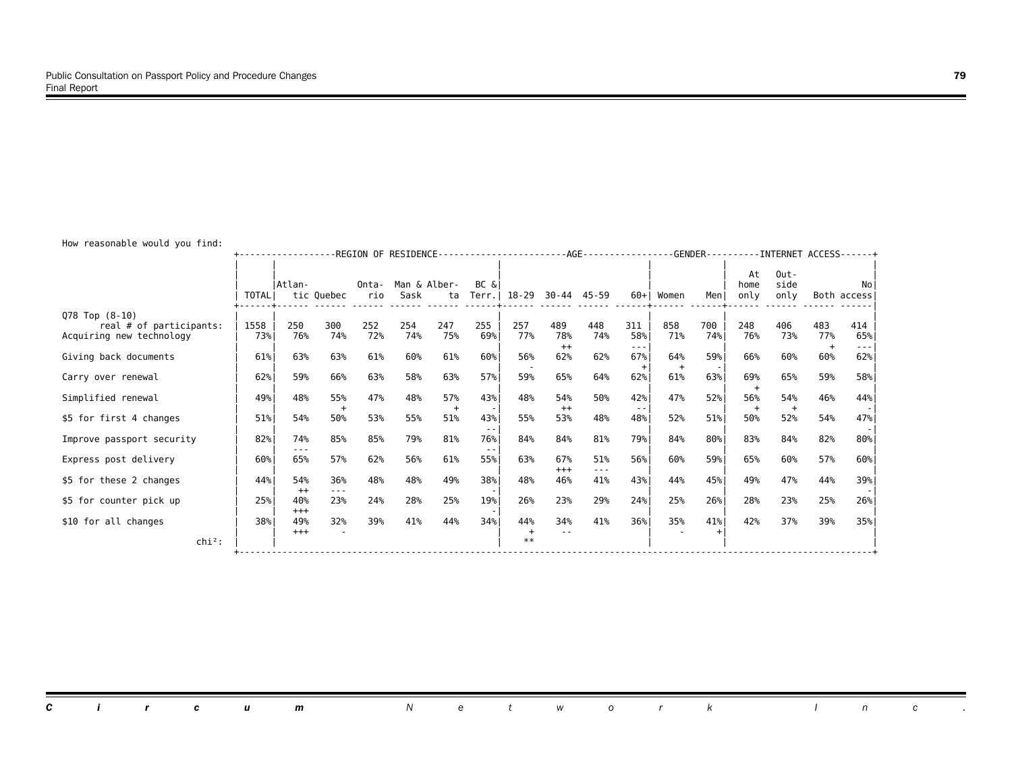| How reasonable would you find:                                            |              |                 |                                                                                                                                                                                                                                                                                                                                                                                                     |                  | <b>REGION OF RESIDENCE-</b> |            |               |            | AGE-            |            |                | <b>GENDER-</b> |               |                     | - INTERNET ACCESS-       |               |                   |
|---------------------------------------------------------------------------|--------------|-----------------|-----------------------------------------------------------------------------------------------------------------------------------------------------------------------------------------------------------------------------------------------------------------------------------------------------------------------------------------------------------------------------------------------------|------------------|-----------------------------|------------|---------------|------------|-----------------|------------|----------------|----------------|---------------|---------------------|--------------------------|---------------|-------------------|
|                                                                           | <b>TOTAL</b> | Atlan-          | tic Quebec                                                                                                                                                                                                                                                                                                                                                                                          | $0$ nta-<br>ri o | Man & Alber-<br>Sask        | ta         | BC &<br>Terr. | $18 - 29$  | $30 - 44$       | $45 - 59$  | $60+$          | Women          | Men           | At<br>home<br>onl v | $0$ ut-<br>side<br>onl y |               | No<br>Both access |
| $Q78$ Top $(8-10)$<br>real # of participants:<br>Acquiring new technology | 1558<br>73%  | 250<br>76%      | 300<br>74%                                                                                                                                                                                                                                                                                                                                                                                          | 252<br>72%       | 254<br>74%                  | 247<br>75% | 255<br>69%    | 257<br>77% | 489<br>78%      | 448<br>74% | 311<br>58%     | 858<br>71%     | 700<br>74%    | 248<br>76%          | 406<br>73%               | 483<br>77%    | 414<br>65%        |
| Giving back documents                                                     | 61%          | 63%             | 63%                                                                                                                                                                                                                                                                                                                                                                                                 | 61%              | 60%                         | 61%        | 60%           | 56%        | $^{++}$<br>62%  | 62%        | $- - -$<br>67% | 64%            | 59%           | 66%                 | 60%                      | $^{+}$<br>60% | $- - -$<br>62%    |
| Carry over renewal                                                        | 62%          | 59%             | 66%                                                                                                                                                                                                                                                                                                                                                                                                 | 63%              | 58%                         | 63%        | 57%           | 59%        | 65%             | 64%        | 62%            | $+$<br>61%     | 63%           | 69%                 | 65%                      | 59%           | 58%               |
| Simplified renewal                                                        | 49%          | 48%             | 55%<br>$+$                                                                                                                                                                                                                                                                                                                                                                                          | 47%              | 48%                         | 57%<br>$+$ | 43%<br>$\sim$ | 48%        | 54%<br>$^{++}$  | 50%        | 42%<br>$- -$   | 47%            | 52%           | 56%                 | 54%<br>$^{+}$            | 46%           | 44%               |
| \$5 for first 4 changes                                                   | 51%          | 54%             | 50%                                                                                                                                                                                                                                                                                                                                                                                                 | 53%              | 55%                         | 51%        | 43%<br>$ -$   | 55%        | 53%             | 48%        | 48%            | 52%            | 51%           | 50%                 | 52%                      | 54%           | 47%               |
| Improve passport security                                                 | 82%          | 74%<br>$- - -$  | 85%                                                                                                                                                                                                                                                                                                                                                                                                 | 85%              | 79%                         | 81%        | 76%<br>$- -$  | 84%        | 84%             | 81%        | 79%            | 84%            | 80%           | 83%                 | 84%                      | 82%           | 80%               |
| Express post delivery                                                     | 60%          | 65%             | 57%                                                                                                                                                                                                                                                                                                                                                                                                 | 62%              | 56%                         | 61%        | 55%           | 63%        | 67%<br>$^{+++}$ | 51%<br>--- | 56%            | 60%            | 59%           | 65%                 | 60%                      | 57%           | 60%               |
| \$5 for these 2 changes                                                   | 44%          | 54%<br>$^{++}$  | 36%<br>$\frac{1}{2} \frac{1}{2} \frac{1}{2} \frac{1}{2} \frac{1}{2} \frac{1}{2} \frac{1}{2} \frac{1}{2} \frac{1}{2} \frac{1}{2} \frac{1}{2} \frac{1}{2} \frac{1}{2} \frac{1}{2} \frac{1}{2} \frac{1}{2} \frac{1}{2} \frac{1}{2} \frac{1}{2} \frac{1}{2} \frac{1}{2} \frac{1}{2} \frac{1}{2} \frac{1}{2} \frac{1}{2} \frac{1}{2} \frac{1}{2} \frac{1}{2} \frac{1}{2} \frac{1}{2} \frac{1}{2} \frac{$ | 48%              | 48%                         | 49%        | 38%           | 48%        | 46%             | 41%        | 43%            | 44%            | 45%           | 49%                 | 47%                      | 44%           | 39%               |
| \$5 for counter pick up                                                   | 25%          | 40%<br>$+++$    | 23%                                                                                                                                                                                                                                                                                                                                                                                                 | 24%              | 28%                         | 25%        | 19%           | 26%        | 23%             | 29%        | 24%            | 25%            | 26%           | 28%                 | 23%                      | 25%           | 26%               |
| \$10 for all changes                                                      | 38%          | 49%<br>$^{+++}$ | 32%<br>$\overline{\phantom{a}}$                                                                                                                                                                                                                                                                                                                                                                     | 39%              | 41%                         | 44%        | 34%           | 44%        | 34%<br>$- -$    | 41%        | 36%            | 35%            | 41%<br>$^{+}$ | 42%                 | 37%                      | 39%           | 35%               |
| chi <sup>2</sup> :                                                        |              |                 |                                                                                                                                                                                                                                                                                                                                                                                                     |                  |                             |            |               | **         |                 |            |                |                |               |                     |                          |               |                   |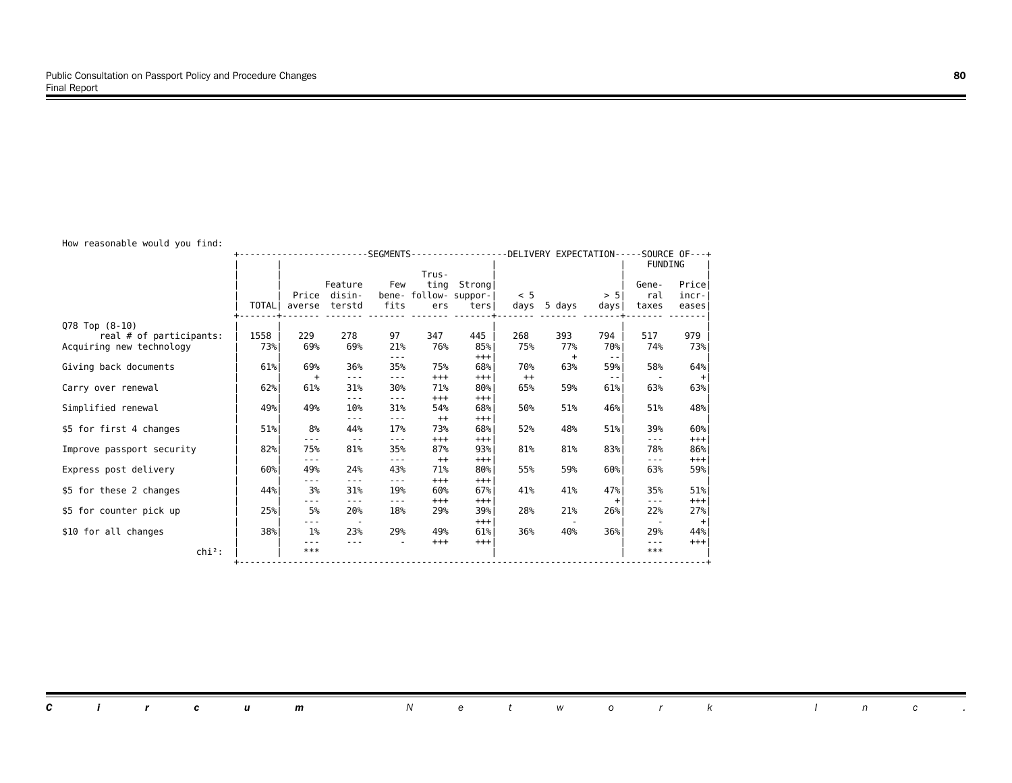| How reasonable would you find: |              |           |                          |                  |          |                     |         |                          |               |                          |                  |
|--------------------------------|--------------|-----------|--------------------------|------------------|----------|---------------------|---------|--------------------------|---------------|--------------------------|------------------|
|                                |              |           |                          | <b>SEGMENTS-</b> |          |                     |         | DELIVERY EXPECTATION---- |               | <b>FUNDING</b>           | $-SOURCE$ OF---+ |
|                                |              |           |                          |                  | Trus-    |                     |         |                          |               |                          |                  |
|                                |              |           | Feature                  | Few              |          |                     |         |                          |               |                          | Pri ce           |
|                                |              |           | di si n-                 |                  | ting     | Strong              | < 5     |                          | > 5           | Gene-<br>ral             |                  |
|                                | <b>TOTAL</b> | Pri ce    |                          |                  |          | bene-follow-suppor- |         |                          |               |                          | i ncr-           |
|                                |              | averse    | terstd                   | fits             | ers      | ters                | days    | 5 days                   | $_{\rm days}$ | taxes                    | eases            |
| $Q78$ Top $(8-10)$             |              |           |                          |                  |          |                     |         |                          |               |                          |                  |
| real # of participants:        | 1558         | 229       | 278                      | 97               | 347      | 445                 | 268     | 393                      | 794           | 517                      | 979              |
| Acquiring new technology       | 73%          | 69%       | 69%                      | 21%              | 76%      | 85%                 | 75%     | 77%                      | 70%           | 74%                      | 73%              |
|                                |              |           |                          | - - -            |          | $+++$               |         | $+$                      | $- -$         |                          |                  |
| Giving back documents          | 61%          | 69%       | 36%                      | 35%              | 75%      | 68%                 | 70%     | 63%                      | 59%           | 58%                      | 64%              |
|                                |              | $\ddot{}$ | - - -                    | $- - -$          | $^{+++}$ | $+++$               | $^{++}$ |                          | $- -$         |                          |                  |
| Carry over renewal             | 62%          | 61%       | 31%                      | 30%              | 71%      | 80%                 | 65%     | 59%                      | 61%           | 63%                      | 63%              |
|                                |              |           | - - -                    | - - -            | $^{+++}$ | $^{+++}$            |         |                          |               |                          |                  |
| Simplified renewal             | 49%          | 49%       | 10%                      | 31%              | 54%      | 68%                 | 50%     | 51%                      | 46%           | 51%                      | 48%              |
|                                |              |           | $- - -$                  | $- - -$          | $^{++}$  | $^{+++}$            |         |                          |               |                          |                  |
| \$5 for first 4 changes        | 51%          | 8%        | 44%                      | 17%              | 73%      | 68%                 | 52%     | 48%                      | 51%           | 39%                      | 60%              |
|                                |              | $- - -$   | $ -$                     | $- - -$          | $^{+++}$ | $^{+++}$            |         |                          |               | $- - -$                  | $^{+++}$         |
| Improve passport security      | 82%          | 75%       | 81%                      | 35%              | 87%      | 93%                 | 81%     | 81%                      | 83%           | 78%                      | 86%              |
|                                |              | $- - -$   |                          | - - -            | $^{++}$  | $^{+++}$            |         |                          |               | $- - -$                  | $^{+++}$         |
| Express post delivery          | 60%          | 49%       | 24%                      | 43%              | 71%      | 80%                 | 55%     | 59%                      | 60%           | 63%                      | 59%              |
|                                |              | - - -     | - - -                    | $- - -$          | $^{+++}$ | $^{+++}$            |         |                          |               |                          |                  |
| \$5 for these 2 changes        | 44%          | 3%        | 31%                      | 19%              | 60%      | 67%                 | 41%     | 41%                      | 47%           | 35%                      | 51%              |
|                                |              | - - -     | - - -                    | $- - -$          | $^{+++}$ | $^{+++}$            |         |                          | $+$           | $- - -$                  | $^{+++}$         |
| \$5 for counter pick up        | 25%          | 5%        | 20%                      | 18%              | 29%      | 39%                 | 28%     | 21%                      | 26%           | 22%                      | 27%              |
|                                |              | $- - -$   | $\overline{\phantom{a}}$ |                  |          | $^{+++}$            |         |                          |               | $\overline{\phantom{a}}$ | $+$              |
| \$10 for all changes           | 38%          | 1%        | 23%                      | 29%              | 49%      | 61%                 | 36%     | 40%                      | 36%           | 29%                      | 44%              |
|                                |              | - - -     | - - -                    |                  | $^{+++}$ | $^{+++}$            |         |                          |               | $- - -$                  | $^{+++}$         |
| $chi^2$ :                      |              | ***       |                          |                  |          |                     |         |                          |               | ***                      |                  |

|  |  |  | <b>Circum</b> Network Inc. |  |  |  |  |  |  |
|--|--|--|----------------------------|--|--|--|--|--|--|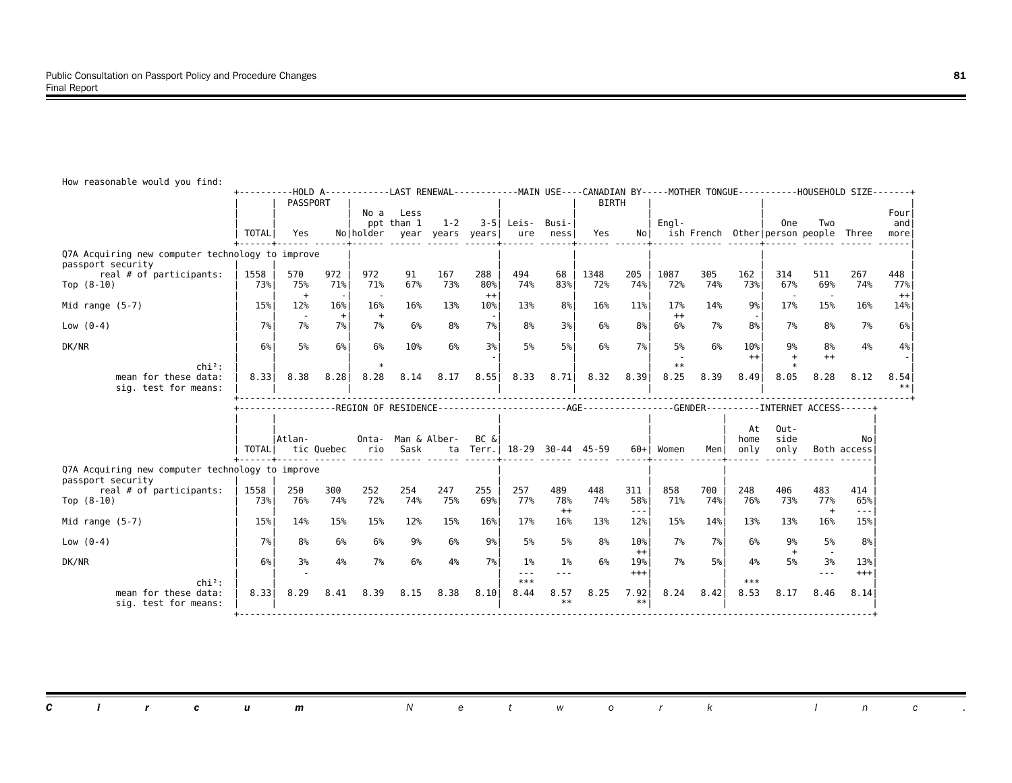|                                                                       |              | <b>PASSPORT</b> |            |                                        |                          |                                       |                |                              |                | -HOLD A------------LAST RENEWAL------------MAIN USE----CANADIAN BY-----MOTHER TONGUE----------HOUSEHOLD SIZE-------+<br><b>BI RTH</b> |                 |                |                                         |                     |                          |               |                                                                                                                                                                                                                                                                                                                                                                                                     |                     |
|-----------------------------------------------------------------------|--------------|-----------------|------------|----------------------------------------|--------------------------|---------------------------------------|----------------|------------------------------|----------------|---------------------------------------------------------------------------------------------------------------------------------------|-----------------|----------------|-----------------------------------------|---------------------|--------------------------|---------------|-----------------------------------------------------------------------------------------------------------------------------------------------------------------------------------------------------------------------------------------------------------------------------------------------------------------------------------------------------------------------------------------------------|---------------------|
|                                                                       | <b>TOTAL</b> | Yes             |            | No a                                   | Less<br>ppt than 1       | $1 - 2$<br>No holder year years years |                | $3-5$ Leis-Busi-             | $ure$ ness     | Yes                                                                                                                                   |                 | $Engl -$       | No ish French Other person people Three |                     | 0ne                      | Two           |                                                                                                                                                                                                                                                                                                                                                                                                     | Four<br>and<br>more |
| Q7A Acquiring new computer technology to improve<br>passport security |              |                 |            |                                        |                          |                                       |                |                              |                |                                                                                                                                       |                 |                |                                         |                     |                          |               |                                                                                                                                                                                                                                                                                                                                                                                                     |                     |
| real # of participants:<br>Top $(8-10)$                               | 1558<br>73%  | 570<br>75%      | 972<br>71% | 972<br>71%                             | 91<br>67%                | 167<br>73%                            | 288<br>80%     | 494<br>74%                   | 68<br>83%      | 1348<br>72%                                                                                                                           | 205<br>74%      | 1087<br>72%    | 305<br>74%                              | 162<br>73%          | 314<br>67%               | 511<br>69%    | 267<br>74%                                                                                                                                                                                                                                                                                                                                                                                          | 448<br>77%          |
| Mid range $(5-7)$                                                     | 15%          | $+$<br>12%      | 16%<br>$+$ | $\overline{\phantom{a}}$<br>16%<br>$+$ | 16%                      | 13%                                   | $^{++}$<br>10% | 13%                          | 8%             | 16%                                                                                                                                   | 11%             | 17%<br>$^{++}$ | 14%                                     | 9%                  | 17%                      | 15%           | 16%                                                                                                                                                                                                                                                                                                                                                                                                 | $^{++}$<br>14%      |
| Low $(0-4)$                                                           | 7%           | 7%              | 7%         | 7%                                     | 6%                       | 8%                                    | $7\%$          | 8%                           | 3%             | 6%                                                                                                                                    | $8\%$           | 6%             | 7%                                      | 8%                  | 7%                       | 8%            | 7%                                                                                                                                                                                                                                                                                                                                                                                                  | 6%                  |
| DK/NR                                                                 | 6%           | 5%              | 6%         | 6%<br>$\ast$                           | 10%                      | 6%                                    | 3%             | 5%                           | 5%             | 6%                                                                                                                                    | 7%              | 5%             | 6%                                      | 10%<br>$^{++}$      | 9%                       | 8%<br>$^{++}$ | 4%                                                                                                                                                                                                                                                                                                                                                                                                  | 4%                  |
| $chi^2$ :<br>mean for these data:<br>sig. test for means:             | 8.33         | 8.38            | 8.28       | 8.28                                   | 8.14                     | 8.17                                  | 8.55           | 8.33                         | 8.71           | 8.32                                                                                                                                  | 8.39            | $***$<br>8.25  | 8.39                                    | 8.49                | 8.05                     | 8.28          | 8.12                                                                                                                                                                                                                                                                                                                                                                                                | 8.54                |
|                                                                       |              |                 |            |                                        |                          |                                       |                |                              |                |                                                                                                                                       |                 |                |                                         |                     |                          |               |                                                                                                                                                                                                                                                                                                                                                                                                     |                     |
|                                                                       | <b>TOTAL</b> | Atl an-         | tic Quebec | Onta-                                  | Man & Alber-<br>rio Sask |                                       | BC &           | ta Terr.   18-29 30-44 45-59 |                |                                                                                                                                       |                 | $60+1$ Women   | Men                                     | At<br>home<br>onl y | $0$ ut-<br>side<br>onl y |               | No<br>Both access                                                                                                                                                                                                                                                                                                                                                                                   |                     |
| Q7A Acquiring new computer technology to improve<br>passport security |              |                 |            |                                        |                          |                                       |                |                              |                |                                                                                                                                       |                 |                |                                         |                     |                          |               |                                                                                                                                                                                                                                                                                                                                                                                                     |                     |
| real # of participants:<br>Top $(8-10)$                               | 1558<br>73%  | 250<br>76%      | 300<br>74% | 252<br>72%                             | 254<br>74%               | 247<br>75%                            | 255<br>69%     | 257<br>77%                   | 489<br>78%     | 448<br>74%                                                                                                                            | 311<br>58%      | 858<br>71%     | 700<br>74%                              | 248<br>76%          | 406<br>73%               | 483<br>77%    | 414<br>65%                                                                                                                                                                                                                                                                                                                                                                                          |                     |
| Mid range $(5-7)$                                                     | 15%          | 14%             | 15%        | 15%                                    | 12%                      | 15%                                   | 16%            | 17%                          | $^{++}$<br>16% | 13%                                                                                                                                   | $- - -$<br>12%  | 15%            | 14%                                     | 13%                 | 13%                      | 16%           | $\frac{1}{2} \frac{1}{2} \frac{1}{2} \frac{1}{2} \frac{1}{2} \frac{1}{2} \frac{1}{2} \frac{1}{2} \frac{1}{2} \frac{1}{2} \frac{1}{2} \frac{1}{2} \frac{1}{2} \frac{1}{2} \frac{1}{2} \frac{1}{2} \frac{1}{2} \frac{1}{2} \frac{1}{2} \frac{1}{2} \frac{1}{2} \frac{1}{2} \frac{1}{2} \frac{1}{2} \frac{1}{2} \frac{1}{2} \frac{1}{2} \frac{1}{2} \frac{1}{2} \frac{1}{2} \frac{1}{2} \frac{$<br>15% |                     |
| Low $(0-4)$                                                           | 7%           | 8%              | 6%         | 6%                                     | 9%                       | 6%                                    | 9%             | 5%                           | 5%             | 8%                                                                                                                                    | 10%<br>$^{++}$  | 7%             | 7%                                      | 6%                  | 9%<br>$\ddot{}$          | 5%            | 8%                                                                                                                                                                                                                                                                                                                                                                                                  |                     |
| DK/NR                                                                 | 6%           | 3%              | 4%         | 7%                                     | 6%                       | 4%                                    | 7%             | 1%                           | 1%<br>$- - -$  | 6%                                                                                                                                    | 19%<br>$^{+++}$ | 7%             | 5%                                      | 4%                  | 5%                       | 3%            | 13%<br>$^{+++}$                                                                                                                                                                                                                                                                                                                                                                                     |                     |
| $chi^2$ :<br>mean for these data:<br>sig. test for means:             | 8.33         | 8.29            | 8.41       | 8.39                                   | 8.15                     | 8.38                                  | 8.10           | ***<br>8.44                  | 8.57<br>$***$  | 8.25                                                                                                                                  | 7.92<br>**      | 8.24           | 8.42                                    | ***<br>8.53         | 8.17                     | 8.46          | 8.14                                                                                                                                                                                                                                                                                                                                                                                                |                     |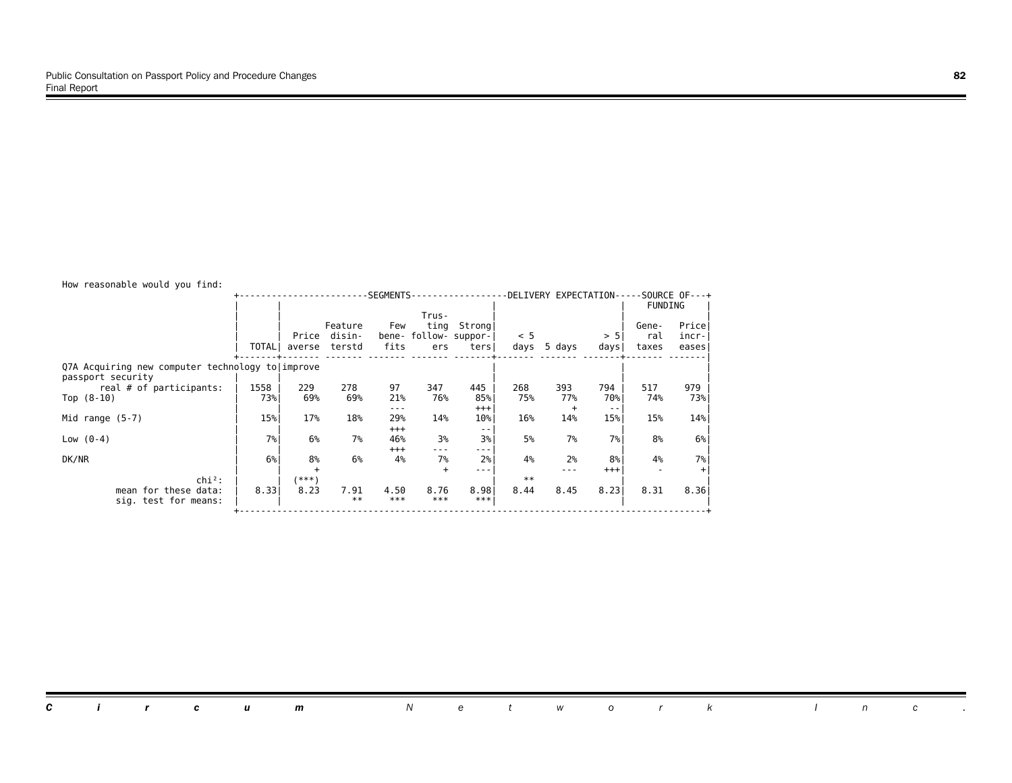|              |         |                                                  | <b>SEGMENTS-</b> |         |          |                             | DELIVERY EXPECTATION- |          |                 | SOURCE $0F---$ |
|--------------|---------|--------------------------------------------------|------------------|---------|----------|-----------------------------|-----------------------|----------|-----------------|----------------|
|              |         |                                                  |                  |         |          |                             |                       |          | <b>FUNDI NG</b> |                |
|              |         |                                                  |                  | Trus-   |          |                             |                       |          |                 |                |
|              |         | Feature                                          | Few              |         | Strong   |                             |                       |          | Gene-           | Pri ce         |
|              |         | di si n-                                         |                  |         |          | < 5                         |                       | $> 5$    | ral             | incr-          |
| <b>TOTAL</b> |         | terstd                                           | fits             | ers     | ters     | days                        | 5 days                | days∣    | taxes           | eases          |
|              |         |                                                  |                  |         |          |                             |                       |          |                 |                |
|              |         |                                                  |                  |         |          |                             |                       |          |                 |                |
| 1558         | 229     | 278                                              | 97               | 347     | 445      | 268                         | 393                   | 794      | 517             | 979            |
| 73%          | 69%     | 69%                                              | 21%              | 76%     | 85%      | 75%                         | 77%                   | 70%      | 74%             | 73%            |
|              |         |                                                  | $- - -$          |         | $^{+++}$ |                             | $\pm$                 | $- -$    |                 |                |
| 15%          | 17%     | 18%                                              | 29%              | 14%     | 10%      | 16%                         | 14%                   | 15%      | 15%             | 14%            |
|              |         |                                                  | $^{+++}$         |         | $ -$     |                             |                       |          |                 |                |
| 7%           | 6%      | 7%                                               | 46%              | 3%      | 3%       | 5%                          | 7%                    | 7%       | 8%              | 6%             |
|              |         |                                                  | $+++$            | $- - -$ | $- - -$  |                             |                       |          |                 |                |
| 6%           | 8%      | 6%                                               | 4%               | 7%      | 2%       | 4%                          | 2%                    | 8%       | 4%              | 7%             |
|              |         |                                                  |                  |         | $- - -$  |                             | $- - -$               | $^{+++}$ |                 | $+$            |
|              | $(***)$ |                                                  |                  |         |          | $**$                        |                       |          |                 |                |
| 8.33         | 8.23    | 7.91                                             | 4.50             | 8.76    | 8.98     | 8.44                        | 8.45                  | 8.23     | 8.31            | 8.36           |
|              |         | $**$                                             | ***              | ***     | ***      |                             |                       |          |                 |                |
|              |         | Q7A Acquiring new computer technology to improve | Pri ce<br>averse |         |          | ting<br>bene-follow-suppor- |                       |          |                 |                |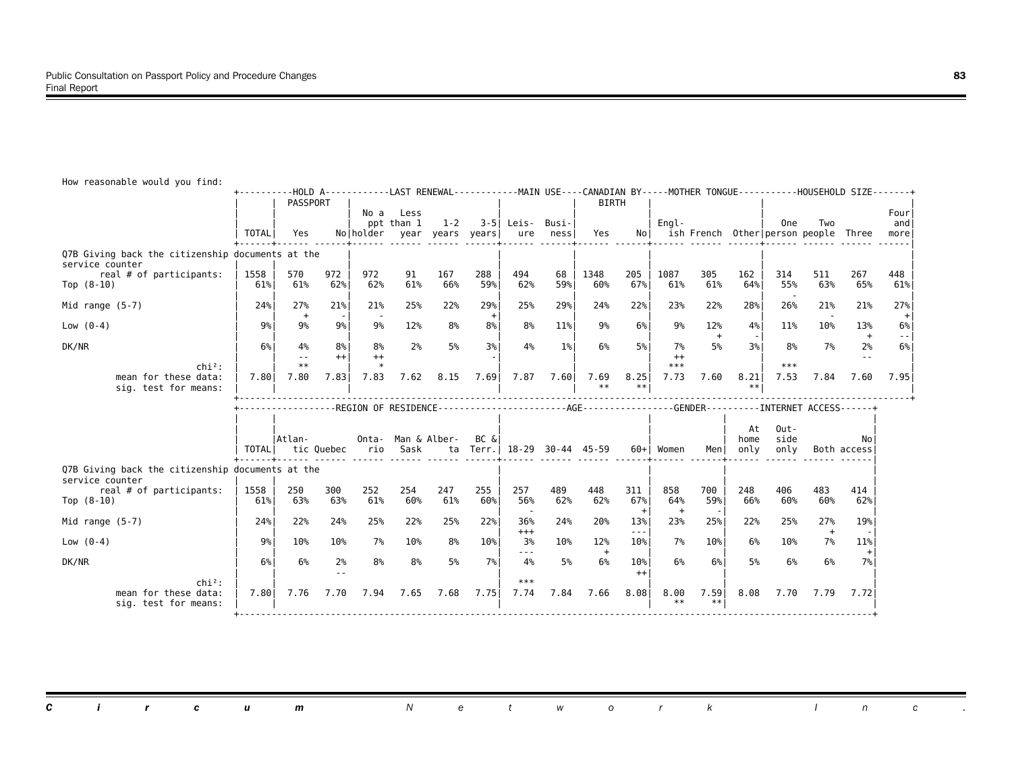|                                                                     |              | <b>PASSPORT</b>     |            |                                       |                          |            |                  |                   |            | -HOLD A------------LAST RENEWAL------------MAIN USE----CANADIAN BY-----MOTHER TONGUE----------HOUSEHOLD SIZE-------+<br><b>BI RTH</b> |                |               |            |                     |                          |                                                |                   |                     |
|---------------------------------------------------------------------|--------------|---------------------|------------|---------------------------------------|--------------------------|------------|------------------|-------------------|------------|---------------------------------------------------------------------------------------------------------------------------------------|----------------|---------------|------------|---------------------|--------------------------|------------------------------------------------|-------------------|---------------------|
|                                                                     | <b>TOTAL</b> | Yes                 |            | No a<br>No   hol der year years years | Less<br>ppt than 1       | $1 - 2$    |                  | $3-5$ Leis-Busi-  | $ure$ ness | Yes                                                                                                                                   |                | $Engl -$      |            |                     | 0ne                      | Two<br>No ish French Other person people Three |                   | Four<br>and<br>more |
| Q7B Giving back the citizenship documents at the<br>service counter |              |                     |            |                                       |                          |            |                  |                   |            |                                                                                                                                       |                |               |            |                     |                          |                                                |                   |                     |
| real # of participants:<br>Top $(8-10)$                             | 1558<br>61%  | 570<br>61%          | 972<br>62% | 972<br>62%                            | 91<br>61%                | 167<br>66% | 288<br>59%       | 494<br>62%        | 68<br>59%  | 1348<br>60%                                                                                                                           | 205<br>67%     | 1087<br>61%   | 305<br>61% | 162<br>64%          | 314<br>55%               | 511<br>63%                                     | 267<br>65%        | 448<br>61%          |
| Mid range $(5-7)$                                                   | 24%          | 27%<br>$+$          | 21%        | 21%                                   | 25%                      | 22%        | 29%<br>$+$       | 25%               | 29%        | 24%                                                                                                                                   | 22%            | 23%           | 22%        | 28%                 | 26%                      | 21%                                            | 21%               | 27%<br>$+$          |
| Low $(0-4)$                                                         | 9%           | 9%                  | 9%         | 9%                                    | 12%                      | 8%         | 8%               | 8%                | 11%        | 9%                                                                                                                                    | 6%             | 9%            | 12%        | 4%                  | 11%                      | 10%                                            | 13%               | 6%<br>$- -$         |
| DK/NR                                                               | 6%           | 4%<br>$\sim$ $\sim$ | 8%<br>$++$ | 8%<br>$^{++}$                         | 2%                       | 5%         | 3%               | 4%                | 1%         | 6%                                                                                                                                    | 5%             | 7%<br>$^{++}$ | 5%         | 3%                  | 8%                       | 7%                                             | 2%                | 6%                  |
| $chi^2$ :<br>mean for these data:<br>sig. test for means:           | 7.80         | $**$<br>7.80        | 7.83       | 7.83                                  | 7.62                     | 8.15       | 7.69             | 7.87              | 7.60       | 7.69<br>$**$                                                                                                                          | 8.25           | $***$<br>7.73 | 7.60       | 8.21                | $***$<br>7.53            | 7.84                                           | 7.60              | 7.95                |
|                                                                     |              |                     |            |                                       |                          |            |                  |                   |            |                                                                                                                                       |                |               |            |                     |                          |                                                |                   |                     |
|                                                                     | <b>TOTAL</b> | Atl an-             | tic Quebec | Onta-                                 | Man & Alber-<br>rio Sask |            | BC &<br>ta Terr. | 18-29 30-44 45-59 |            |                                                                                                                                       |                | $60+1$ Women  | Men        | At<br>home<br>onl y | $0$ ut-<br>side<br>onl y |                                                | No<br>Both access |                     |
| Q7B Giving back the citizenship documents at the<br>service counter |              |                     |            |                                       |                          |            |                  |                   |            |                                                                                                                                       |                |               |            |                     |                          |                                                |                   |                     |
| real # of participants:<br>Top $(8-10)$                             | 1558<br>61%  | 250<br>63%          | 300<br>63% | 252<br>61%                            | 254<br>60%               | 247<br>61% | 255<br>60%       | 257<br>56%        | 489<br>62% | 448<br>62%                                                                                                                            | 311<br>67%     | 858<br>64%    | 700<br>59% | 248<br>66%          | 406<br>60%               | 483<br>60%                                     | 414<br>62%        |                     |
| Mid range $(5-7)$                                                   | 24%          | 22%                 | 24%        | 25%                                   | 22%                      | 25%        | 22%              | 36%<br>$^{+++}$   | 24%        | 20%                                                                                                                                   | 13%<br>$- - -$ | $+$<br>23%    | 25%        | 22%                 | 25%                      | 27%                                            | 19%               |                     |
| Low $(0-4)$                                                         | 9%           | 10%                 | 10%        | 7%                                    | 10%                      | 8%         | 10%              | 3%<br>- - -       | 10%        | 12%<br>$^{+}$                                                                                                                         | 10%            | 7%            | 10%        | 6%                  | 10%                      | 7%                                             | 11%               |                     |
| DK/NR                                                               | 6%           | 6%                  | 2%         | 8%                                    | 8%                       | 5%         | $7\%$            | 4%                | 5%         | 6%                                                                                                                                    | 10%<br>$^{++}$ | 6%            | 6%         | 5%                  | 6%                       | 6%                                             | 7%                |                     |
| $chi^2$ :<br>mean for these data:<br>sig. test for means:           | 7.80         | 7.76                | 7.70       | 7.94                                  | 7.65                     | 7.68       | 7.75             | 7.74              | 7.84       | 7.66                                                                                                                                  | 8.08           | 8.00<br>**    | 7.59<br>** | 8.08                | 7.70                     | 7.79                                           | 7.72              |                     |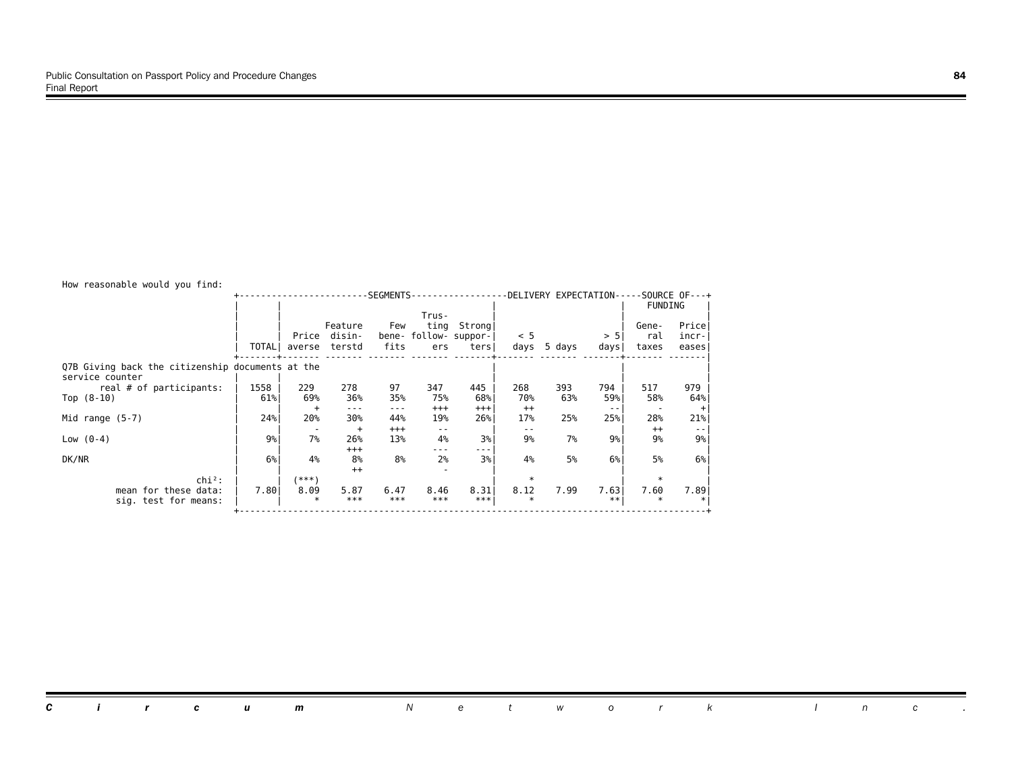|                                                  |              |           |           | <b>SEGMENTS-</b> |                     |          |         | DELIVERY EXPECTATION- |       |                 | SOURCE $0F---$ |
|--------------------------------------------------|--------------|-----------|-----------|------------------|---------------------|----------|---------|-----------------------|-------|-----------------|----------------|
|                                                  |              |           |           |                  |                     |          |         |                       |       | <b>FUNDI NG</b> |                |
|                                                  |              |           |           |                  | Trus-               |          |         |                       |       |                 |                |
|                                                  |              |           | Feature   | Few              | ting                | Strong   |         |                       |       | Gene-           | Price          |
|                                                  |              | Pri ce    | di si n-  |                  | bene-follow-suppor- |          | < 5     |                       | $> 5$ | ral             | i ncr-         |
|                                                  | <b>TOTAL</b> | averse    | terstd    | fits             | ers                 | ters     | days    | 5 days                | days∣ | taxes           | eases          |
| Q7B Giving back the citizenship documents at the |              |           |           |                  |                     |          |         |                       |       |                 |                |
| service counter                                  |              |           |           |                  |                     |          |         |                       |       |                 |                |
| real # of participants:                          | 1558         | 229       | 278       | 97               | 347                 | 445      | 268     | 393                   | 794   | 517             | 979            |
| Top $(8-10)$                                     | 61%          | 69%       | 36%       | 35%              | 75%                 | 68%      | 70%     | 63%                   | 59%   | 58%             | 64%            |
|                                                  |              | $\ddot{}$ | - - -     | $- - -$          | $^{+++}$            | $^{+++}$ | $^{++}$ |                       | $- -$ |                 |                |
| Mid range $(5-7)$                                | 24%          | 20%       | 30%       | 44%              | 19%                 | 26%      | 17%     | 25%                   | 25%   | 28%             | 21%            |
|                                                  |              |           | $\ddot{}$ | $^{+++}$         | $ -$                |          | - -     |                       |       | $^{++}$         | $- -$          |
| Low $(0-4)$                                      | 9%           | 7%        | 26%       | 13%              | 4%                  | 3%       | 9%      | 7%                    | 9%    | 9%              | 9%             |
|                                                  |              |           | $^{+++}$  |                  | $- - -$             | $- - -$  |         |                       |       |                 |                |
| DK/NR                                            | 6%           | 4%        | 8%        | 8%               | 2%                  | 3%       | 4%      | 5%                    | 6%    | 5%              | 6%             |
|                                                  |              |           | $^{++}$   |                  |                     |          |         |                       |       |                 |                |
| $chi^2$ :                                        |              | $(***)$   |           |                  |                     |          | ÷       |                       |       |                 |                |
| mean for these data:                             | 7.80         | 8.09      | 5.87      | 6.47             | 8.46                | 8.31     | 8.12    | 7.99                  | 7.63  | 7.60            | 7.89           |
| sig. test for means:                             |              |           | ***       | ***              | ***                 | ***      |         |                       | $***$ |                 |                |
|                                                  |              |           |           |                  |                     |          |         |                       |       |                 |                |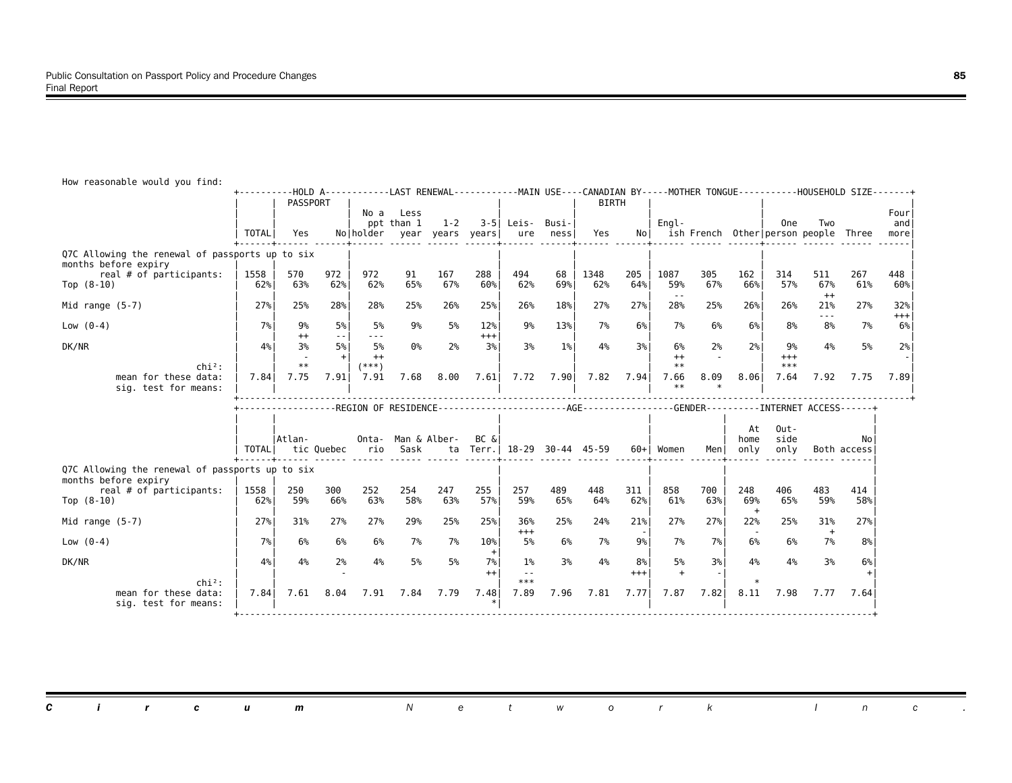|                                                                                    |              | <b>PASSPORT</b> |                  |                                    |                           |            |                 |                              |            | -HOLD A------------LAST RENEWAL------------MAIN USE----CANADIAN BY-----MOTHER TONGUE----------HOUSEHOLD SIZE-------+<br><b>BI RTH</b> |                |                       |            |                     |                          |                                                |                   |                     |
|------------------------------------------------------------------------------------|--------------|-----------------|------------------|------------------------------------|---------------------------|------------|-----------------|------------------------------|------------|---------------------------------------------------------------------------------------------------------------------------------------|----------------|-----------------------|------------|---------------------|--------------------------|------------------------------------------------|-------------------|---------------------|
|                                                                                    | <b>TOTAL</b> | Yes             |                  | No a<br>No holder year years years | Less<br>ppt than 1        | $1 - 2$    |                 | $3-5$ Leis-Busi-             | $ure$ ness | Yes                                                                                                                                   |                | $Engl -$              |            |                     | 0ne                      | Two<br>No ish French Other person people Three |                   | Four<br>and<br>more |
| Q7C Allowing the renewal of passports up to $\sin x$<br>months before expiry       |              |                 |                  |                                    |                           |            |                 |                              |            |                                                                                                                                       |                |                       |            |                     |                          |                                                |                   |                     |
| real # of participants:<br>Top $(8-10)$                                            | 1558<br>62%  | 570<br>63%      | 972<br>62%       | 972<br>62%                         | 91<br>65%                 | 167<br>67% | 288<br>60%      | 494<br>62%                   | 68<br>69%  | 1348<br>62%                                                                                                                           | 205<br>64%     | 1087<br>59%           | 305<br>67% | 162<br>66%          | 314<br>57%               | 511<br>67%                                     | 267<br>61%        | 448<br>60%          |
| Mid range $(5-7)$                                                                  | 27%          | 25%             | 28%              | 28%                                | 25%                       | 26%        | 25%             | 26%                          | 18%        | 27%                                                                                                                                   | 27%            | $\sim$ $-$<br>28%     | 25%        | 26%                 | 26%                      | $^{++}$<br>21%<br>- - -                        | 27%               | 32%<br>$^{+++}$     |
| Low $(0-4)$                                                                        | 7%           | 9%<br>$^{++}$   | 5%<br>$\sim$ $-$ | 5%<br>$- - -$                      | 9%                        | 5%         | 12%<br>$^{+++}$ | 9%                           | 13%        | 7%                                                                                                                                    | $6\%$          | 7%                    | 6%         | 6%                  | 8%                       | 8%                                             | 7%                | 6%                  |
| DK/NR                                                                              | 4%           | 3%              | 5%               | 5%<br>$^{++}$                      | 0%                        | 2%         | 3%              | 3%                           | 1%         | 4%                                                                                                                                    | 3%             | 6%<br>$^{++}$         | $2\%$      | 2%                  | 9%<br>$^{+++}$<br>$***$  | 4%                                             | 5%                | 2%                  |
| $chi^2$ :<br>mean for these data:<br>sig. test for means:                          | 7.84         | $***$<br>7.75   | 7.91             | $(***)$<br>7.91                    | 7.68                      | 8.00       | 7.61            | 7.72                         | 7.90       | 7.82                                                                                                                                  | 7.94           | $* *$<br>7.66<br>$**$ | 8.09       | 8.06                | 7.64                     | 7.92                                           | 7.75              | 7.89                |
|                                                                                    |              |                 |                  |                                    |                           |            |                 |                              |            |                                                                                                                                       |                |                       |            |                     |                          |                                                |                   |                     |
|                                                                                    | <b>TOTAL</b> | Atlan-          | tic Quebec       | Onta-                              | Man & Alber-<br>ri o Sask |            | BC &            | ta Terr.   18-29 30-44 45-59 |            |                                                                                                                                       |                | $60+1$ Women          | Men        | At<br>home<br>onl y | $0$ ut-<br>side<br>onl y |                                                | No<br>Both access |                     |
| $Q7C$ Allowing the renewal of passports up to $\text{six}$<br>months before expiry |              |                 |                  |                                    |                           |            |                 |                              |            |                                                                                                                                       |                |                       |            |                     |                          |                                                |                   |                     |
| real # of participants:<br>Top $(8-10)$                                            | 1558<br>62%  | 250<br>59%      | 300<br>66%       | 252<br>63%                         | 254<br>58%                | 247<br>63% | 255<br>57%      | 257<br>59%                   | 489<br>65% | 448<br>64%                                                                                                                            | 311<br>62%     | 858<br>61%            | 700<br>63% | 248<br>69%          | 406<br>65%               | 483<br>59%                                     | 414<br>58%        |                     |
| Mid range $(5-7)$                                                                  | 27%          | 31%             | 27%              | 27%                                | 29%                       | 25%        | 25%             | 36%<br>$^{++}$               | 25%        | 24%                                                                                                                                   | 21%            | 27%                   | 27%        | $+$<br>22%          | 25%                      | 31%                                            | 27%               |                     |
| Low $(0-4)$                                                                        | 7%           | 6%              | 6%               | 6%                                 | 7%                        | 7%         | 10%<br>$^{+}$   | 5%                           | 6%         | 7%                                                                                                                                    | 9%             | 7%                    | 7%         | 6%                  | 6%                       | 7%                                             | 8%                |                     |
| DK/NR                                                                              | $4\%$        | 4%              | 2%               | 4%                                 | 5%                        | 5%         | 7%<br>$^{++}$   | 1%                           | 3%         | 4%                                                                                                                                    | 8%<br>$^{+++}$ | 5%<br>$+$             | 3%         | 4%                  | 4%                       | 3%                                             | 6%                |                     |
| $chi^2$ :<br>mean for these data:<br>sig. test for means:                          | 7.84         | 7.61            | 8.04             | 7.91                               | 7.84                      | 7.79       | 7.48            | ***<br>7.89                  | 7.96       | 7.81                                                                                                                                  | 7.77           | 7.87                  | 7.82       | 8.11                | 7.98                     | 7.77                                           | 7.64              |                     |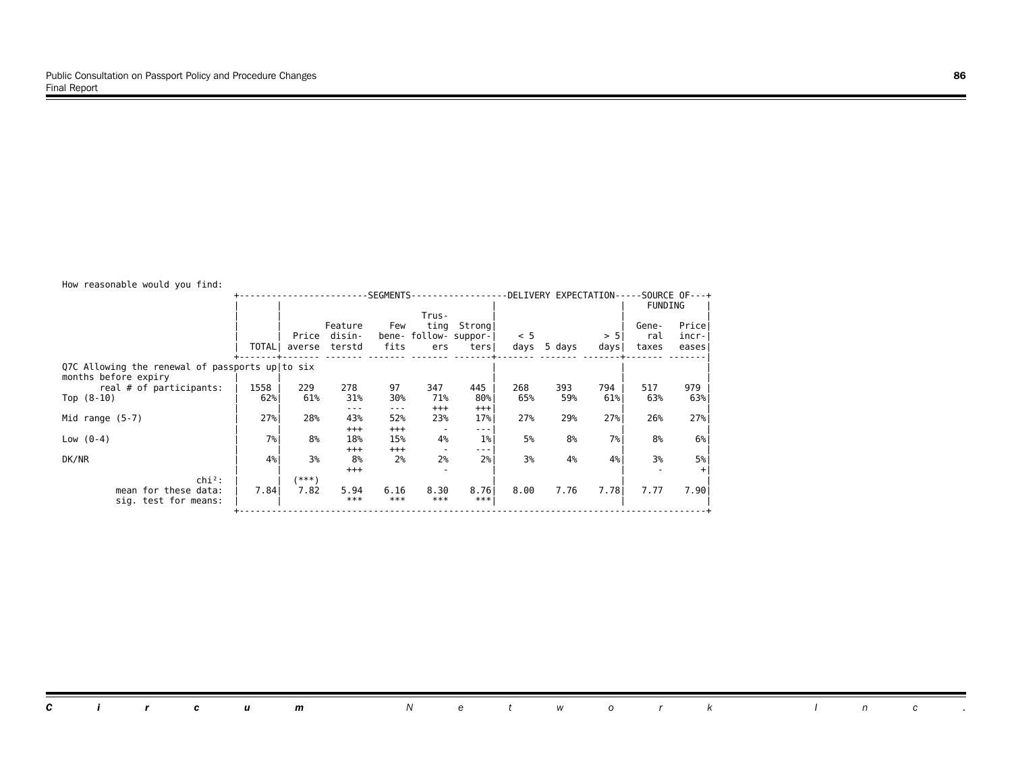|                                                      |              |         |          | <b>SEGMENTS-</b> |                     |             |      | DELIVERY EXPECTATION- |       |                 | SOURCE $OF--$ |
|------------------------------------------------------|--------------|---------|----------|------------------|---------------------|-------------|------|-----------------------|-------|-----------------|---------------|
|                                                      |              |         |          |                  |                     |             |      |                       |       | <b>FUNDI NG</b> |               |
|                                                      |              |         |          |                  | Trus-               |             |      |                       |       |                 |               |
|                                                      |              |         | Feature  | Few              |                     | ting Strong |      |                       |       | Gene-           | Pri ce        |
|                                                      |              | Pri ce  | di si n- |                  | bene-follow-suppor- |             | < 5  |                       | $> 5$ | ral             | incr-         |
|                                                      | <b>TOTAL</b> | averse  | terstd   | fits             | ers                 | ters        | days | 5 days                | days∣ | taxes           | eases         |
| Q7C Allowing the renewal of passports up to $\sin x$ |              |         |          |                  |                     |             |      |                       |       |                 |               |
| months before expiry                                 |              |         |          |                  |                     |             |      |                       |       |                 |               |
| real # of participants:                              | 1558         | 229     | 278      | 97               | 347                 | 445         | 268  | 393                   | 794   | 517             | 979           |
| Top $(8-10)$                                         | 62%          | 61%     | 31%      | 30%              | 71%                 | 80%         | 65%  | 59%                   | 61%   | 63%             | 63%           |
|                                                      |              |         | - - -    | $- - -$          | $^{+++}$            | $^{+++}$    |      |                       |       |                 |               |
| Mid range $(5-7)$                                    | 27%          | 28%     | 43%      | 52%              | 23%                 | 17%         | 27%  | 29%                   | 27%   | 26%             | 27%           |
|                                                      |              |         | $^{+++}$ | $^{+++}$         |                     | $- - -$     |      |                       |       |                 |               |
| Low $(0-4)$                                          | 7%           | 8%      | 18%      | 15%              | 4%                  | 1%          | 5%   | 8%                    | 7%    | 8%              | 6%            |
|                                                      |              |         | $^{+++}$ | $^{+++}$         |                     | ---         |      |                       |       |                 |               |
| DK/NR                                                | 4%           | 3%      | 8%       | 2%               | 2%                  | 2%          | 3%   | 4%                    | 4%    | 3%              | 5%            |
|                                                      |              |         | $+++$    |                  |                     |             |      |                       |       |                 | $^+$          |
| $chi^2$ :                                            |              | $(***)$ |          |                  |                     |             |      |                       |       |                 |               |
| mean for these data:                                 | 7.84         | 7.82    | 5.94     | 6.16             | 8.30                | 8.76        | 8.00 | 7.76                  | 7.78  | 7.77            | 7.90          |
| sig. test for means:                                 |              |         | ***      | ***              | ***                 | ***         |      |                       |       |                 |               |
|                                                      |              |         |          |                  |                     |             |      |                       |       |                 |               |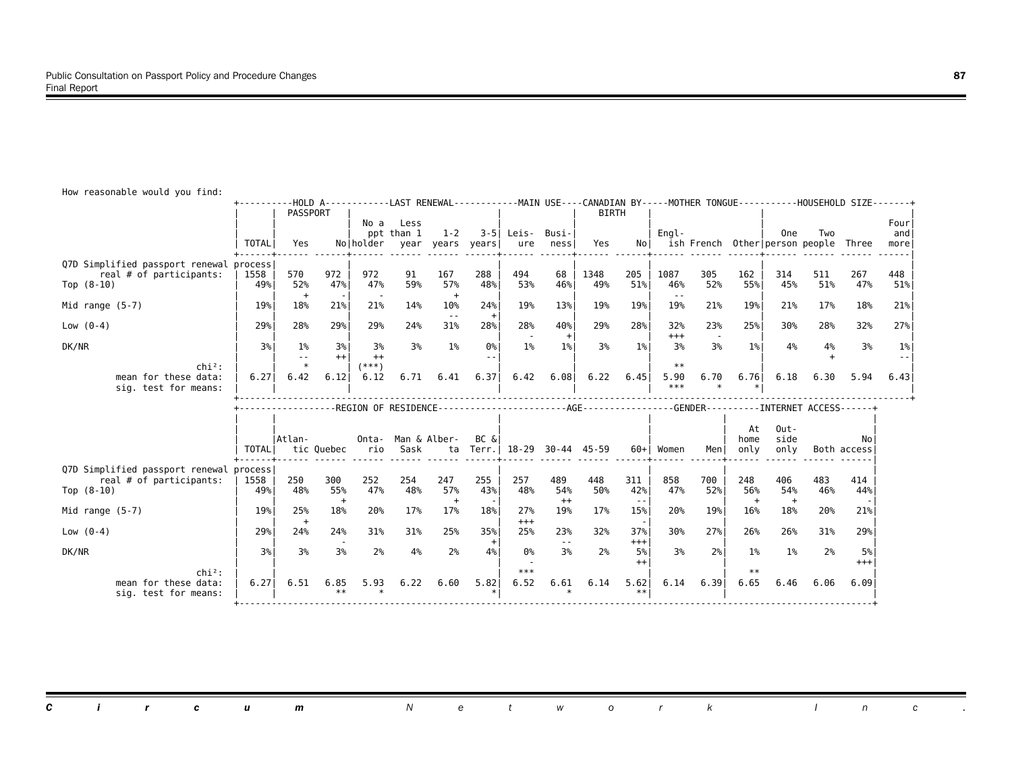|                                              |              |                 |            |                                              |                      |                       |                  |                     |                   | -HOLD A-----------LAST RENEWAL------------MAIN USE----CANADIAN BY-----MOTHER TONGUE-----------HOUSEHOLD SIZE-------+ |                 |                 |                                           |               |               |      |                   |             |
|----------------------------------------------|--------------|-----------------|------------|----------------------------------------------|----------------------|-----------------------|------------------|---------------------|-------------------|----------------------------------------------------------------------------------------------------------------------|-----------------|-----------------|-------------------------------------------|---------------|---------------|------|-------------------|-------------|
|                                              |              | <b>PASSPORT</b> |            | No a                                         | Less                 |                       |                  |                     |                   | <b>BIRTH</b>                                                                                                         |                 |                 |                                           |               |               |      |                   | Four        |
|                                              | <b>TOTAL</b> | Yes             |            | No   hol der                                 | ppt than 1<br>year   | $1 - 2$<br>vears      | years            | $3-5$ Leis-<br>ure  | Busi-<br>ness     | Yes                                                                                                                  | No l            | $Engl -$        | ish French Other person people            |               | 0ne           | Two  | Three             | and<br>more |
| Q7D Simplified passport renewal              | process      |                 |            |                                              |                      |                       |                  |                     |                   |                                                                                                                      |                 |                 |                                           |               |               |      |                   |             |
| real # of participants:                      | 1558         | 570             | 972        | 972                                          | 91<br>59%            | 167                   | 288              | 494                 | 68                | 1348                                                                                                                 | 205             | 1087            | 305                                       | 162           | 314           | 511  | 267               | 448         |
| Top $(8-10)$                                 | 49%          | 52%<br>$+$      | 47%        | 47%                                          |                      | 57%<br>$\overline{+}$ | 48%              | 53%                 | 46%               | 49%                                                                                                                  | 51%             | 46%             | 52%                                       | 55%           | 45%           | 51%  | 47%               | 51%         |
| Mid range $(5-7)$                            | 19%          | 18%             | 21%        | 21%                                          | 14%                  | 10%<br>$ -$           | 24%              | 19%                 | 13%               | 19%                                                                                                                  | 19%             | 19%             | 21%                                       | 19%           | 21%           | 17%  | 18%               | 21%         |
| Low $(0-4)$                                  | 29%          | 28%             | 29%        | 29%                                          | 24%                  | 31%                   | 28%              | 28%                 | 40%<br>$+$        | 29%                                                                                                                  | 28%             | 32%<br>$^{+++}$ | 23%                                       | 25%           | 30%           | 28%  | 32%               | 27%         |
| DK/NR                                        | 3%           | 1%              | 3%         | 3%                                           | 3%                   | 1%                    | 0%               | 1%                  | 1%                | 3%                                                                                                                   | 1%              | 3%              | 3%                                        | 1%            | 4%            | 4%   | 3%                | 1%          |
| $chi^2$ :                                    |              |                 | $^{++}$    | $^{++}$<br>$(***)$                           |                      |                       |                  |                     |                   |                                                                                                                      |                 | $***$           |                                           |               |               |      |                   |             |
| mean for these data:<br>sig. test for means: | 6.27         | 6.42            | 6.12       | 6.12                                         | 6.71                 | 6.41                  | 6.37             | 6.42                | 6.08              | 6.22                                                                                                                 | 6.45            | 5.90<br>$* * *$ | 6.70                                      | 6.76          | 6.18          | 6.30 | 5.94              | 6.43        |
|                                              |              |                 |            | - REGION OF RESIDENCE----------------------- |                      |                       |                  |                     |                   | $-AGE-$ ---------------                                                                                              |                 |                 | - GENDER---------- INTERNET ACCESS------+ |               |               |      |                   |             |
|                                              |              |                 |            |                                              |                      |                       |                  |                     |                   |                                                                                                                      |                 |                 |                                           |               |               |      |                   |             |
|                                              |              |                 |            |                                              |                      |                       |                  |                     |                   |                                                                                                                      |                 |                 |                                           | At            | $0$ ut-       |      |                   |             |
|                                              | <b>TOTAL</b> | Atl an-         | tic Quebec | Onta-<br>rio                                 | Man & Alber-<br>Sask |                       | BC &<br>ta Terr. | $18-29$ 30-44 45-59 |                   |                                                                                                                      |                 | $60+1$ Women    | Menl                                      | home<br>onl y | side<br>onl y |      | No<br>Both access |             |
| Q7D Simplified passport renewal              | process      |                 |            |                                              |                      |                       |                  |                     |                   |                                                                                                                      |                 |                 |                                           |               |               |      |                   |             |
| real # of participants:                      | 1558         | 250             | 300        | 252                                          | 254                  | 247                   | 255              | 257                 | 489               | 448                                                                                                                  | 311             | 858             | 700                                       | 248           | 406           | 483  | 414               |             |
| Top $(8-10)$                                 | 49%          | 48%             | 55%        | 47%                                          | 48%                  | 57%                   | 43%              | 48%                 | 54%<br>$^{++}$    | 50%                                                                                                                  | 42%<br>$ -$     | 47%             | 52%                                       | 56%<br>$+$    | 54%<br>$^{+}$ | 46%  | 44%               |             |
| Mid range $(5-7)$                            | 19%          | 25%             | 18%        | 20%                                          | 17%                  | 17%                   | 18%              | 27%<br>$^{+++}$     | 19%               | 17%                                                                                                                  | 15%             | 20%             | 19%                                       | 16%           | 18%           | 20%  | 21%               |             |
| Low $(0-4)$                                  | 29%          | 24%             | 24%        | 31%                                          | 31%                  | 25%                   | 35%<br>$+$       | 25%                 | 23%<br>$\sim$ $-$ | 32%                                                                                                                  | 37%<br>$^{+++}$ | 30%             | 27%                                       | 26%           | 26%           | 31%  | 29%               |             |
| DK/NR                                        | 3%           | 3%              | 3%         | 2%                                           | 4%                   | 2%                    | 4%               | 0%                  | 3%                | $2\%$                                                                                                                | 5%              | 3%              | 2%                                        | 1%            | 1%            | 2%   | 5%                |             |
| $chi^2$ :                                    |              |                 |            |                                              |                      |                       |                  | ***                 |                   |                                                                                                                      | $^{++}$         |                 |                                           | **            |               |      | $^{+++}$          |             |
| mean for these data:<br>sig. test for means: | 6.27         | 6.51            | 6.85       | 5.93                                         | 6.22                 | 6.60                  | 5.82             | 6.52                | 6.61              | 6.14                                                                                                                 | 5.62            | 6.14            | 6.39                                      | 6.65          | 6.46          | 6.06 | 6.09              |             |

|  |  |  |  |  |  | <b>Circum</b> Network Inc. |  |  |
|--|--|--|--|--|--|----------------------------|--|--|
|  |  |  |  |  |  |                            |  |  |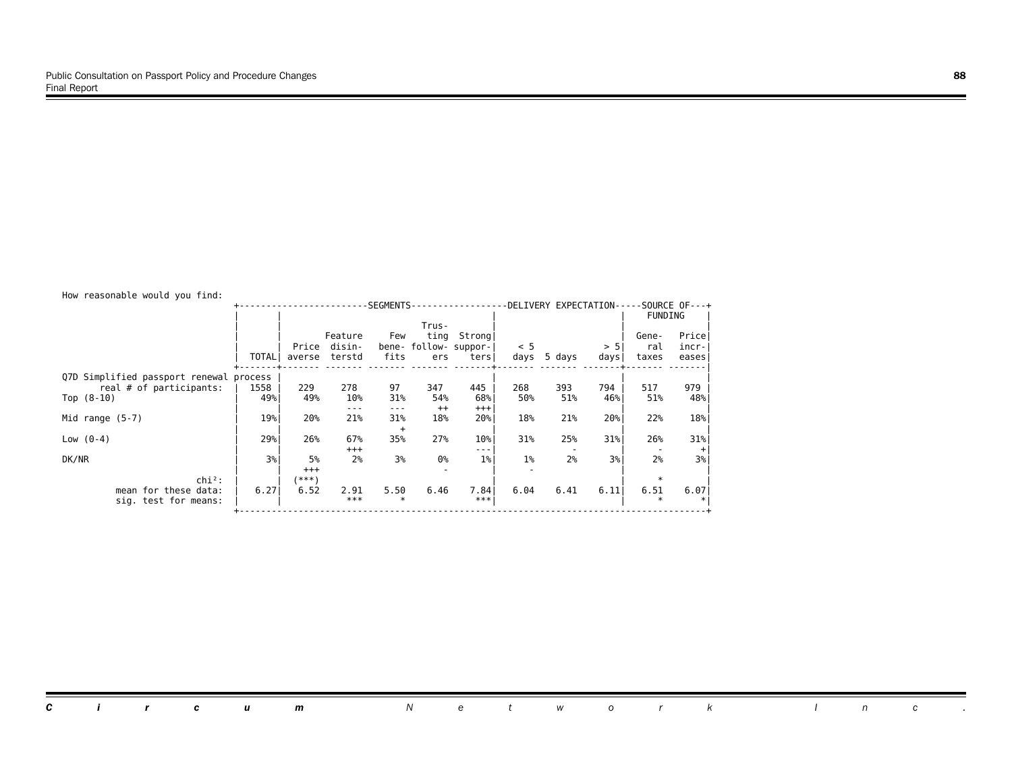|                                 |              |         |          | <b>SEGMENTS-</b> |                |          |      | DELIVERY EXPECTATION |       |                | SOURCE $0F---$ |
|---------------------------------|--------------|---------|----------|------------------|----------------|----------|------|----------------------|-------|----------------|----------------|
|                                 |              |         |          |                  |                |          |      |                      |       | <b>FUNDING</b> |                |
|                                 |              |         |          |                  | Trus-          |          |      |                      |       |                |                |
|                                 |              |         | Feature  | Few              | ting           | Strong   |      |                      |       | Gene-          | Pri ce         |
|                                 |              | Pri ce  | di si n- | bene-            | follow-suppor- |          | < 5  |                      | $> 5$ | ral            | i ncr-         |
|                                 | <b>TOTAL</b> | averse  | terstd   | fits             | ers            | ters     | days | 5 days               | days  | taxes          | eases          |
| Q7D Simplified passport renewal | process      |         |          |                  |                |          |      |                      |       |                |                |
| real # of participants:         | 1558         | 229     | 278      | 97               | 347            | 445      | 268  | 393                  | 794   | 517            | 979            |
| Top $(8-10)$                    | 49%          | 49%     | 10%      | 31%              | 54%            | 68%      | 50%  | 51%                  | 46%   | 51%            | 48%            |
|                                 |              |         | - - -    | $- - -$          | $^{++}$        | $^{+++}$ |      |                      |       |                |                |
| Mid range $(5-7)$               | 19%          | 20%     | 21%      | 31%              | 18%            | 20%      | 18%  | 21%                  | 20%   | 22%            | 18%            |
|                                 |              |         |          | $+$              |                |          |      |                      |       |                |                |
| Low $(0-4)$                     | 29%          | 26%     | 67%      | 35%              | 27%            | 10%      | 31%  | 25%                  | 31%   | 26%            | 31%            |
|                                 |              |         | $^{+++}$ |                  |                | ---      |      |                      |       |                | $^{+}$         |
| DK/NR                           | 3%           | 5%      | 2%       | 3%               | 0%             | 1%       | 1%   | 2%                   | 3%    | 2%             | 3%             |
|                                 |              | $+++$   |          |                  |                |          |      |                      |       |                |                |
| $chi^2$ :                       |              | $(***)$ |          |                  |                |          |      |                      |       |                |                |
| mean for these data:            | 6.27         | 6.52    | 2.91     | 5.50             | 6.46           | 7.84     | 6.04 | 6.41                 | 6.11  | 6.51           | 6.07           |
| sig. test for means:            |              |         | ***      |                  |                | ***      |      |                      |       |                |                |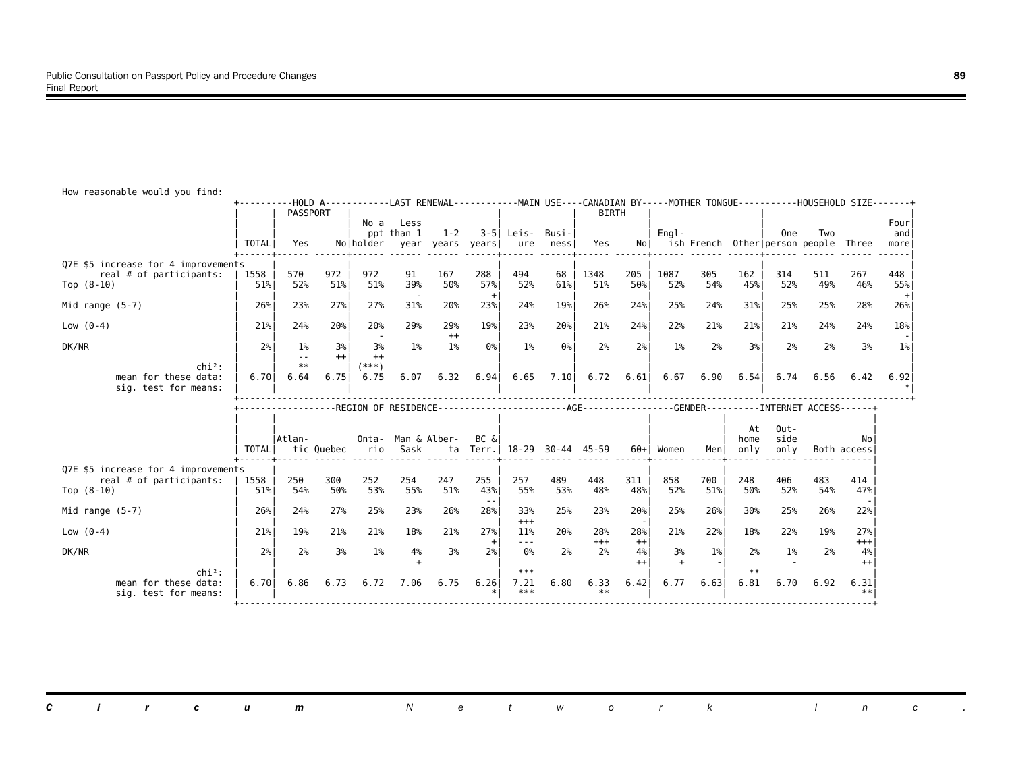|                                                           |              |                        |               |                      |                      |                       |            |                              |               | --HOLD A------------LAST RENEWAL------------MAIN USE----CANADIAN BY-----MOTHER TONGUE-----------HOUSEHOLD SIZE-------+ |                |              |                                |                     |                          |      |                   |                     |
|-----------------------------------------------------------|--------------|------------------------|---------------|----------------------|----------------------|-----------------------|------------|------------------------------|---------------|------------------------------------------------------------------------------------------------------------------------|----------------|--------------|--------------------------------|---------------------|--------------------------|------|-------------------|---------------------|
|                                                           | <b>TOTAL</b> | <b>PASSPORT</b><br>Yes |               | No a<br>No   hol der | Less<br>ppt than 1   | $1 - 2$<br>year years | years      | $3-5$ Leis-<br>ure           | Busi-<br>ness | <b>BIRTH</b><br>Yes                                                                                                    | No l           | $Engl -$     | ish French Other person people |                     | 0ne                      | Two  | Three             | Four<br>and<br>more |
|                                                           |              |                        |               |                      |                      |                       |            |                              |               |                                                                                                                        |                |              |                                |                     |                          |      |                   |                     |
| Q7E \$5 increase for 4 improvements                       |              |                        |               |                      |                      |                       |            |                              |               |                                                                                                                        |                |              |                                |                     |                          |      |                   |                     |
| real # of participants:                                   | 1558         | 570                    | 972           | 972                  | 91                   | 167                   | 288        | 494                          | 68            | 1348                                                                                                                   | 205            | 1087         | 305                            | 162                 | 314                      | 511  | 267               | 448                 |
| Top $(8-10)$                                              | 51%          | 52%                    | 51%           | 51%                  | 39%                  | 50%                   | 57%<br>$+$ | 52%                          | 61%           | 51%                                                                                                                    | 50%            | 52%          | 54%                            | 45%                 | 52%                      | 49%  | 46%               | 55%<br>$+$          |
| Mid range $(5-7)$                                         | 26%          | 23%                    | 27%           | 27%                  | 31%                  | 20%                   | 23%        | 24%                          | 19%           | 26%                                                                                                                    | 24%            | 25%          | 24%                            | 31%                 | 25%                      | 25%  | 28%               | 26%                 |
| Low $(0-4)$                                               | 21%          | 24%                    | 20%           | 20%                  | 29%                  | 29%<br>$^{++}$        | 19%        | 23%                          | 20%           | 21%                                                                                                                    | 24%            | 22%          | 21%                            | 21%                 | 21%                      | 24%  | 24%               | 18%                 |
| DK/NR                                                     | 2%           | 1%                     | 3%<br>$^{++}$ | 3%<br>$^{++}$        | 1%                   | 1%                    | $0\%$      | 1%                           | 0%            | $2\%$                                                                                                                  | 2%             | 1%           | 2%                             | 3%                  | $2\%$                    | 2%   | 3%                | 1%                  |
| $chi^2$ :<br>mean for these data:<br>sig. test for means: | 6.70         | $**$<br>6.64           | 6.75          | $(***)$<br>6.75      | 6.07                 | 6.32                  | 6.94       | 6.65                         | 7.10          | 6.72                                                                                                                   | 6.61           | 6.67         | 6.90                           | 6.54                | 6.74                     | 6.56 | 6.42              | 6.92                |
|                                                           |              |                        |               |                      |                      |                       |            |                              |               |                                                                                                                        |                |              |                                |                     |                          |      |                   |                     |
|                                                           |              |                        |               |                      |                      |                       |            |                              |               |                                                                                                                        |                |              |                                |                     |                          |      |                   |                     |
|                                                           | <b>TOTAL</b> | Atl an-                | tic Quebec    | Onta-<br>rio         | Man & Alber-<br>Sask |                       | BC &       | ta Terr.   18-29 30-44 45-59 |               |                                                                                                                        |                | $60+1$ Women | Menl                           | At<br>home<br>onl y | $0$ ut-<br>side<br>onl y |      | No<br>Both access |                     |
| Q7E \$5 increase for 4 improvements                       |              |                        |               |                      |                      |                       |            |                              |               |                                                                                                                        |                |              |                                |                     |                          |      |                   |                     |
| real # of participants:                                   | 1558         | 250                    | 300           | 252                  | 254                  | 247                   | 255        | 257                          | 489           | 448                                                                                                                    | 311            | 858          | 700                            | 248                 | 406                      | 483  | 414               |                     |
| Top $(8-10)$                                              | 51%          | 54%                    | 50%           | 53%                  | 55%                  | 51%                   | 43%        | 55%                          | 53%           | 48%                                                                                                                    | 48%            | 52%          | 51%                            | 50%                 | 52%                      | 54%  | 47%               |                     |
| Mid range $(5-7)$                                         | 26%          | 24%                    | 27%           | 25%                  | 23%                  | 26%                   | 28%        | 33%<br>$^{++}$               | 25%           | 23%                                                                                                                    | 20%            | 25%          | 26%                            | 30%                 | 25%                      | 26%  | 22%               |                     |
| Low $(0-4)$                                               | 21%          | 19%                    | 21%           | 21%                  | 18%                  | 21%                   | 27%<br>$+$ | 11%<br>- - -                 | 20%           | 28%<br>$^{+++}$                                                                                                        | 28%<br>$^{++}$ | 21%          | 22%                            | 18%                 | 22%                      | 19%  | 27%<br>$^{+++}$   |                     |
| DK/NR                                                     | 2%           | 2%                     | 3%            | 1%                   | 4%                   | 3%                    | 2%         | 0%                           | $2\%$         | 2%                                                                                                                     | 4%             | 3%           | 1%                             | 2%                  | 1%                       | 2%   | 4%                |                     |
| $chi^2$ :                                                 |              |                        |               |                      |                      |                       |            | ***                          |               |                                                                                                                        | $^{++}$        | $+$          |                                | **                  |                          |      | $^{++}$           |                     |
| mean for these data:<br>sig. test for means:              | 6.70         | 6.86                   | 6.73          | 6.72                 | 7.06                 | 6.75                  | 6.26       | 7.21<br>***                  | 6.80          | 6.33<br>$* *$                                                                                                          | 6.42           | 6.77         | 6.63                           | 6.81                | 6.70                     | 6.92 | 6.31<br>**        |                     |

|  |  | <b>Circum</b> Network |  |  |  |  |  |  |
|--|--|-----------------------|--|--|--|--|--|--|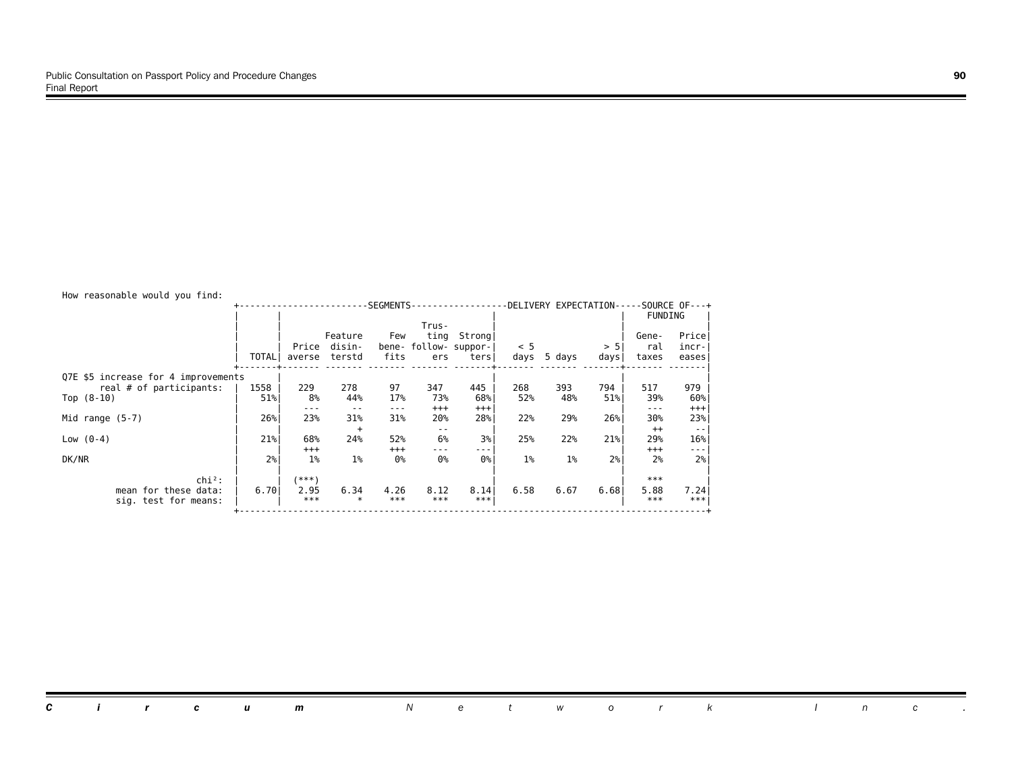|                                     |              |         |          | <b>SEGMENTS-</b> |                                                                                                                                                                                                                                                                                                                                                                                              |             |      | DELIVERY EXPECTATION |       |                | SOURCE $0F---$ |
|-------------------------------------|--------------|---------|----------|------------------|----------------------------------------------------------------------------------------------------------------------------------------------------------------------------------------------------------------------------------------------------------------------------------------------------------------------------------------------------------------------------------------------|-------------|------|----------------------|-------|----------------|----------------|
|                                     |              |         |          |                  |                                                                                                                                                                                                                                                                                                                                                                                              |             |      |                      |       | <b>FUNDING</b> |                |
|                                     |              |         |          |                  | Trus-                                                                                                                                                                                                                                                                                                                                                                                        |             |      |                      |       |                |                |
|                                     |              |         | Feature  | Few              |                                                                                                                                                                                                                                                                                                                                                                                              | ting Strong |      |                      |       | Gene-          | Pri ce         |
|                                     |              | Pri ce  | di si n- |                  | bene-follow-suppor-                                                                                                                                                                                                                                                                                                                                                                          |             | < 5  |                      | $> 5$ | ral            | i ncr-         |
|                                     | <b>TOTAL</b> | averse  | terstd   | fits             | ers                                                                                                                                                                                                                                                                                                                                                                                          | ters        | days | 5 days               | days  | taxes          | eases          |
| Q7E \$5 increase for 4 improvements |              |         |          |                  |                                                                                                                                                                                                                                                                                                                                                                                              |             |      |                      |       |                |                |
| real # of participants:             | 1558         | 229     | 278      | 97               | 347                                                                                                                                                                                                                                                                                                                                                                                          | 445         | 268  | 393                  | 794   | 517            | 979            |
| Top $(8-10)$                        | 51%          | 8%      | 44%      | 17%              | 73%                                                                                                                                                                                                                                                                                                                                                                                          | 68%         | 52%  | 48%                  | 51%   | 39%            | 60%            |
|                                     |              | $- - -$ | $ -$     | $- - -$          | $^{+++}$                                                                                                                                                                                                                                                                                                                                                                                     | $^{+++}$    |      |                      |       | $- - -$        | $^{+++}$       |
| Mid range $(5-7)$                   | 26%          | 23%     | 31%      | 31%              | 20%                                                                                                                                                                                                                                                                                                                                                                                          | 28%         | 22%  | 29%                  | 26%   | 30%            | 23%            |
|                                     |              |         | $+$      |                  | - -                                                                                                                                                                                                                                                                                                                                                                                          |             |      |                      |       | $^{++}$        | $\frac{1}{2}$  |
| Low $(0-4)$                         | 21%          | 68%     | 24%      | 52%              | 6%                                                                                                                                                                                                                                                                                                                                                                                           | 3%          | 25%  | 22%                  | 21%   | 29%            | 16%            |
|                                     |              | $+++$   |          | $^{+++}$         | $\frac{1}{2} \frac{1}{2} \frac{1}{2} \frac{1}{2} \frac{1}{2} \frac{1}{2} \frac{1}{2} \frac{1}{2} \frac{1}{2} \frac{1}{2} \frac{1}{2} \frac{1}{2} \frac{1}{2} \frac{1}{2} \frac{1}{2} \frac{1}{2} \frac{1}{2} \frac{1}{2} \frac{1}{2} \frac{1}{2} \frac{1}{2} \frac{1}{2} \frac{1}{2} \frac{1}{2} \frac{1}{2} \frac{1}{2} \frac{1}{2} \frac{1}{2} \frac{1}{2} \frac{1}{2} \frac{1}{2} \frac{$ | $- - -$     |      |                      |       | $^{+++}$       | $- - - -$      |
| DK/NR                               | 2%           | 1%      | 1%       | 0%               | 0%                                                                                                                                                                                                                                                                                                                                                                                           | 0%          | 1%   | 1%                   | 2%    | 2%             | 2%             |
| $chi^2$ :                           |              | $(***)$ |          |                  |                                                                                                                                                                                                                                                                                                                                                                                              |             |      |                      |       | ***            |                |
| mean for these data:                | 6.70         | 2.95    | 6.34     | 4.26             | 8.12                                                                                                                                                                                                                                                                                                                                                                                         | 8.14        | 6.58 | 6.67                 | 6.68  | 5.88           | 7.24           |
| sig. test for means:                |              | ***     | $*$      | ***              | ***                                                                                                                                                                                                                                                                                                                                                                                          | ***         |      |                      |       | ***            | $***$          |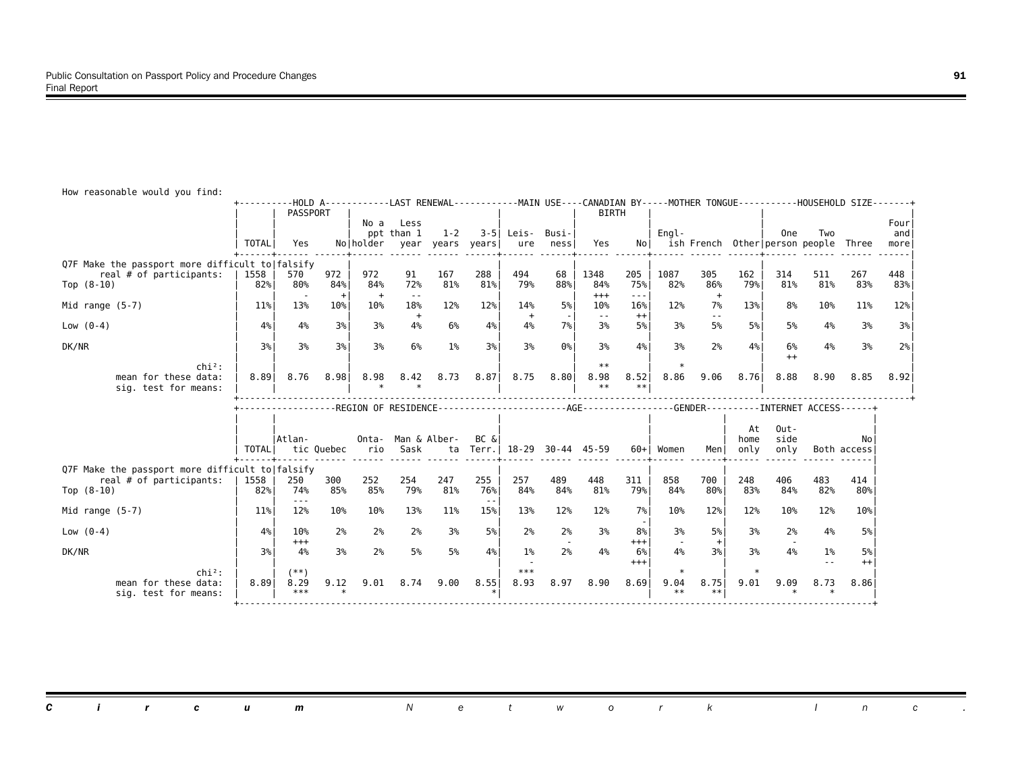|                                                     |              |                      |            |                                             |              |         |       |                              |       | --HOLD A------------LAST RENEWAL------------MAIN USE----CANADIAN BY-----MOTHER TONGUE-----------HOUSEHOLD SIZE-------+ |          |              |                                |       |         |      |                                           |      |
|-----------------------------------------------------|--------------|----------------------|------------|---------------------------------------------|--------------|---------|-------|------------------------------|-------|------------------------------------------------------------------------------------------------------------------------|----------|--------------|--------------------------------|-------|---------|------|-------------------------------------------|------|
|                                                     |              | <b>PASSPORT</b>      |            |                                             |              |         |       |                              |       | <b>BIRTH</b>                                                                                                           |          |              |                                |       |         |      |                                           |      |
|                                                     |              |                      |            | No a                                        | Less         |         |       |                              |       |                                                                                                                        |          |              |                                |       |         |      |                                           | Four |
|                                                     |              |                      |            |                                             | ppt than 1   | $1 - 2$ |       | $3-5$ Leis-                  | Busi- |                                                                                                                        |          | $Engl -$     |                                |       | 0ne     | Two  |                                           | and  |
|                                                     | <b>TOTAL</b> | Yes                  |            | No   hol der                                | year         | vears   | years | ure                          | ness  | Yes                                                                                                                    | No l     |              | ish French Other person people |       |         |      | Three                                     | more |
| Q7F Make the passport more difficult to $ $ falsify |              |                      |            |                                             |              |         |       |                              |       |                                                                                                                        |          |              |                                |       |         |      |                                           |      |
| real # of participants:                             | 1558         | 570                  | 972        | 972                                         | 91           | 167     | 288   | 494                          | 68    | 1348                                                                                                                   | 205      | 1087         | 305                            | 162   | 314     | 511  | 267                                       | 448  |
| Top $(8-10)$                                        | 82%          | 80%                  | 84%        | 84%                                         | 72%          | 81%     | 81%   | 79%                          | 88%   | 84%                                                                                                                    | 75%      | 82%          | 86%                            | 79%   | 81%     | 81%  | 83%                                       | 83%  |
|                                                     |              |                      | $+$        |                                             |              |         |       |                              |       | $^{+++}$                                                                                                               | $- - -$  |              | $+$                            |       |         |      |                                           |      |
| Mid range $(5-7)$                                   | 11%          | 13%                  | 10%        | 10%                                         | 18%          | 12%     | 12%   | 14%                          | 5%    | 10%                                                                                                                    | 16%      | 12%          | 7%                             | 13%   | 8%      | 10%  | 11%                                       | 12%  |
|                                                     |              |                      |            |                                             |              |         |       |                              |       | $- -$                                                                                                                  | $^{++}$  |              | $- -$                          |       |         |      |                                           |      |
| Low $(0-4)$                                         | 4%           | 4%                   | 3%         | 3%                                          | 4%           | 6%      | $4\%$ | 4%                           | 7%    | 3%                                                                                                                     | 5%       | 3%           | 5%                             | 5%    | 5%      | 4%   | 3%                                        | 3%   |
|                                                     |              |                      |            |                                             |              |         |       |                              |       |                                                                                                                        |          |              |                                |       |         |      |                                           |      |
| DK/NR                                               | 3%           | 3%                   | 3%         | 3%                                          | 6%           | 1%      | 3%    | 3%                           | 0%    | 3%                                                                                                                     | 4%       | 3%           | $2\%$                          | 4%    | 6%      | 4%   | 3%                                        | 2%   |
|                                                     |              |                      |            |                                             |              |         |       |                              |       |                                                                                                                        |          |              |                                |       | $++$    |      |                                           |      |
| $chi^2$ :                                           |              |                      |            |                                             |              |         |       |                              |       |                                                                                                                        |          |              |                                |       |         |      |                                           |      |
| mean for these data:                                | 8.89         | 8.76                 | 8.98       | 8.98                                        | 8.42         | 8.73    | 8.87  | 8.75                         | 8.80  | 8.98                                                                                                                   | 8.52     | 8.86         | 9.06                           | 8.76  | 8.88    | 8.90 | 8.85                                      | 8.92 |
| sig. test for means:                                |              |                      |            |                                             |              |         |       |                              |       | $**$                                                                                                                   |          |              |                                |       |         |      |                                           |      |
|                                                     |              |                      |            |                                             |              |         |       |                              |       |                                                                                                                        |          |              |                                |       |         |      |                                           |      |
|                                                     |              |                      |            | -REGION OF RESIDENCE----------------------- |              |         |       |                              |       | $-AGE$ ----------------                                                                                                |          |              |                                |       |         |      | - GENDER---------- INTERNET ACCESS------+ |      |
|                                                     |              |                      |            |                                             |              |         |       |                              |       |                                                                                                                        |          |              |                                |       |         |      |                                           |      |
|                                                     |              |                      |            |                                             |              |         |       |                              |       |                                                                                                                        |          |              |                                | At    | $0$ ut- |      |                                           |      |
|                                                     |              | Atl an-              |            | Onta-                                       | Man & Alber- |         | BC &  |                              |       |                                                                                                                        |          |              |                                | home  | side    |      | No                                        |      |
|                                                     | <b>TOTAL</b> |                      | tic Quebec | rio                                         | Sask         |         |       | ta Terr.   18-29 30-44 45-59 |       |                                                                                                                        |          | $60+1$ Women | Menl                           | onl y | onl y   |      | Both access                               |      |
|                                                     |              |                      |            |                                             |              |         |       |                              |       |                                                                                                                        |          |              |                                |       |         |      |                                           |      |
| Q7F Make the passport more difficult to $ $ falsify |              |                      |            |                                             |              |         |       |                              |       |                                                                                                                        |          |              |                                |       |         |      |                                           |      |
| real # of participants:                             | 1558         | 250                  | 300        | 252                                         | 254          | 247     | 255   | 257                          | 489   | 448                                                                                                                    | 311      | 858          | 700                            | 248   | 406     | 483  | 414                                       |      |
| Top $(8-10)$                                        | 82%          | 74%                  | 85%        | 85%                                         | 79%          | 81%     | 76%   | 84%                          | 84%   | 81%                                                                                                                    | 79%      | 84%          | 80%                            | 83%   | 84%     | 82%  | 80%                                       |      |
|                                                     |              | $\sim$ $\sim$ $\sim$ |            |                                             |              |         | $ -$  |                              |       |                                                                                                                        |          |              |                                |       |         |      |                                           |      |
| Mid range $(5-7)$                                   | 11%          | 12%                  | 10%        | 10%                                         | 13%          | 11%     | 15%   | 13%                          | 12%   | 12%                                                                                                                    | 7%       | 10%          | 12%                            | 12%   | 10%     | 12%  | 10%                                       |      |
|                                                     |              |                      |            |                                             |              |         |       |                              |       |                                                                                                                        |          |              |                                |       |         |      |                                           |      |
| Low $(0-4)$                                         | $4\%$        | 10%                  | 2%         | 2%                                          | 2%           | 3%      | 5%    | 2%                           | 2%    | 3%                                                                                                                     | 8%       | 3%           | 5%                             | 3%    | 2%      | 4%   | 5%                                        |      |
|                                                     |              | $^{+++}$             |            |                                             |              |         |       |                              |       |                                                                                                                        | $^{+++}$ |              | $+$                            |       |         |      |                                           |      |
| DK/NR                                               | 3%           | 4%                   | 3%         | 2%                                          | 5%           | 5%      | 4%    | 1%                           | 2%    | 4%                                                                                                                     | 6%       | 4%           | 3%                             | 3%    | 4%      | 1%   | 5%                                        |      |
|                                                     |              |                      |            |                                             |              |         |       |                              |       |                                                                                                                        | $^{+++}$ |              |                                |       |         |      | $^{++}$                                   |      |
| $chi^2$ :                                           |              | $(**)$               |            |                                             |              |         |       | ***                          |       |                                                                                                                        |          |              |                                |       |         |      |                                           |      |
| mean for these data:                                | 8.89         | 8.29                 | 9.12       | 9.01                                        | 8.74         | 9.00    | 8.55  | 8.93                         | 8.97  | 8.90                                                                                                                   | 8.69     | 9.04         | 8.75                           | 9.01  | 9.09    | 8.73 | 8.86                                      |      |
| sig. test for means:                                |              | ***                  |            |                                             |              |         |       |                              |       |                                                                                                                        |          | $* *$        | **                             |       |         |      |                                           |      |
|                                                     |              |                      |            |                                             |              |         |       |                              |       |                                                                                                                        |          |              |                                |       |         |      |                                           |      |

|  |  | <b>Circum</b> Network |  |  |  |  |  |  |
|--|--|-----------------------|--|--|--|--|--|--|
|  |  |                       |  |  |  |  |  |  |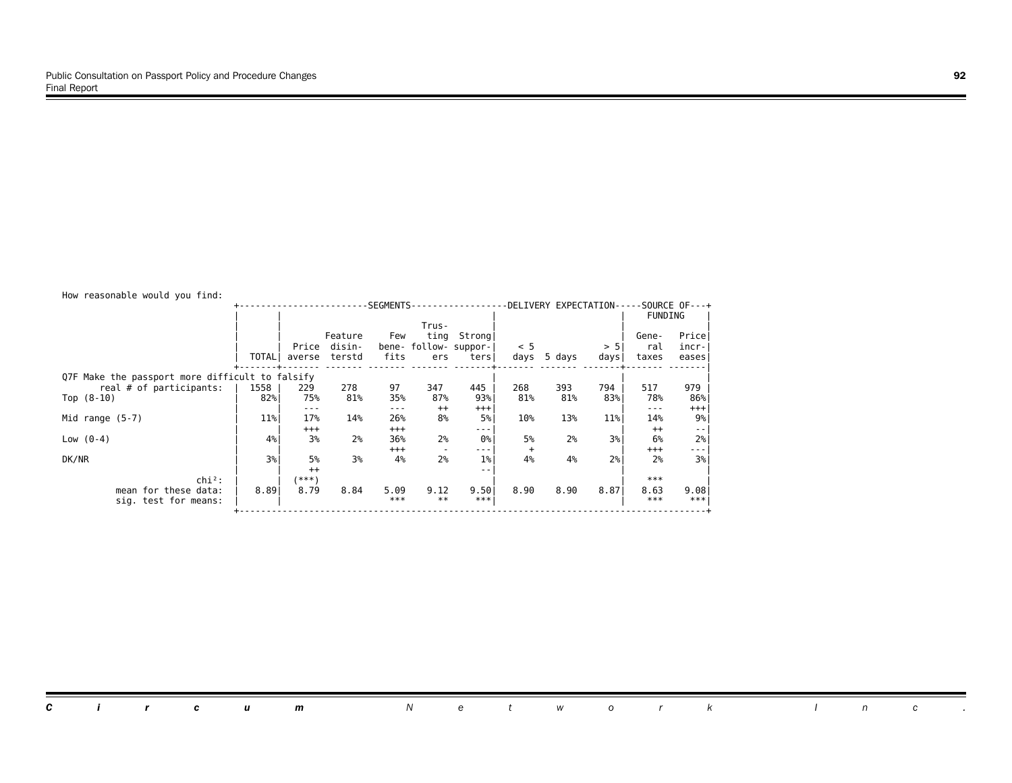|                                                 |              |          |          | <b>SEGMENTS-</b> |                     |             |      | DELIVERY EXPECTATION |       |                | SOURCE $0F---$ |
|-------------------------------------------------|--------------|----------|----------|------------------|---------------------|-------------|------|----------------------|-------|----------------|----------------|
|                                                 |              |          |          |                  |                     |             |      |                      |       | <b>FUNDING</b> |                |
|                                                 |              |          |          |                  | Trus-               |             |      |                      |       |                |                |
|                                                 |              |          | Feature  | Few              |                     | ting Strong |      |                      |       | Gene-          | Pri ce         |
|                                                 |              | Pri ce   | di si n- |                  | bene-follow-suppor- |             | < 5  |                      | > 5   | ral            | i ncr-         |
|                                                 | <b>TOTAL</b> | averse   | terstd   | fits             | ers                 | ters        | days | 5 days               | days⊥ | taxes          | eases          |
| Q7F Make the passport more difficult to falsify |              |          |          |                  |                     |             |      |                      |       |                |                |
| real # of participants:                         | 1558         | 229      | 278      | 97               | 347                 | 445         | 268  | 393                  | 794   | 517            | 979            |
| Top $(8-10)$                                    | 82%          | 75%      | 81%      | 35%              | 87%                 | 93%         | 81%  | 81%                  | 83%   | 78%            | 86%            |
|                                                 |              | - - -    |          | $- - -$          | $^{++}$             | $^{+++}$    |      |                      |       | $\frac{1}{2}$  | $^{+++}$       |
| Mid range $(5-7)$                               | 11%          | 17%      | 14%      | 26%              | 8%                  | 5%          | 10%  | 13%                  | 11%   | 14%            | 9%             |
|                                                 |              | $^{+++}$ |          | $^{+++}$         |                     | $- - -$     |      |                      |       | $^{++}$        | $- -$          |
| Low $(0-4)$                                     | 4%           | 3%       | 2%       | 36%              | 2%                  | 0%          | 5%   | 2%                   | 3%    | 6%             | $2\%$          |
|                                                 |              |          |          | $+++$            |                     | ---         | $+$  |                      |       | $^{+++}$       | $\frac{1}{2}$  |
| DK/NR                                           | 3%           | 5%       | 3%       | 4%               | 2%                  | 1%          | 4%   | 4%                   | 2%    | 2%             | 3%             |
|                                                 |              | $^{++}$  |          |                  |                     | $ -$        |      |                      |       |                |                |
| $chi^2$ :                                       |              | $(***)$  |          |                  |                     |             |      |                      |       | ***            |                |
| mean for these data:                            | 8.89         | 8.79     | 8.84     | 5.09             | 9.12                | 9.50        | 8.90 | 8.90                 | 8.87  | 8.63           | 9.08           |
| sig. test for means:                            |              |          |          | ***              | $**$                | ***         |      |                      |       | ***            | $***$          |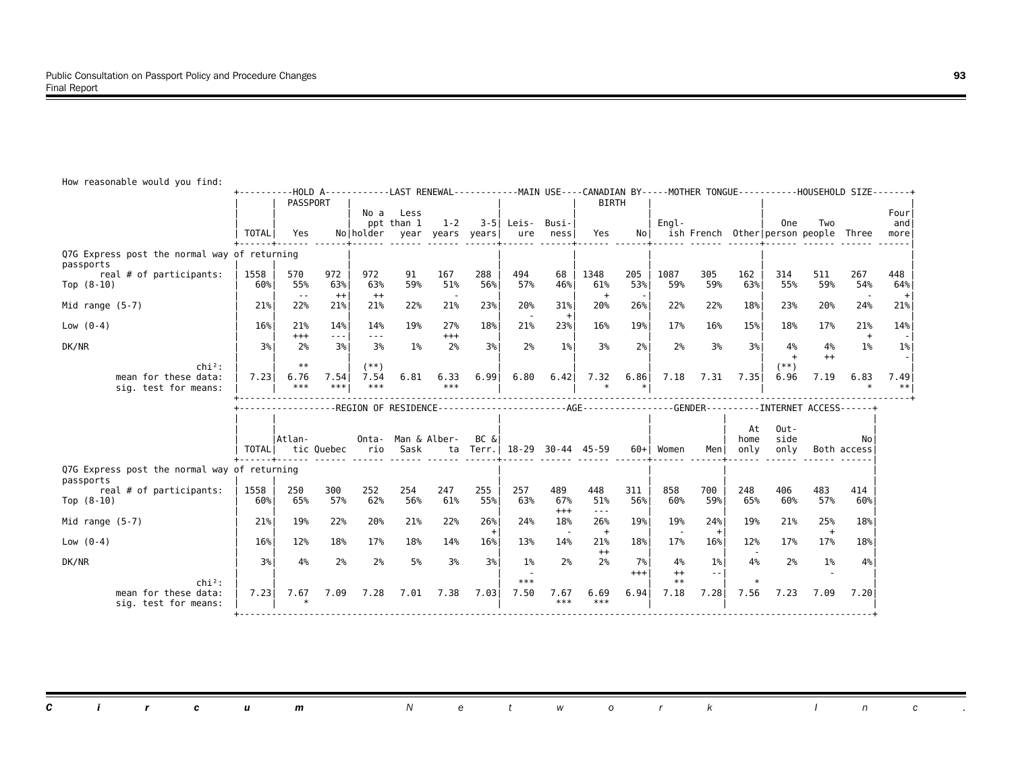|                                                           |              | <b>PASSPORT</b>            |                |                         |                          |                                 |                  |                         |                 | -HOLD A------------LAST RENEWAL------------MAIN USE----CANADIAN BY-----MOTHER TONGUE----------HOUSEHOLD SIZE-------+<br><b>BIRTH</b>                                                                                                                                                                                                                                                                          |                |               |                                         |                     |                          |               |                    |                     |
|-----------------------------------------------------------|--------------|----------------------------|----------------|-------------------------|--------------------------|---------------------------------|------------------|-------------------------|-----------------|---------------------------------------------------------------------------------------------------------------------------------------------------------------------------------------------------------------------------------------------------------------------------------------------------------------------------------------------------------------------------------------------------------------|----------------|---------------|-----------------------------------------|---------------------|--------------------------|---------------|--------------------|---------------------|
|                                                           | <b>TOTAL</b> | Yes                        |                | No a<br>No   hol der    | Less<br>ppt than 1       | $1 - 2$<br>year years years     |                  | $3-5$ Leis-Busi-<br>ure | ness            | Yes                                                                                                                                                                                                                                                                                                                                                                                                           |                | $Enel -$      | No ish French Other person people Three |                     | 0ne                      | Two           |                    | Four<br>and<br>more |
| Q7G Express post the normal way of returning<br>passports |              |                            |                |                         |                          |                                 |                  |                         |                 |                                                                                                                                                                                                                                                                                                                                                                                                               |                |               |                                         |                     |                          |               |                    |                     |
| real # of participants:<br>Top $(8-10)$                   | 1558<br>60%  | 570<br>55%                 | 972<br>63%     | 972<br>63%              | 91<br>59%                | 167<br>51%                      | 288<br>56%       | 494<br>57%              | 68<br>46%       | 1348<br>61%                                                                                                                                                                                                                                                                                                                                                                                                   | 205<br>53%     | 1087<br>59%   | 305<br>59%                              | 162<br>63%          | 314<br>55%               | 511<br>59%    | 267<br>54%         | 448<br>64%          |
| Mid range $(5-7)$                                         | 21%          | $\sim$ $-$<br>22%          | $^{++}$<br>21% | $^{++}$<br>21%          | 22%                      | $\overline{\phantom{a}}$<br>21% | 23%              | 20%                     | 31%<br>$+$      | $^{+}$<br>20%                                                                                                                                                                                                                                                                                                                                                                                                 | 26%            | 22%           | 22%                                     | 18%                 | 23%                      | 20%           | $\sim$<br>24%      | $^{+}$<br>21%       |
| Low $(0-4)$                                               | 16%          | 21%<br>$^{++}$             | 14%<br>$- - -$ | 14%<br>$- - -$          | 19%                      | 27%<br>$^{+++}$                 | 18%              | 21%                     | 23%             | 16%                                                                                                                                                                                                                                                                                                                                                                                                           | 19%            | 17%           | 16%                                     | 15%                 | 18%                      | 17%           | 21%                | 14%                 |
| DK/NR                                                     | 3%           | 2%                         | 3%             | 3%                      | 1%                       | $2\%$                           | 3%               | 2%                      | 1%              | 3%                                                                                                                                                                                                                                                                                                                                                                                                            | 2%             | 2%            | 3%                                      | 3%                  | 4%                       | 4%<br>$^{++}$ | 1%                 | 1%                  |
| $chi^2$ :<br>mean for these data:<br>sig. test for means: | 7.23         | $***$<br>6.76<br>$***$     | 7.54<br>***    | $(**)$<br>7.54<br>$***$ | 6.81                     | 6.33<br>$***$                   | 6.99             | 6.80                    | 6.42            | 7.32                                                                                                                                                                                                                                                                                                                                                                                                          | 6.86           | 7.18          |                                         | $7.31$ $7.35$       | $(**)$<br>6.96           | 7.19          | 6.83               | 7.49                |
|                                                           |              |                            |                |                         |                          |                                 |                  |                         |                 |                                                                                                                                                                                                                                                                                                                                                                                                               |                |               |                                         |                     |                          |               |                    |                     |
|                                                           |              | Atlan-<br>TOTAL tic Quebec |                | Onta-                   | Man & Alber-<br>rio Sask |                                 | BC &<br>ta Terr. | $18-29$ 30-44 45-59     |                 |                                                                                                                                                                                                                                                                                                                                                                                                               |                | $60+1$ Women  | Men                                     | At<br>home<br>onl y | $0$ ut-<br>side<br>onl y |               | No.<br>Both access |                     |
| Q7G Express post the normal way of returning<br>passports |              |                            |                |                         |                          |                                 |                  |                         |                 |                                                                                                                                                                                                                                                                                                                                                                                                               |                |               |                                         |                     |                          |               |                    |                     |
| real # of participants:<br>Top $(8-10)$                   | 1558<br>60%  | 250<br>65%                 | 300<br>57%     | 252<br>62%              | 254<br>56%               | 247<br>61%                      | 255<br>55%       | 257<br>63%              | 489<br>67%      | 448<br>51%                                                                                                                                                                                                                                                                                                                                                                                                    | 311<br>56%     | 858<br>60%    | 700<br>59%                              | 248<br>65%          | 406<br>60%               | 483<br>57%    | 414<br>60%         |                     |
| Mid range $(5-7)$                                         | 21%          | 19%                        | 22%            | 20%                     | 21%                      | 22%                             | 26%<br>$+$       | 24%                     | $^{+++}$<br>18% | $\frac{1}{2} \frac{1}{2} \frac{1}{2} \frac{1}{2} \frac{1}{2} \frac{1}{2} \frac{1}{2} \frac{1}{2} \frac{1}{2} \frac{1}{2} \frac{1}{2} \frac{1}{2} \frac{1}{2} \frac{1}{2} \frac{1}{2} \frac{1}{2} \frac{1}{2} \frac{1}{2} \frac{1}{2} \frac{1}{2} \frac{1}{2} \frac{1}{2} \frac{1}{2} \frac{1}{2} \frac{1}{2} \frac{1}{2} \frac{1}{2} \frac{1}{2} \frac{1}{2} \frac{1}{2} \frac{1}{2} \frac{$<br>26%<br>$^{+}$ | 19%            | 19%           | 24%<br>$+$                              | 19%                 | 21%                      | 25%           | 18%                |                     |
| Low $(0-4)$                                               | 16%          | 12%                        | 18%            | 17%                     | 18%                      | 14%                             | 16%              | 13%                     | 14%             | 21%<br>$^{++}$                                                                                                                                                                                                                                                                                                                                                                                                | 18%            | 17%           | 16%                                     | 12%                 | 17%                      | 17%           | 18%                |                     |
| DK/NR                                                     | 3%           | 4%                         | 2%             | 2%                      | 5%                       | 3%                              | 3%               | 1%                      | 2%              | 2%                                                                                                                                                                                                                                                                                                                                                                                                            | 7%<br>$^{+++}$ | 4%<br>$^{++}$ | 1%<br>$- -$                             | 4%                  | $2\%$                    | 1%            | 4%                 |                     |
| $chi^2$ :<br>mean for these data:<br>sig. test for means: | 7.23         | 7.67                       | 7.09           | 7.28                    | 7.01                     | 7.38                            | 7.03             | ***<br>7.50             | 7.67<br>***     | 6.69<br>***                                                                                                                                                                                                                                                                                                                                                                                                   | 6.94           | $***$<br>7.18 | 7.28                                    | $\ast$<br>7.56      | 7.23                     | 7.09          | 7.20               |                     |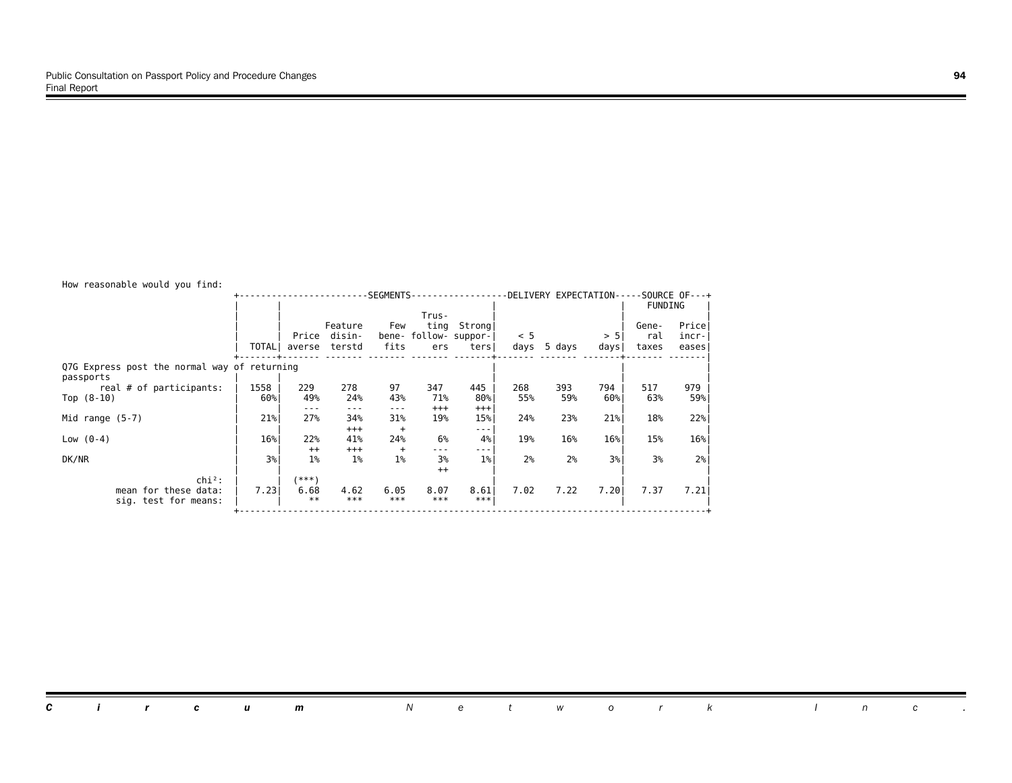|                                              |              |         |          | <b>SEGMENTS-</b> |                                                                                                                                                                                                                                                                                                                                                                                              |             |      | DELIVERY EXPECTATION- |       |                 | SOURCE $OF--$ |
|----------------------------------------------|--------------|---------|----------|------------------|----------------------------------------------------------------------------------------------------------------------------------------------------------------------------------------------------------------------------------------------------------------------------------------------------------------------------------------------------------------------------------------------|-------------|------|-----------------------|-------|-----------------|---------------|
|                                              |              |         |          |                  |                                                                                                                                                                                                                                                                                                                                                                                              |             |      |                       |       | <b>FUNDI NG</b> |               |
|                                              |              |         |          |                  | Trus-                                                                                                                                                                                                                                                                                                                                                                                        |             |      |                       |       |                 |               |
|                                              |              |         | Feature  | Few              |                                                                                                                                                                                                                                                                                                                                                                                              | ting Strong |      |                       |       | Gene-           | Pri ce        |
|                                              |              | Pri ce  | di si n- |                  | bene-follow-suppor-                                                                                                                                                                                                                                                                                                                                                                          |             | < 5  |                       | $> 5$ | ral             | i ncr-        |
|                                              | <b>TOTAL</b> | averse  | terstd   | fits             | ers                                                                                                                                                                                                                                                                                                                                                                                          | ters        | days | 5 days                | days∣ | taxes           | eases         |
| Q7G Express post the normal way of returning |              |         |          |                  |                                                                                                                                                                                                                                                                                                                                                                                              |             |      |                       |       |                 |               |
| passports                                    |              |         |          |                  |                                                                                                                                                                                                                                                                                                                                                                                              |             |      |                       |       |                 |               |
| real # of participants:                      | 1558         | 229     | 278      | 97               | 347                                                                                                                                                                                                                                                                                                                                                                                          | 445         | 268  | 393                   | 794   | 517             | 979           |
| Top $(8-10)$                                 | 60%          | 49%     | 24%      | 43%              | 71%                                                                                                                                                                                                                                                                                                                                                                                          | 80%         | 55%  | 59%                   | 60%   | 63%             | 59%           |
|                                              |              | $- - -$ | - - -    | $- - -$          | $^{+++}$                                                                                                                                                                                                                                                                                                                                                                                     | $^{+++}$    |      |                       |       |                 |               |
| Mid range $(5-7)$                            | 21%          | 27%     | 34%      | 31%              | 19%                                                                                                                                                                                                                                                                                                                                                                                          | 15%         | 24%  | 23%                   | 21%   | 18%             | 22%           |
|                                              |              |         | $^{+++}$ | $+$              |                                                                                                                                                                                                                                                                                                                                                                                              | $- - -$     |      |                       |       |                 |               |
| Low $(0-4)$                                  | 16%          | 22%     | 41%      | 24%              | 6%                                                                                                                                                                                                                                                                                                                                                                                           | 4%          | 19%  | 16%                   | 16%   | 15%             | 16%           |
|                                              |              | $^{++}$ | $^{+++}$ | $+$              | $\frac{1}{2} \frac{1}{2} \frac{1}{2} \frac{1}{2} \frac{1}{2} \frac{1}{2} \frac{1}{2} \frac{1}{2} \frac{1}{2} \frac{1}{2} \frac{1}{2} \frac{1}{2} \frac{1}{2} \frac{1}{2} \frac{1}{2} \frac{1}{2} \frac{1}{2} \frac{1}{2} \frac{1}{2} \frac{1}{2} \frac{1}{2} \frac{1}{2} \frac{1}{2} \frac{1}{2} \frac{1}{2} \frac{1}{2} \frac{1}{2} \frac{1}{2} \frac{1}{2} \frac{1}{2} \frac{1}{2} \frac{$ | $- - -$     |      |                       |       |                 |               |
| DK/NR                                        | 3%           | 1%      | 1%       | 1%               | 3%                                                                                                                                                                                                                                                                                                                                                                                           | 1%          | 2%   | 2%                    | 3%    | 3%              | $2\%$         |
|                                              |              |         |          |                  | $^{++}$                                                                                                                                                                                                                                                                                                                                                                                      |             |      |                       |       |                 |               |
| $chi^2$ :                                    |              | $(***)$ |          |                  |                                                                                                                                                                                                                                                                                                                                                                                              |             |      |                       |       |                 |               |
| mean for these data:                         | 7.23         | 6.68    | 4.62     | 6.05             | 8.07                                                                                                                                                                                                                                                                                                                                                                                         | 8.61        | 7.02 | 7.22                  | 7.20  | 7.37            | 7.21          |
| sig. test for means:                         |              | $**$    | ***      | ***              | ***                                                                                                                                                                                                                                                                                                                                                                                          | ***         |      |                       |       |                 |               |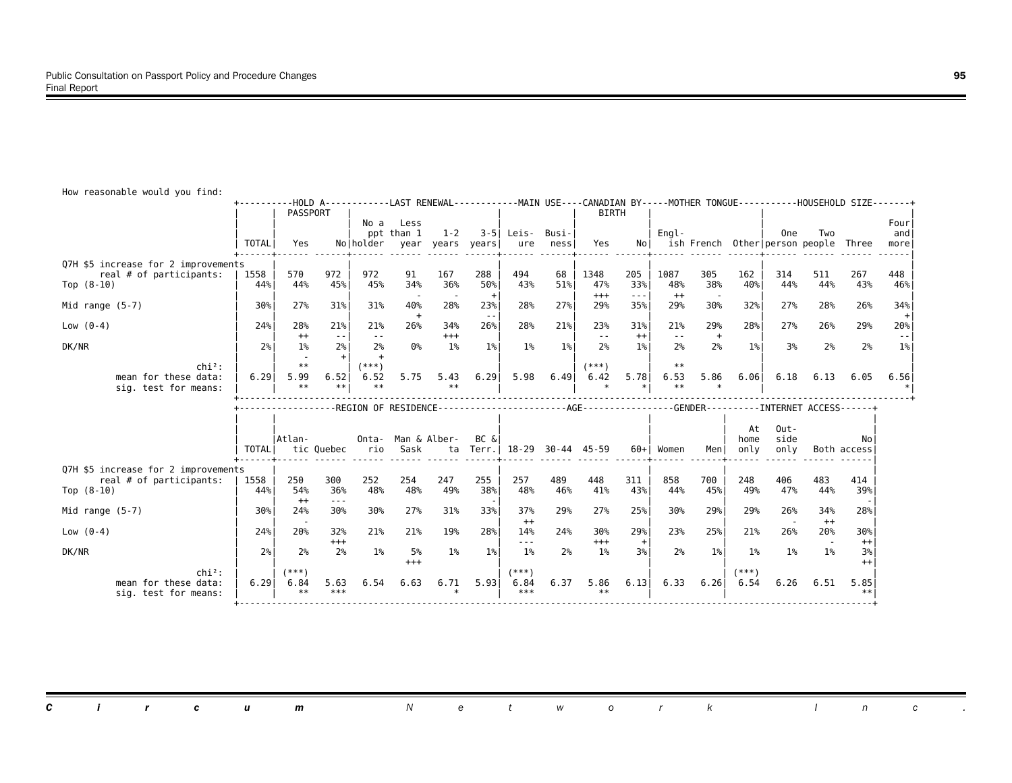|                                     |                                                         |                                                                                                                |                                                              | Less                                                                                                   |                                                                                |                                                                            |                                                  |                                                                                        |                                                                                                                                                      |                                                                                                      |                                                                 |                                                                                              |                                                                                                                      |                                                                                                |                                                             |                                                                | Four                                                                                                                                                                                                                                                                                            |
|-------------------------------------|---------------------------------------------------------|----------------------------------------------------------------------------------------------------------------|--------------------------------------------------------------|--------------------------------------------------------------------------------------------------------|--------------------------------------------------------------------------------|----------------------------------------------------------------------------|--------------------------------------------------|----------------------------------------------------------------------------------------|------------------------------------------------------------------------------------------------------------------------------------------------------|------------------------------------------------------------------------------------------------------|-----------------------------------------------------------------|----------------------------------------------------------------------------------------------|----------------------------------------------------------------------------------------------------------------------|------------------------------------------------------------------------------------------------|-------------------------------------------------------------|----------------------------------------------------------------|-------------------------------------------------------------------------------------------------------------------------------------------------------------------------------------------------------------------------------------------------------------------------------------------------|
|                                     |                                                         |                                                                                                                |                                                              |                                                                                                        | $1 - 2$                                                                        |                                                                            |                                                  | Busi-                                                                                  |                                                                                                                                                      |                                                                                                      | $Engl -$                                                        |                                                                                              |                                                                                                                      |                                                                                                | Two                                                         |                                                                | and                                                                                                                                                                                                                                                                                             |
| <b>TOTAL</b>                        | Yes                                                     |                                                                                                                |                                                              | year                                                                                                   |                                                                                | years                                                                      | ure                                              | ness                                                                                   | Yes                                                                                                                                                  |                                                                                                      |                                                                 |                                                                                              |                                                                                                                      |                                                                                                |                                                             | Three                                                          | more                                                                                                                                                                                                                                                                                            |
| Q7H \$5 increase for 2 improvements |                                                         |                                                                                                                |                                                              |                                                                                                        |                                                                                |                                                                            |                                                  |                                                                                        |                                                                                                                                                      |                                                                                                      |                                                                 |                                                                                              |                                                                                                                      |                                                                                                |                                                             |                                                                |                                                                                                                                                                                                                                                                                                 |
|                                     |                                                         |                                                                                                                |                                                              |                                                                                                        |                                                                                |                                                                            |                                                  |                                                                                        |                                                                                                                                                      |                                                                                                      |                                                                 |                                                                                              |                                                                                                                      |                                                                                                |                                                             |                                                                | 448                                                                                                                                                                                                                                                                                             |
| 44%                                 | 44%                                                     | 45%                                                                                                            | 45%                                                          | 34%                                                                                                    | 36%                                                                            | 50%                                                                        | 43%                                              | 51%                                                                                    | 47%                                                                                                                                                  | 33%                                                                                                  | 48%                                                             | 38%                                                                                          | 40%                                                                                                                  | 44%                                                                                            | 44%                                                         | 43%                                                            | 46%                                                                                                                                                                                                                                                                                             |
|                                     |                                                         |                                                                                                                |                                                              |                                                                                                        |                                                                                | $+$                                                                        |                                                  |                                                                                        | $^{+++}$                                                                                                                                             | $- - -$                                                                                              | $^{++}$                                                         |                                                                                              |                                                                                                                      |                                                                                                |                                                             |                                                                |                                                                                                                                                                                                                                                                                                 |
| 30%                                 | 27%                                                     | 31%                                                                                                            | 31%                                                          | 40%                                                                                                    | 28%                                                                            | 23%                                                                        | 28%                                              | 27%                                                                                    | 29%                                                                                                                                                  | 35%                                                                                                  |                                                                 | 30%                                                                                          | 32%                                                                                                                  | 27%                                                                                            | 28%                                                         | 26%                                                            | 34%                                                                                                                                                                                                                                                                                             |
|                                     |                                                         |                                                                                                                |                                                              |                                                                                                        |                                                                                | $- -$                                                                      |                                                  |                                                                                        |                                                                                                                                                      |                                                                                                      |                                                                 |                                                                                              |                                                                                                                      |                                                                                                |                                                             |                                                                | $\ddot{}$                                                                                                                                                                                                                                                                                       |
|                                     |                                                         |                                                                                                                |                                                              |                                                                                                        |                                                                                |                                                                            |                                                  |                                                                                        |                                                                                                                                                      |                                                                                                      |                                                                 |                                                                                              |                                                                                                                      |                                                                                                |                                                             |                                                                | 20%                                                                                                                                                                                                                                                                                             |
|                                     |                                                         |                                                                                                                |                                                              |                                                                                                        |                                                                                |                                                                            |                                                  |                                                                                        |                                                                                                                                                      |                                                                                                      |                                                                 |                                                                                              |                                                                                                                      |                                                                                                |                                                             |                                                                |                                                                                                                                                                                                                                                                                                 |
|                                     |                                                         |                                                                                                                |                                                              |                                                                                                        |                                                                                |                                                                            |                                                  |                                                                                        |                                                                                                                                                      |                                                                                                      |                                                                 |                                                                                              |                                                                                                                      |                                                                                                |                                                             |                                                                | 1%                                                                                                                                                                                                                                                                                              |
|                                     | $***$                                                   |                                                                                                                |                                                              |                                                                                                        |                                                                                |                                                                            |                                                  |                                                                                        |                                                                                                                                                      |                                                                                                      |                                                                 |                                                                                              |                                                                                                                      |                                                                                                |                                                             |                                                                |                                                                                                                                                                                                                                                                                                 |
|                                     |                                                         |                                                                                                                |                                                              |                                                                                                        |                                                                                |                                                                            |                                                  |                                                                                        |                                                                                                                                                      |                                                                                                      |                                                                 |                                                                                              |                                                                                                                      |                                                                                                |                                                             |                                                                | 6.56                                                                                                                                                                                                                                                                                            |
|                                     | $***$                                                   | $***$                                                                                                          | **                                                           |                                                                                                        | $**$                                                                           |                                                                            |                                                  |                                                                                        |                                                                                                                                                      |                                                                                                      | $**$                                                            |                                                                                              |                                                                                                                      |                                                                                                |                                                             |                                                                |                                                                                                                                                                                                                                                                                                 |
|                                     |                                                         |                                                                                                                |                                                              |                                                                                                        |                                                                                |                                                                            |                                                  |                                                                                        |                                                                                                                                                      |                                                                                                      |                                                                 |                                                                                              |                                                                                                                      |                                                                                                |                                                             |                                                                |                                                                                                                                                                                                                                                                                                 |
|                                     |                                                         |                                                                                                                |                                                              |                                                                                                        |                                                                                |                                                                            |                                                  |                                                                                        |                                                                                                                                                      |                                                                                                      |                                                                 |                                                                                              |                                                                                                                      |                                                                                                |                                                             |                                                                |                                                                                                                                                                                                                                                                                                 |
|                                     |                                                         |                                                                                                                |                                                              |                                                                                                        |                                                                                |                                                                            |                                                  |                                                                                        |                                                                                                                                                      |                                                                                                      |                                                                 |                                                                                              |                                                                                                                      |                                                                                                |                                                             |                                                                |                                                                                                                                                                                                                                                                                                 |
|                                     |                                                         |                                                                                                                |                                                              |                                                                                                        |                                                                                |                                                                            |                                                  |                                                                                        |                                                                                                                                                      |                                                                                                      |                                                                 |                                                                                              |                                                                                                                      | $0$ ut-                                                                                        |                                                             |                                                                |                                                                                                                                                                                                                                                                                                 |
|                                     |                                                         |                                                                                                                | Onta-                                                        |                                                                                                        |                                                                                |                                                                            |                                                  |                                                                                        |                                                                                                                                                      |                                                                                                      |                                                                 |                                                                                              |                                                                                                                      |                                                                                                |                                                             | No                                                             |                                                                                                                                                                                                                                                                                                 |
|                                     |                                                         |                                                                                                                |                                                              |                                                                                                        |                                                                                |                                                                            |                                                  |                                                                                        |                                                                                                                                                      |                                                                                                      |                                                                 |                                                                                              |                                                                                                                      |                                                                                                |                                                             |                                                                |                                                                                                                                                                                                                                                                                                 |
|                                     |                                                         |                                                                                                                |                                                              |                                                                                                        |                                                                                |                                                                            |                                                  |                                                                                        |                                                                                                                                                      |                                                                                                      |                                                                 |                                                                                              |                                                                                                                      |                                                                                                |                                                             |                                                                |                                                                                                                                                                                                                                                                                                 |
| 1558                                | 250                                                     | 300                                                                                                            | 252                                                          | 254                                                                                                    | 247                                                                            | 255                                                                        | 257                                              | 489                                                                                    | 448                                                                                                                                                  | 311                                                                                                  | 858                                                             | 700                                                                                          | 248                                                                                                                  | 406                                                                                            | 483                                                         | 414                                                            |                                                                                                                                                                                                                                                                                                 |
| 44%                                 | 54%                                                     | 36%                                                                                                            | 48%                                                          | 48%                                                                                                    | 49%                                                                            | 38%                                                                        | 48%                                              | 46%                                                                                    | 41%                                                                                                                                                  | 43%                                                                                                  |                                                                 | 45%                                                                                          | 49%                                                                                                                  |                                                                                                | 44%                                                         | 39%                                                            |                                                                                                                                                                                                                                                                                                 |
|                                     | $^{++}$                                                 | $- - -$                                                                                                        |                                                              |                                                                                                        |                                                                                |                                                                            |                                                  |                                                                                        |                                                                                                                                                      |                                                                                                      |                                                                 |                                                                                              |                                                                                                                      |                                                                                                |                                                             |                                                                |                                                                                                                                                                                                                                                                                                 |
| 30%                                 | 24%                                                     | 30%                                                                                                            | 30%                                                          | 27%                                                                                                    | 31%                                                                            | 33%                                                                        | 37%                                              | 29%                                                                                    | 27%                                                                                                                                                  | 25%                                                                                                  |                                                                 | 29%                                                                                          | 29%                                                                                                                  | 26%                                                                                            | 34%                                                         | 28%                                                            |                                                                                                                                                                                                                                                                                                 |
|                                     |                                                         |                                                                                                                |                                                              |                                                                                                        |                                                                                |                                                                            | $^{++}$                                          |                                                                                        |                                                                                                                                                      |                                                                                                      |                                                                 |                                                                                              |                                                                                                                      |                                                                                                | $^{++}$                                                     |                                                                |                                                                                                                                                                                                                                                                                                 |
|                                     |                                                         |                                                                                                                |                                                              |                                                                                                        |                                                                                |                                                                            |                                                  |                                                                                        |                                                                                                                                                      |                                                                                                      |                                                                 |                                                                                              |                                                                                                                      |                                                                                                |                                                             |                                                                |                                                                                                                                                                                                                                                                                                 |
|                                     |                                                         |                                                                                                                |                                                              |                                                                                                        |                                                                                |                                                                            |                                                  |                                                                                        |                                                                                                                                                      |                                                                                                      |                                                                 |                                                                                              |                                                                                                                      |                                                                                                |                                                             |                                                                |                                                                                                                                                                                                                                                                                                 |
|                                     |                                                         |                                                                                                                |                                                              |                                                                                                        |                                                                                |                                                                            |                                                  |                                                                                        |                                                                                                                                                      |                                                                                                      |                                                                 |                                                                                              |                                                                                                                      |                                                                                                |                                                             |                                                                |                                                                                                                                                                                                                                                                                                 |
|                                     |                                                         |                                                                                                                |                                                              |                                                                                                        |                                                                                |                                                                            |                                                  |                                                                                        |                                                                                                                                                      |                                                                                                      |                                                                 |                                                                                              |                                                                                                                      |                                                                                                |                                                             |                                                                |                                                                                                                                                                                                                                                                                                 |
|                                     |                                                         |                                                                                                                |                                                              |                                                                                                        |                                                                                |                                                                            |                                                  |                                                                                        |                                                                                                                                                      |                                                                                                      |                                                                 |                                                                                              |                                                                                                                      |                                                                                                |                                                             |                                                                |                                                                                                                                                                                                                                                                                                 |
|                                     |                                                         |                                                                                                                |                                                              |                                                                                                        |                                                                                |                                                                            |                                                  |                                                                                        |                                                                                                                                                      |                                                                                                      |                                                                 |                                                                                              |                                                                                                                      |                                                                                                |                                                             |                                                                |                                                                                                                                                                                                                                                                                                 |
|                                     | 1558<br>2%<br>Q7H \$5 increase for 2 improvements<br>2% | 570<br>24%<br>28%<br>$^{++}$<br>1%<br>6.29<br>5.99<br>  Atl an-<br><b>TOTAL</b><br>24%<br>20%<br>2%<br>$(***)$ | <b>PASSPORT</b><br>972<br>21%<br>2%<br>32%<br>$^{+++}$<br>2% | No   hol der<br>972<br>21%<br>$- -$<br>2%<br>$(***)$<br>6.52<br>6.52<br>tic Quebec<br>rio<br>21%<br>1% | No a<br>ppt than 1<br>91<br>26%<br>0%<br>5.75<br>Sask<br>21%<br>5%<br>$^{+++}$ | vears<br>167<br>34%<br>$^{+++}$<br>1%<br>5.43<br>Man & Alber-<br>19%<br>1% | 288<br>26%<br>$1\%$<br>6.29<br>BC &<br>28%<br>1% | $3-5$ Leis-<br>494<br>28%<br>1%<br>5.98<br>ta Terr.<br>14%<br>$- - -$<br>1%<br>$(***)$ | 68<br>21%<br>1%<br>- REGION OF RESIDENCE-----------------------<br>24%<br>2%<br>6.29<br>6.84<br>6.37<br>5.63<br>6.54<br>6.63<br>6.71<br>5.93<br>6.84 | 1348<br>23%<br>2%<br>$(***)$<br>6.49<br>6.42<br>$18-29$ 30-44 45-59<br>30%<br>$^{+++}$<br>1%<br>5.86 | <b>BIRTH</b><br>205<br>31%<br>$^{++}$<br>1%<br>29%<br>$+$<br>3% | No l<br>1087<br>21%<br>$- -$<br>2%<br>$***$<br>5.78<br>- AGE - - - - - - - - - - - - - - - - | 305<br>29%<br>29%<br>$^{+}$<br>2%<br>6.53<br>$60+1$ Women<br>44%<br>30%<br>23%<br>25%<br>$2\%$<br>1%<br>6.13<br>6.33 | 162<br>28%<br>1%<br>5.86<br>At<br>home<br>onl y<br>Men<br>21%<br>1%<br>$(***)$<br>6.26<br>6.54 | 0ne<br>314<br>27%<br>3%<br>6.06<br>side<br>47%<br>26%<br>1% | 511<br>26%<br>2%<br>6.18<br>onl y<br>20%<br>1%<br>6.26<br>6.51 | -HOLD A-----------LAST RENEWAL------------MAIN USE----CANADIAN BY-----MOTHER TONGUE-----------HOUSEHOLD SIZE-------+<br>ish French Other person people<br>267<br>29%<br>2%<br>6.13<br>6.05<br>-GENDER----------INTERNET ACCESS------+<br>Both access<br>30%<br>$^{++}$<br>3%<br>$^{++}$<br>5.85 |

|  |  | <b>Circum</b> Network Inc. |  |  |  |  |  |  |
|--|--|----------------------------|--|--|--|--|--|--|
|  |  |                            |  |  |  |  |  |  |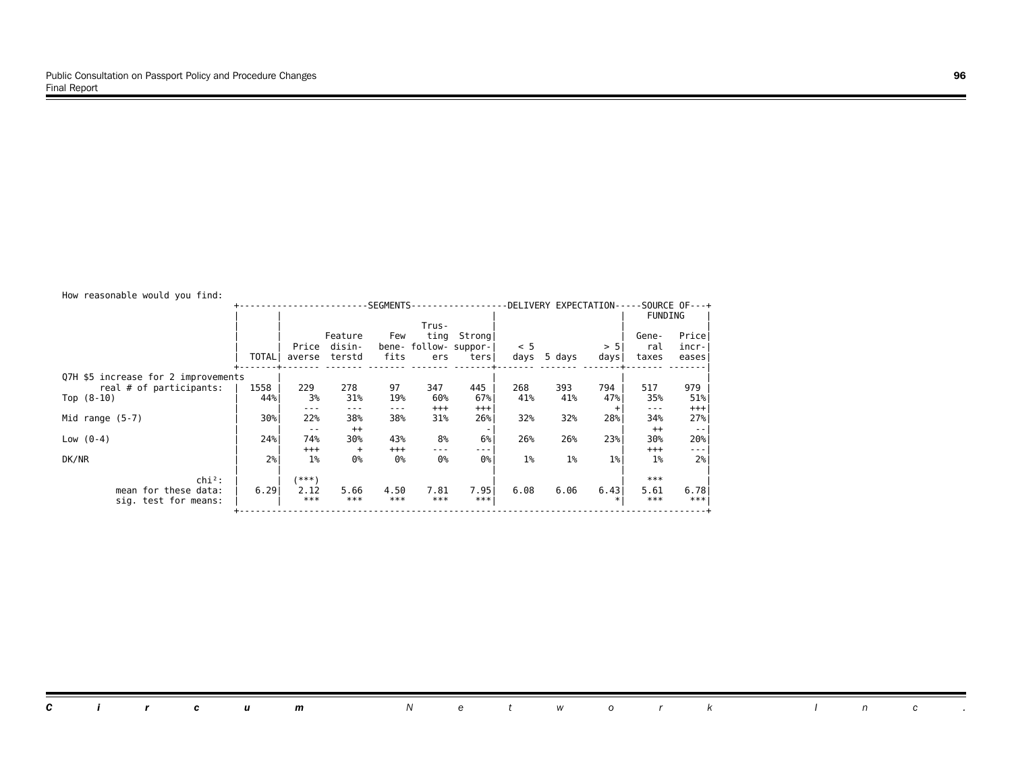|                                     |              |         |          | <b>SEGMENTS-</b> |                                                                                                                                                                                                                                                                                                                                                                                              |             |      | DELIVERY EXPECTATION |        |                | SOURCE $0F---$ |
|-------------------------------------|--------------|---------|----------|------------------|----------------------------------------------------------------------------------------------------------------------------------------------------------------------------------------------------------------------------------------------------------------------------------------------------------------------------------------------------------------------------------------------|-------------|------|----------------------|--------|----------------|----------------|
|                                     |              |         |          |                  |                                                                                                                                                                                                                                                                                                                                                                                              |             |      |                      |        | <b>FUNDING</b> |                |
|                                     |              |         |          |                  | Trus-                                                                                                                                                                                                                                                                                                                                                                                        |             |      |                      |        |                |                |
|                                     |              |         | Feature  | Few              |                                                                                                                                                                                                                                                                                                                                                                                              | ting Strong |      |                      |        | Gene-          | Price          |
|                                     |              | Pri ce  | di si n- |                  | bene-follow-suppor-                                                                                                                                                                                                                                                                                                                                                                          |             | < 5  |                      | $> 5$  | ral            | i ncr-         |
|                                     | <b>TOTAL</b> | averse  | terstd   | fits             | ers                                                                                                                                                                                                                                                                                                                                                                                          | ters        | days | 5 days               | days   | taxes          | eases          |
| Q7H \$5 increase for 2 improvements |              |         |          |                  |                                                                                                                                                                                                                                                                                                                                                                                              |             |      |                      |        |                |                |
| real # of participants:             | 1558         | 229     | 278      | 97               | 347                                                                                                                                                                                                                                                                                                                                                                                          | 445         | 268  | 393                  | 794    | 517            | 979            |
| Top $(8-10)$                        | 44%          | 3%      | 31%      | 19%              | 60%                                                                                                                                                                                                                                                                                                                                                                                          | 67%         | 41%  | 41%                  | 47%    | 35%            | 51%            |
|                                     |              | $- - -$ | - - -    | $- - -$          | $^{+++}$                                                                                                                                                                                                                                                                                                                                                                                     | $^{+++}$    |      |                      | $^{+}$ | $\frac{1}{2}$  | $^{+++}$       |
| Mid range $(5-7)$                   | 30%          | 22%     | 38%      | 38%              | 31%                                                                                                                                                                                                                                                                                                                                                                                          | 26%         | 32%  | 32%                  | 28%    | 34%            | 27%            |
|                                     |              | $ -$    | $^{++}$  |                  |                                                                                                                                                                                                                                                                                                                                                                                              |             |      |                      |        | $^{++}$        | $\frac{1}{2}$  |
| Low $(0-4)$                         | 24%          | 74%     | 30%      | 43%              | 8%                                                                                                                                                                                                                                                                                                                                                                                           | 6%          | 26%  | 26%                  | 23%    | 30%            | 20%            |
|                                     |              | $+++$   | $+$      | $^{+++}$         | $\frac{1}{2} \frac{1}{2} \frac{1}{2} \frac{1}{2} \frac{1}{2} \frac{1}{2} \frac{1}{2} \frac{1}{2} \frac{1}{2} \frac{1}{2} \frac{1}{2} \frac{1}{2} \frac{1}{2} \frac{1}{2} \frac{1}{2} \frac{1}{2} \frac{1}{2} \frac{1}{2} \frac{1}{2} \frac{1}{2} \frac{1}{2} \frac{1}{2} \frac{1}{2} \frac{1}{2} \frac{1}{2} \frac{1}{2} \frac{1}{2} \frac{1}{2} \frac{1}{2} \frac{1}{2} \frac{1}{2} \frac{$ | $- - -$     |      |                      |        | $^{+++}$       | $- - - -$      |
| DK/NR                               | 2%           | 1%      | 0%       | 0%               | 0%                                                                                                                                                                                                                                                                                                                                                                                           | 0%          | 1%   | 1%                   | 1%     | 1%             | 2%             |
| $chi^2$ :                           |              | $(***)$ |          |                  |                                                                                                                                                                                                                                                                                                                                                                                              |             |      |                      |        | ***            |                |
| mean for these data:                | 6.29         | 2.12    | 5.66     | 4.50             | 7.81                                                                                                                                                                                                                                                                                                                                                                                         | 7.95        | 6.08 | 6.06                 | 6.43   | 5.61           | 6.78           |
| sig. test for means:                |              | ***     | ***      | ***              | ***                                                                                                                                                                                                                                                                                                                                                                                          | ***         |      |                      | $\ast$ | ***            | $***$          |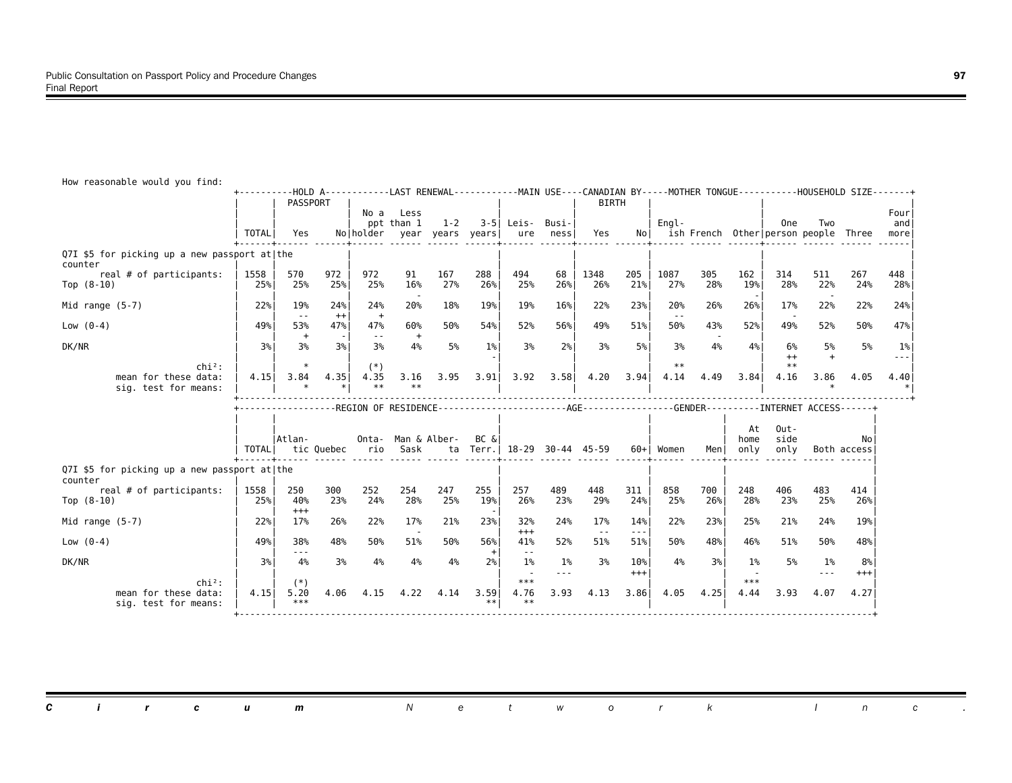|                                                           |              | <b>PASSPORT</b>      |                |                                    |                          |            |                  |                                            |               | -HOLD A------------LAST RENEWAL------------MAIN USE----CANADIAN BY-----MOTHER TONGUE----------HOUSEHOLD SIZE-------+<br><b>BIRTH</b> |                 |               |                                         |                     |                          |            |                   |                                                                                                                                                                                                                                                                                                                                                                                                    |
|-----------------------------------------------------------|--------------|----------------------|----------------|------------------------------------|--------------------------|------------|------------------|--------------------------------------------|---------------|--------------------------------------------------------------------------------------------------------------------------------------|-----------------|---------------|-----------------------------------------|---------------------|--------------------------|------------|-------------------|----------------------------------------------------------------------------------------------------------------------------------------------------------------------------------------------------------------------------------------------------------------------------------------------------------------------------------------------------------------------------------------------------|
|                                                           | <b>TOTAL</b> | Yes                  |                | No a<br>No holder year years years | Less<br>ppt than 1       | $1 - 2$    |                  | $3-5$ Leis-Busi-                           | $ure$ ness    | Yes                                                                                                                                  |                 | $Engl -$      | No ish French Other person people Three |                     | 0ne                      | Two        |                   | Four<br>and<br>more                                                                                                                                                                                                                                                                                                                                                                                |
| Q7I \$5 for picking up a new passport at the<br>counter   |              |                      |                |                                    |                          |            |                  |                                            |               |                                                                                                                                      |                 |               |                                         |                     |                          |            |                   |                                                                                                                                                                                                                                                                                                                                                                                                    |
| real # of participants:<br>Top $(8-10)$                   | 1558<br>25%  | 570<br>25%           | 972<br>25%     | 972<br>25%                         | 91<br>16%                | 167<br>27% | 288<br>26%       | 494<br>25%                                 | 68<br>26%     | 1348<br>26%                                                                                                                          | 205<br>21%      | 1087<br>27%   | 305<br>28%                              | 162<br>19%          | 314<br>28%               | 511<br>22% | 267<br>24%        | 448<br>28%                                                                                                                                                                                                                                                                                                                                                                                         |
| Mid range $(5-7)$                                         | 22%          | 19%<br>$- -$         | 24%<br>$^{++}$ | 24%<br>$+$                         | 20%                      | 18%        | 19%              | 19%                                        | 16%           | 22%                                                                                                                                  | 23%             | 20%           | 26%                                     | 26%                 | 17%                      | 22%        | 22%               | 24%                                                                                                                                                                                                                                                                                                                                                                                                |
| Low $(0-4)$                                               | 49%          | 53%                  | 47%            | 47%<br>$\sim$ $\sim$               | 60%                      | 50%        | 54%              | 52%                                        | 56%           | 49%                                                                                                                                  | 51%             | 50%           | 43%                                     | 52%                 | 49%                      | 52%        | 50%               | 47%                                                                                                                                                                                                                                                                                                                                                                                                |
| DK/NR                                                     | 3%           | $\overline{+}$<br>3% | 3%             | 3%                                 | $\ddot{}$<br>4%          | 5%         | 1%               | 3%                                         | $2\%$         | 3%                                                                                                                                   | 5%              | 3%            | 4%                                      | 4%                  | 6%<br>$^{++}$            | 5%         | 5%                | 1%<br>$\frac{1}{2} \frac{1}{2} \frac{1}{2} \frac{1}{2} \frac{1}{2} \frac{1}{2} \frac{1}{2} \frac{1}{2} \frac{1}{2} \frac{1}{2} \frac{1}{2} \frac{1}{2} \frac{1}{2} \frac{1}{2} \frac{1}{2} \frac{1}{2} \frac{1}{2} \frac{1}{2} \frac{1}{2} \frac{1}{2} \frac{1}{2} \frac{1}{2} \frac{1}{2} \frac{1}{2} \frac{1}{2} \frac{1}{2} \frac{1}{2} \frac{1}{2} \frac{1}{2} \frac{1}{2} \frac{1}{2} \frac{$ |
| $chi^2$ :<br>mean for these data:<br>sig. test for means: | 4.15         | $\ast$<br>3.84       | 4.35           | $(*)$<br>4.35<br>$**$              | 3.16<br>$**$             | 3.95       | 3.91             | 3.92                                       | 3.58          | 4.20                                                                                                                                 | 3.94            | $***$<br>4.14 | 4.49                                    | 3.84                | $***$<br>4.16            | 3.86       | 4.05              | 4.40                                                                                                                                                                                                                                                                                                                                                                                               |
|                                                           |              |                      |                |                                    |                          |            |                  | - REGION OF RESIDENCE--------------------- |               | - AGE---------------- GENDER--------- INTERNET ACCESS------+                                                                         |                 |               |                                         |                     |                          |            |                   |                                                                                                                                                                                                                                                                                                                                                                                                    |
|                                                           | <b>TOTAL</b> | Atl an-              | tic Quebec     | Onta-                              | Man & Alber-<br>rio Sask |            | BC &<br>ta Terr. |                                            |               | 18-29 30-44 45-59                                                                                                                    |                 | $60+1$ Women  | Men                                     | At<br>home<br>onl y | $0$ ut-<br>side<br>onl y |            | No<br>Both access |                                                                                                                                                                                                                                                                                                                                                                                                    |
| Q7I \$5 for picking up a new passport at the<br>counter   |              |                      |                |                                    |                          |            |                  |                                            |               |                                                                                                                                      |                 |               |                                         |                     |                          |            |                   |                                                                                                                                                                                                                                                                                                                                                                                                    |
| real # of participants:<br>Top $(8-10)$                   | 1558<br>25%  | 250<br>40%           | 300<br>23%     | 252<br>24%                         | 254<br>28%               | 247<br>25% | 255<br>19%       | 257<br>26%                                 | 489<br>23%    | 448<br>29%                                                                                                                           | 311<br>24%      | 858<br>25%    | 700<br>26%                              | 248<br>28%          | 406<br>23%               | 483<br>25% | 414<br>26%        |                                                                                                                                                                                                                                                                                                                                                                                                    |
| Mid range $(5-7)$                                         | 22%          | $^{+++}$<br>17%      | 26%            | 22%                                | 17%                      | 21%        | 23%              | 32%<br>$^{+++}$                            | 24%           | 17%                                                                                                                                  | 14%<br>$- - -$  | 22%           | 23%                                     | 25%                 | 21%                      | 24%        | 19%               |                                                                                                                                                                                                                                                                                                                                                                                                    |
| Low $(0-4)$                                               | 49%          | 38%<br>$- - -$       | 48%            | 50%                                | 51%                      | 50%        | 56%              | 41%                                        | 52%           | 51%                                                                                                                                  | 51%             | 50%           | 48%                                     | 46%                 | 51%                      | .50%       | 48%               |                                                                                                                                                                                                                                                                                                                                                                                                    |
| DK/NR                                                     | 3%           | 4%                   | 3%             | 4%                                 | 4%                       | 4%         | 2%               | 1%                                         | 1%<br>$- - -$ | 3%                                                                                                                                   | 10%<br>$^{+++}$ | 4%            | 3%                                      | 1%                  | 5%                       | 1%         | 8%<br>$+++$       |                                                                                                                                                                                                                                                                                                                                                                                                    |
| $chi^2$ :<br>mean for these data:<br>sig. test for means: | 4.15         | $(*)$<br>5.20<br>*** | 4.06           | 4.15                               | 4.22                     | 4.14       | 3.59<br>$* *$    | $***$<br>4.76<br>**                        | 3.93          | 4.13                                                                                                                                 | 3.86            | 4.05          | 4.25                                    | ***<br>4.44         | 3.93                     | 4.07       | 4.27              |                                                                                                                                                                                                                                                                                                                                                                                                    |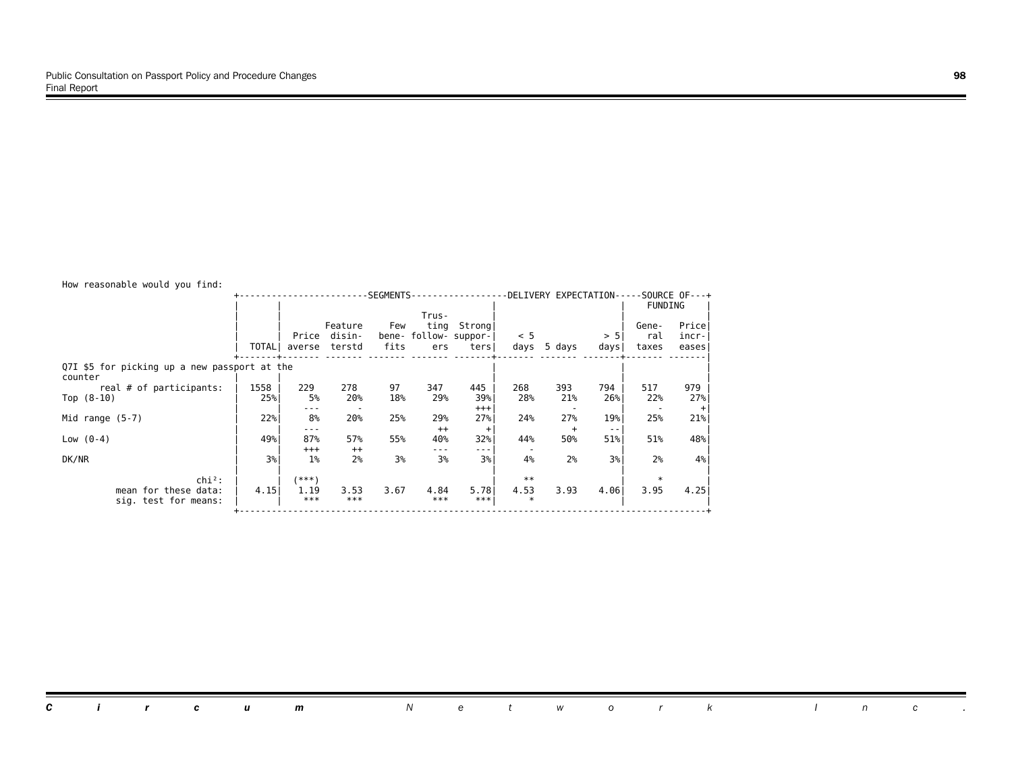|              |         |                                              |                  | <b>SEGMENTS-</b> |                |                                          | DELIVERY EXPECTATION- |       |                 | SOURCE $0F---$ |
|--------------|---------|----------------------------------------------|------------------|------------------|----------------|------------------------------------------|-----------------------|-------|-----------------|----------------|
|              |         |                                              |                  |                  |                |                                          |                       |       | <b>FUNDI NG</b> |                |
|              |         |                                              |                  | Trus-            |                |                                          |                       |       |                 |                |
|              |         | Feature                                      | Few              |                  |                |                                          |                       |       | Gene-           | Pri ce         |
|              |         | di si n-                                     |                  |                  |                | < 5                                      |                       | $> 5$ | ral             | incr-          |
| <b>TOTAL</b> |         | terstd                                       | fits             | ers              | ters           | days                                     | 5 days                | days∣ | taxes           | eases          |
|              |         |                                              |                  |                  |                |                                          |                       |       |                 |                |
|              |         |                                              |                  |                  |                |                                          |                       |       |                 |                |
| 1558         | 229     | 278                                          | 97               | 347              | 445            | 268                                      | 393                   | 794   |                 | 979            |
| 25%          | 5%      | 20%                                          | 18%              | 29%              | 39%            | 28%                                      | 21%                   | 26%   | 22%             | 27%            |
|              | - - -   |                                              |                  |                  | $^{+++}$       |                                          |                       |       |                 |                |
| 22%          | 8%      | 20%                                          | 25%              | 29%              | 27%            | 24%                                      | 27%                   | 19%   | 25%             | 21%            |
|              | $- - -$ |                                              |                  | $^{++}$          | $\overline{+}$ |                                          | $\overline{+}$        | $- -$ |                 |                |
| 49%          | 87%     | 57%                                          | 55%              | 40%              | 32%            | 44%                                      | 50%                   | 51%   | 51%             | 48%            |
|              | $+++$   | $^{++}$                                      |                  | $- - -$          | $- - -$        |                                          |                       |       |                 |                |
|              | 1%      | 2%                                           |                  |                  |                |                                          |                       |       |                 | 4%             |
|              | $(***)$ |                                              |                  |                  |                | $***$                                    |                       |       |                 |                |
| 4.15         | 1.19    | 3.53                                         | 3.67             | 4.84             | 5.78           | 4.53                                     | 3.93                  | 4.06  | 3.95            | 4.25           |
|              | ***     | ***                                          |                  | ***              | ***            | $*$                                      |                       |       |                 |                |
|              | 3%      | Q7I \$5 for picking up a new passport at the | Pri ce<br>averse | 3%               | 3%             | ting Strong<br>bene-follow-suppor-<br>3% | 4%                    | 2%    | 3%              | 517<br>2%      |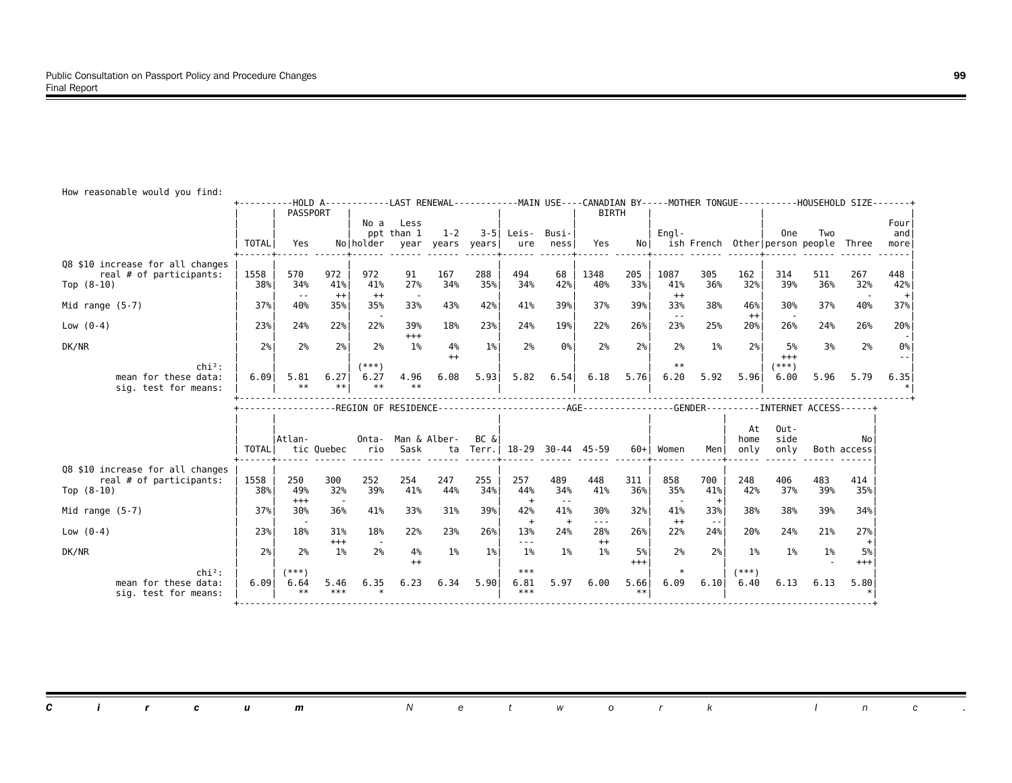|                                                                             |              |                       |                 |                                            |                      |                  |                  |                    |                          | -HOLD A------------LAST RENEWAL------------MAIN USE----CANADIAN BY-----MOTHER TONGUE-----------HOUSEHOLD SIZE- |                |                |                                      |                     |                          |            |                   |                  |
|-----------------------------------------------------------------------------|--------------|-----------------------|-----------------|--------------------------------------------|----------------------|------------------|------------------|--------------------|--------------------------|----------------------------------------------------------------------------------------------------------------|----------------|----------------|--------------------------------------|---------------------|--------------------------|------------|-------------------|------------------|
|                                                                             |              | <b>PASSPORT</b>       |                 | No a                                       | Less<br>ppt than 1   | $1 - 2$          |                  | $3-5$ Leis-        | Busi-                    | <b>BIRTH</b>                                                                                                   |                | $Engl -$       |                                      |                     | <b>One</b>               | Two        |                   | Four<br>and      |
|                                                                             | <b>TOTAL</b> | Yes                   |                 | No   hol der                               |                      | year years years |                  | ure                | ness                     | Yes                                                                                                            | No l           |                | ish French Other person people Three |                     |                          |            |                   | more             |
| Q8 \$10 increase for all changes<br>real # of participants:                 | 1558         | 570                   | 972             | 972                                        | 91                   | 167              | 288              | 494                | 68                       | 1348                                                                                                           | 205            | 1087           | 305                                  | 162                 | 314                      | 511        | 267               | 448              |
| Top $(8-10)$                                                                | 38%          | 34%<br>$- -$          | 41%<br>$^{++}$  | 41%<br>$^{++}$                             | 27%                  | 34%              | 35%              | 34%                | 42%                      | 40%                                                                                                            | 33%            | 41%<br>$^{++}$ | 36%                                  | 32%                 | 39%                      | 36%        | 32%               | 42%<br>$\ddot{}$ |
| Mid range $(5-7)$                                                           | 37%          | 40%                   | 35%             | 35%                                        | 33%                  | 43%              | 42%              | 41%                | 39%                      | 37%                                                                                                            | 39%            | 33%<br>$- -$   | 38%                                  | 46%<br>$^{++}$      | 30%                      | 37%        | 40%               | 37%              |
| Low $(0-4)$                                                                 | 23%          | 24%                   | 22%             | 22%                                        | 39%<br>$^{+++}$      | 18%              | 23%              | 24%                | 19%                      | 22%                                                                                                            | 26%            | 23%            | 25%                                  | 20%                 | 26%                      | 24%        | 26%               | 20%              |
| DK/NR                                                                       | 2%           | 2%                    | $2\%$           | $2\%$                                      | 1%                   | 4%<br>$^{++}$    | $1\%$            | 2%                 | 0%                       | $2\%$                                                                                                          | $2\%$          | 2%             | 1%                                   | $2\%$               | 5%<br>$^{+++}$           | 3%         | 2%                | 0%<br>$- -$      |
| $chi^2$ :<br>mean for these data:<br>sig. test for means:                   | 6.09         | 5.81<br>**            | 6.27<br>$**$    | $(***)$<br>6.27<br>$* *$                   | 4.96<br>$**$         | 6.08             | 5.93             | 5.82               | 6.54                     | 6.18                                                                                                           | 5.76           | $***$<br>6.20  | 5.92                                 | 5.96                | $(***)$<br>6.00          | 5.96       | 5.79              | 6.35             |
|                                                                             |              |                       |                 | - REGION OF RESIDENCE--------------------- |                      |                  |                  |                    |                          | - AGE----------------GENDER---------- INTERNET ACCESS------+                                                   |                |                |                                      |                     |                          |            |                   |                  |
|                                                                             | <b>TOTAL</b> | Atl an-               | tic Quebec      | Onta-<br>rio                               | Man & Alber-<br>Sask |                  | BC &<br>ta Terr. |                    |                          | 18-29 30-44 45-59                                                                                              |                | $60+1$ Women   | Men                                  | At<br>home<br>onl y | $0$ ut-<br>side<br>onl y |            | No<br>Both access |                  |
|                                                                             |              |                       |                 |                                            |                      |                  |                  |                    |                          |                                                                                                                |                |                |                                      |                     |                          |            |                   |                  |
| Q8 \$10 increase for all changes<br>real # of participants:<br>Top $(8-10)$ | 1558<br>38%  | 250<br>49%            | 300<br>32%      | 252<br>39%                                 | 254<br>41%           | 247<br>44%       | 255<br>34%       | 257<br>44%         | 489<br>34%               | 448<br>41%                                                                                                     | 311<br>36%     | 858<br>35%     | 700<br>41%                           | 248<br>42%          | 406<br>37%               | 483<br>39% | 414<br>35%        |                  |
| Mid range $(5-7)$                                                           | 37%          | $^{+++}$<br>30%       | 36%             | 41%                                        | 33%                  | 31%              | 39%              | 42%                | $\sim$ $-$<br>41%<br>$+$ | 30%<br>$- - -$                                                                                                 | 32%            | 41%<br>$^{++}$ | $^{+}$<br>33%<br>$- -$               | 38%                 | 38%                      | 39%        | 34%               |                  |
| Low $(0-4)$                                                                 | 23%          | 18%                   | 31%<br>$^{+++}$ | 18%                                        | 22%                  | 23%              | 26%              | 13%<br>$- - -$     | 24%                      | 28%<br>$^{++}$                                                                                                 | 26%            | 22%            | 24%                                  | 20%                 | 24%                      | 21%        | 27%               |                  |
| DK/NR                                                                       | 2%           | 2%                    | 1%              | 2%                                         | 4%<br>$^{++}$        | 1%               | 1%               | 1%                 | 1%                       | 1%                                                                                                             | 5%<br>$^{+++}$ | 2%             | 2%                                   | 1%                  | 1%                       | 1%         | 5%<br>$^{+++}$    |                  |
| $chi^2$ :<br>mean for these data:<br>sig. test for means:                   | 6.09         | $(***)$<br>6.64<br>** | 5.46<br>***     | 6.35                                       | 6.23                 | 6.34             | 5.90             | ***<br>6.81<br>*** | 5.97                     | 6.00                                                                                                           | 5.66           | $\ast$<br>6.09 | 6.10                                 | $(***)$<br>6.40     | 6.13                     | 6.13       | 5.80              |                  |

|  |  | <b>Circum</b> Network Inc. |  |  |  |  |  |  |
|--|--|----------------------------|--|--|--|--|--|--|
|  |  |                            |  |  |  |  |  |  |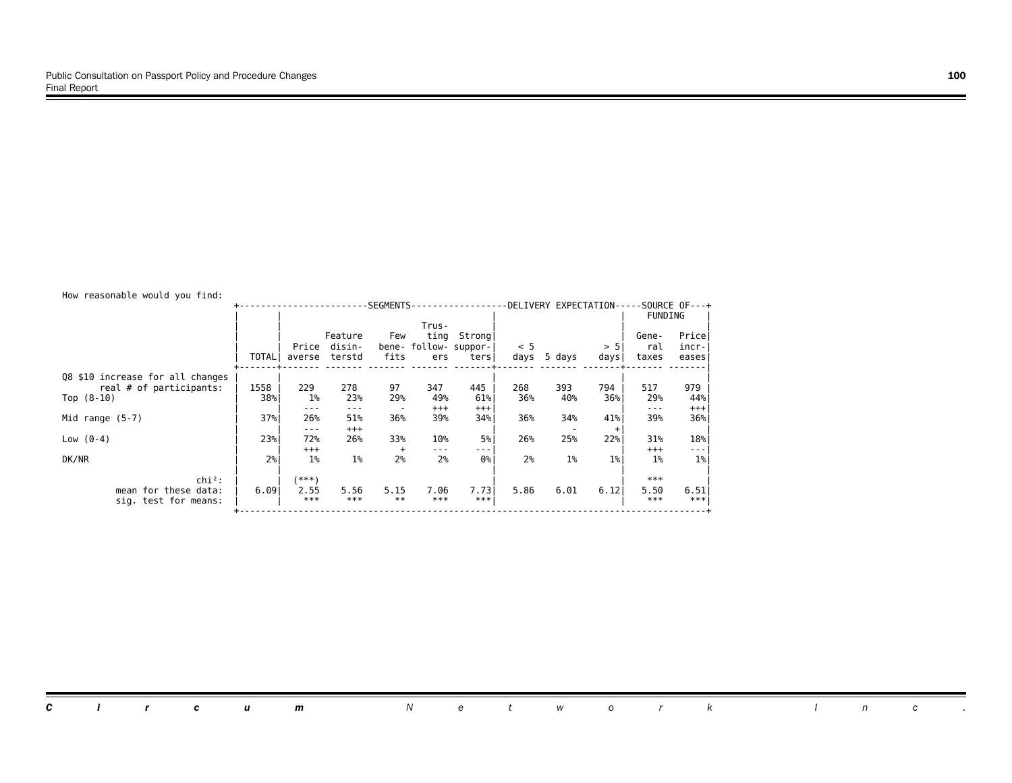|                                  |              |                                                                                                                                                                                                                                                                                                                                                                                              |          | <b>SEGMENTS-</b> |                                                                                                                                                                                                                                                                                                                                                                                              |             |      | DELIVERY EXPECTATION |        |                | SOURCE $0F---$ |
|----------------------------------|--------------|----------------------------------------------------------------------------------------------------------------------------------------------------------------------------------------------------------------------------------------------------------------------------------------------------------------------------------------------------------------------------------------------|----------|------------------|----------------------------------------------------------------------------------------------------------------------------------------------------------------------------------------------------------------------------------------------------------------------------------------------------------------------------------------------------------------------------------------------|-------------|------|----------------------|--------|----------------|----------------|
|                                  |              |                                                                                                                                                                                                                                                                                                                                                                                              |          |                  |                                                                                                                                                                                                                                                                                                                                                                                              |             |      |                      |        | <b>FUNDING</b> |                |
|                                  |              |                                                                                                                                                                                                                                                                                                                                                                                              |          |                  | Trus-                                                                                                                                                                                                                                                                                                                                                                                        |             |      |                      |        |                |                |
|                                  |              |                                                                                                                                                                                                                                                                                                                                                                                              | Feature  | Few              |                                                                                                                                                                                                                                                                                                                                                                                              | ting Strong |      |                      |        | Gene-          | Pri ce         |
|                                  |              | Pri ce                                                                                                                                                                                                                                                                                                                                                                                       | di si n- |                  | bene-follow-suppor-                                                                                                                                                                                                                                                                                                                                                                          |             | < 5  |                      | > 5    | ral            | i ncr-         |
|                                  | <b>TOTAL</b> | averse                                                                                                                                                                                                                                                                                                                                                                                       | terstd   | fits             | ers                                                                                                                                                                                                                                                                                                                                                                                          | ters        | days | 5 days               | days   | taxes          | eases          |
| Q8 \$10 increase for all changes |              |                                                                                                                                                                                                                                                                                                                                                                                              |          |                  |                                                                                                                                                                                                                                                                                                                                                                                              |             |      |                      |        |                |                |
| real # of participants:          | 1558         | 229                                                                                                                                                                                                                                                                                                                                                                                          | 278      | 97               | 347                                                                                                                                                                                                                                                                                                                                                                                          | 445         | 268  | 393                  | 794    | 517            | 979            |
| Top $(8-10)$                     | 38%          | 1%                                                                                                                                                                                                                                                                                                                                                                                           | 23%      | 29%              | 49%                                                                                                                                                                                                                                                                                                                                                                                          | 61%         | 36%  | 40%                  | 36%    | 29%            | 44%            |
|                                  |              | $- - -$                                                                                                                                                                                                                                                                                                                                                                                      | - - -    |                  | $^{+++}$                                                                                                                                                                                                                                                                                                                                                                                     | $^{+++}$    |      |                      |        | $\frac{1}{2}$  | $^{+++}$       |
| Mid range $(5-7)$                | 37%          | 26%                                                                                                                                                                                                                                                                                                                                                                                          | 51%      | 36%              | 39%                                                                                                                                                                                                                                                                                                                                                                                          | 34%         | 36%  | 34%                  | 41%    | 39%            | 36%            |
|                                  |              | $\frac{1}{2} \frac{1}{2} \frac{1}{2} \frac{1}{2} \frac{1}{2} \frac{1}{2} \frac{1}{2} \frac{1}{2} \frac{1}{2} \frac{1}{2} \frac{1}{2} \frac{1}{2} \frac{1}{2} \frac{1}{2} \frac{1}{2} \frac{1}{2} \frac{1}{2} \frac{1}{2} \frac{1}{2} \frac{1}{2} \frac{1}{2} \frac{1}{2} \frac{1}{2} \frac{1}{2} \frac{1}{2} \frac{1}{2} \frac{1}{2} \frac{1}{2} \frac{1}{2} \frac{1}{2} \frac{1}{2} \frac{$ | $^{+++}$ |                  |                                                                                                                                                                                                                                                                                                                                                                                              |             |      |                      | $^{+}$ |                |                |
| Low $(0-4)$                      | 23%          | 72%                                                                                                                                                                                                                                                                                                                                                                                          | 26%      | 33%              | 10%                                                                                                                                                                                                                                                                                                                                                                                          | 5%          | 26%  | 25%                  | 22%    | 31%            | 18%            |
|                                  |              | $+++$                                                                                                                                                                                                                                                                                                                                                                                        |          |                  | $\frac{1}{2} \frac{1}{2} \frac{1}{2} \frac{1}{2} \frac{1}{2} \frac{1}{2} \frac{1}{2} \frac{1}{2} \frac{1}{2} \frac{1}{2} \frac{1}{2} \frac{1}{2} \frac{1}{2} \frac{1}{2} \frac{1}{2} \frac{1}{2} \frac{1}{2} \frac{1}{2} \frac{1}{2} \frac{1}{2} \frac{1}{2} \frac{1}{2} \frac{1}{2} \frac{1}{2} \frac{1}{2} \frac{1}{2} \frac{1}{2} \frac{1}{2} \frac{1}{2} \frac{1}{2} \frac{1}{2} \frac{$ | $- - -$     |      |                      |        | $^{+++}$       | $- - - -$      |
| DK/NR                            | 2%           | 1%                                                                                                                                                                                                                                                                                                                                                                                           | 1%       | 2%               | 2%                                                                                                                                                                                                                                                                                                                                                                                           | 0%          | 2%   | 1%                   | 1%     | 1%             | 1%             |
| $chi^2$ :                        |              | $(***)$                                                                                                                                                                                                                                                                                                                                                                                      |          |                  |                                                                                                                                                                                                                                                                                                                                                                                              |             |      |                      |        | ***            |                |
| mean for these data:             | 6.09         | 2.55                                                                                                                                                                                                                                                                                                                                                                                         | 5.56     | 5.15             | 7.06                                                                                                                                                                                                                                                                                                                                                                                         | 7.73        | 5.86 | 6.01                 | 6.12   | 5.50           | 6.51           |
| sig. test for means:             |              | ***                                                                                                                                                                                                                                                                                                                                                                                          | ***      | $***$            | ***                                                                                                                                                                                                                                                                                                                                                                                          | ***         |      |                      |        | ***            | $***$          |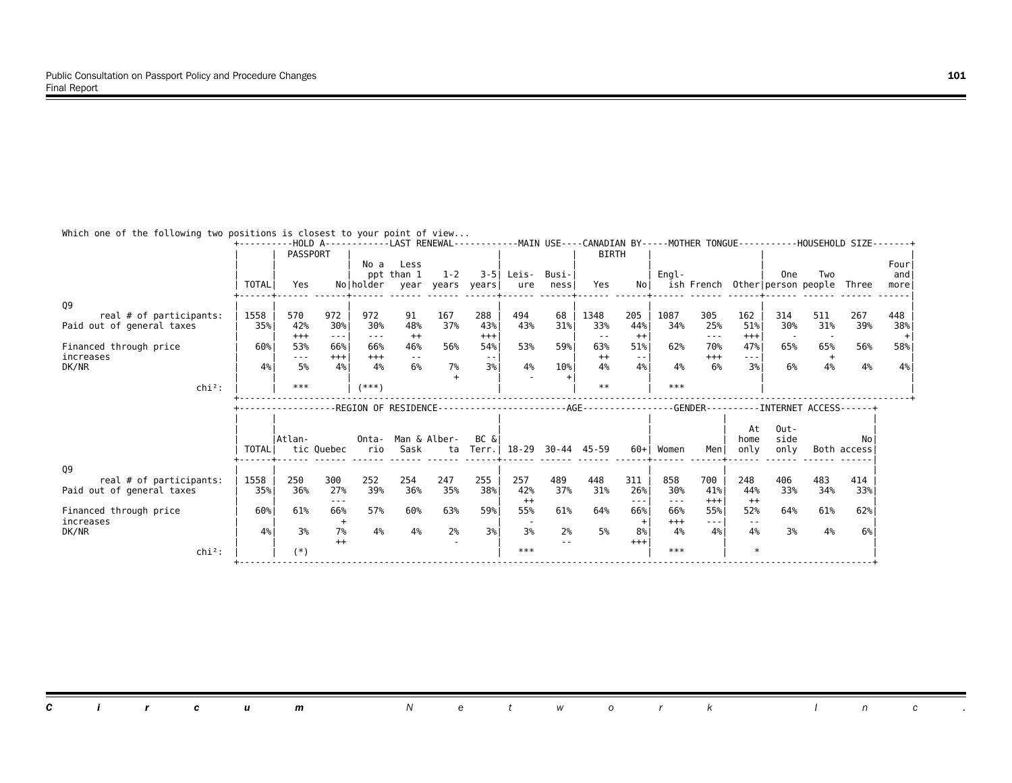| which one of the forfowing two positions is crosest to your pornt of view |              |                 | $-HOLD$ A---                                                                                                                                                                                                                                                                                                                                                                                 |                      |              |                |          |         |           | --LAST RENEWAL------------MAIN USE----CANADIAN BY-----MOTHER TONGUE-----------HOUSEHOLD SIZE-- |                 |          |                |            |                                |     |             |           |
|---------------------------------------------------------------------------|--------------|-----------------|----------------------------------------------------------------------------------------------------------------------------------------------------------------------------------------------------------------------------------------------------------------------------------------------------------------------------------------------------------------------------------------------|----------------------|--------------|----------------|----------|---------|-----------|------------------------------------------------------------------------------------------------|-----------------|----------|----------------|------------|--------------------------------|-----|-------------|-----------|
|                                                                           |              | <b>PASSPORT</b> |                                                                                                                                                                                                                                                                                                                                                                                              |                      |              |                |          |         |           | <b>BI RTH</b>                                                                                  |                 |          |                |            |                                |     |             |           |
|                                                                           |              |                 |                                                                                                                                                                                                                                                                                                                                                                                              | No a                 | Less         |                |          |         |           |                                                                                                |                 |          |                |            |                                |     |             | Four      |
|                                                                           |              |                 |                                                                                                                                                                                                                                                                                                                                                                                              |                      | ppt than 1   | $1 - 2$        | $3 - 5$  | Lei s-  | Busi -    |                                                                                                |                 | $Engl -$ |                |            | <b>One</b>                     | Two |             | and       |
|                                                                           | <b>TOTAL</b> | Yes             |                                                                                                                                                                                                                                                                                                                                                                                              | No   hol der         |              | year years     | years    | ure     | ness      | Yes                                                                                            | No <sub>1</sub> |          |                |            | ish French Other person people |     | Three       | more      |
| Q9                                                                        |              |                 |                                                                                                                                                                                                                                                                                                                                                                                              |                      |              |                |          |         |           |                                                                                                |                 |          |                |            |                                |     |             |           |
| real # of participants:                                                   | 1558         | 570             | 972                                                                                                                                                                                                                                                                                                                                                                                          | 972                  | 91           | 167            | 288      | 494     | 68        | 1348                                                                                           | 205             | 1087     | 305            | 162        | 314                            | 511 | 267         | 448       |
| Paid out of general taxes                                                 | 35%          | 42%             | 30%                                                                                                                                                                                                                                                                                                                                                                                          | 30%                  | 48%          | 37%            | 43%      | 43%     | 31%       | 33%                                                                                            | 44%             | 34%      | 25%            | 51%        | 30%                            | 31% | 39%         | 38%       |
|                                                                           |              | $^{+++}$        | $\frac{1}{2} \frac{1}{2} \frac{1}{2} \frac{1}{2} \frac{1}{2} \frac{1}{2} \frac{1}{2} \frac{1}{2} \frac{1}{2} \frac{1}{2} \frac{1}{2} \frac{1}{2} \frac{1}{2} \frac{1}{2} \frac{1}{2} \frac{1}{2} \frac{1}{2} \frac{1}{2} \frac{1}{2} \frac{1}{2} \frac{1}{2} \frac{1}{2} \frac{1}{2} \frac{1}{2} \frac{1}{2} \frac{1}{2} \frac{1}{2} \frac{1}{2} \frac{1}{2} \frac{1}{2} \frac{1}{2} \frac{$ | $- - -$              | $^{++}$      |                | $^{+++}$ |         |           |                                                                                                | $^{++}$         |          | $- - -$        | $^{+++}$   |                                |     |             | $\ddot{}$ |
| Financed through price                                                    | 60%          | 53%             | 66%                                                                                                                                                                                                                                                                                                                                                                                          | 66%                  | 46%          | 56%            | 54%      | 53%     | 59%       | 63%                                                                                            | 51%             | 62%      | 70%            | 47%        | 65%                            | 65% | 56%         | 58%       |
| <i>i</i> ncreases                                                         |              | $- - -$         | $+++$                                                                                                                                                                                                                                                                                                                                                                                        | $+++$                | $- -$        |                | $- -$    |         |           | $^{++}$                                                                                        | $ -$            |          | $^{+++}$       | $- - -$    |                                |     |             |           |
| DK/NR                                                                     | 4%           | 5%              | 4%                                                                                                                                                                                                                                                                                                                                                                                           | 4%                   | 6%           | 7%             | $3\%$    | 4%      | 10%       | 4%                                                                                             | 4%              | 4%       | 6%             | 3%         | 6%                             | 4%  | 4%          | 4%        |
| chi <sup>2</sup> :                                                        |              | ***             |                                                                                                                                                                                                                                                                                                                                                                                              | $(***)$              |              | $\overline{+}$ |          |         | $\ddot{}$ | $**$                                                                                           |                 | $***$    |                |            |                                |     |             |           |
|                                                                           |              |                 |                                                                                                                                                                                                                                                                                                                                                                                              |                      |              |                |          |         |           |                                                                                                |                 |          |                |            |                                |     |             |           |
|                                                                           |              |                 |                                                                                                                                                                                                                                                                                                                                                                                              | REGION OF RESIDENCE- |              |                |          |         | AGE-      |                                                                                                | .               |          | <b>GENDER-</b> | .          | --INTERNET ACCESS------+       |     |             |           |
|                                                                           |              |                 |                                                                                                                                                                                                                                                                                                                                                                                              |                      |              |                |          |         |           |                                                                                                |                 |          |                |            |                                |     |             |           |
|                                                                           |              | Atlan-          |                                                                                                                                                                                                                                                                                                                                                                                              | Onta-                | Man & Alber- |                | BC &     |         |           |                                                                                                |                 |          |                | At<br>home | $0$ ut-<br>side                |     | No          |           |
|                                                                           | <b>TOTAL</b> |                 | tic Quebec                                                                                                                                                                                                                                                                                                                                                                                   | ri o                 | Sask         | ta             | Terr.    | 18-29   |           | $30-44$ 45-59                                                                                  | $60+$           | Women    | Men            | onl y      | onl y                          |     | Both access |           |
|                                                                           |              |                 |                                                                                                                                                                                                                                                                                                                                                                                              |                      |              |                |          |         |           |                                                                                                |                 |          |                |            |                                |     |             |           |
| Q9<br>real # of participants:                                             | 1558         | 250             | 300                                                                                                                                                                                                                                                                                                                                                                                          | 252                  | 254          | 247            | 255      | 257     | 489       | 448                                                                                            | 311             | 858      | 700            | 248        | 406                            | 483 | 414         |           |
| Paid out of general taxes                                                 | 35%          | 36%             | 27%                                                                                                                                                                                                                                                                                                                                                                                          | 39%                  | 36%          | 35%            | 38%      | 42%     | 37%       | 31%                                                                                            | 26%             | 30%      | 41%            | 44%        | 33%                            | 34% | 33%         |           |
|                                                                           |              |                 | $- - -$                                                                                                                                                                                                                                                                                                                                                                                      |                      |              |                |          | $^{++}$ |           |                                                                                                | $- - -$         | - - -    | $+++$          | $^{++}$    |                                |     |             |           |
| Financed through price                                                    | 60%          | 61%             | 66%                                                                                                                                                                                                                                                                                                                                                                                          | 57%                  | 60%          | 63%            | 59%      | 55%     | 61%       | 64%                                                                                            | 66%             | 66%      | 55%            | 52%        | 64%                            | 61% | 62%         |           |
| <i>i</i> ncreases                                                         |              |                 |                                                                                                                                                                                                                                                                                                                                                                                              |                      |              |                |          |         |           |                                                                                                |                 | $^{+++}$ | $- - -$        | $ -$       |                                |     |             |           |
| DK/NR                                                                     | 4%           | 3%              | 7%                                                                                                                                                                                                                                                                                                                                                                                           | 4%                   | 4%           | $2\%$          | 3%       | 3%      | $2\%$     | 5%                                                                                             | 8%              | 4%       | 4%             | 4%         | 3%                             | 4%  | 6%          |           |
|                                                                           |              |                 | $^{++}$                                                                                                                                                                                                                                                                                                                                                                                      |                      |              |                |          |         | $ -$      |                                                                                                | $^{++}$         |          |                |            |                                |     |             |           |
| $chi^2$ :                                                                 |              | $(*)$           |                                                                                                                                                                                                                                                                                                                                                                                              |                      |              |                |          | ***     |           |                                                                                                |                 | $***$    |                |            |                                |     |             |           |

Which one of the following two positions is closest to your point of view.

|  |  | <b>Circum</b> Network Inc. |  |  |  |  |  |  |
|--|--|----------------------------|--|--|--|--|--|--|
|  |  |                            |  |  |  |  |  |  |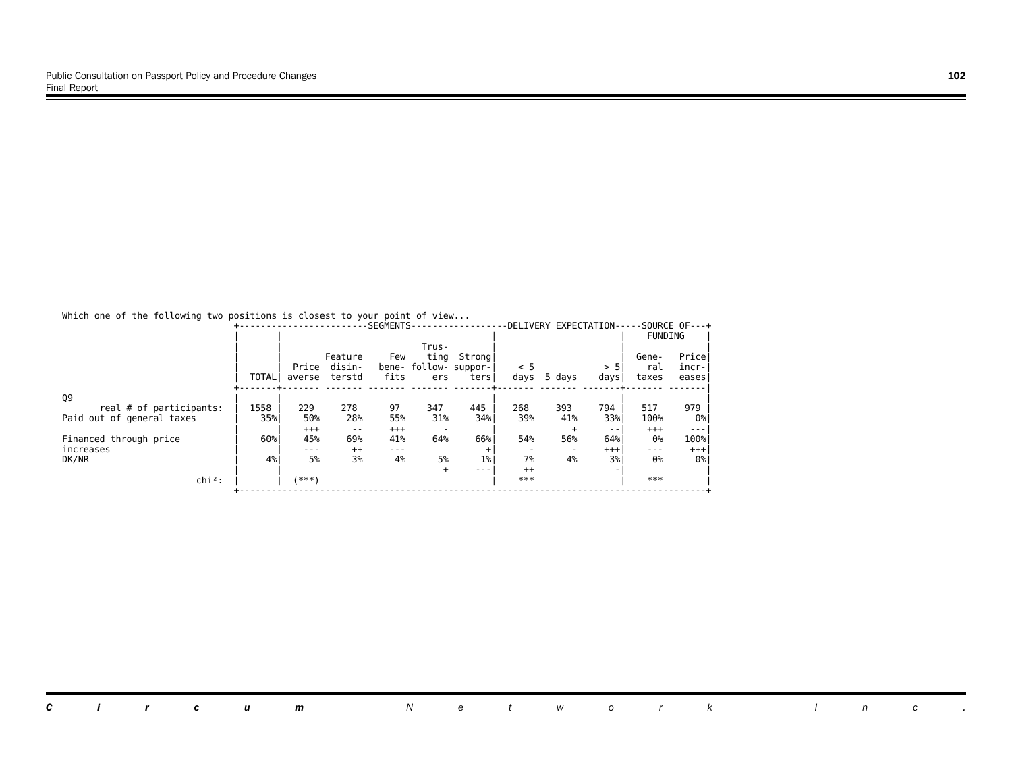#### Which one of the following two positions is closest to your point of view...

|                           |              |               |               | <b>SEGMENTS-</b> |                     |         |         | DELIVERY EXPECTATION |               |                 | SOURCE $0F---$ |
|---------------------------|--------------|---------------|---------------|------------------|---------------------|---------|---------|----------------------|---------------|-----------------|----------------|
|                           |              |               |               |                  |                     |         |         |                      |               | <b>FUNDI NG</b> |                |
|                           |              |               |               |                  | Trus-               |         |         |                      |               |                 |                |
|                           |              |               | Feature       | Few              | ting                | Strong  |         |                      |               | Gene-           | Pri ce         |
|                           |              | Pri ce        | di si n-      |                  | bene-follow-suppor- |         | < 5     |                      | > 5           | ral             | i ncr-         |
|                           | <b>TOTAL</b> |               | averse terstd | fits             | ers                 | ters    | days    | 5 days               | $_{\rm days}$ | taxes           | eases          |
| Q9                        |              |               |               |                  |                     |         |         |                      |               |                 |                |
| real # of participants:   | 1558         | 229           | 278           | 97               | 347                 | 445     | 268     | 393                  | 794           | 517             | 979            |
| Paid out of general taxes | 35%          | 50%           | 28%           | 55%              | 31%                 | 34%     | 39%     | 41%                  | 33%           | 100%            | 0%             |
|                           |              | $^{+++}$      | $- -$         | $^{+++}$         |                     |         |         | $\div$               | $ -$          | $^{+++}$        | $- - -$        |
| Financed through price    | 60%          | 45%           | 69%           | 41%              | 64%                 | 66%     | 54%     | 56%                  | 64%           | 0%              | 100%           |
| increases                 |              | $\frac{1}{2}$ | $^{++}$       | $- - -$          |                     |         | -       |                      | $+++$         | $- - -$         | $^{+++}$       |
| DK/NR                     | 4%           | 5%            | 3%            | 4%               | 5%                  | 1%      | 7%      | 4%                   | $3\%$         | 0%              | 0%             |
|                           |              |               |               |                  | $\ddot{}$           | $- - -$ | $^{++}$ |                      |               |                 |                |
| $chi^2$ :                 |              | $(***)$       |               |                  |                     |         | $***$   |                      |               | ***             |                |
|                           |              |               |               |                  |                     |         |         |                      |               |                 |                |

—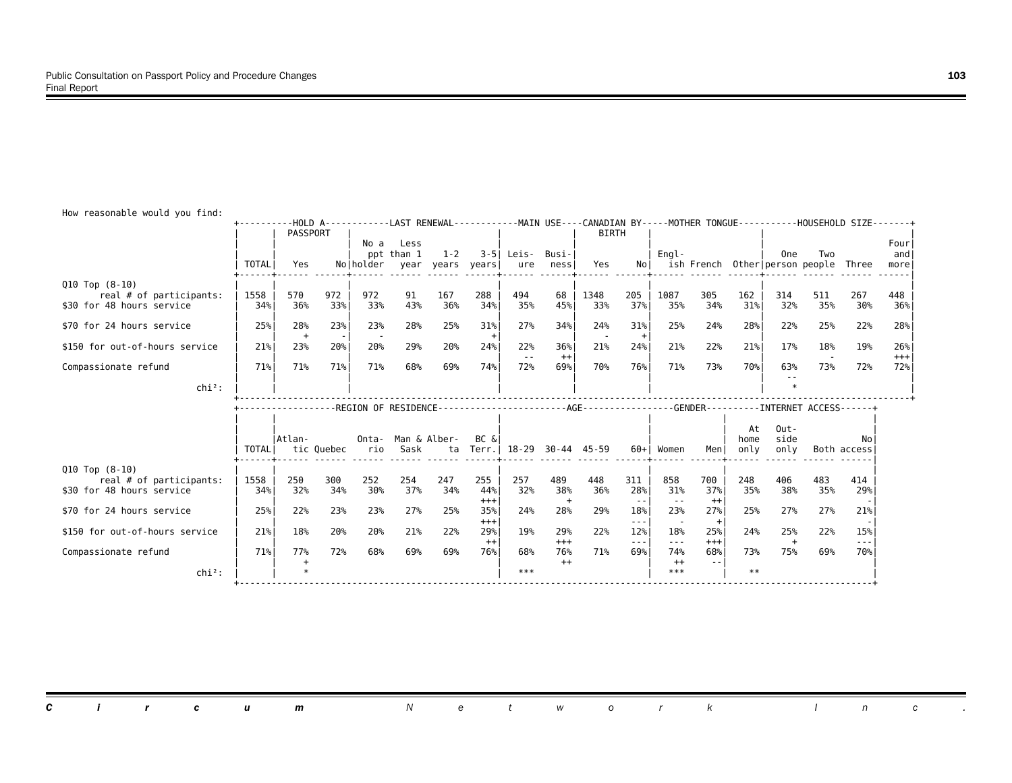|                                                                            |              |                        |            |                      |                                         |                             |                            |                    |                     | HOLD A-----------LAST RENEWAL------------MAIN USE----CANADIAN BY-----MOTHER TONGUE-----------HOUSEHOLD SIZE-------+ |                                 |                   |                                           |                     |                          |            |                   |                     |
|----------------------------------------------------------------------------|--------------|------------------------|------------|----------------------|-----------------------------------------|-----------------------------|----------------------------|--------------------|---------------------|---------------------------------------------------------------------------------------------------------------------|---------------------------------|-------------------|-------------------------------------------|---------------------|--------------------------|------------|-------------------|---------------------|
|                                                                            | <b>TOTAL</b> | <b>PASSPORT</b><br>Yes |            | No a<br>No   hol der | Less<br>ppt than 1                      | $1 - 2$<br>year years years |                            | $3-5$ Leis-<br>ure | Busi -<br>ness      | <b>BIRTH</b><br>Yes                                                                                                 | No <sub>1</sub>                 | Engl-             | ish French Other person people            |                     | <b>One</b>               | Two        | Three             | Four<br>and<br>more |
| $Q10$ Top $(8-10)$<br>real # of participants:<br>\$30 for 48 hours service | 1558<br>34%  | 570<br>36%             | 972<br>33% | 972<br>33%           | 91<br>43%                               | 167<br>36%                  | 288<br>34%                 | 494<br>35%         | 68<br>45%           | 1348<br>33%                                                                                                         | 205<br>37%                      | 1087<br>35%       | 305<br>34%                                | 162<br>31%          | 314<br>32%               | 511<br>35% | 267<br>30%        | 448<br>36%          |
| \$70 for 24 hours service                                                  | 25%          | 28%                    | 23%        | 23%                  | 28%                                     | 25%                         | 31%                        | 27%                | 34%                 | 24%                                                                                                                 | 31%                             | 25%               | 24%                                       | 28%                 | 22%                      | 25%        | 22%               | 28%                 |
| \$150 for out-of-hours service                                             | 21%          | $+$<br>23%             | 20%        | 20%                  | 29%                                     | 20%                         | 24%                        | 22%                | 36%<br>$^{++}$      | 21%                                                                                                                 | 24%                             | 21%               | 22%                                       | 21%                 | 17%                      | 18%        | 19%               | 26%<br>$^{+++}$     |
| Compassionate refund                                                       | 71%          | 71%                    | 71%        | 71%                  | 68%                                     | 69%                         | 74%                        | 72%                | 69%                 | 70%                                                                                                                 | 76%                             | 71%               | 73%                                       | 70%                 | 63%<br>$ -$              | 73%        | 72%               | 72%                 |
| $chi^2$ :                                                                  |              |                        |            |                      |                                         |                             |                            |                    |                     |                                                                                                                     |                                 |                   |                                           |                     |                          |            |                   |                     |
|                                                                            |              |                        |            |                      | REGION OF RESIDENCE-------------------- |                             |                            |                    |                     | $-AGE-$                                                                                                             | <u> - - - - - - - - - - - -</u> |                   | - GENDER---------- INTERNET ACCESS------+ |                     |                          |            |                   |                     |
|                                                                            | <b>TOTAL</b> | Atl an-                | tic Quebec | Onta-<br>rio         | Man & Alber-<br>Sask                    | ta                          | $BC \&$<br>Terr.           |                    | $18-29$ 30-44 45-59 |                                                                                                                     | $60+$                           | Women             | Men                                       | At<br>home<br>onl v | $0$ ut-<br>side<br>onl y |            | No<br>Both access |                     |
| $Q10$ Top $(8-10)$<br>real # of participants:<br>\$30 for 48 hours service | 1558<br>34%  | 250<br>32%             | 300<br>34% | 252<br>30%           | 254<br>37%                              | 247<br>34%                  | 255<br>44%                 | 257<br>32%         | 489<br>38%          | 448<br>36%                                                                                                          | 311<br>28%                      | 858<br>31%        | 700<br>37%                                | 248<br>35%          | 406<br>38%               | 483<br>35% | 414<br>29%        |                     |
| \$70 for 24 hours service                                                  | 25%          | 22%                    | 23%        | 23%                  | 27%                                     | 25%                         | $^{++}$<br>35%<br>$^{+++}$ | 24%                | $+$<br>28%          | 29%                                                                                                                 | $ -$<br>18%<br>$- - -$          | $\sim$ $-$<br>23% | $^{++}$<br>27%                            | 25%                 | 27%                      | 27%        | 21%               |                     |
| \$150 for out-of-hours service                                             | 21%          | 18%                    | 20%        | 20%                  | 21%                                     | 22%                         | 29%                        | 19%                | 29%                 | 22%                                                                                                                 | 12%                             | 18%               | $^{+}$<br>25%                             | 24%                 | 25%                      | 22%        | 15%               |                     |
| Compassionate refund                                                       | 71%          | 77%                    | 72%        | 68%                  | 69%                                     | 69%                         | $^{++}$<br>76%             | 68%                | $^{+++}$<br>76%     | 71%                                                                                                                 | $- - -$<br>69%                  | - - -<br>74%      | $^{+++}$<br>68%                           | 73%                 | $\overline{+}$<br>75%    | 69%        | $- - - -$<br>70%  |                     |
| chi $^2$ :                                                                 |              |                        |            |                      |                                         |                             |                            | ***                | $^{++}$             |                                                                                                                     |                                 | $^{++}$<br>***    | $- -$                                     | $**$                |                          |            |                   |                     |

*Circum Network Inc .*

-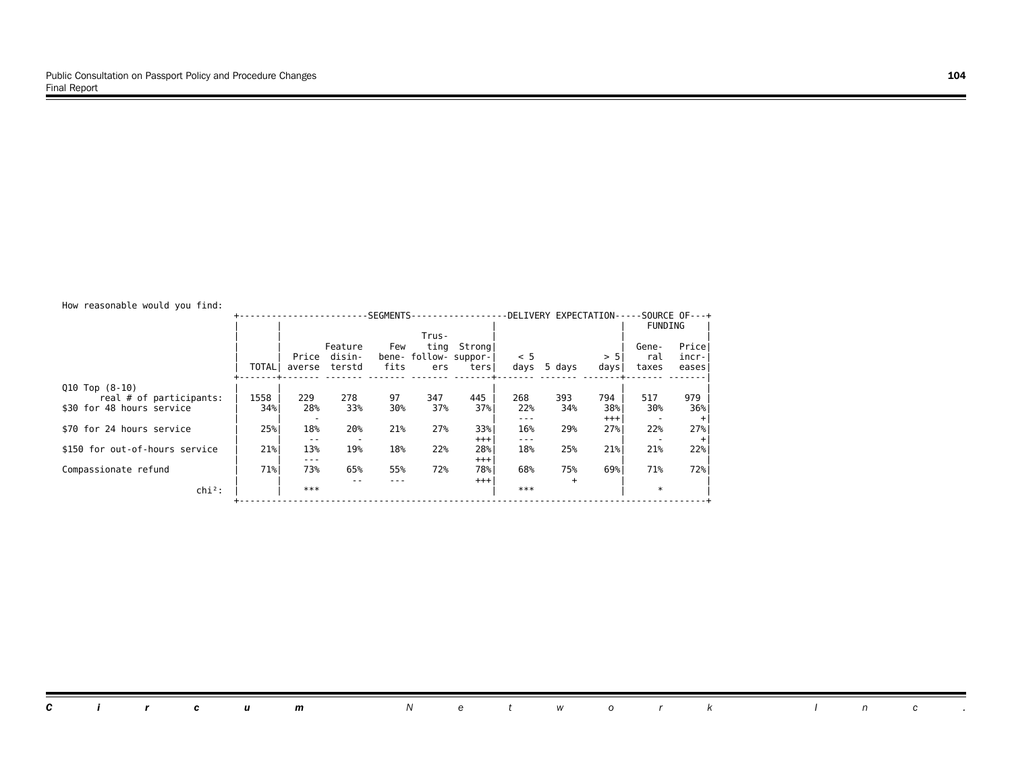|                                |              |         |               | <b>SEGMENTS-</b> |                     |          |         | DELIVERY EXPECTATION- |               |                | SOURCE $0F---$ |
|--------------------------------|--------------|---------|---------------|------------------|---------------------|----------|---------|-----------------------|---------------|----------------|----------------|
|                                |              |         |               |                  |                     |          |         |                       |               | <b>FUNDING</b> |                |
|                                |              |         |               |                  | Trus-               |          |         |                       |               |                |                |
|                                |              |         | Feature       | Few              | ting                | Strong   |         |                       |               | Gene-          | Pri ce         |
|                                |              | Pri ce  | di si n-      |                  | bene-follow-suppor- |          | < 5     |                       | > 5           | ral            | incr-          |
|                                | <b>TOTAL</b> |         | averse terstd | fits             | ers                 | ters     | days    | 5 days                | $_{\rm days}$ | taxes          | eases          |
| $Q10$ Top $(8-10)$             |              |         |               |                  |                     |          |         |                       |               |                |                |
| real # of participants:        | 1558         | 229     | 278           | 97               | 347                 | 445      | 268     | 393                   | 794           | 517            | 979            |
| \$30 for 48 hours service      | 34%          | 28%     | 33%           | 30%              | 37%                 | 37%      | 22%     | 34%                   | 38%           | 30%            | 36%            |
|                                |              |         |               |                  |                     |          | $- - -$ |                       | $^{+++}$      |                |                |
| \$70 for 24 hours service      | 25%          | 18%     | 20%           | 21%              | 27%                 | 33%      | 16%     | 29%                   | 27%           | 22%            | 27%            |
|                                |              | $ -$    |               |                  |                     | $^{+++}$ | $- - -$ |                       |               |                |                |
| \$150 for out-of-hours service | 21%          | 13%     | 19%           | 18%              | 22%                 | 28%      | 18%     | 25%                   | 21%           | 21%            | 22%            |
|                                |              | $- - -$ |               |                  |                     | $^{+++}$ |         |                       |               |                |                |
| Compassionate refund           | 71%          | 73%     | 65%           | 55%              | 72%                 | 78%      | 68%     | 75%                   | 69%           | 71%            | 72%            |
|                                |              |         |               |                  |                     | $^{+++}$ |         | $\ddot{}$             |               |                |                |
| $chi^2$ :                      |              | ***     |               |                  |                     |          | $***$   |                       |               | $*$            |                |
|                                |              |         |               |                  |                     |          |         |                       |               |                |                |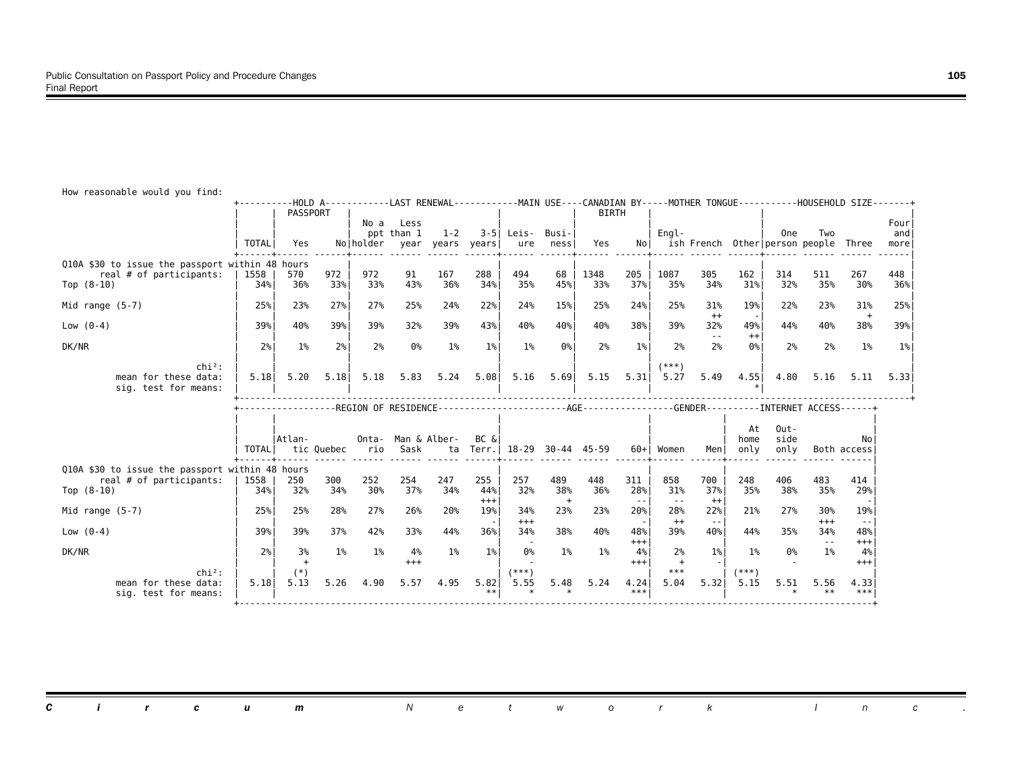|                                                 |              |                 |            |              |                    |                  |                 |                              |               | --HOLD A-----------LAST RENEWAL------------MAIN USE----CANADIAN BY-----MOTHER TONGUE-----------HOUSEHOLD SIZE-------+ |             |                   |                                |                |         |                 |              |             |
|-------------------------------------------------|--------------|-----------------|------------|--------------|--------------------|------------------|-----------------|------------------------------|---------------|-----------------------------------------------------------------------------------------------------------------------|-------------|-------------------|--------------------------------|----------------|---------|-----------------|--------------|-------------|
|                                                 |              | <b>PASSPORT</b> |            |              |                    |                  |                 |                              |               | <b>BIRTH</b>                                                                                                          |             |                   |                                |                |         |                 |              |             |
|                                                 |              |                 |            | No a         | Less               |                  |                 |                              |               |                                                                                                                       |             |                   |                                |                |         |                 |              | Four        |
|                                                 | <b>TOTAL</b> | Yes             |            | No   hol der | ppt than 1<br>year | $1 - 2$<br>vears | years           | $3-5$ Leis-<br>ure           | Busi-<br>ness | Yes                                                                                                                   | No l        | $Engl -$          | ish French Other person people |                | 0ne     | Two             | Three        | and<br>more |
| Q10A \$30 to issue the passport within 48 hours |              |                 |            |              |                    |                  |                 |                              |               |                                                                                                                       |             |                   |                                |                |         |                 |              |             |
| real # of participants:                         | 1558         | 570             | 972        | 972          | 91                 | 167              | 288             | 494                          | 68            | 1348                                                                                                                  | 205         | 1087              | 305                            | 162            | 314     | 511             | 267          | 448         |
| Top $(8-10)$                                    | 34%          | 36%             | 33%        | 33%          | 43%                | 36%              | 34%             | 35%                          | 45%           | 33%                                                                                                                   | 37%         | 35%               | 34%                            | 31%            | 32%     | 35%             | 30%          | 36%         |
| Mid range $(5-7)$                               | 25%          | 23%             | 27%        | 27%          | 25%                | 24%              | 22%             | 24%                          | 15%           | 25%                                                                                                                   | 24%         | 25%               | 31%<br>$^{++}$                 | 19%            | 22%     | 23%             | 31%          | 25%         |
| Low $(0-4)$                                     | 39%          | 40%             | 39%        | 39%          | 32%                | 39%              | 43%             | 40%                          | 40%           | 40%                                                                                                                   | 38%         | 39%               | 32%                            | 49%<br>$^{++}$ | 44%     | 40%             | 38%          | 39%         |
| DK/NR                                           | 2%           | 1%              | 2%         | 2%           | 0%                 | 1%               | 1%              | 1%                           | 0%            | $2\%$                                                                                                                 | $1\%$       | $2\%$             | 2%                             | 0%             | $2\%$   | 2%              | 1%           | 1%          |
| $chi^2$ :                                       |              |                 |            |              |                    |                  |                 |                              |               |                                                                                                                       |             | $(***)$           |                                |                |         |                 |              |             |
| mean for these data:<br>sig. test for means:    | 5.18         | 5.20            | 5.18       | 5.18         | 5.83               | 5.24             | 5.08            | 5.16                         | 5.69          | 5.15                                                                                                                  | 5.31        | 5.27              | 5.49                           | 4.55           | 4.80    | 5.16            | 5.11         | 5.33        |
|                                                 |              |                 |            |              |                    |                  |                 |                              |               |                                                                                                                       |             |                   |                                |                |         |                 |              |             |
|                                                 |              |                 |            |              |                    |                  |                 |                              |               |                                                                                                                       |             |                   |                                | At             | $0$ ut- |                 |              |             |
|                                                 |              | Atl an-         |            | Onta-        | Man & Alber-       |                  | BC &            |                              |               |                                                                                                                       |             |                   |                                | home           | side    |                 | No           |             |
|                                                 | <b>TOTAL</b> |                 | tic Quebec | ri o         | Sask               |                  |                 | ta Terr.   18-29 30-44 45-59 |               |                                                                                                                       |             | $60+1$ Women      | Menl                           | onl y          | onl y   |                 | Both access  |             |
| Q10A \$30 to issue the passport within 48 hours |              |                 |            |              |                    |                  |                 |                              |               |                                                                                                                       |             |                   |                                |                |         |                 |              |             |
| real # of participants:                         | 1558         | 250             | 300        | 252          | 254                | 247              | 255             | 257                          | 489           | 448                                                                                                                   | 311         | 858               | 700                            | 248            | 406     | 483             | 414          |             |
| Top $(8-10)$                                    | 34%          | 32%             | 34%        | 30%          | 37%                | 34%              | 44%<br>$^{+++}$ | 32%                          | 38%<br>$+$    | 36%                                                                                                                   | 28%         | 31%<br>$\sim$ $-$ | 37%<br>$^{++}$                 | 35%            | 38%     | 35%             | 29%          |             |
| Mid range $(5-7)$                               | 25%          | 25%             | 28%        | 27%          | 26%                | 20%              | 19%             | 34%                          | 23%           | 23%                                                                                                                   | 20%         | 28%               | 22%                            | 21%            | 27%     | 30%             | 19%          |             |
| Low $(0-4)$                                     | 39%          | 39%             | 37%        | 42%          | 33%                | 44%              | 36%             | $^{++}$<br>34%               | 38%           | 40%                                                                                                                   | 48%         | $^{++}$<br>39%    | $- -$<br>40%                   | 44%            | 35%     | $^{+++}$<br>34% | $- -$<br>48% |             |
|                                                 |              |                 |            |              |                    |                  |                 |                              |               |                                                                                                                       | $^{+++}$    |                   |                                |                |         |                 | $^{+++}$     |             |
| DK/NR                                           | 2%           | 3%              | 1%         | 1%           | 4%                 | 1%               | $1\%$           | 0%                           | 1%            | 1%                                                                                                                    | 4%          | 2%                | 1%                             | 1%             | 0%      | 1%              | 4%           |             |
| $\chi$ chi <sup>2</sup> :                       |              | $(*)$           |            |              | $^{+++}$           |                  |                 | $(***)$                      |               |                                                                                                                       | $^{+++}$    | $+$<br>$***$      |                                | $(***)$        |         |                 | $^{+++}$     |             |
| mean for these data:<br>sig. test for means:    | 5.18         | 5.13            | 5.26       | 4.90         | 5.57               | 4.95             | 5.82            | 5.55                         | 5.48          | 5.24                                                                                                                  | 4.24<br>*** | 5.04              | 5.32                           | 5.15           | 5.51    | 5.56            | 4.33<br>***  |             |

|  |  | <b>Circum</b> Network Inc. |  |  |  |  |  |  |
|--|--|----------------------------|--|--|--|--|--|--|
|  |  |                            |  |  |  |  |  |  |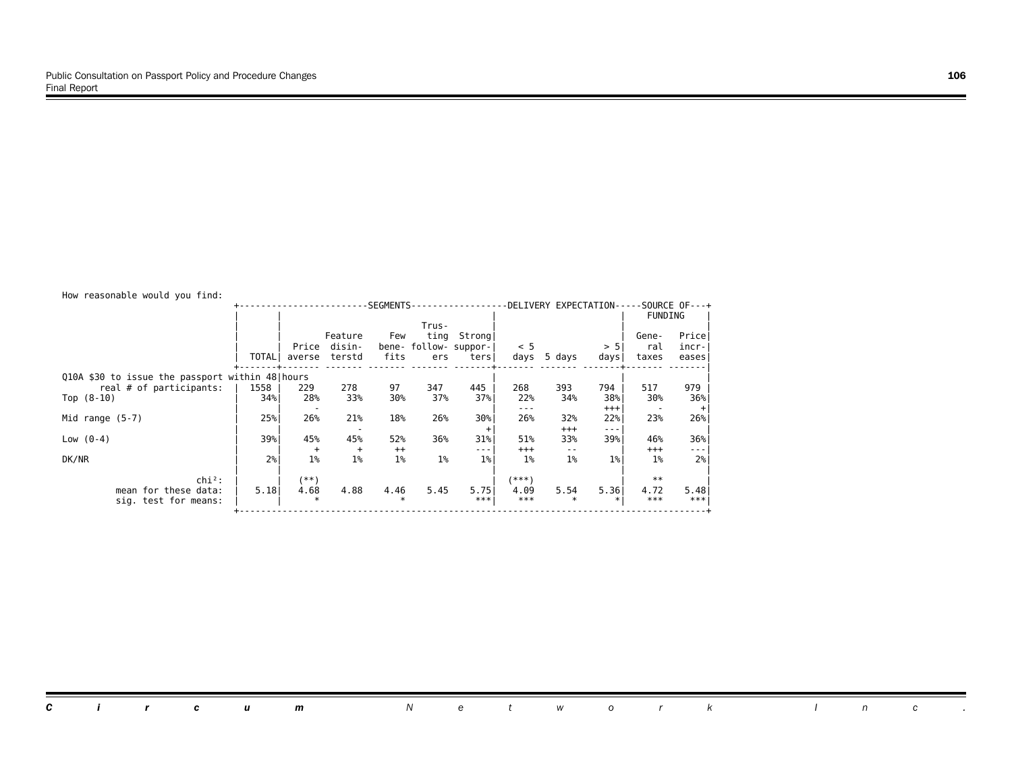| How reasonable would you find:                    |              |        |          | <b>SEGMENTS-</b> |                     |                |          | DELIVERY EXPECTATION |          |                | SOURCE $0F---$ |
|---------------------------------------------------|--------------|--------|----------|------------------|---------------------|----------------|----------|----------------------|----------|----------------|----------------|
|                                                   |              |        |          |                  |                     |                |          |                      |          | <b>FUNDING</b> |                |
|                                                   |              |        |          |                  | Trus-               |                |          |                      |          |                |                |
|                                                   |              |        | Feature  | Few              |                     | ting Strong    |          |                      |          | Gene-          | Pri ce         |
|                                                   |              | Pri ce | di si n- |                  | bene-follow-suppor- |                | < 5      |                      | $> 5$    | ral            | i ncr-         |
|                                                   | <b>TOTAL</b> | averse | terstd   | fits             | ers                 | ters           | days     | 5 days               | days⊥    | taxes          | eases          |
| Q10A \$30 to issue the passport within $48$ hours |              |        |          |                  |                     |                |          |                      |          |                |                |
| real # of participants:                           | 1558         | 229    | 278      | 97               | 347                 | 445            | 268      | 393                  | 794      | 517            | 979            |
| Top $(8-10)$                                      | 34%          | 28%    | 33%      | 30%              | 37%                 | 37%            | 22%      | 34%                  | 38%      | 30%            | 36%            |
|                                                   |              |        |          |                  |                     |                | $- - -$  |                      | $^{+++}$ |                | $^{+}$         |
| Mid range $(5-7)$                                 | 25%          | 26%    | 21%      | 18%              | 26%                 | 30%            | 26%      | 32%                  | 22%      | 23%            | 26%            |
|                                                   |              |        |          |                  |                     | $\overline{+}$ |          | $^{+++}$             | $- - -$  |                |                |
| Low $(0-4)$                                       | 39%          | 45%    | 45%      | 52%              | 36%                 | 31%            | 51%      | 33%                  | 39%      | 46%            | 36%            |
|                                                   |              | $^{+}$ | $^{+}$   | $^{++}$          |                     | $- - -$        | $^{+++}$ | $- -$                |          | $^{+++}$       | $\frac{1}{2}$  |
| DK/NR                                             | 2%           | 1%     | 1%       | 1%               | 1%                  | 1%             | 1%       | 1%                   | 1%       | 1%             | $2\%$          |
| $\chi$ chi $\rm ^{2}$ :                           |              | $(**)$ |          |                  |                     |                | (***)    |                      |          | $***$          |                |
| mean for these data:                              | 5.18         | 4.68   | 4.88     | 4.46             | 5.45                | 5.75           | 4.09     | 5.54                 | 5.36     | 4.72           | 5.48           |
| sig. test for means:                              |              |        |          |                  |                     | ***            | ***      |                      | $\ast$   | ***            | $***$          |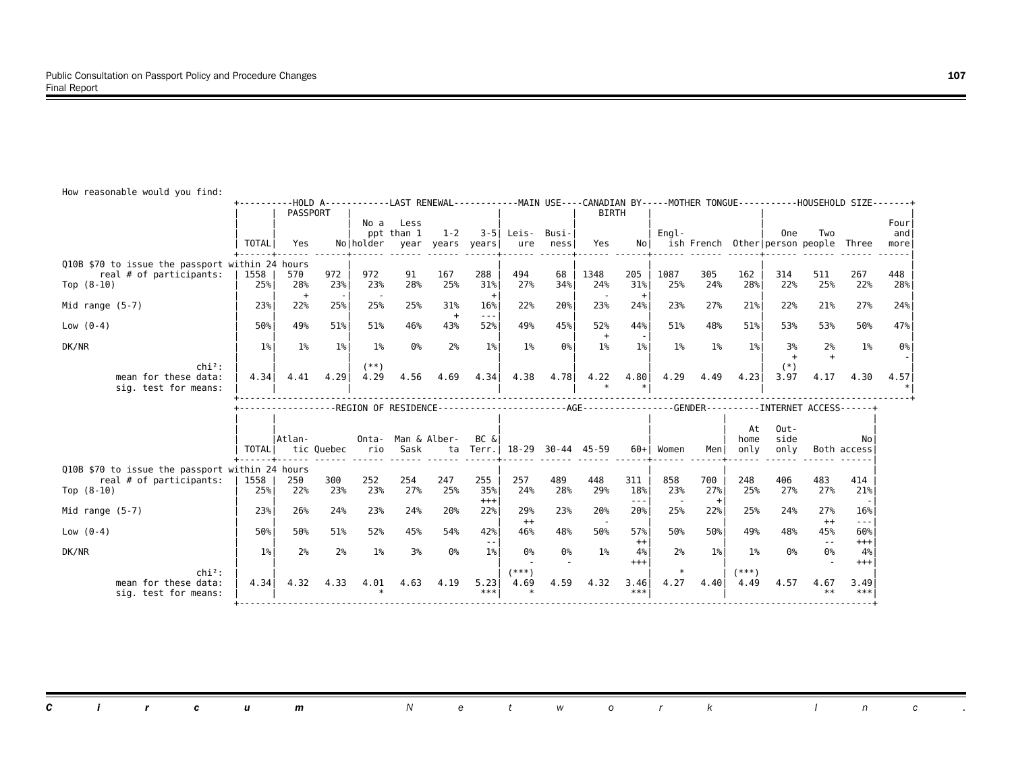|                                                           |              |                 |            |                |                      |                       |                       |                              |               | --HOLD A-----------LAST RENEWAL------------MAIN USE----CANADIAN BY-----MOTHER TONGUE-----------HOUSEHOLD SIZE-------+ |                   |              |                                |                     |                          |                |                                                                                                                                                                                                                                                                                                                                                                                                     |             |
|-----------------------------------------------------------|--------------|-----------------|------------|----------------|----------------------|-----------------------|-----------------------|------------------------------|---------------|-----------------------------------------------------------------------------------------------------------------------|-------------------|--------------|--------------------------------|---------------------|--------------------------|----------------|-----------------------------------------------------------------------------------------------------------------------------------------------------------------------------------------------------------------------------------------------------------------------------------------------------------------------------------------------------------------------------------------------------|-------------|
|                                                           |              | <b>PASSPORT</b> |            | No a           | Less                 |                       |                       |                              |               | <b>BIRTH</b>                                                                                                          |                   |              |                                |                     |                          |                |                                                                                                                                                                                                                                                                                                                                                                                                     | Four        |
|                                                           | <b>TOTAL</b> | Yes             |            | No   hol der   | ppt than 1           | $1 - 2$<br>year years | years                 | $3-5$ Leis-<br>ure           | Busi-<br>ness | Yes                                                                                                                   | No l              | $Engl -$     | ish French Other person people |                     | 0ne                      | Two            | Three                                                                                                                                                                                                                                                                                                                                                                                               | and<br>more |
| Q10B \$70 to issue the passport within 24 hours           |              |                 |            |                |                      |                       |                       |                              |               |                                                                                                                       |                   |              |                                |                     |                          |                |                                                                                                                                                                                                                                                                                                                                                                                                     |             |
| real # of participants:<br>Top $(8-10)$                   | 1558<br>25%  | 570<br>28%      | 972<br>23% | 972<br>23%     | 91<br>28%            | 167<br>25%            | 288<br>31%            | 494<br>27%                   | 68<br>34%     | 1348<br>24%                                                                                                           | 205<br>31%        | 1087<br>25%  | 305<br>24%                     | 162<br>28%          | 314<br>22%               | 511<br>25%     | 267<br>22%                                                                                                                                                                                                                                                                                                                                                                                          | 448<br>28%  |
| Mid range $(5-7)$                                         | 23%          | $+$<br>22%      | 25%        | 25%            | 25%                  | 31%                   | $+$<br>16%<br>$- - -$ | 22%                          | 20%           | 23%                                                                                                                   | $+$<br>24%        | 23%          | 27%                            | 21%                 | 22%                      | 21%            | 27%                                                                                                                                                                                                                                                                                                                                                                                                 | 24%         |
| Low $(0-4)$                                               | 50%          | 49%             | 51%        | 51%            | 46%                  | 43%                   | 52%                   | 49%                          | 45%           | 52%                                                                                                                   | 44%               | 51%          | 48%                            | 51%                 | 53%                      | 53%            | 50%                                                                                                                                                                                                                                                                                                                                                                                                 | 47%         |
| DK/NR                                                     | 1%           | 1%              | 1%         | 1%             | 0%                   | 2%                    | $1\%$                 | 1%                           | 0%            | 1%                                                                                                                    | 1%                | 1%           | 1%                             | 1%                  | 3%                       | 2%             | $1\%$                                                                                                                                                                                                                                                                                                                                                                                               | 0%          |
| $chi^2$ :<br>mean for these data:<br>sig. test for means: | 4.34         | 4.41            | 4.29       | $(**)$<br>4.29 | 4.56                 | 4.69                  | 4.34                  | 4.38                         | 4.78          | 4.22                                                                                                                  | 4.80 <sub>1</sub> | 4.29         | 4.49                           | 4.23                | $(*)$<br>3.97            | 4.17           | 4.30                                                                                                                                                                                                                                                                                                                                                                                                | 4.57        |
|                                                           |              |                 |            |                |                      |                       |                       |                              |               |                                                                                                                       |                   |              |                                |                     |                          |                |                                                                                                                                                                                                                                                                                                                                                                                                     |             |
|                                                           | <b>TOTAL</b> | Atl an-         | tic Quebec | Onta-<br>ri o  | Man & Alber-<br>Sask |                       | BC &                  | ta Terr.   18-29 30-44 45-59 |               |                                                                                                                       |                   | $60+1$ Women | Menl                           | At<br>home<br>onl y | $0$ ut-<br>side<br>onl y |                | No<br>Both access                                                                                                                                                                                                                                                                                                                                                                                   |             |
| Q10B \$70 to issue the passport within 24 hours           |              |                 |            |                |                      |                       |                       |                              |               |                                                                                                                       |                   |              |                                |                     |                          |                |                                                                                                                                                                                                                                                                                                                                                                                                     |             |
| real # of participants:<br>Top $(8-10)$                   | 1558<br>25%  | 250<br>22%      | 300<br>23% | 252<br>23%     | 254<br>27%           | 247<br>25%            | 255<br>35%            | 257<br>24%                   | 489<br>28%    | 448<br>29%                                                                                                            | 311<br>18%        | 858<br>23%   | 700<br>27%                     | 248<br>25%          | 406<br>27%               | 483<br>27%     | 414<br>21%                                                                                                                                                                                                                                                                                                                                                                                          |             |
| Mid range $(5-7)$                                         | 23%          | 26%             | 24%        | 23%            | 24%                  | 20%                   | $^{++}$<br>22%        | 29%<br>$^{++}$               | 23%           | 20%                                                                                                                   | $- - -$<br>20%    | 25%          | $^{+}$<br>22%                  | 25%                 | 24%                      | 27%<br>$^{++}$ | 16%<br>$\frac{1}{2} \frac{1}{2} \frac{1}{2} \frac{1}{2} \frac{1}{2} \frac{1}{2} \frac{1}{2} \frac{1}{2} \frac{1}{2} \frac{1}{2} \frac{1}{2} \frac{1}{2} \frac{1}{2} \frac{1}{2} \frac{1}{2} \frac{1}{2} \frac{1}{2} \frac{1}{2} \frac{1}{2} \frac{1}{2} \frac{1}{2} \frac{1}{2} \frac{1}{2} \frac{1}{2} \frac{1}{2} \frac{1}{2} \frac{1}{2} \frac{1}{2} \frac{1}{2} \frac{1}{2} \frac{1}{2} \frac{$ |             |
| Low $(0-4)$                                               | 50%          | 50%             | 51%        | 52%            | 45%                  | 54%                   | 42%<br>$- -$          | 46%                          | 48%           | 50%                                                                                                                   | 57%<br>$^{++}$    | 50%          | 50%                            | 49%                 | 48%                      | 45%            | 60%<br>$^{+++}$                                                                                                                                                                                                                                                                                                                                                                                     |             |
| DK/NR                                                     | 1%           | 2%              | 2%         | 1%             | 3%                   | 0%                    | $1\%$                 | <b>0%</b>                    | 0%            | 1%                                                                                                                    | 4%                | 2%           | 1%                             | 1%                  | 0%                       | 0%             | 4%                                                                                                                                                                                                                                                                                                                                                                                                  |             |
| $chi^2$ :                                                 |              |                 |            |                |                      |                       |                       | $(***)$                      |               |                                                                                                                       | $^{+++}$          | $\ast$       |                                | $(***)$             |                          |                | $^{+++}$                                                                                                                                                                                                                                                                                                                                                                                            |             |
| mean for these data:<br>sig. test for means:              | 4.34         | 4.32            | 4.33       | 4.01           | 4.63                 | 4.19                  | 5.23<br>***           | 4.69                         | 4.59          | 4.32                                                                                                                  | 3.46<br>***       | 4.27         | 4.40                           | 4.49                | 4.57                     | 4.67           | 3.49<br>***                                                                                                                                                                                                                                                                                                                                                                                         |             |

|  |  | <b>Circum</b> Network Inc. |  |  |  |  |  |  |
|--|--|----------------------------|--|--|--|--|--|--|
|  |  |                            |  |  |  |  |  |  |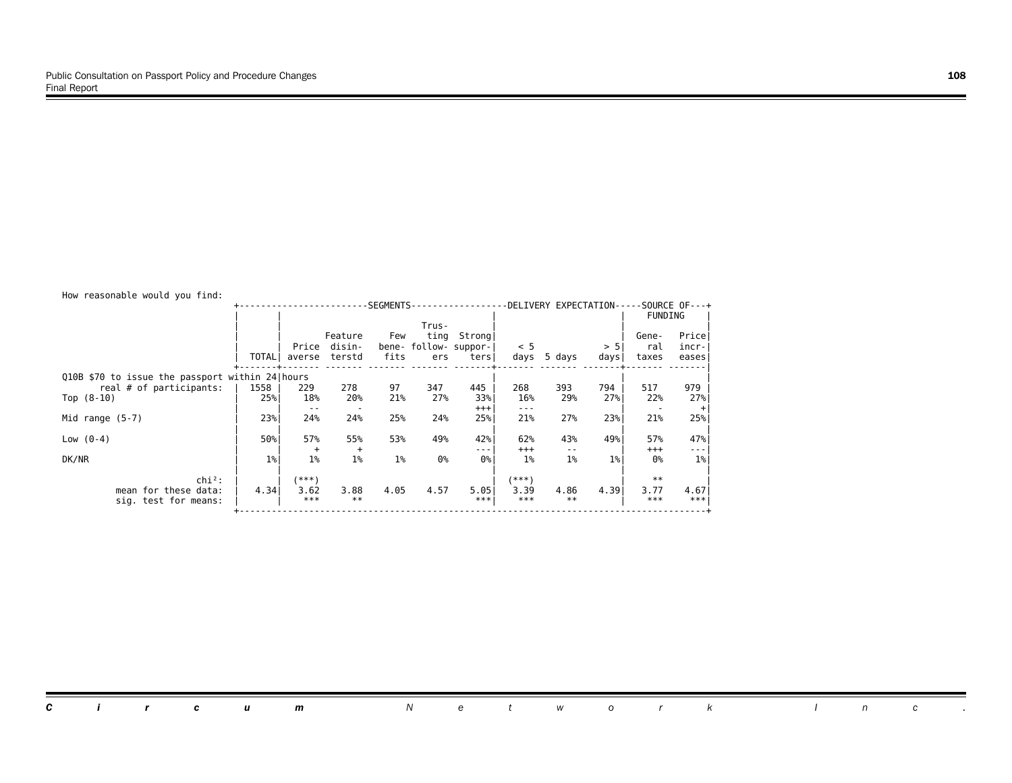| How reasonable would you find:                    |              |         |          | <b>SEGMENTS-</b> |                     |             |          | DELIVERY EXPECTATION |       |                | SOURCE $0F---$ |
|---------------------------------------------------|--------------|---------|----------|------------------|---------------------|-------------|----------|----------------------|-------|----------------|----------------|
|                                                   |              |         |          |                  |                     |             |          |                      |       | <b>FUNDING</b> |                |
|                                                   |              |         |          |                  | Trus-               |             |          |                      |       |                |                |
|                                                   |              |         | Feature  | Few              |                     | ting Strong |          |                      |       | Gene-          | Pri ce         |
|                                                   |              | Pri ce  | di si n- |                  | bene-follow-suppor- |             | < 5      |                      | $> 5$ | ral            | i ncr-         |
|                                                   | <b>TOTAL</b> | averse  | terstd   | fits             | ers                 | ters        | days     | 5 days               | days⊥ | taxes          | eases          |
| Q10B \$70 to issue the passport within $24$ hours |              |         |          |                  |                     |             |          |                      |       |                |                |
| real # of participants:                           | 1558         | 229     | 278      | 97               | 347                 | 445         | 268      | 393                  | 794   | 517            | 979            |
| Top $(8-10)$                                      | 25%          | 18%     | 20%      | 21%              | 27%                 | 33%         | 16%      | 29%                  | 27%   | 22%            | 27%            |
|                                                   |              |         |          |                  |                     | $^{+++}$    | - - -    |                      |       |                |                |
| Mid range $(5-7)$                                 | 23%          | 24%     | 24%      | 25%              | 24%                 | 25%         | 21%      | 27%                  | 23%   | 21%            | 25%            |
| Low $(0-4)$                                       | 50%          | 57%     | 55%      | 53%              | 49%                 | 42%         | 62%      | 43%                  | 49%   | 57%            | 47%            |
|                                                   |              | $^{+}$  | $+$      |                  |                     | $- - -$     | $^{+++}$ | $- -$                |       | $^{+++}$       | $- - - -$      |
| DK/NR                                             | 1%           | 1%      | 1%       | 1%               | 0%                  | 0%          | 1%       | 1%                   | 1%    | 0%             | 1%             |
| $\chi$ chi $\rm ^{2}$ :                           |              | $(***)$ |          |                  |                     |             | (***)    |                      |       | $***$          |                |
| mean for these data:                              | 4.34         | 3.62    | 3.88     | 4.05             | 4.57                | 5.05        | 3.39     | 4.86                 | 4.39  | 3.77           | 4.67           |
| sig. test for means:                              |              | ***     | $***$    |                  |                     | ***         | ***      | $**$                 |       | ***            | $***$          |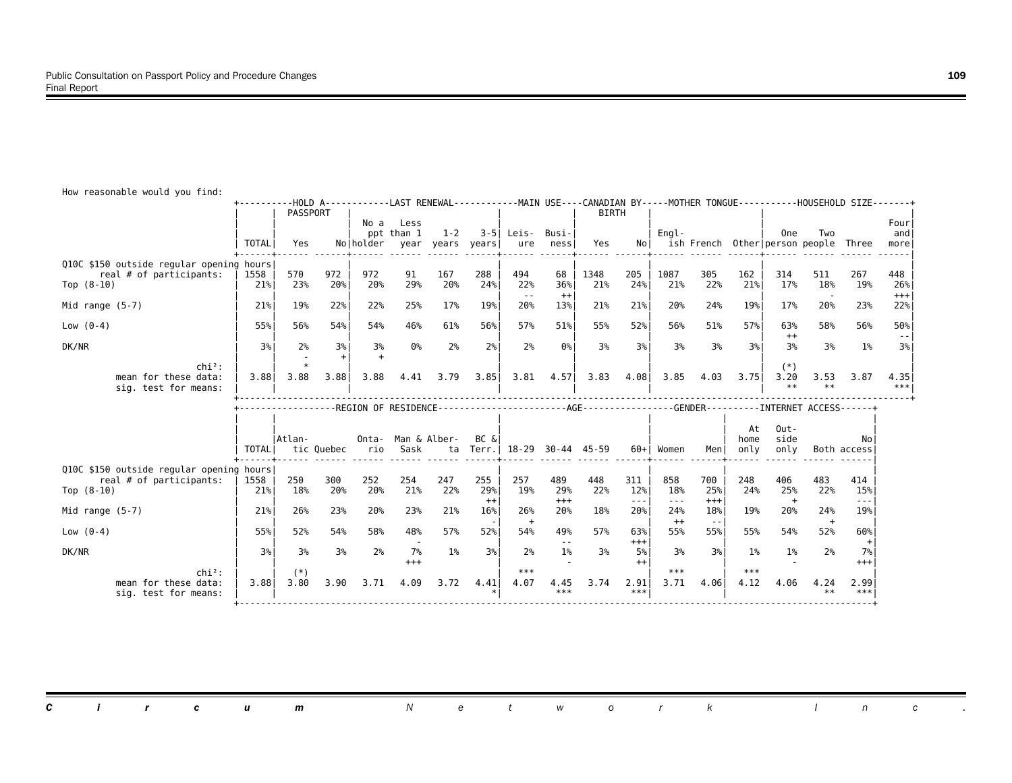|                                                                                     |               |                        |            |                                            |                            |                  |                  |                    |                       | -HOLD A-----------LAST RENEWAL------------MAIN USE----CANADIAN BY-----MOTHER TONGUE-----------HOUSEHOLD SIZE-------+ |                 |                                                                                                                                                                                                                                                                                                                                                                                                                |                                |                     |                          |            |                                                                                                                                                                                                                                                                                                                                                                                                     |                        |
|-------------------------------------------------------------------------------------|---------------|------------------------|------------|--------------------------------------------|----------------------------|------------------|------------------|--------------------|-----------------------|----------------------------------------------------------------------------------------------------------------------|-----------------|----------------------------------------------------------------------------------------------------------------------------------------------------------------------------------------------------------------------------------------------------------------------------------------------------------------------------------------------------------------------------------------------------------------|--------------------------------|---------------------|--------------------------|------------|-----------------------------------------------------------------------------------------------------------------------------------------------------------------------------------------------------------------------------------------------------------------------------------------------------------------------------------------------------------------------------------------------------|------------------------|
|                                                                                     | <b>TOTAL</b>  | <b>PASSPORT</b><br>Yes |            | No a<br>No   hol der                       | Less<br>ppt than 1<br>year | $1 - 2$<br>years | years            | $3-5$ Leis-<br>ure | Busi-<br>ness         | <b>BIRTH</b><br>Yes                                                                                                  | No l            | $Engl -$                                                                                                                                                                                                                                                                                                                                                                                                       | ish French 0ther person people |                     | 0ne                      | Two        | Three                                                                                                                                                                                                                                                                                                                                                                                               | Four<br>and<br>more    |
| Q10C \$150 outside regular opening<br>real # of participants:                       | hours<br>1558 | 570                    | 972        | 972                                        | 91                         | 167              | 288              | 494                | 68                    | 1348                                                                                                                 | 205             | 1087                                                                                                                                                                                                                                                                                                                                                                                                           | 305                            | 162                 | 314                      | 511        | 267                                                                                                                                                                                                                                                                                                                                                                                                 | 448                    |
| Top $(8-10)$<br>Mid range $(5-7)$                                                   | 21%<br>21%    | 23%<br>19%             | 20%<br>22% | 20%<br>22%                                 | 29%<br>25%                 | 20%<br>17%       | 24%<br>19%       | 22%<br>20%         | 36%<br>$^{++}$<br>13% | 21%<br>21%                                                                                                           | 24%<br>21%      | 21%<br>20%                                                                                                                                                                                                                                                                                                                                                                                                     | 22%<br>24%                     | 21%<br>19%          | 17%<br>17%               | 18%<br>20% | 19%<br>23%                                                                                                                                                                                                                                                                                                                                                                                          | 26%<br>$^{+++}$<br>22% |
| Low $(0-4)$                                                                         | 55%           | 56%                    | 54%        | 54%                                        | 46%                        | 61%              | 56%              | 57%                | 51%                   | 55%                                                                                                                  | 52%             | 56%                                                                                                                                                                                                                                                                                                                                                                                                            | 51%                            | 57%                 | 63%<br>$^{++}$           | 58%        | 56%                                                                                                                                                                                                                                                                                                                                                                                                 | 50%                    |
| DK/NR<br>$chi^2$ :                                                                  | 3%            | 2%                     | 3%<br>$+$  | 3%                                         | 0%                         | 2%               | $2\%$            | 2%                 | 0%                    | 3%                                                                                                                   | 3%              | 3%                                                                                                                                                                                                                                                                                                                                                                                                             | 3%                             | 3%                  | 3%<br>$(*)$              | 3%         | 1%                                                                                                                                                                                                                                                                                                                                                                                                  | 3%                     |
| mean for these data:<br>sig. test for means:                                        | 3.88          | 3.88                   | 3.88       | 3.88                                       | 4.41                       | 3.79             | 3.85             | 3.81               | 4.57                  | 3.83                                                                                                                 | 4.08            | 3.85                                                                                                                                                                                                                                                                                                                                                                                                           | 4.03                           | 3.75                | 3.20                     | 3.53       | 3.87                                                                                                                                                                                                                                                                                                                                                                                                | 4.35                   |
|                                                                                     |               |                        |            | - REGION OF RESIDENCE--------------------- |                            |                  |                  |                    |                       | - AGE---------------- GENDER--------- INTERNET ACCESS------+                                                         |                 |                                                                                                                                                                                                                                                                                                                                                                                                                |                                |                     |                          |            |                                                                                                                                                                                                                                                                                                                                                                                                     |                        |
|                                                                                     | <b>TOTAL</b>  | Atlan-                 | tic Quebec | Onta-<br>ri o                              | Man & Alber-<br>Sask       |                  | BC &<br>ta Terr. |                    |                       | $18-29$ 30-44 45-59                                                                                                  |                 | $60+1$ Women                                                                                                                                                                                                                                                                                                                                                                                                   | Men                            | At<br>home<br>onl y | $0$ ut-<br>side<br>onl y |            | No<br>Both access                                                                                                                                                                                                                                                                                                                                                                                   |                        |
| Q10C \$150 outside regular opening hours<br>real # of participants:<br>Top $(8-10)$ | 1558<br>21%   | 250<br>18%             | 300<br>20% | 252<br>20%                                 | 254<br>21%                 | 247<br>22%       | 255<br>29%       | 257<br>19%         | 489<br>29%            | 448<br>22%                                                                                                           | 311<br>12%      | 858<br>18%                                                                                                                                                                                                                                                                                                                                                                                                     | 700<br>25%                     | 248<br>24%          | 406<br>25%               | 483<br>22% | 414<br>15%                                                                                                                                                                                                                                                                                                                                                                                          |                        |
| Mid range $(5-7)$                                                                   | 21%           | 26%                    | 23%        | 20%                                        | 23%                        | 21%              | $^{++}$<br>16%   | 26%                | $^{+++}$<br>20%       | 18%                                                                                                                  | $- - -$<br>20%  | $\frac{1}{2} \frac{1}{2} \frac{1}{2} \frac{1}{2} \frac{1}{2} \frac{1}{2} \frac{1}{2} \frac{1}{2} \frac{1}{2} \frac{1}{2} \frac{1}{2} \frac{1}{2} \frac{1}{2} \frac{1}{2} \frac{1}{2} \frac{1}{2} \frac{1}{2} \frac{1}{2} \frac{1}{2} \frac{1}{2} \frac{1}{2} \frac{1}{2} \frac{1}{2} \frac{1}{2} \frac{1}{2} \frac{1}{2} \frac{1}{2} \frac{1}{2} \frac{1}{2} \frac{1}{2} \frac{1}{2} \frac{$<br>24%<br>$^{++}$ | $^{+++}$<br>18%<br>$- -$       | 19%                 | 20%                      | 24%        | $\frac{1}{2} \frac{1}{2} \frac{1}{2} \frac{1}{2} \frac{1}{2} \frac{1}{2} \frac{1}{2} \frac{1}{2} \frac{1}{2} \frac{1}{2} \frac{1}{2} \frac{1}{2} \frac{1}{2} \frac{1}{2} \frac{1}{2} \frac{1}{2} \frac{1}{2} \frac{1}{2} \frac{1}{2} \frac{1}{2} \frac{1}{2} \frac{1}{2} \frac{1}{2} \frac{1}{2} \frac{1}{2} \frac{1}{2} \frac{1}{2} \frac{1}{2} \frac{1}{2} \frac{1}{2} \frac{1}{2} \frac{$<br>19% |                        |
| Low $(0-4)$                                                                         | 55%           | 52%                    | 54%        | 58%                                        | 48%                        | 57%              | 52%              | 54%                | 49%<br>$\frac{1}{2}$  | 57%                                                                                                                  | 63%<br>$^{+++}$ | 55%                                                                                                                                                                                                                                                                                                                                                                                                            | 55%                            | 55%                 | 54%                      | 52%        | 60%                                                                                                                                                                                                                                                                                                                                                                                                 |                        |
| DK/NR<br>$chi^2$ :                                                                  | 3%            | 3%<br>$(*)$            | 3%         | 2%                                         | 7%<br>$^{+++}$             | 1%               | 3%               | 2%<br>$***$        | 1%                    | 3%                                                                                                                   | 5%<br>$^{++}$   | 3%<br>$***$                                                                                                                                                                                                                                                                                                                                                                                                    | 3%                             | 1%<br>***           | 1%                       | 2%         | 7%<br>$^{+++}$                                                                                                                                                                                                                                                                                                                                                                                      |                        |
| mean for these data:<br>sig. test for means:                                        | 3.88          | 3.80                   | 3.90       | 3.71                                       | 4.09                       | 3.72             | 4.41             | 4.07               | 4.45<br>***           | 3.74                                                                                                                 | 2.91<br>***     | 3.71                                                                                                                                                                                                                                                                                                                                                                                                           | 4.06                           | 4.12                | 4.06                     | 4.24       | 2.99<br>***                                                                                                                                                                                                                                                                                                                                                                                         |                        |

|  |  | <b>Circum</b> Network Inc. |  |  |  |  |  |  |
|--|--|----------------------------|--|--|--|--|--|--|
|  |  |                            |  |  |  |  |  |  |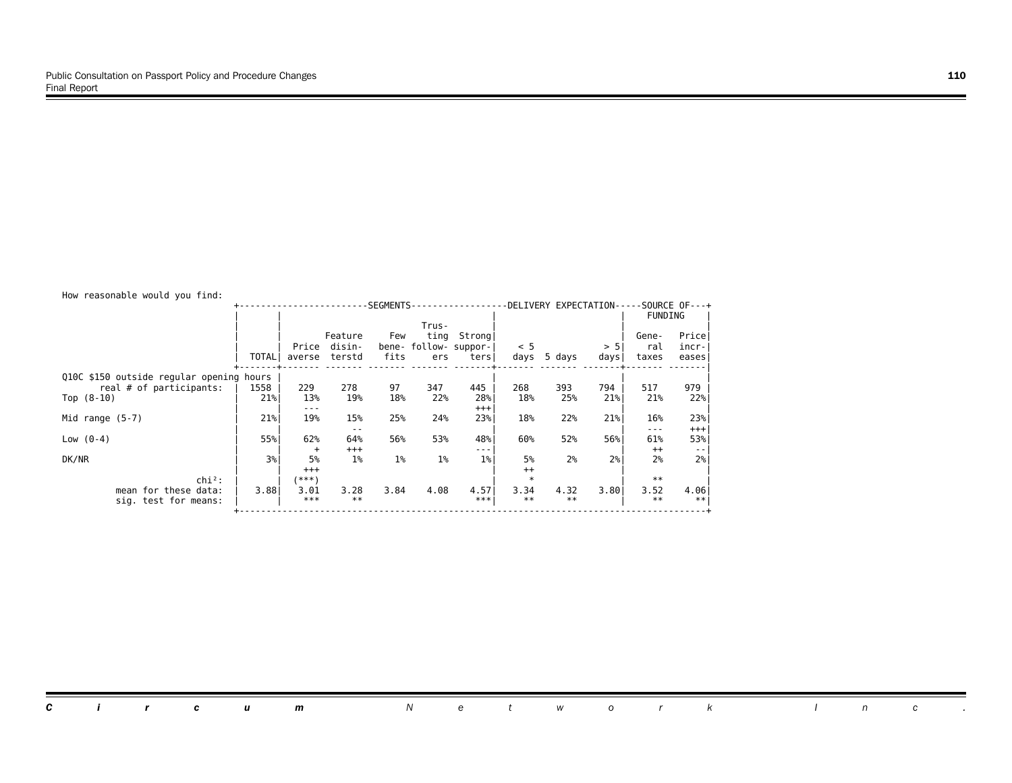|                                          |              |         |          | <b>SEGMENTS-</b> |                     |          |         | DELIVERY EXPECTATION |       |                | SOURCE $0F---$ |
|------------------------------------------|--------------|---------|----------|------------------|---------------------|----------|---------|----------------------|-------|----------------|----------------|
|                                          |              |         |          |                  |                     |          |         |                      |       | <b>FUNDING</b> |                |
|                                          |              |         |          |                  | Trus-               |          |         |                      |       |                |                |
|                                          |              |         | Feature  | Few              | ting                | Strong   |         |                      |       | Gene-          | Pri ce         |
|                                          |              | Pri ce  | di si n- |                  | bene-follow-suppor- |          | < 5     |                      | $> 5$ | ral            | i ncr-         |
|                                          | <b>TOTAL</b> | averse  | terstd   | fits             | ers                 | ters     | days    | 5 days               | days  | taxes          | eases          |
| Q10C \$150 outside regular opening hours |              |         |          |                  |                     |          |         |                      |       |                |                |
| real # of participants:                  | 1558         | 229     | 278      | 97               | 347                 | 445      | 268     | 393                  | 794   | 517            | 979            |
| Top $(8-10)$                             | 21%          | 13%     | 19%      | 18%              | 22%                 | 28%      | 18%     | 25%                  | 21%   | 21%            | 22%            |
|                                          |              | $- - -$ |          |                  |                     | $^{+++}$ |         |                      |       |                |                |
| Mid range $(5-7)$                        | 21%          | 19%     | 15%      | 25%              | 24%                 | 23%      | 18%     | 22%                  | 21%   | 16%            | 23%            |
|                                          |              |         |          |                  |                     |          |         |                      |       | $\frac{1}{2}$  | $^{+++}$       |
| Low $(0-4)$                              | 55%          | 62%     | 64%      | 56%              | 53%                 | 48%      | 60%     | 52%                  | 56%   | 61%            | 53%            |
|                                          |              | $^{+}$  | $^{+++}$ |                  |                     | $- - -$  |         |                      |       | $^{++}$        | $- -$          |
| DK/NR                                    | 3%           | 5%      | 1%       | 1%               | 1%                  | 1%       | 5%      | 2%                   | 2%    | 2%             | 2%             |
|                                          |              | $+++$   |          |                  |                     |          | $^{++}$ |                      |       |                |                |
| $\chi$ chi $\rm ^{2}$ :                  |              | $(***)$ |          |                  |                     |          |         |                      |       | $***$          |                |
| mean for these data:                     | 3.88         | 3.01    | 3.28     | 3.84             | 4.08                | 4.57     | 3.34    | 4.32                 | 3.80  | 3.52           | 4.06           |
| sig. test for means:                     |              | ***     | $***$    |                  |                     | ***      | $***$   | $**$                 |       | $**$           | $***$          |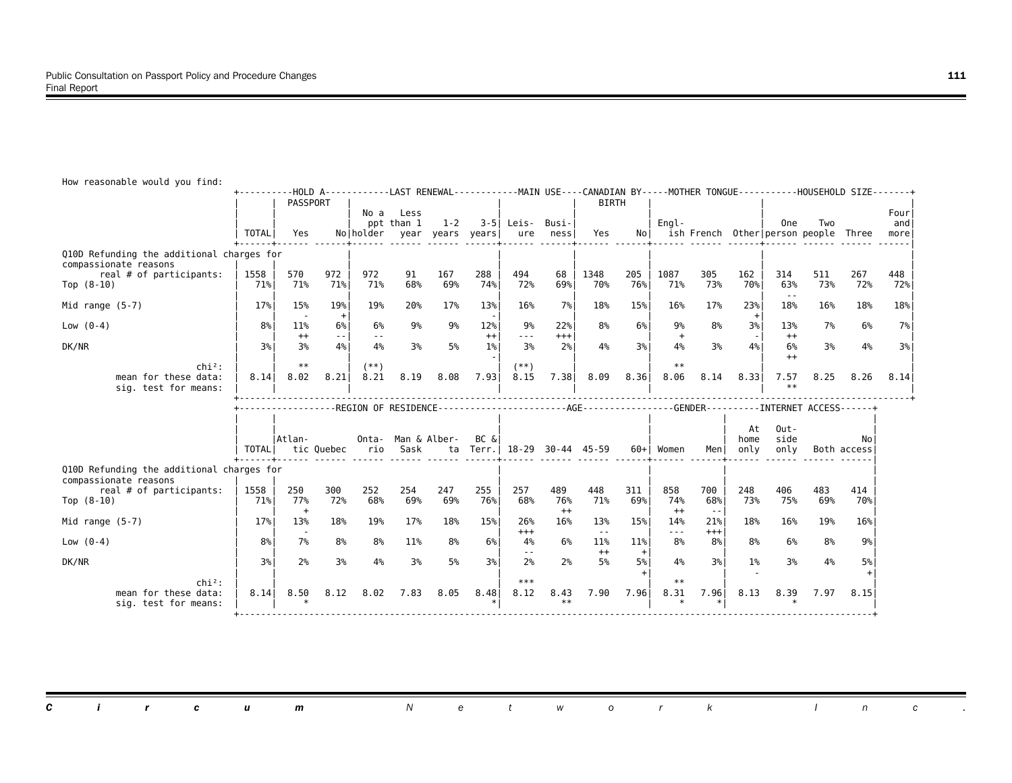|                                                                    |              | <b>PASSPORT</b> |               |                                             |                      |                             |                  |                         |                 | -HOLD A-----------LAST RENEWAL------------MAIN USE----CANADIAN BY-----MOTHER TONGUE-----------HOUSEHOLD SIZE---<br><b>BIRTH</b> |            |                           |                               |                     |                          |                                                |                   |                     |
|--------------------------------------------------------------------|--------------|-----------------|---------------|---------------------------------------------|----------------------|-----------------------------|------------------|-------------------------|-----------------|---------------------------------------------------------------------------------------------------------------------------------|------------|---------------------------|-------------------------------|---------------------|--------------------------|------------------------------------------------|-------------------|---------------------|
|                                                                    | <b>TOTAL</b> | Yes             |               | No a<br>No   hol der                        | Less<br>ppt than 1   | $1 - 2$<br>year years years |                  | $3-5$ Leis-Busi-<br>ure | ness            | Yes                                                                                                                             |            | $Engl -$                  |                               |                     | 0ne                      | Two<br>No ish French Other person people Three |                   | Four<br>and<br>more |
| Q10D Refunding the additional charges for<br>compassionate reasons |              |                 |               |                                             |                      |                             |                  |                         |                 |                                                                                                                                 |            |                           |                               |                     |                          |                                                |                   |                     |
| real # of participants:<br>Top $(8-10)$                            | 1558<br>71%  | 570<br>71%      | 972<br>71%    | 972<br>71%                                  | 91<br>68%            | 167<br>69%                  | 288<br>74%       | 494<br>72%              | 68<br>69%       | 1348<br>70%                                                                                                                     | 205<br>76% | 1087<br>71%               | 305<br>73%                    | 162<br>70%          | 314<br>63%               | 511<br>73%                                     | 267<br>72%        | 448<br>72%          |
| Mid range $(5-7)$                                                  | 17%          | 15%             | 19%<br>$^{+}$ | 19%                                         | 20%                  | 17%                         | 13%              | 16%                     | 7%              | 18%                                                                                                                             | 15%        | 16%                       | 17%                           | 23%<br>$\ddot{}$    | $\sim$ $-$<br>18%        | 16%                                            | 18%               | 18%                 |
| Low $(0-4)$                                                        | 8%           | 11%<br>$^{++}$  | 6%<br>$ -$    | 6%<br>$\sim$ $\sim$                         | 9%                   | 9%                          | 12%<br>$^{++}$   | 9%<br>- - -             | 22%<br>$^{+++}$ | 8%                                                                                                                              | 6%         | 9%<br>$+$                 | 8%                            | 3%                  | 13%<br>$^{++}$           | 7%                                             | 6%                | 7%                  |
| DK/NR                                                              | 3%           | 3%              | 4%            | 4%                                          | 3%                   | 5%                          | $1\%$            | 3%                      | 2%              | 4%                                                                                                                              | 3%         | 4%                        | 3%                            | 4%                  | 6%<br>$++$               | 3%                                             | 4%                | 3%                  |
| $chi^2$ :<br>mean for these data:<br>sig. test for means:          | 8.14         | $***$<br>8.02   | 8.21          | $(**)$<br>8.21                              | 8.19                 | 8.08                        | 7.93             | $(**)$<br>8.15          | 7.38            | 8.09                                                                                                                            | 8.36       | $***$<br>8.06             | 8.14                          | 8.33                | 7.57                     | 8.25                                           | 8.26              | 8.14                |
|                                                                    |              |                 |               | - REGION OF RESIDENCE---------------------- |                      |                             |                  |                         |                 | - AGE---------------- GENDER--------- INTERNET ACCESS------+                                                                    |            |                           |                               |                     |                          |                                                |                   |                     |
|                                                                    | <b>TOTAL</b> | Atl an-         | tic Quebec    | Onta-<br>ri o                               | Man & Alber-<br>Sask |                             | BC &<br>ta Terr. |                         |                 | 18-29 30-44 45-59                                                                                                               |            | $60+1$ Women              | Men                           | At<br>home<br>onl y | $0$ ut-<br>side<br>onl y |                                                | No<br>Both access |                     |
| Q10D Refunding the additional charges for<br>compassionate reasons |              |                 |               |                                             |                      |                             |                  |                         |                 |                                                                                                                                 |            |                           |                               |                     |                          |                                                |                   |                     |
| real # of participants:<br>Top $(8-10)$                            | 1558<br>71%  | 250<br>77%      | 300<br>72%    | 252<br>68%                                  | 254<br>69%           | 247<br>69%                  | 255<br>76%       | 257<br>68%              | 489<br>76%      | 448<br>71%                                                                                                                      | 311<br>69% | 858<br>74%                | 700<br>68%                    | 248<br>73%          | 406<br>75%               | 483<br>69%                                     | 414<br>70%        |                     |
| Mid range $(5-7)$                                                  | 17%          | $+$<br>13%      | 18%           | 19%                                         | 17%                  | 18%                         | 15%              | 26%<br>$^{+++}$         | $^{++}$<br>16%  | 13%<br>$- -$                                                                                                                    | 15%        | $^{++}$<br>14%<br>$- - -$ | $\sim$ $-$<br>21%<br>$^{+++}$ | 18%                 | 16%                      | 19%                                            | 16%               |                     |
| Low $(0-4)$                                                        | 8%           | 7%              | 8%            | 8%                                          | 11%                  | 8%                          | 6%               | 4%<br>$ -$              | 6%              | 11%<br>$^{++}$                                                                                                                  | 11%<br>$+$ | 8%                        | 8%                            | 8%                  | 6%                       | 8%                                             | 9%                |                     |
| DK/NR                                                              | $3\%$        | 2%              | 3%            | 4%                                          | 3%                   | 5%                          | $3\%$            | $2\%$                   | 2%              | 5%                                                                                                                              | 5%         | 4%                        | 3%                            | 1%                  | 3%                       | 4%                                             | 5%                |                     |
| $chi^2$ :<br>mean for these data:<br>sig. test for means:          | 8.14         | 8.50            | 8.12          | 8.02                                        | 7.83                 | 8.05                        | 8.48             | ***<br>8.12             | 8.43<br>$**$    | 7.90                                                                                                                            | 7.96       | $***$<br>8.31             | 7.96                          | 8.13                | 8.39                     | 7.97                                           | 8.15              |                     |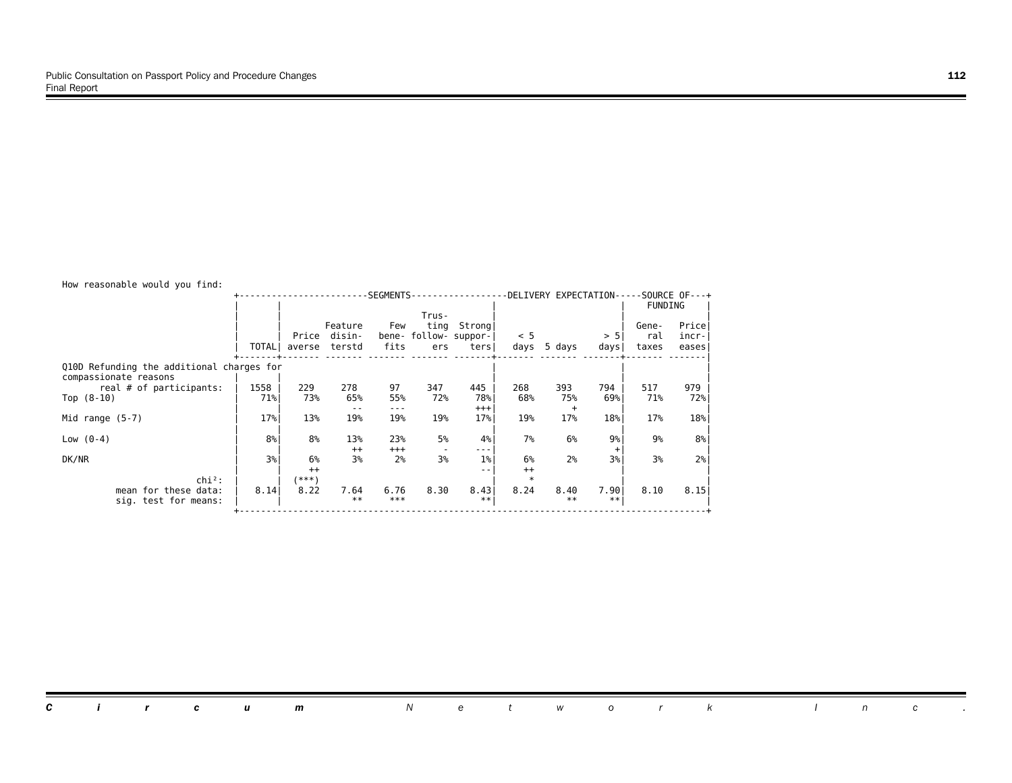|                                           |              |         |          | <b>SEGMENTS-</b> |                     |          |         | DELIVERY EXPECTATION- |       |                 | SOURCE $0F---$ |
|-------------------------------------------|--------------|---------|----------|------------------|---------------------|----------|---------|-----------------------|-------|-----------------|----------------|
|                                           |              |         |          |                  |                     |          |         |                       |       | <b>FUNDI NG</b> |                |
|                                           |              |         |          |                  | Trus-               |          |         |                       |       |                 |                |
|                                           |              |         | Feature  | Few              | ting                | Strong   |         |                       |       | Gene-           | Pri ce         |
|                                           |              | Pri ce  | di si n- |                  | bene-follow-suppor- |          | < 5     |                       | $> 5$ | ral             | incr-          |
|                                           | <b>TOTAL</b> | averse  | terstd   | fits             | ers                 | ters     | days    | 5 days                | days∣ | taxes           | eases          |
| Q10D Refunding the additional charges for |              |         |          |                  |                     |          |         |                       |       |                 |                |
| compassionate reasons                     |              |         |          |                  |                     |          |         |                       |       |                 |                |
| real # of participants:                   | 1558         | 229     | 278      | 97               | 347                 | 445      | 268     | 393                   | 794   | 517             | 979            |
| Top $(8-10)$                              | 71%          | 73%     | 65%      | 55%              | 72%                 | 78%      | 68%     | 75%                   | 69%   | 71%             | 72%            |
|                                           |              |         | $ -$     | $- - -$          |                     | $^{+++}$ |         | $\ddot{}$             |       |                 |                |
| Mid range $(5-7)$                         | 17%          | 13%     | 19%      | 19%              | 19%                 | 17%      | 19%     | 17%                   | 18%   | 17%             | 18%            |
| Low $(0-4)$                               | 8%           | 8%      | 13%      | 23%              | 5%                  | 4%       | 7%      | 6%                    | 9%    | 9%              | 8%             |
|                                           |              |         | $^{++}$  | $+++$            |                     | ---      |         |                       |       |                 |                |
| DK/NR                                     | 3%           | 6%      | 3%       | 2%               | 3%                  | 1%       | 6%      | 2%                    | 3%    | 3%              | $2\%$          |
|                                           |              | $^{++}$ |          |                  |                     | $ -$     | $^{++}$ |                       |       |                 |                |
| $\chi$ chi $\rm ^{2}$ :                   |              | $(***)$ |          |                  |                     |          |         |                       |       |                 |                |
| mean for these data:                      | 8.14         | 8.22    | 7.64     | 6.76             | 8.30                | 8.43     | 8.24    | 8.40                  | 7.90  | 8.10            | 8.15           |
| sig. test for means:                      |              |         | $***$    | $***$            |                     | $***$    |         | $**$                  | $***$ |                 |                |
|                                           |              |         |          |                  |                     |          |         |                       |       |                 |                |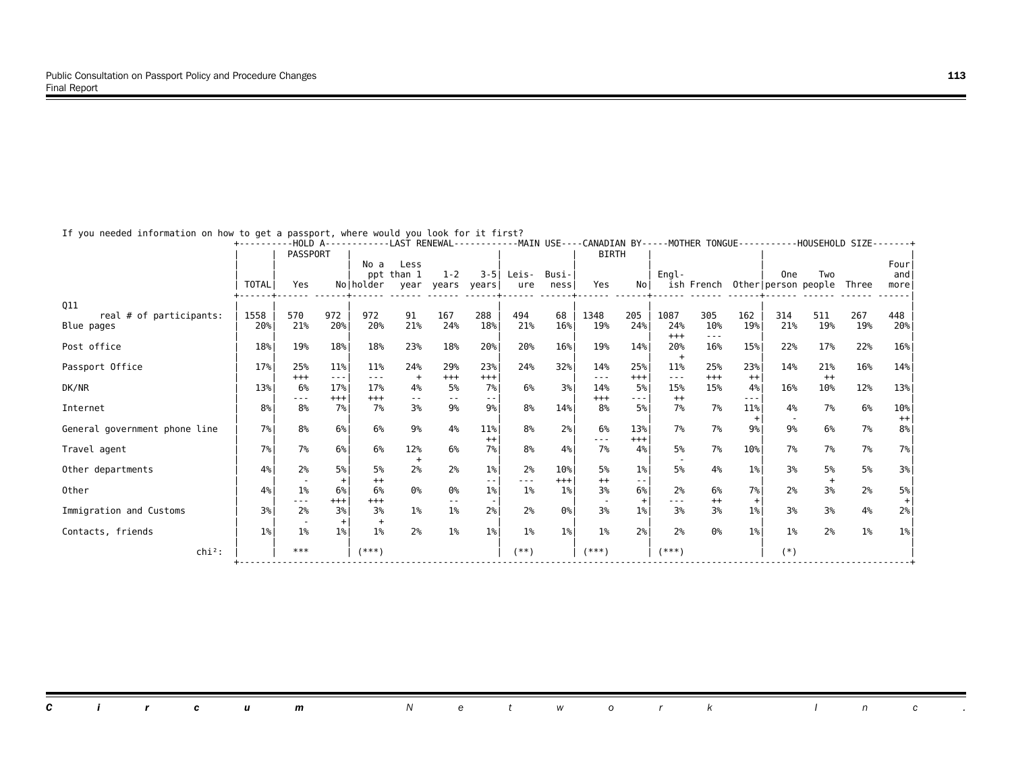| The you needed fin of matron on now to get a passion t, where would you fook for it first. |              | HOLD A-                  |               |                      | LAST RENEWAL-      |            |            |           | - MAIN USE--- | - CANADI AN BY---- |          |               | - MOTHER TONGUE-               |                |            | HOUSEHOLD SIZE- |            |               |
|--------------------------------------------------------------------------------------------|--------------|--------------------------|---------------|----------------------|--------------------|------------|------------|-----------|---------------|--------------------|----------|---------------|--------------------------------|----------------|------------|-----------------|------------|---------------|
|                                                                                            |              | <b>PASSPORT</b>          |               |                      |                    |            |            |           |               | <b>BIRTH</b>       |          |               |                                |                |            |                 |            |               |
|                                                                                            |              |                          |               | No a                 | Less               | $1 - 2$    | $3 - 5$    | Lei s-    | Busi-         |                    |          | $Engl -$      |                                |                | <b>One</b> | Two             |            | Four<br>and   |
|                                                                                            | <b>TOTAL</b> | Yes                      |               | No   hol der         | ppt than 1<br>year | years      | years      | ure       | ness          | Yes                | No       |               | ish French Other person people |                |            |                 | Three      | more          |
|                                                                                            |              |                          |               |                      |                    |            |            |           |               |                    |          |               |                                |                |            |                 |            |               |
| Q11                                                                                        |              | 570                      | 972           | 972                  | 91                 |            |            | 494       |               | 1348               | 205      | 1087          | 305                            |                | 314        |                 |            |               |
| real # of participants:<br>Blue pages                                                      | 1558<br>20%  | 21%                      | 20%           | 20%                  | 21%                | 167<br>24% | 288<br>18% | 21%       | 68<br>16%     | 19%                | 24%      | 24%           | 10%                            | 162<br>19%     | 21%        | 511<br>19%      | 267<br>19% | 448<br>20%    |
|                                                                                            |              |                          |               |                      |                    |            |            |           |               |                    |          | $^{+++}$      | $- - -$                        |                |            |                 |            |               |
| Post office                                                                                | 18%          | 19%                      | 18%           | 18%                  | 23%                | 18%        | 20%        | 20%       | 16%           | 19%                | 14%      | 20%           | 16%                            | 15%            | 22%        | 17%             | 22%        | 16%           |
|                                                                                            | 17%          | 25%                      |               | 11%                  | 24%                | 29%        | 23%        | 24%       |               | 14%                | 25%      | $^{+}$<br>11% | 25%                            |                | 14%        | 21%             | 16%        |               |
| Passport Office                                                                            |              | $^{+++}$                 | $11\%$<br>--- | $- - -$              | $+$                | $^{++}$    | $^{+++}$   |           | 32%           | ---                | $^{+++}$ | $- - -$       | $^{+++}$                       | 23%<br>$^{++}$ |            | $^{++}$         |            | 14%           |
| DK/NR                                                                                      | 13%          | 6%                       | 17%           | 17%                  | 4%                 | 5%         | 7%         | 6%        | 3%            | 14%                | 5%       | 15%           | 15%                            | 4%             | 16%        | 10%             | 12%        | 13%           |
|                                                                                            |              | $- - -$                  | $+++$         | $^{+++}$             |                    |            | $- -$      |           |               | $^{+++}$           | $- - -$  | $^{++}$       |                                | $- - -$        |            |                 |            |               |
| Internet                                                                                   | 8%           | 8%                       | 7%            | 7%                   | 3%                 | 9%         | 9%         | 8%        | 14%           | 8%                 | 5%       | 7%            | 7%                             | 11%            | 4%         | 7%              | 6%         | 10%           |
| General government phone line                                                              | 7%           | 8%                       | $6\%$         | 6%                   | 9%                 | 4%         | 11%        | 8%        | $2\%$         | 6%                 | 13%      | 7%            | 7%                             | $9\%$          | 9%         | 6%              | 7%         | $^{++}$<br>8% |
|                                                                                            |              |                          |               |                      |                    |            | $^{++}$    |           |               | ---                | $^{+++}$ |               |                                |                |            |                 |            |               |
| Travel agent                                                                               | 7%           | 7%                       | 6%            | 6%                   | 12%                | 6%         | 7%         | 8%        | 4%            | 7%                 | 4%       | 5%            | 7%                             | 10%            | 7%         | 7%              | 7%         | 7%            |
| Other departments                                                                          | 4%           | 2%                       | 5%            | 5%                   | $2\%$              | $2\%$      | 1%         | 2%        | 10%           | 5%                 | 1%       | 5%            | 4%                             | $1\%$          | 3%         | 5%              | 5%         | 3%            |
|                                                                                            |              | $\overline{\phantom{a}}$ |               | $^{++}$              |                    |            | $- -$      | $- - -$   | $^{+++}$      | $^{++}$            | $- -$    |               |                                |                |            |                 |            |               |
| <b>Other</b>                                                                               | 4%           | 1%                       | 6%            | 6%                   | 0%                 | 0%         | 1%         | 1%        | 1%            | 3%                 | 6%       | 2%            | 6%                             | 7%             | 2%         | 3%              | 2%         | 5%            |
|                                                                                            |              |                          | $^{+++}$      | $^{+++}$             |                    |            |            |           |               |                    |          | - - -         | $^{++}$                        | $^{+}$         |            |                 |            | $^{+}$        |
| Immigration and Customs                                                                    | 3%           | $2\%$                    | 3%            | 3%<br>$\overline{+}$ | 1%                 | 1%         | $2\%$      | 2%        | 0%            | 3%                 | 1%       | 3%            | 3%                             | $1\%$          | 3%         | 3%              | 4%         | $2\%$         |
| Contacts, friends                                                                          | 1%           | 1%                       | $1\%$         | 1%                   | $2\%$              | 1%         | 1%         | 1%        | $1\%$         | 1%                 | 2%       | 2%            | 0%                             | $1\%$          | 1%         | 2%              | 1%         | 1%            |
|                                                                                            |              | ***                      |               | $(***)$              |                    |            |            |           |               |                    |          |               |                                |                |            |                 |            |               |
| $chi^2$ :                                                                                  |              |                          |               |                      |                    |            |            | $^{(**)}$ |               | $(***)$            |          | $(***)$       |                                |                | $(*)$      |                 |            |               |

If you needed information on how to get a passport, where would you look for it first?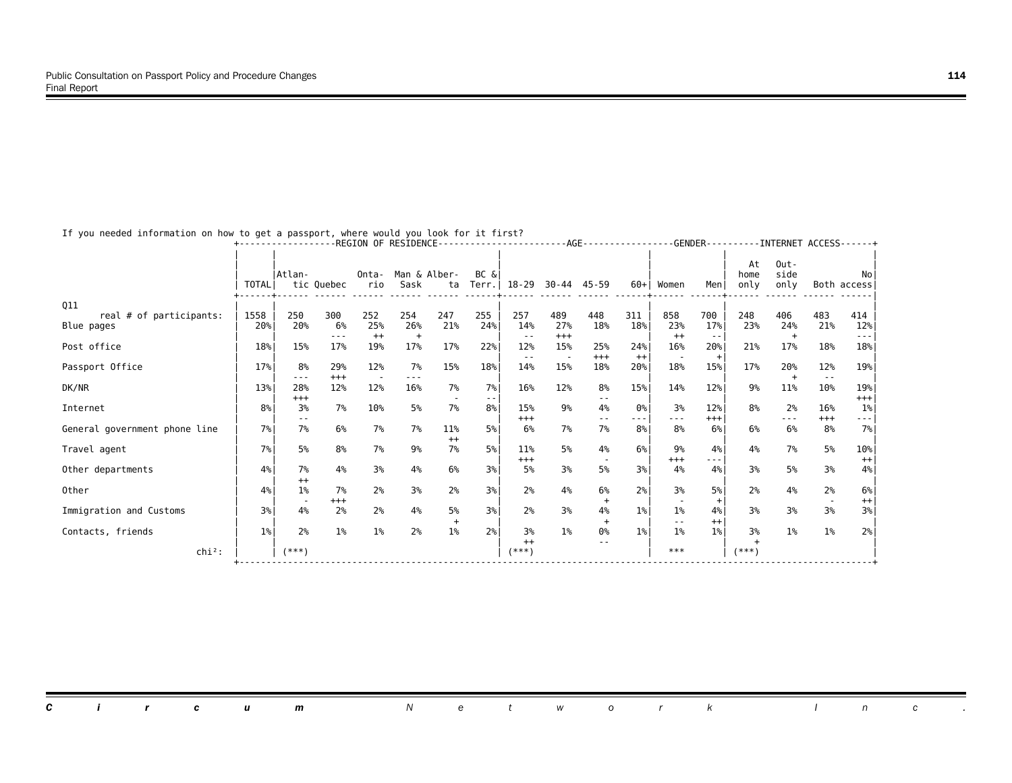|                                       |             |               |                |               | <b>REGION OF RESIDENCE-</b> |                                |               |                     | $AGE-$     |                                |                |                | <b>GENDER-</b> ------- |                     | -INTERNET ACCESS------+   |                |                   |
|---------------------------------------|-------------|---------------|----------------|---------------|-----------------------------|--------------------------------|---------------|---------------------|------------|--------------------------------|----------------|----------------|------------------------|---------------------|---------------------------|----------------|-------------------|
|                                       | TOTAL       | Atl an-       | tic Quebec     | Onta-<br>ri o | Man & Alber-<br>Sask        | ta                             | BC &<br>Terr. | $18 - 29$           | $30 - 44$  | $45 - 59$                      | $60+$          | Women          | Men                    | At<br>home<br>onl y | $0$ ut-<br>si de<br>onl y |                | No<br>Both access |
| <b>Q11</b>                            |             |               |                |               |                             |                                |               |                     |            |                                |                |                |                        |                     |                           |                |                   |
| real # of participants:<br>Blue pages | 1558<br>20% | 250<br>20%    | 300<br>6%      | 252<br>25%    | 254<br>26%                  | 247<br>21%                     | 255<br>24%    | 257<br>14%          | 489<br>27% | 448<br>18%                     | 311<br>18%     | 858<br>23%     | 700<br>17%             | 248<br>23%          | 406<br>24%                | 483<br>21%     | 414<br>12%        |
|                                       |             |               | $- - -$        | $^{++}$       |                             |                                |               | $- -$               | $+++$      |                                |                | $^{++}$        | $- -$                  |                     | $\overline{1}$            |                | $- - -$           |
| Post office                           | 18%         | 15%           | 17%            | 19%           | 17%                         | 17%                            | 22%           | 12%                 | 15%        | 25%                            | 24%            | 16%            | 20%                    | 21%                 | 17%                       | 18%            | 18%               |
| Passport Office                       | 17%         | 8%            | 29%            | 12%           | 7%                          | 15%                            | 18%           | 14%                 | 15%        | $^{+++}$<br>18%                | $^{++}$<br>20% | 18%            | $^{+}$<br>15%          | 17%                 | 20%                       | 12%            | 19%               |
|                                       |             | - - -         | $^{+++}$       |               | $- - -$                     |                                |               |                     |            |                                |                |                |                        |                     |                           | $ -$           |                   |
| DK/NR                                 | 13%         | 28%           | 12%            | 12%           | 16%                         | 7%                             | 7%            | 16%                 | 12%        | 8%                             | 15%            | 14%            | 12%                    | $9\%$               | 11%                       | 10%            | 19%               |
| Internet                              | 8%          | $^{++}$<br>3% | 7%             | 10%           | 5%                          | $\overline{\phantom{a}}$<br>7% | $- -$<br>8%   | 15%                 | 9%         | $- -$<br>4%                    | 0%             | 3%             | 12%                    | 8%                  | 2%                        | 16%            | $^{+++}$<br>1%    |
| General government phone line         | 7%          | 7%            | 6%             | 7%            | 7%                          | 11%                            | 5%            | $^{+++}$<br>6%      | 7%         | - -<br>7%                      | 8%             | - - -<br>8%    | $^{+++}$<br>6%         | 6%                  | - - -<br>6%               | $^{+++}$<br>8% | - - -<br>7%       |
| Travel agent                          | 7%          | 5%            | 8%             | 7%            | 9%                          | $^{++}$<br>7%                  | 5%            | 11%<br>$^{+++}$     | 5%         | 4%<br>$\overline{\phantom{a}}$ | 6%             | 9%<br>$^{+++}$ | 4%<br>$- - -$          | 4%                  | 7%                        | 5%             | 10%<br>$^{++}$    |
| Other departments                     | 4%          | 7%<br>$^{++}$ | 4%             | 3%            | 4%                          | 6%                             | 3%            | 5%                  | 3%         | 5%                             | 3%             | 4%             | 4%                     | 3%                  | 5%                        | 3%             | 4%                |
| 0ther                                 | 4%          | 1%            | 7%<br>$^{+++}$ | 2%            | 3%                          | $2\%$                          | 3%            | 2%                  | 4%         | 6%<br>$^{+}$                   | $2\%$          | 3%             | 5%<br>$+$              | 2%                  | 4%                        | 2%             | 6%<br>$^{++}$     |
| Immigration and Customs               | 3%          | 4%            | 2%             | 2%            | 4%                          | 5%                             | 3%            | 2%                  | 3%         | 4%<br>$\ddot{}$                | 1%             | 1%<br>$ -$     | 4%<br>$^{++}$          | 3%                  | 3%                        | 3%             | 3%                |
| Contacts, friends                     | 1%          | 2%            | 1%             | 1%            | 2%                          | 1%                             | 2%            | 3%                  | 1%         | 0%                             | $1\%$          | 1%             | $1\%$                  | 3%                  | 1%                        | 1%             | $2\%$             |
| chi <sup>2</sup> :                    |             | $(***)$       |                |               |                             |                                |               | $^{++}$<br>$(***")$ |            | $- -$                          |                | ***            |                        | $(***")$            |                           |                |                   |

If you needed information on how to get a passport, where would you look for it first?

|  |  |  | <b>Circum</b> Network |  |  |  |  |  |  |
|--|--|--|-----------------------|--|--|--|--|--|--|
|  |  |  |                       |  |  |  |  |  |  |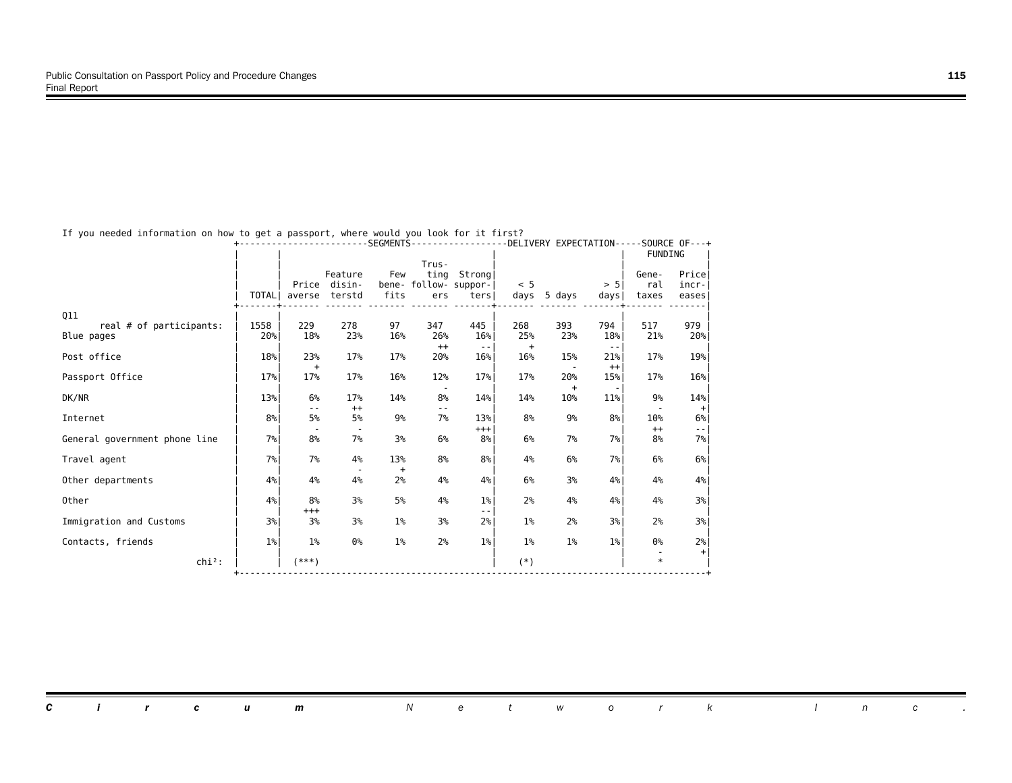| Q11                                   |              |                |          |        | Trus-               |               |           |           |                          | <b>FUNDING</b> |                                  |
|---------------------------------------|--------------|----------------|----------|--------|---------------------|---------------|-----------|-----------|--------------------------|----------------|----------------------------------|
|                                       |              |                |          |        |                     |               |           |           |                          |                |                                  |
|                                       |              |                |          |        |                     |               |           |           |                          |                |                                  |
|                                       |              |                | Feature  | Few    | ting                | Strong        |           |           |                          | Gene-          | Pri ce                           |
|                                       |              | Pri ce         | di si n- |        | bene-follow-suppor- |               | < 5       |           | > 5                      | ral            | i ncr-                           |
|                                       | <b>TOTAL</b> | averse         | terstd   | fits   | ers                 | ters          | days      | 5 days    | $_{\rm days }$           | taxes          | eases                            |
|                                       |              |                |          |        |                     |               |           |           |                          |                |                                  |
|                                       | 1558         | 229            | 278      | 97     | 347                 | 445           | 268       | 393       | 794                      | 517            | 979                              |
| real # of participants:<br>Blue pages | 20%          | 18%            | 23%      | 16%    | 26%                 | 16%           | 25%       | 23%       | 18%                      | 21%            | 20%                              |
|                                       |              |                |          |        | $^{++}$             | $\sim$ $\sim$ | $\ddot{}$ |           | $- -$                    |                |                                  |
| Post office                           | 18%          | 23%            | 17%      | 17%    | 20%                 | 16%           | 16%       | 15%       | 21%                      | 17%            | 19%                              |
|                                       |              | $\ddot{}$      |          |        |                     |               |           |           | $^{++}$                  |                |                                  |
| Passport Office                       | 17%          | 17%            | 17%      | 16%    | 12%                 | 17%           | 17%       | 20%       | 15%                      | 17%            | 16%                              |
|                                       |              |                |          |        |                     |               |           | $\ddot{}$ | $\overline{\phantom{a}}$ |                |                                  |
| DK/NR                                 | 13%          | 6%             | 17%      | 14%    | 8%                  | 14%           | 14%       | 10%       | 11%                      | 9%             | 14%                              |
|                                       |              | $\overline{a}$ | $^{++}$  |        | $- -$               |               |           |           |                          |                |                                  |
| Internet                              | 8%           | 5%             | 5%       | 9%     | 7%                  | 13%           | 8%        | 9%        | $8\%$                    | 10%            | 6%                               |
|                                       |              |                |          |        |                     | $^{+++}$      |           |           |                          | $^{++}$        | $-$                              |
| General government phone line         | 7%           | 8%             | 7%       | 3%     | 6%                  | 8%            | 6%        | 7%        | 7%                       | 8%             | 7%                               |
|                                       |              |                |          |        |                     |               |           |           |                          |                |                                  |
| Travel agent                          | 7%           | 7%             | 4%       | 13%    | 8%                  | 8%            | 4%        | 6%        | 7%                       | 6%             | $6\%$                            |
|                                       |              |                |          | $^{+}$ |                     |               |           |           |                          |                |                                  |
| Other departments                     | 4%           | 4%             | 4%       | 2%     | 4%                  | 4%            | 6%        | 3%        | 4%                       | 4%             | 4%                               |
|                                       |              |                |          |        |                     |               |           |           |                          |                |                                  |
| 0ther                                 | 4%           | 8%             | 3%       | 5%     | 4%                  | 1%            | 2%        | 4%        | $4\%$                    | 4%             | $3\%$                            |
|                                       |              | $^{+++}$       |          |        |                     | $- -$         |           |           |                          |                |                                  |
| Immigration and Customs               | 3%           | 3%             | 3%       | 1%     | 3%                  | 2%            | 1%        | 2%        | 3%                       | 2%             | $3\%$                            |
|                                       | $1\%$        | 1%             | 0%       | 1%     | 2%                  |               | 1%        | 1%        |                          | 0%             |                                  |
| Contacts, friends                     |              |                |          |        |                     | $1\%$         |           |           | $1\%$                    |                | $2\%$                            |
| chi <sup>2</sup> :                    |              | $(***)$        |          |        |                     |               | $(*)$     |           |                          | $\ast$         | $\begin{array}{c} + \end{array}$ |
|                                       |              |                |          |        |                     |               |           |           |                          |                |                                  |

If you needed information on how to get a passport, where would you look for it first?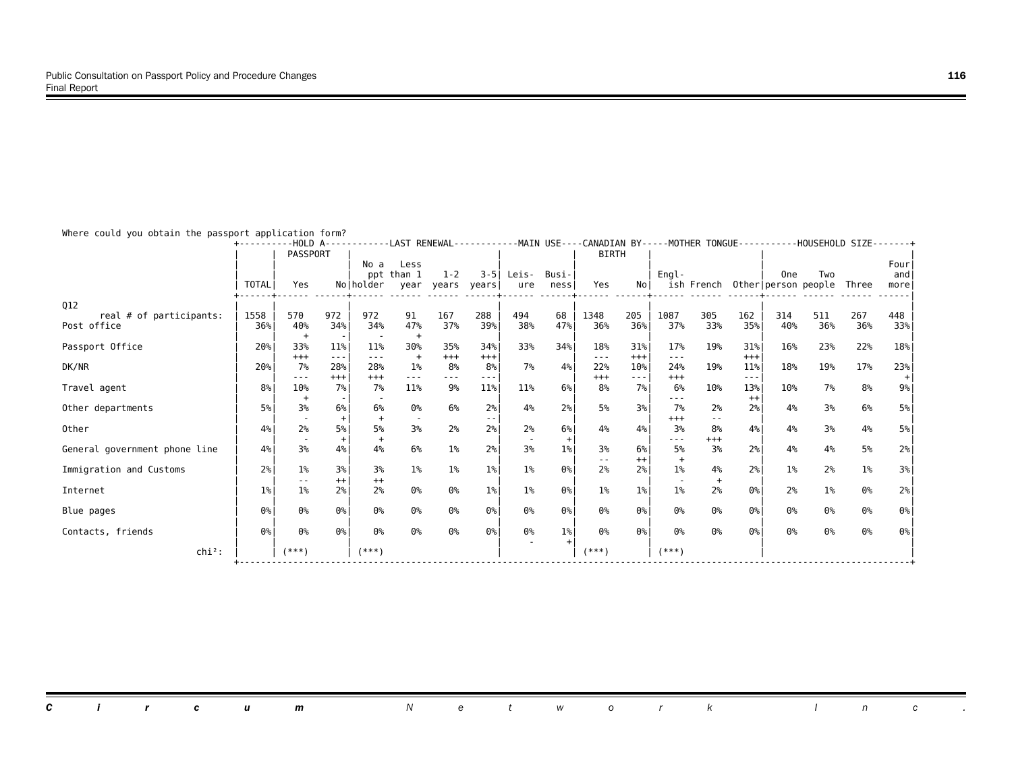|                                              |              | HOLD A-<br><b>PASSPORT</b> |                |                     | LAST RENEWAL-                  |                | .                                                                                                                                                                                                                                                                                                                                                                                                   |            |                 | - MAIN USE---- CANADIAN BY----- MOTHER TONGUE--------<br><b>BIRTH</b> |                 |                                                                                                                                                                                                                                                                                                                                                                                                     |                                |                 |            | <b>HOUSEHOLD SIZE</b> |            |                 |
|----------------------------------------------|--------------|----------------------------|----------------|---------------------|--------------------------------|----------------|-----------------------------------------------------------------------------------------------------------------------------------------------------------------------------------------------------------------------------------------------------------------------------------------------------------------------------------------------------------------------------------------------------|------------|-----------------|-----------------------------------------------------------------------|-----------------|-----------------------------------------------------------------------------------------------------------------------------------------------------------------------------------------------------------------------------------------------------------------------------------------------------------------------------------------------------------------------------------------------------|--------------------------------|-----------------|------------|-----------------------|------------|-----------------|
|                                              |              |                            |                | No a                | <b>Less</b>                    | $1 - 2$        | $3 - 5$                                                                                                                                                                                                                                                                                                                                                                                             | Lei s-     | Busi-           |                                                                       |                 | Engl-                                                                                                                                                                                                                                                                                                                                                                                               |                                |                 | <b>One</b> | Two                   |            | Four<br>and     |
|                                              | <b>TOTAL</b> | Yes                        |                | ppt<br>No   hol der | than 1<br>year                 | years          | years                                                                                                                                                                                                                                                                                                                                                                                               | ure        | ness            | Yes                                                                   | No <sub>1</sub> |                                                                                                                                                                                                                                                                                                                                                                                                     | ish French Other person people |                 |            |                       | Three      | more            |
| Q12                                          |              |                            |                |                     |                                |                |                                                                                                                                                                                                                                                                                                                                                                                                     |            |                 |                                                                       |                 |                                                                                                                                                                                                                                                                                                                                                                                                     |                                |                 |            |                       |            |                 |
| #<br>of participants:<br>real<br>Post office | 1558<br>36%  | 570<br>40%                 | 972<br>34%     | 972<br>34%          | 91<br>47%                      | 167<br>37%     | 288<br>39%                                                                                                                                                                                                                                                                                                                                                                                          | 494<br>38% | 68<br>47%       | 1348<br>36%                                                           | 205<br>36%      | 1087<br>37%                                                                                                                                                                                                                                                                                                                                                                                         | 305<br>33%                     | 162<br>35%      | 314<br>40% | 511<br>36%            | 267<br>36% | 448<br>33%      |
|                                              |              | $+$                        |                | . .                 | $\overline{+}$                 |                |                                                                                                                                                                                                                                                                                                                                                                                                     |            |                 |                                                                       |                 |                                                                                                                                                                                                                                                                                                                                                                                                     |                                |                 |            |                       |            |                 |
| Passport Office                              | 20%          | 33%                        | 11%            | 11%                 | 30%                            | 35%            | 34%                                                                                                                                                                                                                                                                                                                                                                                                 | 33%        | 34%             | 18%                                                                   | 31%             | 17%                                                                                                                                                                                                                                                                                                                                                                                                 | 19%                            | 31%             | 16%        | 23%                   | 22%        | 18%             |
| DK/NR                                        | 20%          | $^{+++}$<br>7%             | $- - -$<br>28% | $- - -$<br>28%      | $\overline{+}$<br>1%           | $^{+++}$<br>8% | $^{+++}$<br>8%                                                                                                                                                                                                                                                                                                                                                                                      | 7%         | 4%              | $\frac{1}{2}$<br>22%                                                  | $^{+++}$<br>10% | $\frac{1}{2} \frac{1}{2} \frac{1}{2} \frac{1}{2} \frac{1}{2} \frac{1}{2} \frac{1}{2} \frac{1}{2} \frac{1}{2} \frac{1}{2} \frac{1}{2} \frac{1}{2} \frac{1}{2} \frac{1}{2} \frac{1}{2} \frac{1}{2} \frac{1}{2} \frac{1}{2} \frac{1}{2} \frac{1}{2} \frac{1}{2} \frac{1}{2} \frac{1}{2} \frac{1}{2} \frac{1}{2} \frac{1}{2} \frac{1}{2} \frac{1}{2} \frac{1}{2} \frac{1}{2} \frac{1}{2} \frac{$<br>24% | 19%                            | $^{+++}$<br>11% | 18%        | 19%                   | 17%        | 23%             |
| Travel agent                                 | 8%           | $- - -$<br>10%             | $^{+++}$<br>7% | $^{+++}$<br>7%      | $- - -$<br>11%                 | $- - -$<br>9%  | $\frac{1}{2} \frac{1}{2} \frac{1}{2} \frac{1}{2} \frac{1}{2} \frac{1}{2} \frac{1}{2} \frac{1}{2} \frac{1}{2} \frac{1}{2} \frac{1}{2} \frac{1}{2} \frac{1}{2} \frac{1}{2} \frac{1}{2} \frac{1}{2} \frac{1}{2} \frac{1}{2} \frac{1}{2} \frac{1}{2} \frac{1}{2} \frac{1}{2} \frac{1}{2} \frac{1}{2} \frac{1}{2} \frac{1}{2} \frac{1}{2} \frac{1}{2} \frac{1}{2} \frac{1}{2} \frac{1}{2} \frac{$<br>11% | 11%        | 6%              | $^{+++}$<br>8%                                                        | $- - -$<br>7%   | $^{+++}$<br>6%                                                                                                                                                                                                                                                                                                                                                                                      | 10%                            | $- - -$<br>13%  | 10%        | 7%                    | 8%         | $\ddot{}$<br>9% |
| Other departments                            | 5%           | 3%                         | 6%             | 6%                  | 0%                             | 6%             | $2\%$                                                                                                                                                                                                                                                                                                                                                                                               | 4%         | 2%              | 5%                                                                    | 3%              | - - -<br>7%                                                                                                                                                                                                                                                                                                                                                                                         | 2%                             | $^{++}$<br>2%   | 4%         | 3%                    | 6%         | 5%              |
| <b>Other</b>                                 | 4%           | 2%                         | $^{+}$<br>5%   | $^{+}$<br>5%        | $\overline{\phantom{a}}$<br>3% | 2%             | $- -$<br>$2\%$                                                                                                                                                                                                                                                                                                                                                                                      | 2%         | 6%              | 4%                                                                    | 4%              | $^{+++}$<br>3%                                                                                                                                                                                                                                                                                                                                                                                      | $ -$<br>8%                     | 4%              | 4%         | 3%                    | 4%         | 5%              |
| General government phone line                | 4%           | 3%                         | 4%             | $^{+}$<br>4%        | 6%                             | 1%             | $2\%$                                                                                                                                                                                                                                                                                                                                                                                               | 3%         | $+$<br>1%       | 3%<br>$- -$                                                           | 6%<br>$^{++}$   | - - -<br>5%                                                                                                                                                                                                                                                                                                                                                                                         | $^{+++}$<br>3%                 | 2%              | 4%         | 4%                    | 5%         | 2%              |
| Immigration and Customs                      | 2%           | 1%<br>$- -$                | 3%<br>$^{++}$  | 3%<br>$^{++}$       | 1%                             | 1%             | $1\%$                                                                                                                                                                                                                                                                                                                                                                                               | 1%         | 0%              | $2\%$                                                                 | 2%              | $\overline{+}$<br>1%                                                                                                                                                                                                                                                                                                                                                                                | 4%<br>$\ddot{}$                | 2%              | 1%         | 2%                    | 1%         | 3%              |
| Internet                                     | 1%           | 1%                         | $2\%$          | $2\%$               | 0%                             | 0%             | 1%                                                                                                                                                                                                                                                                                                                                                                                                  | 1%         | 0%              | 1%                                                                    | $1\%$           | 1%                                                                                                                                                                                                                                                                                                                                                                                                  | $2\%$                          | 0%              | $2\%$      | 1%                    | 0%         | 2%              |
| Blue pages                                   | 0%           | 0%                         | 0%             | 0%                  | 0%                             | 0%             | 0%                                                                                                                                                                                                                                                                                                                                                                                                  | 0%         | 0%              | 0%                                                                    | 0%              | <b>0%</b>                                                                                                                                                                                                                                                                                                                                                                                           | 0%                             | 0%              | 0%         | 0%                    | 0%         | 0%              |
| Contacts, friends                            | 0%           | 0%                         | 0%             | 0%                  | 0%                             | 0%             | 0%                                                                                                                                                                                                                                                                                                                                                                                                  | 0%         | 1%<br>$\ddot{}$ | 0%                                                                    | 0%              | 0%                                                                                                                                                                                                                                                                                                                                                                                                  | 0%                             | 0%              | 0%         | 0%                    | 0%         | 0%              |
| chi $^2$ :                                   |              | $(***)$                    |                | $(***)$             |                                |                |                                                                                                                                                                                                                                                                                                                                                                                                     |            |                 | $***$ )                                                               |                 | $(***)$                                                                                                                                                                                                                                                                                                                                                                                             |                                |                 |            |                       |            |                 |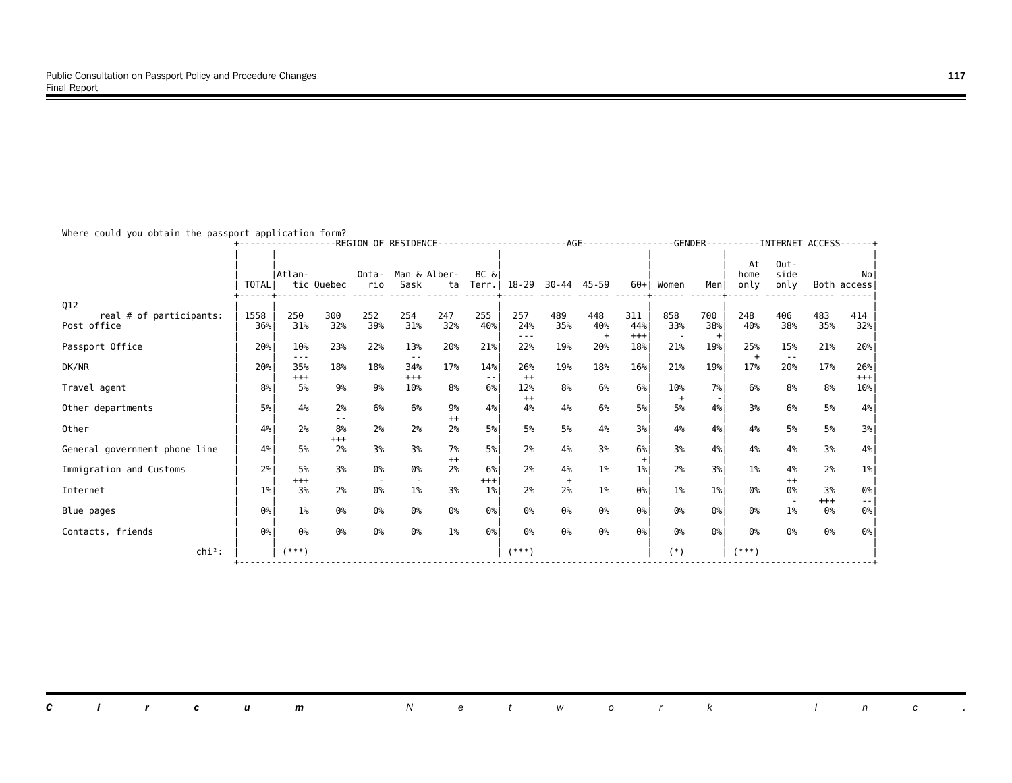| Where could you obtain the passport application form?    |              |                     |                | REGION OF RESIDENCE-- |                    |                     |                   |                       |                      | $AGE-$            | .                        |                      | - GENDER- - -     | $- - - - -$         | - INTERNET ACCESS-             |                |                   |
|----------------------------------------------------------|--------------|---------------------|----------------|-----------------------|--------------------|---------------------|-------------------|-----------------------|----------------------|-------------------|--------------------------|----------------------|-------------------|---------------------|--------------------------------|----------------|-------------------|
|                                                          | <b>TOTAL</b> | Atl an-             | tic Quebec     | Onta-<br>ri o         | Sask               | Man & Alber-<br>ta  | $BC \&$<br>Terr.  | $18 - 29$             |                      | $30 - 44$ 45-59   | $60+$                    | Women                | Men               | At<br>home<br>onl y | $0$ ut-<br>side<br>onl y       |                | No<br>Both access |
| Q12<br>real # of participants:<br>Post office            | 1558<br>36%  | 250<br>31%          | 300<br>32%     | 252<br>39%            | 254<br>31%         | 247<br>32%          | 255<br>40%        | 257<br>24%<br>$- - -$ | 489<br>35%           | 448<br>40%<br>$+$ | 311<br>44%<br>$^{+++}$   | 858<br>33%<br>$\sim$ | 700<br>38%<br>$+$ | 248<br>40%          | 406<br>38%                     | 483<br>35%     | 414<br>32%        |
| Passport Office<br>DK/NR                                 | 20%<br>20%   | 10%<br>- - -<br>35% | 23%<br>18%     | 22%<br>18%            | 13%<br>$ -$<br>34% | 20%<br>17%          | 21%<br>14%        | 22%<br>26%            | 19%<br>19%           | 20%<br>18%        | 18%<br>16%               | 21%<br>21%           | 19%<br>19%        | 25%<br>17%          | 15%<br>$- -$<br>20%            | 21%<br>17%     | 20%<br>26%        |
| Travel agent                                             | 8%           | $^{+++}$<br>5%      | 9%             | 9%                    | $^{+++}$<br>10%    | 8%                  | $- -$<br>$6\%$    | $^{++}$<br>12%        | 8%                   | 6%                | $6\%$                    | 10%                  | 7%                | 6%                  | 8%                             | 8%             | $^{+++}$<br>10%   |
| Other departments                                        | 5%           | 4%                  | $2\%$<br>$- -$ | 6%                    | 6%                 | 9%<br>$^{++}$       | 4%                | $^{++}$<br>4%         | 4%                   | 6%                | $5\%$                    | $\ddot{}$<br>5%      | 4%                | 3%                  | 6%                             | 5%             | 4%                |
| 0ther                                                    | 4%           | 2%                  | 8%<br>$^{+++}$ | 2%                    | 2%                 | $2\%$               | 5%                | 5%                    | 5%                   | 4%                | $3\%$                    | 4%                   | 4%                | 4%                  | 5%                             | 5%             | $3\%$             |
| General government phone line<br>Immigration and Customs | 4%<br>2%     | 5%<br>5%            | $2\%$<br>3%    | 3%<br>0%              | 3%<br>0%           | 7%<br>$^{++}$<br>2% | 5%<br>6%          | 2%<br>2%              | 4%<br>4%             | 3%<br>1%          | 6%<br>$\ddot{}$<br>$1\%$ | 3%<br>2%             | 4%<br>3%          | 4%<br>1%            | 4%<br>4%                       | 3%<br>2%       | 4%<br>1%          |
| Internet                                                 | 1%           | $^{+++}$<br>3%      | $2\%$          | 0%                    | 1%                 | 3%                  | $^{+++}$<br>$1\%$ | 2%                    | $\overline{+}$<br>2% | 1%                | $0\%$                    | 1%                   | $1\%$             | 0%                  | $^{++}$<br>0%                  | 3%             | 0%                |
| Blue pages                                               | 0%           | 1%                  | 0%             | 0%                    | 0%                 | 0%                  | 0%                | 0%                    | 0%                   | 0%                | $0\%$                    | 0%                   | $0\%$             | 0%                  | $\overline{\phantom{a}}$<br>1% | $^{+++}$<br>0% | $- -$<br>$0\%$    |
| Contacts, friends                                        | 0%           | $0\%$               | 0%             | 0%                    | 0%                 | 1%                  | $0\%$             | 0%                    | 0%                   | 0%                | $0\%$                    | 0%                   | $0\%$             | 0%                  | 0%                             | 0%             | $0\%$             |
| $chi^2$ :                                                |              | $(***)$             |                |                       |                    |                     |                   | $(***)$               |                      |                   |                          | $(*)$                |                   | $(***)$             |                                |                |                   |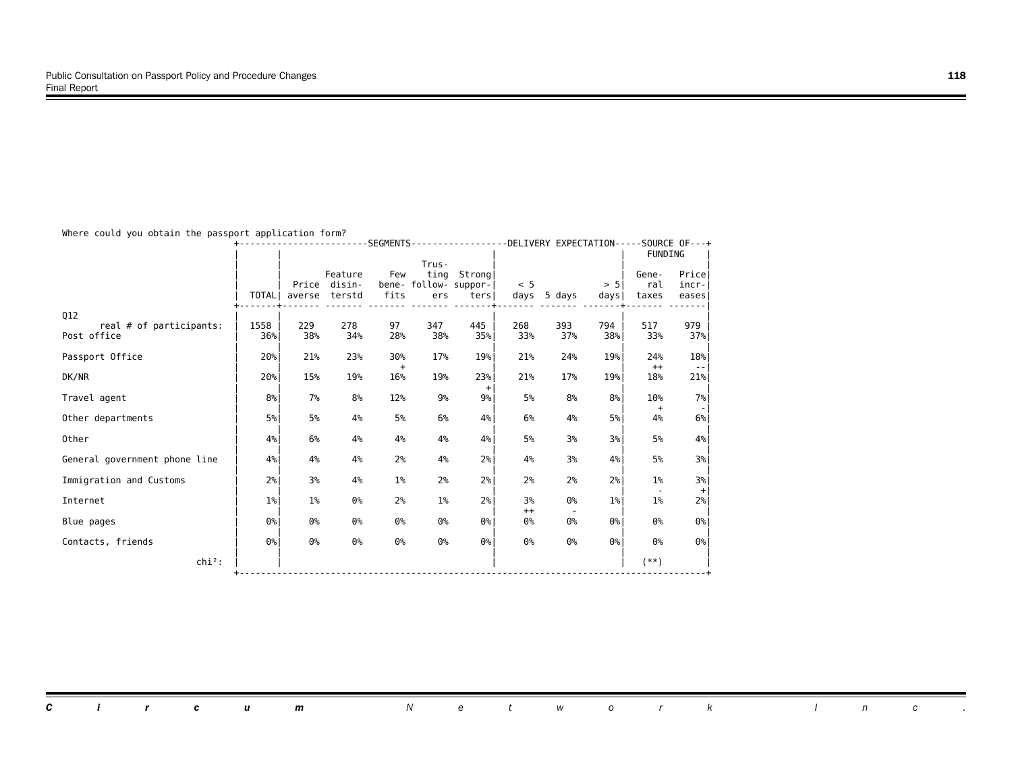|                               |                |        |          | <b>SEGMENTS-</b> |                     |                 |         | DELIVERY EXPECTATION-- |               |                | SOURCE $0F---$ |
|-------------------------------|----------------|--------|----------|------------------|---------------------|-----------------|---------|------------------------|---------------|----------------|----------------|
|                               |                |        |          |                  |                     |                 |         |                        |               | <b>FUNDING</b> |                |
|                               |                |        |          |                  | Trus-               |                 |         |                        |               |                |                |
|                               |                |        | Feature  | Few              | ting                | Strong          |         |                        |               | Gene-          | Pri ce         |
|                               |                | Pri ce | di si n- |                  | bene-follow-suppor- |                 | < 5     |                        | > 5           | ral            | i ncr-         |
|                               | <b>TOTAL</b>   | averse | terstd   | fits             | ers                 | ters            | days    | 5 days                 | $_{\rm days}$ | taxes          | eases          |
| Q12                           |                |        |          |                  |                     |                 |         |                        |               |                |                |
| real # of participants:       | 1558           | 229    | 278      | 97               | 347                 | 445             | 268     | 393                    | 794           | 517            | 979            |
| Post office                   | 36%            | 38%    | 34%      | 28%              | 38%                 | 35%             | 33%     | 37%                    | 38%           | 33%            | 37%            |
|                               |                |        |          |                  |                     |                 |         |                        |               |                |                |
| Passport Office               | 20%            | 21%    | 23%      | 30%              | 17%                 | 19%             | 21%     | 24%                    | 19%           | 24%            | 18%            |
|                               |                |        |          | $\ddot{}$        |                     |                 |         |                        |               | $^{++}$        | $\frac{1}{2}$  |
| DK/NR                         | 20%            | 15%    | 19%      | 16%              | 19%                 | 23%             | 21%     | 17%                    | 19%           | 18%            | 21%            |
| Travel agent                  | $\mathbf{8\%}$ | 7%     | 8%       | 12%              | 9%                  | $\ddot{}$<br>9% | 5%      | 8%                     | 8%            | 10%            | 7%             |
|                               |                |        |          |                  |                     |                 |         |                        |               | $^{+}$         |                |
| Other departments             | 5%             | 5%     | 4%       | 5%               | 6%                  | $4\%$           | 6%      | 4%                     | 5%            | 4%             | $6\%$          |
|                               |                |        |          |                  |                     |                 |         |                        |               |                |                |
| 0ther                         | 4%             | 6%     | 4%       | 4%               | 4%                  | 4%              | 5%      | 3%                     | $3\%$         | 5%             | 4%             |
|                               |                |        |          |                  |                     |                 |         |                        |               |                |                |
| General government phone line | 4%             | 4%     | 4%       | $2\%$            | 4%                  | $2\%$           | 4%      | 3%                     | 4%            | 5%             | $3\%$          |
| Immigration and Customs       | 2%             | 3%     | 4%       | 1%               | $2\%$               | 2%              | 2%      | $2\%$                  | $2\%$         | 1%             | $3\%$          |
|                               |                |        |          |                  |                     |                 |         |                        |               |                |                |
| Internet                      | 1%             | 1%     | 0%       | 2%               | 1%                  | $2\%$           | 3%      | 0%                     | $1\%$         | 1%             | $2\%$          |
|                               |                |        |          |                  |                     |                 | $^{++}$ |                        |               |                |                |
| Blue pages                    | 0%             | 0%     | 0%       | 0%               | 0%                  | 0%              | 0%      | 0%                     | $0\%$         | 0%             | 0%             |
| Contacts, friends             | 0%             | 0%     | 0%       | 0%               | 0%                  | 0%              | 0%      | 0%                     | $0\%$         | 0%             | 0%             |
|                               |                |        |          |                  |                     |                 |         |                        |               |                |                |
| chi <sup>2</sup> :            |                |        |          |                  |                     |                 |         |                        |               | $(**)$         |                |
|                               |                |        |          |                  |                     |                 |         |                        |               |                |                |

Where could you obtain the passport application form?

|  |  |  |  |  | <b>Circum</b> Network Inc. |  |  |  |  |  |  |  |  |  |  |  |
|--|--|--|--|--|----------------------------|--|--|--|--|--|--|--|--|--|--|--|
|--|--|--|--|--|----------------------------|--|--|--|--|--|--|--|--|--|--|--|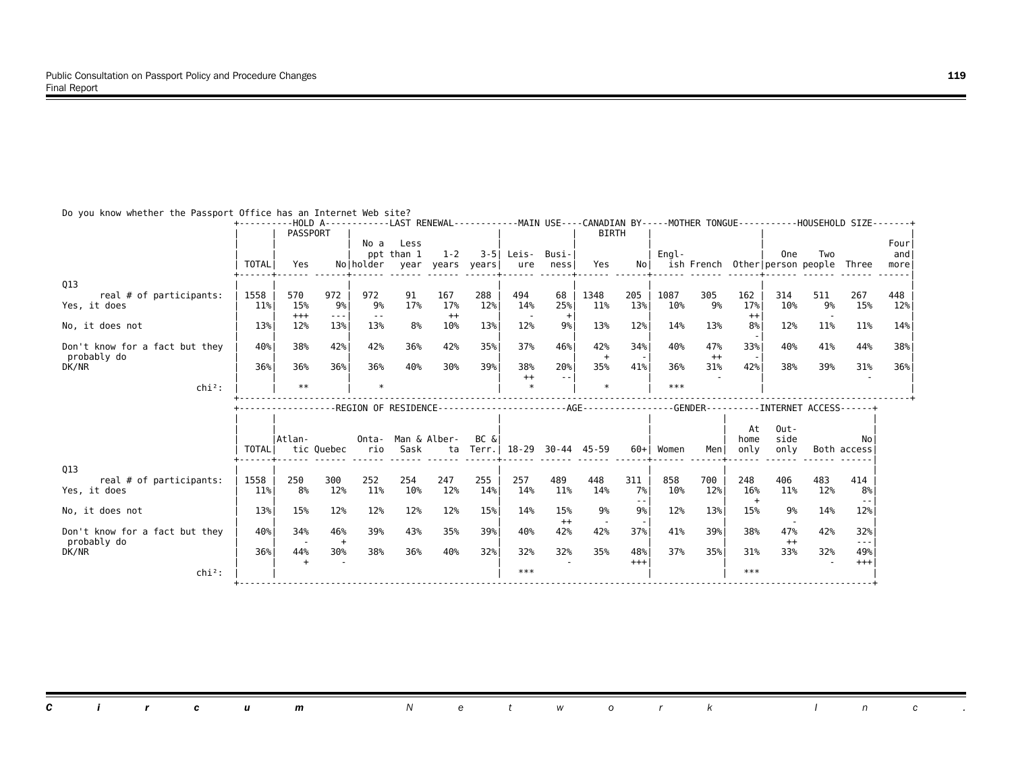|                                                       |              |                        |                                                                                                                                                                                                                                                                                                                                                                                                           |                                          |                      |                             |            |                              |                | -HOLD A-----------LAST RENEWAL------------MAIN USE----CANADIAN BY-----MOTHER TONGUE-----------HOUSEHOLD SIZE-------+ |            |              |                |                       |                                                    |            |                                                                                                                                                                                                                                                                                                                                                                                                     |                     |
|-------------------------------------------------------|--------------|------------------------|-----------------------------------------------------------------------------------------------------------------------------------------------------------------------------------------------------------------------------------------------------------------------------------------------------------------------------------------------------------------------------------------------------------|------------------------------------------|----------------------|-----------------------------|------------|------------------------------|----------------|----------------------------------------------------------------------------------------------------------------------|------------|--------------|----------------|-----------------------|----------------------------------------------------|------------|-----------------------------------------------------------------------------------------------------------------------------------------------------------------------------------------------------------------------------------------------------------------------------------------------------------------------------------------------------------------------------------------------------|---------------------|
|                                                       | <b>TOTAL</b> | <b>PASSPORT</b><br>Yes |                                                                                                                                                                                                                                                                                                                                                                                                           | No a<br>No   hol der                     | Less<br>ppt than 1   | $1 - 2$<br>year years years |            | $3-5$ Leis-<br>ure           | Busi -<br>ness | <b>BIRTH</b><br>Yes                                                                                                  | No         | $Engl -$     |                |                       | <b>One</b><br>ish French Other person people Three | Two        |                                                                                                                                                                                                                                                                                                                                                                                                     | Four<br>and<br>more |
| <b>Q13</b><br>real # of participants:<br>Yes, it does | 1558<br>11%  | 570<br>15%<br>$+++$    | 972<br>9%<br>$\frac{1}{2} \frac{1}{2} \frac{1}{2} \frac{1}{2} \frac{1}{2} \frac{1}{2} \frac{1}{2} \frac{1}{2} \frac{1}{2} \frac{1}{2} \frac{1}{2} \frac{1}{2} \frac{1}{2} \frac{1}{2} \frac{1}{2} \frac{1}{2} \frac{1}{2} \frac{1}{2} \frac{1}{2} \frac{1}{2} \frac{1}{2} \frac{1}{2} \frac{1}{2} \frac{1}{2} \frac{1}{2} \frac{1}{2} \frac{1}{2} \frac{1}{2} \frac{1}{2} \frac{1}{2} \frac{1}{2} \frac{$ | 972<br>9%<br>$- -$                       | 91<br>17%            | 167<br>17%<br>$^{++}$       | 288<br>12% | 494<br>14%                   | 68<br>25%      | 1348<br>11%                                                                                                          | 205<br>13% | 1087<br>10%  | 305<br>9%      | 162<br>17%<br>$^{++}$ | 314<br>10%                                         | 511<br>9%  | 267<br>15%                                                                                                                                                                                                                                                                                                                                                                                          | 448<br>12%          |
| No, it does not                                       | 13%          | 12%                    | 13%                                                                                                                                                                                                                                                                                                                                                                                                       | 13%                                      | 8%                   | 10%                         | 13%        | 12%                          | 9%             | 13%                                                                                                                  | 12%        | 14%          | 13%            | 8%                    | 12%                                                | 11%        | 11%                                                                                                                                                                                                                                                                                                                                                                                                 | 14%                 |
| Don't know for a fact but they<br>probably do         | 40%          | 38%                    | 42%                                                                                                                                                                                                                                                                                                                                                                                                       | 42%                                      | 36%                  | 42%                         | 35%        | 37%                          | 46%            | 42%                                                                                                                  | 34%        | 40%          | 47%<br>$^{++}$ | 33%                   | 40%                                                | 41%        | 44%                                                                                                                                                                                                                                                                                                                                                                                                 | 38%                 |
| DK/NR                                                 | 36%          | 36%                    | 36%                                                                                                                                                                                                                                                                                                                                                                                                       | 36%                                      | 40%                  | 30%                         | 39%        | 38%                          | 20%            | 35%                                                                                                                  | 41%        | 36%          | 31%            | 42%                   | 38%                                                | 39%        | 31%                                                                                                                                                                                                                                                                                                                                                                                                 | 36%                 |
| chi <sup>2</sup> :                                    |              | $***$                  |                                                                                                                                                                                                                                                                                                                                                                                                           |                                          |                      |                             |            | $^{++}$<br>$\ast$            | $- -$          | $\ast$                                                                                                               |            | $***$        |                |                       |                                                    |            |                                                                                                                                                                                                                                                                                                                                                                                                     |                     |
|                                                       |              |                        |                                                                                                                                                                                                                                                                                                                                                                                                           | REGION OF RESIDENCE--------------------- |                      |                             |            |                              |                | - AGE- - - - - - - - - - - - - - -                                                                                   |            |              |                |                       | - GENDER---------- INTERNET ACCESS------+          |            |                                                                                                                                                                                                                                                                                                                                                                                                     |                     |
|                                                       | <b>TOTAL</b> | Atlan-                 | tic Quebec                                                                                                                                                                                                                                                                                                                                                                                                | Onta-<br>rio                             | Man & Alber-<br>Sask |                             | BC &       | ta Terr.   18-29 30-44 45-59 |                |                                                                                                                      |            | $60+1$ Women | Men            | At<br>home<br>onl y   | $0$ ut-<br>side<br>onl y                           |            | No<br><b>Both access</b>                                                                                                                                                                                                                                                                                                                                                                            |                     |
| 013                                                   |              |                        |                                                                                                                                                                                                                                                                                                                                                                                                           |                                          |                      |                             |            |                              |                |                                                                                                                      |            |              |                |                       |                                                    |            |                                                                                                                                                                                                                                                                                                                                                                                                     |                     |
| real # of participants:<br>Yes, it does               | 1558<br>11%  | 250<br>8%              | 300<br>12%                                                                                                                                                                                                                                                                                                                                                                                                | 252<br>11%                               | 254<br>10%           | 247<br>12%                  | 255<br>14% | 257<br>14%                   | 489<br>11%     | 448<br>14%                                                                                                           | 311<br>7%  | 858<br>10%   | 700<br>12%     | 248<br>16%            | 406<br>11%                                         | 483<br>12% | 414<br>8%                                                                                                                                                                                                                                                                                                                                                                                           |                     |
| No, it does not                                       | 13%          | 15%                    | 12%                                                                                                                                                                                                                                                                                                                                                                                                       | 12%                                      | 12%                  | 12%                         | 15%        | 14%                          | 15%<br>$^{++}$ | 9%                                                                                                                   | 9%         | 12%          | 13%            | 15%                   | 9%                                                 | 14%        | 12%                                                                                                                                                                                                                                                                                                                                                                                                 |                     |
| Don't know for a fact but they<br>probably do         | 40%          | 34%                    | 46%                                                                                                                                                                                                                                                                                                                                                                                                       | 39%                                      | 43%                  | 35%                         | 39%        | 40%                          | 42%            | 42%                                                                                                                  | 37%        | 41%          | 39%            | 38%                   | 47%<br>$^{++}$                                     | 42%        | 32%<br>$\frac{1}{2} \frac{1}{2} \frac{1}{2} \frac{1}{2} \frac{1}{2} \frac{1}{2} \frac{1}{2} \frac{1}{2} \frac{1}{2} \frac{1}{2} \frac{1}{2} \frac{1}{2} \frac{1}{2} \frac{1}{2} \frac{1}{2} \frac{1}{2} \frac{1}{2} \frac{1}{2} \frac{1}{2} \frac{1}{2} \frac{1}{2} \frac{1}{2} \frac{1}{2} \frac{1}{2} \frac{1}{2} \frac{1}{2} \frac{1}{2} \frac{1}{2} \frac{1}{2} \frac{1}{2} \frac{1}{2} \frac{$ |                     |
| DK/NR                                                 | 36%          | 44%                    | 30%                                                                                                                                                                                                                                                                                                                                                                                                       | 38%                                      | 36%                  | 40%                         | 32%        | 32%                          | 32%            | 35%                                                                                                                  | 48%        | 37%          | 35%            | 31%                   | 33%                                                | 32%        | 49%                                                                                                                                                                                                                                                                                                                                                                                                 |                     |
| chi <sup>2</sup> :                                    |              | $+$                    |                                                                                                                                                                                                                                                                                                                                                                                                           |                                          |                      |                             |            | $***$                        |                |                                                                                                                      | $^{+++}$   |              |                | ***                   |                                                    |            | $^{+++}$                                                                                                                                                                                                                                                                                                                                                                                            |                     |

Do you know whether the Passport Office has an Internet Web site?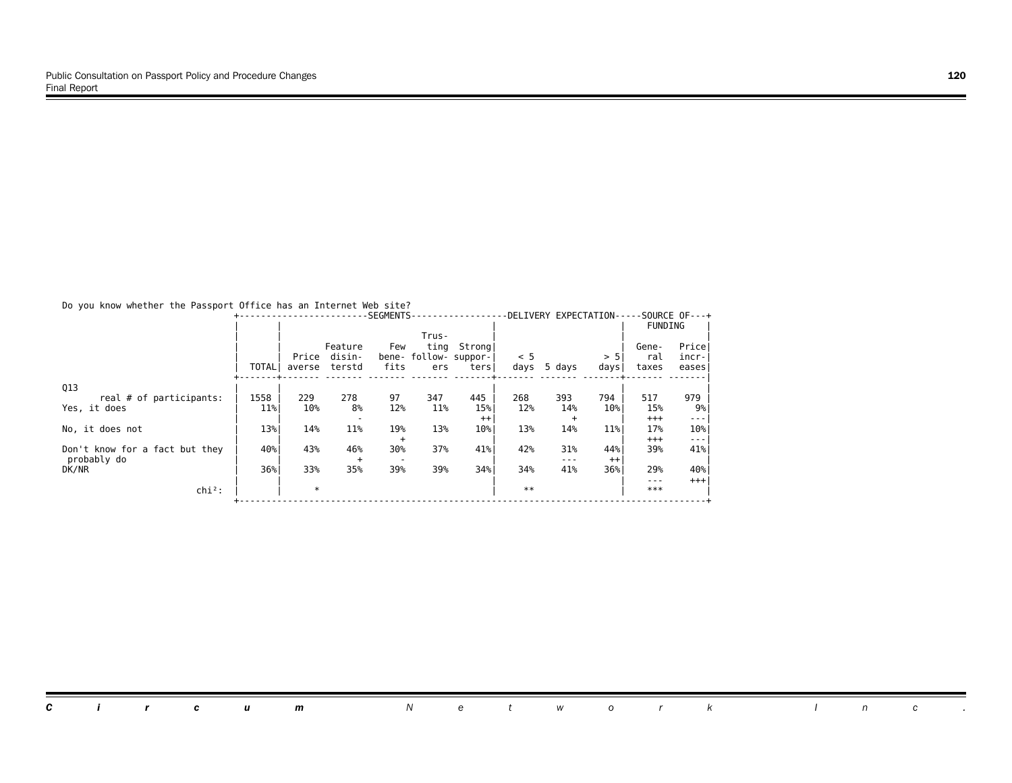## Do you know whether the Passport Office has an Internet Web site?

|                                |              |        |               | <b>SEGMENTS-</b> |                     |         |       | DELIVERY EXPECTATION- |         |                | SOURCE $0F---$                                                                                                                                                                                                                                                                                                                                                                               |  |
|--------------------------------|--------------|--------|---------------|------------------|---------------------|---------|-------|-----------------------|---------|----------------|----------------------------------------------------------------------------------------------------------------------------------------------------------------------------------------------------------------------------------------------------------------------------------------------------------------------------------------------------------------------------------------------|--|
|                                |              |        |               |                  |                     |         |       |                       |         | <b>FUNDING</b> |                                                                                                                                                                                                                                                                                                                                                                                              |  |
|                                |              |        |               |                  | Trus-               |         |       |                       |         |                |                                                                                                                                                                                                                                                                                                                                                                                              |  |
|                                |              |        | Feature       | Few              | ting                | Strong  |       |                       |         | Gene-          | Pri ce                                                                                                                                                                                                                                                                                                                                                                                       |  |
|                                |              | Pri ce | di si n-      |                  | bene-follow-suppor- |         | < 5   |                       | > 5     | ral            | incr-                                                                                                                                                                                                                                                                                                                                                                                        |  |
|                                | <b>TOTAL</b> |        | averse terstd | fits             | ers                 | ters    | days  | 5 days                | days    | taxes          | eases                                                                                                                                                                                                                                                                                                                                                                                        |  |
| Q13                            |              |        |               |                  |                     |         |       |                       |         |                |                                                                                                                                                                                                                                                                                                                                                                                              |  |
| real # of participants:        | 1558         | 229    | 278           | 97               | 347                 | 445     | 268   | 393                   | 794     | 517            | 979                                                                                                                                                                                                                                                                                                                                                                                          |  |
| Yes, it does                   | 11%          | 10%    | 8%            | 12%              | 11%                 | 15%     | 12%   | 14%                   | 10%     | 15%            | 9%                                                                                                                                                                                                                                                                                                                                                                                           |  |
|                                |              |        |               |                  |                     | $^{++}$ |       |                       |         | $^{+++}$       | $\frac{1}{2} \frac{1}{2} \frac{1}{2} \frac{1}{2} \frac{1}{2} \frac{1}{2} \frac{1}{2} \frac{1}{2} \frac{1}{2} \frac{1}{2} \frac{1}{2} \frac{1}{2} \frac{1}{2} \frac{1}{2} \frac{1}{2} \frac{1}{2} \frac{1}{2} \frac{1}{2} \frac{1}{2} \frac{1}{2} \frac{1}{2} \frac{1}{2} \frac{1}{2} \frac{1}{2} \frac{1}{2} \frac{1}{2} \frac{1}{2} \frac{1}{2} \frac{1}{2} \frac{1}{2} \frac{1}{2} \frac{$ |  |
| No, it does not                | 13%          | 14%    | 11%           | 19%              | 13%                 | 10%     | 13%   | 14%                   | 11%     | 17%            | 10%                                                                                                                                                                                                                                                                                                                                                                                          |  |
|                                |              |        |               |                  |                     |         |       |                       |         | $^{+++}$       | $\frac{1}{2} \frac{1}{2} \frac{1}{2} \frac{1}{2} \frac{1}{2} \frac{1}{2} \frac{1}{2} \frac{1}{2} \frac{1}{2} \frac{1}{2} \frac{1}{2} \frac{1}{2} \frac{1}{2} \frac{1}{2} \frac{1}{2} \frac{1}{2} \frac{1}{2} \frac{1}{2} \frac{1}{2} \frac{1}{2} \frac{1}{2} \frac{1}{2} \frac{1}{2} \frac{1}{2} \frac{1}{2} \frac{1}{2} \frac{1}{2} \frac{1}{2} \frac{1}{2} \frac{1}{2} \frac{1}{2} \frac{$ |  |
| Don't know for a fact but they | 40%          | 43%    | 46%           | 30%              | 37%                 | 41%     | 42%   | 31%                   | 44%     | 39%            | 41%                                                                                                                                                                                                                                                                                                                                                                                          |  |
| probably do                    |              |        |               |                  |                     |         |       | $- - -$               | $^{++}$ |                |                                                                                                                                                                                                                                                                                                                                                                                              |  |
| DK/NR                          | 36%          | 33%    | 35%           | 39%              | 39%                 | 34%     | 34%   | 41%                   | 36%     | 29%            | 40%                                                                                                                                                                                                                                                                                                                                                                                          |  |
|                                |              |        |               |                  |                     |         |       |                       |         | - - -          | $^{+++}$                                                                                                                                                                                                                                                                                                                                                                                     |  |
| chi <sup>2</sup> :             |              | $\ast$ |               |                  |                     |         | $***$ |                       |         | ***            |                                                                                                                                                                                                                                                                                                                                                                                              |  |
|                                |              |        |               |                  |                     |         |       |                       |         |                |                                                                                                                                                                                                                                                                                                                                                                                              |  |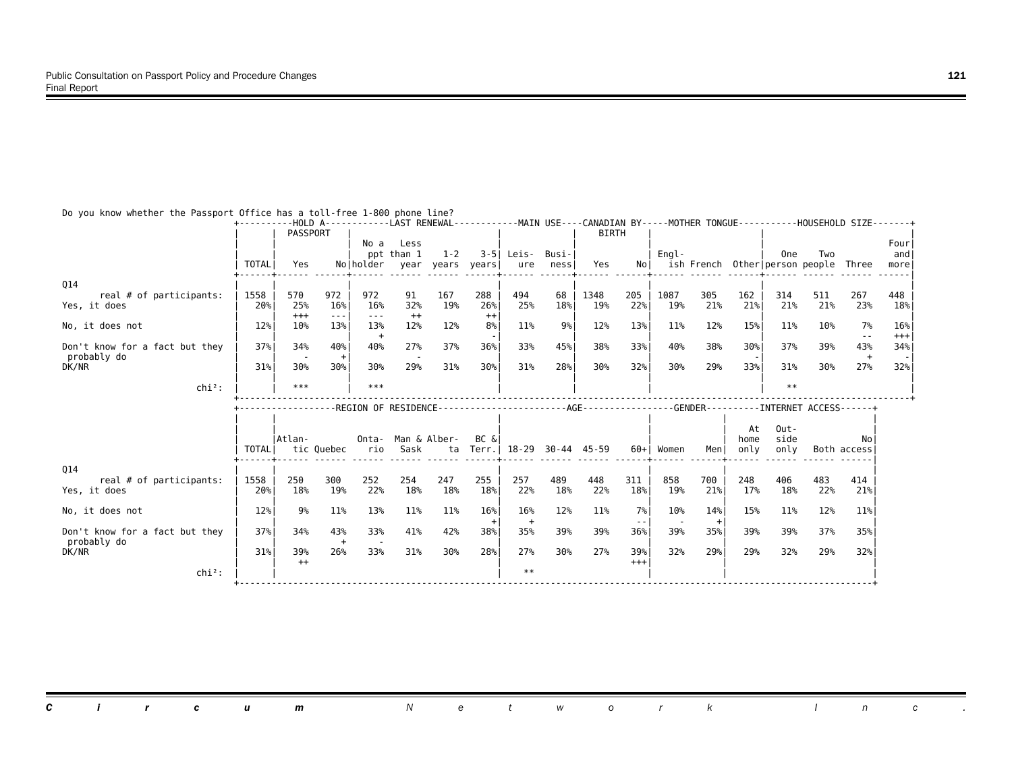|                                |              |                 |            |                                             |              |                  |         |                              |      | -HOLD A-----------LAST RENEWAL------------MAIN USE----CANADIAN BY-----MOTHER TONGUE-----------HOUSEHOLD SIZE-------+ |          |          |     |       |                                      |     |                                           |          |
|--------------------------------|--------------|-----------------|------------|---------------------------------------------|--------------|------------------|---------|------------------------------|------|----------------------------------------------------------------------------------------------------------------------|----------|----------|-----|-------|--------------------------------------|-----|-------------------------------------------|----------|
|                                |              | <b>PASSPORT</b> |            |                                             |              |                  |         |                              |      | <b>BIRTH</b>                                                                                                         |          |          |     |       |                                      |     |                                           |          |
|                                |              |                 |            | No a                                        | Less         |                  |         |                              |      |                                                                                                                      |          |          |     |       |                                      |     |                                           | Four     |
|                                |              |                 |            |                                             | ppt than 1   | $1 - 2$          |         | $3-5$ Leis-Busi-             |      |                                                                                                                      |          | $Engl -$ |     |       | <b>One</b>                           | Two |                                           | and      |
|                                | <b>TOTAL</b> | Yes             |            | No   hol der                                |              | year years years |         | ure                          | ness | Yes                                                                                                                  | No       |          |     |       | ish French Other person people Three |     |                                           | more     |
|                                |              |                 |            |                                             |              |                  |         |                              |      |                                                                                                                      |          |          |     |       |                                      |     |                                           |          |
| 014                            |              |                 |            |                                             |              |                  |         |                              |      |                                                                                                                      |          |          |     |       |                                      |     |                                           |          |
| real # of participants:        | 1558         | 570             | 972        | 972                                         | 91           | 167              | 288     | 494                          | 68   | 1348                                                                                                                 | 205      | 1087     | 305 | 162   | 314                                  | 511 | 267                                       | 448      |
| Yes, it does                   | 20%          | 25%             | 16%        | 16%                                         | 32%          | 19%              | 26%     | 25%                          | 18%  | 19%                                                                                                                  | 22%      | 19%      | 21% | 21%   | 21%                                  | 21% | 23%                                       | 18%      |
|                                |              | $+++$           | $- - -$    | $- - -$                                     | $^{++}$      |                  | $^{++}$ |                              |      |                                                                                                                      |          |          |     |       |                                      |     |                                           |          |
| No, it does not                | 12%          | 10%             | 13%        | 13%                                         | 12%          | 12%              | 8%      | 11%                          | 9%   | 12%                                                                                                                  | 13%      | 11%      | 12% | 15%   | 11%                                  | 10% | 7%                                        | 16%      |
|                                |              |                 |            |                                             |              |                  |         |                              |      |                                                                                                                      |          |          |     |       |                                      |     |                                           | $^{+++}$ |
| Don't know for a fact but they | 37%          | 34%             | 40%        | 40%                                         | 27%          | 37%              | 36%     | 33%                          | 45%  | 38%                                                                                                                  | 33%      | 40%      | 38% | 30%   | 37%                                  | 39% | 43%                                       | 34%      |
| probably do                    |              |                 |            |                                             |              |                  |         |                              |      |                                                                                                                      |          |          |     |       |                                      |     |                                           |          |
| DK/NR                          | 31%          | 30%             | 30%        | 30%                                         | 29%          | 31%              | 30%     | 31%                          | 28%  | 30%                                                                                                                  | 32%      | 30%      | 29% | 33%   | 31%                                  | 30% | 27%                                       | 32%      |
|                                |              |                 |            |                                             |              |                  |         |                              |      |                                                                                                                      |          |          |     |       |                                      |     |                                           |          |
| chi <sup>2</sup> :             |              | ***             |            | $***$                                       |              |                  |         |                              |      |                                                                                                                      |          |          |     |       | $**$                                 |     |                                           |          |
|                                |              |                 |            |                                             |              |                  |         |                              |      |                                                                                                                      |          |          |     |       |                                      |     |                                           |          |
|                                |              |                 |            | $-$ REGION OF RESIDENCE-------------------- |              |                  |         |                              |      | $-AGE-$                                                                                                              | <u>.</u> |          |     |       |                                      |     | - GENDER---------- INTERNET ACCESS------+ |          |
|                                |              |                 |            |                                             |              |                  |         |                              |      |                                                                                                                      |          |          |     |       |                                      |     |                                           |          |
|                                |              |                 |            |                                             |              |                  |         |                              |      |                                                                                                                      |          |          |     | At    | $0$ ut-                              |     |                                           |          |
|                                |              | Atl an-         |            | Onta-                                       | Man & Alber- |                  | BC &    |                              |      |                                                                                                                      |          |          |     | home  | side                                 |     | No                                        |          |
|                                | <b>TOTAL</b> |                 | tic Quebec | rio                                         | Sask         |                  |         | ta Terr.   18-29 30-44 45-59 |      |                                                                                                                      | $60+$    | Women    | Men | onl y | onl y                                |     | Both access                               |          |
|                                |              |                 |            |                                             |              |                  |         |                              |      |                                                                                                                      |          |          |     |       |                                      |     |                                           |          |
| 014                            |              |                 |            |                                             |              |                  |         |                              |      |                                                                                                                      |          |          |     |       |                                      |     |                                           |          |
| real # of participants:        | 1558         | 250             | 300        | 252                                         | 254          | 247              | 255     | 257                          | 489  | 448                                                                                                                  | 311      | 858      | 700 | 248   | 406                                  | 483 | 414                                       |          |
| Yes, it does                   | 20%          | 18%             | 19%        | 22%                                         | 18%          | 18%              | 18%     | 22%                          | 18%  | 22%                                                                                                                  | 18%      | 19%      | 21% | 17%   | 18%                                  | 22% | 21%                                       |          |
|                                |              |                 |            |                                             |              |                  |         |                              |      |                                                                                                                      |          |          |     |       |                                      |     |                                           |          |
| No, it does not                | 12%          | 9%              | 11%        | 13%                                         | 11%          | 11%              | 16%     | 16%                          | 12%  | 11%                                                                                                                  | 7%       | 10%      | 14% | 15%   | 11%                                  | 12% | 11%                                       |          |
|                                |              |                 |            |                                             |              |                  |         |                              |      |                                                                                                                      | $ -$     |          |     |       |                                      |     |                                           |          |
| Don't know for a fact but they | 37%          | 34%             | 43%        | 33%                                         | 41%          | 42%              | 38%     | 35%                          | 39%  | 39%                                                                                                                  | 36%      | 39%      | 35% | 39%   | 39%                                  | 37% | 35%                                       |          |
| probably do                    |              |                 |            |                                             |              |                  |         |                              |      |                                                                                                                      |          |          |     |       |                                      |     |                                           |          |
| DK/NR                          | 31%          | 39%             | 26%        | 33%                                         | 31%          | 30%              | 28%     | 27%                          | 30%  | 27%                                                                                                                  | 39%      | 32%      | 29% | 29%   | 32%                                  | 29% | 32%                                       |          |
|                                |              | $^{++}$         |            |                                             |              |                  |         |                              |      |                                                                                                                      | $^{+++}$ |          |     |       |                                      |     |                                           |          |
| chi <sup>2</sup> :             |              |                 |            |                                             |              |                  |         | $* *$                        |      |                                                                                                                      |          |          |     |       |                                      |     |                                           |          |
|                                |              |                 |            |                                             |              |                  |         |                              |      |                                                                                                                      |          |          |     |       |                                      |     |                                           |          |

Do you know whether the Passport Office has a toll-free 1-800 phone line?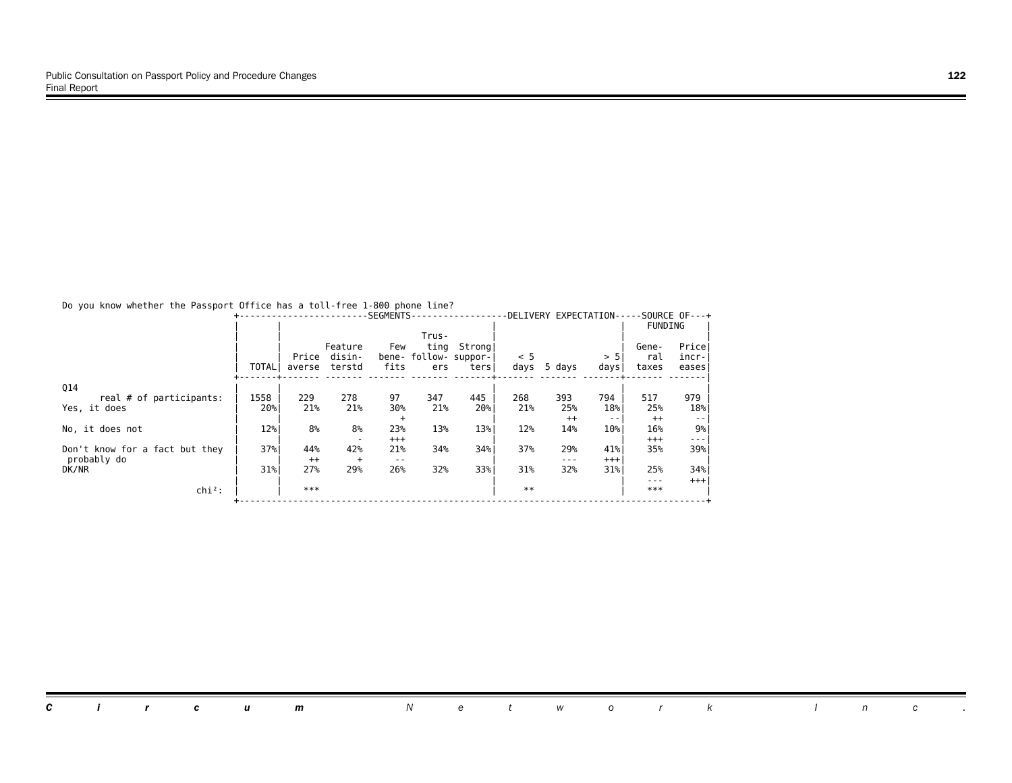## Do you know whether the Passport Office has a toll-free 1-800 phone line?

|                                |              |         |               | <b>SEGMENTS-</b> |                     |        |       | DELIVERY EXPECTATION- |          |                | SOURCE $0F---$                                                                                                                                                                                                                                                                                                                                                                               |  |
|--------------------------------|--------------|---------|---------------|------------------|---------------------|--------|-------|-----------------------|----------|----------------|----------------------------------------------------------------------------------------------------------------------------------------------------------------------------------------------------------------------------------------------------------------------------------------------------------------------------------------------------------------------------------------------|--|
|                                |              |         |               |                  |                     |        |       |                       |          | <b>FUNDING</b> |                                                                                                                                                                                                                                                                                                                                                                                              |  |
|                                |              |         |               |                  | Trus-               |        |       |                       |          |                |                                                                                                                                                                                                                                                                                                                                                                                              |  |
|                                |              |         | Feature       | Few              | ting                | Strong |       |                       |          | Gene-          | Pri ce                                                                                                                                                                                                                                                                                                                                                                                       |  |
|                                |              | Pri ce  | di si n-      |                  | bene-follow-suppor- |        | < 5   |                       | > 5      | ral            | incr-                                                                                                                                                                                                                                                                                                                                                                                        |  |
|                                | <b>TOTAL</b> |         | averse terstd | fits             | ers                 | ters   | days  | 5 days                | days     | taxes          | eases                                                                                                                                                                                                                                                                                                                                                                                        |  |
| Q14                            |              |         |               |                  |                     |        |       |                       |          |                |                                                                                                                                                                                                                                                                                                                                                                                              |  |
| real # of participants:        | 1558         | 229     | 278           | 97               | 347                 | 445    | 268   | 393                   | 794      | 517            | 979                                                                                                                                                                                                                                                                                                                                                                                          |  |
| Yes, it does                   | 20%          | 21%     | 21%           | 30%              | 21%                 | 20%    | 21%   | 25%                   | 18%      | 25%            | 18%                                                                                                                                                                                                                                                                                                                                                                                          |  |
|                                |              |         |               | $\ddot{}$        |                     |        |       | $^{++}$               | $ -$     | $^{++}$        | $- -$                                                                                                                                                                                                                                                                                                                                                                                        |  |
| No, it does not                | 12%          | 8%      | 8%            | 23%              | 13%                 | 13%    | 12%   | 14%                   | 10%      | 16%            | 9%                                                                                                                                                                                                                                                                                                                                                                                           |  |
|                                |              |         |               | $^{+++}$         |                     |        |       |                       |          | $^{+++}$       | $\frac{1}{2} \frac{1}{2} \frac{1}{2} \frac{1}{2} \frac{1}{2} \frac{1}{2} \frac{1}{2} \frac{1}{2} \frac{1}{2} \frac{1}{2} \frac{1}{2} \frac{1}{2} \frac{1}{2} \frac{1}{2} \frac{1}{2} \frac{1}{2} \frac{1}{2} \frac{1}{2} \frac{1}{2} \frac{1}{2} \frac{1}{2} \frac{1}{2} \frac{1}{2} \frac{1}{2} \frac{1}{2} \frac{1}{2} \frac{1}{2} \frac{1}{2} \frac{1}{2} \frac{1}{2} \frac{1}{2} \frac{$ |  |
| Don't know for a fact but they | 37%          | 44%     | 42%           | 21%              | 34%                 | 34%    | 37%   | 29%                   | 41%      | 35%            | 39%                                                                                                                                                                                                                                                                                                                                                                                          |  |
| probably do                    |              | $^{++}$ |               | $ -$             |                     |        |       | $- - -$               | $^{+++}$ |                |                                                                                                                                                                                                                                                                                                                                                                                              |  |
| DK/NR                          | 31%          | 27%     | 29%           | 26%              | 32%                 | 33%    | 31%   | 32%                   | 31%      | 25%            | 34%                                                                                                                                                                                                                                                                                                                                                                                          |  |
|                                |              |         |               |                  |                     |        |       |                       |          | - - -          | $^{+++}$                                                                                                                                                                                                                                                                                                                                                                                     |  |
| chi <sup>2</sup> :             |              | ***     |               |                  |                     |        | $***$ |                       |          | ***            |                                                                                                                                                                                                                                                                                                                                                                                              |  |
|                                |              |         |               |                  |                     |        |       |                       |          |                |                                                                                                                                                                                                                                                                                                                                                                                              |  |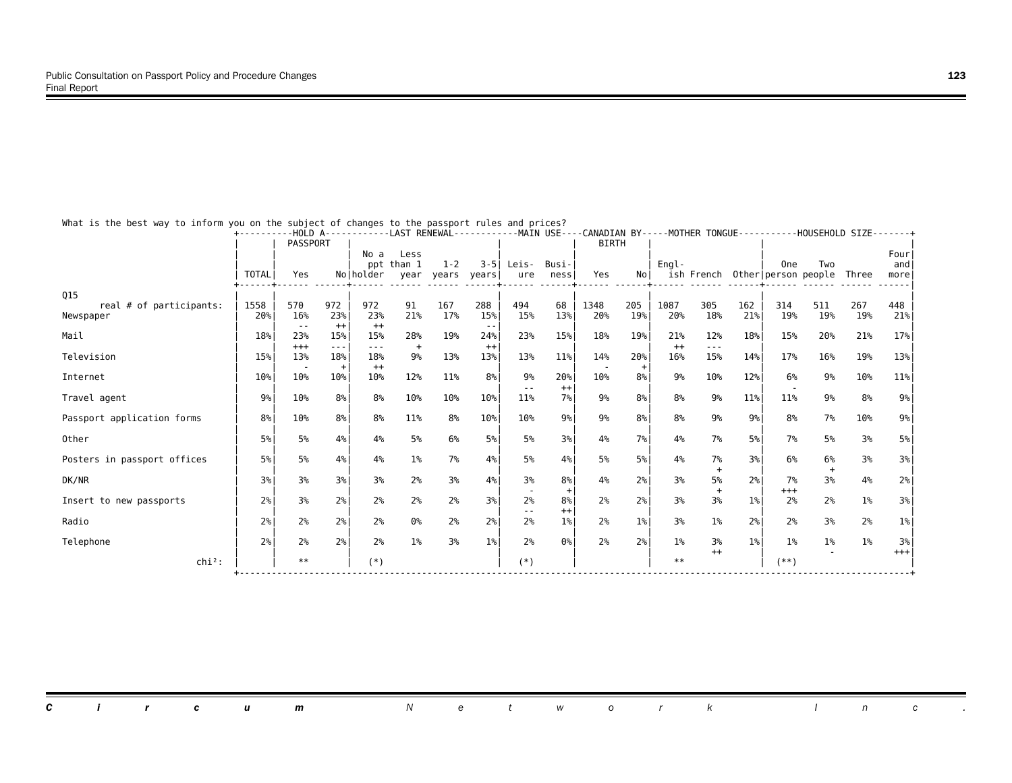|                              |              | HOLD A-         |                |                |                    | - LAST RENEWAL--------- |              |        |                      | -- MAIN USE---- CANADIAN BY----- MOTHER TONGUE-- |                 |          |         |       |                                |     | - HOUSEHOLD SIZE-- |             |
|------------------------------|--------------|-----------------|----------------|----------------|--------------------|-------------------------|--------------|--------|----------------------|--------------------------------------------------|-----------------|----------|---------|-------|--------------------------------|-----|--------------------|-------------|
|                              |              | <b>PASSPORT</b> |                |                |                    |                         |              |        |                      | <b>BIRTH</b>                                     |                 |          |         |       |                                |     |                    |             |
|                              |              |                 |                | No a           | Less               | $1 - 2$                 | $3 - 5$      | Lei s- |                      |                                                  |                 |          |         |       | <b>One</b>                     | Two |                    | Four<br>and |
|                              | <b>TOTAL</b> | Yes             |                | No   hol der   | ppt than 1<br>year | years                   | years        | ure    | Busi-<br>ness        | Yes                                              | No <sub>1</sub> | $Engl -$ |         |       | ish French Other person people |     | Three              | more        |
|                              |              |                 |                |                |                    |                         |              |        |                      |                                                  |                 |          |         |       |                                |     |                    |             |
| Q15                          |              |                 |                |                |                    |                         |              |        |                      |                                                  |                 |          |         |       |                                |     |                    |             |
| of participants:<br>real $#$ | 1558         | 570             | 972            | 972            | 91                 | 167                     | 288          | 494    | 68                   | 1348                                             | 205             | 1087     | 305     | 162   | 314                            | 511 | 267                | 448         |
| Newspaper                    | 20%          | 16%<br>$- -$    | 23%            | 23%            | 21%                | 17%                     | 15%<br>$- -$ | 15%    | 13%                  | 20%                                              | 19%             | 20%      | 18%     | 21%   | 19%                            | 19% | 19%                | 21%         |
| Mai l                        | 18%          | 23%             | $^{++}$<br>15% | $^{++}$<br>15% | 28%                | 19%                     | 24%          | 23%    | 15%                  | 18%                                              | 19%             | 21%      | 12%     | 18%   | 15%                            | 20% | 21%                | 17%         |
|                              |              | $^{+++}$        | $- - -$        | $- - -$        | $+$                |                         | $++$         |        |                      |                                                  |                 | $++$     | $- - -$ |       |                                |     |                    |             |
| Television                   | 15%          | 13%             | 18%            | 18%            | 9%                 | 13%                     | 13%          | 13%    | 11%                  | 14%                                              | 20%             | 16%      | 15%     | 14%   | 17%                            | 16% | 19%                | 13%         |
| Internet                     | 10%          | 10%             | 10%            | $^{++}$<br>10% | 12%                | 11%                     | 8%           | 9%     | 20%                  | 10%                                              | 8%              | 9%       | 10%     | 12%   | 6%                             | 9%  | 10%                | 11%         |
|                              |              |                 |                |                |                    |                         |              | $ -$   | $^{++}$              |                                                  |                 |          |         |       |                                |     |                    |             |
| Travel agent                 | 9%           | 10%             | 8%             | 8%             | 10%                | 10%                     | 10%          | 11%    | 7%                   | 9%                                               | 8%              | 8%       | 9%      | 11%   | 11%                            | 9%  | 8%                 | 9%          |
| Passport application forms   | 8%           | 10%             | 8%             | 8%             | 11%                | 8%                      | 10%          | 10%    | 9%                   | 9%                                               | 8%              | 8%       | 9%      | 9%    | 8%                             | 7%  | 10%                | $9\%$       |
|                              |              |                 |                |                |                    |                         |              |        |                      |                                                  |                 |          |         |       |                                |     |                    |             |
| <b>Other</b>                 | 5%           | 5%              | $4\%$          | 4%             | 5%                 | 6%                      | 5%           | 5%     | 3%                   | 4%                                               | 7%              | 4%       | 7%      | 5%    | 7%                             | 5%  | 3%                 | 5%          |
| Posters in passport offices  | 5%           | 5%              | $4\%$          | 4%             | 1%                 | 7%                      | 4%           | 5%     | 4%                   | 5%                                               | 5%              | 4%       | 7%      | 3%    | 6%                             | 6%  | 3%                 | $3\%$       |
|                              |              |                 |                |                |                    |                         |              |        |                      |                                                  |                 |          |         |       |                                |     |                    |             |
| DK/NR                        | 3%           | 3%              | 3%             | 3%             | $2\%$              | 3%                      | 4%           | 3%     | 8%                   | 4%                                               | 2%              | 3%       | 5%      | $2\%$ | 7%                             | 3%  | 4%                 | $2\%$       |
| Insert to new passports      | 2%           | 3%              | 2%             | $2\%$          | $2\%$              | 2%                      | 3%           | 2%     | $\overline{+}$<br>8% | $2\%$                                            | 2%              | 3%       | 3%      | $1\%$ | $^{+++}$<br>2%                 | 2%  | 1%                 | $3\%$       |
|                              |              |                 |                |                |                    |                         |              |        | $^{++}$              |                                                  |                 |          |         |       |                                |     |                    |             |
| Radi o                       | 2%           | 2%              | 2%             | 2%             | 0%                 | 2%                      | $2\%$        | 2%     | 1%                   | $2\%$                                            | 1%              | 3%       | 1%      | 2%    | 2%                             | 3%  | 2%                 | 1%          |
| Tel ephone                   | 2%           | $2\%$           | $2\%$          | 2%             | $1\%$              | 3%                      | 1%           | $2\%$  | 0%                   | $2\%$                                            | 2%              | 1%       | 3%      | 1%    | 1%                             | 1%  | 1%                 | 3%          |
|                              |              |                 |                |                |                    |                         |              |        |                      |                                                  |                 |          | $^{++}$ |       |                                |     |                    | $^{+++}$    |
| chi <sup>2</sup> :           |              | $***$           |                | $(*)$          |                    |                         |              | $(*)$  |                      |                                                  |                 | $***$    |         |       | $(**)$                         |     |                    |             |

What is the best way to inform you on the subject of changes to the passport rules and prices?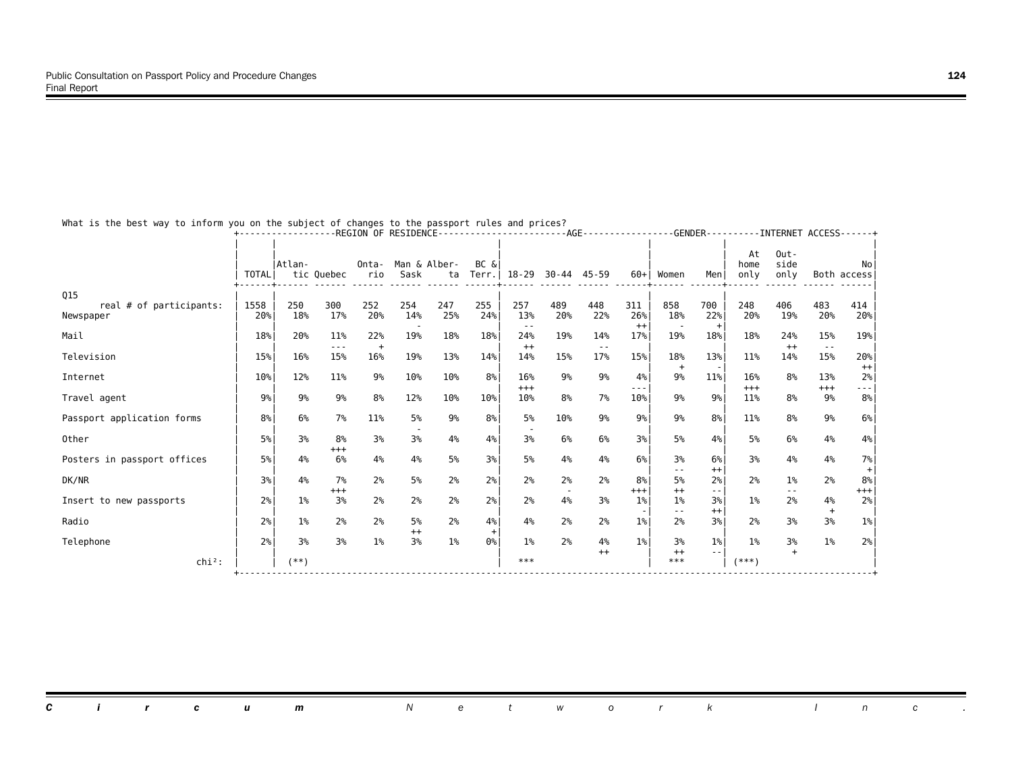|                                      |              |            |                |               | <b>REGION OF RESIDENCE-</b> |            |                      |                    |            | AGE-       |                       |                | $GENDER-$ -------               |                     | - INTERNET ACCESS-        |                | $- - - +$         |
|--------------------------------------|--------------|------------|----------------|---------------|-----------------------------|------------|----------------------|--------------------|------------|------------|-----------------------|----------------|---------------------------------|---------------------|---------------------------|----------------|-------------------|
|                                      | <b>TOTAL</b> | Atlan-     | tic Quebec     | Onta-<br>ri o | Man & Alber-<br>Sask        | ta         | <b>BC</b> &<br>Terr. | $18 - 29$          | $30 - 44$  | $45 - 59$  | $60+$                 | Women          | Men                             | At<br>home<br>onl y | $0$ ut-<br>si de<br>onl y |                | No<br>Both access |
| Q15                                  |              |            |                |               |                             |            |                      |                    |            |            |                       |                |                                 |                     |                           |                |                   |
| real # of participants:<br>Newspaper | 1558<br>20%  | 250<br>18% | 300<br>17%     | 252<br>20%    | 254<br>14%                  | 247<br>25% | 255<br>24%           | 257<br>13%<br>$ -$ | 489<br>20% | 448<br>22% | 311<br>26%<br>$^{++}$ | 858<br>18%     | 700<br>22%<br>$+$               | 248<br>20%          | 406<br>19%                | 483<br>20%     | 414<br>20%        |
| Mai l                                | 18%          | 20%        | 11%            | 22%           | 19%                         | 18%        | 18%                  | 24%                | 19%        | 14%        | 17%                   | 19%            | 18%                             | 18%                 | 24%                       | 15%            | 19%               |
| Television                           | 15%          | 16%        | $- - -$<br>15% | 16%           | 19%                         | 13%        | 14%                  | $^{++}$<br>14%     | 15%        | 17%        | 15%                   | 18%            | 13%                             | 11%                 | $^{++}$<br>14%            | $ -$<br>15%    | 20%               |
| Internet                             | 10%          | 12%        | 11%            | 9%            | 10%                         | 10%        | 8%                   | 16%                | 9%         | 9%         | 4%                    | $+$<br>9%      | $\overline{\phantom{a}}$<br>11% | 16%                 | 8%                        | 13%            | $^{++}$<br>$2\%$  |
| Travel agent                         | 9%           | 9%         | 9%             | 8%            | 12%                         | 10%        | 10%                  | $^{+++}$<br>10%    | 8%         | 7%         | $- - -$<br>10%        | 9%             | 9%                              | $+++$<br>11%        | 8%                        | $^{+++}$<br>9% | - - -<br>8%       |
| Passport application forms           | 8%           | 6%         | 7%             | 11%           | 5%                          | 9%         | 8%                   | 5%                 | 10%        | 9%         | $9\%$                 | 9%             | 8%                              | 11%                 | 8%                        | 9%             | 6%                |
| 0ther                                | 5%           | 3%         | 8%             | 3%            | 3%                          | 4%         | 4%                   | 3%                 | 6%         | 6%         | $3\%$                 | 5%             | 4%                              | 5%                  | 6%                        | 4%             | $4\%$             |
| Posters in passport offices          | 5%           | 4%         | $+++$<br>6%    | 4%            | 4%                          | 5%         | 3%                   | 5%                 | 4%         | 4%         | 6%                    | 3%             | 6%                              | 3%                  | 4%                        | 4%             | $7\%$             |
| DK/NR                                | 3%           | 4%         | 7%             | $2\%$         | 5%                          | $2\%$      | $2\%$                | 2%                 | $2\%$      | 2%         | 8%                    | $ -$<br>5%     | $^{++}$<br>2%                   | 2%                  | 1%                        | 2%             | 8%                |
| Insert to new passports              | 2%           | 1%         | $^{+++}$<br>3% | 2%            | 2%                          | $2\%$      | $2\%$                | 2%                 | 4%         | 3%         | $^{+++}$<br>1%        | $^{++}$<br>1%  | $- -$<br>3%                     | 1%                  | $2\%$                     | 4%             | $^{+++}$<br>$2\%$ |
| Radi o                               | 2%           | 1%         | $2\%$          | 2%            | 5%                          | 2%         | 4%                   | 4%                 | $2\%$      | 2%         | $1\%$                 | $ -$<br>2%     | $^{++}$<br>3%                   | 2%                  | 3%                        | $^{+}$<br>3%   | $1\%$             |
| Tel ephone                           | 2%           | 3%         | 3%             | 1%            | $^{++}$<br>3%               | 1%         | $+$<br>0%            | 1%                 | 2%         | 4%         | $1\%$                 | 3%             | 1%                              | 1%                  | 3%                        | 1%             | $2\%$             |
| chi <sup>2</sup> :                   |              | $(**)$     |                |               |                             |            |                      | ***                |            | $^{++}$    |                       | $^{++}$<br>*** | $ -$                            | $(***)$             |                           |                |                   |

What is the best way to inform you on the subject of changes to the passport rules and prices?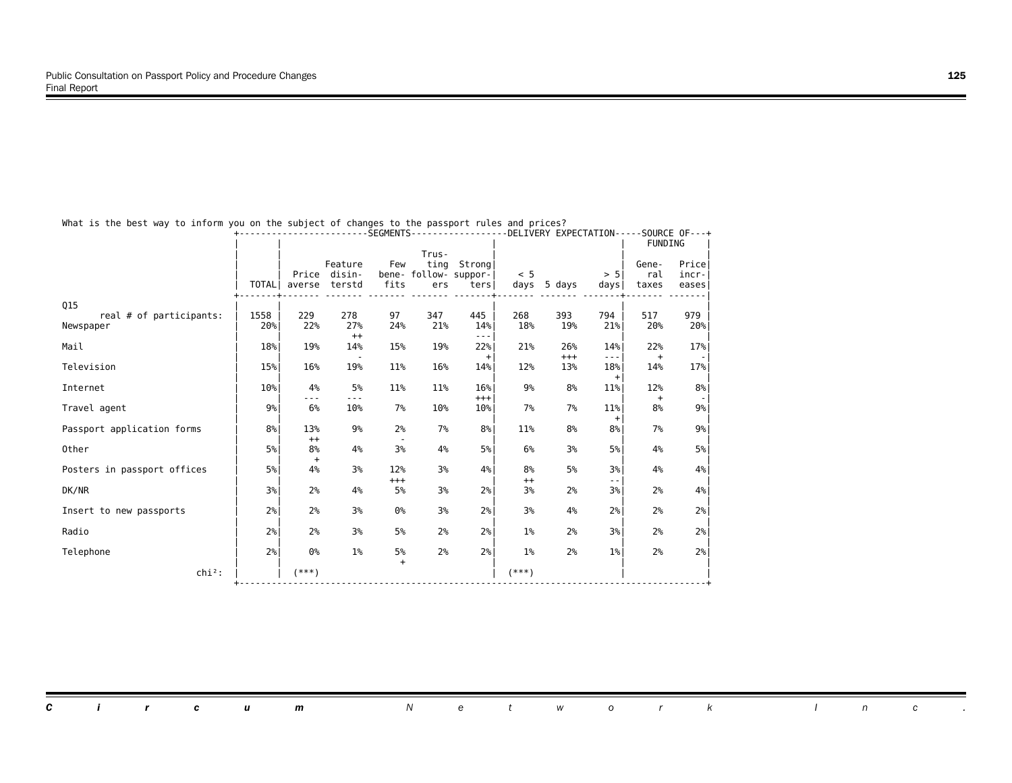|                             |       |         |               | <b>SEGMENTS-</b> |                     |         |         | DELIVERY EXPECTATION---- |            |                | $-$ SOURCE OF- $-$ -+ |
|-----------------------------|-------|---------|---------------|------------------|---------------------|---------|---------|--------------------------|------------|----------------|-----------------------|
|                             |       |         |               |                  |                     |         |         |                          |            | <b>FUNDING</b> |                       |
|                             |       |         |               |                  | Trus-               |         |         |                          |            |                |                       |
|                             |       |         | Feature       | Few              | ting                | Strong  |         |                          |            | Gene-          | Pri ce                |
|                             |       |         | Price disin-  |                  | bene-follow-suppor- |         | < 5     |                          | > 5        | ral            | incr-                 |
|                             | TOTAL |         | averse terstd | fits             | ers                 | ters    | days    | 5 days                   | days       | taxes          | eases                 |
|                             |       |         |               |                  |                     |         |         |                          |            |                |                       |
| Q15                         |       |         |               |                  |                     |         |         |                          |            |                |                       |
| real # of participants:     | 1558  | 229     | 278           | 97               | 347                 | 445     | 268     | 393                      | 794        | 517            | 979                   |
| Newspaper                   | 20%   | 22%     | 27%           | 24%              | 21%                 | 14%     | 18%     | 19%                      | 21%        | 20%            | 20%                   |
|                             |       |         | $^{++}$       |                  |                     | $- - -$ |         |                          |            |                |                       |
| Mai l                       | 18%   | 19%     | 14%           | 15%              | 19%                 | 22%     | 21%     | 26%                      | 14%        | 22%            | 17%                   |
|                             |       |         |               |                  |                     | $+$     |         | $^{+++}$                 | $- - -$    | $^{+}$         |                       |
| Television                  | 15%   | 16%     | 19%           | 11%              | 16%                 | 14%     | 12%     | 13%                      | 18%        | 14%            | 17%                   |
|                             |       |         |               |                  |                     |         |         |                          | $+$        |                |                       |
| Internet                    | 10%   | 4%      | 5%            | 11%              | 11%                 | 16%     | 9%      | 8%                       | 11%        | 12%            | 8%                    |
|                             |       | - - -   | - - -         |                  |                     | $+++$   |         |                          |            | $^{+}$         |                       |
| Travel agent                | 9%    | 6%      | 10%           | 7%               | 10%                 | 10%     | 7%      | 7%                       | 11%        | 8%             | $9\%$                 |
|                             |       |         |               |                  |                     |         |         |                          | $^{+}$     |                |                       |
| Passport application forms  | 8%    | 13%     | $9\%$         | 2%               | 7%                  | 8%      | 11%     | 8%                       | $8\%$      | 7%             | $9\%$                 |
|                             |       | $^{++}$ |               |                  |                     |         |         |                          |            |                |                       |
| 0ther                       | 5%    | 8%      | 4%            | 3%               | 4%                  | 5%      | 6%      | 3%                       | 5%         | 4%             | 5%                    |
|                             |       | $^{+}$  |               |                  |                     |         |         |                          |            |                |                       |
| Posters in passport offices | 5%    | 4%      | 3%            | 12%              | 3%                  | 4%      | 8%      | 5%                       | 3%         | 4%             | 4%                    |
|                             |       |         |               | $^{+++}$         |                     |         | $^{++}$ |                          | $\sim$ $-$ |                |                       |
| DK/NR                       | $3\%$ | 2%      | 4%            | 5%               | 3%                  | 2%      | 3%      | 2%                       | $3\%$      | 2%             | $4\%$                 |
|                             |       |         |               |                  |                     |         |         |                          |            |                |                       |
| Insert to new passports     | 2%    | 2%      | 3%            | 0%               | 3%                  | 2%      | 3%      | 4%                       | 2%         | 2%             | $2\%$                 |
|                             |       |         |               |                  |                     |         |         |                          |            |                |                       |
| Radi o                      | 2%    | 2%      | 3%            | 5%               | $2\%$               | 2%      | 1%      | 2%                       | $3\%$      | 2%             | $2\%$                 |
|                             |       |         |               |                  |                     |         |         |                          |            |                |                       |
| Tel ephone                  | 2%    | 0%      | 1%            | 5%               | 2%                  | $2\%$   | 1%      | $2\%$                    | $1\%$      | 2%             | $2\%$                 |
|                             |       |         |               | $\ddot{}$        |                     |         |         |                          |            |                |                       |
| chi <sup>2</sup> :          |       | $(***)$ |               |                  |                     |         | $(***)$ |                          |            |                |                       |
|                             |       |         |               |                  |                     |         |         |                          |            |                |                       |

What is the best way to inform you on the subject of changes to the passport rules and prices?

| <b>Circum</b> Network Inc. |
|----------------------------|
|----------------------------|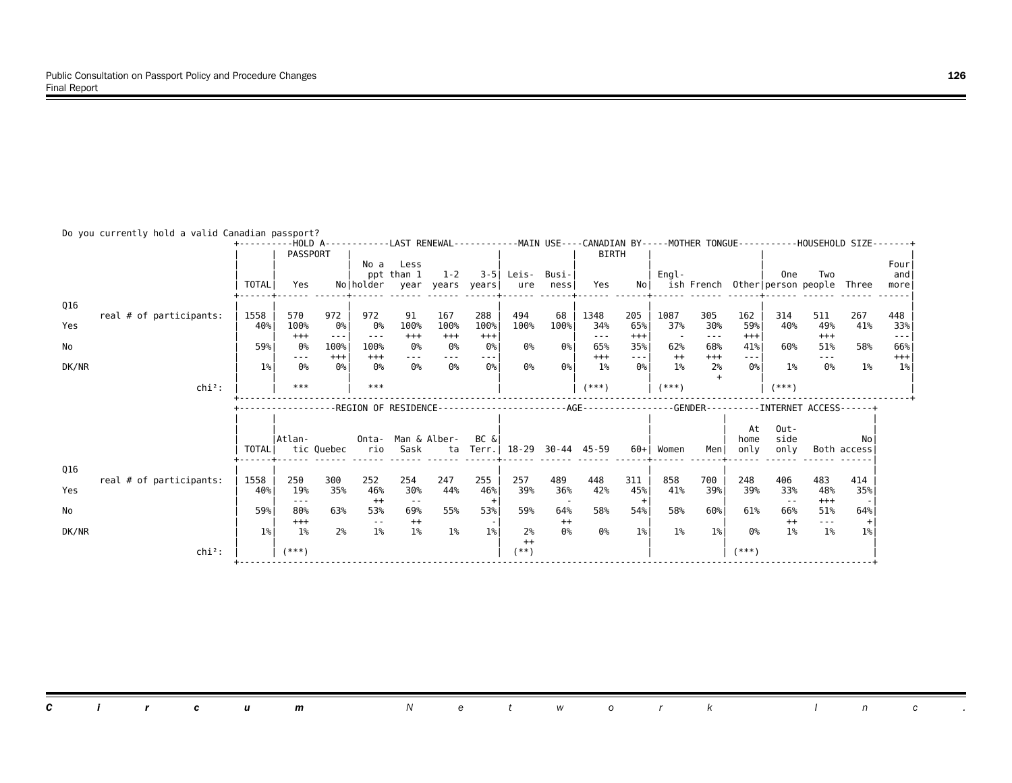| po you currently noid a valid canadian passport? |              |                 | - HOLD A- -   | -------- LAST RENEWAL---------            |            |              |         |               |         | -MAIN USE----CANADIAN BY-----MOTHER TONGUE-----------HOUSEHOLD SIZE-                                                                                                                                                                                                                                                                                                                         |          |          |                                           |         |            |          |             |                                                                                                                                                                                                                                                                                                                                                                                              |
|--------------------------------------------------|--------------|-----------------|---------------|-------------------------------------------|------------|--------------|---------|---------------|---------|----------------------------------------------------------------------------------------------------------------------------------------------------------------------------------------------------------------------------------------------------------------------------------------------------------------------------------------------------------------------------------------------|----------|----------|-------------------------------------------|---------|------------|----------|-------------|----------------------------------------------------------------------------------------------------------------------------------------------------------------------------------------------------------------------------------------------------------------------------------------------------------------------------------------------------------------------------------------------|
|                                                  |              | <b>PASSPORT</b> |               |                                           |            |              |         |               |         | <b>BIRTH</b>                                                                                                                                                                                                                                                                                                                                                                                 |          |          |                                           |         |            |          |             |                                                                                                                                                                                                                                                                                                                                                                                              |
|                                                  |              |                 |               | No a                                      | Less       |              |         |               |         |                                                                                                                                                                                                                                                                                                                                                                                              |          |          |                                           |         |            |          |             | Four                                                                                                                                                                                                                                                                                                                                                                                         |
|                                                  |              |                 |               |                                           | ppt than 1 | $1 - 2$      | $3 - 5$ | Lei s-        | Busi-   |                                                                                                                                                                                                                                                                                                                                                                                              |          | $Engl -$ |                                           |         | <b>One</b> | Two      |             | and                                                                                                                                                                                                                                                                                                                                                                                          |
|                                                  | <b>TOTAL</b> | Yes             |               | No   hol der                              |            | year years   | years   | ure           | ness    | Yes                                                                                                                                                                                                                                                                                                                                                                                          | No l     |          | ish French Other person people            |         |            |          | Three       | more                                                                                                                                                                                                                                                                                                                                                                                         |
| Q16                                              |              |                 |               |                                           |            |              |         |               |         |                                                                                                                                                                                                                                                                                                                                                                                              |          |          |                                           |         |            |          |             |                                                                                                                                                                                                                                                                                                                                                                                              |
| real # of participants:                          | 1558         | 570             | 972           | 972                                       | 91         | 167          | 288     | 494           | 68      | 1348                                                                                                                                                                                                                                                                                                                                                                                         | 205      | 1087     | 305                                       | 162     | 314        | 511      | 267         | 448                                                                                                                                                                                                                                                                                                                                                                                          |
| Yes                                              | 40%          | 100%            | 0%            | 0%                                        | 100%       | 100%         | 100%    | 100%          | 100%    | 34%                                                                                                                                                                                                                                                                                                                                                                                          | 65%      | 37%      | 30%                                       | 59%     | 40%        | 49%      | 41%         | 33%                                                                                                                                                                                                                                                                                                                                                                                          |
|                                                  |              | $^{+++}$        | $\frac{1}{2}$ | $\frac{1}{2}$                             | $^{+++}$   | $+++$        | $+++$   |               |         | $\frac{1}{2} \frac{1}{2} \frac{1}{2} \frac{1}{2} \frac{1}{2} \frac{1}{2} \frac{1}{2} \frac{1}{2} \frac{1}{2} \frac{1}{2} \frac{1}{2} \frac{1}{2} \frac{1}{2} \frac{1}{2} \frac{1}{2} \frac{1}{2} \frac{1}{2} \frac{1}{2} \frac{1}{2} \frac{1}{2} \frac{1}{2} \frac{1}{2} \frac{1}{2} \frac{1}{2} \frac{1}{2} \frac{1}{2} \frac{1}{2} \frac{1}{2} \frac{1}{2} \frac{1}{2} \frac{1}{2} \frac{$ | $^{+++}$ |          | $- - -$                                   | $+++$   |            | $^{+++}$ |             | $\frac{1}{2} \frac{1}{2} \frac{1}{2} \frac{1}{2} \frac{1}{2} \frac{1}{2} \frac{1}{2} \frac{1}{2} \frac{1}{2} \frac{1}{2} \frac{1}{2} \frac{1}{2} \frac{1}{2} \frac{1}{2} \frac{1}{2} \frac{1}{2} \frac{1}{2} \frac{1}{2} \frac{1}{2} \frac{1}{2} \frac{1}{2} \frac{1}{2} \frac{1}{2} \frac{1}{2} \frac{1}{2} \frac{1}{2} \frac{1}{2} \frac{1}{2} \frac{1}{2} \frac{1}{2} \frac{1}{2} \frac{$ |
| No                                               | 59%          | 0%              | 100%          | 100%                                      | 0%         | <b>O%</b>    | 0%      | 0%            | 0%      | 65%                                                                                                                                                                                                                                                                                                                                                                                          | 35%      | 62%      | 68%                                       | 41%     | 60%        | 51%      | 58%         | 66%                                                                                                                                                                                                                                                                                                                                                                                          |
|                                                  |              |                 | $+++$         | $^{+++}$                                  |            |              | - - -   |               |         | $^{+++}$                                                                                                                                                                                                                                                                                                                                                                                     | $- - -$  | $^{++}$  | $^{+++}$                                  | - - -   |            | - - -    |             | $^{+++}$                                                                                                                                                                                                                                                                                                                                                                                     |
| DK/NR                                            | 1%           | 0%              | 0%            | 0%                                        | 0%         | 0%           | $0\%$   | 0%            | 0%      | 1%                                                                                                                                                                                                                                                                                                                                                                                           | 0%       | 1%       | 2%                                        | 0%      | 1%         | 0%       | 1%          | 1%                                                                                                                                                                                                                                                                                                                                                                                           |
| chi <sup>2</sup> :                               |              | ***             |               | $***$                                     |            |              |         |               |         | $(***)$                                                                                                                                                                                                                                                                                                                                                                                      |          | $(***)$  |                                           |         | $(***)$    |          |             |                                                                                                                                                                                                                                                                                                                                                                                              |
|                                                  |              |                 |               | - REGION OF RESIDENCE-------------------- |            |              |         |               |         | - AGE - - - - - - - - - - - - - - -                                                                                                                                                                                                                                                                                                                                                          |          |          | - GENDER---------- INTERNET ACCESS------+ |         |            |          |             |                                                                                                                                                                                                                                                                                                                                                                                              |
|                                                  |              |                 |               |                                           |            |              |         |               |         |                                                                                                                                                                                                                                                                                                                                                                                              |          |          |                                           |         |            |          |             |                                                                                                                                                                                                                                                                                                                                                                                              |
|                                                  |              |                 |               |                                           |            |              |         |               |         |                                                                                                                                                                                                                                                                                                                                                                                              |          |          |                                           | At      | $0$ ut-    |          |             |                                                                                                                                                                                                                                                                                                                                                                                              |
|                                                  |              | Atl an-         |               | Onta-                                     |            | Man & Alber- | BC &    |               |         |                                                                                                                                                                                                                                                                                                                                                                                              |          |          |                                           | home    | si de      |          | No          |                                                                                                                                                                                                                                                                                                                                                                                              |
|                                                  | <b>TOTAL</b> |                 | tic Quebec    | ri o                                      | Sask       | ta           | Terr.   |               |         | 18-29 30-44 45-59                                                                                                                                                                                                                                                                                                                                                                            | $60+$    | Women    | Men                                       | onl y   | onl y      |          | Both access |                                                                                                                                                                                                                                                                                                                                                                                              |
| Q16                                              |              |                 |               |                                           |            |              |         |               |         |                                                                                                                                                                                                                                                                                                                                                                                              |          |          |                                           |         |            |          |             |                                                                                                                                                                                                                                                                                                                                                                                              |
| real # of participants:                          | 1558         | 250             | 300           | 252                                       | 254        | 247          | 255     | 257           | 489     | 448                                                                                                                                                                                                                                                                                                                                                                                          | 311      | 858      | 700                                       | 248     | 406        | 483      | 414         |                                                                                                                                                                                                                                                                                                                                                                                              |
| Yes                                              | 40%          | 19%             | 35%           | 46%                                       | 30%        | 44%          | 46%     | 39%           | 36%     | 42%                                                                                                                                                                                                                                                                                                                                                                                          | 45%      | 41%      | 39%                                       | 39%     | 33%        | 48%      | 35%         |                                                                                                                                                                                                                                                                                                                                                                                              |
|                                                  |              | $- - -$         |               | $^{++}$                                   | $ -$       |              | $^{+}$  |               |         |                                                                                                                                                                                                                                                                                                                                                                                              |          |          |                                           |         | $- -$      | $^{+++}$ |             |                                                                                                                                                                                                                                                                                                                                                                                              |
| No                                               | 59%          | 80%             | 63%           | 53%                                       | 69%        | 55%          | 53%     | 59%           | 64%     | 58%                                                                                                                                                                                                                                                                                                                                                                                          | 54%      | 58%      | 60%                                       | 61%     | 66%        | 51%      | 64%         |                                                                                                                                                                                                                                                                                                                                                                                              |
|                                                  |              | $^{+++}$        |               | $\frac{1}{2}$                             | $^{++}$    |              |         |               | $^{++}$ |                                                                                                                                                                                                                                                                                                                                                                                              |          |          |                                           |         | $^{++}$    | - - -    |             |                                                                                                                                                                                                                                                                                                                                                                                              |
| DK/NR                                            | 1%           | 1%              | 2%            | 1%                                        | 1%         | 1%           | 1%      | 2%<br>$^{++}$ | 0%      | 0%                                                                                                                                                                                                                                                                                                                                                                                           | $1\%$    | 1%       | 1%                                        | 0%      | 1%         | 1%       | 1%          |                                                                                                                                                                                                                                                                                                                                                                                              |
| chi <sup>2</sup> :                               |              | $(***)$         |               |                                           |            |              |         | $(**)$        |         |                                                                                                                                                                                                                                                                                                                                                                                              |          |          |                                           | $(***)$ |            |          |             |                                                                                                                                                                                                                                                                                                                                                                                              |

Do you currently hold a valid Canadian passport?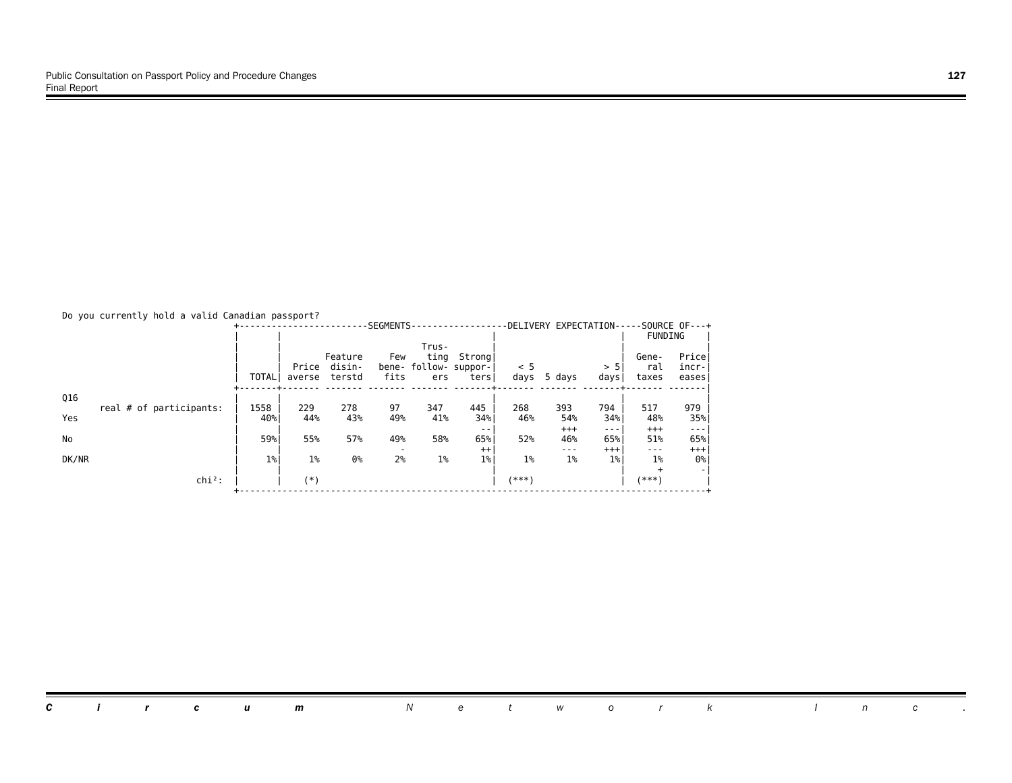## Do you currently hold a valid Canadian passport?

|                         |              |       |               | <b>SEGMENTS-</b> |                     |         |         | DELIVERY EXPECTATION |               |                | SOURCE $0F---$ |
|-------------------------|--------------|-------|---------------|------------------|---------------------|---------|---------|----------------------|---------------|----------------|----------------|
|                         |              |       |               |                  |                     |         |         |                      |               | <b>FUNDING</b> |                |
|                         |              |       |               |                  | Trus-               |         |         |                      |               |                |                |
|                         |              |       | Feature       | Few              | ting                | Strong  |         |                      |               | Gene-          | Pri ce         |
|                         |              |       | Price disin-  |                  | bene-follow-suppor- |         | < 5     |                      | > 5           | ral            | i ncr-         |
|                         | <b>TOTAL</b> |       | averse terstd | fits             | ers                 | ters    | days    | 5 days               | $_{\rm days}$ | taxes          | eases          |
| Q16                     |              |       |               |                  |                     |         |         |                      |               |                |                |
| real # of participants: | 1558         | 229   | 278           | 97               | 347                 | 445     | 268     | 393                  | 794           | 517            | 979            |
| Yes                     | 40%          | 44%   | 43%           | 49%              | 41%                 | 34%     | 46%     | 54%                  | 34%           | 48%            | 35%            |
|                         |              |       |               |                  |                     | $- -$   |         | $^{+++}$             | $- - -$       | $^{+++}$       | $- - -$        |
| No                      | 59%          | 55%   | 57%           | 49%              | 58%                 | 65%     | 52%     | 46%                  | 65%           | 51%            | 65%            |
|                         |              |       |               |                  |                     | $^{++}$ |         | $- - -$              | $^{+++}$      | ---            | $^{+++}$       |
| DK/NR                   | 1%           | 1%    | 0%            | 2%               | 1%                  | 1%      | 1%      | 1%                   | 1%            | 1%             | 0%             |
|                         |              |       |               |                  |                     |         |         |                      |               |                |                |
| chi <sup>2</sup> :      |              | $(*)$ |               |                  |                     |         | $(***)$ |                      |               | $(***)$        |                |
|                         |              |       |               |                  |                     |         |         |                      |               |                |                |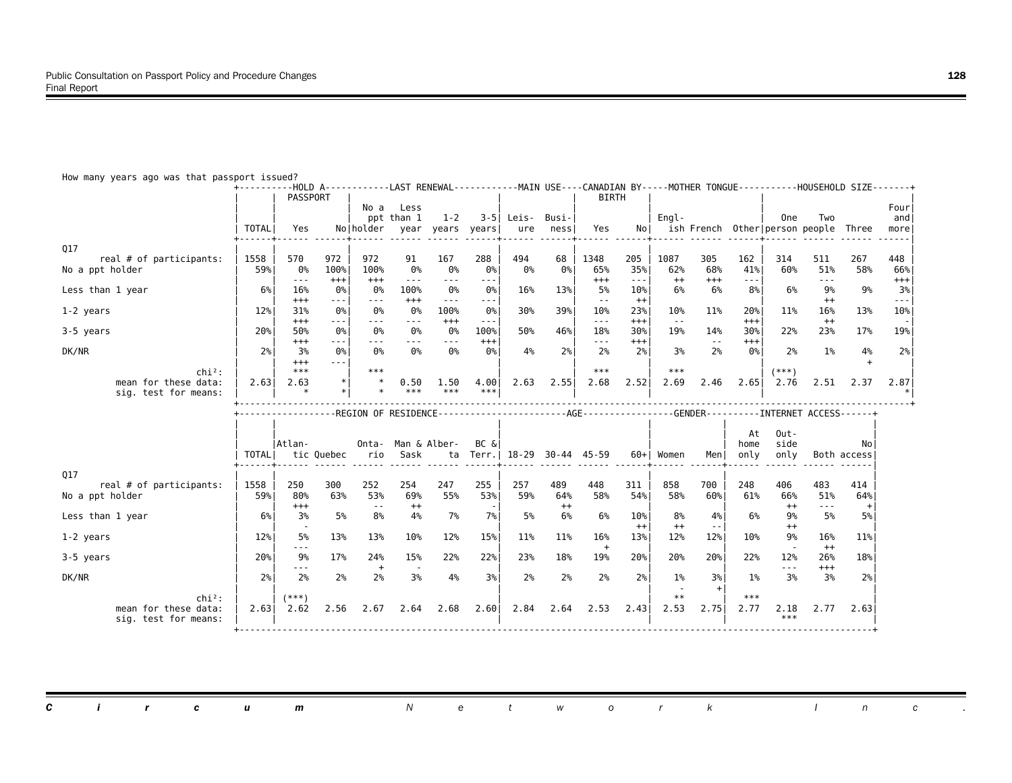|                         |              |                 | - HOLD A---                                                                                                                                                                                                                                                                                                                                                                                  | --------- LAST RENEWAL----------- MAIN USE---- CANADIAN BY----- MOTHER TONGUE---------- HOUSEHOLD SIZE--- |                 |                             |                                                                                                                                                                                                                                                                                                                                                                                              |                              |                |                        |            |             |                                           |            |                                 |                |             |                      |
|-------------------------|--------------|-----------------|----------------------------------------------------------------------------------------------------------------------------------------------------------------------------------------------------------------------------------------------------------------------------------------------------------------------------------------------------------------------------------------------|-----------------------------------------------------------------------------------------------------------|-----------------|-----------------------------|----------------------------------------------------------------------------------------------------------------------------------------------------------------------------------------------------------------------------------------------------------------------------------------------------------------------------------------------------------------------------------------------|------------------------------|----------------|------------------------|------------|-------------|-------------------------------------------|------------|---------------------------------|----------------|-------------|----------------------|
|                         |              | <b>PASSPORT</b> |                                                                                                                                                                                                                                                                                                                                                                                              |                                                                                                           |                 |                             |                                                                                                                                                                                                                                                                                                                                                                                              |                              |                | <b>BIRTH</b>           |            |             |                                           |            |                                 |                |             |                      |
|                         |              |                 |                                                                                                                                                                                                                                                                                                                                                                                              | No a                                                                                                      | Less            |                             |                                                                                                                                                                                                                                                                                                                                                                                              |                              |                |                        |            |             |                                           |            |                                 |                |             | Four                 |
|                         | <b>TOTAL</b> | Yes             |                                                                                                                                                                                                                                                                                                                                                                                              | No   hol der                                                                                              | ppt than 1      | $1 - 2$<br>year years years |                                                                                                                                                                                                                                                                                                                                                                                              | $3-5$ Leis-<br>ure           | Busi -<br>ness | Yes                    |            | $Engl -$    | No ish French Other person people Three   |            | 0ne                             | Two            |             | and<br>more          |
|                         |              |                 |                                                                                                                                                                                                                                                                                                                                                                                              |                                                                                                           |                 |                             |                                                                                                                                                                                                                                                                                                                                                                                              |                              |                |                        |            |             |                                           |            |                                 |                |             |                      |
| Q17                     |              |                 |                                                                                                                                                                                                                                                                                                                                                                                              |                                                                                                           |                 |                             |                                                                                                                                                                                                                                                                                                                                                                                              |                              |                |                        |            |             |                                           |            |                                 |                |             |                      |
| real # of participants: | 1558<br>59%  | 570<br>0%       | 972<br>100%                                                                                                                                                                                                                                                                                                                                                                                  | 972<br>100%                                                                                               | 91<br><b>0%</b> | 167<br>0%                   | 288                                                                                                                                                                                                                                                                                                                                                                                          | 494<br>0%                    | 68             | 1348<br>65%            | 205<br>35% | 1087<br>62% | 305<br>68%                                | 162<br>41% | 314<br>60%                      | 511<br>51%     | 267<br>58%  | 448<br>66%           |
| No a ppt holder         |              | $- - -$         | $^{+++}$                                                                                                                                                                                                                                                                                                                                                                                     | $^{+++}$                                                                                                  | $- - -$         | $- - -$                     | 0%<br>$- - -$                                                                                                                                                                                                                                                                                                                                                                                |                              | 0%             | $^{+++}$               | $- - -$    | $^{++}$     | $^{+++}$                                  | $- - -$    |                                 | $- - -$        |             | $^{+++}$             |
| Less than 1 year        | 6%           | 16%             | 0%                                                                                                                                                                                                                                                                                                                                                                                           | 0%                                                                                                        | 100%            | 0%                          | 0%                                                                                                                                                                                                                                                                                                                                                                                           | 16%                          | 13%            | 5%                     | 10%        | 6%          | 6%                                        | 8%         | 6%                              | 9%             | 9%          | 3%                   |
|                         |              | $^{++}$         | $- - -$                                                                                                                                                                                                                                                                                                                                                                                      | $- - -$                                                                                                   | $^{+++}$        | $- - -$                     | $\frac{1}{2} \frac{1}{2} \frac{1}{2} \frac{1}{2} \frac{1}{2} \frac{1}{2} \frac{1}{2} \frac{1}{2} \frac{1}{2} \frac{1}{2} \frac{1}{2} \frac{1}{2} \frac{1}{2} \frac{1}{2} \frac{1}{2} \frac{1}{2} \frac{1}{2} \frac{1}{2} \frac{1}{2} \frac{1}{2} \frac{1}{2} \frac{1}{2} \frac{1}{2} \frac{1}{2} \frac{1}{2} \frac{1}{2} \frac{1}{2} \frac{1}{2} \frac{1}{2} \frac{1}{2} \frac{1}{2} \frac{$ |                              |                | $- -$                  | $^{++}$    |             |                                           |            |                                 | $^{++}$        |             | $\sim$ $\sim$ $\sim$ |
| $1-2$ years             | 12%          | 31%             | 0%                                                                                                                                                                                                                                                                                                                                                                                           | 0%                                                                                                        | 0%              | 100%                        | $0\%$                                                                                                                                                                                                                                                                                                                                                                                        | 30%                          | 39%            | 10%                    | 23%        | 10%         | 11%                                       | 20%        | 11%                             | 16%            | 13%         | 10%                  |
|                         |              | $^{++}$         | $- - -$                                                                                                                                                                                                                                                                                                                                                                                      | $- - -$                                                                                                   | ---             | $^{+++}$                    | $\frac{1}{2} \frac{1}{2} \frac{1}{2} \frac{1}{2} \frac{1}{2} \frac{1}{2} \frac{1}{2} \frac{1}{2} \frac{1}{2} \frac{1}{2} \frac{1}{2} \frac{1}{2} \frac{1}{2} \frac{1}{2} \frac{1}{2} \frac{1}{2} \frac{1}{2} \frac{1}{2} \frac{1}{2} \frac{1}{2} \frac{1}{2} \frac{1}{2} \frac{1}{2} \frac{1}{2} \frac{1}{2} \frac{1}{2} \frac{1}{2} \frac{1}{2} \frac{1}{2} \frac{1}{2} \frac{1}{2} \frac{$ |                              |                | $- - -$                | $^{+++}$   | $\sim$ $-$  |                                           | $^{+++}$   |                                 | $^{++}$        |             |                      |
| $3-5$ years             | 20%          | 50%             | 0%                                                                                                                                                                                                                                                                                                                                                                                           | 0%                                                                                                        | 0%              | 0%                          | 100%                                                                                                                                                                                                                                                                                                                                                                                         | 50%                          | 46%            | 18%                    | 30%        | 19%         | 14%                                       | 30%        | 22%                             | 23%            | 17%         | 19%                  |
|                         |              | $^{+++}$        |                                                                                                                                                                                                                                                                                                                                                                                              | $- - -$                                                                                                   |                 | $- - -$                     | $^{++}$                                                                                                                                                                                                                                                                                                                                                                                      |                              |                | $- - -$                | $^{+++}$   |             | $\sim$ $-$                                | $^{+++}$   |                                 |                |             |                      |
| DK/NR                   | 2%           | 3%              | 0%                                                                                                                                                                                                                                                                                                                                                                                           | 0%                                                                                                        | 0%              | 0%                          | 0%                                                                                                                                                                                                                                                                                                                                                                                           | 4%                           | 2%             | 2%                     | 2%         | 3%          | $2\%$                                     | 0%         | $2\%$                           | 1%             | 4%          | $2\%$                |
|                         |              | $^{++}$         | $\frac{1}{2} \frac{1}{2} \frac{1}{2} \frac{1}{2} \frac{1}{2} \frac{1}{2} \frac{1}{2} \frac{1}{2} \frac{1}{2} \frac{1}{2} \frac{1}{2} \frac{1}{2} \frac{1}{2} \frac{1}{2} \frac{1}{2} \frac{1}{2} \frac{1}{2} \frac{1}{2} \frac{1}{2} \frac{1}{2} \frac{1}{2} \frac{1}{2} \frac{1}{2} \frac{1}{2} \frac{1}{2} \frac{1}{2} \frac{1}{2} \frac{1}{2} \frac{1}{2} \frac{1}{2} \frac{1}{2} \frac{$ |                                                                                                           |                 |                             |                                                                                                                                                                                                                                                                                                                                                                                              |                              |                |                        |            |             |                                           |            |                                 |                |             |                      |
| $chi^2$ :               |              | $***$           |                                                                                                                                                                                                                                                                                                                                                                                              | $***$                                                                                                     |                 |                             |                                                                                                                                                                                                                                                                                                                                                                                              |                              |                | $***$                  |            | ***         |                                           |            | $(***)$                         |                |             |                      |
| mean for these data:    | 2.63         | 2.63            | $\ast$<br>$\ast$                                                                                                                                                                                                                                                                                                                                                                             |                                                                                                           | 0.50            | 1.50<br>***                 | 4.00<br>***                                                                                                                                                                                                                                                                                                                                                                                  | 2.63                         | 2.55           | 2.68                   | 2.52       | 2.69        | 2.46                                      | 2.65       | 2.76                            | 2.51           | 2.37        | 2.87                 |
| sig. test for means:    |              |                 |                                                                                                                                                                                                                                                                                                                                                                                              |                                                                                                           |                 |                             |                                                                                                                                                                                                                                                                                                                                                                                              |                              |                |                        |            |             |                                           |            |                                 |                |             |                      |
|                         |              |                 |                                                                                                                                                                                                                                                                                                                                                                                              | <b>REGION OF RESIDENCE--</b>                                                                              |                 |                             |                                                                                                                                                                                                                                                                                                                                                                                              |                              |                | - AGE----------------- |            |             | - GENDER---------- INTERNET ACCESS------+ |            |                                 |                |             |                      |
|                         |              |                 |                                                                                                                                                                                                                                                                                                                                                                                              |                                                                                                           |                 |                             |                                                                                                                                                                                                                                                                                                                                                                                              |                              |                |                        |            |             |                                           |            |                                 |                |             |                      |
|                         |              |                 |                                                                                                                                                                                                                                                                                                                                                                                              |                                                                                                           |                 |                             |                                                                                                                                                                                                                                                                                                                                                                                              |                              |                |                        |            |             |                                           | At         | $0$ ut-                         |                |             |                      |
|                         |              | Atl an-         |                                                                                                                                                                                                                                                                                                                                                                                              | Onta-                                                                                                     | Man & Alber-    |                             | BC &                                                                                                                                                                                                                                                                                                                                                                                         |                              |                |                        |            |             |                                           | home       | side                            |                | No          |                      |
|                         | <b>TOTAL</b> |                 | tic Quebec                                                                                                                                                                                                                                                                                                                                                                                   | ri o                                                                                                      | Sask            |                             |                                                                                                                                                                                                                                                                                                                                                                                              | ta Terr.   18-29 30-44 45-59 |                |                        |            | $60+$ Women | Men                                       | onl y      | onl y                           |                | Both access |                      |
|                         |              |                 |                                                                                                                                                                                                                                                                                                                                                                                              |                                                                                                           |                 |                             |                                                                                                                                                                                                                                                                                                                                                                                              |                              |                |                        |            |             |                                           |            |                                 |                |             |                      |
| Q17                     |              |                 |                                                                                                                                                                                                                                                                                                                                                                                              |                                                                                                           |                 |                             |                                                                                                                                                                                                                                                                                                                                                                                              |                              |                |                        |            |             |                                           |            |                                 |                |             |                      |
| real # of participants: | 1558         | 250             | 300                                                                                                                                                                                                                                                                                                                                                                                          | 252                                                                                                       | 254             | 247                         | 255                                                                                                                                                                                                                                                                                                                                                                                          | 257                          | 489            | 448                    | 311        | 858         | 700                                       | 248        | 406                             | 483            | 414         |                      |
| No a ppt holder         | 59%          | 80%             | 63%                                                                                                                                                                                                                                                                                                                                                                                          | 53%                                                                                                       | 69%             | 55%                         | 53%                                                                                                                                                                                                                                                                                                                                                                                          | 59%                          | 64%            | 58%                    | 54%        | 58%         | 60%                                       | 61%        | 66%                             | 51%            | 64%         |                      |
|                         |              | $^{+++}$        |                                                                                                                                                                                                                                                                                                                                                                                              | $\sim$ $\sim$                                                                                             | $^{++}$         |                             |                                                                                                                                                                                                                                                                                                                                                                                              |                              | $^{++}$        |                        |            |             |                                           |            | $^{++}$                         | $- - -$        |             |                      |
| Less than 1 year        | 6%           | 3%              | 5%                                                                                                                                                                                                                                                                                                                                                                                           | 8%                                                                                                        | 4%              | 7%                          | 7%                                                                                                                                                                                                                                                                                                                                                                                           | 5%                           | 6%             | 6%                     | 10%        | 8%          | 4%                                        | 6%         | 9%                              | 5%             | 5%          |                      |
|                         |              |                 |                                                                                                                                                                                                                                                                                                                                                                                              |                                                                                                           |                 |                             |                                                                                                                                                                                                                                                                                                                                                                                              |                              |                |                        | $^{++}$    | $^{++}$     | $- -$                                     |            | $^{++}$                         |                |             |                      |
| $1 - 2$ years           | 12%          | 5%              | 13%                                                                                                                                                                                                                                                                                                                                                                                          | 13%                                                                                                       | 10%             | 12%                         | 15%                                                                                                                                                                                                                                                                                                                                                                                          | 11%                          | 11%            | 16%                    | 13%        | 12%         | 12%                                       | 10%        | 9%                              | 16%            | 11%         |                      |
| $3-5$ years             | 20%          | $- - -$<br>9%   | 17%                                                                                                                                                                                                                                                                                                                                                                                          | 24%                                                                                                       | 15%             | 22%                         | 22%                                                                                                                                                                                                                                                                                                                                                                                          | 23%                          | 18%            | 19%                    | 20%        | 20%         | 20%                                       | 22%        | $\overline{\phantom{a}}$<br>12% | $^{++}$<br>26% | 18%         |                      |
|                         |              | $- - -$         |                                                                                                                                                                                                                                                                                                                                                                                              |                                                                                                           |                 |                             |                                                                                                                                                                                                                                                                                                                                                                                              |                              |                |                        |            |             |                                           |            | $- - -$                         |                |             |                      |
|                         |              |                 |                                                                                                                                                                                                                                                                                                                                                                                              | $+$                                                                                                       |                 |                             |                                                                                                                                                                                                                                                                                                                                                                                              | $2\%$                        | $2\%$          | $2\%$                  | $2\%$      | 1%          | 3%                                        | 1%         | 3%                              | $^{+++}$<br>3% | 2%          |                      |
|                         |              |                 |                                                                                                                                                                                                                                                                                                                                                                                              |                                                                                                           |                 |                             |                                                                                                                                                                                                                                                                                                                                                                                              |                              |                |                        |            |             |                                           |            |                                 |                |             |                      |
| DK/NR                   | 2%           | $2\%$           | 2%                                                                                                                                                                                                                                                                                                                                                                                           | 2%                                                                                                        | 3%              | 4%                          | 3%                                                                                                                                                                                                                                                                                                                                                                                           |                              |                |                        |            |             |                                           |            |                                 |                |             |                      |
| chi $^2$ :              |              | $(***)$         |                                                                                                                                                                                                                                                                                                                                                                                              |                                                                                                           |                 |                             |                                                                                                                                                                                                                                                                                                                                                                                              |                              |                |                        |            | $**$        |                                           | ***        |                                 |                |             |                      |
| mean for these data:    | 2.63         | 2.62            | 2.56                                                                                                                                                                                                                                                                                                                                                                                         | 2.67                                                                                                      | 2.64            | 2.68                        | 2.60                                                                                                                                                                                                                                                                                                                                                                                         | 2.84                         | 2.64           | 2.53                   | 2.43       | 2.53        | 2.75                                      | 2.77       | 2.18                            | 2.77           | 2.63        |                      |
| sig. test for means:    |              |                 |                                                                                                                                                                                                                                                                                                                                                                                              |                                                                                                           |                 |                             |                                                                                                                                                                                                                                                                                                                                                                                              |                              |                |                        |            |             |                                           |            | ***                             |                |             |                      |

How many years ago was that passport issued?

|  |  |  | <b>Circum</b> Network Inc. |  |  |  |  |  |  |
|--|--|--|----------------------------|--|--|--|--|--|--|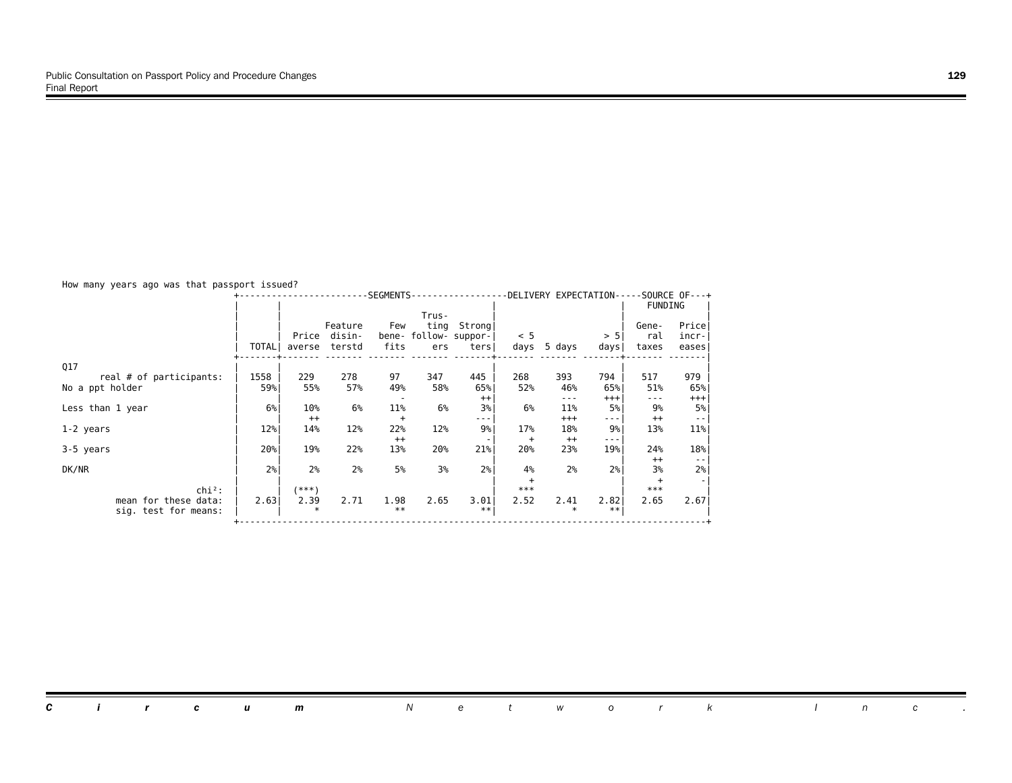How many years ago was that passport issued?

|                         |              |         |          | <b>SEGMENTS-</b> |                |               |              | DELIVERY EXPECTATION- |               |                | SOURCE $0F - -$   |
|-------------------------|--------------|---------|----------|------------------|----------------|---------------|--------------|-----------------------|---------------|----------------|-------------------|
|                         |              |         |          |                  |                |               |              |                       |               | <b>FUNDING</b> |                   |
|                         |              |         |          |                  | Trus-          |               |              |                       |               |                |                   |
|                         |              |         | Feature  | Few              |                | ting Strong   |              |                       |               | Gene-          | Pri ce            |
|                         |              | Pri ce  | di si n- | bene-            | follow-suppor- |               | < 5          |                       | > 5           | ral            | i ncr-            |
|                         | <b>TOTAL</b> | averse  | terstd   | fits             | ers            | ters          | days         | 5 days                | days          | taxes          | eases             |
| Q17                     |              |         |          |                  |                |               |              |                       |               |                |                   |
| real # of participants: | 1558         | 229     | 278      | 97               | 347            | 445           | 268          | 393                   | 794           | 517            | 979               |
| No a ppt holder         | 59%          | 55%     | 57%      | 49%              | 58%            | 65%           | 52%          | 46%                   | 65%           | 51%            | 65%               |
|                         |              |         |          |                  |                | $^{++}$       |              | $\frac{1}{2}$         | $^{+++}$      | $- - -$        | $^{+++}$          |
| Less than 1 year        | 6%           | 10%     | 6%       | 11%              | 6%             | 3%            | 6%           | 11%                   | 5%            | 9%             | 5%                |
|                         |              | $^{++}$ |          | $^{+}$           |                | - - -         |              | $^{+++}$              | - - -         | $^{++}$        |                   |
| $1 - 2$ years           | 12%          | 14%     | 12%      | 22%              | 12%            | 9%            | 17%          | 18%                   | 9%            | 13%            | 11%               |
|                         |              |         |          | $^{++}$          |                |               | $+$          | $^{++}$               | $- - -$       |                |                   |
| $3-5$ years             | 20%          | 19%     | 22%      | 13%              | 20%            | 21%           | 20%          | 23%                   | 19%           | 24%            | 18%               |
|                         |              |         |          |                  |                |               |              |                       |               | $^{++}$        | $\qquad \qquad -$ |
| DK/NR                   | 2%           | 2%      | 2%       | 5%               | 3%             | 2%            | 4%           | 2%                    | 2%            | 3%             | $2\%$             |
|                         |              |         |          |                  |                |               | $+$<br>$***$ |                       |               | $***$          |                   |
| $chi^2$ :               |              | $(***)$ |          |                  |                |               |              |                       |               |                |                   |
| mean for these data:    | 2.63         | 2.39    | 2.71     | 1.98<br>$***$    | 2.65           | 3.01<br>$***$ | 2.52         | 2.41                  | 2.82<br>$***$ | 2.65           | 2.67              |
| sig. test for means:    |              |         |          |                  |                |               |              |                       |               |                |                   |
|                         |              |         |          |                  |                |               |              |                       |               |                |                   |

-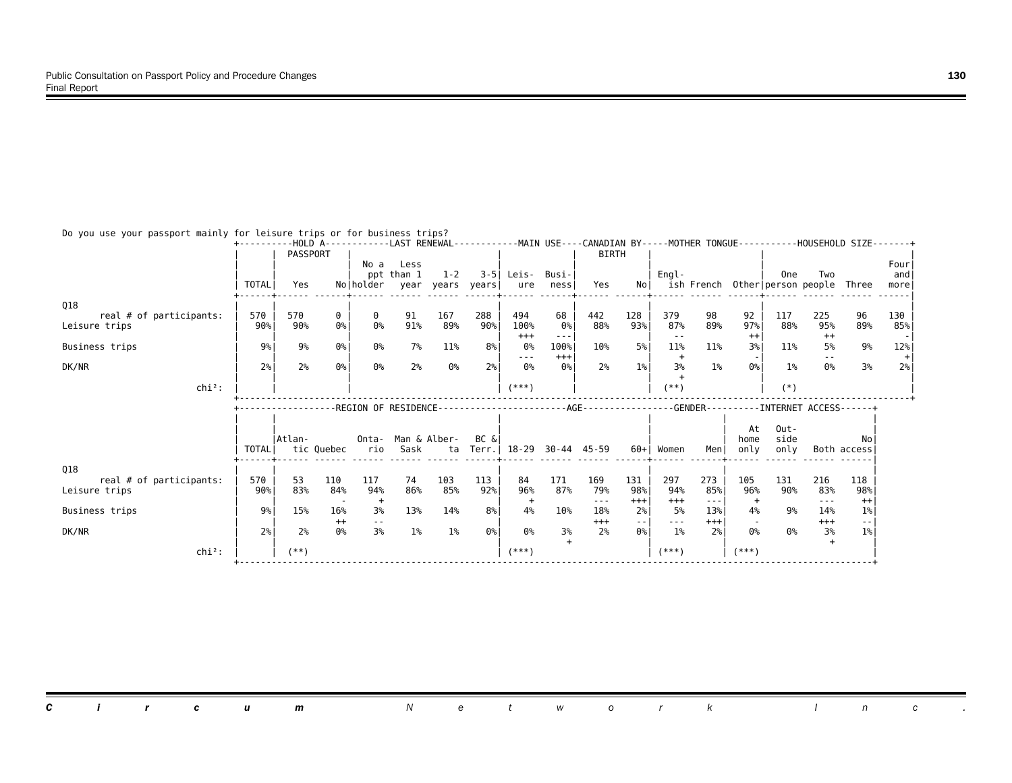|                                                                   |                  |                        |                      |                                |                    |                             |                  |                               |                             | -HOLD A-----------LAST RENEWAL-----------MAIN USE----CANADIAN BY-----MOTHER TONGUE-----------HOUSEHOLD SIZE-- |                        |                                 |                                      |                            |                       |                                  |                       |                     |
|-------------------------------------------------------------------|------------------|------------------------|----------------------|--------------------------------|--------------------|-----------------------------|------------------|-------------------------------|-----------------------------|---------------------------------------------------------------------------------------------------------------|------------------------|---------------------------------|--------------------------------------|----------------------------|-----------------------|----------------------------------|-----------------------|---------------------|
|                                                                   | <b>TOTAL</b>     | <b>PASSPORT</b><br>Yes |                      | No a<br>No   hol der           | Less<br>ppt than 1 | $1 - 2$<br>year years years | $3 - 5$          | Lei s-<br>ure                 | Busi-<br>ness               | <b>BI RTH</b><br>Yes                                                                                          | No <sub>1</sub>        | $Engl -$                        | ish French Other person people Three |                            | <b>One</b>            | Two                              |                       | Four<br>and<br>more |
| Q18<br>real # of participants:<br>Leisure trips<br>Business trips | 570<br>90%<br>9% | 570<br>90%<br>9%       | $\bf{0}$<br>0%<br>0% | $\bf{0}$<br>0%<br>0%           | 91<br>91%<br>7%    | 167<br>89%<br>11%           | 288<br>90%<br>8% | 494<br>100%<br>$^{+++}$<br>0% | 68<br>0%<br>$- - -$<br>100% | 442<br>88%<br>10%                                                                                             | 128<br>93%<br>$5\%$    | 379<br>87%<br>$\sim$ $-$<br>11% | 98<br>89%<br>11%                     | 92<br>97%<br>$^{++}$<br>3% | 117<br>88%<br>11%     | 225<br>95%<br>$^{++}$<br>5%      | 96<br>89%<br>9%       | 130<br>85%<br>12%   |
| DK/NR                                                             | $2\%$            | $2\%$                  | 0%                   | 0%                             | 2%                 | 0%                          | $2\%$            | $- - -$<br>0%                 | $^{+++}$<br>0%              | $2\%$                                                                                                         | 1%                     | $^{+}$<br>3%                    | 1%                                   | 0%                         | 1%                    | $ -$<br>0%                       | 3%                    | $2\%$               |
| chi <sup>2</sup> :                                                |                  | Atl an-                |                      | REGION OF RESIDENCE--<br>Onta- | Man & Alber-       |                             | $BC \&$          | $(***)$                       | - AGE-                      |                                                                                                               |                        | $(**)$                          | - GENDER-                            | At<br>home                 | $(*)$<br>Out-<br>side | --------- INTERNET ACCESS------+ | No                    |                     |
|                                                                   | <b>TOTAL</b>     |                        | tic Quebec           | ri o                           | Sask               |                             | ta Terr.         |                               | $18-29$ 30-44 45-59         |                                                                                                               | $60+$                  | Women                           | Men                                  | onl y                      | onl y                 |                                  | Both access           |                     |
| <b>Q18</b><br>real # of participants:<br>Leisure trips            | 570<br>90%       | 53<br>83%              | 110<br>84%           | 117<br>94%<br>$^{+}$           | 74<br>86%          | 103<br>85%                  | 113<br>92%       | 84<br>96%                     | 171<br>87%                  | 169<br>79%<br>$- - -$                                                                                         | 131<br>98%<br>$^{+++}$ | 297<br>94%<br>$^{+++}$          | 273<br>85%<br>$- - -$                | 105<br>96%<br>$+$          | 131<br>90%            | 216<br>83%<br>$- - -$            | 118<br>98%<br>$^{++}$ |                     |
| Business trips<br>DK/NR                                           | 9%<br>2%         | 15%<br>2%              | 16%<br>$^{++}$<br>0% | 3%<br>$- -$<br>3%              | 13%<br>1%          | 14%<br>1%                   | 8%<br>$0\%$      | 4%<br>0%                      | 10%<br>3%                   | 18%<br>$^{+++}$<br>2%                                                                                         | $2\%$<br>$- -$<br>0%   | 5%<br>$- - -$<br>1%             | 13%<br>$^{+++}$<br>2%                | 4%<br>0%                   | 9%<br>0%              | 14%<br>$^{+++}$<br>3%            | 1%<br>$- -$<br>1%     |                     |
| chi <sup>2</sup> :                                                |                  | $(**)$                 |                      |                                |                    |                             |                  | $(***)$                       | $+$                         |                                                                                                               |                        | $(***)$                         |                                      | $(***)$                    |                       |                                  |                       |                     |

Do you use your passport mainly for leisure trips or for business trips?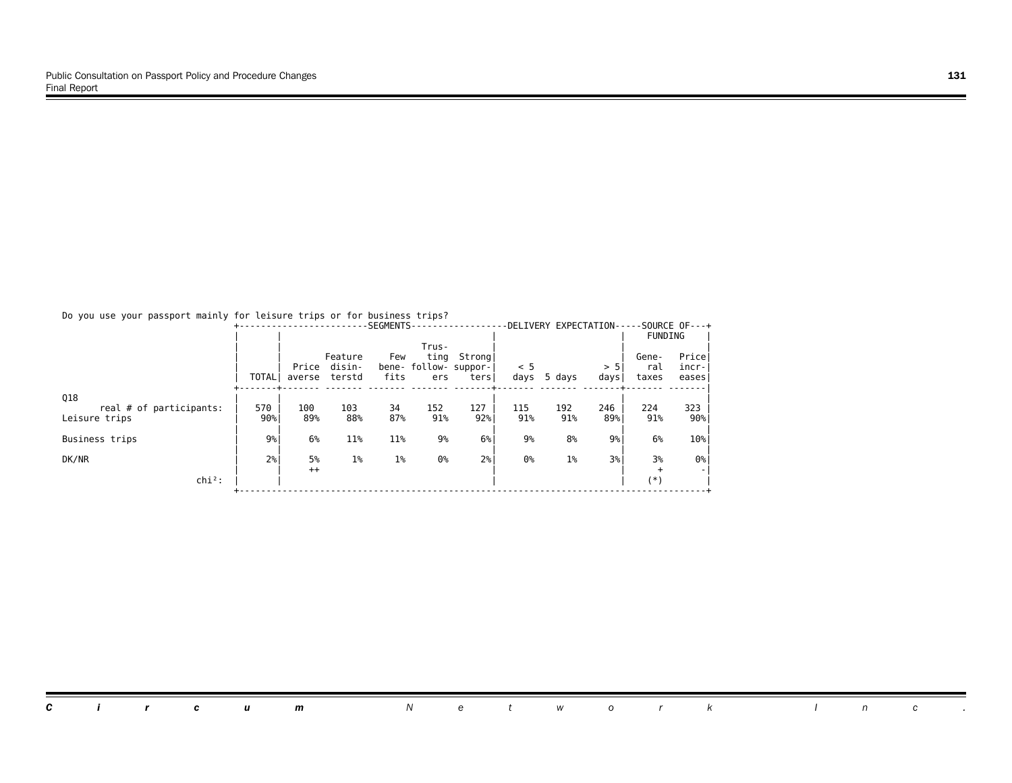| Do you use your passport mainly for leisure trips or for business trips? |  |  |  |
|--------------------------------------------------------------------------|--|--|--|
|--------------------------------------------------------------------------|--|--|--|

|                         |              |         |               | <b>SEGMENTS-</b> |                     |        |      | DELIVERY EXPECTATION |               |                | SOURCE $0F---$ |
|-------------------------|--------------|---------|---------------|------------------|---------------------|--------|------|----------------------|---------------|----------------|----------------|
|                         |              |         |               |                  |                     |        |      |                      |               | <b>FUNDING</b> |                |
|                         |              |         |               |                  | Trus-               |        |      |                      |               |                |                |
|                         |              |         | Feature       | Few              | ting                | Strong |      |                      |               | Gene-          | Pri ce         |
|                         |              |         | Price disin-  |                  | bene-follow-suppor- |        | < 5  |                      | > 5           | ral            | i ncr-         |
|                         | <b>TOTAL</b> |         | averse terstd | fits             | ers                 | ters   | days | 5 days               | $_{\rm days}$ | taxes          | eases          |
| Q18                     |              |         |               |                  |                     |        |      |                      |               |                |                |
| real # of participants: | 570          | 100     | 103           | 34               | 152                 | 127    | 115  | 192                  | 246           | 224            | 323            |
| Leisure trips           | 90%          | 89%     | 88%           | 87%              | 91%                 | 92%    | 91%  | 91%                  | 89%           | 91%            | 90%            |
| Business trips          | 9%           | 6%      | 11%           | 11%              | 9%                  | 6%     | 9%   | 8%                   | 9%            | 6%             | 10%            |
| DK/NR                   | 2%           | 5%      | 1%            | 1%               | 0%                  | 2%     | 0%   | 1%                   | 3%            | 3%             | 0%             |
| chi <sup>2</sup> :      |              | $^{++}$ |               |                  |                     |        |      |                      |               | $(*)$          |                |

*Circum Network Inc .*

-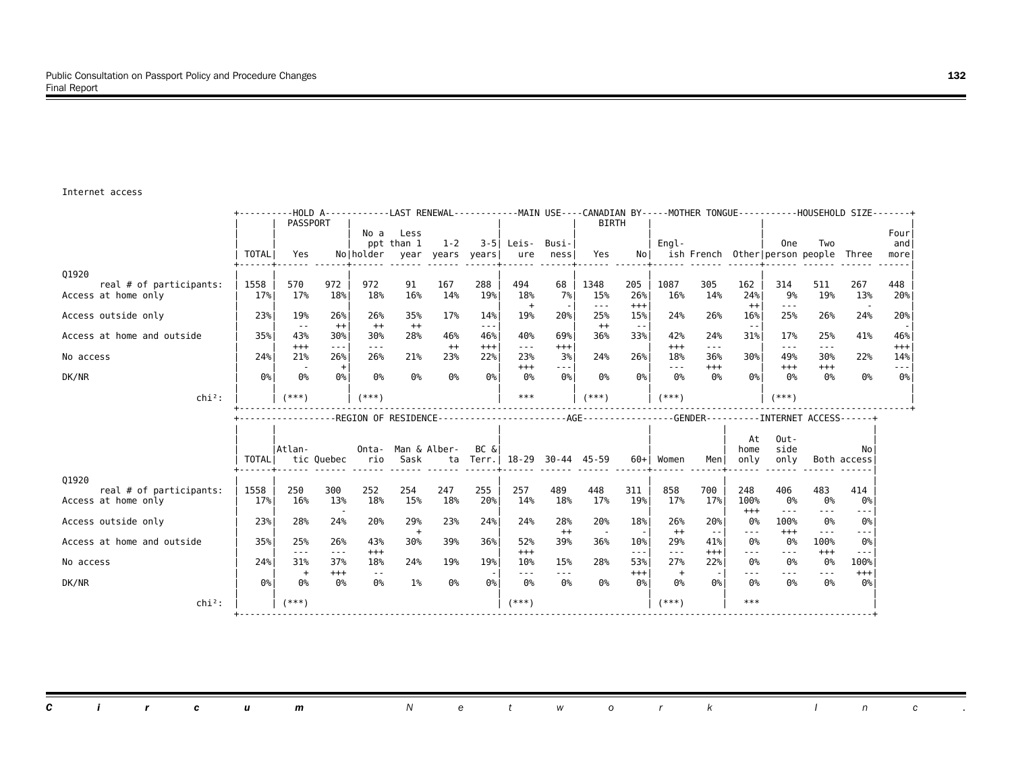#### Internet access

|                                                |              | <b>PASSPORT</b> |                |                      |                      |                             |                  |                     |                | -HOLD A-----------LAST RENEWAL------------MAIN USE----CANADIAN BY-----MOTHER TONGUE-----------HOUSEHOLD SIZE-------+<br><b>BIRTH</b> |                 |                                                                                                                                                                                                                                                                                                                                                                                                    |                                                                                                                                                                                                                                                                                                                                                                                                     |                  |                       |                                                                                                                                                                                                                                                                                                                                                                                                     |                                                                                                                                                                                                                                                                                                                                                                                                      |                                                                                                                                                                                                                                                                                                                                                                                                    |
|------------------------------------------------|--------------|-----------------|----------------|----------------------|----------------------|-----------------------------|------------------|---------------------|----------------|--------------------------------------------------------------------------------------------------------------------------------------|-----------------|----------------------------------------------------------------------------------------------------------------------------------------------------------------------------------------------------------------------------------------------------------------------------------------------------------------------------------------------------------------------------------------------------|-----------------------------------------------------------------------------------------------------------------------------------------------------------------------------------------------------------------------------------------------------------------------------------------------------------------------------------------------------------------------------------------------------|------------------|-----------------------|-----------------------------------------------------------------------------------------------------------------------------------------------------------------------------------------------------------------------------------------------------------------------------------------------------------------------------------------------------------------------------------------------------|------------------------------------------------------------------------------------------------------------------------------------------------------------------------------------------------------------------------------------------------------------------------------------------------------------------------------------------------------------------------------------------------------|----------------------------------------------------------------------------------------------------------------------------------------------------------------------------------------------------------------------------------------------------------------------------------------------------------------------------------------------------------------------------------------------------|
|                                                | <b>TOTAL</b> | Yes             |                | No a<br>No   hol der | Less<br>ppt than 1   | $1 - 2$<br>year years years |                  | $3-5$ Leis-<br>ure  | Busi -<br>ness | Yes                                                                                                                                  |                 | $Engl -$                                                                                                                                                                                                                                                                                                                                                                                           | No   ish French 0ther   person people Three                                                                                                                                                                                                                                                                                                                                                         |                  | <b>One</b>            | Two                                                                                                                                                                                                                                                                                                                                                                                                 |                                                                                                                                                                                                                                                                                                                                                                                                      | Four<br>and<br>more                                                                                                                                                                                                                                                                                                                                                                                |
| Q1920                                          |              |                 |                |                      |                      |                             |                  |                     |                |                                                                                                                                      |                 |                                                                                                                                                                                                                                                                                                                                                                                                    |                                                                                                                                                                                                                                                                                                                                                                                                     |                  |                       |                                                                                                                                                                                                                                                                                                                                                                                                     |                                                                                                                                                                                                                                                                                                                                                                                                      |                                                                                                                                                                                                                                                                                                                                                                                                    |
| real # of participants:<br>Access at home only | 1558<br>17%  | 570<br>17%      | 972<br>18%     | 972<br>18%           | 91<br>16%            | 167<br>14%                  | 288<br>19%       | 494<br>18%          | 68<br>7%       | 1348<br>15%                                                                                                                          | 205<br>26%      | 1087<br>16%                                                                                                                                                                                                                                                                                                                                                                                        | 305<br>14%                                                                                                                                                                                                                                                                                                                                                                                          | 162<br>24%       | 314<br>9%             | 511<br>19%                                                                                                                                                                                                                                                                                                                                                                                          | 267<br>13%                                                                                                                                                                                                                                                                                                                                                                                           | 448<br>20%                                                                                                                                                                                                                                                                                                                                                                                         |
| Access outside only                            | 23%          | 19%             | 26%            | 26%                  | 35%                  | 17%                         | 14%              | 19%                 | 20%            | $- - -$<br>25%                                                                                                                       | $^{+++}$<br>15% | 24%                                                                                                                                                                                                                                                                                                                                                                                                | 26%                                                                                                                                                                                                                                                                                                                                                                                                 | $^{++}$<br>16%   | $\frac{1}{2}$<br>25%  | 26%                                                                                                                                                                                                                                                                                                                                                                                                 | 24%                                                                                                                                                                                                                                                                                                                                                                                                  | 20%                                                                                                                                                                                                                                                                                                                                                                                                |
| Access at home and outside                     | 35%          | 43%             | $^{++}$<br>30% | $^{++}$<br>30%       | $^{++}$<br>28%       | 46%                         | $- - -$<br>46%   | 40%                 | 69%            | $^{++}$<br>36%                                                                                                                       | $- -$<br>33%    | 42%                                                                                                                                                                                                                                                                                                                                                                                                | 24%                                                                                                                                                                                                                                                                                                                                                                                                 | $- -$<br>31%     | 17%                   | 25%                                                                                                                                                                                                                                                                                                                                                                                                 | 41%                                                                                                                                                                                                                                                                                                                                                                                                  | 46%                                                                                                                                                                                                                                                                                                                                                                                                |
| No access                                      | 24%          | $^{+++}$<br>21% | $- - -$<br>26% | $- - -$<br>26%       | 21%                  | $^{++}$<br>23%              | $^{+++}$<br>22%  | $- - -$<br>23%      | $^{+++}$<br>3% | 24%                                                                                                                                  | 26%             | $^{+++}$<br>18%                                                                                                                                                                                                                                                                                                                                                                                    | $\frac{1}{2} \frac{1}{2} \frac{1}{2} \frac{1}{2} \frac{1}{2} \frac{1}{2} \frac{1}{2} \frac{1}{2} \frac{1}{2} \frac{1}{2} \frac{1}{2} \frac{1}{2} \frac{1}{2} \frac{1}{2} \frac{1}{2} \frac{1}{2} \frac{1}{2} \frac{1}{2} \frac{1}{2} \frac{1}{2} \frac{1}{2} \frac{1}{2} \frac{1}{2} \frac{1}{2} \frac{1}{2} \frac{1}{2} \frac{1}{2} \frac{1}{2} \frac{1}{2} \frac{1}{2} \frac{1}{2} \frac{$<br>36% | 30%              | $- - -$<br>49%        | $\frac{1}{2} \frac{1}{2} \frac{1}{2} \frac{1}{2} \frac{1}{2} \frac{1}{2} \frac{1}{2} \frac{1}{2} \frac{1}{2} \frac{1}{2} \frac{1}{2} \frac{1}{2} \frac{1}{2} \frac{1}{2} \frac{1}{2} \frac{1}{2} \frac{1}{2} \frac{1}{2} \frac{1}{2} \frac{1}{2} \frac{1}{2} \frac{1}{2} \frac{1}{2} \frac{1}{2} \frac{1}{2} \frac{1}{2} \frac{1}{2} \frac{1}{2} \frac{1}{2} \frac{1}{2} \frac{1}{2} \frac{$<br>30% | 22%                                                                                                                                                                                                                                                                                                                                                                                                  | $^{+++}$<br>14%                                                                                                                                                                                                                                                                                                                                                                                    |
| DK/NR                                          | 0%           | 0%              | 0%             | 0%                   | 0%                   | 0%                          | $0\%$            | $^{+++}$<br>$0\%$   | $- - -$<br>0%  | 0%                                                                                                                                   | $0\%$           | $\frac{1}{2} \frac{1}{2} \frac{1}{2} \frac{1}{2} \frac{1}{2} \frac{1}{2} \frac{1}{2} \frac{1}{2} \frac{1}{2} \frac{1}{2} \frac{1}{2} \frac{1}{2} \frac{1}{2} \frac{1}{2} \frac{1}{2} \frac{1}{2} \frac{1}{2} \frac{1}{2} \frac{1}{2} \frac{1}{2} \frac{1}{2} \frac{1}{2} \frac{1}{2} \frac{1}{2} \frac{1}{2} \frac{1}{2} \frac{1}{2} \frac{1}{2} \frac{1}{2} \frac{1}{2} \frac{1}{2} \frac{$<br>0% | $^{+++}$<br>0%                                                                                                                                                                                                                                                                                                                                                                                      | $0\%$            | $^{+++}$<br>0%        | $^{+++}$<br>0%                                                                                                                                                                                                                                                                                                                                                                                      | 0%                                                                                                                                                                                                                                                                                                                                                                                                   | $\frac{1}{2} \frac{1}{2} \frac{1}{2} \frac{1}{2} \frac{1}{2} \frac{1}{2} \frac{1}{2} \frac{1}{2} \frac{1}{2} \frac{1}{2} \frac{1}{2} \frac{1}{2} \frac{1}{2} \frac{1}{2} \frac{1}{2} \frac{1}{2} \frac{1}{2} \frac{1}{2} \frac{1}{2} \frac{1}{2} \frac{1}{2} \frac{1}{2} \frac{1}{2} \frac{1}{2} \frac{1}{2} \frac{1}{2} \frac{1}{2} \frac{1}{2} \frac{1}{2} \frac{1}{2} \frac{1}{2} \frac{$<br>0% |
| $chi^2$ :                                      |              | $(***)$         |                | $(***)$              |                      |                             |                  | ***                 |                | $(***)$                                                                                                                              |                 | $(***)$                                                                                                                                                                                                                                                                                                                                                                                            |                                                                                                                                                                                                                                                                                                                                                                                                     |                  | $(***)$               |                                                                                                                                                                                                                                                                                                                                                                                                     |                                                                                                                                                                                                                                                                                                                                                                                                      |                                                                                                                                                                                                                                                                                                                                                                                                    |
|                                                |              |                 |                |                      |                      |                             |                  |                     |                |                                                                                                                                      |                 |                                                                                                                                                                                                                                                                                                                                                                                                    |                                                                                                                                                                                                                                                                                                                                                                                                     |                  |                       |                                                                                                                                                                                                                                                                                                                                                                                                     |                                                                                                                                                                                                                                                                                                                                                                                                      |                                                                                                                                                                                                                                                                                                                                                                                                    |
|                                                |              |                 |                |                      |                      |                             |                  |                     |                |                                                                                                                                      |                 |                                                                                                                                                                                                                                                                                                                                                                                                    |                                                                                                                                                                                                                                                                                                                                                                                                     | At               | $0$ ut-               |                                                                                                                                                                                                                                                                                                                                                                                                     |                                                                                                                                                                                                                                                                                                                                                                                                      |                                                                                                                                                                                                                                                                                                                                                                                                    |
|                                                | <b>TOTAL</b> | Atl an-         | tic Quebec     | Onta-<br>rio         | Man & Alber-<br>Sask |                             | BC &<br>ta Terr. | $18-29$ 30-44 45-59 |                |                                                                                                                                      |                 | $60+$ Women                                                                                                                                                                                                                                                                                                                                                                                        | Men                                                                                                                                                                                                                                                                                                                                                                                                 | home<br>onl y    | side<br>onl y         |                                                                                                                                                                                                                                                                                                                                                                                                     | No<br>Both access                                                                                                                                                                                                                                                                                                                                                                                    |                                                                                                                                                                                                                                                                                                                                                                                                    |
| Q1920                                          |              |                 |                |                      |                      |                             |                  |                     |                |                                                                                                                                      |                 |                                                                                                                                                                                                                                                                                                                                                                                                    |                                                                                                                                                                                                                                                                                                                                                                                                     |                  |                       |                                                                                                                                                                                                                                                                                                                                                                                                     |                                                                                                                                                                                                                                                                                                                                                                                                      |                                                                                                                                                                                                                                                                                                                                                                                                    |
| real # of participants:<br>Access at home only | 1558<br>17%  | 250<br>16%      | 300<br>13%     | 252<br>18%           | 254<br>15%           | 247<br>18%                  | 255<br>20%       | 257<br>14%          | 489<br>18%     | 448<br>17%                                                                                                                           | 311<br>19%      | 858<br>17%                                                                                                                                                                                                                                                                                                                                                                                         | 700<br>17%                                                                                                                                                                                                                                                                                                                                                                                          | 248<br>100%      | 406<br>0%             | 483<br>0%                                                                                                                                                                                                                                                                                                                                                                                           | 414<br>0%                                                                                                                                                                                                                                                                                                                                                                                            |                                                                                                                                                                                                                                                                                                                                                                                                    |
| Access outside only                            | 23%          | 28%             | 24%            | 20%                  | 29%                  | 23%                         | 24%              | 24%                 | 28%            | 20%                                                                                                                                  | 18%             | 26%                                                                                                                                                                                                                                                                                                                                                                                                | 20%                                                                                                                                                                                                                                                                                                                                                                                                 | $^{+++}$<br>0%   | $\frac{1}{2}$<br>100% | $- - -$<br>0%                                                                                                                                                                                                                                                                                                                                                                                       | $- - -$<br>0%                                                                                                                                                                                                                                                                                                                                                                                        |                                                                                                                                                                                                                                                                                                                                                                                                    |
| Access at home and outside                     | 35%          | 25%             | 26%            | 43%                  | 30%                  | 39%                         | 36%              | 52%                 | $^{++}$<br>39% | 36%                                                                                                                                  | 10%             | $^{++}$<br>29%                                                                                                                                                                                                                                                                                                                                                                                     | 41%                                                                                                                                                                                                                                                                                                                                                                                                 | $- - -$<br>0%    | $^{+++}$<br>0%        | 100%                                                                                                                                                                                                                                                                                                                                                                                                | $- - -$<br>0%                                                                                                                                                                                                                                                                                                                                                                                        |                                                                                                                                                                                                                                                                                                                                                                                                    |
| No access                                      | 24%          | $- - -$<br>31%  | 37%            | $^{+++}$<br>18%      | 24%                  | 19%                         | 19%              | $^{++}$<br>10%      | 15%            | 28%                                                                                                                                  | $- - -$<br>53%  | - - -<br>27%                                                                                                                                                                                                                                                                                                                                                                                       | $^{+++}$<br>22%                                                                                                                                                                                                                                                                                                                                                                                     | $- - -$<br>$0\%$ | - - -<br>0%           | $^{+++}$<br>0%                                                                                                                                                                                                                                                                                                                                                                                      | $\frac{1}{2} \frac{1}{2} \frac{1}{2} \frac{1}{2} \frac{1}{2} \frac{1}{2} \frac{1}{2} \frac{1}{2} \frac{1}{2} \frac{1}{2} \frac{1}{2} \frac{1}{2} \frac{1}{2} \frac{1}{2} \frac{1}{2} \frac{1}{2} \frac{1}{2} \frac{1}{2} \frac{1}{2} \frac{1}{2} \frac{1}{2} \frac{1}{2} \frac{1}{2} \frac{1}{2} \frac{1}{2} \frac{1}{2} \frac{1}{2} \frac{1}{2} \frac{1}{2} \frac{1}{2} \frac{1}{2} \frac{$<br>100% |                                                                                                                                                                                                                                                                                                                                                                                                    |
| DK/NR                                          | 0%           | $+$<br>0%       | $^{+++}$<br>0% | $- -$<br>0%          | 1%                   | 0%                          | 0%               | - - -<br>0%         | $- - -$<br>0%  | 0%                                                                                                                                   | $^{+++}$<br>0%  | $+$<br>0%                                                                                                                                                                                                                                                                                                                                                                                          | 0%                                                                                                                                                                                                                                                                                                                                                                                                  | - - -<br>$0\%$   | - - -<br>0%           | - - -<br>0%                                                                                                                                                                                                                                                                                                                                                                                         | $^{+++}$<br>0%                                                                                                                                                                                                                                                                                                                                                                                       |                                                                                                                                                                                                                                                                                                                                                                                                    |
| chi <sup>2</sup> :                             |              | $(***)$         |                |                      |                      |                             |                  | $(***)$             |                |                                                                                                                                      |                 | $(***)$                                                                                                                                                                                                                                                                                                                                                                                            |                                                                                                                                                                                                                                                                                                                                                                                                     | ***              |                       |                                                                                                                                                                                                                                                                                                                                                                                                     |                                                                                                                                                                                                                                                                                                                                                                                                      |                                                                                                                                                                                                                                                                                                                                                                                                    |

|  |  |  | <b>Circum</b> Network Inc. |  |  |  |  |  |  |
|--|--|--|----------------------------|--|--|--|--|--|--|
|  |  |  |                            |  |  |  |  |  |  |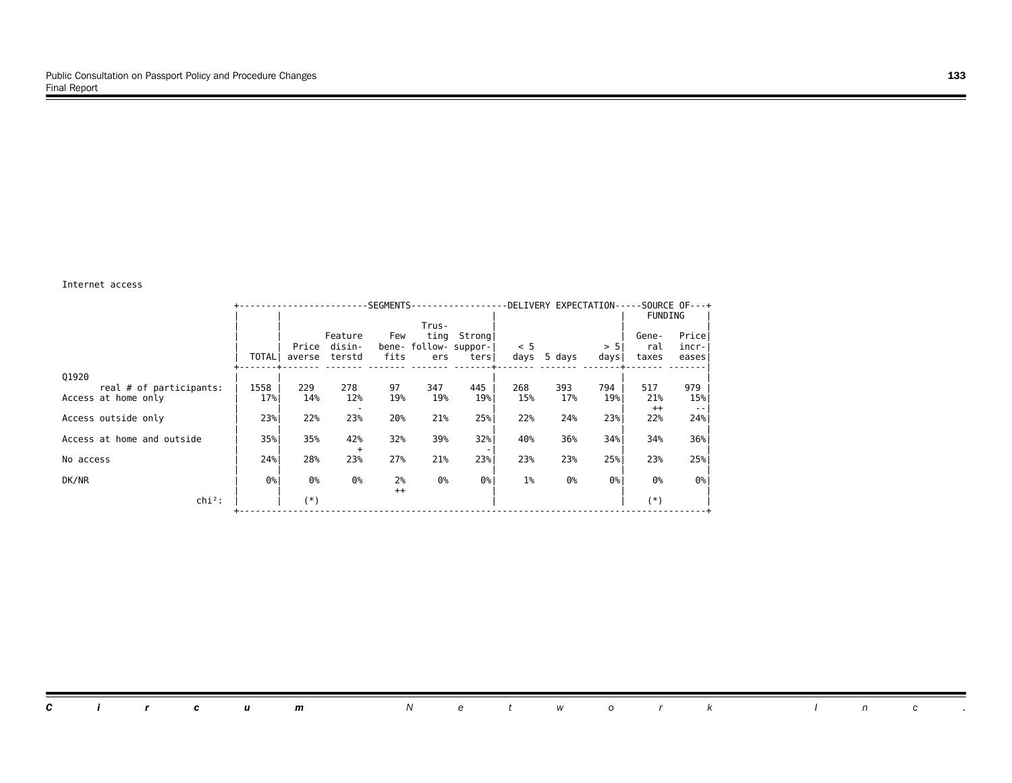#### Internet access

|                            |              |        |          | <b>SEGMENTS-</b> |                     |        |      | DELIVERY EXPECTATION- |       |                | SOURCE $0F---$ |
|----------------------------|--------------|--------|----------|------------------|---------------------|--------|------|-----------------------|-------|----------------|----------------|
|                            |              |        |          |                  |                     |        |      |                       |       | <b>FUNDING</b> |                |
|                            |              |        |          |                  | Trus-               |        |      |                       |       |                |                |
|                            |              |        | Feature  | Few              | ting                | Strong |      |                       |       | Gene-          | Pri ce         |
|                            |              | Pri ce | di si n- |                  | bene-follow-suppor- |        | < 5  |                       | $> 5$ | ral            | i ncr-         |
|                            | <b>TOTAL</b> | averse | terstd   | fits             | ers                 | ters   | days | 5 days                | days  | taxes          | eases          |
| Q1920                      |              |        |          |                  |                     |        |      |                       |       |                |                |
| real # of participants:    | 1558         | 229    | 278      | 97               | 347                 | 445    | 268  | 393                   | 794   | 517            | 979            |
| Access at home only        | 17%          | 14%    | 12%      | 19%              | 19%                 | 19%    | 15%  | 17%                   | 19%   | 21%            | 15%            |
|                            |              |        |          |                  |                     |        |      |                       |       | $^{++}$        | $ -$           |
| Access outside only        | 23%          | 22%    | 23%      | 20%              | 21%                 | 25%    | 22%  | 24%                   | 23%   | 22%            | 24%            |
| Access at home and outside | 35%          | 35%    | 42%      | 32%              | 39%                 | 32%    | 40%  | 36%                   | 34%   | 34%            | 36%            |
|                            |              |        | $\pm$    |                  |                     |        |      |                       |       |                |                |
| No access                  | 24%          | 28%    | 23%      | 27%              | 21%                 | 23%    | 23%  | 23%                   | 25%   | 23%            | 25%            |
| DK/NR                      | 0%           | 0%     | 0%       | 2%               | 0%                  | 0%     | 1%   | 0%                    | $0\%$ | 0%             | 0%             |
|                            |              |        |          | $^{++}$          |                     |        |      |                       |       |                |                |
| chi <sup>2</sup> :         |              | $(*)$  |          |                  |                     |        |      |                       |       | $(*)$          |                |
|                            |              |        |          |                  |                     |        |      |                       |       |                |                |

—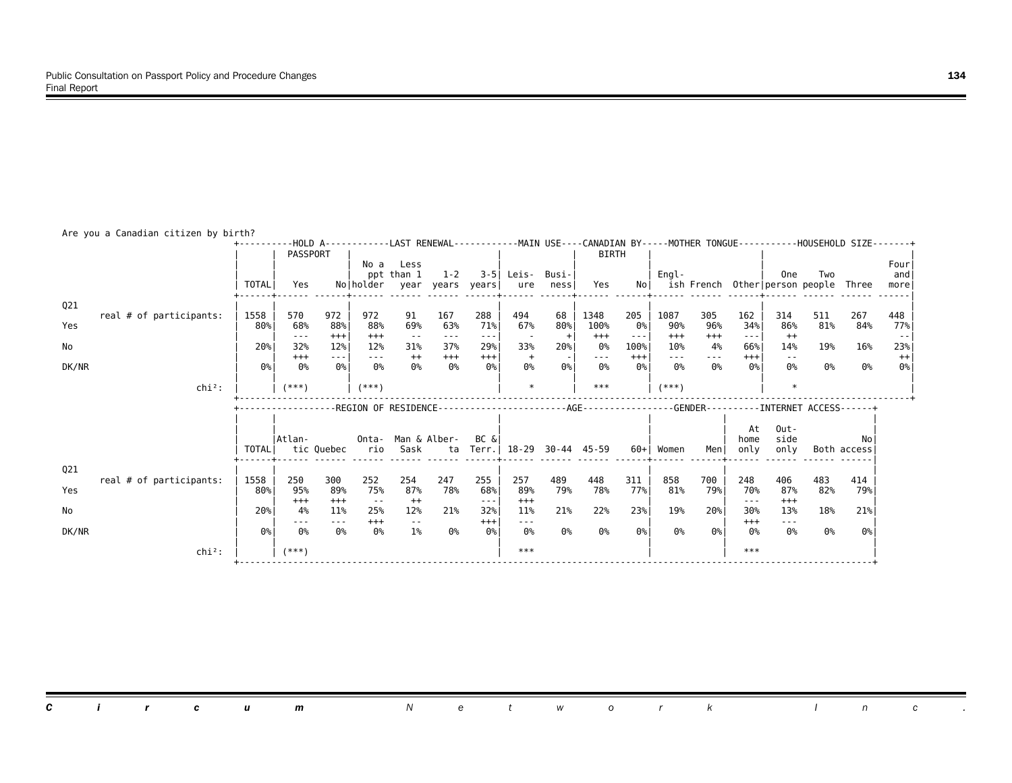#### Are you a Canadian citizen by birth?

|       |                         |              |                                                                                                                                                                                                                                                                                                                                                                                                                 | $-HOLD$ A---    |                            |                         |                                  |                            |                              |               | --------- LAST RENEWAL----------- MAIN USE---- CANADIAN BY----- MOTHER TONGUE---------- HOUSEHOLD SIZE--- |                               |                       |                      |                                                                                                                                                                                                                                                                                                                                                                                                                 |                                                                                                                                                                                                                                                                                                                                                                                              |                                             |                                           |                         |
|-------|-------------------------|--------------|-----------------------------------------------------------------------------------------------------------------------------------------------------------------------------------------------------------------------------------------------------------------------------------------------------------------------------------------------------------------------------------------------------------------|-----------------|----------------------------|-------------------------|----------------------------------|----------------------------|------------------------------|---------------|-----------------------------------------------------------------------------------------------------------|-------------------------------|-----------------------|----------------------|-----------------------------------------------------------------------------------------------------------------------------------------------------------------------------------------------------------------------------------------------------------------------------------------------------------------------------------------------------------------------------------------------------------------|----------------------------------------------------------------------------------------------------------------------------------------------------------------------------------------------------------------------------------------------------------------------------------------------------------------------------------------------------------------------------------------------|---------------------------------------------|-------------------------------------------|-------------------------|
|       |                         |              | <b>PASSPORT</b>                                                                                                                                                                                                                                                                                                                                                                                                 |                 | No a                       | Less                    |                                  |                            |                              |               | <b>BIRTH</b>                                                                                              |                               |                       |                      |                                                                                                                                                                                                                                                                                                                                                                                                                 |                                                                                                                                                                                                                                                                                                                                                                                              |                                             |                                           | Four                    |
|       |                         | <b>TOTAL</b> | Yes                                                                                                                                                                                                                                                                                                                                                                                                             |                 | No   hol der               | ppt than 1              | $1 - 2$<br>year years years      |                            | $3-5$ Leis-<br>ure           | Busi-<br>ness | Yes                                                                                                       | No <sub>1</sub>               | Engl-                 |                      |                                                                                                                                                                                                                                                                                                                                                                                                                 | <b>One</b>                                                                                                                                                                                                                                                                                                                                                                                   | Two<br>ish French Other person people Three |                                           | and<br>more             |
| Q21   | real # of participants: | 1558         | 570                                                                                                                                                                                                                                                                                                                                                                                                             | 972             | 972                        | 91                      | 167                              | 288                        | 494                          | 68            | 1348                                                                                                      | 205                           | 1087                  | 305                  | 162                                                                                                                                                                                                                                                                                                                                                                                                             | 314                                                                                                                                                                                                                                                                                                                                                                                          | 511                                         | 267                                       | 448                     |
| Yes   |                         | 80%          | 68%                                                                                                                                                                                                                                                                                                                                                                                                             | 88%             | 88%                        | 69%                     | 63%                              | 71%                        | 67%                          | 80%           | 100%                                                                                                      | 0%                            | 90%                   | 96%                  | 34%                                                                                                                                                                                                                                                                                                                                                                                                             | 86%                                                                                                                                                                                                                                                                                                                                                                                          | 81%                                         | 84%                                       | 77%                     |
| No    |                         | 20%          | $\frac{1}{2} \frac{1}{2} \frac{1}{2} \frac{1}{2} \frac{1}{2} \frac{1}{2} \frac{1}{2} \frac{1}{2} \frac{1}{2} \frac{1}{2} \frac{1}{2} \frac{1}{2} \frac{1}{2} \frac{1}{2} \frac{1}{2} \frac{1}{2} \frac{1}{2} \frac{1}{2} \frac{1}{2} \frac{1}{2} \frac{1}{2} \frac{1}{2} \frac{1}{2} \frac{1}{2} \frac{1}{2} \frac{1}{2} \frac{1}{2} \frac{1}{2} \frac{1}{2} \frac{1}{2} \frac{1}{2} \frac{$<br>32%<br>$^{+++}$ | $^{+++}$<br>12% | $^{+++}$<br>12%<br>$- - -$ | $- -$<br>31%<br>$^{++}$ | $\frac{1}{2}$<br>37%<br>$^{+++}$ | $- - -$<br>29%<br>$^{+++}$ | 33%<br>$+$                   | $+$<br>20%    | $^{+++}$<br>0%<br>$- - -$                                                                                 | $- - -$<br>100%<br>$+++$      | $+++$<br>10%<br>- - - | $+++$<br>4%<br>- - - | $\frac{1}{2} \frac{1}{2} \frac{1}{2} \frac{1}{2} \frac{1}{2} \frac{1}{2} \frac{1}{2} \frac{1}{2} \frac{1}{2} \frac{1}{2} \frac{1}{2} \frac{1}{2} \frac{1}{2} \frac{1}{2} \frac{1}{2} \frac{1}{2} \frac{1}{2} \frac{1}{2} \frac{1}{2} \frac{1}{2} \frac{1}{2} \frac{1}{2} \frac{1}{2} \frac{1}{2} \frac{1}{2} \frac{1}{2} \frac{1}{2} \frac{1}{2} \frac{1}{2} \frac{1}{2} \frac{1}{2} \frac{$<br>66%<br>$^{+++}$ | $++$<br>14%<br>$- -$                                                                                                                                                                                                                                                                                                                                                                         | 19%                                         | 16%                                       | $- -$<br>23%<br>$^{++}$ |
| DK/NR |                         | 0%           | 0%                                                                                                                                                                                                                                                                                                                                                                                                              | 0%              | 0%                         | 0%                      | O%                               | $0\%$                      | 0%                           | 0%            | 0%                                                                                                        | 0%                            | 0%                    | 0%                   | 0%                                                                                                                                                                                                                                                                                                                                                                                                              | 0%                                                                                                                                                                                                                                                                                                                                                                                           | 0%                                          | 0%                                        | 0%                      |
|       | chi <sup>2</sup> :      |              | $(***)$                                                                                                                                                                                                                                                                                                                                                                                                         |                 | $(***)$                    |                         |                                  |                            |                              |               | $***$                                                                                                     |                               | $(***)$               |                      |                                                                                                                                                                                                                                                                                                                                                                                                                 |                                                                                                                                                                                                                                                                                                                                                                                              |                                             |                                           |                         |
|       |                         |              |                                                                                                                                                                                                                                                                                                                                                                                                                 |                 | - REGION OF RESIDENCE--    |                         |                                  |                            |                              | $-AGE-$       |                                                                                                           | <u> - - - - - - - - - - -</u> |                       |                      |                                                                                                                                                                                                                                                                                                                                                                                                                 |                                                                                                                                                                                                                                                                                                                                                                                              |                                             | - GENDER---------- INTERNET ACCESS------+ |                         |
|       |                         |              | Atl an-                                                                                                                                                                                                                                                                                                                                                                                                         |                 | Onta-                      | Man & Alber-            |                                  | BC &                       |                              |               |                                                                                                           |                               |                       |                      | At<br>home                                                                                                                                                                                                                                                                                                                                                                                                      | Out-<br>side                                                                                                                                                                                                                                                                                                                                                                                 |                                             | No                                        |                         |
|       |                         | <b>TOTAL</b> |                                                                                                                                                                                                                                                                                                                                                                                                                 | tic Quebec      | ri o                       | Sask                    |                                  |                            | ta Terr.   18-29 30-44 45-59 |               |                                                                                                           | $60+$                         | Women                 | Men                  | onl y                                                                                                                                                                                                                                                                                                                                                                                                           | onl y                                                                                                                                                                                                                                                                                                                                                                                        |                                             | Both access                               |                         |
| Q21   |                         | 1558         | 250                                                                                                                                                                                                                                                                                                                                                                                                             | 300             | 252                        |                         | 247                              | 255                        | 257                          | 489           | 448                                                                                                       | 311                           |                       | 700                  | 248                                                                                                                                                                                                                                                                                                                                                                                                             | 406                                                                                                                                                                                                                                                                                                                                                                                          | 483                                         |                                           |                         |
| Yes   | real # of participants: | 80%          | 95%                                                                                                                                                                                                                                                                                                                                                                                                             | 89%             | 75%                        | 254<br>87%              | 78%                              | 68%                        | 89%                          | 79%           | 78%                                                                                                       | 77%                           | 858<br>81%            | 79%                  | 70%                                                                                                                                                                                                                                                                                                                                                                                                             | 87%                                                                                                                                                                                                                                                                                                                                                                                          | 82%                                         | 414<br>79%                                |                         |
|       |                         |              | $^{+++}$<br>4%                                                                                                                                                                                                                                                                                                                                                                                                  | $+++$           | $- -$                      | $^{++}$                 |                                  | $- - -$                    | $^{+++}$                     |               |                                                                                                           |                               |                       |                      | $- - -$                                                                                                                                                                                                                                                                                                                                                                                                         | $^{+++}$                                                                                                                                                                                                                                                                                                                                                                                     |                                             |                                           |                         |
|       |                         |              |                                                                                                                                                                                                                                                                                                                                                                                                                 | 11%             | 25%                        | 12%                     | 21%                              | 32%                        | 11%                          | 21%           | 22%                                                                                                       | 23%                           | 19%                   | 20%                  | 30%                                                                                                                                                                                                                                                                                                                                                                                                             | 13%                                                                                                                                                                                                                                                                                                                                                                                          | 18%                                         | 21%                                       |                         |
| No    |                         | 20%          | $- - -$                                                                                                                                                                                                                                                                                                                                                                                                         | $- - -$         | $^{+++}$                   | $- -$                   |                                  |                            | - - -                        |               |                                                                                                           |                               |                       |                      | $^{+++}$                                                                                                                                                                                                                                                                                                                                                                                                        | $\frac{1}{2} \frac{1}{2} \frac{1}{2} \frac{1}{2} \frac{1}{2} \frac{1}{2} \frac{1}{2} \frac{1}{2} \frac{1}{2} \frac{1}{2} \frac{1}{2} \frac{1}{2} \frac{1}{2} \frac{1}{2} \frac{1}{2} \frac{1}{2} \frac{1}{2} \frac{1}{2} \frac{1}{2} \frac{1}{2} \frac{1}{2} \frac{1}{2} \frac{1}{2} \frac{1}{2} \frac{1}{2} \frac{1}{2} \frac{1}{2} \frac{1}{2} \frac{1}{2} \frac{1}{2} \frac{1}{2} \frac{$ |                                             |                                           |                         |
| DK/NR |                         | 0%           | 0%                                                                                                                                                                                                                                                                                                                                                                                                              | 0%              | 0%                         | 1%                      | 0%                               | $^{+++}$<br>$0\%$          | 0%                           | 0%            | 0%                                                                                                        | 0%                            | 0%                    | 0%                   | 0%                                                                                                                                                                                                                                                                                                                                                                                                              | 0%                                                                                                                                                                                                                                                                                                                                                                                           | 0%                                          | 0%                                        |                         |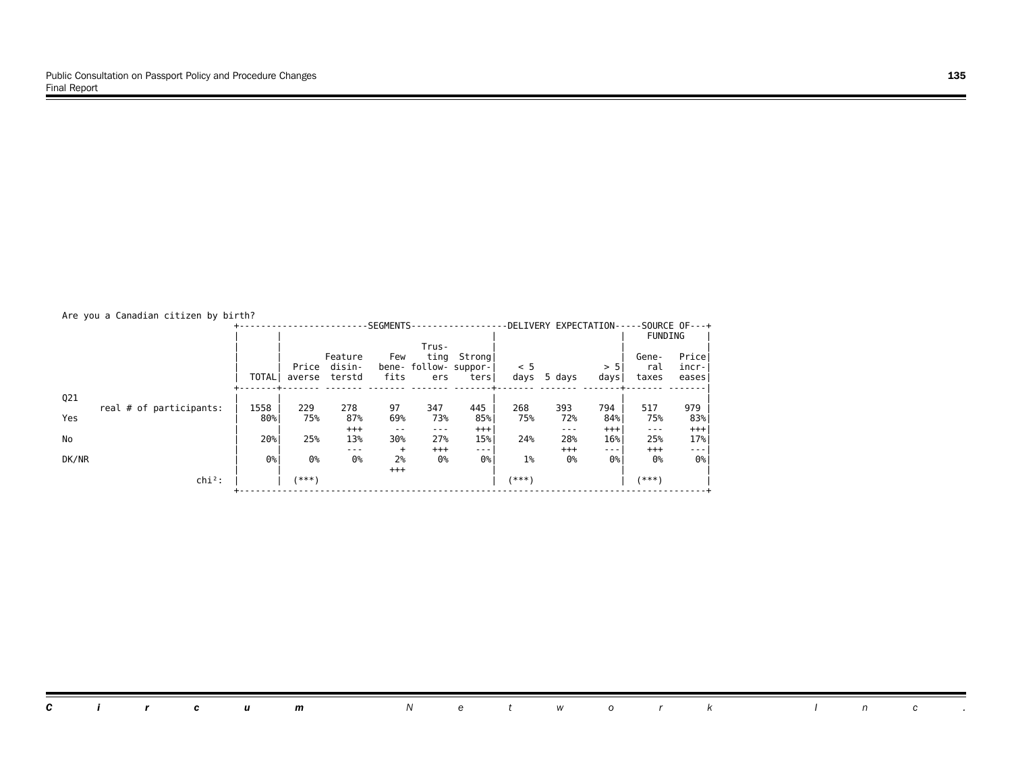#### Are you a Canadian citizen by birth?

|                         |              |         |               | <b>SEGMENTS</b> |                     |               |         | DELIVERY EXPECTATION- |               |                | SOURCE $0F---$ |
|-------------------------|--------------|---------|---------------|-----------------|---------------------|---------------|---------|-----------------------|---------------|----------------|----------------|
|                         |              |         |               |                 |                     |               |         |                       |               | <b>FUNDING</b> |                |
|                         |              |         |               |                 | Trus-               |               |         |                       |               |                |                |
|                         |              |         | Feature       | Few             | ting                | Strong        |         |                       |               | Gene-          | Pri ce         |
|                         |              |         | Price disin-  |                 | bene-follow-suppor- |               | ~<~5    |                       | > 5           | ral            | i ncr-         |
|                         | <b>TOTAL</b> |         | averse terstd | fits            | ers                 | ters          | days    | 5 days                | $_{\rm days}$ | taxes          | eases          |
| Q21                     |              |         |               |                 |                     |               |         |                       |               |                |                |
| real # of participants: | 1558         | 229     | 278           | 97              | 347                 | 445           | 268     | 393                   | 794           | 517            | 979            |
| Yes                     | 80%          | 75%     | 87%           | 69%             | 73%                 | 85%           | 75%     | 72%                   | 84%           | 75%            | 83%            |
|                         |              |         | $^{+++}$      | $ -$            | $- - -$             | $^{+++}$      |         | $- - -$               | $+++$         | $- - -$        | $^{+++}$       |
| No                      | 20%          | 25%     | 13%           | 30%             | 27%                 | 15%           | 24%     | 28%                   | 16%           | 25%            | 17%            |
|                         |              |         | - - -         | $\overline{+}$  | $^{+++}$            | $\frac{1}{2}$ |         | $^{+++}$              | - - -         | $^{+++}$       | $- - - -$      |
| DK/NR                   | 0%           | 0%      | 0%            | 2%              | 0%                  | 0%            | 1%      | 0%                    | 0%            | 0%             | 0%             |
|                         |              |         |               | $+++$           |                     |               |         |                       |               |                |                |
| chi <sup>2</sup> :      |              | $(***)$ |               |                 |                     |               | $(***)$ |                       |               | $(***)$        |                |
|                         |              |         |               |                 |                     |               |         |                       |               |                |                |

 $\overline{\phantom{0}}$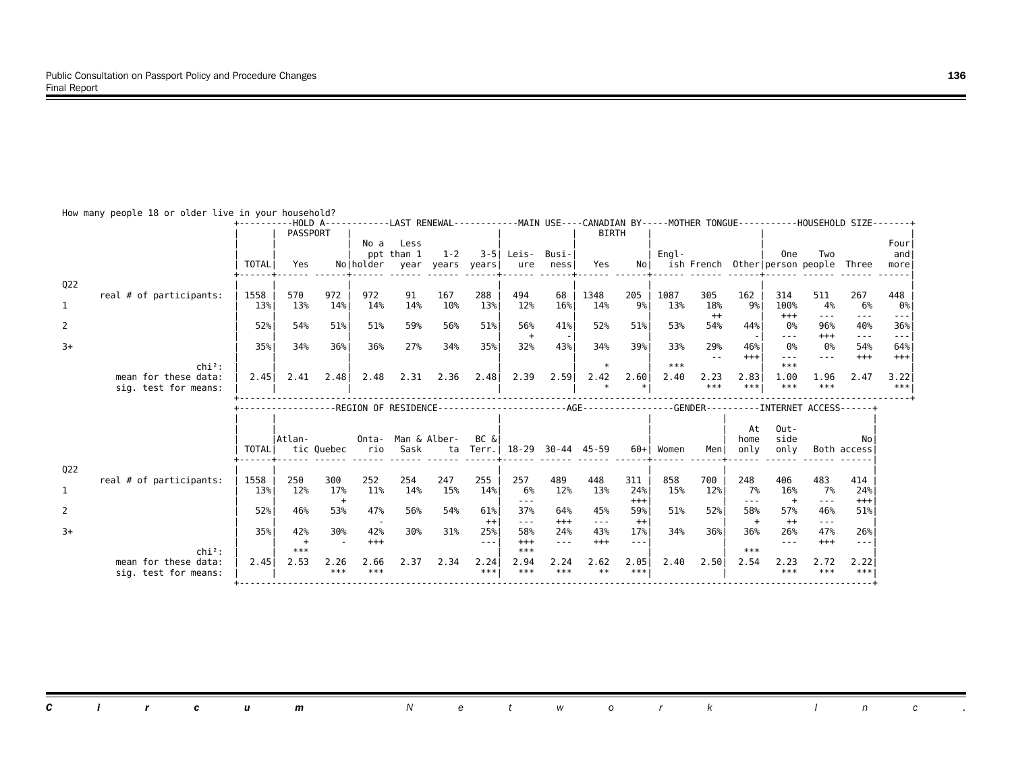|            | How many people 18 or older live in your household? |              | -HOLD A-        |             |                                              |                      |            |                                                                                                                                                                                                                                                                                                                                                                                                     |                        |                                                                                                                                                                                                                                                                                                                                                                                                     | --------LAST RENEWAL------------MAIN USE----CANADIAN BY-----MOTHER TONGUE-----------HOUSEHOLD SIZE-- |                      |             |                                           |                |                |                                                                                                                                                                                                                                                                                                                                                                                              |                                                                                                                                                                                                                                                                                                                                                                                                     |                                                                                                                                                                                                                                                                                                                                                                                                     |
|------------|-----------------------------------------------------|--------------|-----------------|-------------|----------------------------------------------|----------------------|------------|-----------------------------------------------------------------------------------------------------------------------------------------------------------------------------------------------------------------------------------------------------------------------------------------------------------------------------------------------------------------------------------------------------|------------------------|-----------------------------------------------------------------------------------------------------------------------------------------------------------------------------------------------------------------------------------------------------------------------------------------------------------------------------------------------------------------------------------------------------|------------------------------------------------------------------------------------------------------|----------------------|-------------|-------------------------------------------|----------------|----------------|----------------------------------------------------------------------------------------------------------------------------------------------------------------------------------------------------------------------------------------------------------------------------------------------------------------------------------------------------------------------------------------------|-----------------------------------------------------------------------------------------------------------------------------------------------------------------------------------------------------------------------------------------------------------------------------------------------------------------------------------------------------------------------------------------------------|-----------------------------------------------------------------------------------------------------------------------------------------------------------------------------------------------------------------------------------------------------------------------------------------------------------------------------------------------------------------------------------------------------|
|            |                                                     |              | <b>PASSPORT</b> |             |                                              |                      |            |                                                                                                                                                                                                                                                                                                                                                                                                     |                        |                                                                                                                                                                                                                                                                                                                                                                                                     | <b>BIRTH</b>                                                                                         |                      |             |                                           |                |                |                                                                                                                                                                                                                                                                                                                                                                                              |                                                                                                                                                                                                                                                                                                                                                                                                     |                                                                                                                                                                                                                                                                                                                                                                                                     |
|            |                                                     |              |                 |             | No a                                         | Less<br>ppt than 1   | $1 - 2$    |                                                                                                                                                                                                                                                                                                                                                                                                     | $3-5$ Leis-            | Busi -                                                                                                                                                                                                                                                                                                                                                                                              |                                                                                                      |                      | Engl-       |                                           |                | <b>One</b>     | Two                                                                                                                                                                                                                                                                                                                                                                                          |                                                                                                                                                                                                                                                                                                                                                                                                     | Four<br>and                                                                                                                                                                                                                                                                                                                                                                                         |
|            |                                                     | <b>TOTAL</b> | Yes             |             | No   hol der                                 |                      | year years | years                                                                                                                                                                                                                                                                                                                                                                                               | ure                    | ness                                                                                                                                                                                                                                                                                                                                                                                                | Yes                                                                                                  | No                   |             | ish French Other person people Three      |                |                |                                                                                                                                                                                                                                                                                                                                                                                              |                                                                                                                                                                                                                                                                                                                                                                                                     | more                                                                                                                                                                                                                                                                                                                                                                                                |
| <b>Q22</b> |                                                     |              |                 |             |                                              |                      |            |                                                                                                                                                                                                                                                                                                                                                                                                     |                        |                                                                                                                                                                                                                                                                                                                                                                                                     |                                                                                                      |                      |             |                                           |                |                |                                                                                                                                                                                                                                                                                                                                                                                              |                                                                                                                                                                                                                                                                                                                                                                                                     |                                                                                                                                                                                                                                                                                                                                                                                                     |
|            | real # of participants:                             | 1558<br>13%  | 570<br>13%      | 972<br>14%  | 972<br>14%                                   | 91<br>14%            | 167<br>10% | 288<br>13%                                                                                                                                                                                                                                                                                                                                                                                          | 494<br>12%             | 68<br>16%                                                                                                                                                                                                                                                                                                                                                                                           | 1348<br>14%                                                                                          | 205<br>9%            | 1087<br>13% | 305<br>18%                                | 162<br>9%      | 314<br>100%    | 511<br>4%                                                                                                                                                                                                                                                                                                                                                                                    | 267<br>6%                                                                                                                                                                                                                                                                                                                                                                                           | 448<br>0%                                                                                                                                                                                                                                                                                                                                                                                           |
| 2          |                                                     | 52%          | 54%             | 51%         | 51%                                          | 59%                  | 56%        | 51%                                                                                                                                                                                                                                                                                                                                                                                                 | 56%                    | 41%                                                                                                                                                                                                                                                                                                                                                                                                 | 52%                                                                                                  | 51%                  | 53%         | $^{++}$<br>54%                            | 44%            | $^{+++}$<br>0% | $- - -$<br>96%                                                                                                                                                                                                                                                                                                                                                                               | $\frac{1}{2} \frac{1}{2} \frac{1}{2} \frac{1}{2} \frac{1}{2} \frac{1}{2} \frac{1}{2} \frac{1}{2} \frac{1}{2} \frac{1}{2} \frac{1}{2} \frac{1}{2} \frac{1}{2} \frac{1}{2} \frac{1}{2} \frac{1}{2} \frac{1}{2} \frac{1}{2} \frac{1}{2} \frac{1}{2} \frac{1}{2} \frac{1}{2} \frac{1}{2} \frac{1}{2} \frac{1}{2} \frac{1}{2} \frac{1}{2} \frac{1}{2} \frac{1}{2} \frac{1}{2} \frac{1}{2} \frac{$<br>40% | $\frac{1}{2} \frac{1}{2} \frac{1}{2} \frac{1}{2} \frac{1}{2} \frac{1}{2} \frac{1}{2} \frac{1}{2} \frac{1}{2} \frac{1}{2} \frac{1}{2} \frac{1}{2} \frac{1}{2} \frac{1}{2} \frac{1}{2} \frac{1}{2} \frac{1}{2} \frac{1}{2} \frac{1}{2} \frac{1}{2} \frac{1}{2} \frac{1}{2} \frac{1}{2} \frac{1}{2} \frac{1}{2} \frac{1}{2} \frac{1}{2} \frac{1}{2} \frac{1}{2} \frac{1}{2} \frac{1}{2} \frac{$<br>36% |
| $3+$       |                                                     | 35%          | 34%             | 36%         | 36%                                          | 27%                  | 34%        | 35%                                                                                                                                                                                                                                                                                                                                                                                                 | 32%                    | 43%                                                                                                                                                                                                                                                                                                                                                                                                 | 34%                                                                                                  | 39%                  | 33%         | 29%                                       | 46%            | - - -<br>0%    | $^{+++}$<br>0%                                                                                                                                                                                                                                                                                                                                                                               | $\frac{1}{2} \frac{1}{2} \frac{1}{2} \frac{1}{2} \frac{1}{2} \frac{1}{2} \frac{1}{2} \frac{1}{2} \frac{1}{2} \frac{1}{2} \frac{1}{2} \frac{1}{2} \frac{1}{2} \frac{1}{2} \frac{1}{2} \frac{1}{2} \frac{1}{2} \frac{1}{2} \frac{1}{2} \frac{1}{2} \frac{1}{2} \frac{1}{2} \frac{1}{2} \frac{1}{2} \frac{1}{2} \frac{1}{2} \frac{1}{2} \frac{1}{2} \frac{1}{2} \frac{1}{2} \frac{1}{2} \frac{$<br>54% | $- - -$<br>64%                                                                                                                                                                                                                                                                                                                                                                                      |
|            | $chi^2$ :                                           |              |                 |             |                                              |                      |            |                                                                                                                                                                                                                                                                                                                                                                                                     |                        |                                                                                                                                                                                                                                                                                                                                                                                                     | $\ast$                                                                                               |                      | ***         | $- -$                                     | $^{+++}$       | $- - -$<br>*** |                                                                                                                                                                                                                                                                                                                                                                                              | $^{+++}$                                                                                                                                                                                                                                                                                                                                                                                            | $^{+++}$                                                                                                                                                                                                                                                                                                                                                                                            |
|            | mean for these data:<br>sig. test for means:        | 2.45         | 2.41            | 2.48        | 2.48                                         | 2.31                 | 2.36       | 2.48                                                                                                                                                                                                                                                                                                                                                                                                | 2.39                   | 2.59                                                                                                                                                                                                                                                                                                                                                                                                | 2.42                                                                                                 | 2.60                 | 2.40        | 2.23<br>***                               | 2.83<br>***    | 1.00<br>***    | 1.96<br>***                                                                                                                                                                                                                                                                                                                                                                                  | 2.47                                                                                                                                                                                                                                                                                                                                                                                                | 3.22<br>***                                                                                                                                                                                                                                                                                                                                                                                         |
|            |                                                     |              |                 |             | - REGION OF RESIDENCE----------------------- |                      |            |                                                                                                                                                                                                                                                                                                                                                                                                     |                        |                                                                                                                                                                                                                                                                                                                                                                                                     | - AGE - - - - - - - - - - - - - - -                                                                  |                      |             | - GENDER---------- INTERNET ACCESS------+ |                |                |                                                                                                                                                                                                                                                                                                                                                                                              |                                                                                                                                                                                                                                                                                                                                                                                                     |                                                                                                                                                                                                                                                                                                                                                                                                     |
|            |                                                     |              |                 |             |                                              |                      |            |                                                                                                                                                                                                                                                                                                                                                                                                     |                        |                                                                                                                                                                                                                                                                                                                                                                                                     |                                                                                                      |                      |             |                                           | At             | $0$ ut-        |                                                                                                                                                                                                                                                                                                                                                                                              |                                                                                                                                                                                                                                                                                                                                                                                                     |                                                                                                                                                                                                                                                                                                                                                                                                     |
|            |                                                     | <b>TOTAL</b> | Atl an-         | tic Quebec  | Onta-<br>ri o                                | Man & Alber-<br>Sask |            | BC &<br>ta Terr.                                                                                                                                                                                                                                                                                                                                                                                    | $18-29$ 30-44 45-59    |                                                                                                                                                                                                                                                                                                                                                                                                     |                                                                                                      | $60+$                | Women       | Men                                       | home<br>onl y  | side<br>onl y  |                                                                                                                                                                                                                                                                                                                                                                                              | No<br>Both access                                                                                                                                                                                                                                                                                                                                                                                   |                                                                                                                                                                                                                                                                                                                                                                                                     |
| <b>Q22</b> |                                                     |              |                 |             |                                              |                      |            |                                                                                                                                                                                                                                                                                                                                                                                                     |                        |                                                                                                                                                                                                                                                                                                                                                                                                     |                                                                                                      |                      |             |                                           |                |                |                                                                                                                                                                                                                                                                                                                                                                                              |                                                                                                                                                                                                                                                                                                                                                                                                     |                                                                                                                                                                                                                                                                                                                                                                                                     |
|            | real # of participants:                             | 1558<br>13%  | 250<br>12%      | 300<br>17%  | 252<br>11%                                   | 254<br>14%           | 247<br>15% | 255<br>14%                                                                                                                                                                                                                                                                                                                                                                                          | 257<br>6%              | 489<br>12%                                                                                                                                                                                                                                                                                                                                                                                          | 448<br>13%                                                                                           | 311<br>24%           | 858<br>15%  | 700<br>12%                                | 248<br>7%      | 406<br>16%     | 483<br>7%                                                                                                                                                                                                                                                                                                                                                                                    | 414<br>24%                                                                                                                                                                                                                                                                                                                                                                                          |                                                                                                                                                                                                                                                                                                                                                                                                     |
| 2          |                                                     | 52%          | 46%             | 53%         | 47%                                          | 56%                  | 54%        | 61%                                                                                                                                                                                                                                                                                                                                                                                                 | $- - -$<br>37%         | 64%                                                                                                                                                                                                                                                                                                                                                                                                 | 45%                                                                                                  | $^{+++}$<br>59%      | 51%         | 52%                                       | $- - -$<br>58% | $+$<br>57%     | $- - -$<br>46%                                                                                                                                                                                                                                                                                                                                                                               | $^{+++}$<br>51%                                                                                                                                                                                                                                                                                                                                                                                     |                                                                                                                                                                                                                                                                                                                                                                                                     |
|            |                                                     |              |                 |             |                                              |                      |            | $^{++}$                                                                                                                                                                                                                                                                                                                                                                                             | - - -                  | $^{+++}$                                                                                                                                                                                                                                                                                                                                                                                            | $\frac{1}{2}$                                                                                        | $^{++}$              |             |                                           | $+$            | $^{++}$        | $\frac{1}{2} \frac{1}{2} \frac{1}{2} \frac{1}{2} \frac{1}{2} \frac{1}{2} \frac{1}{2} \frac{1}{2} \frac{1}{2} \frac{1}{2} \frac{1}{2} \frac{1}{2} \frac{1}{2} \frac{1}{2} \frac{1}{2} \frac{1}{2} \frac{1}{2} \frac{1}{2} \frac{1}{2} \frac{1}{2} \frac{1}{2} \frac{1}{2} \frac{1}{2} \frac{1}{2} \frac{1}{2} \frac{1}{2} \frac{1}{2} \frac{1}{2} \frac{1}{2} \frac{1}{2} \frac{1}{2} \frac{$ |                                                                                                                                                                                                                                                                                                                                                                                                     |                                                                                                                                                                                                                                                                                                                                                                                                     |
| $3+$       | $chi^2$ :                                           | 35%          | 42%<br>$***$    | 30%         | 42%<br>$^{+++}$                              | 30%                  | 31%        | 25%<br>$\frac{1}{2} \frac{1}{2} \frac{1}{2} \frac{1}{2} \frac{1}{2} \frac{1}{2} \frac{1}{2} \frac{1}{2} \frac{1}{2} \frac{1}{2} \frac{1}{2} \frac{1}{2} \frac{1}{2} \frac{1}{2} \frac{1}{2} \frac{1}{2} \frac{1}{2} \frac{1}{2} \frac{1}{2} \frac{1}{2} \frac{1}{2} \frac{1}{2} \frac{1}{2} \frac{1}{2} \frac{1}{2} \frac{1}{2} \frac{1}{2} \frac{1}{2} \frac{1}{2} \frac{1}{2} \frac{1}{2} \frac{$ | 58%<br>$^{+++}$<br>*** | 24%<br>$\frac{1}{2} \frac{1}{2} \frac{1}{2} \frac{1}{2} \frac{1}{2} \frac{1}{2} \frac{1}{2} \frac{1}{2} \frac{1}{2} \frac{1}{2} \frac{1}{2} \frac{1}{2} \frac{1}{2} \frac{1}{2} \frac{1}{2} \frac{1}{2} \frac{1}{2} \frac{1}{2} \frac{1}{2} \frac{1}{2} \frac{1}{2} \frac{1}{2} \frac{1}{2} \frac{1}{2} \frac{1}{2} \frac{1}{2} \frac{1}{2} \frac{1}{2} \frac{1}{2} \frac{1}{2} \frac{1}{2} \frac{$ | 43%<br>$^{+++}$                                                                                      | 17%<br>$\frac{1}{2}$ | 34%         | 36%                                       | 36%<br>***     | 26%<br>$- - -$ | 47%<br>$^{+++}$                                                                                                                                                                                                                                                                                                                                                                              | 26%<br>$\frac{1}{2} \frac{1}{2} \frac{1}{2} \frac{1}{2} \frac{1}{2} \frac{1}{2} \frac{1}{2} \frac{1}{2} \frac{1}{2} \frac{1}{2} \frac{1}{2} \frac{1}{2} \frac{1}{2} \frac{1}{2} \frac{1}{2} \frac{1}{2} \frac{1}{2} \frac{1}{2} \frac{1}{2} \frac{1}{2} \frac{1}{2} \frac{1}{2} \frac{1}{2} \frac{1}{2} \frac{1}{2} \frac{1}{2} \frac{1}{2} \frac{1}{2} \frac{1}{2} \frac{1}{2} \frac{1}{2} \frac{$ |                                                                                                                                                                                                                                                                                                                                                                                                     |
|            | mean for these data:<br>sig. test for means:        | 2.45         | 2.53            | 2.26<br>*** | 2.66<br>***                                  | 2.37                 | 2.34       | 2.24<br>***                                                                                                                                                                                                                                                                                                                                                                                         | 2.94<br>***            | 2.24<br>***                                                                                                                                                                                                                                                                                                                                                                                         | 2.62                                                                                                 | 2.05<br>***          | 2.40        | 2.50                                      | 2.54           | 2.23<br>***    | 2.72                                                                                                                                                                                                                                                                                                                                                                                         | 2.22<br>***                                                                                                                                                                                                                                                                                                                                                                                         |                                                                                                                                                                                                                                                                                                                                                                                                     |

-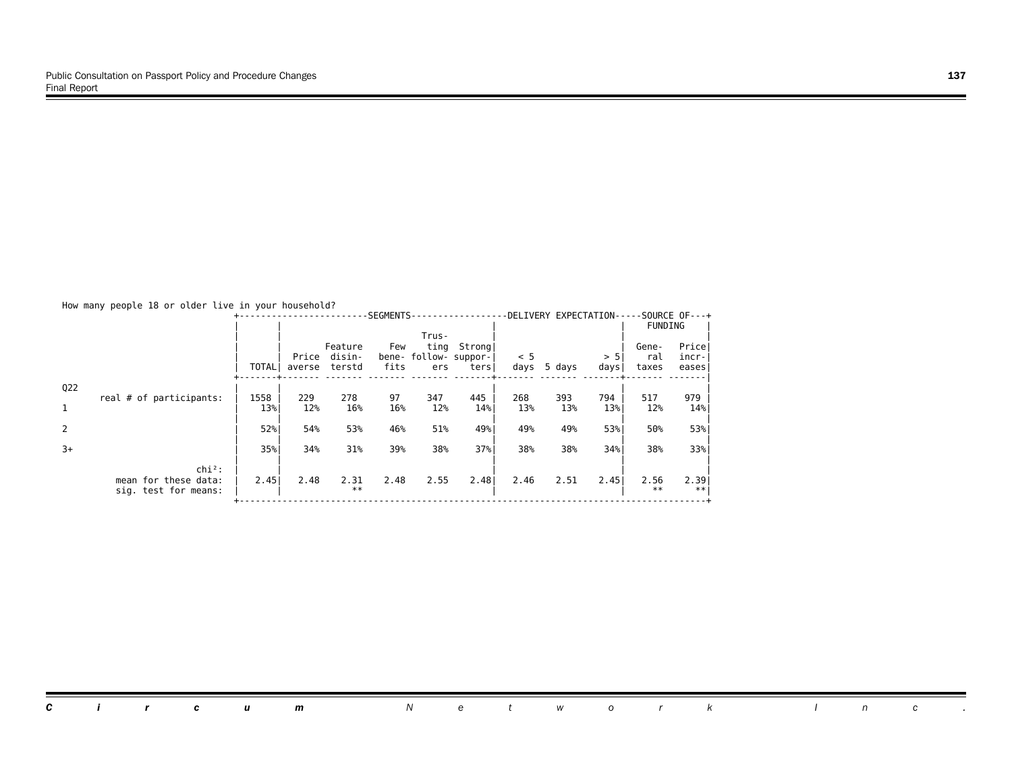|  |  |  |  |  |  |  |  | How many people 18 or older live in your household? |
|--|--|--|--|--|--|--|--|-----------------------------------------------------|
|--|--|--|--|--|--|--|--|-----------------------------------------------------|

|                  |                                                           |              |            |                     | <b>SEGMENTS-</b> |                             |            |            | <b>DELIVERY EXPECTATION-</b> |            |                 | $-SOURCE$ OF---+ |
|------------------|-----------------------------------------------------------|--------------|------------|---------------------|------------------|-----------------------------|------------|------------|------------------------------|------------|-----------------|------------------|
|                  |                                                           |              |            |                     |                  | Trus-                       |            |            |                              |            | <b>FUNDI NG</b> |                  |
|                  |                                                           |              | Pri ce     | Feature<br>di si n- | Few              | ting<br>bene-follow-suppor- | Strong     | < 5        |                              | > 5        | Gene-<br>ral    | Pri ce<br>i ncr- |
|                  |                                                           | <b>TOTAL</b> | averse     | terstd              | fits             | ers                         | ters       | days       | 5 days                       | days∣      | taxes           | eases            |
| Q22              |                                                           |              |            |                     |                  |                             |            |            |                              |            |                 |                  |
|                  | real # of participants:                                   | 1558<br>13%  | 229<br>12% | 278<br>16%          | 97<br>16%        | 347<br>12%                  | 445<br>14% | 268<br>13% | 393<br>13%                   | 794<br>13% | 517<br>12%      | 979<br>14%       |
| $\boldsymbol{2}$ |                                                           | 52%          | 54%        | 53%                 | 46%              | 51%                         | 49%        | 49%        | 49%                          | 53%        | 50%             | 53%              |
| $3+$             |                                                           | 35%          | 34%        | 31%                 | 39%              | 38%                         | 37%        | 38%        | 38%                          | 34%        | 38%             | 33%              |
|                  | $chi^2$ :<br>mean for these data:<br>sig. test for means: | 2.45         | 2.48       | 2.31<br>$* *$       | 2.48             | 2.55                        | 2.48       | 2.46       | 2.51                         | 2.45       | 2.56<br>$***$   | 2.39<br>$***$    |

 $\overline{\phantom{0}}$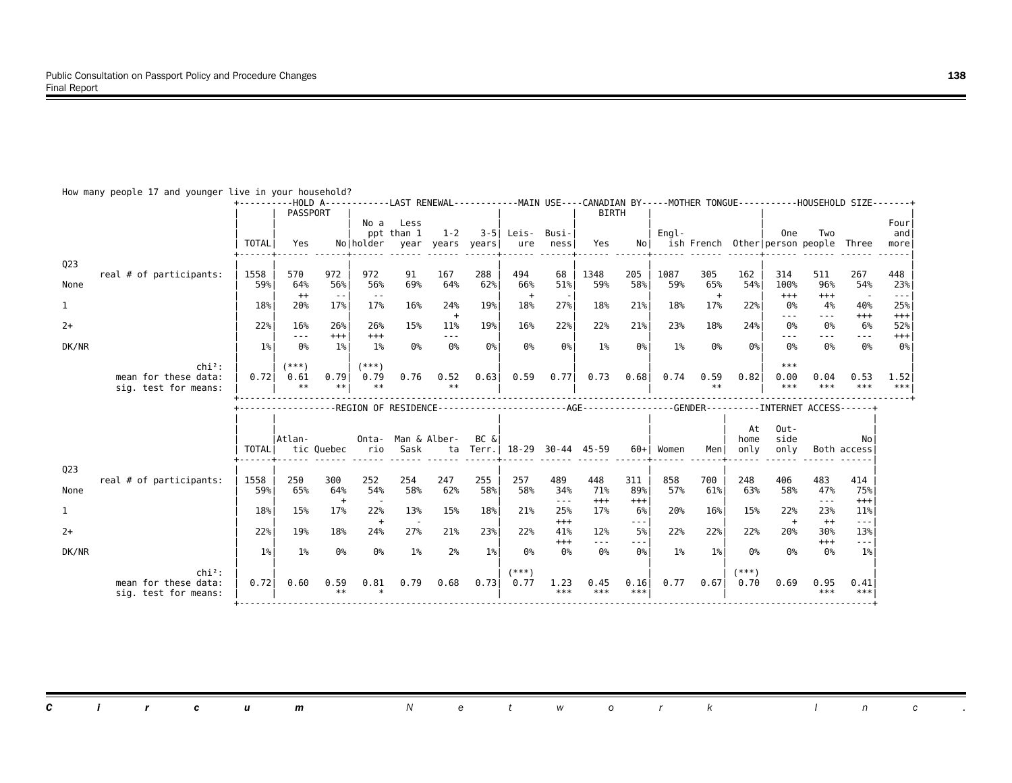|            |                                                           |              |                          |                   |                                            |                      |                             |            |                              | -HOLD A-----------LAST RENEWAL------------MAIN USE----CANADIAN BY-----MOTHER TONGUE-----------HOUSEHOLD SIZE---                                                                                                                                                                                                                                                                                            |                                                              |                        |              |                                      |                     |                          |                             |                                                                                                                                                                                                                                                                                                                                                                                                     |                                   |
|------------|-----------------------------------------------------------|--------------|--------------------------|-------------------|--------------------------------------------|----------------------|-----------------------------|------------|------------------------------|------------------------------------------------------------------------------------------------------------------------------------------------------------------------------------------------------------------------------------------------------------------------------------------------------------------------------------------------------------------------------------------------------------|--------------------------------------------------------------|------------------------|--------------|--------------------------------------|---------------------|--------------------------|-----------------------------|-----------------------------------------------------------------------------------------------------------------------------------------------------------------------------------------------------------------------------------------------------------------------------------------------------------------------------------------------------------------------------------------------------|-----------------------------------|
|            |                                                           |              | <b>PASSPORT</b>          |                   | No a                                       | Less                 |                             |            |                              |                                                                                                                                                                                                                                                                                                                                                                                                            | <b>BIRTH</b>                                                 |                        |              |                                      |                     |                          |                             |                                                                                                                                                                                                                                                                                                                                                                                                     | Four                              |
|            |                                                           | <b>TOTAL</b> | Yes                      |                   | No   hol der                               | ppt than 1           | $1 - 2$<br>year years years |            | $3-5$ Leis-<br>ure           | Busi -<br>ness                                                                                                                                                                                                                                                                                                                                                                                             | Yes                                                          | No <sub>1</sub>        | $Engl -$     | ish French Other person people Three |                     | <b>One</b>               | Two                         |                                                                                                                                                                                                                                                                                                                                                                                                     | and<br>more                       |
| Q23        |                                                           |              |                          |                   |                                            |                      |                             |            |                              |                                                                                                                                                                                                                                                                                                                                                                                                            |                                                              |                        |              |                                      |                     |                          |                             |                                                                                                                                                                                                                                                                                                                                                                                                     |                                   |
| None       | real # of participants:                                   | 1558<br>59%  | 570<br>64%               | 972<br>56%        | 972<br>56%                                 | 91<br>69%            | 167<br>64%                  | 288<br>62% | 494<br>66%                   | 68<br>51%                                                                                                                                                                                                                                                                                                                                                                                                  | 1348<br>59%                                                  | 205<br>58%             | 1087<br>59%  | 305<br>65%                           | 162<br>54%          | 314<br>100%              | 511<br>96%                  | 267<br>54%                                                                                                                                                                                                                                                                                                                                                                                          | 448<br>23%                        |
|            |                                                           | 18%          | $^{++}$<br>20%           | $\sim$ $-$<br>17% | $\sim$ $-$<br>17%                          | 16%                  | 24%                         | 19%        | $^{+}$<br>18%                | 27%                                                                                                                                                                                                                                                                                                                                                                                                        | 18%                                                          | 21%                    | 18%          | 17%                                  | 22%                 | $^{+++}$<br>0%<br>- - -  | $^{+++}$<br>4%<br>- - -     | 40%<br>$^{+++}$                                                                                                                                                                                                                                                                                                                                                                                     | $\sim$ $ \sim$<br>25%<br>$^{+++}$ |
| $2+$       |                                                           | 22%          | 16%<br>$- - -$           | 26%<br>$^{+++}$   | 26%<br>$^{+++}$                            | 15%                  | 11%<br>$- - -$              | 19%        | 16%                          | 22%                                                                                                                                                                                                                                                                                                                                                                                                        | 22%                                                          | 21%                    | 23%          | 18%                                  | 24%                 | 0%<br>- - -              | 0%<br>- - -                 | 6%<br>$\frac{1}{2} \frac{1}{2} \frac{1}{2} \frac{1}{2} \frac{1}{2} \frac{1}{2} \frac{1}{2} \frac{1}{2} \frac{1}{2} \frac{1}{2} \frac{1}{2} \frac{1}{2} \frac{1}{2} \frac{1}{2} \frac{1}{2} \frac{1}{2} \frac{1}{2} \frac{1}{2} \frac{1}{2} \frac{1}{2} \frac{1}{2} \frac{1}{2} \frac{1}{2} \frac{1}{2} \frac{1}{2} \frac{1}{2} \frac{1}{2} \frac{1}{2} \frac{1}{2} \frac{1}{2} \frac{1}{2} \frac{$  | 52%<br>$^{+++}$                   |
| DK/NR      |                                                           | $1\%$        | 0%                       | $1\%$             | 1%                                         | 0%                   | 0%                          | $0\%$      | 0%                           | 0%                                                                                                                                                                                                                                                                                                                                                                                                         | 1%                                                           | 0%                     | 1%           | 0%                                   | 0%                  | 0%                       | 0%                          | 0%                                                                                                                                                                                                                                                                                                                                                                                                  | 0%                                |
|            | $chi^2$ :<br>mean for these data:<br>sig. test for means: | 0.72         | $(***)$<br>0.61<br>$***$ | 0.79<br>**        | $(***)$<br>0.79<br>$**$                    | 0.76                 | 0.52<br>$**$                | 0.63       | 0.59                         | 0.77                                                                                                                                                                                                                                                                                                                                                                                                       | 0.73                                                         | 0.68                   | 0.74         | 0.59                                 | 0.82                | ***<br>0.00<br>$***$     | 0.04<br>***                 | 0.53<br>***                                                                                                                                                                                                                                                                                                                                                                                         | 1.52<br>***                       |
|            |                                                           |              |                          |                   | - REGION OF RESIDENCE--------------------- |                      |                             |            |                              |                                                                                                                                                                                                                                                                                                                                                                                                            | - AGE----------------GENDER---------- INTERNET ACCESS------+ |                        |              |                                      |                     |                          |                             |                                                                                                                                                                                                                                                                                                                                                                                                     |                                   |
|            |                                                           | <b>TOTAL</b> | Atl an-                  | tic Quebec        | Onta-<br>rio                               | Man & Alber-<br>Sask |                             | $BC \&$    | ta Terr.   18-29 30-44 45-59 |                                                                                                                                                                                                                                                                                                                                                                                                            |                                                              |                        | $60+1$ Women | Men                                  | At<br>home<br>onl y | $0$ ut-<br>side<br>onl y |                             | No<br>Both access                                                                                                                                                                                                                                                                                                                                                                                   |                                   |
| <b>Q23</b> |                                                           |              |                          |                   |                                            |                      |                             |            |                              |                                                                                                                                                                                                                                                                                                                                                                                                            |                                                              |                        |              |                                      |                     |                          |                             |                                                                                                                                                                                                                                                                                                                                                                                                     |                                   |
| None       | real # of participants:                                   | 1558<br>59%  | 250<br>65%               | 300<br>64%        | 252<br>54%                                 | 254<br>58%           | 247<br>62%                  | 255<br>58% | 257<br>58%                   | 489<br>34%<br>$\frac{1}{2} \frac{1}{2} \frac{1}{2} \frac{1}{2} \frac{1}{2} \frac{1}{2} \frac{1}{2} \frac{1}{2} \frac{1}{2} \frac{1}{2} \frac{1}{2} \frac{1}{2} \frac{1}{2} \frac{1}{2} \frac{1}{2} \frac{1}{2} \frac{1}{2} \frac{1}{2} \frac{1}{2} \frac{1}{2} \frac{1}{2} \frac{1}{2} \frac{1}{2} \frac{1}{2} \frac{1}{2} \frac{1}{2} \frac{1}{2} \frac{1}{2} \frac{1}{2} \frac{1}{2} \frac{1}{2} \frac{$ | 448<br>71%<br>$^{+++}$                                       | 311<br>89%<br>$^{+++}$ | 858<br>57%   | 700<br>61%                           | 248<br>63%          | 406<br>58%               | 483<br>47%<br>$\frac{1}{2}$ | 414<br>75%<br>$^{+++}$                                                                                                                                                                                                                                                                                                                                                                              |                                   |
|            |                                                           | 18%          | 15%                      | 17%               | 22%                                        | 13%                  | 15%                         | 18%        | 21%                          | 25%<br>$^{+++}$                                                                                                                                                                                                                                                                                                                                                                                            | 17%                                                          | 6%<br>$- - -$          | 20%          | 16%                                  | 15%                 | 22%                      | 23%<br>$^{++}$              | 11%<br>$\frac{1}{2} \frac{1}{2} \frac{1}{2} \frac{1}{2} \frac{1}{2} \frac{1}{2} \frac{1}{2} \frac{1}{2} \frac{1}{2} \frac{1}{2} \frac{1}{2} \frac{1}{2} \frac{1}{2} \frac{1}{2} \frac{1}{2} \frac{1}{2} \frac{1}{2} \frac{1}{2} \frac{1}{2} \frac{1}{2} \frac{1}{2} \frac{1}{2} \frac{1}{2} \frac{1}{2} \frac{1}{2} \frac{1}{2} \frac{1}{2} \frac{1}{2} \frac{1}{2} \frac{1}{2} \frac{1}{2} \frac{$ |                                   |
| $2+$       |                                                           | 22%          | 19%                      | 18%               | 24%                                        | 27%                  | 21%                         | 23%        | 22%                          | 41%                                                                                                                                                                                                                                                                                                                                                                                                        | 12%                                                          | 5%                     | 22%          | 22%                                  | 22%                 | 20%                      | 30%                         | 13%                                                                                                                                                                                                                                                                                                                                                                                                 |                                   |
| DK/NR      |                                                           | $1\%$        | 1%                       | 0%                | 0%                                         | 1%                   | $2\%$                       | $1\%$      | 0%                           | $^{+++}$<br>0%                                                                                                                                                                                                                                                                                                                                                                                             | $- - -$<br>0%                                                | $- - -$<br>0%          | 1%           | 1%                                   | 0%                  | 0%                       | $^{+++}$<br>0%              | $\sim$ $ -$<br><b>1%</b>                                                                                                                                                                                                                                                                                                                                                                            |                                   |
|            | $chi^2$ :<br>mean for these data:<br>sig. test for means: | 0.72         | 0.60                     | 0.59<br>$**$      | 0.81                                       | 0.79                 | 0.68                        | 0.73       | $(***)$<br>0.77              | 1.23<br>***                                                                                                                                                                                                                                                                                                                                                                                                | 0.45<br>***                                                  | 0.16<br>***            | 0.77         | 0.67                                 | $(***)$<br>0.70     | 0.69                     | 0.95<br>***                 | 0.41<br>***                                                                                                                                                                                                                                                                                                                                                                                         |                                   |

#### How many people 17 and younger live in your household?

|  |  |  |  |  |  | <b>Circum</b> Network Inc. |  |  |
|--|--|--|--|--|--|----------------------------|--|--|
|  |  |  |  |  |  |                            |  |  |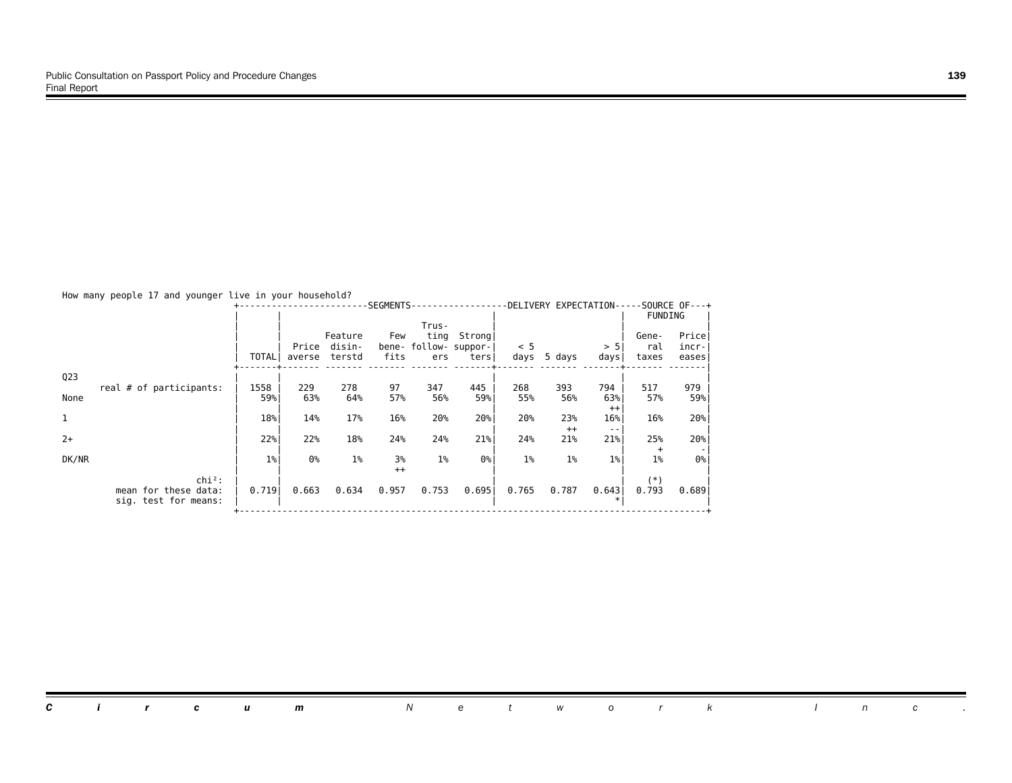|                         |              |        |          | <b>SEGMENTS</b> |                     |        |       | DELIVERY EXPECTATION |              |                | SOURCE $0F---$ |
|-------------------------|--------------|--------|----------|-----------------|---------------------|--------|-------|----------------------|--------------|----------------|----------------|
|                         |              |        |          |                 |                     |        |       |                      |              | <b>FUNDING</b> |                |
|                         |              |        |          |                 | Trus-               |        |       |                      |              |                |                |
|                         |              |        | Feature  | Few             | ting                | Strong |       |                      |              | Gene-          | Pri ce         |
|                         |              | Pri ce | di si n- |                 | bene-follow-suppor- |        | < 5   |                      | > 5          | ral            | i ncr-         |
|                         | <b>TOTAL</b> | averse | terstd   | fits            | ers                 | ters   | days  | 5 days               | days         | taxes          | eases          |
|                         |              |        |          |                 |                     |        |       |                      |              |                |                |
| Q23                     |              |        |          |                 |                     |        |       |                      |              |                |                |
| real # of participants: | 1558         | 229    | 278      | 97              | 347                 | 445    | 268   | 393                  | 794          | 517            | 979            |
| None                    | 59%          | 63%    | 64%      | 57%             | 56%                 | 59%    | 55%   | 56%                  | 63%          | 57%            | 59%            |
|                         |              |        |          |                 |                     |        |       |                      | $^{++}$      |                |                |
|                         | 18%          | 14%    | 17%      | 16%             | 20%                 | 20%    | 20%   | 23%                  | 16%          | 16%            | 20%            |
| $2+$                    | 22%          | 22%    | 18%      | 24%             | 24%                 | 21%    | 24%   | $^{++}$<br>21%       | $- -$<br>21% | 25%            | 20%            |
|                         |              |        |          |                 |                     |        |       |                      |              |                |                |
| DK/NR                   | $1\%$        | 0%     | 1%       | 3%              | 1%                  | 0%     | 1%    | 1%                   | $1\%$        | 1%             | 0%             |
|                         |              |        |          | $^{++}$         |                     |        |       |                      |              |                |                |
| $chi^2$ :               |              |        |          |                 |                     |        |       |                      |              | $(*)$          |                |
| mean for these data:    | 0.719        | 0.663  | 0.634    | 0.957           | 0.753               | 0.695  | 0.765 | 0.787                | 0.643        | 0.793          | 0.689          |
| sig. test for means:    |              |        |          |                 |                     |        |       |                      | $\ast$       |                |                |
|                         |              |        |          |                 |                     |        |       |                      |              |                |                |

## How many people 17 and younger live in your household?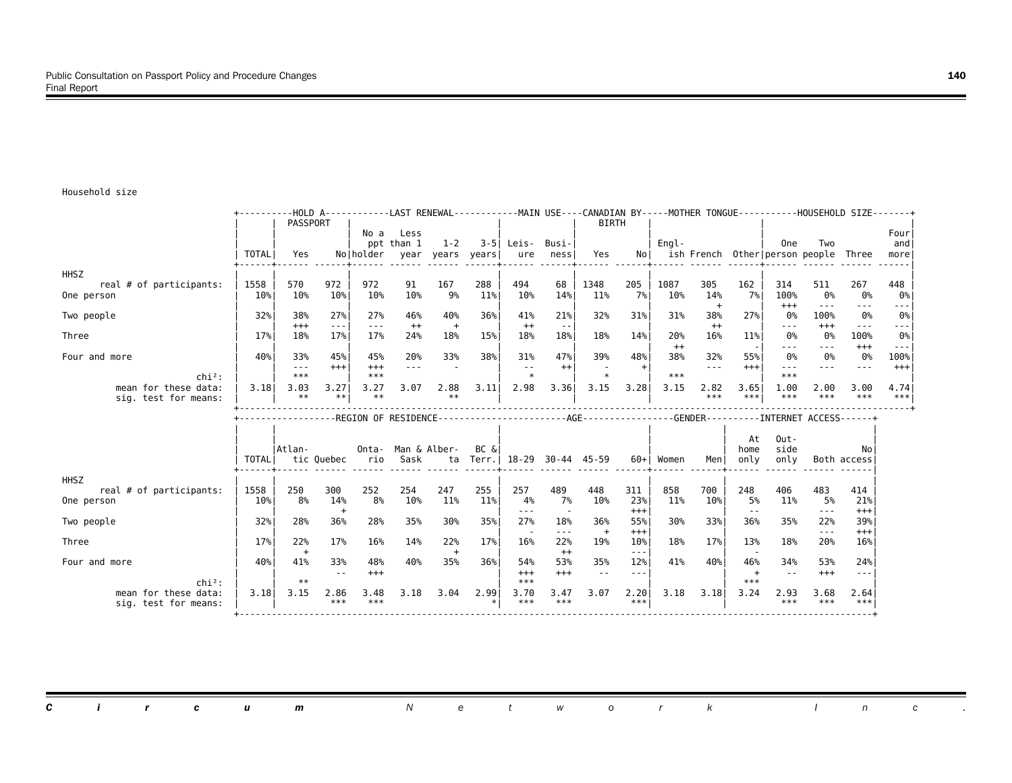## Household size

|                                                           |              | <b>PASSPORT</b>                                                                                                                                                                                                                                                                                                                                                                                                        | $-HOLD$ A---        |                                   |                      |                             |                  |                      |                           | ---------LAST RENEWAL------------MAIN USE----CANADIAN BY-----MOTHER TONGUE----------HOUSEHOLD SIZE-------+<br><b>BIRTH</b> |                            |                |                                           |                      |                                 |                      |                                                                                                                                                                                                                                                                                                                                                                                                             |                              |
|-----------------------------------------------------------|--------------|------------------------------------------------------------------------------------------------------------------------------------------------------------------------------------------------------------------------------------------------------------------------------------------------------------------------------------------------------------------------------------------------------------------------|---------------------|-----------------------------------|----------------------|-----------------------------|------------------|----------------------|---------------------------|----------------------------------------------------------------------------------------------------------------------------|----------------------------|----------------|-------------------------------------------|----------------------|---------------------------------|----------------------|-------------------------------------------------------------------------------------------------------------------------------------------------------------------------------------------------------------------------------------------------------------------------------------------------------------------------------------------------------------------------------------------------------------|------------------------------|
|                                                           | <b>TOTAL</b> | Yes                                                                                                                                                                                                                                                                                                                                                                                                                    |                     | No a<br>No   hol der              | Less<br>ppt than 1   | $1 - 2$<br>year years years |                  | $3-5$ Leis-<br>ure   | Busi -<br>ness            | Yes                                                                                                                        | No                         | $Engl -$       | ish French 0ther person people Three      |                      | <b>One</b>                      | Two                  |                                                                                                                                                                                                                                                                                                                                                                                                             | Four<br>and<br>more          |
| <b>HHSZ</b><br>real # of participants:<br>One person      | 1558<br>10%  | 570<br>10%                                                                                                                                                                                                                                                                                                                                                                                                             | 972<br>10%          | 972<br>10%                        | 91<br>10%            | 167<br>9%                   | 288<br>11%       | 494<br>10%           | 68<br>14%                 | 1348<br>11%                                                                                                                | 205<br>7%                  | 1087<br>10%    | 305<br>14%                                | 162<br>7%            | 314<br>100%                     | 511<br>0%            | 267<br>0%                                                                                                                                                                                                                                                                                                                                                                                                   | 448<br>0%                    |
| Two people                                                | 32%          | 38%                                                                                                                                                                                                                                                                                                                                                                                                                    | 27%                 | 27%                               | 46%                  | 40%                         | 36%              | 41%                  | 21%                       | 32%                                                                                                                        | 31%                        | 31%            | $+$<br>38%                                | 27%                  | $^{+++}$<br>0%                  | 100%                 | $- - -$<br>0%                                                                                                                                                                                                                                                                                                                                                                                               | $- - -$<br>0%                |
| Three                                                     | 17%          | $^{+++}$<br>18%                                                                                                                                                                                                                                                                                                                                                                                                        | $- - -$<br>17%      | $- - -$<br>17%                    | $^{++}$<br>24%       | $+$<br>18%                  | 15%              | $^{++}$<br>18%       | $\sim$ $-$<br>18%         | 18%                                                                                                                        | 14%                        | 20%            | $^{++}$<br>16%                            | 11%                  | $- - -$<br>0%                   | $^{+++}$<br>0%       | $\frac{1}{2} \frac{1}{2} \frac{1}{2} \frac{1}{2} \frac{1}{2} \frac{1}{2} \frac{1}{2} \frac{1}{2} \frac{1}{2} \frac{1}{2} \frac{1}{2} \frac{1}{2} \frac{1}{2} \frac{1}{2} \frac{1}{2} \frac{1}{2} \frac{1}{2} \frac{1}{2} \frac{1}{2} \frac{1}{2} \frac{1}{2} \frac{1}{2} \frac{1}{2} \frac{1}{2} \frac{1}{2} \frac{1}{2} \frac{1}{2} \frac{1}{2} \frac{1}{2} \frac{1}{2} \frac{1}{2} \frac{$<br>100%        | $- - -$<br>0%                |
| Four and more                                             | 40%          | 33%                                                                                                                                                                                                                                                                                                                                                                                                                    | 45%                 | 45%                               | 20%                  | 33%                         | 38%              | 31%                  | 47%                       | 39%                                                                                                                        | 48%                        | $^{++}$<br>38% | 32%                                       | 55%                  | - - -<br>0%                     | - - -<br>0%          | $^{+++}$<br>0%                                                                                                                                                                                                                                                                                                                                                                                              | $\sim$ $\sim$ $\sim$<br>100% |
| $chi^2$ :<br>mean for these data:<br>sig. test for means: | 3.18         | $\frac{1}{2} \frac{1}{2} \frac{1}{2} \frac{1}{2} \frac{1}{2} \frac{1}{2} \frac{1}{2} \frac{1}{2} \frac{1}{2} \frac{1}{2} \frac{1}{2} \frac{1}{2} \frac{1}{2} \frac{1}{2} \frac{1}{2} \frac{1}{2} \frac{1}{2} \frac{1}{2} \frac{1}{2} \frac{1}{2} \frac{1}{2} \frac{1}{2} \frac{1}{2} \frac{1}{2} \frac{1}{2} \frac{1}{2} \frac{1}{2} \frac{1}{2} \frac{1}{2} \frac{1}{2} \frac{1}{2} \frac{$<br>$***$<br>3.03<br>$***$ | $+++$<br>3.27<br>** | $^{+++}$<br>$***$<br>3.27<br>$**$ | $- - -$<br>3.07      | 2.88<br>$**$                | 3.11             | $- -$<br>$*$<br>2.98 | $^{++}$<br>3.36           | $\ast$<br>3.15                                                                                                             | $+$<br>3.28                | $***$<br>3.15  | $- - -$<br>2.82<br>$***$                  | $+++$<br>3.65<br>*** | $- - -$<br>$***$<br>1.00<br>*** | 2.00<br>***          | $\frac{1}{2} \frac{1}{2} \frac{1}{2} \frac{1}{2} \frac{1}{2} \frac{1}{2} \frac{1}{2} \frac{1}{2} \frac{1}{2} \frac{1}{2} \frac{1}{2} \frac{1}{2} \frac{1}{2} \frac{1}{2} \frac{1}{2} \frac{1}{2} \frac{1}{2} \frac{1}{2} \frac{1}{2} \frac{1}{2} \frac{1}{2} \frac{1}{2} \frac{1}{2} \frac{1}{2} \frac{1}{2} \frac{1}{2} \frac{1}{2} \frac{1}{2} \frac{1}{2} \frac{1}{2} \frac{1}{2} \frac{$<br>3.00<br>*** | $^{+++}$<br>4.74<br>***      |
|                                                           |              |                                                                                                                                                                                                                                                                                                                                                                                                                        |                     |                                   |                      |                             |                  |                      |                           |                                                                                                                            |                            |                | - GENDER---------- INTERNET ACCESS------+ |                      |                                 |                      |                                                                                                                                                                                                                                                                                                                                                                                                             |                              |
|                                                           | <b>TOTAL</b> | Atl an-                                                                                                                                                                                                                                                                                                                                                                                                                | tic Quebec          | Onta-<br>rio                      | Man & Alber-<br>Sask |                             | BC &<br>ta Terr. |                      |                           | 18-29 30-44 45-59                                                                                                          |                            | $60+1$ Women   | Men                                       | At<br>home<br>onl y  | $0$ ut-<br>side<br>onl y        |                      | No<br>Both access                                                                                                                                                                                                                                                                                                                                                                                           |                              |
| <b>HHSZ</b>                                               |              |                                                                                                                                                                                                                                                                                                                                                                                                                        |                     |                                   |                      |                             |                  |                      |                           |                                                                                                                            |                            |                |                                           |                      |                                 |                      |                                                                                                                                                                                                                                                                                                                                                                                                             |                              |
| real # of participants:<br>One person                     | 1558<br>10%  | 250<br>8%                                                                                                                                                                                                                                                                                                                                                                                                              | 300<br>14%          | 252<br>8%                         | 254<br>10%           | 247<br>11%                  | 255<br>11%       | 257<br>4%            | 489<br>7%                 | 448<br>10%                                                                                                                 | 311<br>23%                 | 858<br>11%     | 700<br>10%                                | 248<br>5%            | 406<br>11%                      | 483<br>5%            | 414<br>21%                                                                                                                                                                                                                                                                                                                                                                                                  |                              |
| Two people                                                | 32%          | 28%                                                                                                                                                                                                                                                                                                                                                                                                                    | 36%                 | 28%                               | 35%                  | 30%                         | 35%              | - - -<br>27%         | 18%                       | 36%                                                                                                                        | $^{+++}$<br>55%            | 30%            | 33%                                       | $ -$<br>36%          | 35%                             | $\frac{1}{2}$<br>22% | $^{+++}$<br>39%                                                                                                                                                                                                                                                                                                                                                                                             |                              |
| Three                                                     | 17%          | 22%<br>$+$                                                                                                                                                                                                                                                                                                                                                                                                             | 17%                 | 16%                               | 14%                  | 22%<br>$\overline{+}$       | 17%              | 16%                  | $- - -$<br>22%<br>$^{++}$ | $+$<br>19%                                                                                                                 | $^{+++}$<br>10%<br>$- - -$ | 18%            | 17%                                       | 13%                  | 18%                             | $- - -$<br>20%       | $^{+++}$<br>16%                                                                                                                                                                                                                                                                                                                                                                                             |                              |
| Four and more                                             | 40%          | 41%                                                                                                                                                                                                                                                                                                                                                                                                                    | 33%                 | 48%<br>$^{+++}$                   | 40%                  | 35%                         | 36%              | 54%<br>$^{+++}$      | 53%<br>$^{+++}$           | 35%<br>$- -$                                                                                                               | 12%<br>$- - -$             | 41%            | 40%                                       | 46%<br>$+$           | 34%<br>$\sim$ $-$               | 53%<br>$^{+++}$      | 24%<br>$\frac{1}{2} \frac{1}{2} \frac{1}{2} \frac{1}{2} \frac{1}{2} \frac{1}{2} \frac{1}{2} \frac{1}{2} \frac{1}{2} \frac{1}{2} \frac{1}{2} \frac{1}{2} \frac{1}{2} \frac{1}{2} \frac{1}{2} \frac{1}{2} \frac{1}{2} \frac{1}{2} \frac{1}{2} \frac{1}{2} \frac{1}{2} \frac{1}{2} \frac{1}{2} \frac{1}{2} \frac{1}{2} \frac{1}{2} \frac{1}{2} \frac{1}{2} \frac{1}{2} \frac{1}{2} \frac{1}{2} \frac{$         |                              |
| $chi^2$ :<br>mean for these data:<br>sig. test for means: | 3.18         | $* *$<br>3.15                                                                                                                                                                                                                                                                                                                                                                                                          | 2.86<br>***         | 3.48<br>$***$                     | 3.18                 | 3.04                        | 2.99             | $***$<br>3.70<br>*** | 3.47<br>$***$             | 3.07                                                                                                                       | 2.20<br>***                | 3.18           | 3.18                                      | ***<br>3.24          | 2.93<br>***                     | 3.68<br>***          | 2.64<br>$***$                                                                                                                                                                                                                                                                                                                                                                                               |                              |

|  |  |  | <b>Circum</b> Network Inc. |  |  |  |  |  |  |
|--|--|--|----------------------------|--|--|--|--|--|--|
|  |  |  |                            |  |  |  |  |  |  |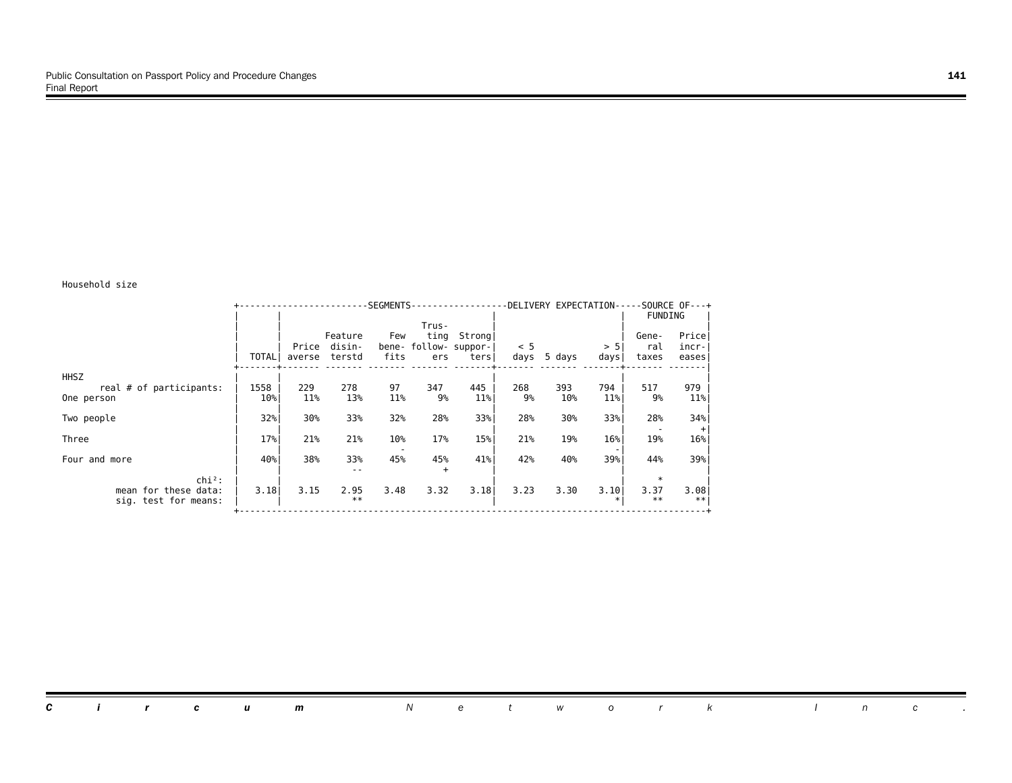#### Household size

|                         |              |        |          | <b>SEGMENTS-</b> |                     |        |      | DELIVERY EXPECTATION |        |                 | SOURCE $0F---$ |
|-------------------------|--------------|--------|----------|------------------|---------------------|--------|------|----------------------|--------|-----------------|----------------|
|                         |              |        |          |                  |                     |        |      |                      |        | <b>FUNDI NG</b> |                |
|                         |              |        |          |                  | Trus-               |        |      |                      |        |                 |                |
|                         |              |        | Feature  | Few              | ting                | Strong |      |                      |        | Gene-           | Pri ce         |
|                         |              | Pri ce | di si n- |                  | bene-follow-suppor- |        | < 5  |                      | $> 5$  | ral             | i ncr-         |
|                         | <b>TOTAL</b> | averse | terstd   | fits             | ers                 | ters   | days | 5 days               | days   | taxes           | eases          |
| <b>HHSZ</b>             |              |        |          |                  |                     |        |      |                      |        |                 |                |
| real # of participants: | 1558         | 229    | 278      | 97               | 347                 | 445    | 268  | 393                  | 794    | 517             | 979            |
| One person              | 10%          | 11%    | 13%      | 11%              | 9%                  | 11%    | 9%   | 10%                  | 11%    | 9%              | 11%            |
| Two people              | 32%          | 30%    | 33%      | 32%              | 28%                 | 33%    | 28%  | 30%                  | 33%    | 28%             | 34%            |
| Three                   | 17%          | 21%    | 21%      | 10%              | 17%                 | 15%    | 21%  | 19%                  | 16%    | 19%             | $^{+}$<br>16%  |
| Four and more           | 40%          | 38%    | 33%      | 45%              | 45%                 | 41%    | 42%  | 40%                  | 39%    | 44%             | 39%            |
| $chi^2$ :               |              |        | $ -$     |                  | $+$                 |        |      |                      |        |                 |                |
| mean for these data:    | 3.18         | 3.15   | 2.95     | 3.48             | 3.32                | 3.18   | 3.23 | 3.30                 | 3.10   | 3.37            | 3.08           |
| sig. test for means:    |              |        | $***$    |                  |                     |        |      |                      | $\ast$ | $***$           | $***$          |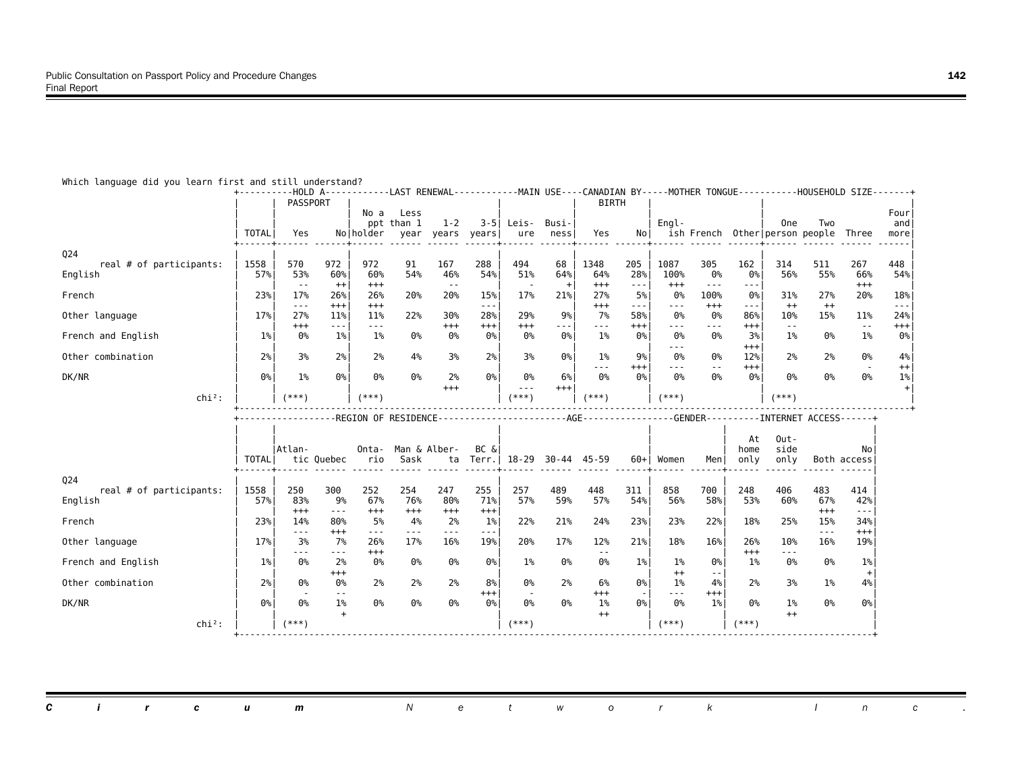|                                       |              |                         | - HOLD A---                |                             |                    |                |                |                    |               | --------- LAST_RENEWAL----------- - MAI N_USE---- CANADI AN_BY----- MOTHER_TONGUE---------- -HOUSEHOLD_SIZE-- |                          |                           |                                           |                                     |                 |                 |                  |                             |
|---------------------------------------|--------------|-------------------------|----------------------------|-----------------------------|--------------------|----------------|----------------|--------------------|---------------|---------------------------------------------------------------------------------------------------------------|--------------------------|---------------------------|-------------------------------------------|-------------------------------------|-----------------|-----------------|------------------|-----------------------------|
|                                       |              | <b>PASSPORT</b>         |                            | No a                        | Less<br>ppt than 1 | $1 - 2$        | $3 - 5$        | Lei s-             | Busi-         | <b>BIRTH</b>                                                                                                  |                          | Engl-                     |                                           |                                     | 0ne             | Two             |                  | Four<br>and                 |
|                                       | <b>TOTAL</b> | Yes                     |                            | No   hol der                | year               | years          | years          | ure                | ness          | Yes                                                                                                           | No                       |                           | ish French Other person people Three      |                                     |                 |                 |                  | more                        |
| <b>Q24</b><br>real # of participants: | 1558         | 570                     | 972                        | 972                         | 91                 | 167            | 288            | 494                | 68            | 1348                                                                                                          | 205                      | 1087                      | 305                                       | 162                                 | 314             | 511             | 267              | 448                         |
| English                               | 57%          | 53%                     | 60%                        | 60%                         | 54%                | 46%            | 54%            | 51%                | 64%           | 64%                                                                                                           | 28%                      | 100%                      | 0%                                        | 0%                                  | 56%             | 55%             | 66%              | 54%                         |
| French                                | 23%          | $- -$<br>17%<br>$- - -$ | $^{++}$<br>26%<br>$^{+++}$ | $^{+++}$<br>26%<br>$^{+++}$ | 20%                | $- -$<br>20%   | 15%<br>$- - -$ | 17%                | $+$<br>21%    | $^{+++}$<br>27%<br>$^{+++}$                                                                                   | $- - -$<br>5%<br>$- - -$ | $^{+++}$<br>0%<br>$- - -$ | $- - -$<br>100%<br>$^{+++}$               | - - -<br>0%<br>$\sim$ $\sim$ $\sim$ | 31%<br>$^{++}$  | 27%<br>$^{++}$  | $^{+++}$<br>20%  | 18%<br>$\sim$ $\sim$ $\sim$ |
| Other language                        | 17%          | 27%                     | 11%                        | 11%                         | 22%                | 30%            | 28%            | 29%                | 9%            | 7%                                                                                                            | 58%                      | 0%                        | 0%                                        | 86%                                 | 10%             | 15%             | 11%              | 24%                         |
| French and English                    | 1%           | $^{+++}$<br>0%          | $- - -$<br>1%              | $- - -$<br>1%               | 0%                 | $^{+++}$<br>0% | $^{+++}$<br>0% | $^{+++}$<br>0%     | $- - -$<br>0% | $- - -$<br>1%                                                                                                 | $^{+++}$<br>0%           | $- - -$<br>0%<br>- - -    | - - -<br>0%                               | $^{+++}$<br>3%<br>$^{+++}$          | $- -$<br>1%     | 0%              | $\sim$ $-$<br>1% | $^{+++}$<br>0%              |
| Other combination                     | $2\%$        | 3%                      | 2%                         | 2%                          | 4%                 | 3%             | 2%             | 3%                 | 0%            | 1%<br>$- - -$                                                                                                 | 9%<br>$^{+++}$           | 0%<br>$- - -$             | 0%<br>$ -$                                | 12%<br>$^{+++}$                     | 2%              | 2%              | 0%               | 4%<br>$^{++}$               |
| DK/NR                                 | 0%           | 1%                      | 0%                         | 0%                          | 0%                 | 2%             | 0%             | <b>0%</b>          | 6%            | 0%                                                                                                            | $\Omega\%$               | <b>0%</b>                 | 0%                                        | 0%                                  | 0%              | 0%              | 0%               | $1\%$                       |
| chi <sup>2</sup> :                    |              | $(***)$                 |                            | $(***)$                     |                    | $^{+++}$       |                | $- - -$<br>$(***)$ | $^{+++}$      | $(***)$                                                                                                       |                          | $(***)$                   |                                           |                                     | $(***)$         |                 |                  | $+$                         |
|                                       |              |                         |                            | REGION OF RESIDENCE---      |                    |                |                |                    |               | - AGE - - - - - - - - - - - - - - -                                                                           |                          |                           | - GENDER---------- INTERNET ACCESS------+ |                                     |                 |                 |                  |                             |
|                                       |              |                         |                            |                             |                    |                |                |                    |               |                                                                                                               |                          |                           |                                           |                                     |                 |                 |                  |                             |
|                                       |              | Atlan-                  |                            | Onta-                       | Man & Alber-       |                | <b>BC</b> &    |                    |               |                                                                                                               |                          |                           |                                           | At<br>home                          | $0$ ut-<br>side |                 | No               |                             |
|                                       | <b>TOTAL</b> |                         | tic Quebec                 | ri o                        | Sask               | ta             | Terr.          |                    |               | $18-29$ 30-44 45-59                                                                                           |                          | $60+$ Women               | Men                                       | onl y                               | onl y           |                 | Both access      |                             |
| Q24                                   |              |                         |                            |                             |                    |                |                |                    |               |                                                                                                               |                          |                           |                                           |                                     |                 |                 |                  |                             |
| real # of participants:<br>English    | 1558<br>57%  | 250<br>83%              | 300<br>9%                  | 252<br>67%                  | 254<br>76%         | 247<br>80%     | 255<br>71%     | 257<br>57%         | 489<br>59%    | 448<br>57%                                                                                                    | 311<br>54%               | 858<br>56%                | 700<br>58%                                | 248<br>53%                          | 406<br>60%      | 483<br>67%      | 414<br>42%       |                             |
| French                                | 23%          | $^{+++}$<br>14%         | $- - -$<br>80%             | $^{+++}$<br>5%              | $^{+++}$<br>4%     | $^{+++}$<br>2% | $^{+++}$<br>1% | 22%                | 21%           | 24%                                                                                                           | 23%                      | 23%                       | 22%                                       | 18%                                 | 25%             | $^{+++}$<br>15% | $- - -$<br>34%   |                             |
|                                       |              | $- - -$                 | $^{++}$                    | $- - -$                     | ---                | $- - -$        | $- - -$        |                    |               |                                                                                                               |                          |                           |                                           |                                     |                 | ---             | $^{+++}$         |                             |
| Other language                        | 17%          | 3%<br>$- - -$           | 7%<br>$- - -$              | 26%<br>$^{+++}$             | 17%                | 16%            | 19%            | 20%                | 17%           | 12%<br>$ -$                                                                                                   | 21%                      | 18%                       | 16%                                       | 26%<br>$^{+++}$                     | 10%<br>$- - -$  | 16%             | 19%              |                             |
| French and English                    | 1%           | 0%                      | 2%<br>$^{+++}$             | 0%                          | 0%                 | 0%             | 0%             | 1%                 | 0%            | 0%                                                                                                            | 1%                       | 1%<br>$^{++}$             | 0%<br>$- -$                               | 1%                                  | 0%              | 0%              | 1%<br>$+$        |                             |
| Other combination                     | 2%           | 0%                      | 0%<br>$-$                  | $2\%$                       | $2\%$              | 2%             | 8%<br>$^{+++}$ | 0%                 | 2%            | 6%<br>$^{+++}$                                                                                                | 0%                       | 1%<br>$- - -$             | 4%<br>$^{+++}$                            | 2%                                  | 3%              | 1%              | 4%               |                             |
| DK/NR                                 | 0%           | 0%                      | 1%<br>$+$                  | 0%                          | 0%                 | 0%             | $0\%$          | 0%                 | 0%            | 1%<br>$^{++}$                                                                                                 | $0\%$                    | <b>0%</b>                 | $1\%$                                     | 0%                                  | 1%<br>$^{++}$   | 0%              | $0\%$            |                             |
| chi <sup>2</sup> :                    |              | $(***)$                 |                            |                             |                    |                |                | $(***)$            |               |                                                                                                               |                          | $(***)$                   |                                           | $(***)$                             |                 |                 |                  |                             |

#### Which language did you learn first and still understand?

|  |  | <b>Circum</b> Network Inc. |  |  |  |  |  |  |
|--|--|----------------------------|--|--|--|--|--|--|
|  |  |                            |  |  |  |  |  |  |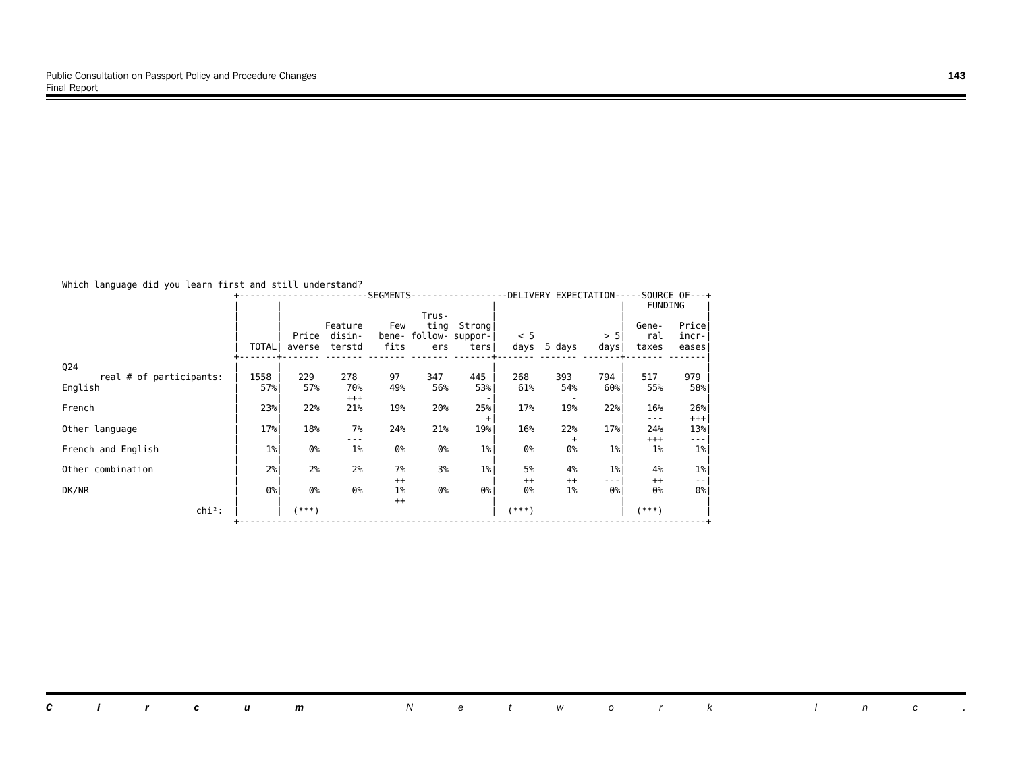### Which language did you learn first and still understand?

| ິ                       |              |         |          | <b>SEGMENTS-</b> |                     |                |         | DELIVERY EXPECTATION- |       |                | SOURCE $0F---$                                                                                                                                                                                                                                                                                                                                                                                     |
|-------------------------|--------------|---------|----------|------------------|---------------------|----------------|---------|-----------------------|-------|----------------|----------------------------------------------------------------------------------------------------------------------------------------------------------------------------------------------------------------------------------------------------------------------------------------------------------------------------------------------------------------------------------------------------|
|                         |              |         |          |                  |                     |                |         |                       |       | <b>FUNDING</b> |                                                                                                                                                                                                                                                                                                                                                                                                    |
|                         |              |         |          |                  | Trus-               |                |         |                       |       |                |                                                                                                                                                                                                                                                                                                                                                                                                    |
|                         |              |         | Feature  | Few              | ting                | Strong         |         |                       |       | Gene-          | Pri ce                                                                                                                                                                                                                                                                                                                                                                                             |
|                         |              | Pri ce  | di si n- |                  | bene-follow-suppor- |                | < 5     |                       | > 5   | ral            | i ncr-                                                                                                                                                                                                                                                                                                                                                                                             |
|                         | <b>TOTAL</b> | averse  | terstd   | fits             | ers                 | ters           | days    | 5 days                | days  | taxes          | eases                                                                                                                                                                                                                                                                                                                                                                                              |
| 024                     |              |         |          |                  |                     |                |         |                       |       |                |                                                                                                                                                                                                                                                                                                                                                                                                    |
| real # of participants: | 1558         | 229     | 278      | 97               | 347                 | 445            | 268     | 393                   | 794   | 517            | 979                                                                                                                                                                                                                                                                                                                                                                                                |
| English                 | 57%          | 57%     | 70%      | 49%              | 56%                 | 53%            | 61%     | 54%                   | 60%   | 55%            | 58%                                                                                                                                                                                                                                                                                                                                                                                                |
|                         |              |         | $^{+++}$ |                  |                     |                |         |                       |       |                |                                                                                                                                                                                                                                                                                                                                                                                                    |
| French                  | 23%          | 22%     | 21%      | 19%              | 20%                 | 25%            | 17%     | 19%                   | 22%   | 16%            | 26%                                                                                                                                                                                                                                                                                                                                                                                                |
|                         |              |         |          |                  |                     | $\overline{+}$ |         |                       |       | $- - -$        | $^{+++}$                                                                                                                                                                                                                                                                                                                                                                                           |
| Other language          | 17%          | 18%     | 7%       | 24%              | 21%                 | 19%            | 16%     | 22%                   | 17%   | 24%            | 13%                                                                                                                                                                                                                                                                                                                                                                                                |
| French and English      | 1%           | 0%      | 1%       | 0%               | 0%                  | 1%             | 0%      | $\ddot{}$<br>0%       | 1%    | $^{+++}$<br>1% | $\frac{1}{2} \frac{1}{2} \frac{1}{2} \frac{1}{2} \frac{1}{2} \frac{1}{2} \frac{1}{2} \frac{1}{2} \frac{1}{2} \frac{1}{2} \frac{1}{2} \frac{1}{2} \frac{1}{2} \frac{1}{2} \frac{1}{2} \frac{1}{2} \frac{1}{2} \frac{1}{2} \frac{1}{2} \frac{1}{2} \frac{1}{2} \frac{1}{2} \frac{1}{2} \frac{1}{2} \frac{1}{2} \frac{1}{2} \frac{1}{2} \frac{1}{2} \frac{1}{2} \frac{1}{2} \frac{1}{2} \frac{$<br>1% |
|                         |              |         |          |                  |                     |                |         |                       |       |                |                                                                                                                                                                                                                                                                                                                                                                                                    |
| Other combination       | 2%           | 2%      | 2%       | 7%               | 3%                  | 1%             | 5%      | 4%                    | 1%    | 4%             | 1%                                                                                                                                                                                                                                                                                                                                                                                                 |
|                         |              |         |          | $^{++}$          |                     |                | $^{++}$ | $^{++}$               | - - - | $^{++}$        | $- -$                                                                                                                                                                                                                                                                                                                                                                                              |
| DK/NR                   | 0%           | 0%      | 0%       | 1%               | 0%                  | 0%             | 0%      | 1%                    | 0%    | 0%             | 0%                                                                                                                                                                                                                                                                                                                                                                                                 |
|                         |              |         |          | $^{++}$          |                     |                |         |                       |       |                |                                                                                                                                                                                                                                                                                                                                                                                                    |
| chi <sup>2</sup> :      |              | $(***)$ |          |                  |                     |                | $(***)$ |                       |       | $(***)$        |                                                                                                                                                                                                                                                                                                                                                                                                    |
|                         |              |         |          |                  |                     |                |         |                       |       |                |                                                                                                                                                                                                                                                                                                                                                                                                    |

-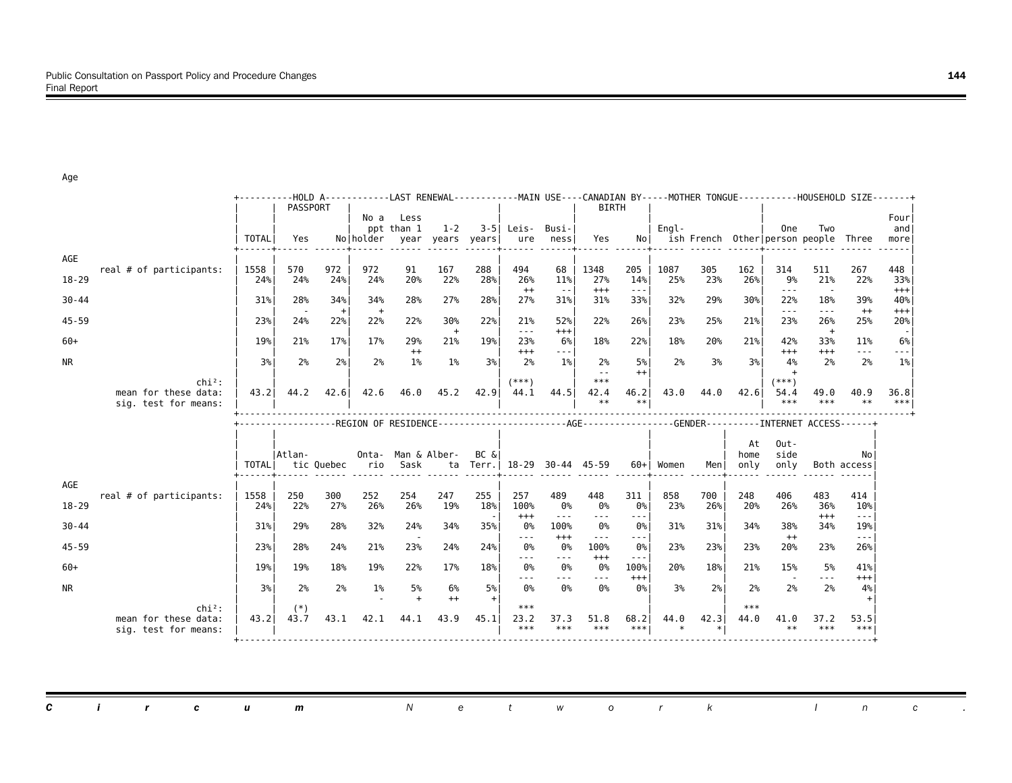Age

|                                                           |              | <b>PASSPORT</b> |               |               |                         |            |             |                              |                                                                                                                                                                                                                                                                                                                                                                                                    | -HOLD A-----------LAST RENEWAL------------MAIN USE----CANADIAN BY-----MOTHER TONGUE-----------HOUSEHOLD SIZE-------+<br><b>BI RTH</b>                                                                                                                                                                                                                                                              |                          |              |                                         |               |                        |                                                                                                                                                                                                                                                                                                                                                                                                     |                                    |                 |
|-----------------------------------------------------------|--------------|-----------------|---------------|---------------|-------------------------|------------|-------------|------------------------------|----------------------------------------------------------------------------------------------------------------------------------------------------------------------------------------------------------------------------------------------------------------------------------------------------------------------------------------------------------------------------------------------------|----------------------------------------------------------------------------------------------------------------------------------------------------------------------------------------------------------------------------------------------------------------------------------------------------------------------------------------------------------------------------------------------------|--------------------------|--------------|-----------------------------------------|---------------|------------------------|-----------------------------------------------------------------------------------------------------------------------------------------------------------------------------------------------------------------------------------------------------------------------------------------------------------------------------------------------------------------------------------------------------|------------------------------------|-----------------|
|                                                           |              |                 |               |               | No a Less<br>ppt than 1 | $1 - 2$    |             | $3-5$ Leis-Busi-             |                                                                                                                                                                                                                                                                                                                                                                                                    |                                                                                                                                                                                                                                                                                                                                                                                                    |                          | $Engl -$     |                                         |               | 0ne                    | Two                                                                                                                                                                                                                                                                                                                                                                                                 |                                    | Four<br>and     |
|                                                           | <b>TOTAL</b> | Yes             |               | No hol der    | year years years        |            |             | ure                          | ness                                                                                                                                                                                                                                                                                                                                                                                               | Yes                                                                                                                                                                                                                                                                                                                                                                                                |                          |              | No ish French Other person people Three |               |                        |                                                                                                                                                                                                                                                                                                                                                                                                     |                                    | more            |
| AGE<br>real # of participants:                            | 1558         | 570             | 972           | 972           | 91                      | 167        | 288         | 494                          | 68                                                                                                                                                                                                                                                                                                                                                                                                 | 1348                                                                                                                                                                                                                                                                                                                                                                                               | 205                      | 1087         | 305                                     | 162           | 314                    | 511                                                                                                                                                                                                                                                                                                                                                                                                 | 267                                | 448             |
| $18 - 29$                                                 | 24%          | 24%             | 24%           | 24%           | 20%                     | 22%        | 28%         | 26%<br>$^{++}$               | 11%<br>$\sim$ $-$                                                                                                                                                                                                                                                                                                                                                                                  | 27%<br>$^{+++}$                                                                                                                                                                                                                                                                                                                                                                                    | 14%<br>$- - -$           | 25%          | 23%                                     | 26%           | 9%<br>$- - -$          | 21%                                                                                                                                                                                                                                                                                                                                                                                                 | 22%                                | 33%<br>$^{+++}$ |
| $30 - 44$                                                 | 31%          | 28%             | 34%           | 34%           | 28%                     | 27%        | 28%         | 27%                          | 31%                                                                                                                                                                                                                                                                                                                                                                                                | 31%                                                                                                                                                                                                                                                                                                                                                                                                | 33%                      | 32%          | 29%                                     | 30%           | 22%                    | 18%                                                                                                                                                                                                                                                                                                                                                                                                 | 39%                                | 40%             |
| $45 - 59$                                                 | 23%          | 24%             | $^{+}$<br>22% | 22%           | 22%                     | 30%        | 22%         | 21%<br>$- - -$               | 52%                                                                                                                                                                                                                                                                                                                                                                                                | 22%                                                                                                                                                                                                                                                                                                                                                                                                | 26%                      | 23%          | 25%                                     | 21%           | $- - -$<br>23%         | $\frac{1}{2} \frac{1}{2} \frac{1}{2} \frac{1}{2} \frac{1}{2} \frac{1}{2} \frac{1}{2} \frac{1}{2} \frac{1}{2} \frac{1}{2} \frac{1}{2} \frac{1}{2} \frac{1}{2} \frac{1}{2} \frac{1}{2} \frac{1}{2} \frac{1}{2} \frac{1}{2} \frac{1}{2} \frac{1}{2} \frac{1}{2} \frac{1}{2} \frac{1}{2} \frac{1}{2} \frac{1}{2} \frac{1}{2} \frac{1}{2} \frac{1}{2} \frac{1}{2} \frac{1}{2} \frac{1}{2} \frac{$<br>26% | $^{++}$<br>25%                     | $^{+++}$<br>20% |
| $60+$                                                     | 19%          | 21%             | 17%           | 17%           | 29%                     | 21%        | 19%         | 23%                          | $^{+++}$<br>6%                                                                                                                                                                                                                                                                                                                                                                                     | 18%                                                                                                                                                                                                                                                                                                                                                                                                | 22%                      | 18%          | 20%                                     | 21%           | 42%                    | $+$<br>33%                                                                                                                                                                                                                                                                                                                                                                                          | 11%                                | 6%              |
| <b>NR</b>                                                 | $3\%$        | 2%              | $2\%$         | 2%            | $^{++}$<br>1%           | 1%         | 3%          | $^{+++}$<br>2%               | $- - -$<br>1%                                                                                                                                                                                                                                                                                                                                                                                      | 2%                                                                                                                                                                                                                                                                                                                                                                                                 | 5%                       | $2\%$        | 3%                                      | $3\%$         | $^{+++}$<br>4%         | $^{+++}$<br>2%                                                                                                                                                                                                                                                                                                                                                                                      | $- - -$<br>2%                      | $- - -$<br>1%   |
| $chi^2$ :<br>mean for these data:<br>sig. test for means: | 43.2         | 44.2            | 42.6          | 42.6          | 46.0                    | 45.2       | 42.9        | $(***)$<br>44.1              | 44.5                                                                                                                                                                                                                                                                                                                                                                                               | $- -$<br>$***$<br>42.4<br>$**$                                                                                                                                                                                                                                                                                                                                                                     | $^{++}$<br>46.2<br>$***$ | 43.0         | 44.0                                    | 42.6          | $(***)$<br>54.4<br>*** | 49.0<br>***                                                                                                                                                                                                                                                                                                                                                                                         | 40.9<br>$***$                      | 36.8<br>***     |
|                                                           |              |                 |               |               |                         |            |             |                              |                                                                                                                                                                                                                                                                                                                                                                                                    | ------------ REGION OF RESIDENCE--------------------AGE--------------GENDER---------INTERNET ACCESS-----+                                                                                                                                                                                                                                                                                          |                          |              |                                         |               |                        |                                                                                                                                                                                                                                                                                                                                                                                                     |                                    |                 |
|                                                           |              |                 |               |               |                         |            |             |                              |                                                                                                                                                                                                                                                                                                                                                                                                    |                                                                                                                                                                                                                                                                                                                                                                                                    |                          |              |                                         | At            | $0$ ut-                |                                                                                                                                                                                                                                                                                                                                                                                                     |                                    |                 |
|                                                           | <b>TOTAL</b> | Atl an-         | tic Quebec    | Onta-<br>ri o | Man & Alber-<br>Sask    |            | <b>BC</b> & | ta Terr.   18-29 30-44 45-59 |                                                                                                                                                                                                                                                                                                                                                                                                    |                                                                                                                                                                                                                                                                                                                                                                                                    |                          | $60+1$ Women | Men                                     | home<br>onl y | side<br>onl y          |                                                                                                                                                                                                                                                                                                                                                                                                     | No<br>Both access                  |                 |
| AGE                                                       |              |                 |               |               |                         |            |             |                              |                                                                                                                                                                                                                                                                                                                                                                                                    |                                                                                                                                                                                                                                                                                                                                                                                                    |                          |              |                                         |               |                        |                                                                                                                                                                                                                                                                                                                                                                                                     |                                    |                 |
| real # of participants:<br>$18 - 29$                      | 1558<br>24%  | 250<br>22%      | 300<br>27%    | 252<br>26%    | 254<br>26%              | 247<br>19% | 255<br>18%  | 257<br>100%<br>$^{+++}$      | 489<br>0%<br>$\sim$ $\sim$ $\sim$                                                                                                                                                                                                                                                                                                                                                                  | 448<br>0%<br>$- - -$                                                                                                                                                                                                                                                                                                                                                                               | 311<br>0%<br>$- - -$     | 858<br>23%   | 700<br>26%                              | 248<br>20%    | 406<br>26%             | 483<br>36%<br>$^{+++}$                                                                                                                                                                                                                                                                                                                                                                              | 414<br>10%<br>$\sim$ $\sim$ $\sim$ |                 |
| $30 - 44$                                                 | 31%          | 29%             | 28%           | 32%           | 24%                     | 34%        | 35%         | -0%<br>$- - -$               | 100%<br>$+++$                                                                                                                                                                                                                                                                                                                                                                                      | 0%<br>$\frac{1}{2} \frac{1}{2} \frac{1}{2} \frac{1}{2} \frac{1}{2} \frac{1}{2} \frac{1}{2} \frac{1}{2} \frac{1}{2} \frac{1}{2} \frac{1}{2} \frac{1}{2} \frac{1}{2} \frac{1}{2} \frac{1}{2} \frac{1}{2} \frac{1}{2} \frac{1}{2} \frac{1}{2} \frac{1}{2} \frac{1}{2} \frac{1}{2} \frac{1}{2} \frac{1}{2} \frac{1}{2} \frac{1}{2} \frac{1}{2} \frac{1}{2} \frac{1}{2} \frac{1}{2} \frac{1}{2} \frac{$ | 0%<br>$- - -$            | 31%          | 31%                                     | 34%           | 38%<br>$^{++}$         | 34%                                                                                                                                                                                                                                                                                                                                                                                                 | 19%<br>$\sim$ $\sim$ $\sim$        |                 |
| $45 - 59$                                                 | 23%          | 28%             | 24%           | 21%           | 23%                     | 24%        | 24%         | 0%<br>- - -                  | 0%<br>$\frac{1}{2} \frac{1}{2} \frac{1}{2} \frac{1}{2} \frac{1}{2} \frac{1}{2} \frac{1}{2} \frac{1}{2} \frac{1}{2} \frac{1}{2} \frac{1}{2} \frac{1}{2} \frac{1}{2} \frac{1}{2} \frac{1}{2} \frac{1}{2} \frac{1}{2} \frac{1}{2} \frac{1}{2} \frac{1}{2} \frac{1}{2} \frac{1}{2} \frac{1}{2} \frac{1}{2} \frac{1}{2} \frac{1}{2} \frac{1}{2} \frac{1}{2} \frac{1}{2} \frac{1}{2} \frac{1}{2} \frac{$ | 100%                                                                                                                                                                                                                                                                                                                                                                                               | 0%<br>$- - -$            | 23%          | 23%                                     | 23%           | 20%                    | 23%                                                                                                                                                                                                                                                                                                                                                                                                 | 26%                                |                 |
| $60+$                                                     | 19%          | 19%             | 18%           | 19%           | 22%                     | 17%        | 18%         | 0%<br>- - -                  | 0%<br>$- - -$                                                                                                                                                                                                                                                                                                                                                                                      | $^{+++}$<br>0%<br>$- - -$                                                                                                                                                                                                                                                                                                                                                                          | 100%                     | 20%          | 18%                                     | 21%           | 15%                    | 5%<br>$- - -$                                                                                                                                                                                                                                                                                                                                                                                       | 41%                                |                 |
| NR                                                        | 3%           | 2%              | 2%            | 1%            | 5%                      | 6%         | 5%          | 0%                           | 0%                                                                                                                                                                                                                                                                                                                                                                                                 | 0%                                                                                                                                                                                                                                                                                                                                                                                                 | $^{+++}$<br>0%           | 3%           | 2%                                      | 2%            | 2%                     | 2%                                                                                                                                                                                                                                                                                                                                                                                                  | $^{+++}$<br>4%                     |                 |
| $chi^2$ :                                                 |              | $(*)$           |               |               | $\ddot{}$               | $^{++}$    | $+$         | $***$                        |                                                                                                                                                                                                                                                                                                                                                                                                    |                                                                                                                                                                                                                                                                                                                                                                                                    |                          |              |                                         | $***$         |                        |                                                                                                                                                                                                                                                                                                                                                                                                     | $\begin{array}{c} + \end{array}$   |                 |
| mean for these data:<br>sig. test for means:              | 43.2         | 43.7            | 43.1          | 42.1          | 44.1                    | 43.9       | 45.1        | 23.2<br>***                  | 37.3<br>***                                                                                                                                                                                                                                                                                                                                                                                        | 51.8<br>***                                                                                                                                                                                                                                                                                                                                                                                        | 68.2<br>$***$            | 44.0         | 42.3                                    | 44.0          | 41.0                   | 37.2<br>***                                                                                                                                                                                                                                                                                                                                                                                         | 53.5<br>***                        |                 |
|                                                           |              |                 |               |               |                         |            |             |                              |                                                                                                                                                                                                                                                                                                                                                                                                    |                                                                                                                                                                                                                                                                                                                                                                                                    |                          |              |                                         |               |                        |                                                                                                                                                                                                                                                                                                                                                                                                     |                                    |                 |

|  |  | <b>Circum</b> Network Inc. |  |  |  |  |  |  |
|--|--|----------------------------|--|--|--|--|--|--|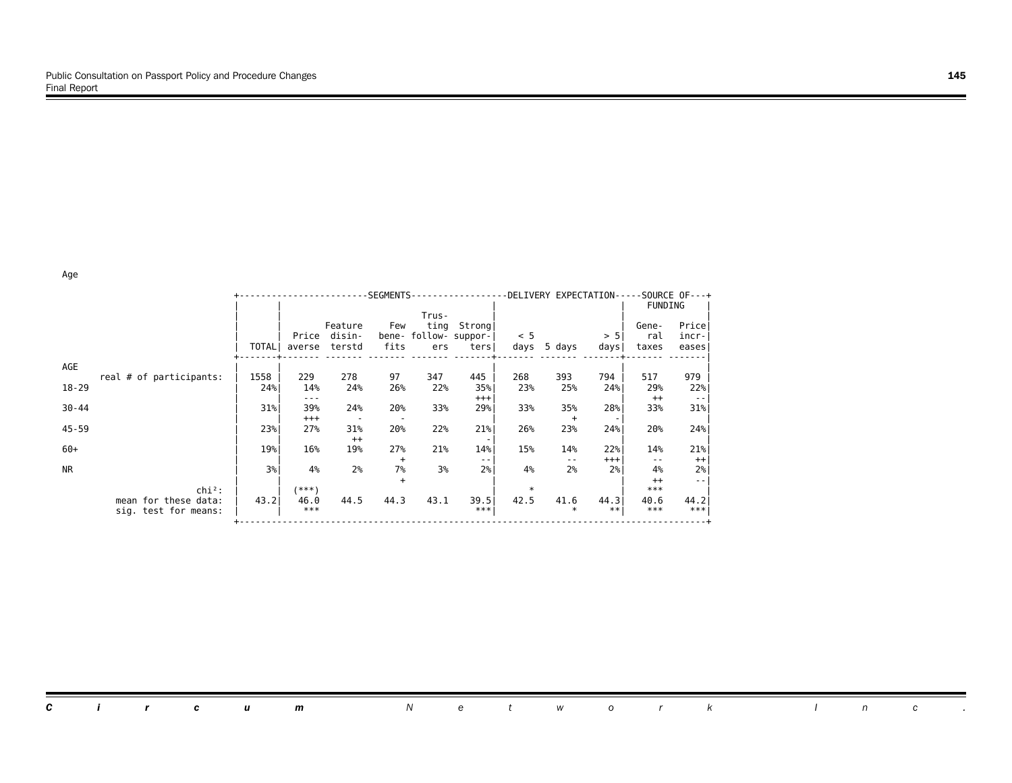|                         |              |         |          | <b>SEGMENTS-</b> |                     |          |      | DELIVERY EXPECTATION |                          |                | SOURCE $0F---$ |
|-------------------------|--------------|---------|----------|------------------|---------------------|----------|------|----------------------|--------------------------|----------------|----------------|
|                         |              |         |          |                  |                     |          |      |                      |                          | <b>FUNDING</b> |                |
|                         |              |         |          |                  | Trus-               |          |      |                      |                          |                |                |
|                         |              |         | Feature  | Few              | ting                | Strong   |      |                      |                          | Gene-          | Pri ce         |
|                         |              | Pri ce  | di si n- |                  | bene-follow-suppor- |          | < 5  |                      | > 5                      | ral            | i ncr-         |
|                         | <b>TOTAL</b> | averse  | terstd   | fits             | ers                 | ters     | days | 5 days               | days                     | taxes          | eases          |
| AGE                     |              |         |          |                  |                     |          |      |                      |                          |                |                |
| real # of participants: | 1558         | 229     | 278      | 97               | 347                 | 445      | 268  | 393                  | 794                      | 517            | 979            |
| $18 - 29$               | 24%          | 14%     | 24%      | 26%              | 22%                 | 35%      | 23%  | 25%                  | 24%                      | 29%            | 22%            |
|                         |              | - - -   |          |                  |                     | $^{+++}$ |      |                      |                          | $^{++}$        |                |
| $30 - 44$               | 31%          | 39%     | 24%      | 20%              | 33%                 | 29%      | 33%  | 35%                  | 28%                      | 33%            | 31%            |
|                         |              | $+++$   |          |                  |                     |          |      | $^{+}$               | $\overline{\phantom{a}}$ |                |                |
| $45 - 59$               | 23%          | 27%     | 31%      | 20%              | 22%                 | 21%      | 26%  | 23%                  | 24%                      | 20%            | 24%            |
|                         |              |         | $^{++}$  |                  |                     |          |      |                      |                          |                |                |
| $60+$                   | 19%          | 16%     | 19%      | 27%              | 21%                 | 14%      | 15%  | 14%                  | 22%                      | 14%            | 21%            |
|                         |              |         |          | $\pm$            |                     | $ -$     |      | $- -$                | $^{+++}$                 | $ -$           | $^{++}$        |
| NR                      | 3%           | 4%      | 2%       | 7%               | 3%                  | 2%       | 4%   | 2%                   | 2%                       | 4%             | $2\%$          |
|                         |              |         |          | $\ddot{}$        |                     |          |      |                      |                          | $^{++}$        | $- -$          |
| $chi^2$ :               |              | $(***)$ |          |                  |                     |          | $*$  |                      |                          | ***            |                |
| mean for these data:    | 43.2         | 46.0    | 44.5     | 44.3             | 43.1                | 39.5     | 42.5 | 41.6                 | 44.3                     | 40.6           | 44.2           |
| sig. test for means:    |              | ***     |          |                  |                     | ***      |      |                      | $***$                    | ***            | ***            |
|                         |              |         |          |                  |                     |          |      |                      |                          |                |                |

### *Circum Network Inc .*

-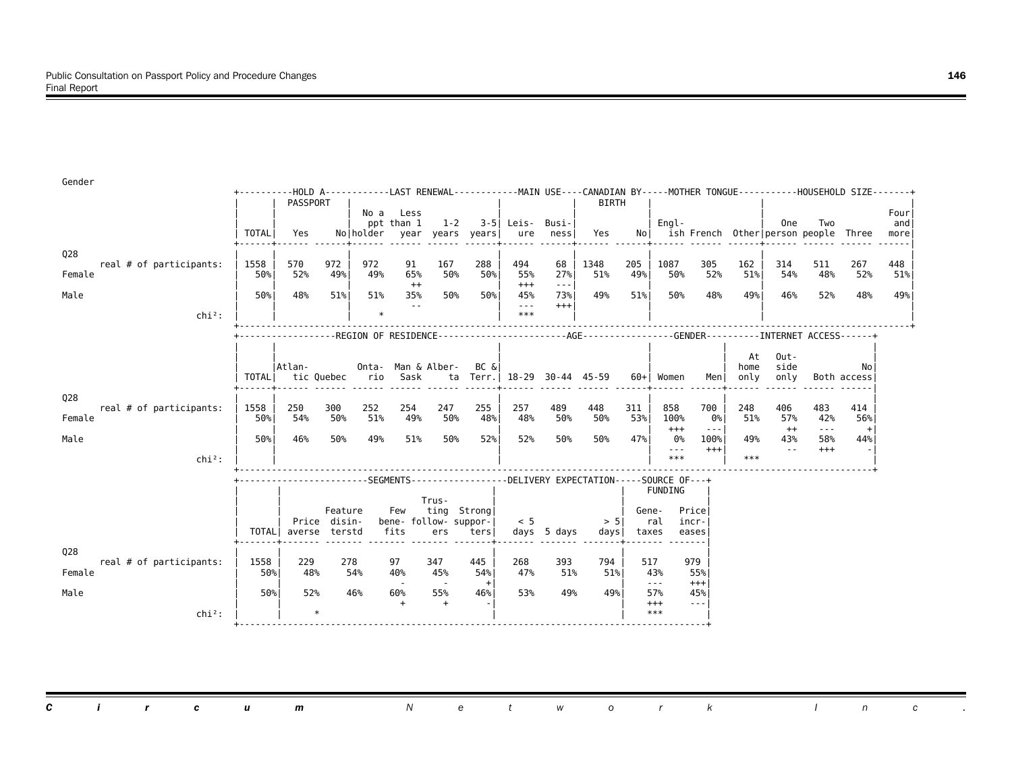Gender

|                                                  |              | <b>PASSPORT</b>      |                         |               |                                    |              |                     |                         |                                                                                                                                                                                                                                                                                                                                                                                                           | -HOLD A-----------LAST RENEWAL------------MAIN USE----CANADIAN BY-----MOTHER TONGUE-----------HOUSEHOLD SIZE-------+<br><b>BI RTH</b> |                |                                                                                                                                                                                                                                                                                                                                                                                                           |                                                                                                                                                                                                                                                                                                                                                                                                           |                     |                           |                                                |                   |                     |
|--------------------------------------------------|--------------|----------------------|-------------------------|---------------|------------------------------------|--------------|---------------------|-------------------------|-----------------------------------------------------------------------------------------------------------------------------------------------------------------------------------------------------------------------------------------------------------------------------------------------------------------------------------------------------------------------------------------------------------|---------------------------------------------------------------------------------------------------------------------------------------|----------------|-----------------------------------------------------------------------------------------------------------------------------------------------------------------------------------------------------------------------------------------------------------------------------------------------------------------------------------------------------------------------------------------------------------|-----------------------------------------------------------------------------------------------------------------------------------------------------------------------------------------------------------------------------------------------------------------------------------------------------------------------------------------------------------------------------------------------------------|---------------------|---------------------------|------------------------------------------------|-------------------|---------------------|
|                                                  | <b>TOTAL</b> | Yes                  |                         | No   hol der  | No a Less<br>ppt than 1            | $1 - 2$      | year years years    | $3-5$ Leis-Busi-<br>ure | $_{\rm mess}$                                                                                                                                                                                                                                                                                                                                                                                             | Yes                                                                                                                                   |                | $Engl -$                                                                                                                                                                                                                                                                                                                                                                                                  |                                                                                                                                                                                                                                                                                                                                                                                                           |                     | <b>One</b>                | Two<br>No ish French Other person people Three |                   | Four<br>and<br>more |
| Q28<br>real # of participants:<br>Femal e        | 1558<br>50%  | 570<br>52%           | 972<br>49%              | 972<br>49%    | 91<br>65%<br>$^{++}$               | 167<br>50%   | 288<br>50%          | 494<br>55%<br>$^{+++}$  | 68<br>27%<br>$\frac{1}{2} \frac{1}{2} \frac{1}{2} \frac{1}{2} \frac{1}{2} \frac{1}{2} \frac{1}{2} \frac{1}{2} \frac{1}{2} \frac{1}{2} \frac{1}{2} \frac{1}{2} \frac{1}{2} \frac{1}{2} \frac{1}{2} \frac{1}{2} \frac{1}{2} \frac{1}{2} \frac{1}{2} \frac{1}{2} \frac{1}{2} \frac{1}{2} \frac{1}{2} \frac{1}{2} \frac{1}{2} \frac{1}{2} \frac{1}{2} \frac{1}{2} \frac{1}{2} \frac{1}{2} \frac{1}{2} \frac{$ | 1348<br>51%                                                                                                                           | 205<br>49%     | 1087<br>50%                                                                                                                                                                                                                                                                                                                                                                                               | 305<br>52%                                                                                                                                                                                                                                                                                                                                                                                                | 162<br>51%          | 314<br>54%                | 511<br>48%                                     | 267<br>52%        | 448<br>51%          |
| Mal e                                            | 50%          | 48%                  | 51%                     | 51%           | 35%                                | 50%          | 50%                 | 45%                     | 73%                                                                                                                                                                                                                                                                                                                                                                                                       | 49%                                                                                                                                   | 51%            | 50%                                                                                                                                                                                                                                                                                                                                                                                                       | 48%                                                                                                                                                                                                                                                                                                                                                                                                       | 49%                 | 46%                       | 52%                                            | 48%               | 49%                 |
| chi <sup>2</sup> :                               |              |                      |                         |               | $\sim$ $\sim$                      |              |                     | $- - -$<br>$***$        | $^{+++}$                                                                                                                                                                                                                                                                                                                                                                                                  |                                                                                                                                       |                |                                                                                                                                                                                                                                                                                                                                                                                                           |                                                                                                                                                                                                                                                                                                                                                                                                           |                     |                           |                                                |                   |                     |
|                                                  |              |                      |                         |               |                                    |              |                     |                         |                                                                                                                                                                                                                                                                                                                                                                                                           |                                                                                                                                       |                |                                                                                                                                                                                                                                                                                                                                                                                                           |                                                                                                                                                                                                                                                                                                                                                                                                           |                     |                           |                                                |                   |                     |
|                                                  | <b>TOTAL</b> | Atlan-<br>tic Quebec |                         | Onta-<br>ri o | Man & Alber-<br>Sask               |              | BC &<br>ta Terr.    | $18-29$ 30-44 45-59     |                                                                                                                                                                                                                                                                                                                                                                                                           |                                                                                                                                       |                | $60+$ Women                                                                                                                                                                                                                                                                                                                                                                                               | Men                                                                                                                                                                                                                                                                                                                                                                                                       | At<br>home<br>onl y | $0$ ut-<br>si de<br>onl y |                                                | No<br>Both access |                     |
| <b>Q28</b><br>real # of participants:<br>Female  | 1558<br>50%  | 250<br>54%           | 300<br>50%              | 252<br>51%    | 254<br>49%                         | 247<br>50%   | 255<br>48%          | 257<br>48%              | 489<br>50%                                                                                                                                                                                                                                                                                                                                                                                                | 448<br>50%                                                                                                                            | 311<br>53%     | 858<br>100%<br>$+++$                                                                                                                                                                                                                                                                                                                                                                                      | 700<br>0%<br>$\frac{1}{2} \frac{1}{2} \frac{1}{2} \frac{1}{2} \frac{1}{2} \frac{1}{2} \frac{1}{2} \frac{1}{2} \frac{1}{2} \frac{1}{2} \frac{1}{2} \frac{1}{2} \frac{1}{2} \frac{1}{2} \frac{1}{2} \frac{1}{2} \frac{1}{2} \frac{1}{2} \frac{1}{2} \frac{1}{2} \frac{1}{2} \frac{1}{2} \frac{1}{2} \frac{1}{2} \frac{1}{2} \frac{1}{2} \frac{1}{2} \frac{1}{2} \frac{1}{2} \frac{1}{2} \frac{1}{2} \frac{$ | 248<br>51%          | 406<br>57%<br>$++$        | 483<br>42%<br>$\sim$ $\sim$ $\sim$             | 414<br>56%<br>$+$ |                     |
| Male<br>chi <sup>2</sup> :                       | 50%          | 46%                  | 50%                     | 49%           | 51%                                | 50%          | 52%                 | 52%                     | 50%                                                                                                                                                                                                                                                                                                                                                                                                       | 50%                                                                                                                                   | 47%            | 0%<br>$\frac{1}{2} \frac{1}{2} \frac{1}{2} \frac{1}{2} \frac{1}{2} \frac{1}{2} \frac{1}{2} \frac{1}{2} \frac{1}{2} \frac{1}{2} \frac{1}{2} \frac{1}{2} \frac{1}{2} \frac{1}{2} \frac{1}{2} \frac{1}{2} \frac{1}{2} \frac{1}{2} \frac{1}{2} \frac{1}{2} \frac{1}{2} \frac{1}{2} \frac{1}{2} \frac{1}{2} \frac{1}{2} \frac{1}{2} \frac{1}{2} \frac{1}{2} \frac{1}{2} \frac{1}{2} \frac{1}{2} \frac{$<br>*** | 100%<br>$^{+++}$                                                                                                                                                                                                                                                                                                                                                                                          | 49%<br>***          | 43%<br>$- -$              | 58%<br>$^{+++}$                                | 44%               |                     |
|                                                  | <b>TOTAL</b> | averse terstd        | Feature<br>Price disin- |               | Few<br>bene-follow-suppor-<br>fits | Trus-<br>ers | ting Strong<br>ters | < 5                     | days 5 days                                                                                                                                                                                                                                                                                                                                                                                               | - SEGMENTS---------------- DELI VERY EXPECTATI 0N----- SOURCE 0F---+<br>> 5<br>$_{\rm days }$                                         | Gene-<br>taxes | <b>FUNDI NG</b><br>ral                                                                                                                                                                                                                                                                                                                                                                                    | Pri ce<br>incr-<br>eases                                                                                                                                                                                                                                                                                                                                                                                  |                     |                           |                                                |                   |                     |
| <b>Q28</b><br>real # of participants:<br>Femal e | 1558<br>50%  | 229<br>48%           | 278                     | 54%           | 97<br>40%                          | 347<br>45%   | 445<br>54%<br>$+$   | 268<br>47%              | 393<br>51%                                                                                                                                                                                                                                                                                                                                                                                                | 794<br>51%                                                                                                                            | 517            | 43%<br>$\sim$ $\sim$ $\sim$                                                                                                                                                                                                                                                                                                                                                                               | 979<br>55%<br>$^{+++}$                                                                                                                                                                                                                                                                                                                                                                                    |                     |                           |                                                |                   |                     |
| Male<br>$chi^2$ :                                | 50%          | 52%                  |                         | 46%           | 60%<br>$\ddot{}$                   | 55%<br>$+$   | 46%                 | 53%                     | 49%                                                                                                                                                                                                                                                                                                                                                                                                       | 49%                                                                                                                                   |                | 57%<br>$^{+++}$<br>$***$                                                                                                                                                                                                                                                                                                                                                                                  | 45%<br>$\sim$ $ \sim$                                                                                                                                                                                                                                                                                                                                                                                     |                     |                           |                                                |                   |                     |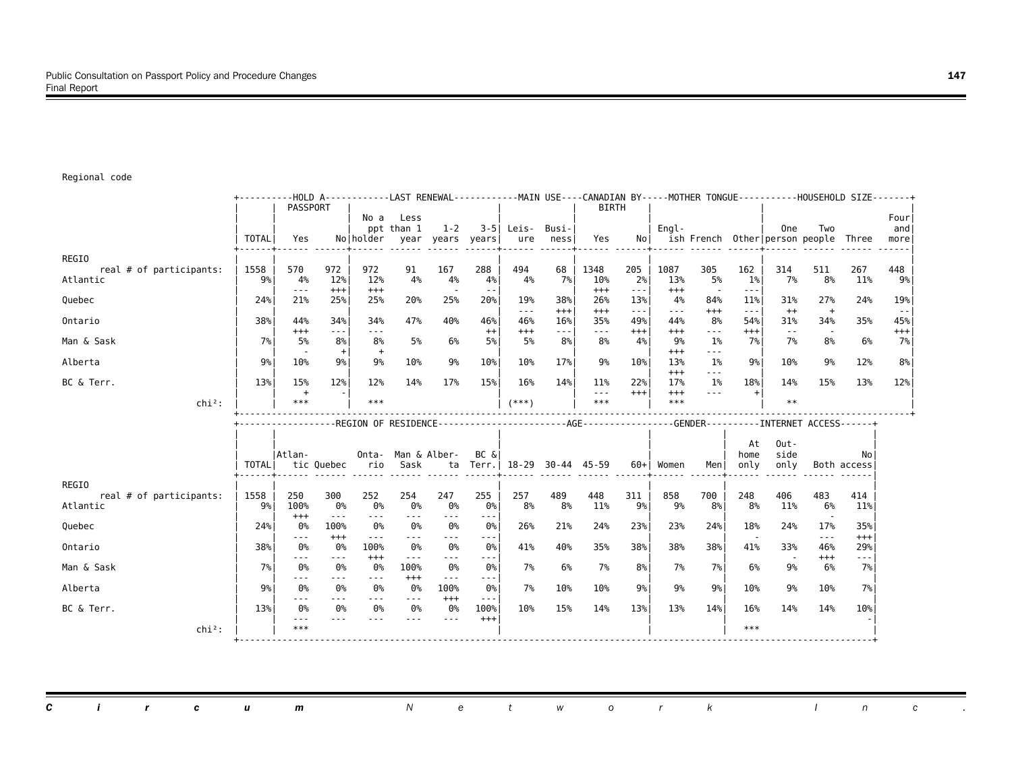## Regional code

|                                                     |              | <b>PASSPORT</b>         |                       |                                                                                                                                                                                                                                                                                                                                                                                                             |                            |                                                                                                                                                                                                                                                                                                                                                                                                          |                                                                                                                                                                                                                                                                                                                                                                                                    |                              |                            | <b>BIRTH</b>               |                                                                                                                                                                                                                                                                                                                                                                                                     |                          |                                           |                             |                          |                | -HOLD A-----------LAST RENEWAL----------- MAIN USE----CANADIAN BY----- MOTHER TONGUE----------- HOUSEHOLD SIZE-------+ |                          |
|-----------------------------------------------------|--------------|-------------------------|-----------------------|-------------------------------------------------------------------------------------------------------------------------------------------------------------------------------------------------------------------------------------------------------------------------------------------------------------------------------------------------------------------------------------------------------------|----------------------------|----------------------------------------------------------------------------------------------------------------------------------------------------------------------------------------------------------------------------------------------------------------------------------------------------------------------------------------------------------------------------------------------------------|----------------------------------------------------------------------------------------------------------------------------------------------------------------------------------------------------------------------------------------------------------------------------------------------------------------------------------------------------------------------------------------------------|------------------------------|----------------------------|----------------------------|-----------------------------------------------------------------------------------------------------------------------------------------------------------------------------------------------------------------------------------------------------------------------------------------------------------------------------------------------------------------------------------------------------|--------------------------|-------------------------------------------|-----------------------------|--------------------------|----------------|------------------------------------------------------------------------------------------------------------------------|--------------------------|
|                                                     | <b>TOTAL</b> | Yes                     |                       | No a<br>No   hol der                                                                                                                                                                                                                                                                                                                                                                                        | Less<br>ppt than 1         | $1 - 2$<br>year years years                                                                                                                                                                                                                                                                                                                                                                              |                                                                                                                                                                                                                                                                                                                                                                                                    | $3-5$ Leis-<br>ure           | Busi-<br>ness              | Yes                        | No                                                                                                                                                                                                                                                                                                                                                                                                  | $Engl -$                 | ish French Other person people Three      |                             | <b>One</b>               | Two            |                                                                                                                        | Four<br>and<br>more      |
| <b>REGIO</b><br>real # of participants:<br>Atlantic | 1558<br>9%   | 570<br>4%               | 972<br>12%            | 972<br>12%                                                                                                                                                                                                                                                                                                                                                                                                  | 91<br>4%                   | 167<br>4%                                                                                                                                                                                                                                                                                                                                                                                                | 288<br>4%                                                                                                                                                                                                                                                                                                                                                                                          | 494<br>4%                    | 68<br>7%                   | 1348<br>10%                | 205<br>$2\%$                                                                                                                                                                                                                                                                                                                                                                                        | 1087<br>13%              | 305<br>5%                                 | 162<br>1%                   | 314<br>7%                | 511<br>8%      | 267<br>11%                                                                                                             | 448<br>9%                |
| Quebec                                              | 24%          | $- - -$<br>21%          | $^{+++}$<br>25%       | $^{+++}$<br>25%                                                                                                                                                                                                                                                                                                                                                                                             | 20%                        | 25%                                                                                                                                                                                                                                                                                                                                                                                                      | $ -$<br>20%                                                                                                                                                                                                                                                                                                                                                                                        | 19%                          | 38%                        | $^{+++}$<br>26%            | $\frac{1}{2} \frac{1}{2} \frac{1}{2} \frac{1}{2} \frac{1}{2} \frac{1}{2} \frac{1}{2} \frac{1}{2} \frac{1}{2} \frac{1}{2} \frac{1}{2} \frac{1}{2} \frac{1}{2} \frac{1}{2} \frac{1}{2} \frac{1}{2} \frac{1}{2} \frac{1}{2} \frac{1}{2} \frac{1}{2} \frac{1}{2} \frac{1}{2} \frac{1}{2} \frac{1}{2} \frac{1}{2} \frac{1}{2} \frac{1}{2} \frac{1}{2} \frac{1}{2} \frac{1}{2} \frac{1}{2} \frac{$<br>13% | $^{+++}$<br>4%           | 84%                                       | $\sim$ $\sim$ $\sim$<br>11% | 31%                      | 27%            | 24%                                                                                                                    | 19%                      |
| Ontario                                             | 38%          | 44%<br>$^{+++}$         | 34%<br>$- - -$        | 34%<br>$- - -$                                                                                                                                                                                                                                                                                                                                                                                              | 47%                        | 40%                                                                                                                                                                                                                                                                                                                                                                                                      | 46%<br>$^{++}$                                                                                                                                                                                                                                                                                                                                                                                     | - - -<br>46%<br>$^{+++}$     | $^{+++}$<br>16%<br>$- - -$ | $^{+++}$<br>35%<br>$- - -$ | $- - -$<br>49%<br>$^{+++}$                                                                                                                                                                                                                                                                                                                                                                          | - - -<br>44%<br>$^{+++}$ | $^{+++}$<br>8%<br>$- - -$                 | $- - -$<br>54%<br>$^{+++}$  | $^{++}$<br>31%<br>$- -$  | 34%            | 35%                                                                                                                    | $- -$<br>45%<br>$^{+++}$ |
| Man & Sask                                          | 7%           | 5%                      | 8%<br>$+$             | 8%<br>$+$                                                                                                                                                                                                                                                                                                                                                                                                   | 5%                         | 6%                                                                                                                                                                                                                                                                                                                                                                                                       | 5%                                                                                                                                                                                                                                                                                                                                                                                                 | 5%                           | 8%                         | 8%                         | 4%                                                                                                                                                                                                                                                                                                                                                                                                  | 9%<br>$^{+++}$           | 1%<br>$- - -$                             | 7%                          | 7%                       | 8%             | 6%                                                                                                                     | 7%                       |
| Al berta                                            | 9%           | 10%                     | 9%                    | 9%                                                                                                                                                                                                                                                                                                                                                                                                          | 10%                        | 9%                                                                                                                                                                                                                                                                                                                                                                                                       | 10%                                                                                                                                                                                                                                                                                                                                                                                                | 10%                          | 17%                        | 9%                         | 10%                                                                                                                                                                                                                                                                                                                                                                                                 | 13%<br>$^{+++}$          | 1%<br>$- - -$                             | 9%                          | 10%                      | 9%             | 12%                                                                                                                    | 8%                       |
| BC & Terr.                                          | 13%          | 15%<br>$\overline{+}$   | 12%                   | 12%                                                                                                                                                                                                                                                                                                                                                                                                         | 14%                        | 17%                                                                                                                                                                                                                                                                                                                                                                                                      | 15%                                                                                                                                                                                                                                                                                                                                                                                                | 16%                          | 14%                        | 11%<br>$- - -$             | 22%<br>$^{+++}$                                                                                                                                                                                                                                                                                                                                                                                     | 17%<br>$^{+++}$          | 1%<br>$- - -$                             | 18%<br>$+$                  | 14%                      | 15%            | 13%                                                                                                                    | 12%                      |
| chi <sup>2</sup> :                                  |              | $***$                   |                       | ***                                                                                                                                                                                                                                                                                                                                                                                                         |                            |                                                                                                                                                                                                                                                                                                                                                                                                          |                                                                                                                                                                                                                                                                                                                                                                                                    | $(***)$                      |                            | ***                        |                                                                                                                                                                                                                                                                                                                                                                                                     | ***                      |                                           |                             | $* *$                    |                |                                                                                                                        |                          |
|                                                     |              |                         |                       |                                                                                                                                                                                                                                                                                                                                                                                                             |                            |                                                                                                                                                                                                                                                                                                                                                                                                          |                                                                                                                                                                                                                                                                                                                                                                                                    |                              |                            |                            |                                                                                                                                                                                                                                                                                                                                                                                                     |                          | - GENDER---------- INTERNET ACCESS------+ |                             |                          |                |                                                                                                                        |                          |
|                                                     |              |                         |                       |                                                                                                                                                                                                                                                                                                                                                                                                             |                            |                                                                                                                                                                                                                                                                                                                                                                                                          |                                                                                                                                                                                                                                                                                                                                                                                                    |                              |                            |                            |                                                                                                                                                                                                                                                                                                                                                                                                     |                          |                                           |                             |                          |                |                                                                                                                        |                          |
|                                                     | <b>TOTAL</b> | Atlan-                  | tic Quebec            | Onta-<br>ri o                                                                                                                                                                                                                                                                                                                                                                                               | Man & Alber-<br>Sask       |                                                                                                                                                                                                                                                                                                                                                                                                          | BC &                                                                                                                                                                                                                                                                                                                                                                                               | ta Terr.   18-29 30-44 45-59 |                            |                            |                                                                                                                                                                                                                                                                                                                                                                                                     | $60+$ Women              | Men                                       | At<br>home<br>onl y         | $0$ ut-<br>side<br>onl y |                | No<br>Both access                                                                                                      |                          |
| <b>REGIO</b><br>real # of participants:             | 1558         | 250                     | 300                   | 252                                                                                                                                                                                                                                                                                                                                                                                                         | 254                        | 247                                                                                                                                                                                                                                                                                                                                                                                                      | 255                                                                                                                                                                                                                                                                                                                                                                                                | 257                          | 489                        | 448                        | 311                                                                                                                                                                                                                                                                                                                                                                                                 | 858                      | 700                                       | 248                         | 406                      | 483            | 414                                                                                                                    |                          |
| Atlantic<br>Quebec                                  | 9%<br>24%    | 100%<br>$^{+++}$<br>-0% | 0%<br>$- - -$<br>100% | 0%<br>$- - -$<br>0%                                                                                                                                                                                                                                                                                                                                                                                         | 0%<br>---<br>0%            | 0%<br>$\frac{1}{2} \frac{1}{2} \frac{1}{2} \frac{1}{2} \frac{1}{2} \frac{1}{2} \frac{1}{2} \frac{1}{2} \frac{1}{2} \frac{1}{2} \frac{1}{2} \frac{1}{2} \frac{1}{2} \frac{1}{2} \frac{1}{2} \frac{1}{2} \frac{1}{2} \frac{1}{2} \frac{1}{2} \frac{1}{2} \frac{1}{2} \frac{1}{2} \frac{1}{2} \frac{1}{2} \frac{1}{2} \frac{1}{2} \frac{1}{2} \frac{1}{2} \frac{1}{2} \frac{1}{2} \frac{1}{2} \frac{$<br>0% | 0%<br>$- - -$<br>0%                                                                                                                                                                                                                                                                                                                                                                                | 8%<br>26%                    | 8%<br>21%                  | 11%<br>24%                 | 9%<br>23%                                                                                                                                                                                                                                                                                                                                                                                           | 9%<br>23%                | 8%<br>24%                                 | 8%<br>18%                   | 11%<br>24%               | 6%<br>17%      | 11%<br>35%                                                                                                             |                          |
| Ontario                                             | 38%          | $- - -$<br>0%           | $^{+++}$<br>0%        | $- - -$<br>100%                                                                                                                                                                                                                                                                                                                                                                                             | $- - -$<br>0%              | $- - -$<br>0%                                                                                                                                                                                                                                                                                                                                                                                            | $- - -$<br>0%                                                                                                                                                                                                                                                                                                                                                                                      | 41%                          | 40%                        | 35%                        | 38%                                                                                                                                                                                                                                                                                                                                                                                                 | 38%                      | 38%                                       | 41%                         | 33%                      | $- - -$<br>46% | $^{+++}$<br>29%                                                                                                        |                          |
| Man & Sask                                          | 7%           | $- - -$<br>0%           | $- - -$<br>0%         | $^{+++}$<br>0%                                                                                                                                                                                                                                                                                                                                                                                              | $- - -$<br>100%            | $\frac{1}{2} \frac{1}{2} \frac{1}{2} \frac{1}{2} \frac{1}{2} \frac{1}{2} \frac{1}{2} \frac{1}{2} \frac{1}{2} \frac{1}{2} \frac{1}{2} \frac{1}{2} \frac{1}{2} \frac{1}{2} \frac{1}{2} \frac{1}{2} \frac{1}{2} \frac{1}{2} \frac{1}{2} \frac{1}{2} \frac{1}{2} \frac{1}{2} \frac{1}{2} \frac{1}{2} \frac{1}{2} \frac{1}{2} \frac{1}{2} \frac{1}{2} \frac{1}{2} \frac{1}{2} \frac{1}{2} \frac{$<br>0%       | $\frac{1}{2} \frac{1}{2} \frac{1}{2} \frac{1}{2} \frac{1}{2} \frac{1}{2} \frac{1}{2} \frac{1}{2} \frac{1}{2} \frac{1}{2} \frac{1}{2} \frac{1}{2} \frac{1}{2} \frac{1}{2} \frac{1}{2} \frac{1}{2} \frac{1}{2} \frac{1}{2} \frac{1}{2} \frac{1}{2} \frac{1}{2} \frac{1}{2} \frac{1}{2} \frac{1}{2} \frac{1}{2} \frac{1}{2} \frac{1}{2} \frac{1}{2} \frac{1}{2} \frac{1}{2} \frac{1}{2} \frac{$<br>0% | 7%                           | 6%                         | 7%                         | 8%                                                                                                                                                                                                                                                                                                                                                                                                  | 7%                       | 7%                                        | 6%                          | 9%                       | $^{+++}$<br>6% | $- - -$<br>7%                                                                                                          |                          |
| Al berta                                            | 9%           | - - -<br>0%             | 0%                    | $- - -$<br>0%                                                                                                                                                                                                                                                                                                                                                                                               | $^{+++}$<br><b>O%</b>      | $- - -$<br>100%                                                                                                                                                                                                                                                                                                                                                                                          | $- - -$<br>0%                                                                                                                                                                                                                                                                                                                                                                                      | 7%                           | 10%                        | 10%                        | 9%                                                                                                                                                                                                                                                                                                                                                                                                  | 9%                       | 9%                                        | 10%                         | 9%                       | 10%            | 7%                                                                                                                     |                          |
| BC & Terr.                                          | 13%          | $- - -$<br>0%           | $- - -$<br>0%         | $\frac{1}{2} \frac{1}{2} \frac{1}{2} \frac{1}{2} \frac{1}{2} \frac{1}{2} \frac{1}{2} \frac{1}{2} \frac{1}{2} \frac{1}{2} \frac{1}{2} \frac{1}{2} \frac{1}{2} \frac{1}{2} \frac{1}{2} \frac{1}{2} \frac{1}{2} \frac{1}{2} \frac{1}{2} \frac{1}{2} \frac{1}{2} \frac{1}{2} \frac{1}{2} \frac{1}{2} \frac{1}{2} \frac{1}{2} \frac{1}{2} \frac{1}{2} \frac{1}{2} \frac{1}{2} \frac{1}{2} \frac{$<br>0%<br>- - - | $\frac{1}{2}$<br>0%<br>--- | $^{+++}$<br>0%<br>$- - -$                                                                                                                                                                                                                                                                                                                                                                                | $- - -$<br>100%<br>$^{+++}$                                                                                                                                                                                                                                                                                                                                                                        | 10%                          | 15%                        | 14%                        | 13%                                                                                                                                                                                                                                                                                                                                                                                                 | 13%                      | 14%                                       | 16%                         | 14%                      | 14%            | 10%                                                                                                                    |                          |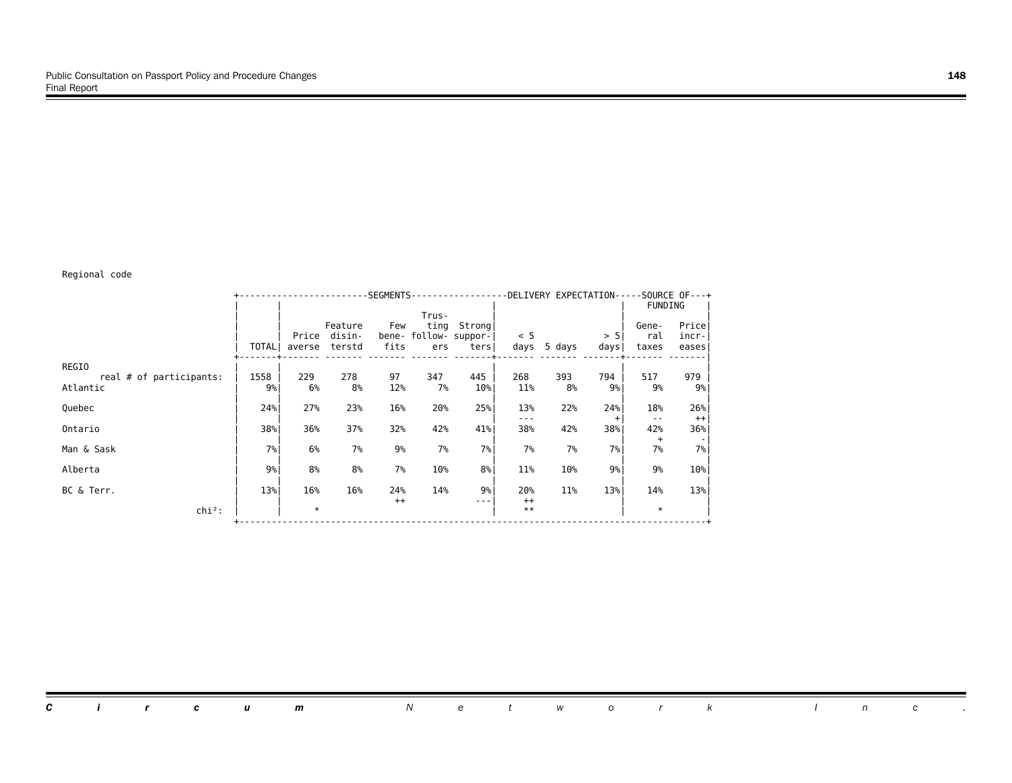## Regional code

|                         |              |        |          | <b>SEGMENTS-</b> |                     |             |              | DELIVERY EXPECTATION--- |              |                | SOURCE $0F---$ |
|-------------------------|--------------|--------|----------|------------------|---------------------|-------------|--------------|-------------------------|--------------|----------------|----------------|
|                         |              |        |          |                  |                     |             |              |                         |              | <b>FUNDING</b> |                |
|                         |              |        |          |                  | Trus-               |             |              |                         |              |                |                |
|                         |              |        | Feature  | Few              |                     | ting Strong |              |                         |              | Gene-          | Pri ce         |
|                         |              | Pri ce | di si n- |                  | bene-follow-suppor- |             | < 5          |                         | > 5          | ral            | i ncr-         |
|                         | <b>TOTAL</b> | averse | terstd   | fits             | ers                 | ters        | days         | 5 days                  | days         | taxes          | eases          |
| <b>REGIO</b>            |              |        |          |                  |                     |             |              |                         |              |                |                |
| real # of participants: | 1558         | 229    | 278      | 97               | 347                 | 445         | 268          | 393                     | 794          | 517            | 979            |
| Atlantic                | 9%           | 6%     | 8%       | 12%              | 7%                  | 10%         | 11%          | 8%                      | 9%           | 9%             | $9\%$          |
|                         |              |        |          |                  |                     |             |              |                         |              |                |                |
| Quebec                  | 24%          | 27%    | 23%      | 16%              | 20%                 | 25%         | 13%          | 22%                     | 24%          | 18%            | 26%            |
| Ontario                 | 38%          | 36%    | 37%      | 32%              | 42%                 | 41%         | - - -<br>38% | 42%                     | $\pm$<br>38% | $ -$<br>42%    | $^{++}$<br>36% |
|                         |              |        |          |                  |                     |             |              |                         |              | $\ddot{}$      |                |
| Man & Sask              | 7%           | 6%     | 7%       | 9%               | 7%                  | 7%          | 7%           | 7%                      | 7%           | 7%             | 7%             |
|                         |              |        |          |                  |                     |             |              |                         |              |                |                |
| Al berta                | 9%           | 8%     | 8%       | 7%               | 10%                 | 8%          | 11%          | 10%                     | $9\%$        | 9%             | 10%            |
| BC & Terr.              | 13%          | 16%    | 16%      | 24%              | 14%                 | 9%          | 20%          | 11%                     | 13%          | 14%            | 13%            |
|                         |              |        |          | $^{++}$          |                     | $- - -$     | $^{++}$      |                         |              |                |                |
| chi <sup>2</sup> :      |              | $\ast$ |          |                  |                     |             | $***$        |                         |              | $\ast$         |                |
|                         |              |        |          |                  |                     |             |              |                         |              |                |                |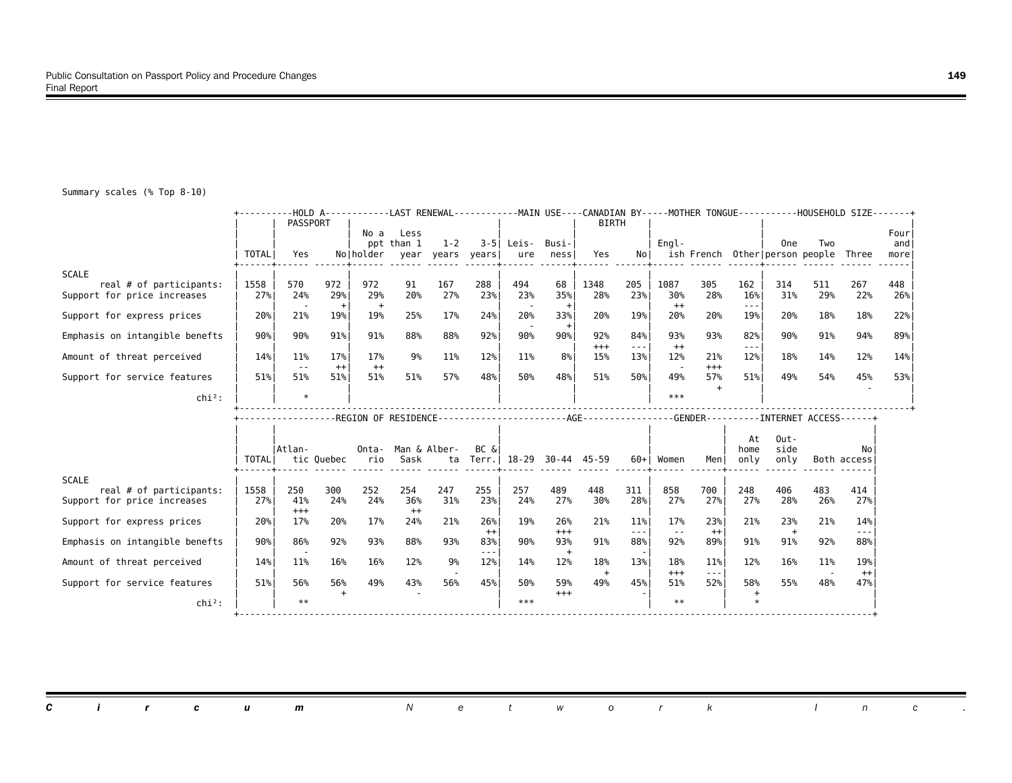# Summary scales (% Top 8-10)

|                                                        |              | -HOLD A-----------LAST RENEWAL------------MAIN USE----CANADIAN BY-----MOTHER TONGUE-----------HOUSEHOLD SIZE-------+<br><b>PASSPORT</b> |                |                      |                      |                             |                |               | <b>BIRTH</b>    |                                      |                |                 |                                           |                     |                          |            |                   |                     |
|--------------------------------------------------------|--------------|-----------------------------------------------------------------------------------------------------------------------------------------|----------------|----------------------|----------------------|-----------------------------|----------------|---------------|-----------------|--------------------------------------|----------------|-----------------|-------------------------------------------|---------------------|--------------------------|------------|-------------------|---------------------|
|                                                        | <b>TOTAL</b> | Yes                                                                                                                                     |                | No a<br>No   hol der | Less<br>ppt than 1   | $1 - 2$<br>year years years | $3 - 5$        | Lei s-<br>ure | Busi-<br>ness   | Yes                                  | No l           | Engl-           | ish French Other person people Three      |                     | 0ne                      | Two        |                   | Four<br>and<br>more |
| <b>SCALE</b>                                           |              |                                                                                                                                         |                |                      |                      |                             |                |               |                 |                                      |                |                 |                                           |                     |                          |            |                   |                     |
| real # of participants:<br>Support for price increases | 1558<br>27%  | 570<br>24%                                                                                                                              | 972<br>29%     | 972<br>29%           | 91<br>20%            | 167<br>27%                  | 288<br>23%     | 494<br>23%    | 68<br>35%       | 1348<br>28%                          | 205<br>23%     | 1087<br>30%     | 305<br>28%                                | 162<br>16%          | 314<br>31%               | 511<br>29% | 267<br>22%        | 448<br>26%          |
| Support for express prices                             | 20%          | 21%                                                                                                                                     | 19%            | 19%                  | 25%                  | 17%                         | 24%            | 20%           | $^{+}$<br>33%   | 20%                                  | 19%            | $^{++}$<br>20%  | 20%                                       | $- - -$<br>19%      | 20%                      | 18%        | 18%               | 22%                 |
| Emphasis on intangible benefts                         | 90%          | 90%                                                                                                                                     | 91%            | 91%                  | 88%                  | 88%                         | 92%            | 90%           | 90%             | 92%<br>$^{+++}$                      | 84%<br>$- - -$ | 93%<br>$^{++}$  | 93%                                       | 82%<br>- - -        | 90%                      | 91%        | 94%               | 89%                 |
| Amount of threat perceived                             | 14%          | 11%<br>$- -$                                                                                                                            | 17%<br>$^{++}$ | 17%<br>$^{++}$       | 9%                   | 11%                         | 12%            | 11%           | 8%              | 15%                                  | 13%            | 12%             | 21%<br>$^{+++}$                           | 12%                 | 18%                      | 14%        | 12%               | 14%                 |
| Support for service features                           | 51%          | 51%                                                                                                                                     | 51%            | 51%                  | 51%                  | 57%                         | 48%            | 50%           | 48%             | 51%                                  | 50%            | 49%             | 57%                                       | 51%                 | 49%                      | 54%        | 45%               | 53%                 |
| chi <sup>2</sup> :                                     |              | $\ast$                                                                                                                                  |                |                      |                      |                             |                |               |                 |                                      |                | ***             |                                           |                     |                          |            |                   |                     |
|                                                        |              | <b>REGION OF RESIDENCE-----------------------</b>                                                                                       |                |                      |                      |                             |                |               |                 | - AGE- - - - - - - - - - - - - - - - |                |                 | - GENDER---------- INTERNET ACCESS------+ |                     |                          |            |                   |                     |
|                                                        | <b>TOTAL</b> | Atl an-                                                                                                                                 | tic Quebec     | Onta-<br>ri o        | Man & Alber-<br>Sask | ta                          | BC &<br>Terr.  | 18-29         |                 | $30-44$ 45-59                        | $60+$          | Women           | Men                                       | At<br>home<br>onl y | $0$ ut-<br>side<br>onl y |            | No<br>Both access |                     |
| <b>SCALE</b>                                           |              |                                                                                                                                         |                |                      |                      |                             |                |               |                 |                                      |                |                 |                                           |                     |                          |            |                   |                     |
| real # of participants:<br>Support for price increases | 1558<br>27%  | 250<br>41%                                                                                                                              | 300<br>24%     | 252<br>24%           | 254<br>36%           | 247<br>31%                  | 255<br>23%     | 257<br>24%    | 489<br>27%      | 448<br>30%                           | 311<br>28%     | 858<br>27%      | 700<br>27%                                | 248<br>27%          | 406<br>28%               | 483<br>26% | 414<br>27%        |                     |
| Support for express prices                             | 20%          | $^{+++}$<br>17%                                                                                                                         | 20%            | 17%                  | $^{++}$<br>24%       | 21%                         | 26%<br>$^{++}$ | 19%           | 26%<br>$^{+++}$ | 21%                                  | 11%<br>$- - -$ | 17%<br>$- -$    | 23%<br>$^{++}$                            | 21%                 | 23%                      | 21%        | 14%<br>$- - -$    |                     |
| Emphasis on intangible benefts                         | 90%          | 86%                                                                                                                                     | 92%            | 93%                  | 88%                  | 93%                         | 83%<br>$- - -$ | 90%           | 93%<br>$+$      | 91%                                  | 88%            | 92%             | 89%                                       | 91%                 | 91%                      | 92%        | 88%               |                     |
| Amount of threat perceived                             | 14%          | 11%                                                                                                                                     | 16%            | 16%                  | 12%                  | 9%                          | 12%            | 14%           | 12%             | 18%<br>$+$                           | 13%            | 18%<br>$^{+++}$ | 11%<br>$- - -$                            | 12%                 | 16%                      | 11%        | 19%<br>$^{++}$    |                     |
| Support for service features                           | 51%          | 56%                                                                                                                                     | 56%            | 49%                  | 43%                  | 56%                         | 45%            | 50%           | 59%<br>$^{+++}$ | 49%                                  | 45%            | 51%             | 52%                                       | 58%                 | 55%                      | 48%        | 47%               |                     |
| chi $^2$ :                                             |              | **                                                                                                                                      |                |                      |                      |                             |                | ***           |                 |                                      |                | $**$            |                                           |                     |                          |            |                   |                     |

|  |  | <b>Circum</b> Network Inc. |  |  |  |  |  |  |
|--|--|----------------------------|--|--|--|--|--|--|
|  |  |                            |  |  |  |  |  |  |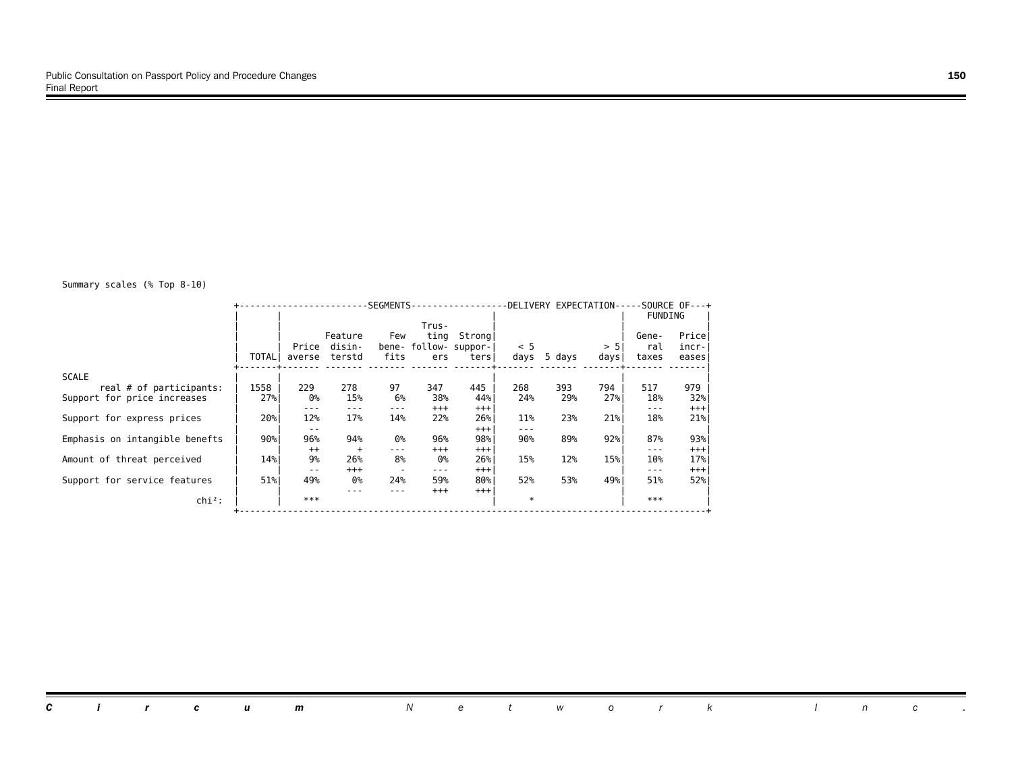# Summary scales (% Top 8-10)

|                                |              |         |          | <b>SEGMENTS-</b> |                |          |        | DELIVERY EXPECTATION- |       |                | SOURCE $0F---$ |
|--------------------------------|--------------|---------|----------|------------------|----------------|----------|--------|-----------------------|-------|----------------|----------------|
|                                |              |         |          |                  |                |          |        |                       |       | <b>FUNDING</b> |                |
|                                |              |         |          |                  | Trus-          |          |        |                       |       |                |                |
|                                |              |         | Feature  | Few              | ting           | Strong   |        |                       |       | Gene-          | Pri ce         |
|                                |              | Pri ce  | di si n- | bene-            | follow-suppor- |          | < 5    |                       | $> 5$ | ral            | i ncr-         |
|                                | <b>TOTAL</b> | averse  | terstd   | fits             | ers            | ters     | days   | 5 days                | days  | taxes          | eases          |
| <b>SCALE</b>                   |              |         |          |                  |                |          |        |                       |       |                |                |
| real # of participants:        | 1558         | 229     | 278      | 97               | 347            | 445      | 268    | 393                   | 794   | 517            | 979            |
| Support for price increases    | 27%          | 0%      | 15%      | 6%               | 38%            | 44%      | 24%    | 29%                   | 27%   | 18%            | 32%            |
|                                |              | $- - -$ | - - -    | $- - -$          | $^{+++}$       | $^{+++}$ |        |                       |       | $- - -$        | $^{+++}$       |
| Support for express prices     | 20%          | 12%     | 17%      | 14%              | 22%            | 26%      | 11%    | 23%                   | 21%   | 18%            | 21%            |
|                                |              | - -     |          |                  |                | $^{+++}$ | - - -  |                       |       |                |                |
| Emphasis on intangible benefts | 90%          | 96%     | 94%      | 0%               | 96%            | 98%      | 90%    | 89%                   | 92%   | 87%            | 93%            |
|                                |              | $^{++}$ | $+$      | $- - -$          | $^{+++}$       | $^{+++}$ |        |                       |       | $- - -$        | $^{+++}$       |
| Amount of threat perceived     | 14%          | 9%      | 26%      | 8%               | 0%             | 26%      | 15%    | 12%                   | 15%   | 10%            | 17%            |
|                                |              | $ -$    | $^{+++}$ |                  | $- - -$        | $^{+++}$ |        |                       |       | $- - -$        | $^{+++}$       |
| Support for service features   | 51%          | 49%     | 0%       | 24%              | 59%            | 80%      | 52%    | 53%                   | 49%   | 51%            | 52%            |
|                                |              |         | - - -    | $- - -$          | $^{+++}$       | $^{+++}$ |        |                       |       |                |                |
| chi <sup>2</sup> :             |              | ***     |          |                  |                |          | $\ast$ |                       |       | ***            |                |
|                                |              |         |          |                  |                |          |        |                       |       |                |                |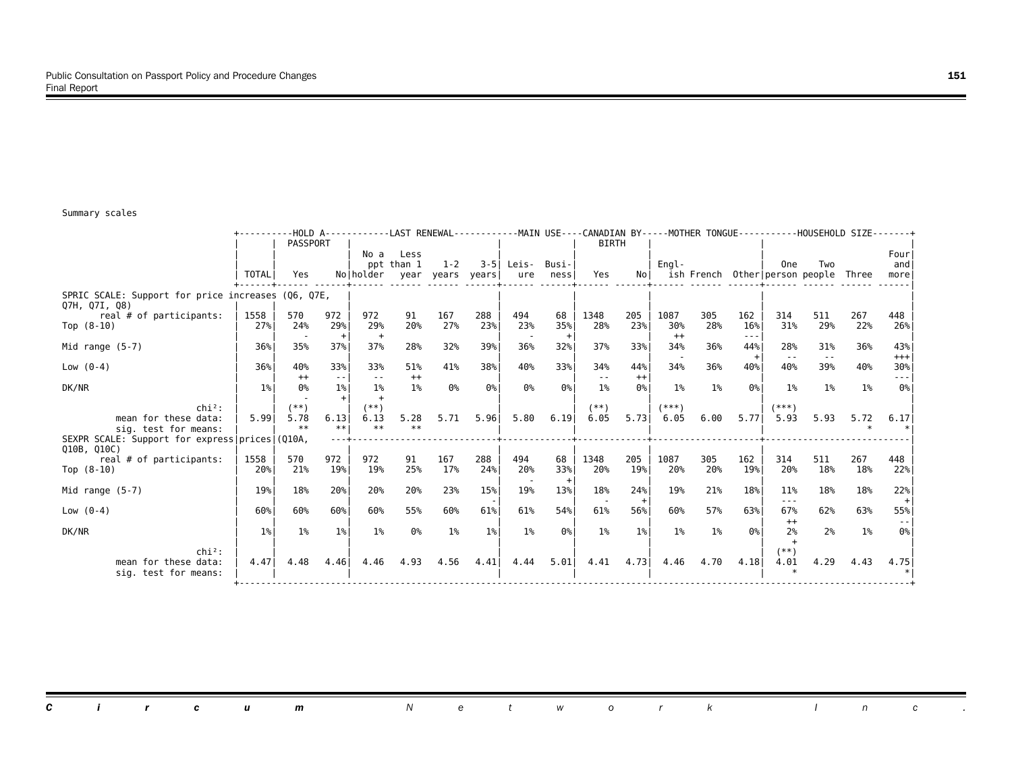|                                                                                             |              | $-HOLD$ A--     |            | .             | - LAST RENEWAL- |         |       |             |            | - MAIN USE---- CANADIAN BY----- MOTHER TONGUE--------- |                 |                |                                |                      |                  | - HOUSEHOLD SIZE- |       |                 |
|---------------------------------------------------------------------------------------------|--------------|-----------------|------------|---------------|-----------------|---------|-------|-------------|------------|--------------------------------------------------------|-----------------|----------------|--------------------------------|----------------------|------------------|-------------------|-------|-----------------|
|                                                                                             |              | <b>PASSPORT</b> |            |               |                 |         |       |             |            | <b>BI RTH</b>                                          |                 |                |                                |                      |                  |                   |       |                 |
|                                                                                             |              |                 |            | No a          | Less            |         |       |             |            |                                                        |                 |                |                                |                      |                  |                   |       | Four            |
|                                                                                             |              |                 |            |               | ppt than 1      | $1 - 2$ |       | $3-5$ Leis- | Busi-      |                                                        |                 | Engl-          |                                |                      | <b>One</b>       | Two               |       | and             |
|                                                                                             | <b>TOTAL</b> | Yes             |            | No   hol der  | year            | years   | years | ure         | ness       | Yes                                                    | No <sub>1</sub> |                | ish French Other person people |                      |                  |                   | Three | more            |
| SPRIC SCALE: Support for price increases (Q6, Q7E,<br>Q7H, Q7I, Q8                          |              |                 |            |               |                 |         |       |             |            |                                                        |                 |                |                                |                      |                  |                   |       |                 |
| real # of participants:                                                                     | 1558         | 570             | 972        | 972           | 91              | 167     | 288   | 494         | 68         | 1348                                                   | 205             | 1087           | 305                            | 162                  | 314              | 511               | 267   | 448             |
| Top $(8-10)$                                                                                | 27%          | 24%             | 29%        | 29%           | 20%             | 27%     | 23%   | 23%         | 35%        | 28%                                                    | 23%             | 30%            | 28%                            | 16%                  | 31%              | 29%               | 22%   | 26%             |
| Mid range $(5-7)$                                                                           | 36%          | 35%             | $+$<br>37% | $^{+}$<br>37% | 28%             | 32%     | 39%   | 36%         | $+$<br>32% | 37%                                                    | 33%             | $^{++}$<br>34% | 36%                            | $\frac{1}{2}$<br>44% | 28%<br>$- -$     | 31%<br>$\sim$ $-$ | 36%   | 43%<br>$^{+++}$ |
| Low $(0-4)$                                                                                 | 36%          | 40%             | 33%        | 33%           | 51%             | 41%     | 38%   | 40%         | 33%        | 34%                                                    | 44%             | 34%            | 36%                            | 40%                  | 40%              | 39%               | 40%   | 30%             |
|                                                                                             |              | $^{++}$         |            | $- -$         | $^{++}$         |         |       |             |            |                                                        | $^{++}$         |                |                                |                      |                  |                   |       | $- - -$         |
| DK/NR                                                                                       | 1%           | 0%              | 1%         | 1%            | 1%              | 0%      | $0\%$ | 0%          | 0%         | 1%                                                     | $0\%$           | 1%             | 1%                             | $0\%$                | 1%               | 1%                | 1%    | 0%              |
|                                                                                             |              |                 |            |               |                 |         |       |             |            |                                                        |                 |                |                                |                      |                  |                   |       |                 |
| $chi^2$ :                                                                                   |              | $(**)$          |            | $(**)$        |                 |         |       |             |            | $(**)$                                                 |                 | $(***)$        |                                |                      | $(***)$          |                   |       |                 |
| mean for these data:                                                                        | 5.99         | 5.78            | 6.13       | 6.13<br>$* *$ | 5.28            | 5.71    | 5.96  | 5.80        | 6.19       | 6.05                                                   | 5.73            | 6.05           | 6.00                           | 5.77                 | 5.93             | 5.93              | 5.72  | 6.17            |
| sig. test for means:<br><b>SEXPR SCALE:</b> Support for express prices (Q10A,<br>Q10B, Q10C |              | $**$            | $**$       |               |                 |         |       |             |            |                                                        |                 |                |                                |                      |                  |                   |       |                 |
| real # of participants:                                                                     | 1558         | 570             | 972        | 972           | 91              | 167     | 288   | 494         | 68         | 1348                                                   | 205             | 1087           | 305                            | 162                  | 314              | 511               | 267   | 448             |
| Top $(8-10)$                                                                                | 20%          | 21%             | 19%        | 19%           | 25%             | 17%     | 24%   | 20%         | 33%        | 20%                                                    | 19%             | 20%            | 20%                            | 19%                  | 20%              | 18%               | 18%   | 22%             |
| Mid range $(5-7)$                                                                           | 19%          | 18%             | 20%        | 20%           | 20%             | 23%     | 15%   | 19%         | 13%        | 18%                                                    | 24%             | 19%            | 21%                            | 18%                  | 11%<br>$- - -$   | 18%               | 18%   | 22%             |
| Low $(0-4)$                                                                                 | 60%          | 60%             | 60%        | 60%           | 55%             | 60%     | 61%   | 61%         | 54%        | 61%                                                    | 56%             | 60%            | 57%                            | 63%                  | 67%              | 62%               | 63%   | 55%             |
| DK/NR                                                                                       | 1%           | 1%              | 1%         | 1%            | 0%              | 1%      | $1\%$ | 1%          | 0%         | 1%                                                     | 1%              | 1%             | 1%                             | 0%                   | $^{++}$<br>$2\%$ | 2%                | 1%    | 0%              |
| $chi^2$ :<br>mean for these data:<br>sig. test for means:                                   | 4.47         | 4.48            | 4.46       | 4.46          | 4.93            | 4.56    | 4.41  | 4.44        | 5.01       | 4.41                                                   | 4.73            | 4.46           | 4.70                           | 4.18                 | $(**)$<br>4.01   | 4.29              | 4.43  | 4.75            |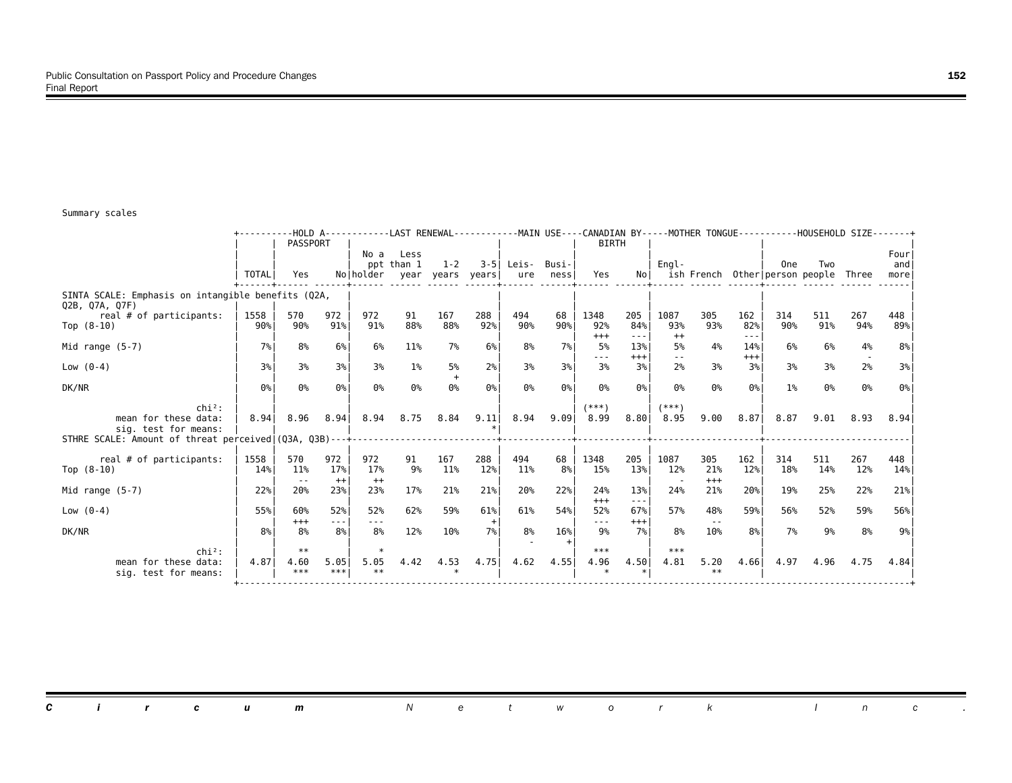|                                                                              |              | HOLD A-         |             | -------      | - LAST RENEWAL- |                | -------                          |             |          | -- MAIN USE---- CANADIAN BY----- MOTHER TONGUE--------- |                 |                |                                        |                |      | - HOUSEHOLD SIZE- |       |            |
|------------------------------------------------------------------------------|--------------|-----------------|-------------|--------------|-----------------|----------------|----------------------------------|-------------|----------|---------------------------------------------------------|-----------------|----------------|----------------------------------------|----------------|------|-------------------|-------|------------|
|                                                                              |              | <b>PASSPORT</b> |             |              |                 |                |                                  |             |          | <b>BI RTH</b>                                           |                 |                |                                        |                |      |                   |       |            |
|                                                                              |              |                 |             | No a         | Less            |                |                                  |             |          |                                                         |                 |                |                                        |                |      |                   |       | Four       |
|                                                                              |              |                 |             |              | ppt than 1      | $1 - 2$        |                                  | $3-5$ Leis- | Busi -   |                                                         |                 | Engl-          |                                        |                | 0ne  | Two               |       | and        |
|                                                                              | <b>TOTAL</b> | Yes             |             | No   hol der |                 | year years     | years                            | ure         | ness     | Yes                                                     | No <sub>1</sub> |                | ish French Other   person people Three |                |      |                   |       | more       |
| SINTA SCALE: Emphasis on intangible benefits (Q2A,<br>Q2B, Q7A, Q7F)         |              |                 |             |              |                 |                |                                  |             |          |                                                         |                 |                |                                        |                |      |                   |       |            |
| real # of participants:                                                      | 1558         | 570             | 972         | 972          | 91              | 167            | 288                              | 494         | 68       | 1348                                                    | 205             | 1087           | 305                                    | 162            | 314  | 511               | 267   | 448        |
| Top $(8-10)$                                                                 | 90%          | 90%             | 91%         | 91%          | 88%             | 88%            | 92%                              | 90%         | 90%      | 92%                                                     | 84%             | 93%            | 93%                                    | 82%            | 90%  | 91%               | 94%   | 89%        |
|                                                                              |              |                 |             |              |                 |                |                                  |             |          | $^{+++}$                                                | $- - -$         | $^{++}$        |                                        | $- - -$        |      |                   |       |            |
| Mid range $(5-7)$                                                            | 7%           | 8%              | 6%          | 6%           | 11%             | 7%             | 6%                               | 8%          | 7%       | 5%                                                      | 13%             | 5%             | 4%                                     | 14%            | 6%   | 6%                | 4%    | 8%         |
| Low $(0-4)$                                                                  | 3%           | 3%              | 3%          | 3%           | 1%              | 5%             | 2%                               | 3%          | 3%       | 3%                                                      | $^{+++}$<br>3%  | $- -$<br>$2\%$ | 3%                                     | $^{+++}$<br>3% | 3%   | 3%                | $2\%$ | 3%         |
|                                                                              |              |                 |             |              |                 | $\overline{+}$ |                                  |             |          |                                                         |                 |                |                                        |                |      |                   |       |            |
| DK/NR                                                                        | 0%           | $0\%$           | 0%          | 0%           | 0%              | 0%             | 0%                               | 0%          | 0%       | $0\%$                                                   | $0\%$           | 0%             | 0%                                     | 0%             | 1%   | $0\%$             | 0%    | 0%         |
|                                                                              |              |                 |             |              |                 |                |                                  |             |          |                                                         |                 |                |                                        |                |      |                   |       |            |
| $chi^2$ :                                                                    |              |                 |             |              |                 |                |                                  |             |          | $(***)$                                                 |                 | $(***)$        |                                        |                |      |                   |       |            |
| mean for these data:                                                         | 8.94         | 8.96            | 8.94        | 8.94         | 8.75            | 8.84           | 9.11                             | 8.94        | 9.09     | 8.99                                                    | 8.80            | 8.95           | 9.00                                   | 8.87           | 8.87 | 9.01              | 8.93  | 8.94       |
| sig. test for means:<br>STHRE SCALE: Amount of threat perceived (Q3A, Q3B) - |              |                 |             |              |                 |                |                                  |             |          |                                                         |                 |                |                                        |                |      |                   |       |            |
|                                                                              | 1558         | 570             | 972         | 972          | 91              | 167            | 288                              | 494         | 68       | 1348                                                    | 205             | 1087           | 305                                    | 162            | 314  | 511               | 267   |            |
| real # of participants:<br>Top $(8-10)$                                      | 14%          | 11%             | 17%         | 17%          | 9%              | 11%            | 12%                              | 11%         | 8%       | 15%                                                     | 13%             | 12%            | 21%                                    | 12%            | 18%  | 14%               | 12%   | 448<br>14% |
|                                                                              |              | $- -$           | $^{++}$     | $^{++}$      |                 |                |                                  |             |          |                                                         |                 |                | $^{+++}$                               |                |      |                   |       |            |
| Mid range $(5-7)$                                                            | 22%          | 20%             | 23%         | 23%          | 17%             | 21%            | 21%                              | 20%         | 22%      | 24%                                                     | 13%             | 24%            | 21%                                    | 20%            | 19%  | 25%               | 22%   | 21%        |
|                                                                              |              |                 |             |              |                 |                |                                  |             |          | $^{+++}$                                                | $- - -$         |                |                                        |                |      |                   |       |            |
| Low $(0-4)$                                                                  | 55%          | 60%             | 52%         | 52%          | 62%             | 59%            | 61%                              | 61%         | 54%      | 52%                                                     | 67%             | 57%            | 48%                                    | 59%            | 56%  | 52%               | 59%   | 56%        |
|                                                                              |              | $^{+++}$        | $- - -$     | $- - -$      |                 |                | $\begin{array}{c} + \end{array}$ |             |          | $- - -$                                                 | $^{+++}$        |                |                                        |                |      |                   |       |            |
| DK/NR                                                                        | 8%           | 8%              | 8%          | 8%           | 12%             | 10%            | $7\%$                            | 8%          | 16%      | 9%                                                      | 7%              | 8%             | 10%                                    | 8%             | 7%   | 9%                | 8%    | 9%         |
|                                                                              |              |                 |             |              |                 |                |                                  |             |          |                                                         |                 |                |                                        |                |      |                   |       |            |
| $chi^2$ :                                                                    |              | $***$           |             |              |                 |                |                                  |             |          | ***                                                     |                 | $***$          |                                        |                |      |                   |       |            |
| mean for these data:                                                         | 4.87         | 4.60<br>***     | 5.05<br>*** | 5.05<br>$**$ | 4.42            | 4.53           | 4.75                             | 4.62        | 4.55 $ $ | 4.96                                                    | 4.50            | 4.81           | 5.20<br>$**$                           | 4.66           | 4.97 | 4.96              | 4.75  | 4.84       |
| sig. test for means:                                                         |              |                 |             |              |                 |                |                                  |             |          |                                                         |                 |                |                                        |                |      |                   |       |            |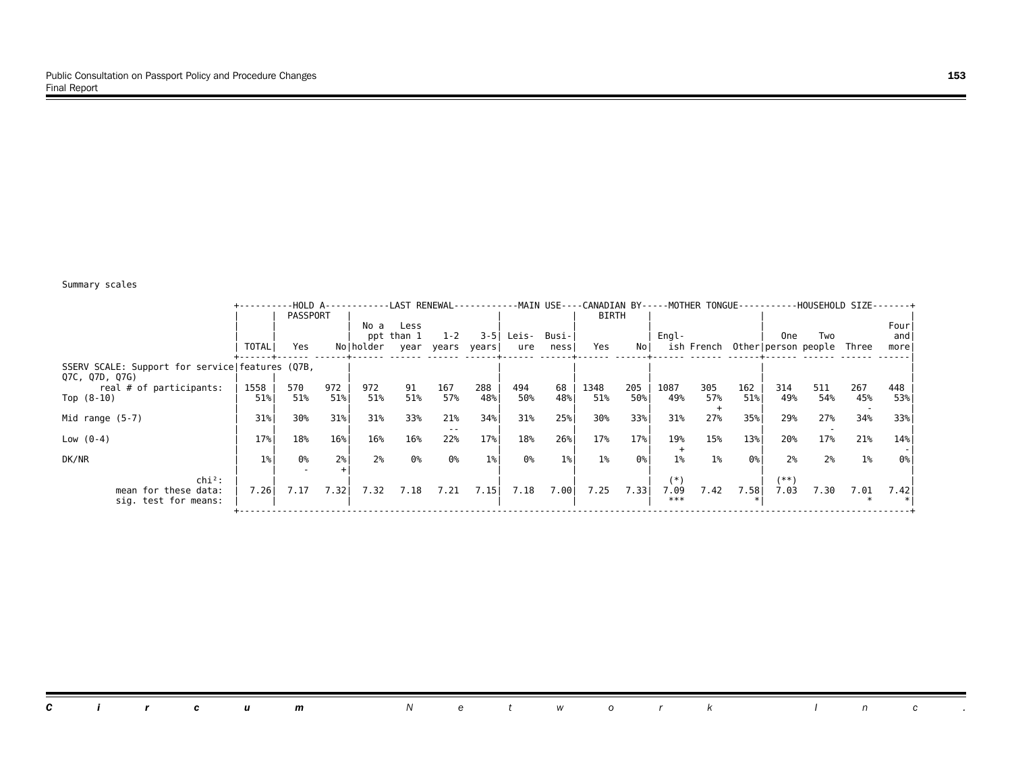|                                                           |              | HOLD A-         |      |            | - LAST RENEWAL--- |             |         |        |       | - MAIN USE---- CANADIAN BY----- MOTHER TONGUE-- |      |                    |                                |      |                | - HOUSEHOLD SIZE- |       |      |
|-----------------------------------------------------------|--------------|-----------------|------|------------|-------------------|-------------|---------|--------|-------|-------------------------------------------------|------|--------------------|--------------------------------|------|----------------|-------------------|-------|------|
|                                                           |              | <b>PASSPORT</b> |      |            |                   |             |         |        |       | <b>BI RTH</b>                                   |      |                    |                                |      |                |                   |       |      |
|                                                           |              |                 |      | No a       | Less              |             |         |        |       |                                                 |      |                    |                                |      |                |                   |       | Four |
|                                                           |              |                 |      |            | ppt than 1        | $1 - 2$     | $3 - 5$ | Lei s- | Busi- |                                                 |      | Engl-              |                                |      | <b>One</b>     | Two               |       | and  |
|                                                           | <b>TOTAL</b> | Yes             |      | No∣hol der | year              | years years |         | ure    | ness  | Yes                                             | No l |                    | ish French Other person people |      |                |                   | Three | more |
| SSERV SCALE: Support for service   features (Q7B,         |              |                 |      |            |                   |             |         |        |       |                                                 |      |                    |                                |      |                |                   |       |      |
| $Q7C$ , $Q7D$ , $Q7G$ )                                   |              |                 |      |            |                   |             |         |        |       |                                                 |      |                    |                                |      |                |                   |       |      |
| real # of participants:                                   | 1558         | 570             | 972  | 972        | 91                | 167         | 288     | 494    | 68    | 1348                                            | 205  | 1087               | 305                            | 162  | 314            | 511               | 267   | 448  |
| Top $(8-10)$                                              | 51%          | 51%             | 51%  | 51%        | 51%               | 57%         | 48%     | 50%    | 48%   | 51%                                             | 50%  | 49%                | 57%                            | 51%  | 49%            | 54%               | 45%   | 53%  |
| Mid range $(5-7)$                                         | 31%          | 30%             | 31%  | 31%        | 33%               | 21%         | 34%     | 31%    | 25%   | 30%                                             | 33%  | 31%                | 27%                            | 35%  | 29%            | 27%               | 34%   | 33%  |
| Low $(0-4)$                                               | 17%          | 18%             | 16%  | 16%        | 16%               | 22%         | 17%     | 18%    | 26%   | 17%                                             | 17%  | 19%                | 15%                            | 13%  | 20%            | 17%               | 21%   | 14%  |
|                                                           |              |                 |      |            |                   |             |         |        |       |                                                 |      | $\overline{+}$     |                                |      |                |                   |       |      |
| DK/NR                                                     | 1%           | 0%              | 2%   | 2%         | 0%                | 0%          | $1\%$   | 0%     | $1\%$ | 1%                                              | 0%   | 1%                 | 1%                             | 0%   | 2%             | 2%                | 1%    | 0%   |
| $chi^2$ :<br>mean for these data:<br>sig. test for means: | 7.26         | 7.17            | 7.32 | 7.32       | 7.18              | 7.21        | 7.15    | 7.18   | 7.00  | 7.25                                            | 7.33 | (*)<br>7.09<br>*** | 7.42                           | 7.58 | $(**)$<br>7.03 | 7.30              | 7.01  | 7.42 |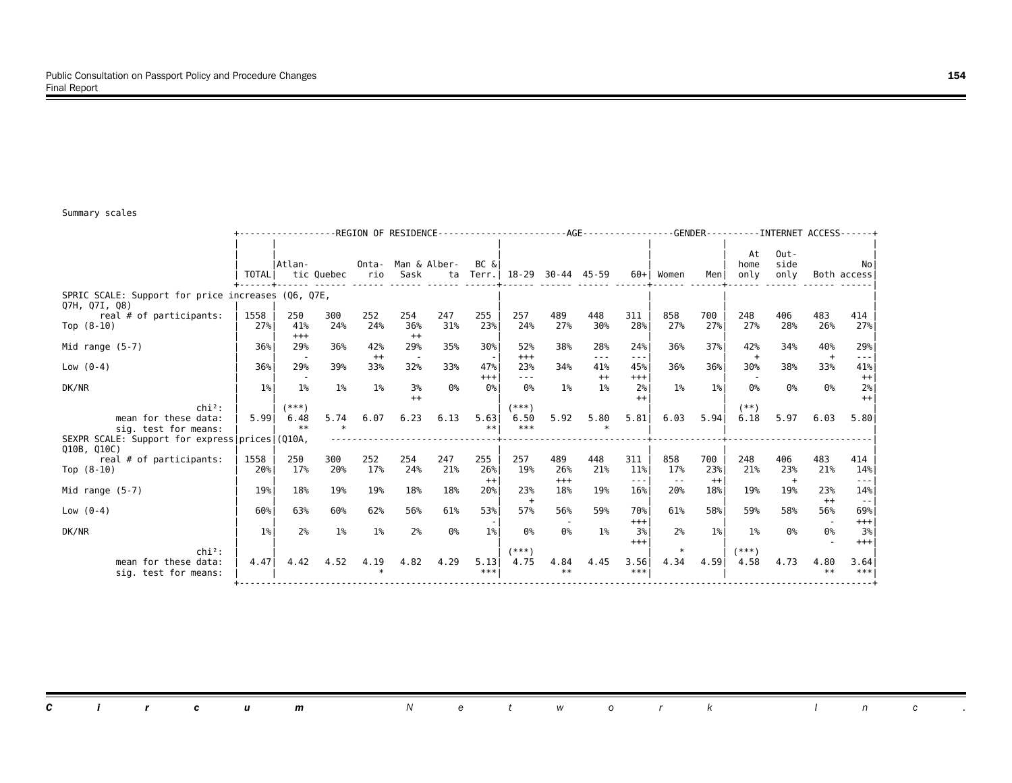|                                                                                                                    |              |                         |            |                | <b>REGION OF RESIDENCE-</b> |            |                 |                          | AGE-         |                |                  |              | $GENDER - -$ |                     | - INTERNET ACCESS-       |                  |                   |
|--------------------------------------------------------------------------------------------------------------------|--------------|-------------------------|------------|----------------|-----------------------------|------------|-----------------|--------------------------|--------------|----------------|------------------|--------------|--------------|---------------------|--------------------------|------------------|-------------------|
|                                                                                                                    | <b>TOTAL</b> | Atlan-                  | tic Quebec | Onta-<br>rio   | Man & Alber-<br>Sask        | ta         | BC &<br>Terr.   | $18 - 29$                |              | $30-44$ 45-59  | $60+$            | Women        | Men          | At<br>home<br>onl y | $0$ ut-<br>side<br>onl y |                  | No<br>Both access |
| SPRIC SCALE: Support for price increases (Q6, Q7E,<br>Q7H, Q7I, Q8                                                 |              |                         |            |                |                             |            |                 |                          |              |                |                  |              |              |                     |                          |                  |                   |
| real # of participants:<br>Top $(8-10)$                                                                            | 1558<br>27%  | 250<br>41%              | 300<br>24% | 252<br>24%     | 254<br>36%                  | 247<br>31% | 255<br>23%      | 257<br>24%               | 489<br>27%   | 448<br>30%     | 311<br>28%       | 858<br>27%   | 700<br>27%   | 248<br>27%          | 406<br>28%               | 483<br>26%       | 414<br>27%        |
| Mid range $(5-7)$                                                                                                  | 36%          | $^{+++}$<br>29%         | 36%        | 42%<br>$^{++}$ | $^{++}$<br>29%              | 35%        | 30%             | 52%<br>$+++$             | 38%          | 28%<br>$- - -$ | 24%<br>$- - -$   | 36%          | 37%          | 42%                 | 34%                      | 40%<br>$\ddot{}$ | 29%<br>- - -      |
| Low $(0-4)$                                                                                                        | 36%          | 29%                     | 39%        | 33%            | 32%                         | 33%        | 47%<br>$^{+++}$ | 23%<br>$- - -$           | 34%          | 41%<br>$^{++}$ | 45%<br>$^{+++}$  | 36%          | 36%          | 30%                 | 38%                      | 33%              | 41%<br>$^{++}$    |
| DK/NR                                                                                                              | 1%           | 1%                      | 1%         | 1%             | 3%<br>$^{++}$               | 0%         | 0%              | 0%                       | 1%           | 1%             | $2\%$<br>$^{++}$ | 1%           | 1%           | 0%                  | 0%                       | 0%               | $2\%$<br>$^{++}$  |
| $chi^2$ :<br>mean for these data:<br>sig. test for means:<br><b>SEXPR SCALE:</b> Support for express prices (Q10A, | 5.99         | $(***)$<br>6.48<br>$**$ | 5.74       | 6.07           | 6.23                        | 6.13       | 5.63            | $(***)$<br>6.50<br>$***$ | 5.92         | 5.80           | 5.81             | 6.03         | 5.94         | $(**)$<br>6.18      | 5.97                     | 6.03             | 5.80              |
| Q10B, Q10C<br>real # of participants:                                                                              | 1558         | 250                     | 300        | 252            | 254                         | 247        | 255             | 257                      | 489          | 448            | 311              | 858          | 700          | 248                 | 406                      | 483              | 414               |
| Top $(8-10)$                                                                                                       | 20%          | 17%                     | 20%        | 17%            | 24%                         | 21%        | 26%<br>$^{++}$  | 19%                      | 26%<br>$+++$ | 21%            | 11%<br>$- - -$   | 17%<br>$- -$ | 23%<br>$++$  | 21%                 | 23%<br>$+$               | 21%              | 14%<br>- - -      |
| Mid range $(5-7)$                                                                                                  | 19%          | 18%                     | 19%        | 19%            | 18%                         | 18%        | 20%             | 23%                      | 18%          | 19%            | 16%              | 20%          | 18%          | 19%                 | 19%                      | 23%<br>$^{++}$   | 14%<br>$- -$      |
| Low $(0-4)$                                                                                                        | 60%          | 63%                     | 60%        | 62%            | 56%                         | 61%        | 53%             | 57%                      | 56%          | 59%            | 70%<br>$^{+++}$  | 61%          | 58%          | 59%                 | 58%                      | 56%              | 69%<br>$^{+++}$   |
| DK/NR<br>$chi^2$ :                                                                                                 | 1%           | 2%                      | 1%         | 1%             | 2%                          | 0%         | 1%              | 0%<br>$(***)$            | 0%           | 1%             | 3%<br>$+++$      | 2%           | $1\%$        | 1%<br>$(***)$       | 0%                       | 0%               | 3%<br>$^{+++}$    |
| mean for these data:<br>sig. test for means:                                                                       | 4.47         | 4.42                    | 4.52       | 4.19           | 4.82                        | 4.29       | 5.13<br>***     | 4.75                     | 4.84<br>**   | 4.45           | 3.56<br>***      | 4.34         | 4.59         | 4.58                | 4.73                     | 4.80<br>**       | 3.64<br>***       |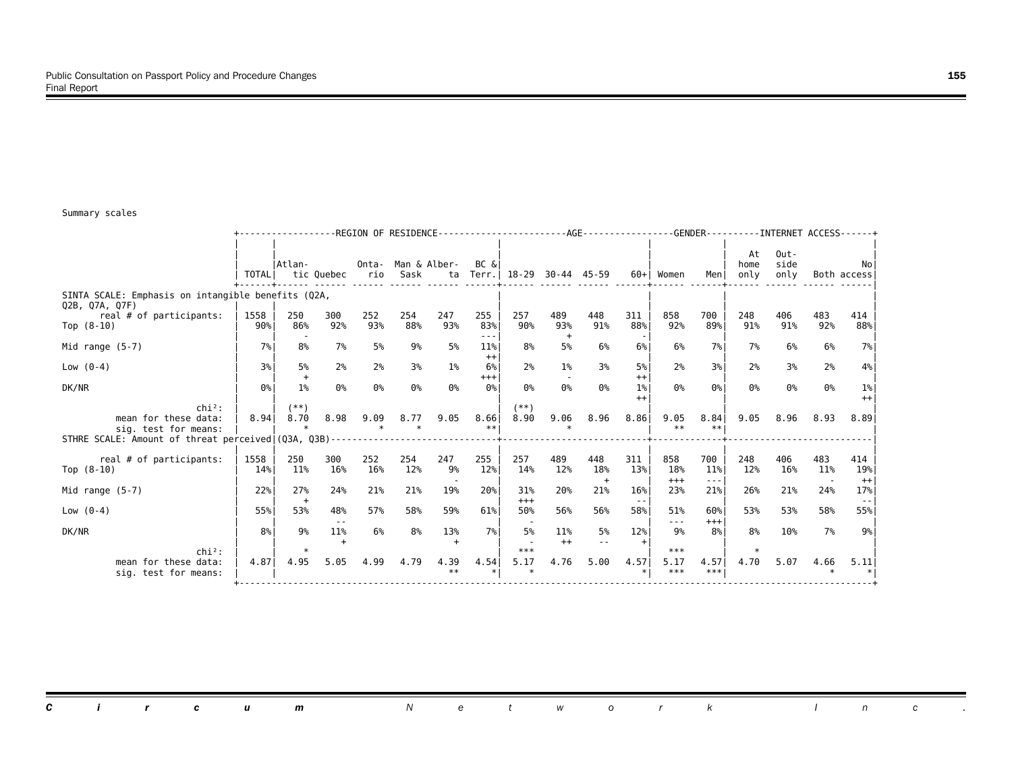|                                                                                                            |              |                |                   |              | <b>REGION OF RESIDENCE-</b> |                  |                       |                | AGE-           |                       |               |                        | $-$ GENDER-------- |                     | - INTERNET ACCESS--      |            |                               |
|------------------------------------------------------------------------------------------------------------|--------------|----------------|-------------------|--------------|-----------------------------|------------------|-----------------------|----------------|----------------|-----------------------|---------------|------------------------|--------------------|---------------------|--------------------------|------------|-------------------------------|
|                                                                                                            | <b>TOTAL</b> | Atlan-         | tic Quebec        | Onta-<br>rio | Man & Alber-<br>Sask        | ta               | BC &<br>Terr.         | $18 - 29$      |                | $30 - 44$ 45-59       | $60+$         | Women                  | Men                | At<br>home<br>onl y | $0$ ut-<br>side<br>onl y |            | N <sub>O</sub><br>Both access |
| SINTA SCALE: Emphasis on intangible benefits (Q2A,<br>Q2B, Q7A, Q7F)                                       |              |                |                   |              |                             |                  |                       |                |                |                       |               |                        |                    |                     |                          |            |                               |
| real # of participants:<br>Top $(8-10)$                                                                    | 1558<br>90%  | 250<br>86%     | 300<br>92%        | 252<br>93%   | 254<br>88%                  | 247<br>93%       | 255<br>83%<br>$- - -$ | 257<br>90%     | 489<br>93%     | 448<br>91%            | 311<br>88%    | 858<br>92%             | 700<br>89%         | 248<br>91%          | 406<br>91%               | 483<br>92% | 414<br>88%                    |
| Mid range $(5-7)$                                                                                          | 7%           | 8%             | 7%                | 5%           | 9%                          | 5%               | 11%<br>$^{++}$        | 8%             | $+$<br>5%      | 6%                    | 6%            | 6%                     | 7%                 | 7%                  | 6%                       | 6%         | 7%                            |
| Low $(0-4)$                                                                                                | 3%           | 5%<br>$^{+}$   | 2%                | $2\%$        | 3%                          | 1%               | 6%<br>$^{+++}$        | 2%             | 1%             | 3%                    | 5%<br>$^{++}$ | 2%                     | $3\%$              | 2%                  | 3%                       | 2%         | 4%                            |
| DK/NR                                                                                                      | 0%           | 1%             | 0%                | 0%           | 0%                          | 0%               | 0%                    | 0%             | 0%             | 0%                    | 1%<br>$++$    | 0%                     | $0\%$              | 0%                  | $0\%$                    | 0%         | 1%<br>$^{++}$                 |
| $chi^2$ :<br>mean for these data:<br>sig. test for means:<br>STHRE SCALE: Amount of threat perceived (Q3A, | 8.94         | $(**)$<br>8.70 | 8.98<br>$(Q3B) -$ | 9.09         | 8.77                        | 9.05             | 8.66                  | $(**)$<br>8.90 | 9.06           | 8.96                  | 8.86          | 9.05<br>$* *$          | 8.84<br>**         | 9.05                | 8.96                     | 8.93       | 8.89                          |
| real # of participants:<br>Top $(8-10)$                                                                    | 1558<br>14%  | 250<br>11%     | 300<br>16%        | 252<br>16%   | 254<br>12%                  | 247<br>9%        | 255<br>12%            | 257<br>14%     | 489<br>12%     | 448<br>18%            | 311<br>13%    | 858<br>18%<br>$^{+++}$ | 700<br>11%         | 248<br>12%          | 406<br>16%               | 483<br>11% | 414<br>19%                    |
| Mid range $(5-7)$                                                                                          | 22%          | 27%<br>$+$     | 24%               | 21%          | 21%                         | 19%              | 20%                   | 31%<br>$+++$   | 20%            | $\overline{+}$<br>21% | 16%<br>$ -$   | 23%                    | $- - -$<br>21%     | 26%                 | 21%                      | 24%        | $^{++}$<br>17%<br>$- -$       |
| Low $(0-4)$                                                                                                | 55%          | 53%            | 48%<br>$- -$      | 57%          | 58%                         | 59%              | 61%                   | 50%            | 56%            | 56%                   | 58%           | 51%<br>$- - -$         | 60%<br>$+++$       | 53%                 | 53%                      | 58%        | 55%                           |
| DK/NR                                                                                                      | 8%           | 9%             | 11%               | 6%           | 8%                          | 13%<br>$\ddot{}$ | 7%                    | 5%             | 11%<br>$^{++}$ | 5%<br>$ -$            | 12%<br>$+$    | 9%                     | 8%                 | 8%                  | 10%                      | 7%         | 9%                            |
| $chi^2$ :<br>mean for these data:<br>sig. test for means:                                                  | 4.87         | 4.95           | 5.05              | 4.99         | 4.79                        | 4.39<br>**       | 4.54                  | ***<br>5.17    | 4.76           | 5.00                  | 4.57          | $***$<br>5.17<br>$***$ | 4.57<br>***        | 4.70                | 5.07                     | 4.66       | 5.11                          |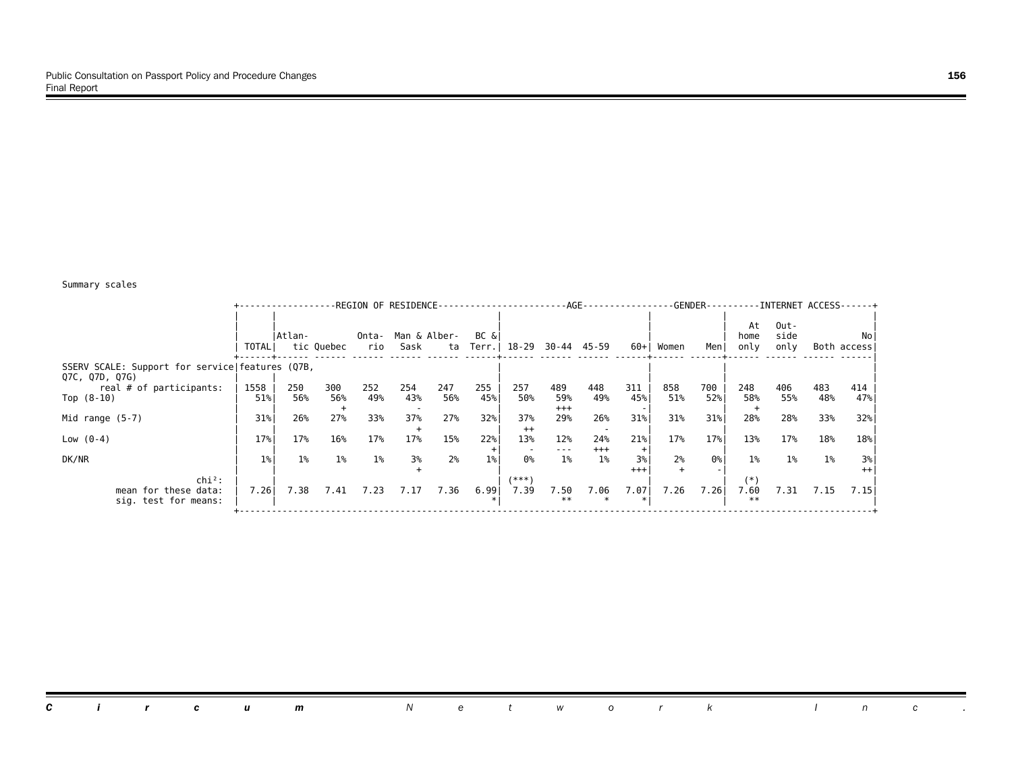|                                                 |              |        |            |               | <b>REGION OF RESIDENCE-</b> |      |                     |                          | $AGE-$   |          |          |       | <b>GENDER-</b> |                     | INTERNET ACCESS           |      |                           |
|-------------------------------------------------|--------------|--------|------------|---------------|-----------------------------|------|---------------------|--------------------------|----------|----------|----------|-------|----------------|---------------------|---------------------------|------|---------------------------|
|                                                 | <b>TOTAL</b> | Atlan- | tic Quebec | Onta-<br>ri o | Man & Alber-<br>Sask        |      | $BC \&$<br>ta Terr. | 18-29 30-44 45-59        |          |          | $60+$    | Women | Men            | At<br>home<br>onl y | $0$ ut-<br>si de<br>onl y |      | No.<br><b>Both access</b> |
| SSERV SCALE: Support for service features (Q7B, |              |        |            |               |                             |      |                     |                          |          |          |          |       |                |                     |                           |      |                           |
| $Q7C$ , $Q7D$ , $Q7G$ )                         |              |        |            |               |                             |      |                     |                          |          |          |          |       |                |                     |                           |      |                           |
| real # of participants:                         | 1558         | 250    | 300        | 252           | 254                         | 247  | 255                 | 257                      | 489      | 448      | 311      | 858   | 700            | 248                 | 406                       | 483  | 414                       |
| Top $(8-10)$                                    | 51%          | 56%    | 56%        | 49%           | 43%                         | 56%  | 45%                 | 50%                      | 59%      | 49%      | 45%      | 51%   | 52%            | 58%                 | 55%                       | 48%  | 47%                       |
|                                                 |              |        |            |               |                             |      |                     |                          | $^{+++}$ |          |          |       |                |                     |                           |      |                           |
| Mid range $(5-7)$                               | 31%          | 26%    | 27%        | 33%           | 37%                         | 27%  | 32%                 | 37%                      | 29%      | 26%      | $31\%$   | 31%   | 31%            | 28%                 | 28%                       | 33%  | 32%                       |
|                                                 |              |        |            |               |                             |      |                     | $^{++}$                  |          |          |          |       |                |                     |                           |      |                           |
| Low $(0-4)$                                     | 17%          | 17%    | 16%        | 17%           | 17%                         | 15%  | 22%                 | 13%                      | 12%      | 24%      | 21%      | 17%   | 17%            | 13%                 | 17%                       | 18%  | 18%                       |
|                                                 |              |        |            |               |                             |      |                     | $\overline{\phantom{a}}$ | $- - -$  | $^{+++}$ |          |       |                |                     |                           |      |                           |
| DK/NR                                           | 1%           | 1%     | 1%         | 1%            | 3%                          | 2%   | 1%                  | 0%                       | 1%       | 1%       | 3%       | 2%    | 0%             | 1%                  | 1%                        | 1%   | 3%                        |
|                                                 |              |        |            |               |                             |      |                     |                          |          |          | $^{+++}$ |       |                |                     |                           |      | $^{++}$                   |
| $chi^2$ :                                       |              |        |            |               |                             |      |                     | $(***")$                 |          |          |          |       |                | $^{(*)}$            |                           |      |                           |
| mean for these data:                            | 7.26         | 7.38   | 7.41       | 7.23          | 7.17                        | 7.36 | 6.99                | 7.39                     | 7.50     | 7.06     | 7.07     | 7.26  | 7.26           | 7.60                | 7.31                      | 7.15 | 7.15                      |
| sig. test for means:                            |              |        |            |               |                             |      |                     |                          | **       |          |          |       |                | **                  |                           |      |                           |
|                                                 |              |        |            |               |                             |      |                     |                          |          |          |          |       |                |                     |                           |      |                           |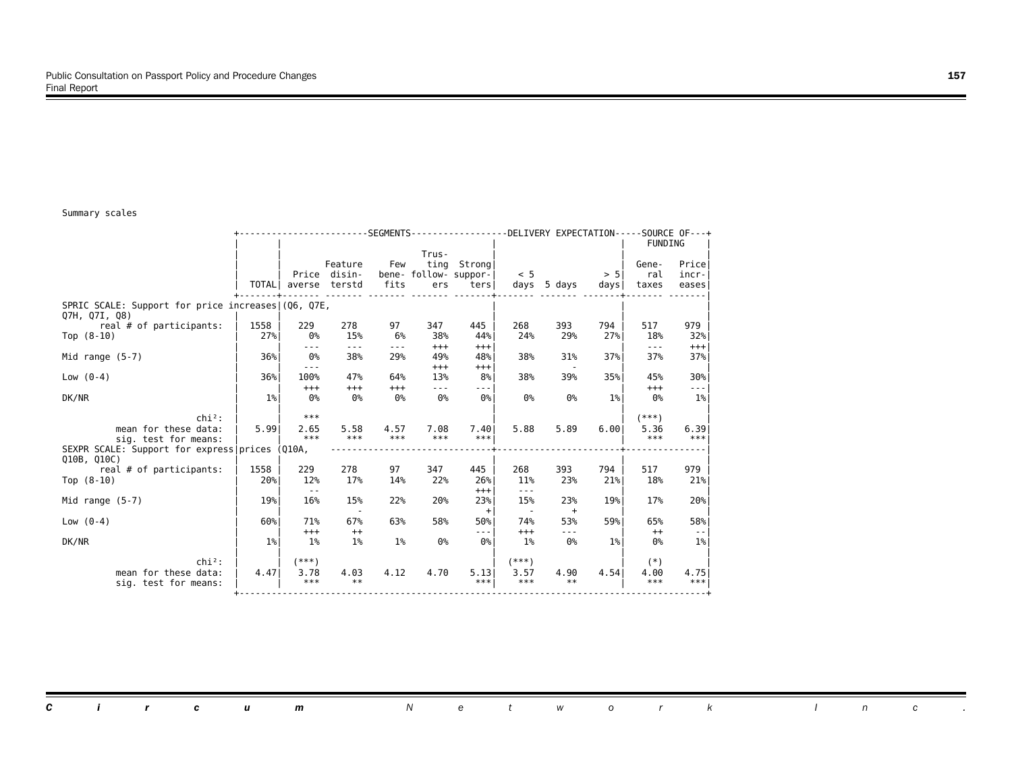|                                                                         |              |               |               | <b>SEGMENTS-</b> |                     |             |                                                                                                                                                                                                                                                                                                                                                                                              | DELIVERY EXPECTATION-- |      |                | - SOURCE OF---+ |
|-------------------------------------------------------------------------|--------------|---------------|---------------|------------------|---------------------|-------------|----------------------------------------------------------------------------------------------------------------------------------------------------------------------------------------------------------------------------------------------------------------------------------------------------------------------------------------------------------------------------------------------|------------------------|------|----------------|-----------------|
|                                                                         |              |               |               |                  |                     |             |                                                                                                                                                                                                                                                                                                                                                                                              |                        |      | <b>FUNDING</b> |                 |
|                                                                         |              |               |               |                  | Trus-               |             |                                                                                                                                                                                                                                                                                                                                                                                              |                        |      |                |                 |
|                                                                         |              |               | Feature       | Few              | ting                | Strong      |                                                                                                                                                                                                                                                                                                                                                                                              |                        |      | Gene-          | Pri ce          |
|                                                                         |              |               | Price disin-  |                  | bene-follow-suppor- |             | < 5                                                                                                                                                                                                                                                                                                                                                                                          |                        | > 5  | ral            | incr-           |
|                                                                         | <b>TOTAL</b> |               | averse terstd | fits             | ers                 | ters        | days                                                                                                                                                                                                                                                                                                                                                                                         | 5 days                 | days | taxes          | eases           |
| SPRIC SCALE: Support for price increases $(0, 0, 0, 0)$<br>Q7H, Q7I, Q8 |              |               |               |                  |                     |             |                                                                                                                                                                                                                                                                                                                                                                                              |                        |      |                |                 |
| real # of participants:                                                 | 1558         | 229           | 278           | 97               | 347                 | 445         | 268                                                                                                                                                                                                                                                                                                                                                                                          | 393                    | 794  | 517            | 979             |
| Top $(8-10)$                                                            | 27%          | 0%            | 15%           | 6%               | 38%                 | 44%         | 24%                                                                                                                                                                                                                                                                                                                                                                                          | 29%                    | 27%  | 18%            | 32%             |
|                                                                         |              | - - -         | - - -         | $- - -$          | $^{+++}$            | $^{+++}$    |                                                                                                                                                                                                                                                                                                                                                                                              |                        |      | $- - -$        | $^{+++}$        |
| Mid range $(5-7)$                                                       | 36%          | 0%            | 38%           | 29%              | 49%                 | 48%         | 38%                                                                                                                                                                                                                                                                                                                                                                                          | 31%                    | 37%  | 37%            | 37%             |
|                                                                         |              | - - -         |               |                  | $^{+++}$            | $^{+++}$    |                                                                                                                                                                                                                                                                                                                                                                                              |                        |      |                |                 |
| Low $(0-4)$                                                             | 36%          | 100%          | 47%           | 64%              | 13%                 | 8%          | 38%                                                                                                                                                                                                                                                                                                                                                                                          | 39%                    | 35%  | 45%            | 30%             |
|                                                                         |              | $^{+++}$      | $^{+++}$      | $^{+++}$         | $- - -$             | $- - -$     |                                                                                                                                                                                                                                                                                                                                                                                              |                        |      | $^{+++}$       | $\sim$ $ \sim$  |
| DK/NR                                                                   | 1%           | 0%            | 0%            | 0%               | 0%                  | 0%          | 0%                                                                                                                                                                                                                                                                                                                                                                                           | 0%                     | 1%   | 0%             | $1\%$           |
|                                                                         |              | ***           |               |                  |                     |             |                                                                                                                                                                                                                                                                                                                                                                                              |                        |      |                |                 |
| $chi^2$ :                                                               |              |               |               |                  |                     |             |                                                                                                                                                                                                                                                                                                                                                                                              |                        |      | $(***)$        |                 |
| mean for these data:                                                    | 5.99         | 2.65<br>$***$ | 5.58<br>***   | 4.57<br>***      | 7.08<br>$***$       | 7.40<br>*** | 5.88                                                                                                                                                                                                                                                                                                                                                                                         | 5.89                   | 6.00 | 5.36<br>***    | 6.39<br>***     |
| sig. test for means:                                                    |              |               |               |                  |                     |             |                                                                                                                                                                                                                                                                                                                                                                                              |                        |      |                |                 |
| <b>SEXPR SCALE:</b> Support for express prices (Q10A,<br>Q10B, Q10C     |              |               |               |                  |                     |             |                                                                                                                                                                                                                                                                                                                                                                                              |                        |      |                |                 |
| real # of participants:                                                 | 1558         | 229           | 278           | 97               | 347                 | 445         | 268                                                                                                                                                                                                                                                                                                                                                                                          | 393                    | 794  | 517            | 979             |
| Top $(8-10)$                                                            | 20%          | 12%           | 17%           | 14%              | 22%                 | 26%         | 11%                                                                                                                                                                                                                                                                                                                                                                                          | 23%                    | 21%  | 18%            | 21%             |
|                                                                         |              | $\sim$ $\sim$ |               |                  |                     | $^{+++}$    | $\frac{1}{2} \frac{1}{2} \frac{1}{2} \frac{1}{2} \frac{1}{2} \frac{1}{2} \frac{1}{2} \frac{1}{2} \frac{1}{2} \frac{1}{2} \frac{1}{2} \frac{1}{2} \frac{1}{2} \frac{1}{2} \frac{1}{2} \frac{1}{2} \frac{1}{2} \frac{1}{2} \frac{1}{2} \frac{1}{2} \frac{1}{2} \frac{1}{2} \frac{1}{2} \frac{1}{2} \frac{1}{2} \frac{1}{2} \frac{1}{2} \frac{1}{2} \frac{1}{2} \frac{1}{2} \frac{1}{2} \frac{$ |                        |      |                |                 |
| Mid range $(5-7)$                                                       | 19%          | 16%           | 15%           | 22%              | 20%                 | 23%         | 15%                                                                                                                                                                                                                                                                                                                                                                                          | 23%                    | 19%  | 17%            | 20%             |
|                                                                         |              |               |               |                  |                     | $+$         | $\sim$                                                                                                                                                                                                                                                                                                                                                                                       | $+$                    |      |                |                 |
| Low $(0-4)$                                                             | 60%          | 71%           | 67%           | 63%              | 58%                 | 50%         | 74%                                                                                                                                                                                                                                                                                                                                                                                          | 53%                    | 59%  | 65%            | 58%             |
| DK/NR                                                                   |              | $^{+++}$      | $^{++}$       |                  | 0%                  | $- - -$     | $+++$                                                                                                                                                                                                                                                                                                                                                                                        | - - -                  |      | $^{++}$        | $\sim$ $-$      |
|                                                                         | 1%           | 1%            | 1%            | 1%               |                     | 0%          | 1%                                                                                                                                                                                                                                                                                                                                                                                           | 0%                     | 1%   | 0%             | $1\%$           |
| $chi^2$ :                                                               |              | $(***)$       |               |                  |                     |             | $(***)$                                                                                                                                                                                                                                                                                                                                                                                      |                        |      | $(*)$          |                 |
| mean for these data:                                                    | 4.47         | 3.78          | 4.03          | 4.12             | 4.70                | 5.13        | 3.57                                                                                                                                                                                                                                                                                                                                                                                         | 4.90                   | 4.54 | 4.00           | 4.75            |
| sig. test for means:                                                    |              | $***$         | $***$         |                  |                     | ***         | ***                                                                                                                                                                                                                                                                                                                                                                                          | $**$                   |      | $***$          | ***             |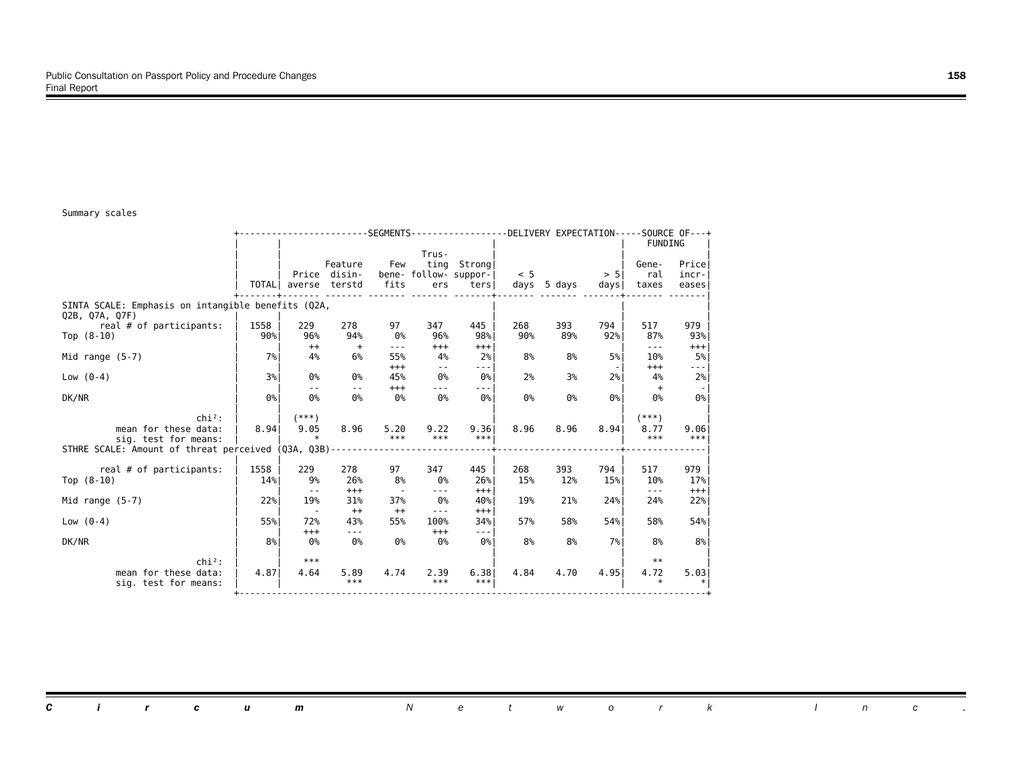|                                                                      |              |                          |               | <b>SEGMENTS-</b> |         |                                                                                                                                                                                                                                                                                                                                                                                              |      | DELIVERY EXPECTATION-- |      |                | $-SOURCE$ OF---+ |
|----------------------------------------------------------------------|--------------|--------------------------|---------------|------------------|---------|----------------------------------------------------------------------------------------------------------------------------------------------------------------------------------------------------------------------------------------------------------------------------------------------------------------------------------------------------------------------------------------------|------|------------------------|------|----------------|------------------|
|                                                                      |              |                          |               |                  |         |                                                                                                                                                                                                                                                                                                                                                                                              |      |                        |      | <b>FUNDING</b> |                  |
|                                                                      |              |                          |               |                  | Trus-   |                                                                                                                                                                                                                                                                                                                                                                                              |      |                        |      |                |                  |
|                                                                      |              |                          | Feature       | Few              | ting    | Strong                                                                                                                                                                                                                                                                                                                                                                                       |      |                        |      | Gene-          | Pri ce           |
|                                                                      |              |                          | Price disin-  |                  |         | bene-follow-suppor-                                                                                                                                                                                                                                                                                                                                                                          | < 5  |                        | > 5  | ral            | incr-            |
|                                                                      | <b>TOTAL</b> |                          | averse terstd | fits             | ers     | ters                                                                                                                                                                                                                                                                                                                                                                                         | days | 5 days                 | days | taxes          | eases            |
| SINTA SCALE: Emphasis on intangible benefits (Q2A,<br>Q2B, Q7A, Q7F) |              |                          |               |                  |         |                                                                                                                                                                                                                                                                                                                                                                                              |      |                        |      |                |                  |
| real # of participants:                                              | 1558         | 229                      | 278           | 97               | 347     | 445                                                                                                                                                                                                                                                                                                                                                                                          | 268  | 393                    | 794  | 517            | 979              |
| Top $(8-10)$                                                         | 90%          | 96%                      | 94%           | 0%               | 96%     | 98%                                                                                                                                                                                                                                                                                                                                                                                          | 90%  | 89%                    | 92%  | 87%            | 93%              |
|                                                                      |              | $^{++}$                  | $+$           | $- - -$          | $+++$   | $^{+++}$                                                                                                                                                                                                                                                                                                                                                                                     |      |                        |      | $- - -$        | $^{+++}$         |
| Mid range $(5-7)$                                                    | 7%           | 4%                       | 6%            | 55%              | 4%      | 2%                                                                                                                                                                                                                                                                                                                                                                                           | 8%   | 8%                     | 5%   | 10%            | 5%               |
|                                                                      |              |                          |               | $^{+++}$         | $ -$    | $- - -$                                                                                                                                                                                                                                                                                                                                                                                      |      |                        |      | $^{+++}$       | $- - -$          |
| Low $(0-4)$                                                          | 3%           | 0%                       | 0%            | 45%              | 0%      | 0%                                                                                                                                                                                                                                                                                                                                                                                           | 2%   | 3%                     | 2%   | 4%             | 2%               |
|                                                                      |              | $ -$                     | $-$           | $+++$            | $- - -$ | $- - -$                                                                                                                                                                                                                                                                                                                                                                                      |      |                        |      | $\ddot{}$      |                  |
| DK/NR                                                                | 0%           | 0%                       | 0%            | 0%               | 0%      | 0%                                                                                                                                                                                                                                                                                                                                                                                           | 0%   | 0%                     | 0%   | 0%             | 0%               |
| $chi^2$ :                                                            |              | $(***)$                  |               |                  |         |                                                                                                                                                                                                                                                                                                                                                                                              |      |                        |      | $(***)$        |                  |
| mean for these data:                                                 | 8.94         | 9.05                     | 8.96          | 5.20             | 9.22    | 9.36                                                                                                                                                                                                                                                                                                                                                                                         | 8.96 | 8.96                   | 8.94 | 8.77           | 9.06             |
| sig. test for means:                                                 |              | $\ast$                   |               | $***$            | $***$   | ***                                                                                                                                                                                                                                                                                                                                                                                          |      |                        |      | $***$          | ***              |
| STHRE SCALE: Amount of threat perceived (Q3A, Q3B)                   |              |                          |               |                  |         |                                                                                                                                                                                                                                                                                                                                                                                              |      |                        |      |                |                  |
| real # of participants:                                              | 1558         | 229                      | 278           | 97               | 347     | 445                                                                                                                                                                                                                                                                                                                                                                                          | 268  | 393                    | 794  | 517            | 979              |
| Top $(8-10)$                                                         | 14%          | 9%                       | 26%           | 8%               | 0%      | 26%                                                                                                                                                                                                                                                                                                                                                                                          | 15%  | 12%                    | 15%  | 10%            | 17%              |
|                                                                      |              | $- -$                    | $^{+++}$      |                  | $- - -$ | $^{+++}$                                                                                                                                                                                                                                                                                                                                                                                     |      |                        |      | $- - -$        | $^{+++}$         |
| Mid range $(5-7)$                                                    | 22%          | 19%                      | 31%           | 37%              | 0%      | 40%                                                                                                                                                                                                                                                                                                                                                                                          | 19%  | 21%                    | 24%  | 24%            | 22%              |
|                                                                      |              | $\overline{\phantom{a}}$ | $^{++}$       | $^{++}$          | $- - -$ | $^{+++}$                                                                                                                                                                                                                                                                                                                                                                                     |      |                        |      |                |                  |
| Low $(0-4)$                                                          | 55%          | 72%                      | 43%           | 55%              | 100%    | 34%                                                                                                                                                                                                                                                                                                                                                                                          | 57%  | 58%                    | 54%  | 58%            | 54%              |
|                                                                      |              | $^{+++}$                 | - - -         |                  | $+++$   | $\frac{1}{2} \frac{1}{2} \frac{1}{2} \frac{1}{2} \frac{1}{2} \frac{1}{2} \frac{1}{2} \frac{1}{2} \frac{1}{2} \frac{1}{2} \frac{1}{2} \frac{1}{2} \frac{1}{2} \frac{1}{2} \frac{1}{2} \frac{1}{2} \frac{1}{2} \frac{1}{2} \frac{1}{2} \frac{1}{2} \frac{1}{2} \frac{1}{2} \frac{1}{2} \frac{1}{2} \frac{1}{2} \frac{1}{2} \frac{1}{2} \frac{1}{2} \frac{1}{2} \frac{1}{2} \frac{1}{2} \frac{$ |      |                        |      |                |                  |
| DK/NR                                                                | 8%           | 0%                       | 0%            | 0%               | 0%      | 0%                                                                                                                                                                                                                                                                                                                                                                                           | 8%   | 8%                     | 7%   | 8%             | 8%               |
| $chi^2$ :                                                            |              | $***$                    |               |                  |         |                                                                                                                                                                                                                                                                                                                                                                                              |      |                        |      | $***$          |                  |
| mean for these data:                                                 | 4.87         | 4.64                     | 5.89          | 4.74             | 2.39    | 6.38                                                                                                                                                                                                                                                                                                                                                                                         | 4.84 | 4.70                   | 4.95 | 4.72           | 5.03             |
| sig. test for means:                                                 |              |                          | ***           |                  | $***$   | ***                                                                                                                                                                                                                                                                                                                                                                                          |      |                        |      | $\ast$         | $\ast$           |

|  |  | Circum Network Inc. |  |  |  |  |  |  |
|--|--|---------------------|--|--|--|--|--|--|
|  |  |                     |  |  |  |  |  |  |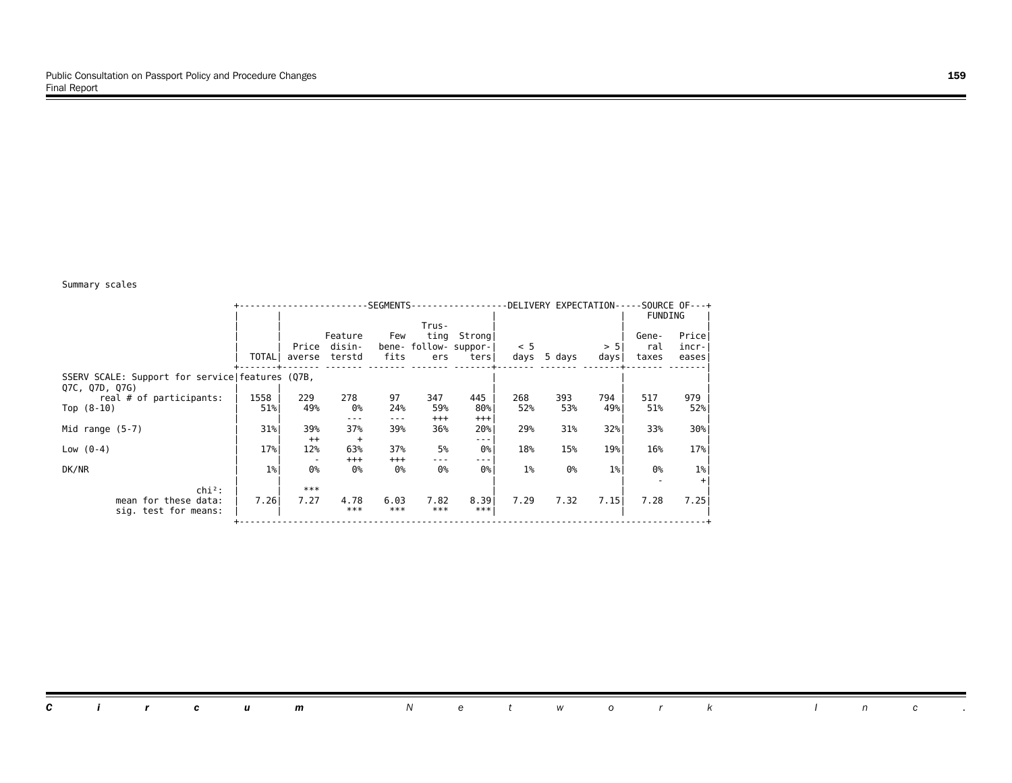|                                                 |              |         |          | <b>SEGMENTS-</b> |                     |             |      | DELIVERY EXPECTATION |      |                | SOURCE $0F---$ |
|-------------------------------------------------|--------------|---------|----------|------------------|---------------------|-------------|------|----------------------|------|----------------|----------------|
|                                                 |              |         |          |                  |                     |             |      |                      |      | <b>FUNDING</b> |                |
|                                                 |              |         |          |                  | Trus-               |             |      |                      |      |                |                |
|                                                 |              |         | Feature  | Few              |                     | ting Strong |      |                      |      | Gene-          | Pri ce         |
|                                                 |              | Pri ce  | di si n- |                  | bene-follow-suppor- |             | < 5  |                      | > 5  | ral            | i ncr-         |
|                                                 | <b>TOTAL</b> | averse  | terstd   | fits             | ers                 | ters        | days | 5 days               | days | taxes          | eases          |
| SSERV SCALE: Support for service features (Q7B, |              |         |          |                  |                     |             |      |                      |      |                |                |
| $Q7C$ , $Q7D$ , $Q7G$ )                         |              |         |          |                  |                     |             |      |                      |      |                |                |
| real # of participants:                         | 1558         | 229     | 278      | 97               | 347                 | 445         | 268  | 393                  | 794  | 517            | 979            |
| Top $(8-10)$                                    | 51%          | 49%     | 0%       | 24%              | 59%                 | 80%         | 52%  | 53%                  | 49%  | 51%            | 52%            |
|                                                 |              |         | - - -    | $- - -$          | $^{+++}$            | $^{+++}$    |      |                      |      |                |                |
| Mid range $(5-7)$                               | 31%          | 39%     | 37%      | 39%              | 36%                 | 20%         | 29%  | 31%                  | 32%  | 33%            | 30%            |
|                                                 |              | $^{++}$ | $^{+}$   |                  |                     | $- - -$     |      |                      |      |                |                |
| Low $(0-4)$                                     | 17%          | 12%     | 63%      | 37%              | 5%                  | 0%          | 18%  | 15%                  | 19%  | 16%            | 17%            |
|                                                 |              |         | $^{+++}$ | $^{+++}$         | $- - -$             | $- - -$     |      |                      |      |                |                |
| DK/NR                                           | 1%           | 0%      | 0%       | 0%               | 0%                  | 0%          | 1%   | 0%                   | 1%   | 0%             | 1%             |
|                                                 |              |         |          |                  |                     |             |      |                      |      |                | $^+$           |
| $chi^2$ :                                       |              | ***     |          |                  |                     |             |      |                      |      |                |                |
| mean for these data:                            | 7.26         | 7.27    | 4.78     | 6.03             | 7.82                | 8.39        | 7.29 | 7.32                 | 7.15 | 7.28           | 7.25           |
| sig. test for means:                            |              |         | ***      | ***              | $***$               | ***         |      |                      |      |                |                |
|                                                 |              |         |          |                  |                     |             |      |                      |      |                |                |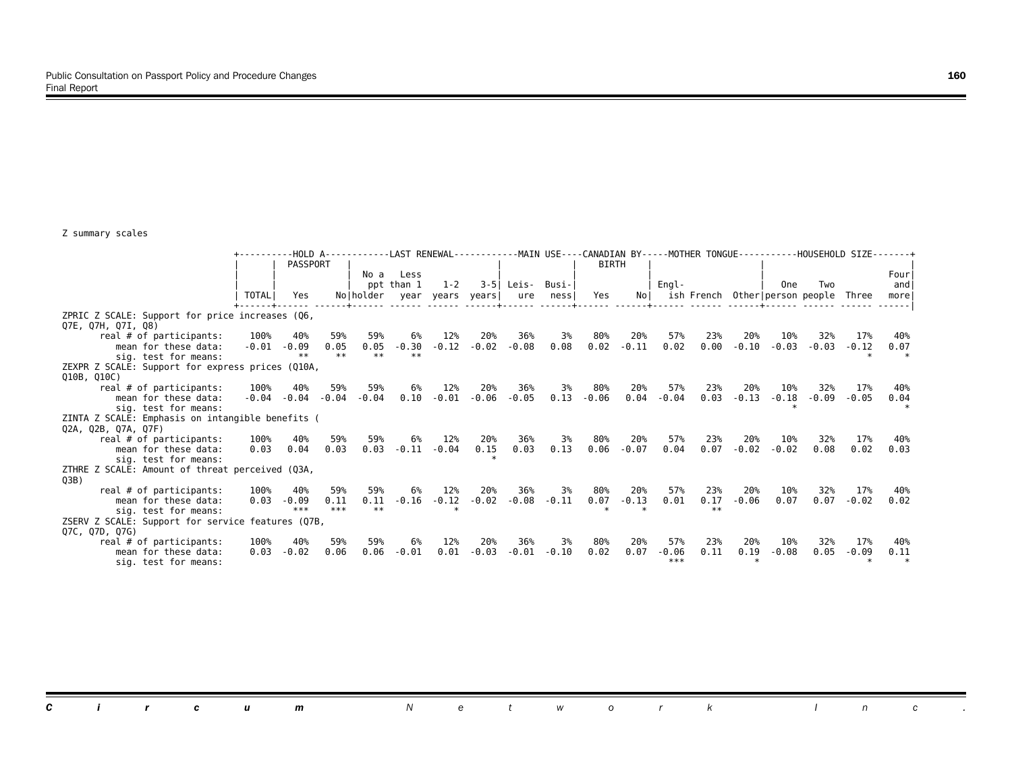Z summary scales

|                                                                                       |              | - HOLD A---<br><b>PASSPORT</b> |              |              |                 | - LAST RENEWAL - - - - - - - - |                |                         |               | <b>BI RTH</b> |             |                | -- MAIN USE---- CANADIAN BY----- MOTHER TONGUE--- |             |                | - HOUSEHOLD-SIZE-                              |                |             |
|---------------------------------------------------------------------------------------|--------------|--------------------------------|--------------|--------------|-----------------|--------------------------------|----------------|-------------------------|---------------|---------------|-------------|----------------|---------------------------------------------------|-------------|----------------|------------------------------------------------|----------------|-------------|
|                                                                                       |              |                                |              | No a         | Less            |                                |                |                         |               |               |             |                |                                                   |             |                |                                                |                | Four        |
|                                                                                       | TOTAL        | Yes                            |              | No   hol der | ppt than 1      | $1 - 2$<br>year years          | years          | $3-5$ Leis-Busi-<br>ure | ness          | Yes           |             | $Engl -$       |                                                   |             | <b>One</b>     | Two<br>No ish French Other person people Three |                | and<br>more |
| ZPRIC Z SCALE: Support for price increases $(0, 6)$<br>$Q7E$ , $Q7H$ , $Q7I$ , $Q8$ ) |              |                                |              |              |                 |                                |                |                         |               |               |             |                |                                                   |             |                |                                                |                |             |
| real # of participants:                                                               | 100%         | 40%                            | 59%          | 59%          | 6%              | 12%                            | 20%            | 36%                     | 3%            | 80%           | 20%         | 57%            | 23%                                               | 20%         | 10%            | 32%                                            | 17%            | 40%         |
| mean for these data:<br>sig. test for means:                                          | $-0.01$      | $-0.09$<br>$**$                | 0.05<br>$**$ | 0.05<br>$**$ | $-0.30$<br>$**$ | $-0.12$                        | $-0.02$        | $-0.08$                 | 0.08          | 0.02          | $-0.11$     | 0.02           | 0.00                                              | $-0.10$     | $-0.03$        | $-0.03$                                        | $-0.12$        | 0.07        |
| <b>ZEXPR Z SCALE:</b> Support for express prices (Q10A,                               |              |                                |              |              |                 |                                |                |                         |               |               |             |                |                                                   |             |                |                                                |                |             |
| Q10B, Q10C                                                                            |              |                                |              |              |                 |                                |                |                         |               |               |             |                |                                                   |             |                |                                                |                |             |
| real # of participants:                                                               | 100%         | 40%                            | 59%          | 59%          | 6%              | 12%                            | 20%            | 36%                     | 3%            | 80%           | 20%         | 57%            | 23%                                               | 20%         | 10%            | 32%                                            | 17%            | 40%         |
| mean for these data:                                                                  | $-0.04$      | $-0.04$                        | $-0.04$      | $-0.04$      | 0.10            | $-0.01$                        | $-0.06$        | $-0.05$                 | 0.13          | $-0.06$       | 0.04        | $-0.04$        | 0.03                                              | $-0.13$     | $-0.18$        | $-0.09$                                        | $-0.05$        | 0.04        |
| sig. test for means:                                                                  |              |                                |              |              |                 |                                |                |                         |               |               |             |                |                                                   |             |                |                                                |                |             |
| ZINTA Z SCALE: Emphasis on intangible benefits (<br>$Q2A$ , $Q2B$ , $Q7A$ , $Q7F$ )   |              |                                |              |              |                 |                                |                |                         |               |               |             |                |                                                   |             |                |                                                |                |             |
| real # of participants:                                                               | 100%         | 40%                            | 59%          | 59%          | 6%              | 12%                            | 20%            | 36%                     | 3%            | 80%           | 20%         | 57%            | 23%                                               | 20%         | 10%            | 32%                                            | 17%            | 40%         |
| mean for these data:                                                                  | 0.03         | 0.04                           | 0.03         | 0.03         | $-0.11$         | $-0.04$                        | 0.15           | 0.03                    | 0.13          | 0.06          | $-0.07$     | 0.04           | 0.07                                              | $-0.02$     | $-0.02$        | 0.08                                           | 0.02           | 0.03        |
| sig. test for means:<br>ZTHRE Z SCALE: Amount of threat perceived (Q3A,               |              |                                |              |              |                 |                                |                |                         |               |               |             |                |                                                   |             |                |                                                |                |             |
| (Q3B)<br>real # of participants:                                                      | 100%         | 40%                            | 59%          | 59%          | 6%              | 12%                            | 20%            | 36%                     | 3%            | 80%           | 20%         | 57%            | 23%                                               | 20%         | 10%            | 32%                                            | 17%            | 40%         |
| mean for these data:                                                                  | 0.03         | $-0.09$                        | 0.11         | 0.11         | $-0.16$         | $-0.12$                        | $-0.02$        | $-0.08$                 | $-0.11$       | 0.07          | $-0.13$     | 0.01           | 0.17                                              | $-0.06$     | 0.07           | 0.07                                           | $-0.02$        | 0.02        |
| sig. test for means:                                                                  |              | ***                            | $***$        | $***$        |                 |                                |                |                         |               |               |             |                | $**$                                              |             |                |                                                |                |             |
| ZSERV Z SCALE: Support for service features (Q7B,                                     |              |                                |              |              |                 |                                |                |                         |               |               |             |                |                                                   |             |                |                                                |                |             |
| $Q7C$ , $Q7D$ , $Q7G$ )                                                               |              |                                |              |              |                 |                                |                |                         |               |               |             |                |                                                   |             |                |                                                |                |             |
| real # of participants:<br>mean for these data:                                       | 100%<br>0.03 | 40%<br>$-0.02$                 | 59%<br>0.06  | 59%<br>0.06  | 6%<br>$-0.01$   | 12%<br>0.01                    | 20%<br>$-0.03$ | 36%<br>$-0.01$          | 3%<br>$-0.10$ | 80%<br>0.02   | 20%<br>0.07 | 57%<br>$-0.06$ | 23%<br>0.11                                       | 20%<br>0.19 | 10%<br>$-0.08$ | 32%<br>0.05                                    | 17%<br>$-0.09$ | 40%<br>0.11 |
| sig. test for means:                                                                  |              |                                |              |              |                 |                                |                |                         |               |               |             | ***            |                                                   |             |                |                                                |                |             |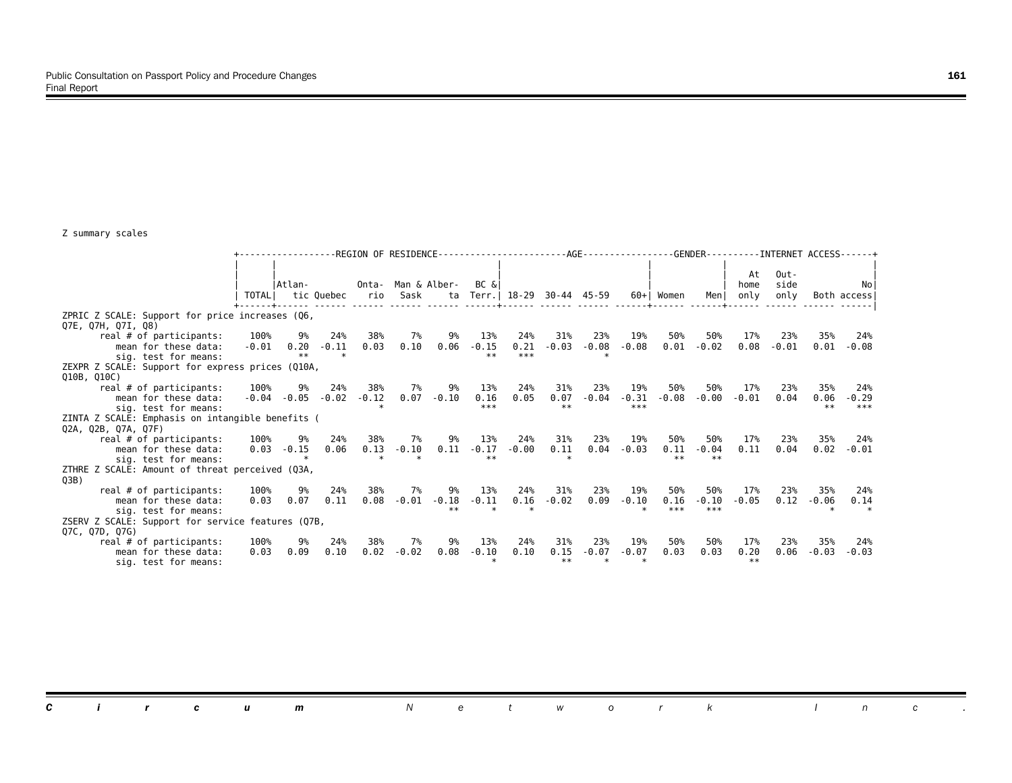Z summary scales

|                                                   |              |                |            | <b>REGION OF RESIDENCE-</b> |         |                    |               |             | AGE-       |               |         |         | GENDER-- |                     | - INTERNET ACCESS-        |         |                    |
|---------------------------------------------------|--------------|----------------|------------|-----------------------------|---------|--------------------|---------------|-------------|------------|---------------|---------|---------|----------|---------------------|---------------------------|---------|--------------------|
|                                                   | <b>TOTAL</b> | Atlan-         | tic Quebec | Onta-<br>ri o               | Sask    | Man & Alber-<br>ta | BC &<br>Terr. | 18-29       |            | $30-44$ 45-59 | $60+$   | Women   | Men      | At<br>home<br>onl y | $0$ ut-<br>si de<br>onl y |         | No.<br>Both access |
| ZPRIC Z SCALE: Support for price increases $(Q6,$ |              |                |            |                             |         |                    |               |             |            |               |         |         |          |                     |                           |         |                    |
| Q7E, Q7H, Q7I, Q8)                                |              |                |            |                             |         |                    |               |             |            |               |         |         |          |                     |                           |         |                    |
| real # of participants:                           | 100%         | 9%             | 24%        | 38%                         | 7%      | 9%                 | 13%           | 24%         | 31%        | 23%           | 19%     | 50%     | 50%      | 17%                 | 23%                       | 35%     | 24%                |
| mean for these data:                              | $-0.01$      | 0.20           | $-0.11$    | 0.03                        | 0.10    | 0.06               | $-0.15$       | 0.21<br>*** | $-0.03$    | $-0.08$       | $-0.08$ | 0.01    | $-0.02$  | 0.08                | $-0.01$                   | 0.01    | $-0.08$            |
| sig. test for means:                              |              |                |            |                             |         |                    |               |             |            |               |         |         |          |                     |                           |         |                    |
| ZEXPR Z SCALE: Support for express prices (Q10A,  |              |                |            |                             |         |                    |               |             |            |               |         |         |          |                     |                           |         |                    |
| Q10B, Q10C)<br>real # of participants:            | 100%         | 9%             | 24%        | 38%                         | 7%      | 9%                 | 13%           | 24%         | 31%        | 23%           | 19%     | 50%     | 50%      | 17%                 | 23%                       | 35%     | 24%                |
| mean for these data:                              |              | $-0.04 - 0.05$ | $-0.02$    | $-0.12$                     | 0.07    | $-0.10$            | 0.16          | 0.05        | 0.07       | $-0.04$       | $-0.31$ | $-0.08$ | $-0.00$  | $-0.01$             | 0.04                      | 0.06    | $-0.29$            |
| sig. test for means:                              |              |                |            |                             |         |                    | $***$         |             | $**$       |               | $***$   |         |          |                     |                           | $**$    | $* * *$            |
| ZINTA Z SCALE: Emphasis on intangible benefits (  |              |                |            |                             |         |                    |               |             |            |               |         |         |          |                     |                           |         |                    |
| $Q2A$ , $Q2B$ , $Q7A$ , $Q7F$ )                   |              |                |            |                             |         |                    |               |             |            |               |         |         |          |                     |                           |         |                    |
| real # of participants:                           | 100%         | 9%             | 24%        | 38%                         | 7%      | 9%                 | 13%           | 24%         | 31%        | 23%           | 19%     | 50%     | 50%      | 17%                 | 23%                       | 35%     | 24%                |
| mean for these data:                              |              | $0.03 - 0.15$  | 0.06       | 0.13                        | $-0.10$ | 0.11               | $-0.17$       | $-0.00$     | 0.11       | 0.04          | $-0.03$ | 0.11    | $-0.04$  | 0.11                | 0.04                      | 0.02    | $-0.01$            |
| sig. test for means:                              |              |                |            |                             |         |                    |               |             |            |               |         | $**$    | $**$     |                     |                           |         |                    |
| ZTHRE Z SCALE: Amount of threat perceived (Q3A,   |              |                |            |                             |         |                    |               |             |            |               |         |         |          |                     |                           |         |                    |
| Q3B)                                              |              |                |            |                             |         |                    |               |             |            |               |         |         |          |                     |                           |         |                    |
| real # of participants:                           | 100%         | 9%             | 24%        | 38%                         | 7%      | 9%                 | 13%           | 24%         | 31%        | 23%           | 19%     | 50%     | 50%      | 17%                 | 23%                       | 35%     | 24%                |
| mean for these data:                              | 0.03         | 0.07           | 0.11       | 0.08                        | $-0.01$ | $-0.18$            | $-0.11$       | 0.16        | $-0.02$    | 0.09          | $-0.10$ | 0.16    | $-0.10$  | $-0.05$             | 0.12                      | $-0.06$ | 0.14               |
| sig. test for means:                              |              |                |            |                             |         |                    |               |             |            |               |         | ***     |          |                     |                           |         |                    |
| ZSERV Z SCALE: Support for service features (Q7B, |              |                |            |                             |         |                    |               |             |            |               |         |         |          |                     |                           |         |                    |
| $Q7C$ , $Q7D$ , $Q7G$ )                           |              |                |            |                             |         |                    |               |             |            |               |         |         |          |                     |                           |         |                    |
| real # of participants:                           | 100%         | 9%             | 24%        | 38%                         | 7%      | 9%                 | 13%           | 24%         | 31%        | 23%           | 19%     | 50%     | 50%      | 17%                 | 23%                       | 35%     | 24%                |
| mean for these data:                              | 0.03         | 0.09           | 0.10       | 0.02                        | $-0.02$ | 0.08               | $-0.10$       | 0.10        | 0.15<br>** | $-0.07$       | $-0.07$ | 0.03    | 0.03     | 0.20<br>**          | 0.06                      | $-0.03$ | $-0.03$            |
| sig. test for means:                              |              |                |            |                             |         |                    |               |             |            |               |         |         |          |                     |                           |         |                    |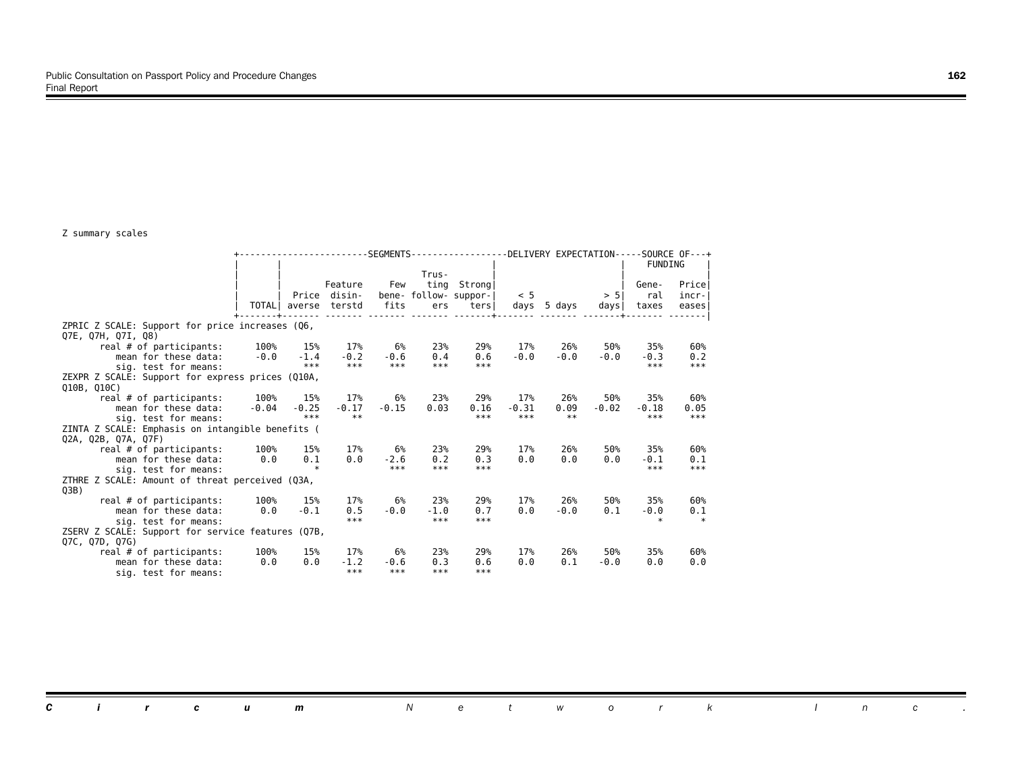Z summary scales

|                                                                                     |              |         |               | <b>SEGMENTS</b> |            |                     |         | DELIVERY EXPECTATION-- |         | <b>FUNDING</b> | SOURCE $OF--$ |
|-------------------------------------------------------------------------------------|--------------|---------|---------------|-----------------|------------|---------------------|---------|------------------------|---------|----------------|---------------|
|                                                                                     |              |         |               |                 | Trus-      |                     |         |                        |         |                |               |
|                                                                                     |              |         | Feature       | Few             | ting       | Strong              |         |                        |         | Gene-          | Pri ce        |
|                                                                                     |              |         | Price disin-  |                 |            | bene-follow-suppor- | < 5     |                        | > 5     | ral            | i ncr-        |
|                                                                                     | <b>TOTAL</b> |         | averse terstd | fits            | ers        | ters                | days    | 5 days                 | days    | taxes          | eases         |
| ZPRIC Z SCALE: Support for price increases $(Q6,$<br>$Q7E$ , $Q7H$ , $Q7I$ , $Q8$ ) |              |         |               |                 |            |                     |         |                        |         |                |               |
| real # of participants:                                                             | 100%         | 15%     | 17%           | 6%              | 23%        | 29%                 | 17%     | 26%                    | 50%     | 35%            | 60%           |
| mean for these data:                                                                | $-0.0$       | $-1.4$  | $-0.2$        | $-0.6$          | 0.4        | 0.6                 | $-0.0$  | $-0.0$                 | $-0.0$  | $-0.3$         | 0.2           |
| sig. test for means:                                                                |              | $***$   | ***           | ***             | ***        | ***                 |         |                        |         | ***            | ***           |
| ZEXPR Z SCALE: Support for express prices (Q10A,<br>Q10B, Q10C                      |              |         |               |                 |            |                     |         |                        |         |                |               |
| real # of participants:                                                             | 100%         | 15%     | 17%           | 6%              | 23%        | 29%                 | 17%     | 26%                    | 50%     | 35%            | 60%           |
| mean for these data:                                                                | $-0.04$      | $-0.25$ | $-0.17$       | $-0.15$         | 0.03       | 0.16                | $-0.31$ | 0.09                   | $-0.02$ | $-0.18$        | 0.05          |
| sig. test for means:                                                                |              | ***     | $**$          |                 |            | ***                 | ***     | $***$                  |         | ***            | ***           |
| ZINTA Z SCALE: Emphasis on intangible benefits (<br>Q2A, Q2B, Q7A, Q7F)             |              |         |               |                 |            |                     |         |                        |         |                |               |
| real # of participants:                                                             | 100%         | 15%     | 17%           | 6%              | 23%        | 29%                 | 17%     | 26%                    | 50%     | 35%            | 60%           |
| mean for these data:                                                                | 0.0          | 0.1     | 0.0           | $-2.6$          | 0.2        | 0.3                 | 0.0     | 0.0                    | 0.0     | $-0.1$         | 0.1           |
| sig. test for means:                                                                |              | $\ast$  |               | ***             | $***$      | $***$               |         |                        |         | ***            | ***           |
| <b>ZTHRE Z SCALE:</b> Amount of threat perceived (Q3A,<br>(Q3B)                     |              |         |               |                 |            |                     |         |                        |         |                |               |
| real # of participants:                                                             | 100%         | 15%     | 17%           | 6%              | 23%        | 29%                 | 17%     | 26%                    | 50%     | 35%            | 60%           |
| mean for these data:                                                                | 0.0          | $-0.1$  | 0.5           | $-0.0$          | $-1.0$     | 0.7                 | 0.0     | $-0.0$                 | 0.1     | $-0.0$         | 0.1           |
| sig. test for means:                                                                |              |         | $***$         |                 | $***$      | $***$               |         |                        |         |                | $\ast$        |
| ZSERV Z SCALE: Support for service features (Q7B,<br>$Q7C$ , $Q7D$ , $Q7G$ )        |              |         |               |                 |            |                     |         |                        |         |                |               |
| real # of participants:                                                             | 100%         | 15%     | 17%           | 6%              | 23%        | 29%                 | 17%     | 26%                    | 50%     | 35%            | 60%           |
| mean for these data:<br>sig. test for means:                                        | 0.0          | 0.0     | $-1.2$<br>*** | $-0.6$<br>***   | 0.3<br>*** | 0.6<br>***          | 0.0     | 0.1                    | $-0.0$  | 0.0            | 0.0           |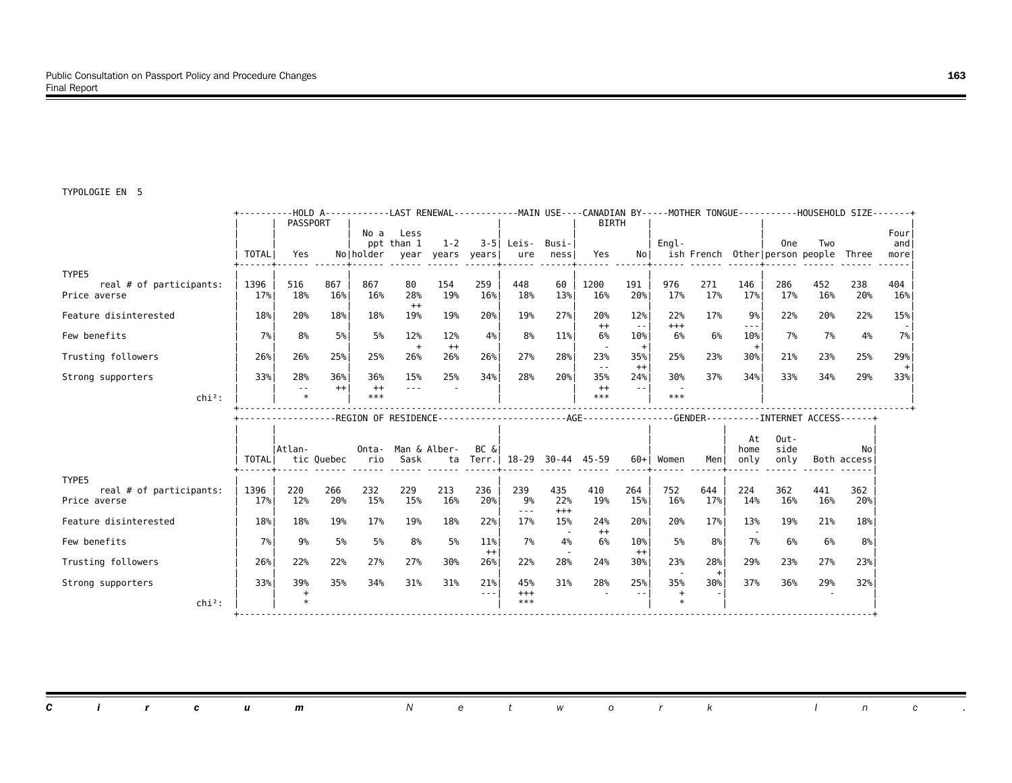## TYPOLOGIE EN 5

|                                                  |              | - HOLD A---<br><b>PASSPORT</b> |                |                      |                      |                             |                                                                                                                                                                                                                                                                                                                                                                                                     |                          |                 | ---------LAST RENEWAL------------MAIN USE----CANADIAN BY-----MOTHER TONGUE-----------HOUSEHOLD SIZE--<br><b>BIRTH</b> |                      |                                           |                                      |                     |                          |            |                   |                       |
|--------------------------------------------------|--------------|--------------------------------|----------------|----------------------|----------------------|-----------------------------|-----------------------------------------------------------------------------------------------------------------------------------------------------------------------------------------------------------------------------------------------------------------------------------------------------------------------------------------------------------------------------------------------------|--------------------------|-----------------|-----------------------------------------------------------------------------------------------------------------------|----------------------|-------------------------------------------|--------------------------------------|---------------------|--------------------------|------------|-------------------|-----------------------|
|                                                  | <b>TOTAL</b> | Yes                            |                | No a<br>No   hol der | Less<br>ppt than 1   | $1 - 2$<br>year years years | $3 - 5$                                                                                                                                                                                                                                                                                                                                                                                             | Lei s-<br>ure            | Busi-<br>ness   | Yes                                                                                                                   | No <sub>1</sub>      | Engl-                                     | ish French Other person people Three |                     | 0ne                      | Two        |                   | Four<br>and<br>more   |
| TYPE5<br>real # of participants:<br>Price averse | 1396<br>17%  | 516<br>18%                     | 867<br>16%     | 867<br>16%           | 80<br>28%<br>$^{++}$ | 154<br>19%                  | 259<br>16%                                                                                                                                                                                                                                                                                                                                                                                          | 448<br>18%               | 60<br>13%       | 1200<br>16%                                                                                                           | 191<br>20%           | 976<br>17%                                | 271<br>17%                           | 146<br>17%          | 286<br>17%               | 452<br>16% | 238<br>20%        | 404<br>16%            |
| Feature disinterested                            | 18%          | 20%                            | 18%            | 18%                  | 19%                  | 19%                         | 20%                                                                                                                                                                                                                                                                                                                                                                                                 | 19%                      | 27%             | 20%                                                                                                                   | 12%                  | 22%                                       | 17%                                  | 9%                  | 22%                      | 20%        | 22%               | 15%                   |
| Few benefits                                     | 7%           | 8%                             | 5%             | 5%                   | 12%                  | 12%                         | 4%                                                                                                                                                                                                                                                                                                                                                                                                  | 8%                       | 11%             | $^{++}$<br>6%                                                                                                         | $\sim$ $\sim$<br>10% | $^{+++}$<br>6%                            | 6%                                   | - - -<br>10%        | 7%                       | 7%         | 4%                | 7%                    |
| Trusting followers                               | 26%          | 26%                            | 25%            | 25%                  | 26%                  | $++$<br>26%                 | 26%                                                                                                                                                                                                                                                                                                                                                                                                 | 27%                      | 28%             | 23%<br>$ -$                                                                                                           | 35%<br>$^{++}$       | 25%                                       | 23%                                  | 30%                 | 21%                      | 23%        | 25%               | 29%<br>$\overline{+}$ |
| Strong supporters                                | 33%          | 28%<br>$ -$                    | 36%<br>$^{++}$ | 36%<br>$^{++}$       | 15%<br>$- - -$       | 25%                         | 34%                                                                                                                                                                                                                                                                                                                                                                                                 | 28%                      | 20%             | 35%<br>$^{++}$                                                                                                        | 24%<br>$- -$         | 30%                                       | 37%                                  | 34%                 | 33%                      | 34%        | 29%               | 33%                   |
| chi <sup>2</sup> :                               |              | $\ast$                         |                | $***$                |                      |                             |                                                                                                                                                                                                                                                                                                                                                                                                     |                          |                 | $***$                                                                                                                 |                      | ***                                       |                                      |                     |                          |            |                   |                       |
|                                                  |              |                                |                |                      |                      |                             |                                                                                                                                                                                                                                                                                                                                                                                                     |                          |                 |                                                                                                                       |                      | - GENDER---------- INTERNET ACCESS------+ |                                      |                     |                          |            |                   |                       |
|                                                  | <b>TOTAL</b> | Atl an-                        | tic Quebec     | Onta-<br>rio         | Man & Alber-<br>Sask |                             | BC &<br>ta Terr.                                                                                                                                                                                                                                                                                                                                                                                    | 18-29 30-44 45-59        |                 |                                                                                                                       |                      | $60+1$ Women                              | Men                                  | At<br>home<br>onl y | $0$ ut-<br>side<br>onl y |            | No<br>Both access |                       |
| TYPE5<br>real # of participants:<br>Price averse | 1396<br>17%  | 220<br>12%                     | 266<br>20%     | 232<br>15%           | 229<br>15%           | 213<br>16%                  | 236<br>20%                                                                                                                                                                                                                                                                                                                                                                                          | 239<br>9%                | 435<br>22%      | 410<br>19%                                                                                                            | 264<br>15%           | 752<br>16%                                | 644<br>17%                           | 224<br>14%          | 362<br>16%               | 441<br>16% | 362<br>20%        |                       |
| Feature disinterested                            | 18%          | 18%                            | 19%            | 17%                  | 19%                  | 18%                         | 22%                                                                                                                                                                                                                                                                                                                                                                                                 | - - -<br>17%             | $^{+++}$<br>15% | 24%                                                                                                                   | 20%                  | 20%                                       | 17%                                  | 13%                 | 19%                      | 21%        | 18%               |                       |
| Few benefits                                     | 7%           | 9%                             | 5%             | 5%                   | 8%                   | 5%                          | 11%<br>$^{++}$                                                                                                                                                                                                                                                                                                                                                                                      | 7%                       | 4%              | $^{++}$<br>6%                                                                                                         | 10%<br>$^{++}$       | 5%                                        | 8%                                   | 7%                  | 6%                       | 6%         | 8%                |                       |
| Trusting followers                               | 26%          | 22%                            | 22%            | 27%                  | 27%                  | 30%                         | 26%                                                                                                                                                                                                                                                                                                                                                                                                 | 22%                      | 28%             | 24%                                                                                                                   | 30%                  | 23%                                       | 28%<br>$^{+}$                        | 29%                 | 23%                      | 27%        | 23%               |                       |
| Strong supporters<br>chi <sup>2</sup> :          | 33%          | 39%                            | 35%            | 34%                  | 31%                  | 31%                         | 21%<br>$\frac{1}{2} \frac{1}{2} \frac{1}{2} \frac{1}{2} \frac{1}{2} \frac{1}{2} \frac{1}{2} \frac{1}{2} \frac{1}{2} \frac{1}{2} \frac{1}{2} \frac{1}{2} \frac{1}{2} \frac{1}{2} \frac{1}{2} \frac{1}{2} \frac{1}{2} \frac{1}{2} \frac{1}{2} \frac{1}{2} \frac{1}{2} \frac{1}{2} \frac{1}{2} \frac{1}{2} \frac{1}{2} \frac{1}{2} \frac{1}{2} \frac{1}{2} \frac{1}{2} \frac{1}{2} \frac{1}{2} \frac{$ | 45%<br>$^{+++}$<br>$***$ | 31%             | 28%                                                                                                                   | 25%<br>$ -$          | 35%<br>$^{+}$<br>$\ast$                   | 30%                                  | 37%                 | 36%                      | 29%        | 32%               |                       |
|                                                  |              |                                |                |                      |                      |                             |                                                                                                                                                                                                                                                                                                                                                                                                     |                          |                 |                                                                                                                       |                      |                                           |                                      |                     |                          |            |                   |                       |

| <b>Circum</b> Network Inc. |
|----------------------------|
|----------------------------|